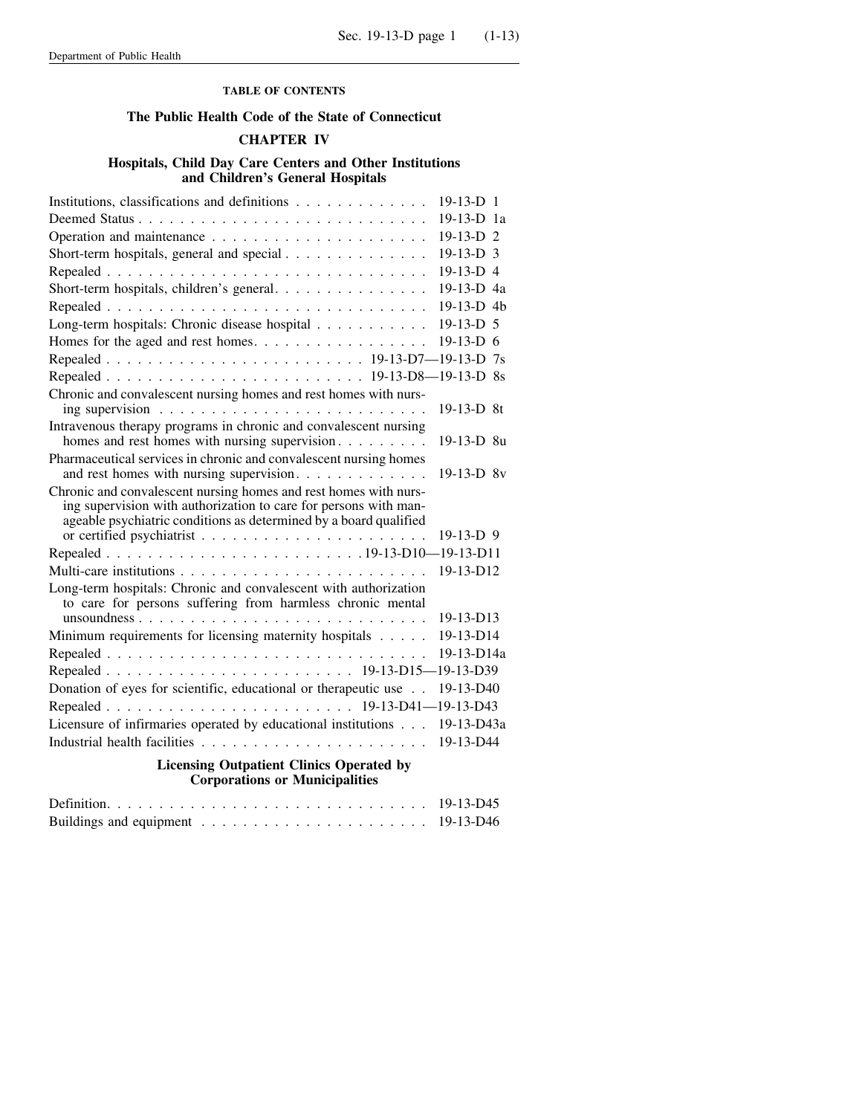## **TABLE OF CONTENTS**

## **The Public Health Code of the State of Connecticut**

## **CHAPTER IV**

## **Hospitals, Child Day Care Centers and Other Institutions and Children's General Hospitals**

| Institutions, classifications and definitions                                                                                                                                                             | $19-13-D$ 1          |  |
|-----------------------------------------------------------------------------------------------------------------------------------------------------------------------------------------------------------|----------------------|--|
|                                                                                                                                                                                                           | $19-13-D$ 1a         |  |
|                                                                                                                                                                                                           | 19-13-D <sub>2</sub> |  |
| Short-term hospitals, general and special                                                                                                                                                                 | $19-13-D$ 3          |  |
|                                                                                                                                                                                                           | 19-13-D 4            |  |
| Short-term hospitals, children's general.                                                                                                                                                                 | 19-13-D 4a           |  |
|                                                                                                                                                                                                           | 19-13-D 4b           |  |
| Long-term hospitals: Chronic disease hospital                                                                                                                                                             | $19-13-D$ 5          |  |
| Homes for the aged and rest homes.                                                                                                                                                                        | $19-13-D$ 6          |  |
|                                                                                                                                                                                                           |                      |  |
|                                                                                                                                                                                                           |                      |  |
| Chronic and convalescent nursing homes and rest homes with nurs-<br>ing supervision $\ldots \ldots \ldots \ldots \ldots \ldots \ldots \ldots$                                                             | 19-13-D 8t           |  |
| Intravenous therapy programs in chronic and convalescent nursing<br>homes and rest homes with nursing supervision                                                                                         | 19-13-D 8u           |  |
| Pharmaceutical services in chronic and convalescent nursing homes<br>and rest homes with nursing supervision.                                                                                             | $19-13-D$ 8v         |  |
| Chronic and convalescent nursing homes and rest homes with nurs-<br>ing supervision with authorization to care for persons with man-<br>ageable psychiatric conditions as determined by a board qualified | $19-13-D$ 9          |  |
|                                                                                                                                                                                                           |                      |  |
|                                                                                                                                                                                                           | 19-13-D12            |  |
| Long-term hospitals: Chronic and convalescent with authorization<br>to care for persons suffering from harmless chronic mental                                                                            |                      |  |
|                                                                                                                                                                                                           | $19-13-D13$          |  |
| Minimum requirements for licensing maternity hospitals                                                                                                                                                    | 19-13-D14            |  |
|                                                                                                                                                                                                           | $19-13-D14a$         |  |
|                                                                                                                                                                                                           |                      |  |
| Donation of eyes for scientific, educational or therapeutic use                                                                                                                                           | 19-13-D40            |  |
|                                                                                                                                                                                                           |                      |  |
| Licensure of infirmaries operated by educational institutions                                                                                                                                             | $19-13-D43a$         |  |
|                                                                                                                                                                                                           | 19-13-D44            |  |
| <b>Licensing Outpatient Clinics Operated by</b><br><b>Corporations or Municipalities</b>                                                                                                                  |                      |  |
|                                                                                                                                                                                                           |                      |  |

Buildings and equipment . . . . . . . . . . . . . . . . . . . . . . 19-13-D46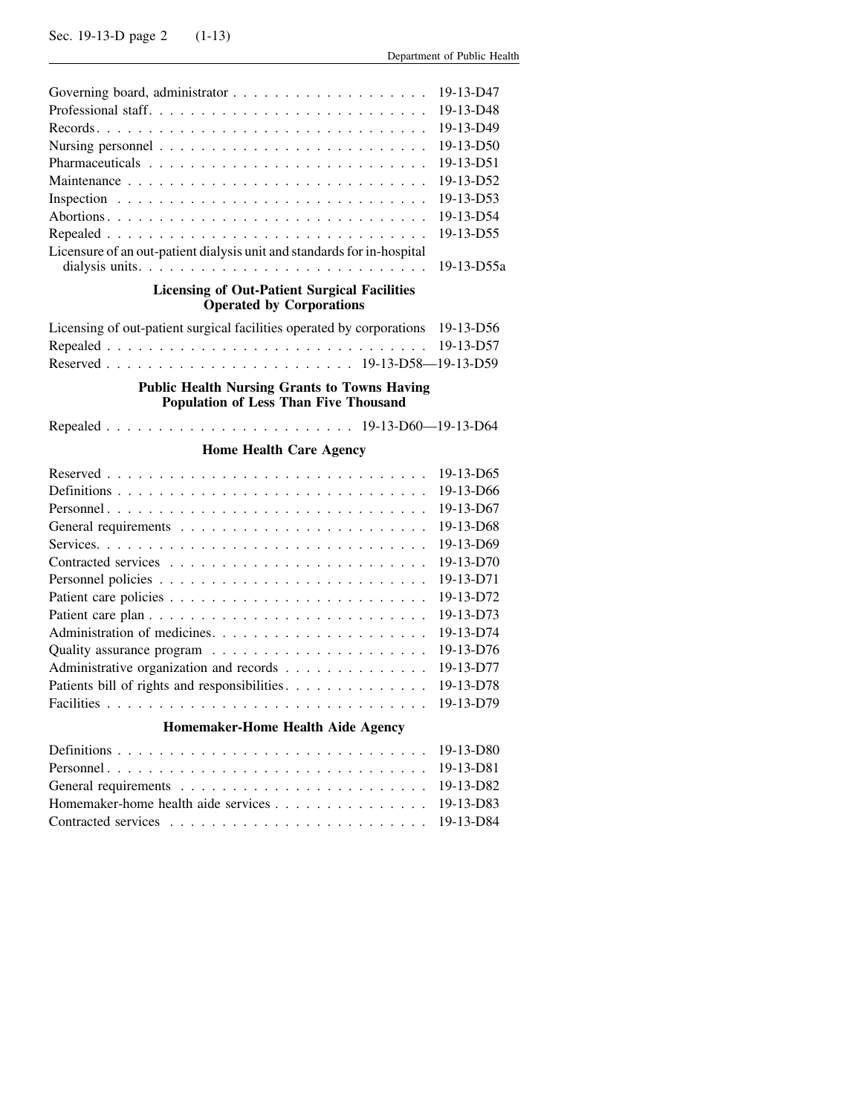|                                                                                                     | 19-13-D47  |
|-----------------------------------------------------------------------------------------------------|------------|
|                                                                                                     | 19-13-D48  |
|                                                                                                     | 19-13-D49  |
|                                                                                                     | 19-13-D50  |
|                                                                                                     | 19-13-D51  |
|                                                                                                     | 19-13-D52  |
|                                                                                                     | 19-13-D53  |
|                                                                                                     | 19-13-D54  |
|                                                                                                     | 19-13-D55  |
| Licensure of an out-patient dialysis unit and standards for in-hospital                             | 19-13-D55a |
| <b>Licensing of Out-Patient Surgical Facilities</b><br><b>Operated by Corporations</b>              |            |
|                                                                                                     |            |
| Licensing of out-patient surgical facilities operated by corporations                               | 19-13-D56  |
|                                                                                                     | 19-13-D57  |
|                                                                                                     |            |
| <b>Public Health Nursing Grants to Towns Having</b><br><b>Population of Less Than Five Thousand</b> |            |
|                                                                                                     |            |
| <b>Home Health Care Agency</b>                                                                      |            |
|                                                                                                     | 19-13-D65  |
|                                                                                                     | 19-13-D66  |
|                                                                                                     | 19-13-D67  |
|                                                                                                     | 19-13-D68  |
|                                                                                                     | 19-13-D69  |
|                                                                                                     | 19-13-D70  |
|                                                                                                     | 19-13-D71  |
|                                                                                                     | 19-13-D72  |
|                                                                                                     | 19-13-D73  |
|                                                                                                     | 19-13-D74  |
|                                                                                                     | 19-13-D76  |
| Administrative organization and records                                                             | 19-13-D77  |
| Patients bill of rights and responsibilities.                                                       | 19-13-D78  |
|                                                                                                     | 19-13-D79  |
| Homemaker-Home Health Aide Agency                                                                   |            |
|                                                                                                     | 19-13-D80  |
|                                                                                                     | 19-13-D81  |
|                                                                                                     | 19-13-D82  |
| Homemaker-home health aide services                                                                 | 19-13-D83  |
|                                                                                                     | 19-13-D84  |
|                                                                                                     |            |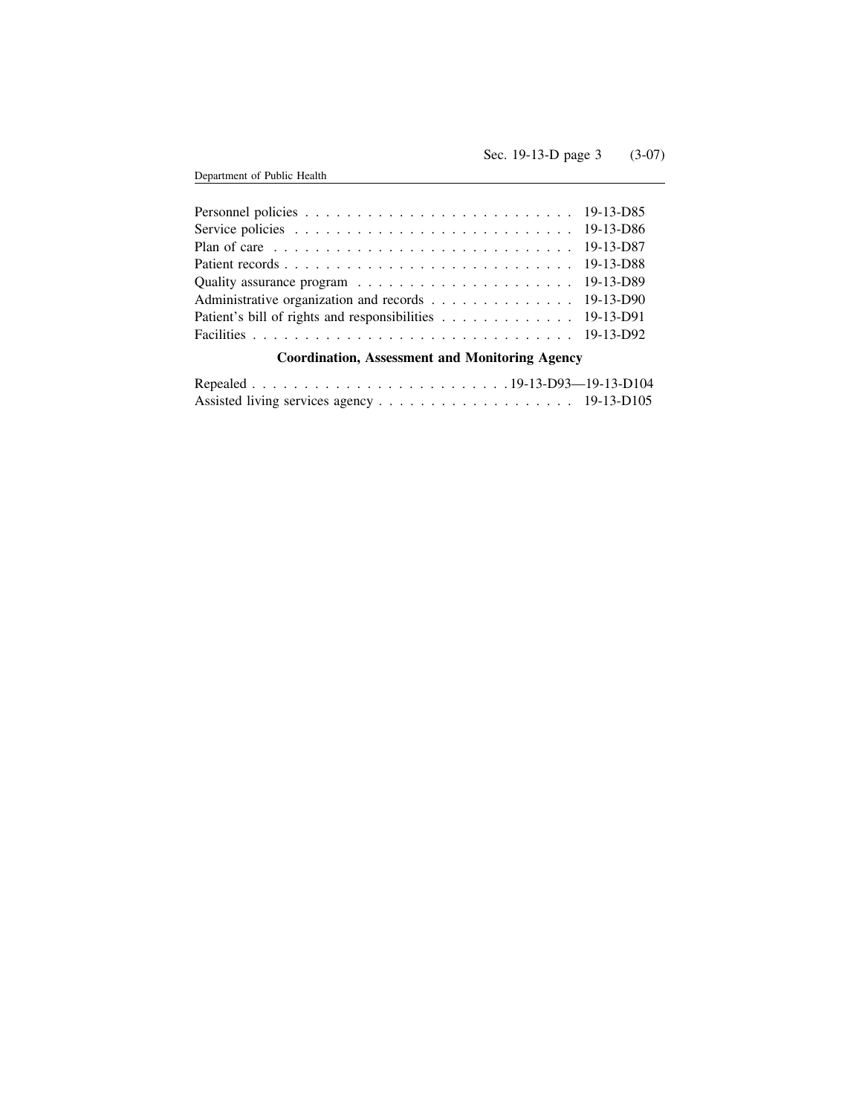| Plan of care $\ldots \ldots \ldots \ldots \ldots \ldots \ldots \ldots \ldots \ldots \ldots 19-13-D87$           |  |
|-----------------------------------------------------------------------------------------------------------------|--|
|                                                                                                                 |  |
| Quality assurance program $\ldots \ldots \ldots \ldots \ldots \ldots \ldots \ldots 19-13-D89$                   |  |
| Administrative organization and records 19-13-D90                                                               |  |
| Patient's bill of rights and responsibilities 19-13-D91                                                         |  |
|                                                                                                                 |  |
| 1000 - 1000 - 1000 - 1000 - 1000 - 1000 - 1000 - 1000 - 1000 - 1000 - 1000 - 1000 - 1000 - 1000 - 1000 - 1000 - |  |

# **Coordination, Assessment and Monitoring Agency**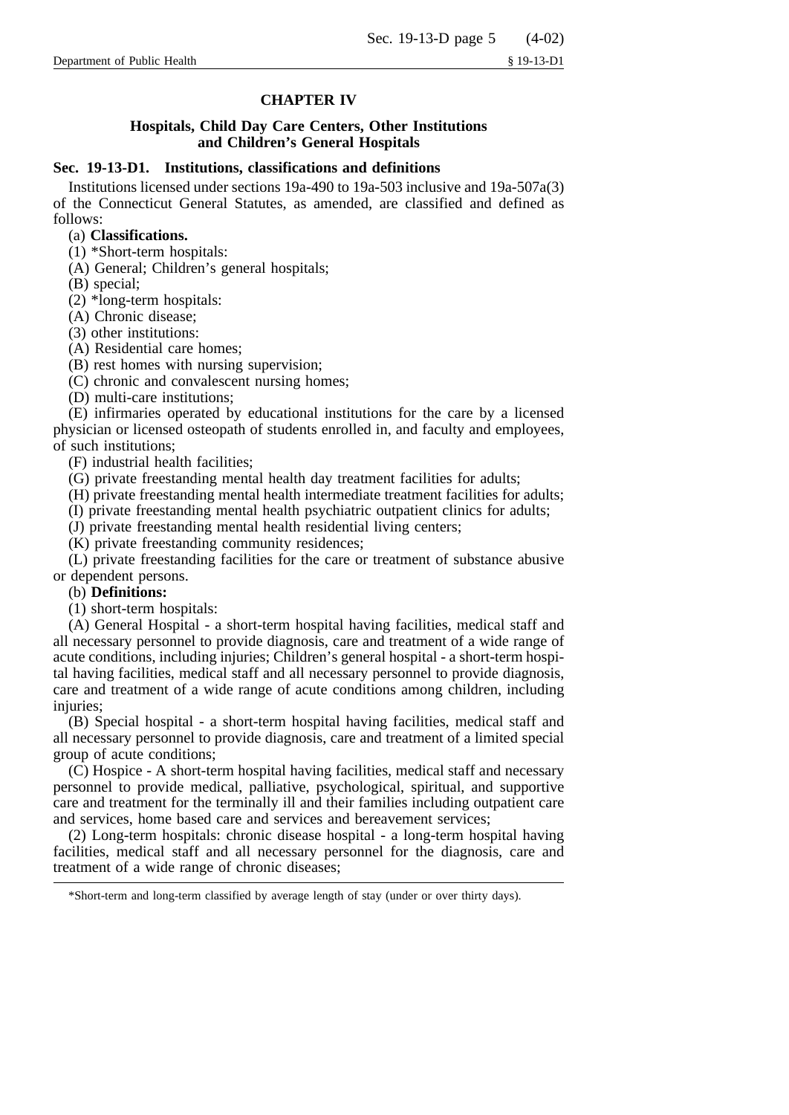## **CHAPTER IV**

## **Hospitals, Child Day Care Centers, Other Institutions and Children's General Hospitals**

## **Sec. 19-13-D1. Institutions, classifications and definitions**

Institutions licensed under sections 19a-490 to 19a-503 inclusive and 19a-507a(3) of the Connecticut General Statutes, as amended, are classified and defined as follows:

## (a) **Classifications.**

(1) \*Short-term hospitals:

(A) General; Children's general hospitals;

(B) special;

(2) \*long-term hospitals:

(A) Chronic disease;

(3) other institutions:

(A) Residential care homes;

(B) rest homes with nursing supervision;

(C) chronic and convalescent nursing homes;

(D) multi-care institutions;

(E) infirmaries operated by educational institutions for the care by a licensed physician or licensed osteopath of students enrolled in, and faculty and employees, of such institutions;

(F) industrial health facilities;

(G) private freestanding mental health day treatment facilities for adults;

(H) private freestanding mental health intermediate treatment facilities for adults;

(I) private freestanding mental health psychiatric outpatient clinics for adults;

(J) private freestanding mental health residential living centers;

(K) private freestanding community residences;

(L) private freestanding facilities for the care or treatment of substance abusive or dependent persons.

#### (b) **Definitions:**

(1) short-term hospitals:

(A) General Hospital - a short-term hospital having facilities, medical staff and all necessary personnel to provide diagnosis, care and treatment of a wide range of acute conditions, including injuries; Children's general hospital - a short-term hospital having facilities, medical staff and all necessary personnel to provide diagnosis, care and treatment of a wide range of acute conditions among children, including injuries;

(B) Special hospital - a short-term hospital having facilities, medical staff and all necessary personnel to provide diagnosis, care and treatment of a limited special group of acute conditions;

(C) Hospice - A short-term hospital having facilities, medical staff and necessary personnel to provide medical, palliative, psychological, spiritual, and supportive care and treatment for the terminally ill and their families including outpatient care and services, home based care and services and bereavement services;

(2) Long-term hospitals: chronic disease hospital - a long-term hospital having facilities, medical staff and all necessary personnel for the diagnosis, care and treatment of a wide range of chronic diseases;

<sup>\*</sup>Short-term and long-term classified by average length of stay (under or over thirty days).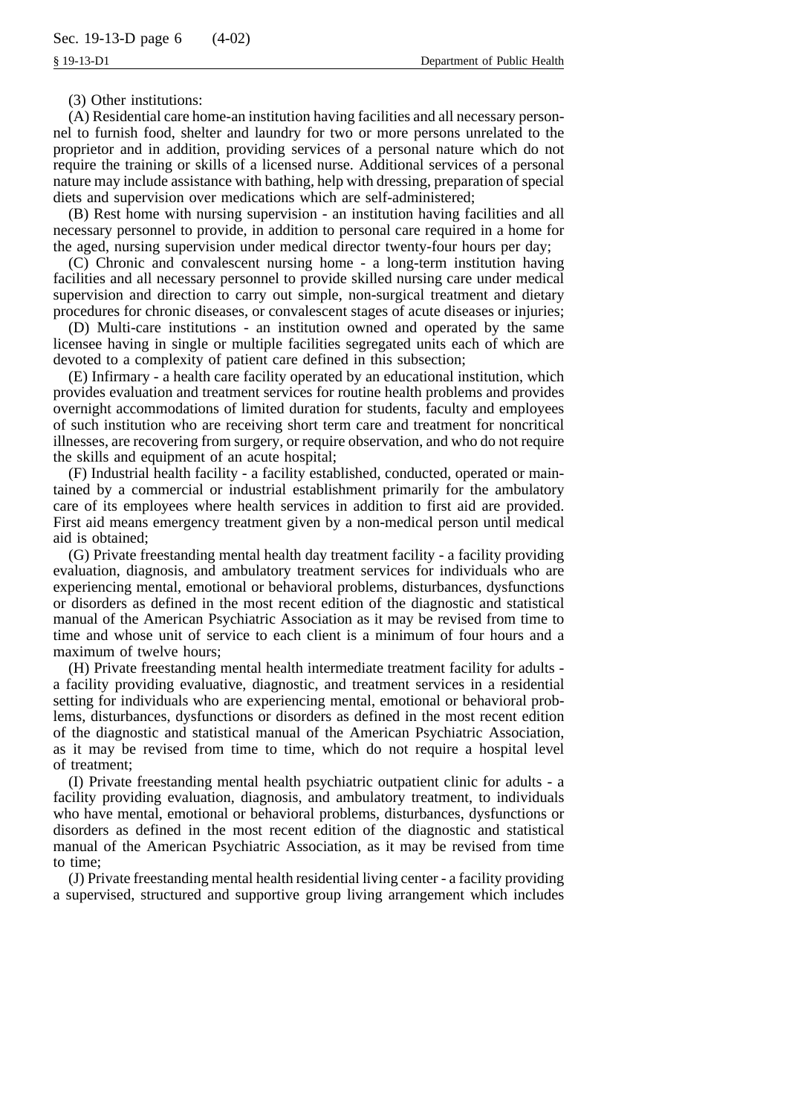(3) Other institutions:

(A) Residential care home-an institution having facilities and all necessary personnel to furnish food, shelter and laundry for two or more persons unrelated to the proprietor and in addition, providing services of a personal nature which do not require the training or skills of a licensed nurse. Additional services of a personal nature may include assistance with bathing, help with dressing, preparation of special diets and supervision over medications which are self-administered;

(B) Rest home with nursing supervision - an institution having facilities and all necessary personnel to provide, in addition to personal care required in a home for the aged, nursing supervision under medical director twenty-four hours per day;

(C) Chronic and convalescent nursing home - a long-term institution having facilities and all necessary personnel to provide skilled nursing care under medical supervision and direction to carry out simple, non-surgical treatment and dietary procedures for chronic diseases, or convalescent stages of acute diseases or injuries;

(D) Multi-care institutions - an institution owned and operated by the same licensee having in single or multiple facilities segregated units each of which are devoted to a complexity of patient care defined in this subsection;

(E) Infirmary - a health care facility operated by an educational institution, which provides evaluation and treatment services for routine health problems and provides overnight accommodations of limited duration for students, faculty and employees of such institution who are receiving short term care and treatment for noncritical illnesses, are recovering from surgery, or require observation, and who do not require the skills and equipment of an acute hospital;

(F) Industrial health facility - a facility established, conducted, operated or maintained by a commercial or industrial establishment primarily for the ambulatory care of its employees where health services in addition to first aid are provided. First aid means emergency treatment given by a non-medical person until medical aid is obtained;

(G) Private freestanding mental health day treatment facility - a facility providing evaluation, diagnosis, and ambulatory treatment services for individuals who are experiencing mental, emotional or behavioral problems, disturbances, dysfunctions or disorders as defined in the most recent edition of the diagnostic and statistical manual of the American Psychiatric Association as it may be revised from time to time and whose unit of service to each client is a minimum of four hours and a maximum of twelve hours;

(H) Private freestanding mental health intermediate treatment facility for adults a facility providing evaluative, diagnostic, and treatment services in a residential setting for individuals who are experiencing mental, emotional or behavioral problems, disturbances, dysfunctions or disorders as defined in the most recent edition of the diagnostic and statistical manual of the American Psychiatric Association, as it may be revised from time to time, which do not require a hospital level of treatment;

(I) Private freestanding mental health psychiatric outpatient clinic for adults - a facility providing evaluation, diagnosis, and ambulatory treatment, to individuals who have mental, emotional or behavioral problems, disturbances, dysfunctions or disorders as defined in the most recent edition of the diagnostic and statistical manual of the American Psychiatric Association, as it may be revised from time to time;

(J) Private freestanding mental health residential living center - a facility providing a supervised, structured and supportive group living arrangement which includes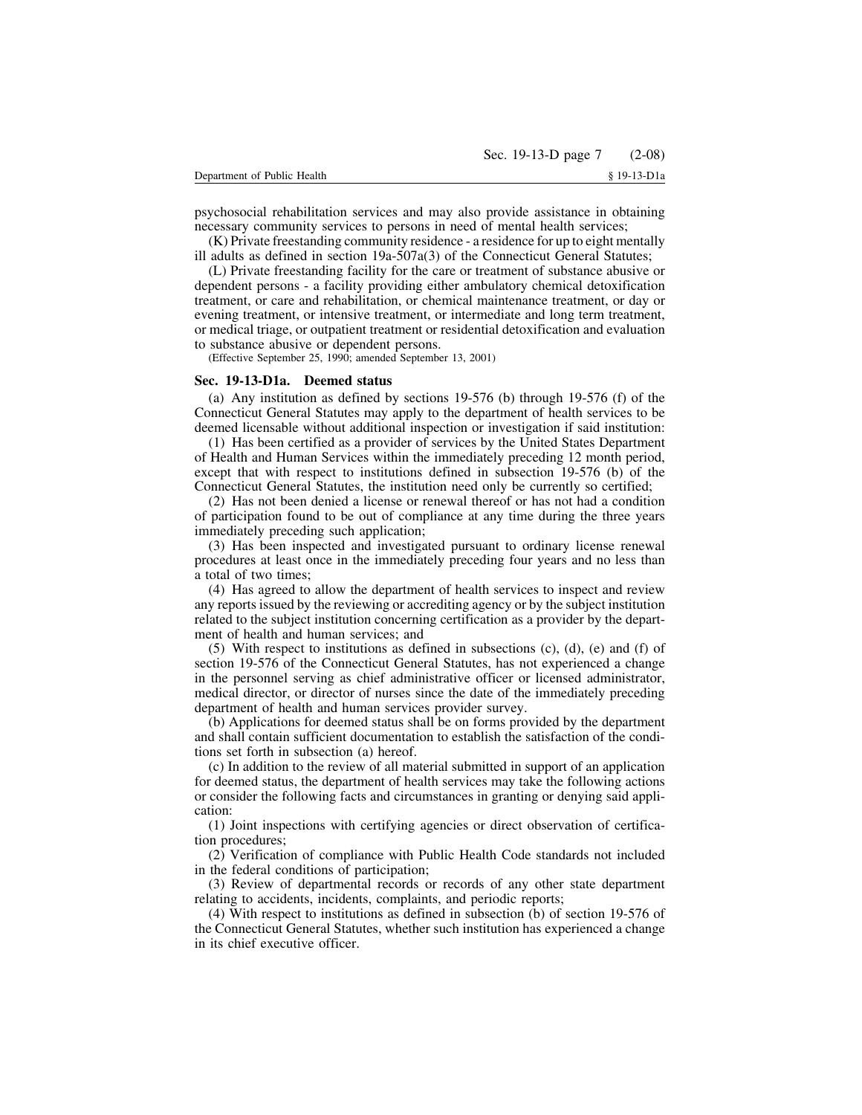psychosocial rehabilitation services and may also provide assistance in obtaining necessary community services to persons in need of mental health services;

(K) Private freestanding community residence - a residence for up to eight mentally ill adults as defined in section 19a-507a(3) of the Connecticut General Statutes;

(L) Private freestanding facility for the care or treatment of substance abusive or dependent persons - a facility providing either ambulatory chemical detoxification treatment, or care and rehabilitation, or chemical maintenance treatment, or day or evening treatment, or intensive treatment, or intermediate and long term treatment, or medical triage, or outpatient treatment or residential detoxification and evaluation to substance abusive or dependent persons.

(Effective September 25, 1990; amended September 13, 2001)

## **Sec. 19-13-D1a. Deemed status**

(a) Any institution as defined by sections 19-576 (b) through 19-576 (f) of the Connecticut General Statutes may apply to the department of health services to be deemed licensable without additional inspection or investigation if said institution:

(1) Has been certified as a provider of services by the United States Department of Health and Human Services within the immediately preceding 12 month period, except that with respect to institutions defined in subsection 19-576 (b) of the Connecticut General Statutes, the institution need only be currently so certified;

(2) Has not been denied a license or renewal thereof or has not had a condition of participation found to be out of compliance at any time during the three years immediately preceding such application;

(3) Has been inspected and investigated pursuant to ordinary license renewal procedures at least once in the immediately preceding four years and no less than a total of two times;

(4) Has agreed to allow the department of health services to inspect and review any reports issued by the reviewing or accrediting agency or by the subject institution related to the subject institution concerning certification as a provider by the department of health and human services; and

 $(5)$  With respect to institutions as defined in subsections  $(c)$ ,  $(d)$ ,  $(e)$  and  $(f)$  of section 19-576 of the Connecticut General Statutes, has not experienced a change in the personnel serving as chief administrative officer or licensed administrator, medical director, or director of nurses since the date of the immediately preceding department of health and human services provider survey.

(b) Applications for deemed status shall be on forms provided by the department and shall contain sufficient documentation to establish the satisfaction of the conditions set forth in subsection (a) hereof.

(c) In addition to the review of all material submitted in support of an application for deemed status, the department of health services may take the following actions or consider the following facts and circumstances in granting or denying said application:

(1) Joint inspections with certifying agencies or direct observation of certification procedures;

(2) Verification of compliance with Public Health Code standards not included in the federal conditions of participation;

(3) Review of departmental records or records of any other state department relating to accidents, incidents, complaints, and periodic reports;

(4) With respect to institutions as defined in subsection (b) of section 19-576 of the Connecticut General Statutes, whether such institution has experienced a change in its chief executive officer.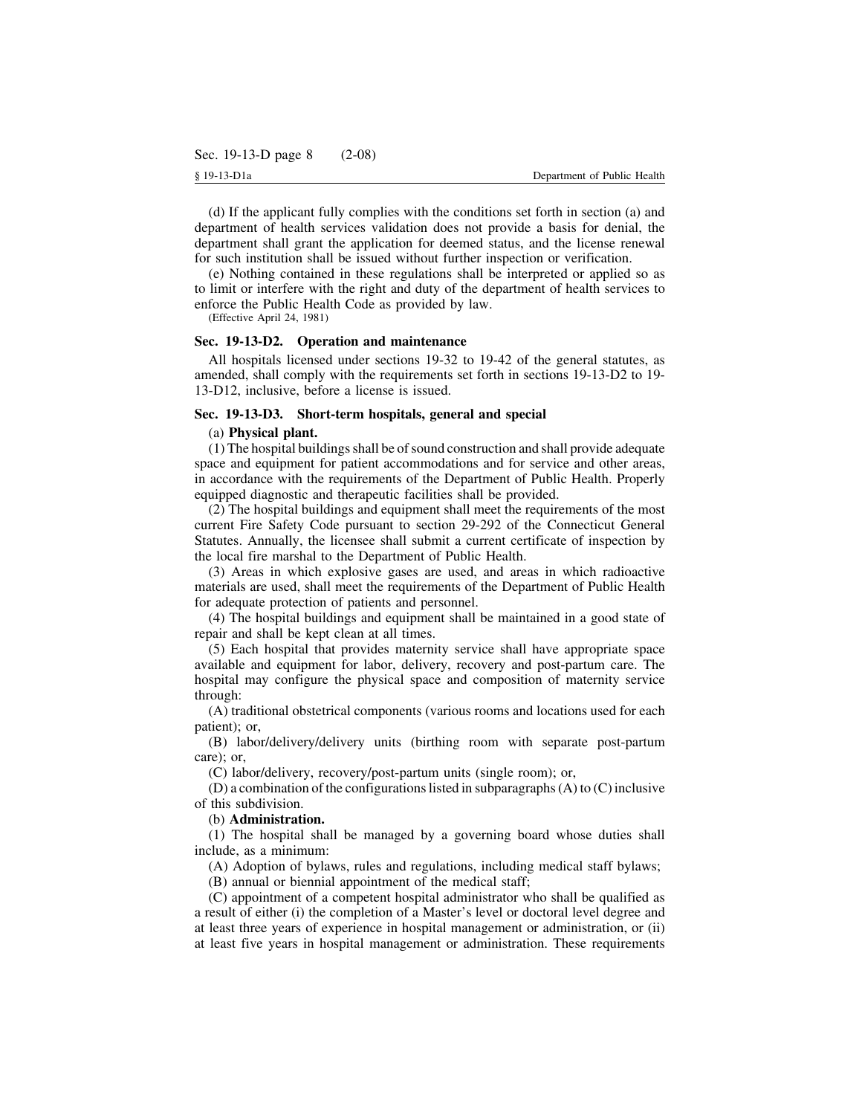(d) If the applicant fully complies with the conditions set forth in section (a) and department of health services validation does not provide a basis for denial, the department shall grant the application for deemed status, and the license renewal for such institution shall be issued without further inspection or verification.

(e) Nothing contained in these regulations shall be interpreted or applied so as to limit or interfere with the right and duty of the department of health services to enforce the Public Health Code as provided by law.

(Effective April 24, 1981)

### **Sec. 19-13-D2. Operation and maintenance**

All hospitals licensed under sections 19-32 to 19-42 of the general statutes, as amended, shall comply with the requirements set forth in sections 19-13-D2 to 19- 13-D12, inclusive, before a license is issued.

## **Sec. 19-13-D3. Short-term hospitals, general and special**

## (a) **Physical plant.**

(1) The hospital buildingsshall be ofsound construction and shall provide adequate space and equipment for patient accommodations and for service and other areas, in accordance with the requirements of the Department of Public Health. Properly equipped diagnostic and therapeutic facilities shall be provided.

(2) The hospital buildings and equipment shall meet the requirements of the most current Fire Safety Code pursuant to section 29-292 of the Connecticut General Statutes. Annually, the licensee shall submit a current certificate of inspection by the local fire marshal to the Department of Public Health.

(3) Areas in which explosive gases are used, and areas in which radioactive materials are used, shall meet the requirements of the Department of Public Health for adequate protection of patients and personnel.

(4) The hospital buildings and equipment shall be maintained in a good state of repair and shall be kept clean at all times.

(5) Each hospital that provides maternity service shall have appropriate space available and equipment for labor, delivery, recovery and post-partum care. The hospital may configure the physical space and composition of maternity service through:

(A) traditional obstetrical components (various rooms and locations used for each patient); or,

(B) labor/delivery/delivery units (birthing room with separate post-partum care); or,

(C) labor/delivery, recovery/post-partum units (single room); or,

(D) a combination of the configurations listed in subparagraphs  $(A)$  to  $(C)$  inclusive of this subdivision.

#### (b) **Administration.**

(1) The hospital shall be managed by a governing board whose duties shall include, as a minimum:

(A) Adoption of bylaws, rules and regulations, including medical staff bylaws;

(B) annual or biennial appointment of the medical staff;

(C) appointment of a competent hospital administrator who shall be qualified as a result of either (i) the completion of a Master's level or doctoral level degree and at least three years of experience in hospital management or administration, or (ii) at least five years in hospital management or administration. These requirements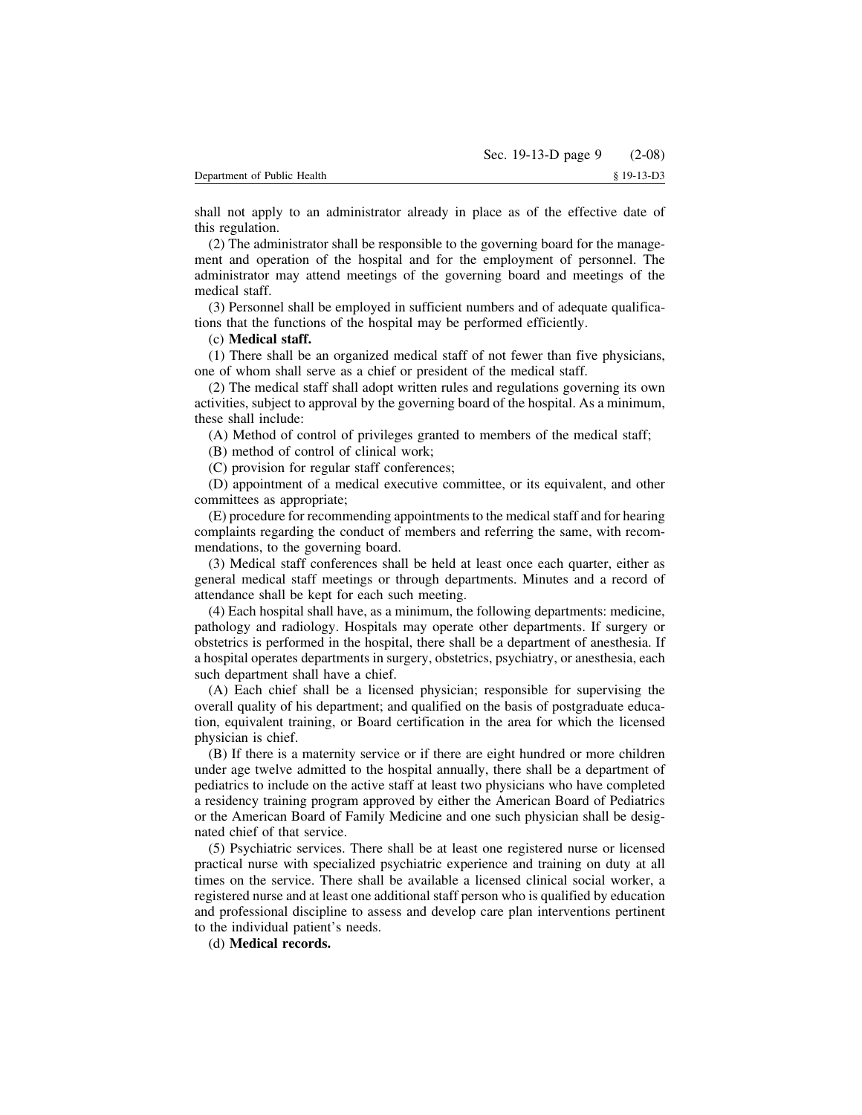shall not apply to an administrator already in place as of the effective date of this regulation.

(2) The administrator shall be responsible to the governing board for the management and operation of the hospital and for the employment of personnel. The administrator may attend meetings of the governing board and meetings of the medical staff.

(3) Personnel shall be employed in sufficient numbers and of adequate qualifications that the functions of the hospital may be performed efficiently.

## (c) **Medical staff.**

(1) There shall be an organized medical staff of not fewer than five physicians, one of whom shall serve as a chief or president of the medical staff.

(2) The medical staff shall adopt written rules and regulations governing its own activities, subject to approval by the governing board of the hospital. As a minimum, these shall include:

(A) Method of control of privileges granted to members of the medical staff;

(B) method of control of clinical work;

(C) provision for regular staff conferences;

(D) appointment of a medical executive committee, or its equivalent, and other committees as appropriate;

(E) procedure for recommending appointments to the medical staff and for hearing complaints regarding the conduct of members and referring the same, with recommendations, to the governing board.

(3) Medical staff conferences shall be held at least once each quarter, either as general medical staff meetings or through departments. Minutes and a record of attendance shall be kept for each such meeting.

(4) Each hospital shall have, as a minimum, the following departments: medicine, pathology and radiology. Hospitals may operate other departments. If surgery or obstetrics is performed in the hospital, there shall be a department of anesthesia. If a hospital operates departments in surgery, obstetrics, psychiatry, or anesthesia, each such department shall have a chief.

(A) Each chief shall be a licensed physician; responsible for supervising the overall quality of his department; and qualified on the basis of postgraduate education, equivalent training, or Board certification in the area for which the licensed physician is chief.

(B) If there is a maternity service or if there are eight hundred or more children under age twelve admitted to the hospital annually, there shall be a department of pediatrics to include on the active staff at least two physicians who have completed a residency training program approved by either the American Board of Pediatrics or the American Board of Family Medicine and one such physician shall be designated chief of that service.

(5) Psychiatric services. There shall be at least one registered nurse or licensed practical nurse with specialized psychiatric experience and training on duty at all times on the service. There shall be available a licensed clinical social worker, a registered nurse and at least one additional staff person who is qualified by education and professional discipline to assess and develop care plan interventions pertinent to the individual patient's needs.

(d) **Medical records.**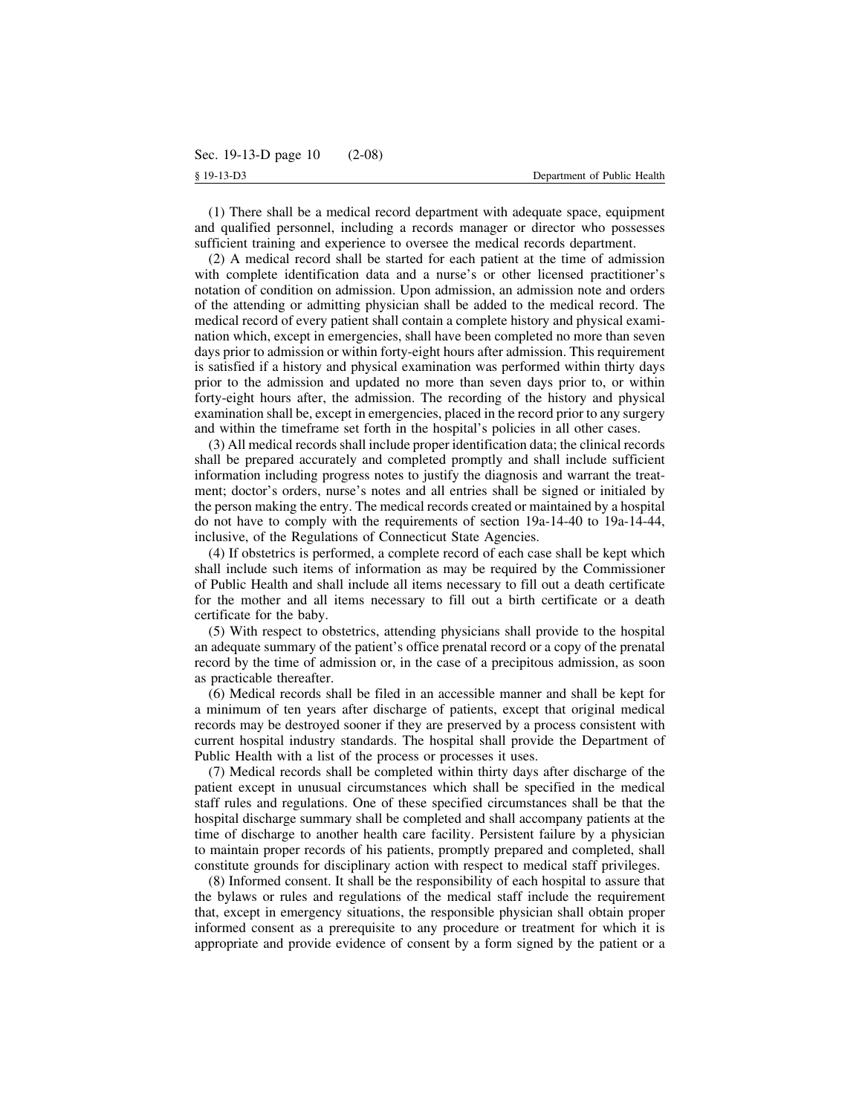(1) There shall be a medical record department with adequate space, equipment and qualified personnel, including a records manager or director who possesses sufficient training and experience to oversee the medical records department.

(2) A medical record shall be started for each patient at the time of admission with complete identification data and a nurse's or other licensed practitioner's notation of condition on admission. Upon admission, an admission note and orders of the attending or admitting physician shall be added to the medical record. The medical record of every patient shall contain a complete history and physical examination which, except in emergencies, shall have been completed no more than seven days prior to admission or within forty-eight hours after admission. This requirement is satisfied if a history and physical examination was performed within thirty days prior to the admission and updated no more than seven days prior to, or within forty-eight hours after, the admission. The recording of the history and physical examination shall be, except in emergencies, placed in the record prior to any surgery and within the timeframe set forth in the hospital's policies in all other cases.

(3) All medical records shall include proper identification data; the clinical records shall be prepared accurately and completed promptly and shall include sufficient information including progress notes to justify the diagnosis and warrant the treatment; doctor's orders, nurse's notes and all entries shall be signed or initialed by the person making the entry. The medical records created or maintained by a hospital do not have to comply with the requirements of section 19a-14-40 to 19a-14-44, inclusive, of the Regulations of Connecticut State Agencies.

(4) If obstetrics is performed, a complete record of each case shall be kept which shall include such items of information as may be required by the Commissioner of Public Health and shall include all items necessary to fill out a death certificate for the mother and all items necessary to fill out a birth certificate or a death certificate for the baby.

(5) With respect to obstetrics, attending physicians shall provide to the hospital an adequate summary of the patient's office prenatal record or a copy of the prenatal record by the time of admission or, in the case of a precipitous admission, as soon as practicable thereafter.

(6) Medical records shall be filed in an accessible manner and shall be kept for a minimum of ten years after discharge of patients, except that original medical records may be destroyed sooner if they are preserved by a process consistent with current hospital industry standards. The hospital shall provide the Department of Public Health with a list of the process or processes it uses.

(7) Medical records shall be completed within thirty days after discharge of the patient except in unusual circumstances which shall be specified in the medical staff rules and regulations. One of these specified circumstances shall be that the hospital discharge summary shall be completed and shall accompany patients at the time of discharge to another health care facility. Persistent failure by a physician to maintain proper records of his patients, promptly prepared and completed, shall constitute grounds for disciplinary action with respect to medical staff privileges.

(8) Informed consent. It shall be the responsibility of each hospital to assure that the bylaws or rules and regulations of the medical staff include the requirement that, except in emergency situations, the responsible physician shall obtain proper informed consent as a prerequisite to any procedure or treatment for which it is appropriate and provide evidence of consent by a form signed by the patient or a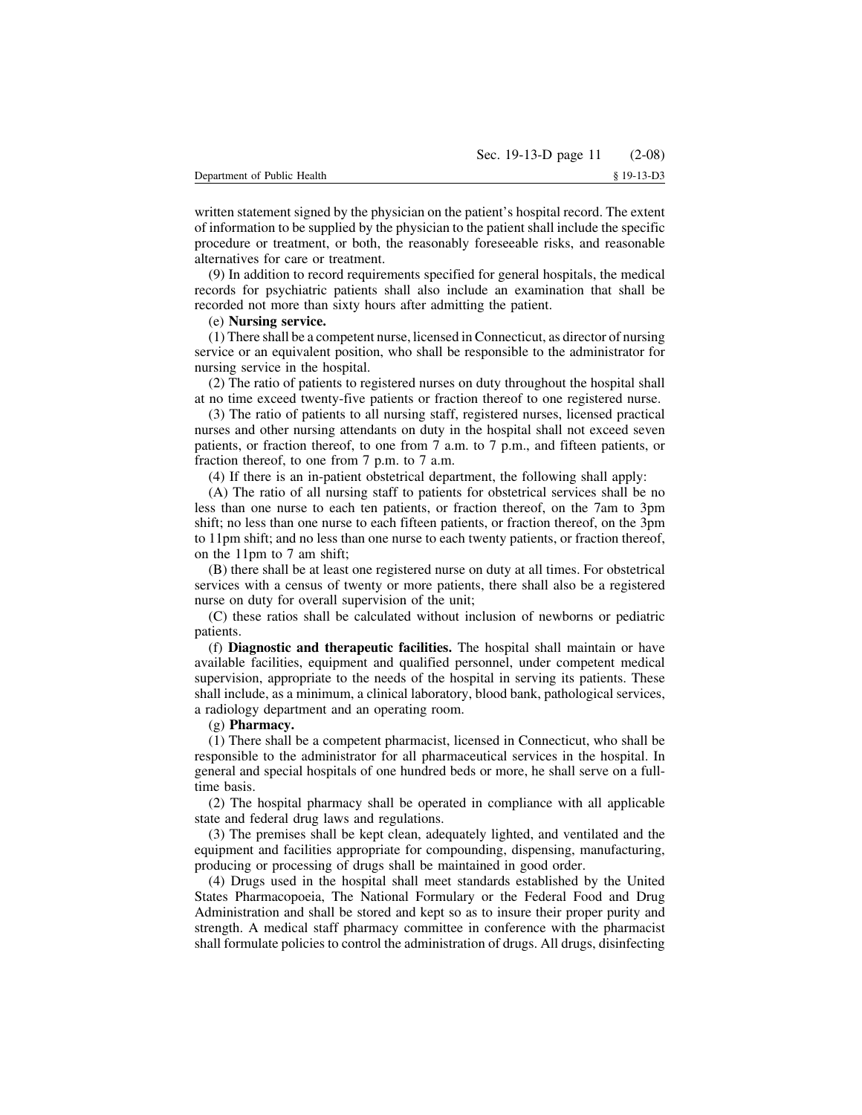written statement signed by the physician on the patient's hospital record. The extent of information to be supplied by the physician to the patient shall include the specific procedure or treatment, or both, the reasonably foreseeable risks, and reasonable alternatives for care or treatment.

(9) In addition to record requirements specified for general hospitals, the medical records for psychiatric patients shall also include an examination that shall be recorded not more than sixty hours after admitting the patient.

## (e) **Nursing service.**

(1) There shall be a competent nurse, licensed in Connecticut, as director of nursing service or an equivalent position, who shall be responsible to the administrator for nursing service in the hospital.

(2) The ratio of patients to registered nurses on duty throughout the hospital shall at no time exceed twenty-five patients or fraction thereof to one registered nurse.

(3) The ratio of patients to all nursing staff, registered nurses, licensed practical nurses and other nursing attendants on duty in the hospital shall not exceed seven patients, or fraction thereof, to one from 7 a.m. to 7 p.m., and fifteen patients, or fraction thereof, to one from 7 p.m. to 7 a.m.

(4) If there is an in-patient obstetrical department, the following shall apply:

(A) The ratio of all nursing staff to patients for obstetrical services shall be no less than one nurse to each ten patients, or fraction thereof, on the 7am to 3pm shift; no less than one nurse to each fifteen patients, or fraction thereof, on the 3pm to 11pm shift; and no less than one nurse to each twenty patients, or fraction thereof, on the 11pm to 7 am shift;

(B) there shall be at least one registered nurse on duty at all times. For obstetrical services with a census of twenty or more patients, there shall also be a registered nurse on duty for overall supervision of the unit;

(C) these ratios shall be calculated without inclusion of newborns or pediatric patients.

(f) **Diagnostic and therapeutic facilities.** The hospital shall maintain or have available facilities, equipment and qualified personnel, under competent medical supervision, appropriate to the needs of the hospital in serving its patients. These shall include, as a minimum, a clinical laboratory, blood bank, pathological services, a radiology department and an operating room.

## (g) **Pharmacy.**

(1) There shall be a competent pharmacist, licensed in Connecticut, who shall be responsible to the administrator for all pharmaceutical services in the hospital. In general and special hospitals of one hundred beds or more, he shall serve on a fulltime basis.

(2) The hospital pharmacy shall be operated in compliance with all applicable state and federal drug laws and regulations.

(3) The premises shall be kept clean, adequately lighted, and ventilated and the equipment and facilities appropriate for compounding, dispensing, manufacturing, producing or processing of drugs shall be maintained in good order.

(4) Drugs used in the hospital shall meet standards established by the United States Pharmacopoeia, The National Formulary or the Federal Food and Drug Administration and shall be stored and kept so as to insure their proper purity and strength. A medical staff pharmacy committee in conference with the pharmacist shall formulate policies to control the administration of drugs. All drugs, disinfecting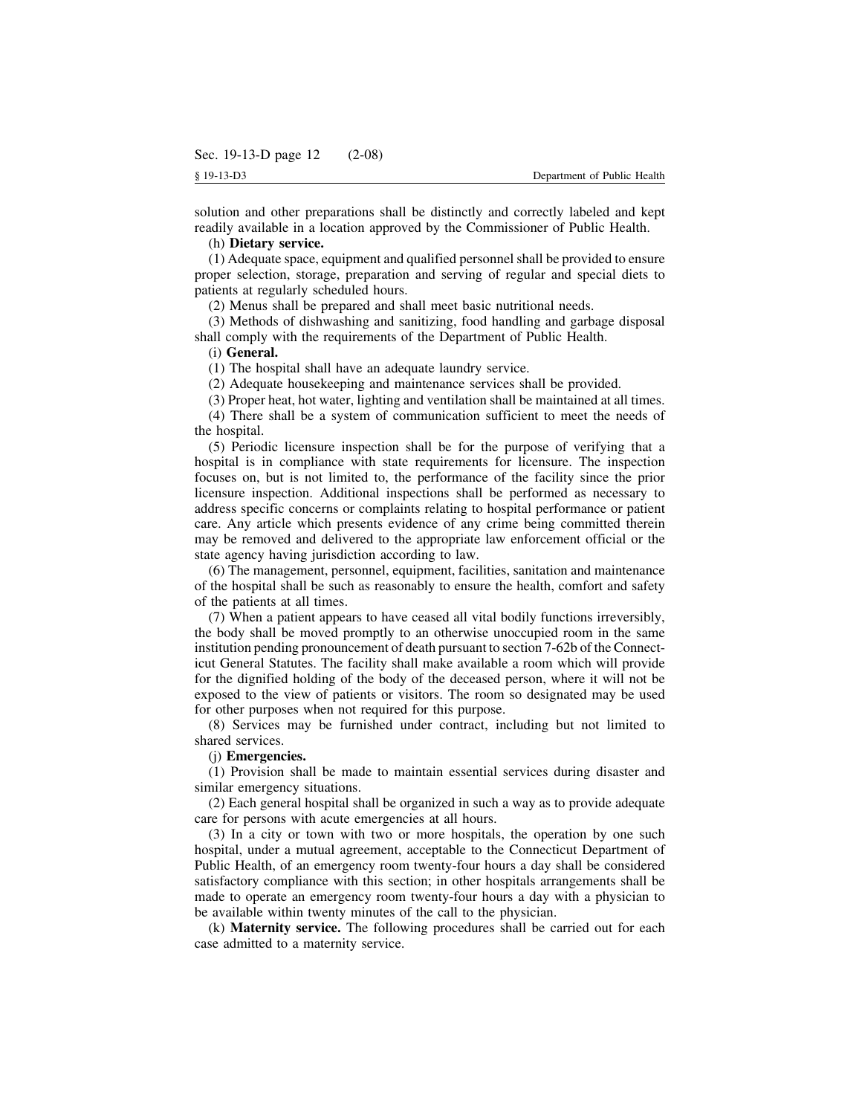solution and other preparations shall be distinctly and correctly labeled and kept readily available in a location approved by the Commissioner of Public Health.

## (h) **Dietary service.**

(1) Adequate space, equipment and qualified personnel shall be provided to ensure proper selection, storage, preparation and serving of regular and special diets to patients at regularly scheduled hours.

(2) Menus shall be prepared and shall meet basic nutritional needs.

(3) Methods of dishwashing and sanitizing, food handling and garbage disposal shall comply with the requirements of the Department of Public Health.

## (i) **General.**

(1) The hospital shall have an adequate laundry service.

(2) Adequate housekeeping and maintenance services shall be provided.

(3) Proper heat, hot water, lighting and ventilation shall be maintained at all times. (4) There shall be a system of communication sufficient to meet the needs of

the hospital.

(5) Periodic licensure inspection shall be for the purpose of verifying that a hospital is in compliance with state requirements for licensure. The inspection focuses on, but is not limited to, the performance of the facility since the prior licensure inspection. Additional inspections shall be performed as necessary to address specific concerns or complaints relating to hospital performance or patient care. Any article which presents evidence of any crime being committed therein may be removed and delivered to the appropriate law enforcement official or the state agency having jurisdiction according to law.

(6) The management, personnel, equipment, facilities, sanitation and maintenance of the hospital shall be such as reasonably to ensure the health, comfort and safety of the patients at all times.

(7) When a patient appears to have ceased all vital bodily functions irreversibly, the body shall be moved promptly to an otherwise unoccupied room in the same institution pending pronouncement of death pursuant to section 7-62b of the Connecticut General Statutes. The facility shall make available a room which will provide for the dignified holding of the body of the deceased person, where it will not be exposed to the view of patients or visitors. The room so designated may be used for other purposes when not required for this purpose.

(8) Services may be furnished under contract, including but not limited to shared services.

## (j) **Emergencies.**

(1) Provision shall be made to maintain essential services during disaster and similar emergency situations.

(2) Each general hospital shall be organized in such a way as to provide adequate care for persons with acute emergencies at all hours.

(3) In a city or town with two or more hospitals, the operation by one such hospital, under a mutual agreement, acceptable to the Connecticut Department of Public Health, of an emergency room twenty-four hours a day shall be considered satisfactory compliance with this section; in other hospitals arrangements shall be made to operate an emergency room twenty-four hours a day with a physician to be available within twenty minutes of the call to the physician.

(k) **Maternity service.** The following procedures shall be carried out for each case admitted to a maternity service.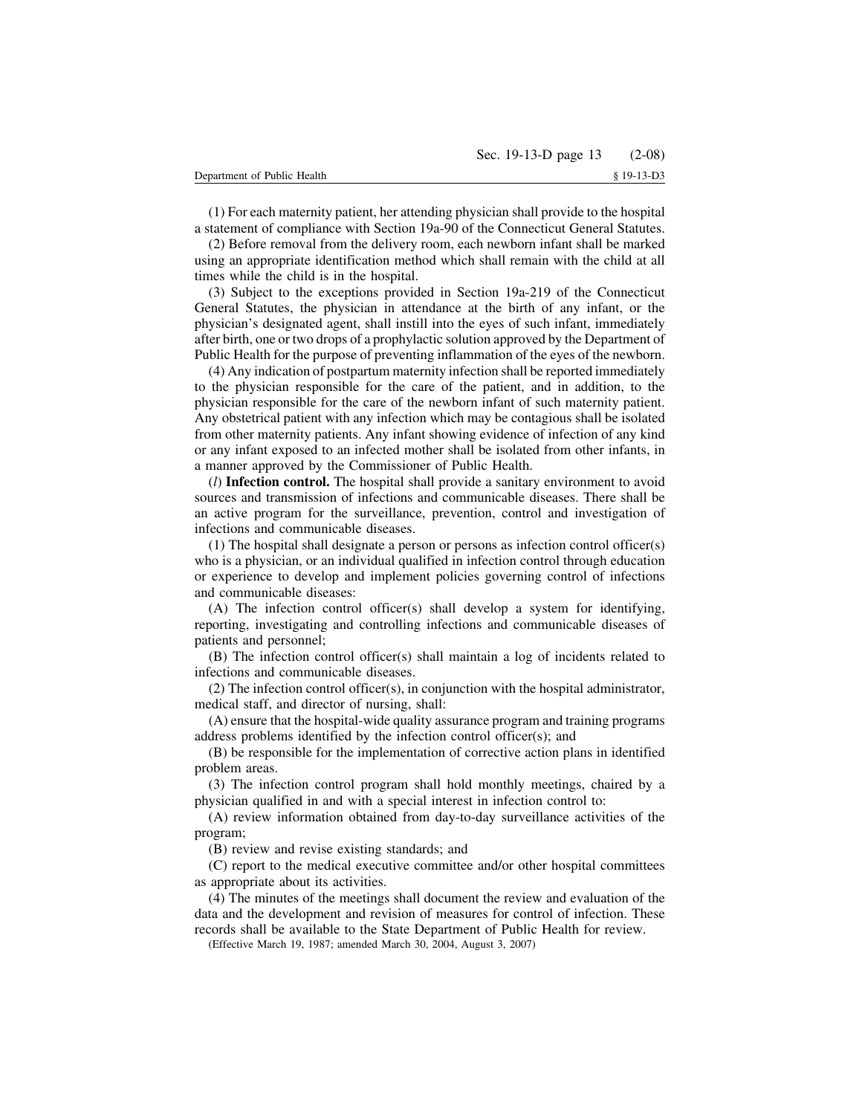(1) For each maternity patient, her attending physician shall provide to the hospital a statement of compliance with Section 19a-90 of the Connecticut General Statutes.

(2) Before removal from the delivery room, each newborn infant shall be marked using an appropriate identification method which shall remain with the child at all times while the child is in the hospital.

(3) Subject to the exceptions provided in Section 19a-219 of the Connecticut General Statutes, the physician in attendance at the birth of any infant, or the physician's designated agent, shall instill into the eyes of such infant, immediately after birth, one or two drops of a prophylactic solution approved by the Department of Public Health for the purpose of preventing inflammation of the eyes of the newborn.

(4) Any indication of postpartum maternity infection shall be reported immediately to the physician responsible for the care of the patient, and in addition, to the physician responsible for the care of the newborn infant of such maternity patient. Any obstetrical patient with any infection which may be contagious shall be isolated from other maternity patients. Any infant showing evidence of infection of any kind or any infant exposed to an infected mother shall be isolated from other infants, in a manner approved by the Commissioner of Public Health.

(*l*) **Infection control.** The hospital shall provide a sanitary environment to avoid sources and transmission of infections and communicable diseases. There shall be an active program for the surveillance, prevention, control and investigation of infections and communicable diseases.

(1) The hospital shall designate a person or persons as infection control officer(s) who is a physician, or an individual qualified in infection control through education or experience to develop and implement policies governing control of infections and communicable diseases:

(A) The infection control officer(s) shall develop a system for identifying, reporting, investigating and controlling infections and communicable diseases of patients and personnel;

(B) The infection control officer(s) shall maintain a log of incidents related to infections and communicable diseases.

(2) The infection control officer(s), in conjunction with the hospital administrator, medical staff, and director of nursing, shall:

(A) ensure that the hospital-wide quality assurance program and training programs address problems identified by the infection control officer(s); and

(B) be responsible for the implementation of corrective action plans in identified problem areas.

(3) The infection control program shall hold monthly meetings, chaired by a physician qualified in and with a special interest in infection control to:

(A) review information obtained from day-to-day surveillance activities of the program;

(B) review and revise existing standards; and

(C) report to the medical executive committee and/or other hospital committees as appropriate about its activities.

(4) The minutes of the meetings shall document the review and evaluation of the data and the development and revision of measures for control of infection. These records shall be available to the State Department of Public Health for review.

(Effective March 19, 1987; amended March 30, 2004, August 3, 2007)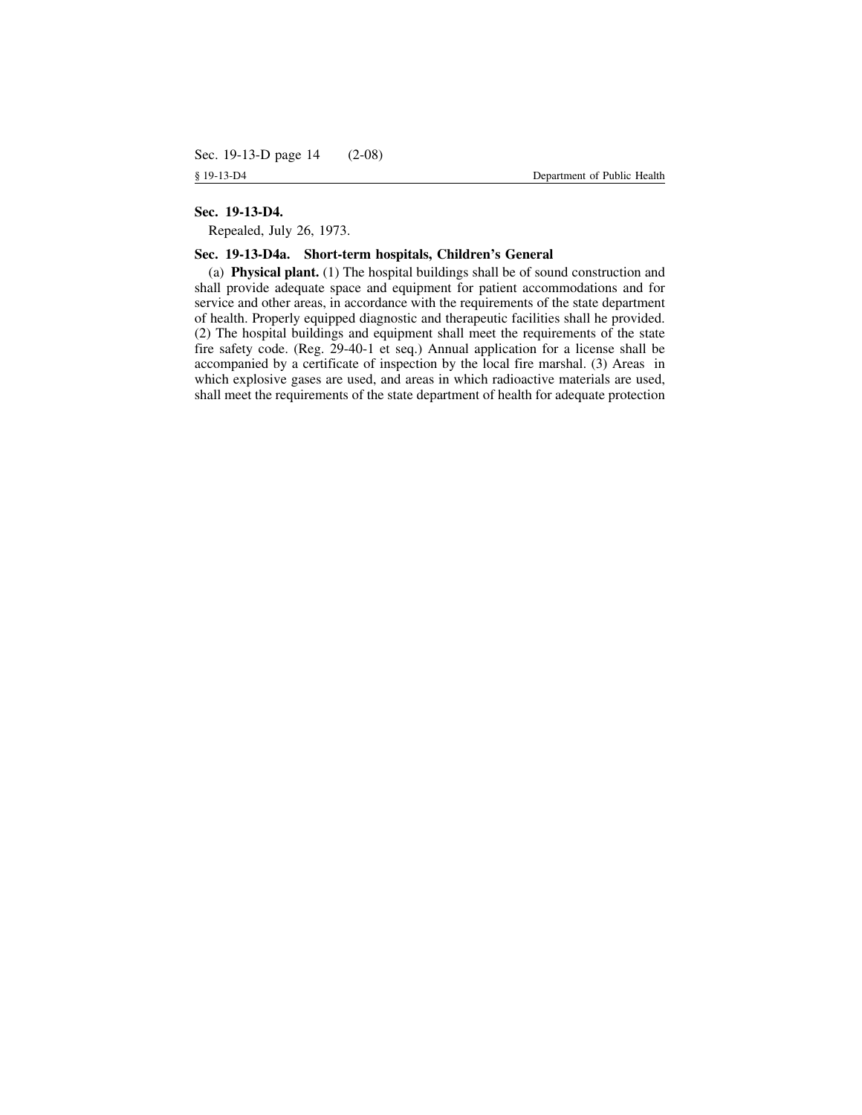## **Sec. 19-13-D4.**

Repealed, July 26, 1973.

## **Sec. 19-13-D4a. Short-term hospitals, Children's General**

(a) **Physical plant.** (1) The hospital buildings shall be of sound construction and shall provide adequate space and equipment for patient accommodations and for service and other areas, in accordance with the requirements of the state department of health. Properly equipped diagnostic and therapeutic facilities shall he provided. (2) The hospital buildings and equipment shall meet the requirements of the state fire safety code. (Reg. 29-40-1 et seq.) Annual application for a license shall be accompanied by a certificate of inspection by the local fire marshal. (3) Areas in which explosive gases are used, and areas in which radioactive materials are used, shall meet the requirements of the state department of health for adequate protection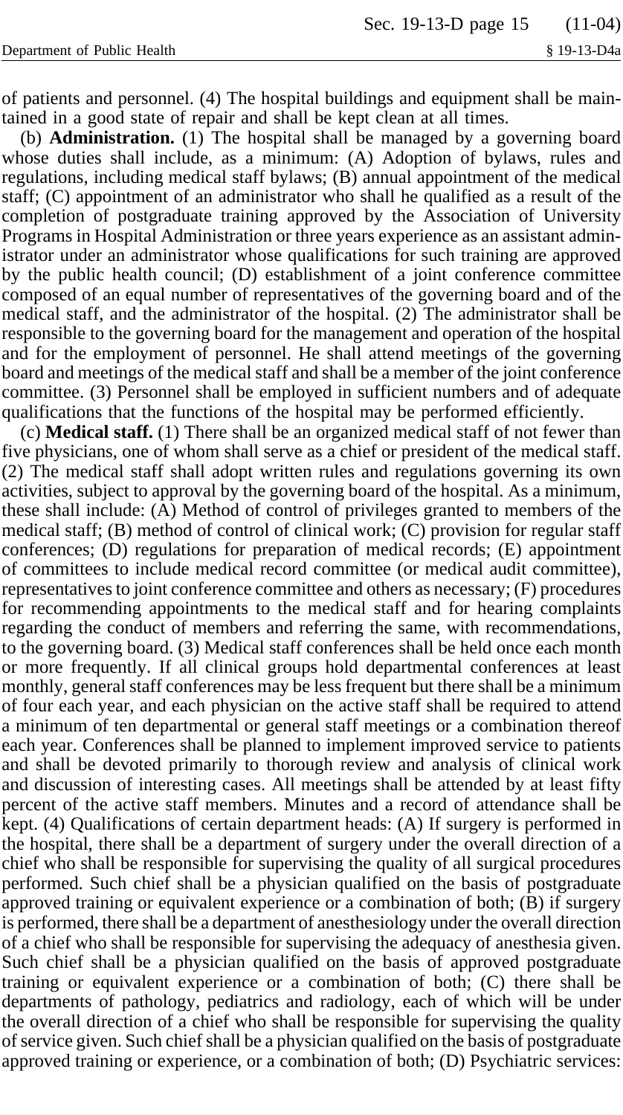of patients and personnel. (4) The hospital buildings and equipment shall be maintained in a good state of repair and shall be kept clean at all times.

(b) **Administration.** (1) The hospital shall be managed by a governing board whose duties shall include, as a minimum: (A) Adoption of bylaws, rules and regulations, including medical staff bylaws; (B) annual appointment of the medical staff; (C) appointment of an administrator who shall he qualified as a result of the completion of postgraduate training approved by the Association of University Programs in Hospital Administration or three years experience as an assistant administrator under an administrator whose qualifications for such training are approved by the public health council; (D) establishment of a joint conference committee composed of an equal number of representatives of the governing board and of the medical staff, and the administrator of the hospital. (2) The administrator shall be responsible to the governing board for the management and operation of the hospital and for the employment of personnel. He shall attend meetings of the governing board and meetings of the medical staff and shall be a member of the joint conference committee. (3) Personnel shall be employed in sufficient numbers and of adequate qualifications that the functions of the hospital may be performed efficiently.

(c) **Medical staff.** (1) There shall be an organized medical staff of not fewer than five physicians, one of whom shall serve as a chief or president of the medical staff. (2) The medical staff shall adopt written rules and regulations governing its own activities, subject to approval by the governing board of the hospital. As a minimum, these shall include: (A) Method of control of privileges granted to members of the medical staff; (B) method of control of clinical work; (C) provision for regular staff conferences; (D) regulations for preparation of medical records; (E) appointment of committees to include medical record committee (or medical audit committee), representatives to joint conference committee and others as necessary; (F) procedures for recommending appointments to the medical staff and for hearing complaints regarding the conduct of members and referring the same, with recommendations, to the governing board. (3) Medical staff conferences shall be held once each month or more frequently. If all clinical groups hold departmental conferences at least monthly, general staff conferences may be less frequent but there shall be a minimum of four each year, and each physician on the active staff shall be required to attend a minimum of ten departmental or general staff meetings or a combination thereof each year. Conferences shall be planned to implement improved service to patients and shall be devoted primarily to thorough review and analysis of clinical work and discussion of interesting cases. All meetings shall be attended by at least fifty percent of the active staff members. Minutes and a record of attendance shall be kept. (4) Qualifications of certain department heads: (A) If surgery is performed in the hospital, there shall be a department of surgery under the overall direction of a chief who shall be responsible for supervising the quality of all surgical procedures performed. Such chief shall be a physician qualified on the basis of postgraduate approved training or equivalent experience or a combination of both; (B) if surgery is performed, there shall be a department of anesthesiology under the overall direction of a chief who shall be responsible for supervising the adequacy of anesthesia given. Such chief shall be a physician qualified on the basis of approved postgraduate training or equivalent experience or a combination of both; (C) there shall be departments of pathology, pediatrics and radiology, each of which will be under the overall direction of a chief who shall be responsible for supervising the quality of service given. Such chief shall be a physician qualified on the basis of postgraduate approved training or experience, or a combination of both; (D) Psychiatric services: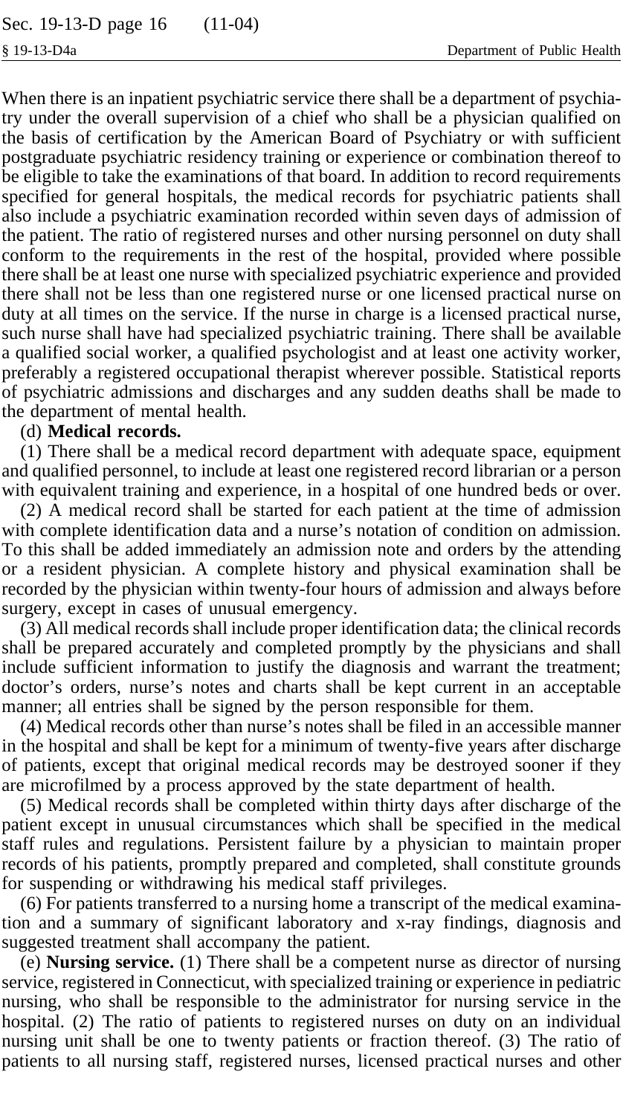When there is an inpatient psychiatric service there shall be a department of psychiatry under the overall supervision of a chief who shall be a physician qualified on the basis of certification by the American Board of Psychiatry or with sufficient postgraduate psychiatric residency training or experience or combination thereof to be eligible to take the examinations of that board. In addition to record requirements specified for general hospitals, the medical records for psychiatric patients shall also include a psychiatric examination recorded within seven days of admission of the patient. The ratio of registered nurses and other nursing personnel on duty shall conform to the requirements in the rest of the hospital, provided where possible there shall be at least one nurse with specialized psychiatric experience and provided there shall not be less than one registered nurse or one licensed practical nurse on duty at all times on the service. If the nurse in charge is a licensed practical nurse, such nurse shall have had specialized psychiatric training. There shall be available a qualified social worker, a qualified psychologist and at least one activity worker, preferably a registered occupational therapist wherever possible. Statistical reports of psychiatric admissions and discharges and any sudden deaths shall be made to the department of mental health.

#### (d) **Medical records.**

(1) There shall be a medical record department with adequate space, equipment and qualified personnel, to include at least one registered record librarian or a person with equivalent training and experience, in a hospital of one hundred beds or over.

(2) A medical record shall be started for each patient at the time of admission with complete identification data and a nurse's notation of condition on admission. To this shall be added immediately an admission note and orders by the attending or a resident physician. A complete history and physical examination shall be recorded by the physician within twenty-four hours of admission and always before surgery, except in cases of unusual emergency.

(3) All medical records shall include proper identification data; the clinical records shall be prepared accurately and completed promptly by the physicians and shall include sufficient information to justify the diagnosis and warrant the treatment; doctor's orders, nurse's notes and charts shall be kept current in an acceptable manner; all entries shall be signed by the person responsible for them.

(4) Medical records other than nurse's notes shall be filed in an accessible manner in the hospital and shall be kept for a minimum of twenty-five years after discharge of patients, except that original medical records may be destroyed sooner if they are microfilmed by a process approved by the state department of health.

(5) Medical records shall be completed within thirty days after discharge of the patient except in unusual circumstances which shall be specified in the medical staff rules and regulations. Persistent failure by a physician to maintain proper records of his patients, promptly prepared and completed, shall constitute grounds for suspending or withdrawing his medical staff privileges.

(6) For patients transferred to a nursing home a transcript of the medical examination and a summary of significant laboratory and x-ray findings, diagnosis and suggested treatment shall accompany the patient.

(e) **Nursing service.** (1) There shall be a competent nurse as director of nursing service, registered in Connecticut, with specialized training or experience in pediatric nursing, who shall be responsible to the administrator for nursing service in the hospital. (2) The ratio of patients to registered nurses on duty on an individual nursing unit shall be one to twenty patients or fraction thereof. (3) The ratio of patients to all nursing staff, registered nurses, licensed practical nurses and other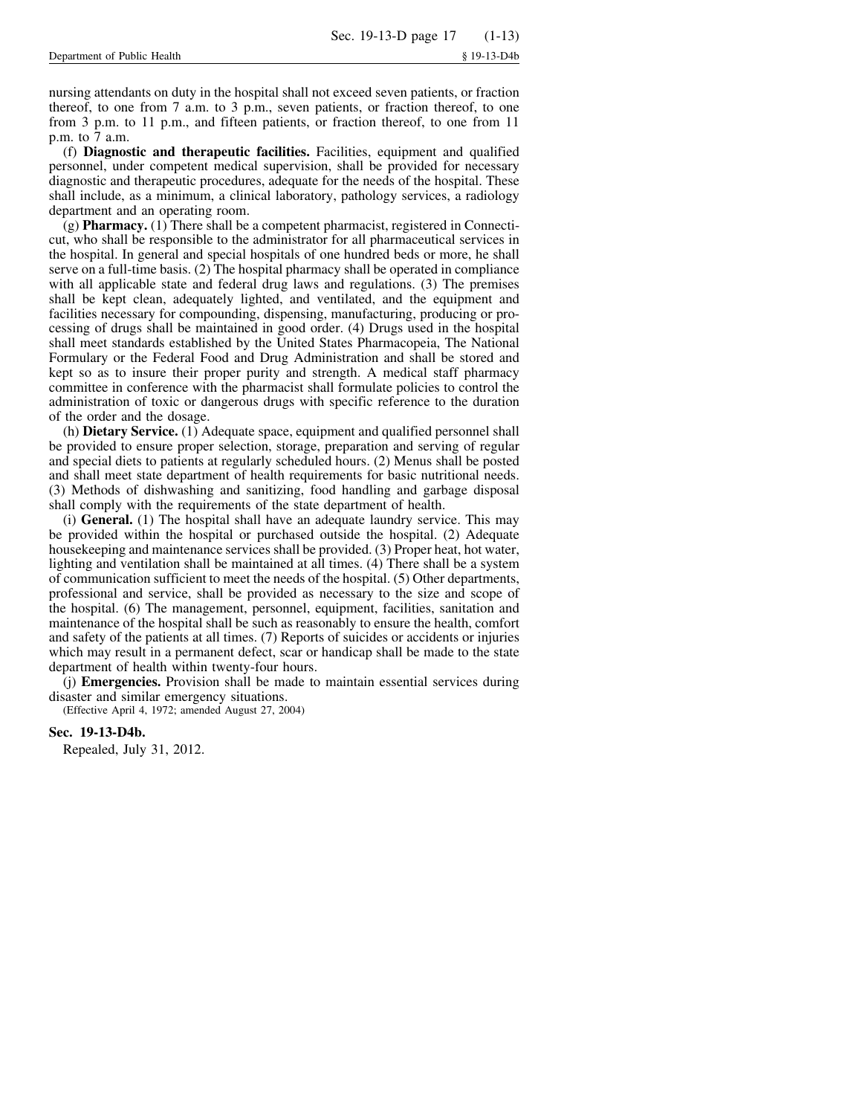nursing attendants on duty in the hospital shall not exceed seven patients, or fraction thereof, to one from 7 a.m. to 3 p.m., seven patients, or fraction thereof, to one from 3 p.m. to 11 p.m., and fifteen patients, or fraction thereof, to one from 11 p.m. to 7 a.m.

(f) **Diagnostic and therapeutic facilities.** Facilities, equipment and qualified personnel, under competent medical supervision, shall be provided for necessary diagnostic and therapeutic procedures, adequate for the needs of the hospital. These shall include, as a minimum, a clinical laboratory, pathology services, a radiology department and an operating room.

(g) **Pharmacy.** (1) There shall be a competent pharmacist, registered in Connecticut, who shall be responsible to the administrator for all pharmaceutical services in the hospital. In general and special hospitals of one hundred beds or more, he shall serve on a full-time basis. (2) The hospital pharmacy shall be operated in compliance with all applicable state and federal drug laws and regulations. (3) The premises shall be kept clean, adequately lighted, and ventilated, and the equipment and facilities necessary for compounding, dispensing, manufacturing, producing or processing of drugs shall be maintained in good order. (4) Drugs used in the hospital shall meet standards established by the United States Pharmacopeia, The National Formulary or the Federal Food and Drug Administration and shall be stored and kept so as to insure their proper purity and strength. A medical staff pharmacy committee in conference with the pharmacist shall formulate policies to control the administration of toxic or dangerous drugs with specific reference to the duration of the order and the dosage.

(h) **Dietary Service.** (1) Adequate space, equipment and qualified personnel shall be provided to ensure proper selection, storage, preparation and serving of regular and special diets to patients at regularly scheduled hours. (2) Menus shall be posted and shall meet state department of health requirements for basic nutritional needs. (3) Methods of dishwashing and sanitizing, food handling and garbage disposal shall comply with the requirements of the state department of health.

(i) **General.** (1) The hospital shall have an adequate laundry service. This may be provided within the hospital or purchased outside the hospital. (2) Adequate housekeeping and maintenance services shall be provided. (3) Proper heat, hot water, lighting and ventilation shall be maintained at all times. (4) There shall be a system of communication sufficient to meet the needs of the hospital. (5) Other departments, professional and service, shall be provided as necessary to the size and scope of the hospital. (6) The management, personnel, equipment, facilities, sanitation and maintenance of the hospital shall be such as reasonably to ensure the health, comfort and safety of the patients at all times. (7) Reports of suicides or accidents or injuries which may result in a permanent defect, scar or handicap shall be made to the state department of health within twenty-four hours.

(j) **Emergencies.** Provision shall be made to maintain essential services during disaster and similar emergency situations.

(Effective April 4, 1972; amended August 27, 2004)

## **Sec. 19-13-D4b.**

Repealed, July 31, 2012.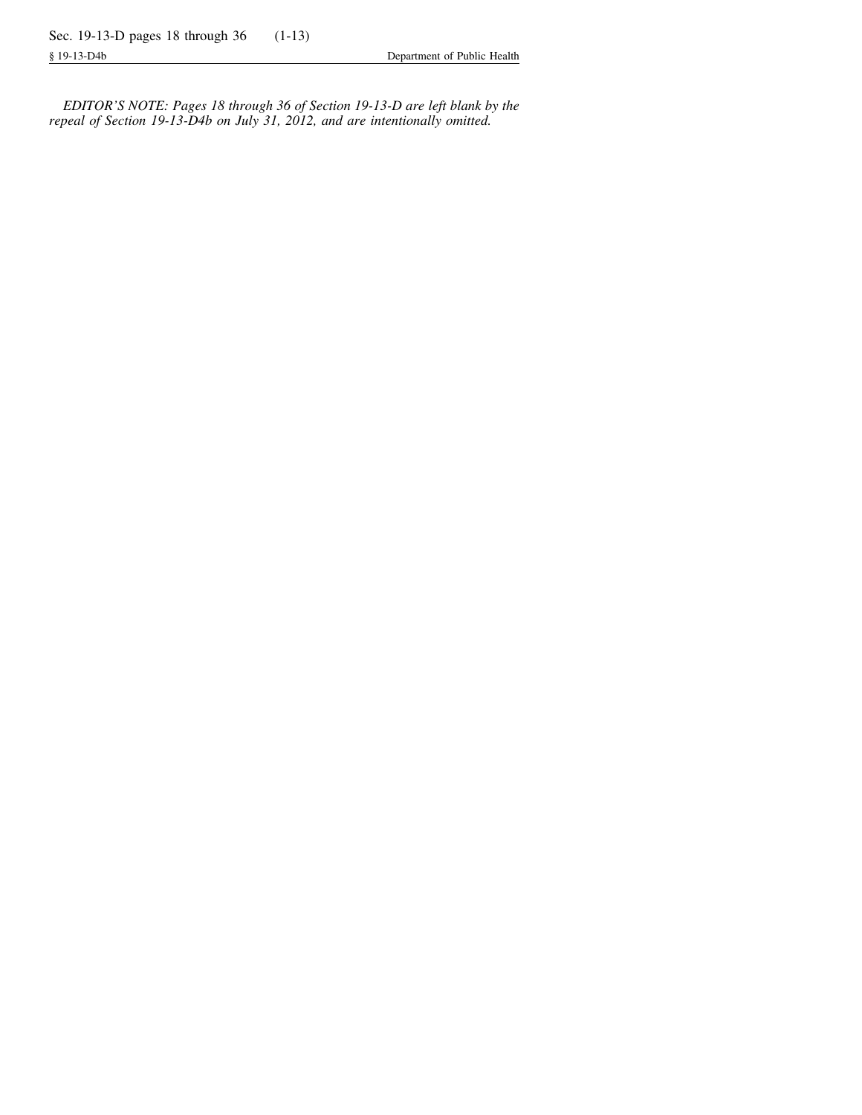*EDITOR'S NOTE: Pages 18 through 36 of Section 19-13-D are left blank by the repeal of Section 19-13-D4b on July 31, 2012, and are intentionally omitted.*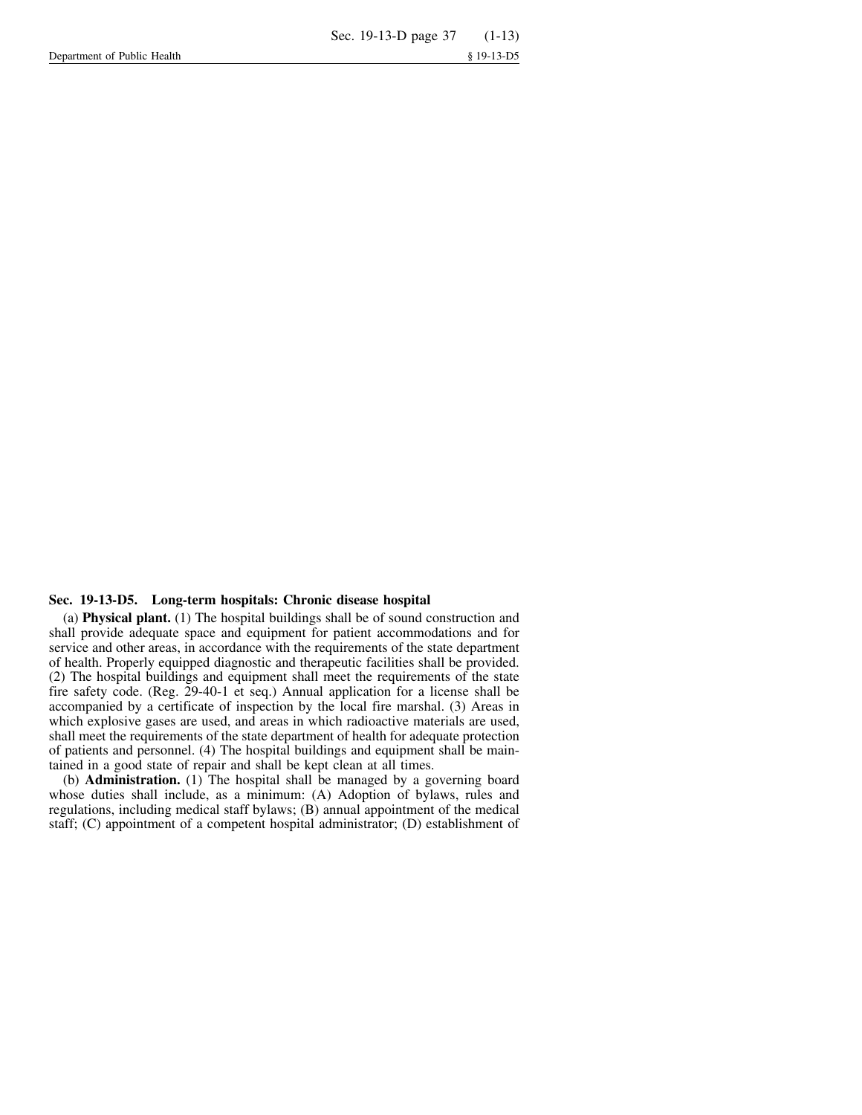#### **Sec. 19-13-D5. Long-term hospitals: Chronic disease hospital**

(a) **Physical plant.** (1) The hospital buildings shall be of sound construction and shall provide adequate space and equipment for patient accommodations and for service and other areas, in accordance with the requirements of the state department of health. Properly equipped diagnostic and therapeutic facilities shall be provided. (2) The hospital buildings and equipment shall meet the requirements of the state fire safety code. (Reg. 29-40-1 et seq.) Annual application for a license shall be accompanied by a certificate of inspection by the local fire marshal. (3) Areas in which explosive gases are used, and areas in which radioactive materials are used, shall meet the requirements of the state department of health for adequate protection of patients and personnel. (4) The hospital buildings and equipment shall be maintained in a good state of repair and shall be kept clean at all times.

(b) **Administration.** (1) The hospital shall be managed by a governing board whose duties shall include, as a minimum: (A) Adoption of bylaws, rules and regulations, including medical staff bylaws; (B) annual appointment of the medical staff; (C) appointment of a competent hospital administrator; (D) establishment of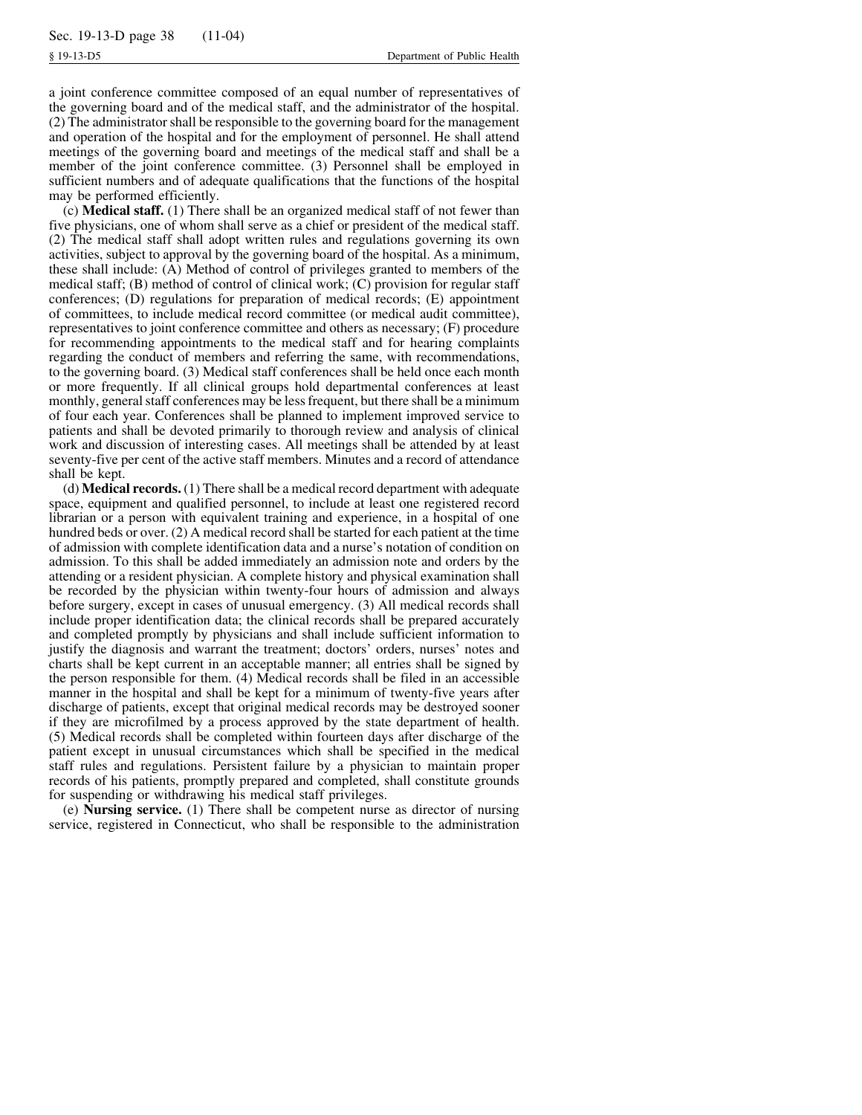a joint conference committee composed of an equal number of representatives of the governing board and of the medical staff, and the administrator of the hospital. (2) The administrator shall be responsible to the governing board for the management and operation of the hospital and for the employment of personnel. He shall attend meetings of the governing board and meetings of the medical staff and shall be a member of the joint conference committee. (3) Personnel shall be employed in sufficient numbers and of adequate qualifications that the functions of the hospital may be performed efficiently.

(c) **Medical staff.** (1) There shall be an organized medical staff of not fewer than five physicians, one of whom shall serve as a chief or president of the medical staff. (2) The medical staff shall adopt written rules and regulations governing its own activities, subject to approval by the governing board of the hospital. As a minimum, these shall include: (A) Method of control of privileges granted to members of the medical staff; (B) method of control of clinical work; (C) provision for regular staff conferences; (D) regulations for preparation of medical records; (E) appointment of committees, to include medical record committee (or medical audit committee), representatives to joint conference committee and others as necessary; (F) procedure for recommending appointments to the medical staff and for hearing complaints regarding the conduct of members and referring the same, with recommendations, to the governing board. (3) Medical staff conferences shall be held once each month or more frequently. If all clinical groups hold departmental conferences at least monthly, general staff conferences may be less frequent, but there shall be a minimum of four each year. Conferences shall be planned to implement improved service to patients and shall be devoted primarily to thorough review and analysis of clinical work and discussion of interesting cases. All meetings shall be attended by at least seventy-five per cent of the active staff members. Minutes and a record of attendance shall be kept.

(d) **Medical records.** (1) There shall be a medical record department with adequate space, equipment and qualified personnel, to include at least one registered record librarian or a person with equivalent training and experience, in a hospital of one hundred beds or over. (2) A medical record shall be started for each patient at the time of admission with complete identification data and a nurse's notation of condition on admission. To this shall be added immediately an admission note and orders by the attending or a resident physician. A complete history and physical examination shall be recorded by the physician within twenty-four hours of admission and always before surgery, except in cases of unusual emergency. (3) All medical records shall include proper identification data; the clinical records shall be prepared accurately and completed promptly by physicians and shall include sufficient information to justify the diagnosis and warrant the treatment; doctors' orders, nurses' notes and charts shall be kept current in an acceptable manner; all entries shall be signed by the person responsible for them. (4) Medical records shall be filed in an accessible manner in the hospital and shall be kept for a minimum of twenty-five years after discharge of patients, except that original medical records may be destroyed sooner if they are microfilmed by a process approved by the state department of health. (5) Medical records shall be completed within fourteen days after discharge of the patient except in unusual circumstances which shall be specified in the medical staff rules and regulations. Persistent failure by a physician to maintain proper records of his patients, promptly prepared and completed, shall constitute grounds for suspending or withdrawing his medical staff privileges.

(e) **Nursing service.** (1) There shall be competent nurse as director of nursing service, registered in Connecticut, who shall be responsible to the administration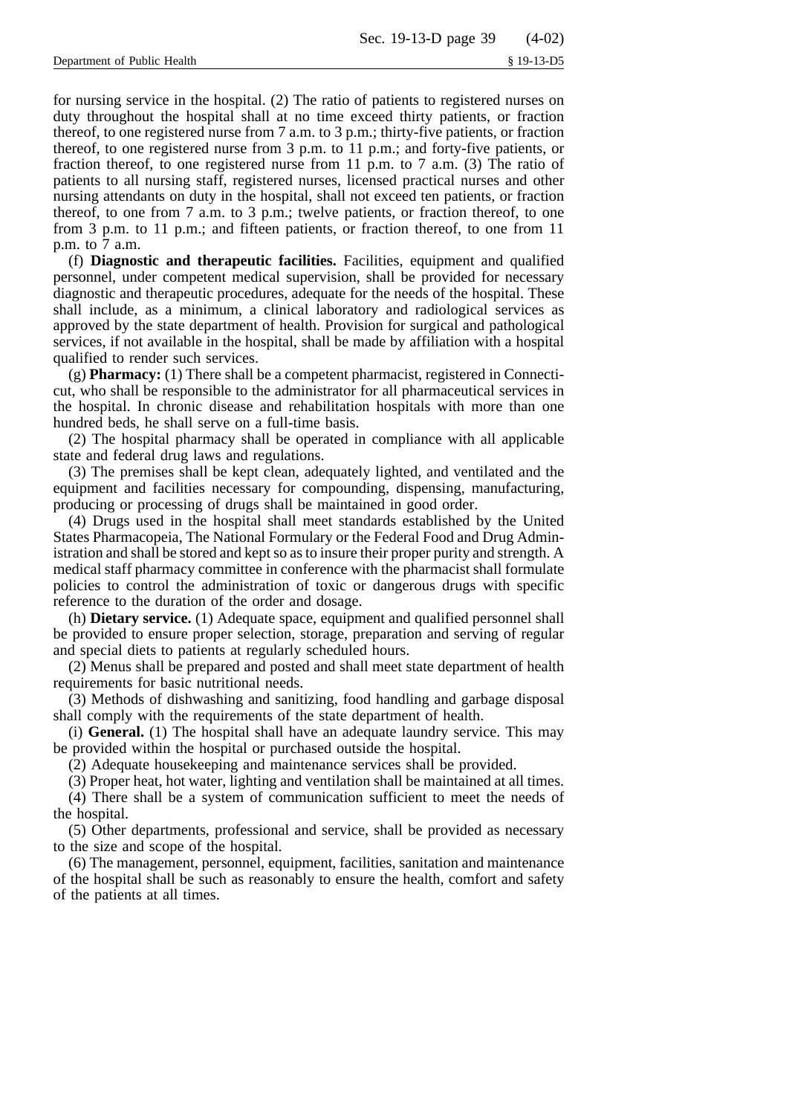for nursing service in the hospital. (2) The ratio of patients to registered nurses on duty throughout the hospital shall at no time exceed thirty patients, or fraction thereof, to one registered nurse from 7 a.m. to 3 p.m.; thirty-five patients, or fraction thereof, to one registered nurse from 3 p.m. to 11 p.m.; and forty-five patients, or fraction thereof, to one registered nurse from 11 p.m. to 7 a.m. (3) The ratio of patients to all nursing staff, registered nurses, licensed practical nurses and other nursing attendants on duty in the hospital, shall not exceed ten patients, or fraction thereof, to one from 7 a.m. to 3 p.m.; twelve patients, or fraction thereof, to one from 3 p.m. to 11 p.m.; and fifteen patients, or fraction thereof, to one from 11 p.m. to 7 a.m.

(f) **Diagnostic and therapeutic facilities.** Facilities, equipment and qualified personnel, under competent medical supervision, shall be provided for necessary diagnostic and therapeutic procedures, adequate for the needs of the hospital. These shall include, as a minimum, a clinical laboratory and radiological services as approved by the state department of health. Provision for surgical and pathological services, if not available in the hospital, shall be made by affiliation with a hospital qualified to render such services.

(g) **Pharmacy:** (1) There shall be a competent pharmacist, registered in Connecticut, who shall be responsible to the administrator for all pharmaceutical services in the hospital. In chronic disease and rehabilitation hospitals with more than one hundred beds, he shall serve on a full-time basis.

(2) The hospital pharmacy shall be operated in compliance with all applicable state and federal drug laws and regulations.

(3) The premises shall be kept clean, adequately lighted, and ventilated and the equipment and facilities necessary for compounding, dispensing, manufacturing, producing or processing of drugs shall be maintained in good order.

(4) Drugs used in the hospital shall meet standards established by the United States Pharmacopeia, The National Formulary or the Federal Food and Drug Administration and shall be stored and kept so as to insure their proper purity and strength. A medical staff pharmacy committee in conference with the pharmacist shall formulate policies to control the administration of toxic or dangerous drugs with specific reference to the duration of the order and dosage.

(h) **Dietary service.** (1) Adequate space, equipment and qualified personnel shall be provided to ensure proper selection, storage, preparation and serving of regular and special diets to patients at regularly scheduled hours.

(2) Menus shall be prepared and posted and shall meet state department of health requirements for basic nutritional needs.

(3) Methods of dishwashing and sanitizing, food handling and garbage disposal shall comply with the requirements of the state department of health.

(i) **General.** (1) The hospital shall have an adequate laundry service. This may be provided within the hospital or purchased outside the hospital.

(2) Adequate housekeeping and maintenance services shall be provided.

(3) Proper heat, hot water, lighting and ventilation shall be maintained at all times.

(4) There shall be a system of communication sufficient to meet the needs of the hospital.

(5) Other departments, professional and service, shall be provided as necessary to the size and scope of the hospital.

(6) The management, personnel, equipment, facilities, sanitation and maintenance of the hospital shall be such as reasonably to ensure the health, comfort and safety of the patients at all times.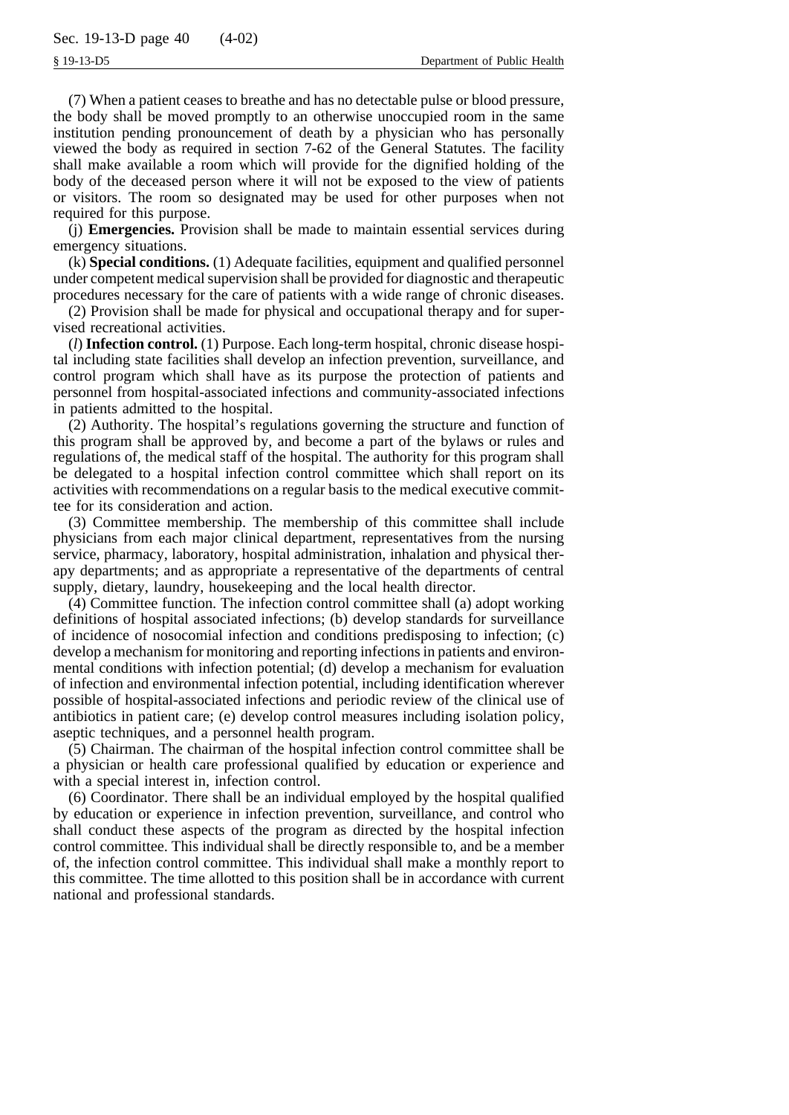(7) When a patient ceases to breathe and has no detectable pulse or blood pressure, the body shall be moved promptly to an otherwise unoccupied room in the same institution pending pronouncement of death by a physician who has personally viewed the body as required in section 7-62 of the General Statutes. The facility shall make available a room which will provide for the dignified holding of the body of the deceased person where it will not be exposed to the view of patients or visitors. The room so designated may be used for other purposes when not required for this purpose.

(j) **Emergencies.** Provision shall be made to maintain essential services during emergency situations.

(k) **Special conditions.** (1) Adequate facilities, equipment and qualified personnel under competent medical supervision shall be provided for diagnostic and therapeutic procedures necessary for the care of patients with a wide range of chronic diseases.

(2) Provision shall be made for physical and occupational therapy and for supervised recreational activities.

(*l*) **Infection control.** (1) Purpose. Each long-term hospital, chronic disease hospital including state facilities shall develop an infection prevention, surveillance, and control program which shall have as its purpose the protection of patients and personnel from hospital-associated infections and community-associated infections in patients admitted to the hospital.

(2) Authority. The hospital's regulations governing the structure and function of this program shall be approved by, and become a part of the bylaws or rules and regulations of, the medical staff of the hospital. The authority for this program shall be delegated to a hospital infection control committee which shall report on its activities with recommendations on a regular basis to the medical executive committee for its consideration and action.

(3) Committee membership. The membership of this committee shall include physicians from each major clinical department, representatives from the nursing service, pharmacy, laboratory, hospital administration, inhalation and physical therapy departments; and as appropriate a representative of the departments of central supply, dietary, laundry, housekeeping and the local health director.

(4) Committee function. The infection control committee shall (a) adopt working definitions of hospital associated infections; (b) develop standards for surveillance of incidence of nosocomial infection and conditions predisposing to infection; (c) develop a mechanism for monitoring and reporting infections in patients and environmental conditions with infection potential; (d) develop a mechanism for evaluation of infection and environmental infection potential, including identification wherever possible of hospital-associated infections and periodic review of the clinical use of antibiotics in patient care; (e) develop control measures including isolation policy, aseptic techniques, and a personnel health program.

(5) Chairman. The chairman of the hospital infection control committee shall be a physician or health care professional qualified by education or experience and with a special interest in, infection control.

(6) Coordinator. There shall be an individual employed by the hospital qualified by education or experience in infection prevention, surveillance, and control who shall conduct these aspects of the program as directed by the hospital infection control committee. This individual shall be directly responsible to, and be a member of, the infection control committee. This individual shall make a monthly report to this committee. The time allotted to this position shall be in accordance with current national and professional standards.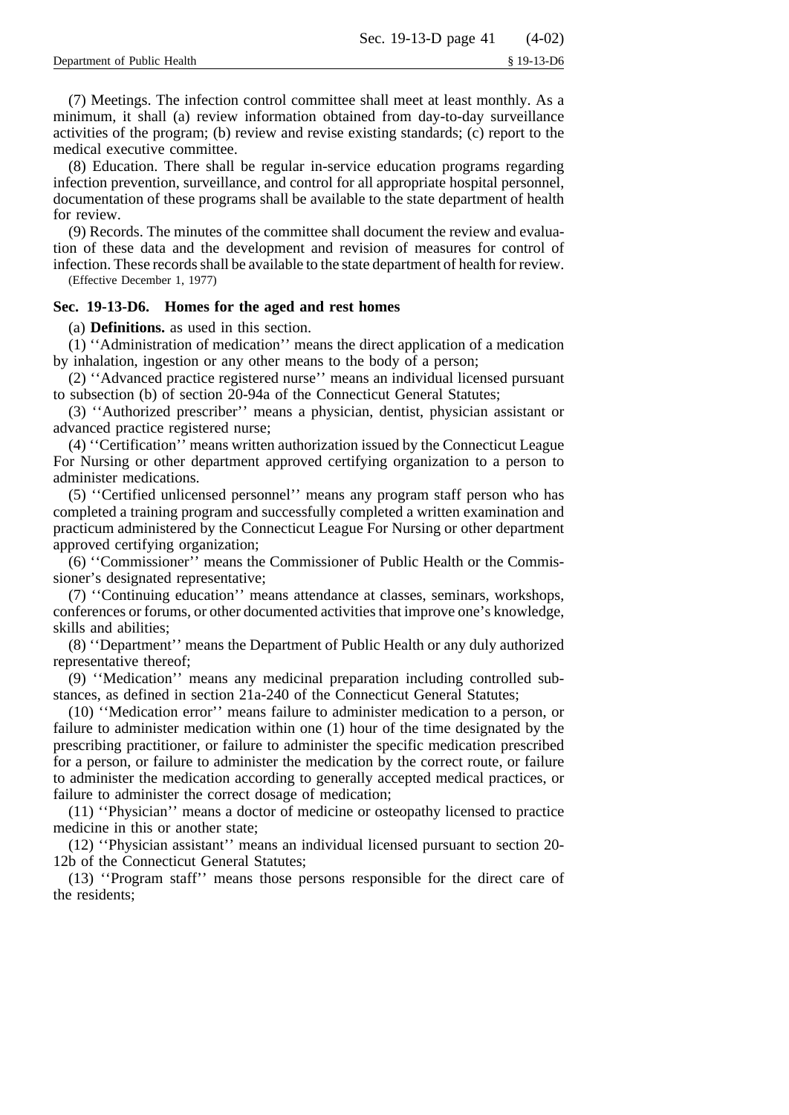(7) Meetings. The infection control committee shall meet at least monthly. As a minimum, it shall (a) review information obtained from day-to-day surveillance activities of the program; (b) review and revise existing standards; (c) report to the medical executive committee.

(8) Education. There shall be regular in-service education programs regarding infection prevention, surveillance, and control for all appropriate hospital personnel, documentation of these programs shall be available to the state department of health for review.

(9) Records. The minutes of the committee shall document the review and evaluation of these data and the development and revision of measures for control of infection. These records shall be available to the state department of health for review. (Effective December 1, 1977)

## **Sec. 19-13-D6. Homes for the aged and rest homes**

(a) **Definitions.** as used in this section.

(1) ''Administration of medication'' means the direct application of a medication by inhalation, ingestion or any other means to the body of a person;

(2) ''Advanced practice registered nurse'' means an individual licensed pursuant to subsection (b) of section 20-94a of the Connecticut General Statutes;

(3) ''Authorized prescriber'' means a physician, dentist, physician assistant or advanced practice registered nurse;

(4) ''Certification'' means written authorization issued by the Connecticut League For Nursing or other department approved certifying organization to a person to administer medications.

(5) ''Certified unlicensed personnel'' means any program staff person who has completed a training program and successfully completed a written examination and practicum administered by the Connecticut League For Nursing or other department approved certifying organization;

(6) ''Commissioner'' means the Commissioner of Public Health or the Commissioner's designated representative;

(7) ''Continuing education'' means attendance at classes, seminars, workshops, conferences or forums, or other documented activities that improve one's knowledge, skills and abilities;

(8) ''Department'' means the Department of Public Health or any duly authorized representative thereof;

(9) ''Medication'' means any medicinal preparation including controlled substances, as defined in section 21a-240 of the Connecticut General Statutes;

(10) ''Medication error'' means failure to administer medication to a person, or failure to administer medication within one (1) hour of the time designated by the prescribing practitioner, or failure to administer the specific medication prescribed for a person, or failure to administer the medication by the correct route, or failure to administer the medication according to generally accepted medical practices, or failure to administer the correct dosage of medication;

(11) ''Physician'' means a doctor of medicine or osteopathy licensed to practice medicine in this or another state;

(12) ''Physician assistant'' means an individual licensed pursuant to section 20- 12b of the Connecticut General Statutes;

(13) ''Program staff'' means those persons responsible for the direct care of the residents;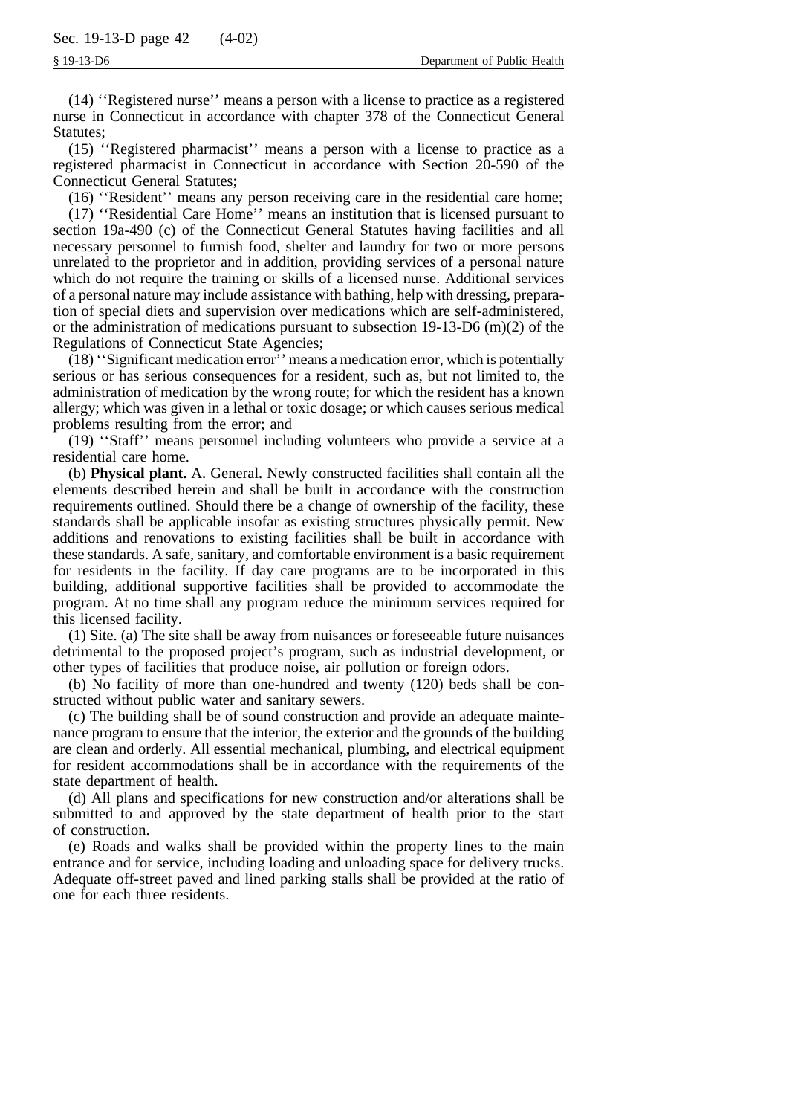(14) ''Registered nurse'' means a person with a license to practice as a registered nurse in Connecticut in accordance with chapter 378 of the Connecticut General Statutes;

(15) ''Registered pharmacist'' means a person with a license to practice as a registered pharmacist in Connecticut in accordance with Section 20-590 of the Connecticut General Statutes;

(16) ''Resident'' means any person receiving care in the residential care home; (17) ''Residential Care Home'' means an institution that is licensed pursuant to section 19a-490 (c) of the Connecticut General Statutes having facilities and all necessary personnel to furnish food, shelter and laundry for two or more persons unrelated to the proprietor and in addition, providing services of a personal nature which do not require the training or skills of a licensed nurse. Additional services of a personal nature may include assistance with bathing, help with dressing, preparation of special diets and supervision over medications which are self-administered, or the administration of medications pursuant to subsection  $19-13-D6$  (m)(2) of the Regulations of Connecticut State Agencies;

(18) ''Significant medication error'' means a medication error, which is potentially serious or has serious consequences for a resident, such as, but not limited to, the administration of medication by the wrong route; for which the resident has a known allergy; which was given in a lethal or toxic dosage; or which causes serious medical problems resulting from the error; and

(19) ''Staff'' means personnel including volunteers who provide a service at a residential care home.

(b) **Physical plant.** A. General. Newly constructed facilities shall contain all the elements described herein and shall be built in accordance with the construction requirements outlined. Should there be a change of ownership of the facility, these standards shall be applicable insofar as existing structures physically permit. New additions and renovations to existing facilities shall be built in accordance with these standards. A safe, sanitary, and comfortable environment is a basic requirement for residents in the facility. If day care programs are to be incorporated in this building, additional supportive facilities shall be provided to accommodate the program. At no time shall any program reduce the minimum services required for this licensed facility.

(1) Site. (a) The site shall be away from nuisances or foreseeable future nuisances detrimental to the proposed project's program, such as industrial development, or other types of facilities that produce noise, air pollution or foreign odors.

(b) No facility of more than one-hundred and twenty (120) beds shall be constructed without public water and sanitary sewers.

(c) The building shall be of sound construction and provide an adequate maintenance program to ensure that the interior, the exterior and the grounds of the building are clean and orderly. All essential mechanical, plumbing, and electrical equipment for resident accommodations shall be in accordance with the requirements of the state department of health.

(d) All plans and specifications for new construction and/or alterations shall be submitted to and approved by the state department of health prior to the start of construction.

(e) Roads and walks shall be provided within the property lines to the main entrance and for service, including loading and unloading space for delivery trucks. Adequate off-street paved and lined parking stalls shall be provided at the ratio of one for each three residents.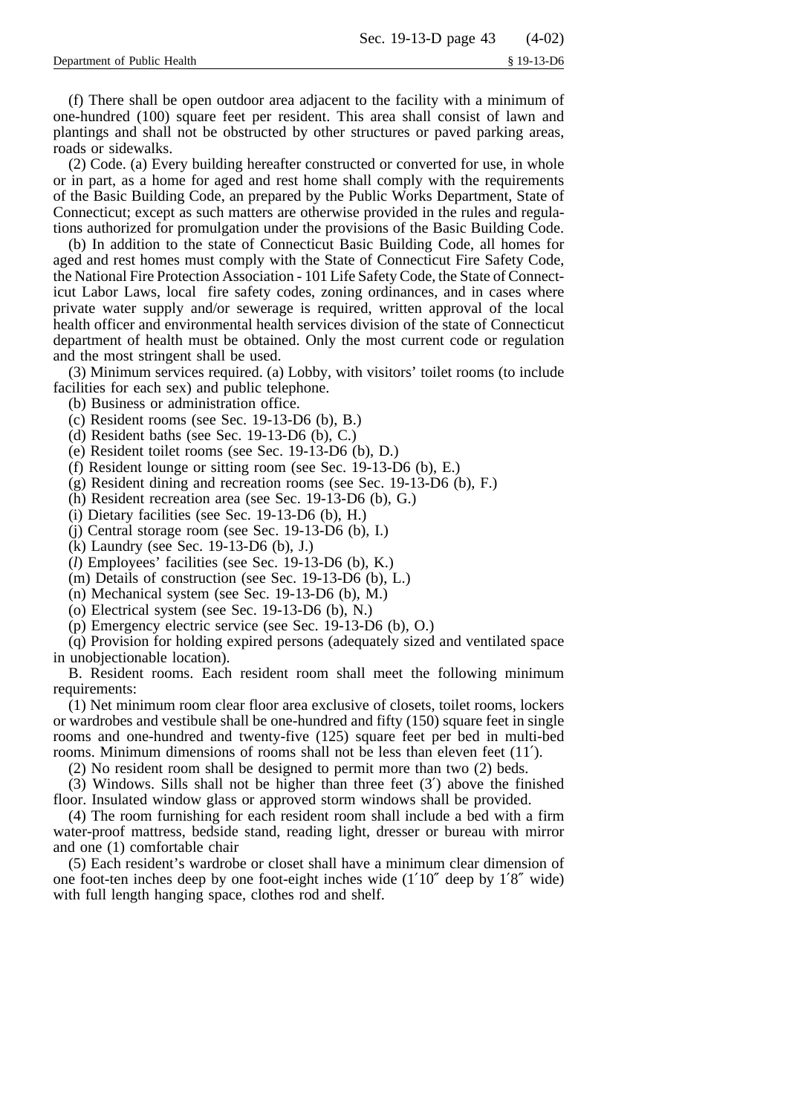(f) There shall be open outdoor area adjacent to the facility with a minimum of one-hundred (100) square feet per resident. This area shall consist of lawn and plantings and shall not be obstructed by other structures or paved parking areas, roads or sidewalks.

(2) Code. (a) Every building hereafter constructed or converted for use, in whole or in part, as a home for aged and rest home shall comply with the requirements of the Basic Building Code, an prepared by the Public Works Department, State of Connecticut; except as such matters are otherwise provided in the rules and regulations authorized for promulgation under the provisions of the Basic Building Code.

(b) In addition to the state of Connecticut Basic Building Code, all homes for aged and rest homes must comply with the State of Connecticut Fire Safety Code, the National Fire Protection Association - 101 Life Safety Code, the State of Connecticut Labor Laws, local fire safety codes, zoning ordinances, and in cases where private water supply and/or sewerage is required, written approval of the local health officer and environmental health services division of the state of Connecticut department of health must be obtained. Only the most current code or regulation and the most stringent shall be used.

(3) Minimum services required. (a) Lobby, with visitors' toilet rooms (to include facilities for each sex) and public telephone.

- (b) Business or administration office.
- (c) Resident rooms (see Sec. 19-13-D6 (b), B.)
- (d) Resident baths (see Sec. 19-13-D6 (b), C.)
- (e) Resident toilet rooms (see Sec. 19-13-D6 (b), D.)
- (f) Resident lounge or sitting room (see Sec. 19-13-D6 (b), E.)
- (g) Resident dining and recreation rooms (see Sec. 19-13-D6 (b), F.)
- (h) Resident recreation area (see Sec. 19-13-D6 (b), G.)
- (i) Dietary facilities (see Sec. 19-13-D6 (b), H.)
- (j) Central storage room (see Sec. 19-13-D6 (b), I.)
- (k) Laundry (see Sec. 19-13-D6 (b), J.)
- (*l*) Employees' facilities (see Sec. 19-13-D6 (b), K.)
- (m) Details of construction (see Sec. 19-13-D6 (b), L.)
- (n) Mechanical system (see Sec. 19-13-D6 (b), M.)
- (o) Electrical system (see Sec. 19-13-D6 (b), N.)
- (p) Emergency electric service (see Sec. 19-13-D6 (b), O.)

(q) Provision for holding expired persons (adequately sized and ventilated space in unobjectionable location).

B. Resident rooms. Each resident room shall meet the following minimum requirements:

(1) Net minimum room clear floor area exclusive of closets, toilet rooms, lockers or wardrobes and vestibule shall be one-hundred and fifty (150) square feet in single rooms and one-hundred and twenty-five (125) square feet per bed in multi-bed rooms. Minimum dimensions of rooms shall not be less than eleven feet (11′).

(2) No resident room shall be designed to permit more than two (2) beds.

(3) Windows. Sills shall not be higher than three feet (3′) above the finished floor. Insulated window glass or approved storm windows shall be provided.

(4) The room furnishing for each resident room shall include a bed with a firm water-proof mattress, bedside stand, reading light, dresser or bureau with mirror and one (1) comfortable chair

(5) Each resident's wardrobe or closet shall have a minimum clear dimension of one foot-ten inches deep by one foot-eight inches wide (1′10″ deep by 1′8″ wide) with full length hanging space, clothes rod and shelf.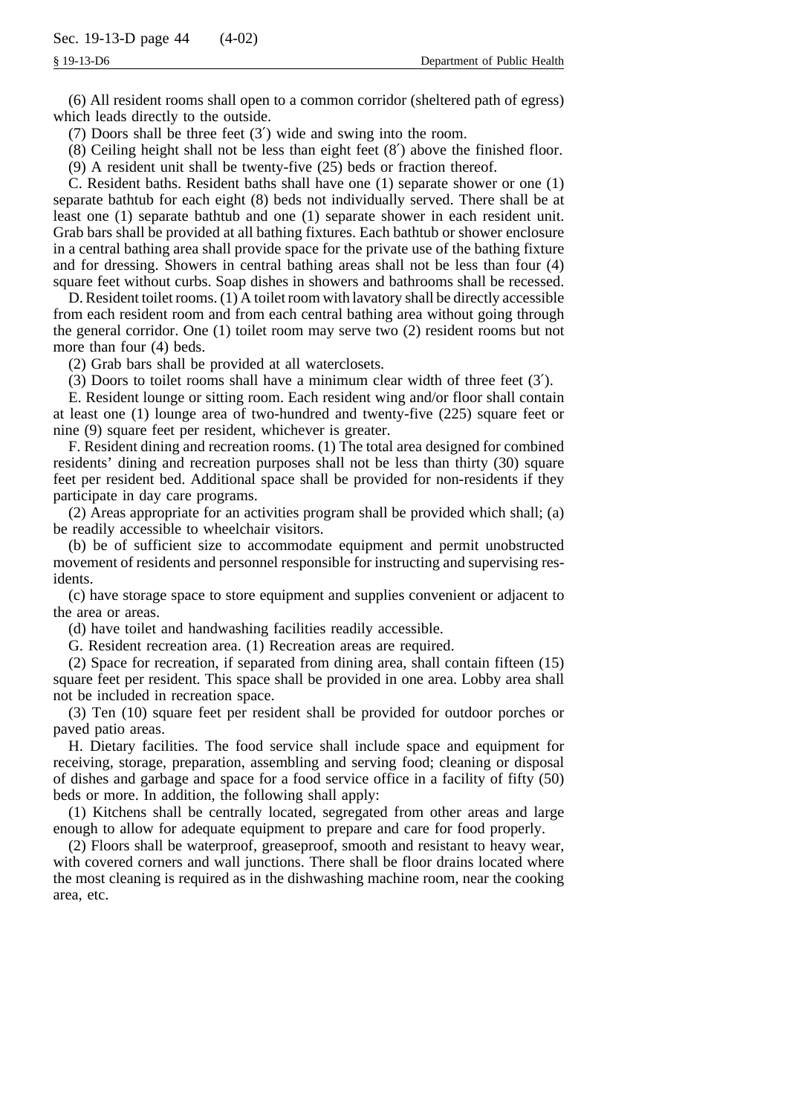(6) All resident rooms shall open to a common corridor (sheltered path of egress) which leads directly to the outside.

(7) Doors shall be three feet (3′) wide and swing into the room.

(8) Ceiling height shall not be less than eight feet (8′) above the finished floor.

(9) A resident unit shall be twenty-five (25) beds or fraction thereof.

C. Resident baths. Resident baths shall have one (1) separate shower or one (1) separate bathtub for each eight (8) beds not individually served. There shall be at least one (1) separate bathtub and one (1) separate shower in each resident unit. Grab bars shall be provided at all bathing fixtures. Each bathtub or shower enclosure in a central bathing area shall provide space for the private use of the bathing fixture and for dressing. Showers in central bathing areas shall not be less than four (4) square feet without curbs. Soap dishes in showers and bathrooms shall be recessed.

D. Resident toilet rooms. (1) A toilet room with lavatory shall be directly accessible from each resident room and from each central bathing area without going through the general corridor. One (1) toilet room may serve two (2) resident rooms but not more than four (4) beds.

(2) Grab bars shall be provided at all waterclosets.

(3) Doors to toilet rooms shall have a minimum clear width of three feet (3′).

E. Resident lounge or sitting room. Each resident wing and/or floor shall contain at least one (1) lounge area of two-hundred and twenty-five (225) square feet or nine (9) square feet per resident, whichever is greater.

F. Resident dining and recreation rooms. (1) The total area designed for combined residents' dining and recreation purposes shall not be less than thirty (30) square feet per resident bed. Additional space shall be provided for non-residents if they participate in day care programs.

(2) Areas appropriate for an activities program shall be provided which shall; (a) be readily accessible to wheelchair visitors.

(b) be of sufficient size to accommodate equipment and permit unobstructed movement of residents and personnel responsible for instructing and supervising residents.

(c) have storage space to store equipment and supplies convenient or adjacent to the area or areas.

(d) have toilet and handwashing facilities readily accessible.

G. Resident recreation area. (1) Recreation areas are required.

(2) Space for recreation, if separated from dining area, shall contain fifteen (15) square feet per resident. This space shall be provided in one area. Lobby area shall not be included in recreation space.

(3) Ten (10) square feet per resident shall be provided for outdoor porches or paved patio areas.

H. Dietary facilities. The food service shall include space and equipment for receiving, storage, preparation, assembling and serving food; cleaning or disposal of dishes and garbage and space for a food service office in a facility of fifty (50) beds or more. In addition, the following shall apply:

(1) Kitchens shall be centrally located, segregated from other areas and large enough to allow for adequate equipment to prepare and care for food properly.

(2) Floors shall be waterproof, greaseproof, smooth and resistant to heavy wear, with covered corners and wall junctions. There shall be floor drains located where the most cleaning is required as in the dishwashing machine room, near the cooking area, etc.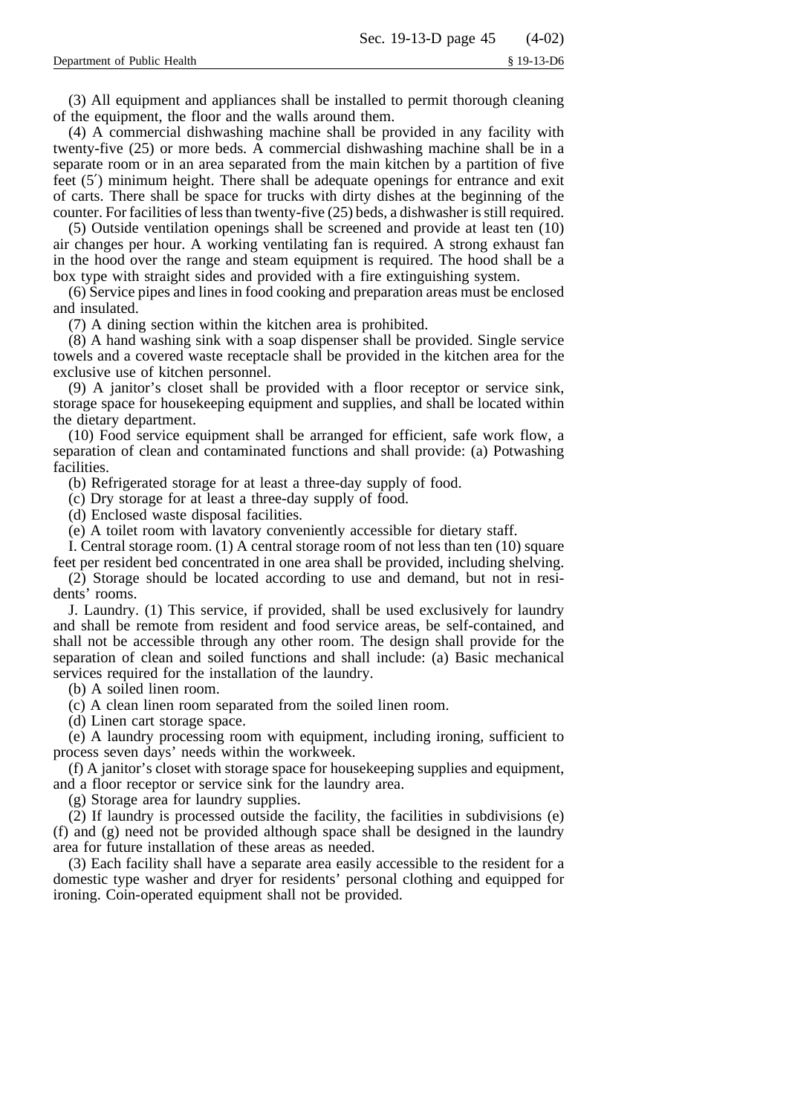(3) All equipment and appliances shall be installed to permit thorough cleaning of the equipment, the floor and the walls around them.

(4) A commercial dishwashing machine shall be provided in any facility with twenty-five (25) or more beds. A commercial dishwashing machine shall be in a separate room or in an area separated from the main kitchen by a partition of five feet (5′) minimum height. There shall be adequate openings for entrance and exit of carts. There shall be space for trucks with dirty dishes at the beginning of the counter. For facilities of less than twenty-five (25) beds, a dishwasher is still required.

(5) Outside ventilation openings shall be screened and provide at least ten (10) air changes per hour. A working ventilating fan is required. A strong exhaust fan in the hood over the range and steam equipment is required. The hood shall be a box type with straight sides and provided with a fire extinguishing system.

(6) Service pipes and lines in food cooking and preparation areas must be enclosed and insulated.

(7) A dining section within the kitchen area is prohibited.

(8) A hand washing sink with a soap dispenser shall be provided. Single service towels and a covered waste receptacle shall be provided in the kitchen area for the exclusive use of kitchen personnel.

(9) A janitor's closet shall be provided with a floor receptor or service sink, storage space for housekeeping equipment and supplies, and shall be located within the dietary department.

(10) Food service equipment shall be arranged for efficient, safe work flow, a separation of clean and contaminated functions and shall provide: (a) Potwashing facilities.

(b) Refrigerated storage for at least a three-day supply of food.

(c) Dry storage for at least a three-day supply of food.

(d) Enclosed waste disposal facilities.

(e) A toilet room with lavatory conveniently accessible for dietary staff.

I. Central storage room. (1) A central storage room of not less than ten (10) square feet per resident bed concentrated in one area shall be provided, including shelving.

(2) Storage should be located according to use and demand, but not in residents' rooms.

J. Laundry. (1) This service, if provided, shall be used exclusively for laundry and shall be remote from resident and food service areas, be self-contained, and shall not be accessible through any other room. The design shall provide for the separation of clean and soiled functions and shall include: (a) Basic mechanical services required for the installation of the laundry.

(b) A soiled linen room.

(c) A clean linen room separated from the soiled linen room.

(d) Linen cart storage space.

(e) A laundry processing room with equipment, including ironing, sufficient to process seven days' needs within the workweek.

(f) A janitor's closet with storage space for housekeeping supplies and equipment, and a floor receptor or service sink for the laundry area.

(g) Storage area for laundry supplies.

(2) If laundry is processed outside the facility, the facilities in subdivisions (e) (f) and (g) need not be provided although space shall be designed in the laundry area for future installation of these areas as needed.

(3) Each facility shall have a separate area easily accessible to the resident for a domestic type washer and dryer for residents' personal clothing and equipped for ironing. Coin-operated equipment shall not be provided.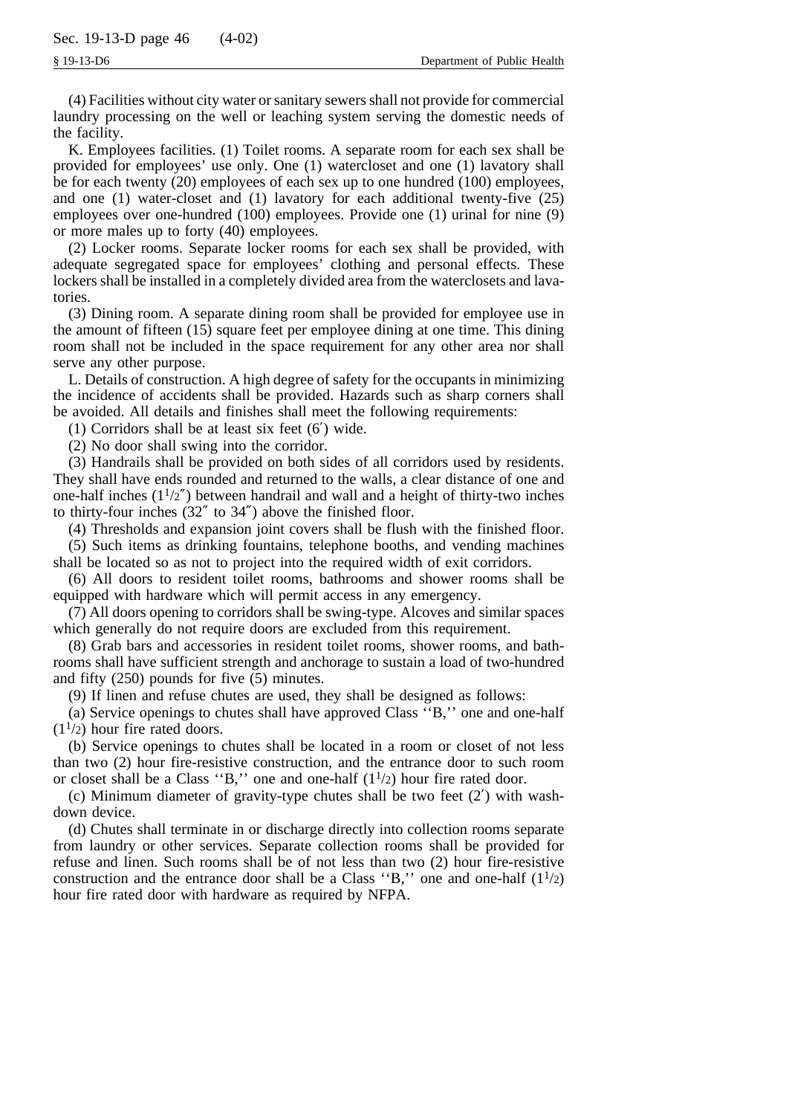(4) Facilities without city water or sanitary sewers shall not provide for commercial laundry processing on the well or leaching system serving the domestic needs of the facility.

K. Employees facilities. (1) Toilet rooms. A separate room for each sex shall be provided for employees' use only. One (1) watercloset and one (1) lavatory shall be for each twenty (20) employees of each sex up to one hundred (100) employees, and one (1) water-closet and (1) lavatory for each additional twenty-five (25) employees over one-hundred (100) employees. Provide one (1) urinal for nine (9) or more males up to forty (40) employees.

(2) Locker rooms. Separate locker rooms for each sex shall be provided, with adequate segregated space for employees' clothing and personal effects. These lockers shall be installed in a completely divided area from the waterclosets and lavatories.

(3) Dining room. A separate dining room shall be provided for employee use in the amount of fifteen (15) square feet per employee dining at one time. This dining room shall not be included in the space requirement for any other area nor shall serve any other purpose.

L. Details of construction. A high degree of safety for the occupants in minimizing the incidence of accidents shall be provided. Hazards such as sharp corners shall be avoided. All details and finishes shall meet the following requirements:

(1) Corridors shall be at least six feet (6′) wide.

(2) No door shall swing into the corridor.

(3) Handrails shall be provided on both sides of all corridors used by residents. They shall have ends rounded and returned to the walls, a clear distance of one and one-half inches  $(1<sup>1</sup>/2<sup>''</sup>)$  between handrail and wall and a height of thirty-two inches to thirty-four inches (32″ to 34″) above the finished floor.

(4) Thresholds and expansion joint covers shall be flush with the finished floor.

(5) Such items as drinking fountains, telephone booths, and vending machines shall be located so as not to project into the required width of exit corridors.

(6) All doors to resident toilet rooms, bathrooms and shower rooms shall be equipped with hardware which will permit access in any emergency.

(7) All doors opening to corridors shall be swing-type. Alcoves and similar spaces which generally do not require doors are excluded from this requirement.

(8) Grab bars and accessories in resident toilet rooms, shower rooms, and bathrooms shall have sufficient strength and anchorage to sustain a load of two-hundred and fifty (250) pounds for five (5) minutes.

(9) If linen and refuse chutes are used, they shall be designed as follows:

(a) Service openings to chutes shall have approved Class ''B,'' one and one-half  $(1<sup>1</sup>/2)$  hour fire rated doors.

(b) Service openings to chutes shall be located in a room or closet of not less than two (2) hour fire-resistive construction, and the entrance door to such room or closet shall be a Class "B," one and one-half  $(1<sup>1</sup>/2)$  hour fire rated door.

(c) Minimum diameter of gravity-type chutes shall be two feet (2′) with washdown device.

(d) Chutes shall terminate in or discharge directly into collection rooms separate from laundry or other services. Separate collection rooms shall be provided for refuse and linen. Such rooms shall be of not less than two (2) hour fire-resistive construction and the entrance door shall be a Class "B," one and one-half  $(1<sup>1</sup>/2)$ hour fire rated door with hardware as required by NFPA.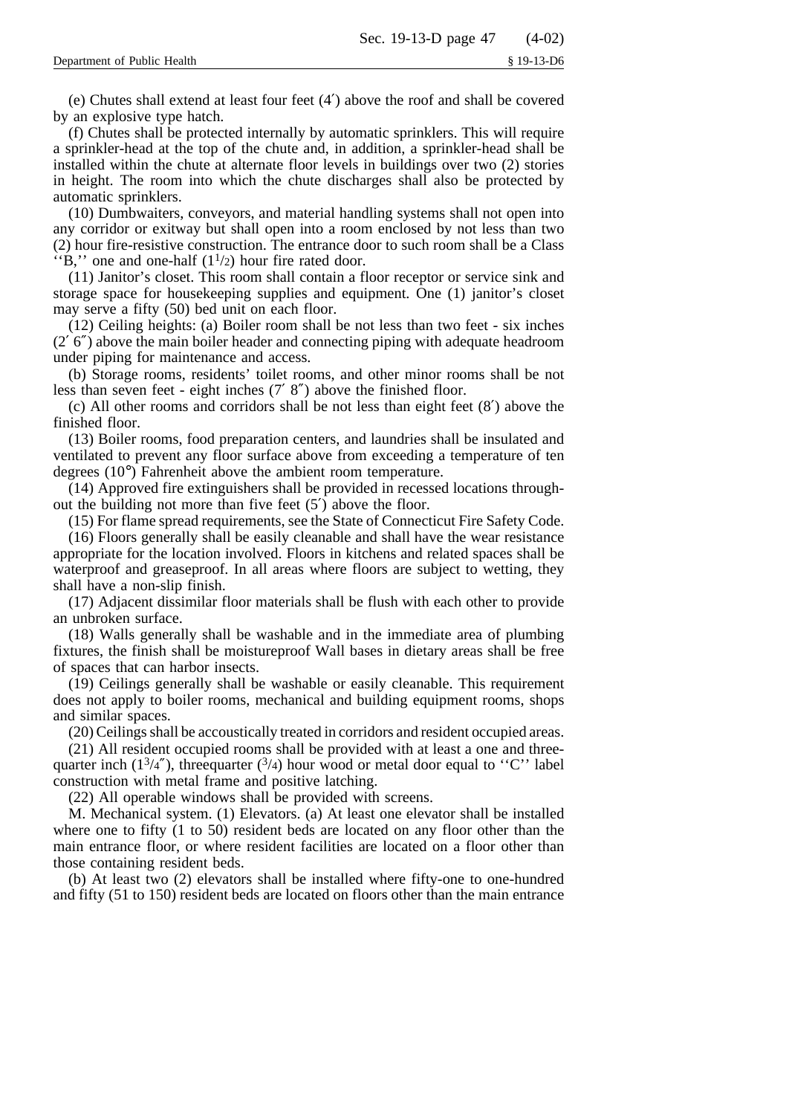(e) Chutes shall extend at least four feet (4′) above the roof and shall be covered by an explosive type hatch.

(f) Chutes shall be protected internally by automatic sprinklers. This will require a sprinkler-head at the top of the chute and, in addition, a sprinkler-head shall be installed within the chute at alternate floor levels in buildings over two (2) stories in height. The room into which the chute discharges shall also be protected by automatic sprinklers.

(10) Dumbwaiters, conveyors, and material handling systems shall not open into any corridor or exitway but shall open into a room enclosed by not less than two (2) hour fire-resistive construction. The entrance door to such room shall be a Class "B," one and one-half  $(1<sup>1</sup>/2)$  hour fire rated door.

(11) Janitor's closet. This room shall contain a floor receptor or service sink and storage space for housekeeping supplies and equipment. One (1) janitor's closet may serve a fifty (50) bed unit on each floor.

(12) Ceiling heights: (a) Boiler room shall be not less than two feet - six inches (2′ 6″) above the main boiler header and connecting piping with adequate headroom under piping for maintenance and access.

(b) Storage rooms, residents' toilet rooms, and other minor rooms shall be not less than seven feet - eight inches (7′ 8″) above the finished floor.

(c) All other rooms and corridors shall be not less than eight feet (8′) above the finished floor.

(13) Boiler rooms, food preparation centers, and laundries shall be insulated and ventilated to prevent any floor surface above from exceeding a temperature of ten degrees (10°) Fahrenheit above the ambient room temperature.

(14) Approved fire extinguishers shall be provided in recessed locations throughout the building not more than five feet (5′) above the floor.

(15) For flame spread requirements, see the State of Connecticut Fire Safety Code.

(16) Floors generally shall be easily cleanable and shall have the wear resistance appropriate for the location involved. Floors in kitchens and related spaces shall be waterproof and greaseproof. In all areas where floors are subject to wetting, they shall have a non-slip finish.

(17) Adjacent dissimilar floor materials shall be flush with each other to provide an unbroken surface.

(18) Walls generally shall be washable and in the immediate area of plumbing fixtures, the finish shall be moistureproof Wall bases in dietary areas shall be free of spaces that can harbor insects.

(19) Ceilings generally shall be washable or easily cleanable. This requirement does not apply to boiler rooms, mechanical and building equipment rooms, shops and similar spaces.

(20) Ceilings shall be accoustically treated in corridors and resident occupied areas.

(21) All resident occupied rooms shall be provided with at least a one and threequarter inch  $(1^3/4'')$ , threequarter  $(3/4)$  hour wood or metal door equal to ''C'' label construction with metal frame and positive latching.

(22) All operable windows shall be provided with screens.

M. Mechanical system. (1) Elevators. (a) At least one elevator shall be installed where one to fifty (1 to 50) resident beds are located on any floor other than the main entrance floor, or where resident facilities are located on a floor other than those containing resident beds.

(b) At least two (2) elevators shall be installed where fifty-one to one-hundred and fifty (51 to 150) resident beds are located on floors other than the main entrance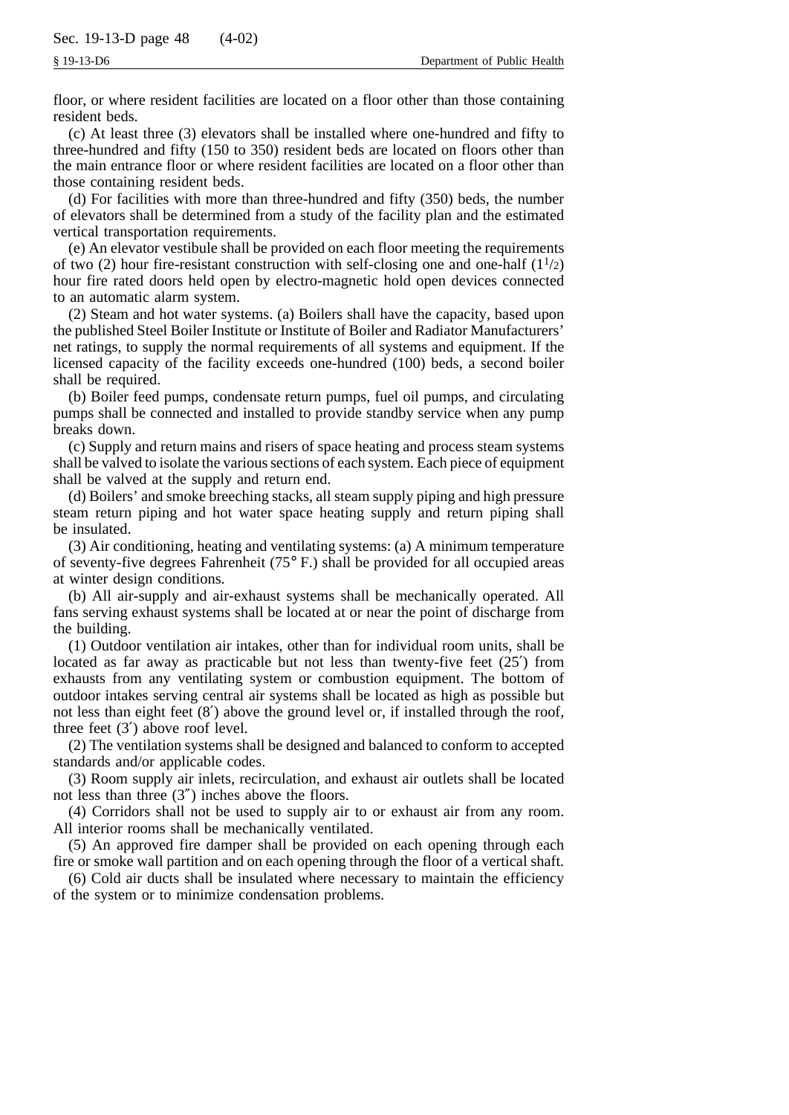floor, or where resident facilities are located on a floor other than those containing resident beds.

(c) At least three (3) elevators shall be installed where one-hundred and fifty to three-hundred and fifty (150 to 350) resident beds are located on floors other than the main entrance floor or where resident facilities are located on a floor other than those containing resident beds.

(d) For facilities with more than three-hundred and fifty (350) beds, the number of elevators shall be determined from a study of the facility plan and the estimated vertical transportation requirements.

(e) An elevator vestibule shall be provided on each floor meeting the requirements of two (2) hour fire-resistant construction with self-closing one and one-half  $(1<sup>1</sup>/2)$ hour fire rated doors held open by electro-magnetic hold open devices connected to an automatic alarm system.

(2) Steam and hot water systems. (a) Boilers shall have the capacity, based upon the published Steel Boiler Institute or Institute of Boiler and Radiator Manufacturers' net ratings, to supply the normal requirements of all systems and equipment. If the licensed capacity of the facility exceeds one-hundred (100) beds, a second boiler shall be required.

(b) Boiler feed pumps, condensate return pumps, fuel oil pumps, and circulating pumps shall be connected and installed to provide standby service when any pump breaks down.

(c) Supply and return mains and risers of space heating and process steam systems shall be valved to isolate the various sections of each system. Each piece of equipment shall be valved at the supply and return end.

(d) Boilers' and smoke breeching stacks, all steam supply piping and high pressure steam return piping and hot water space heating supply and return piping shall be insulated.

(3) Air conditioning, heating and ventilating systems: (a) A minimum temperature of seventy-five degrees Fahrenheit (75° F.) shall be provided for all occupied areas at winter design conditions.

(b) All air-supply and air-exhaust systems shall be mechanically operated. All fans serving exhaust systems shall be located at or near the point of discharge from the building.

(1) Outdoor ventilation air intakes, other than for individual room units, shall be located as far away as practicable but not less than twenty-five feet (25′) from exhausts from any ventilating system or combustion equipment. The bottom of outdoor intakes serving central air systems shall be located as high as possible but not less than eight feet (8′) above the ground level or, if installed through the roof, three feet (3′) above roof level.

(2) The ventilation systems shall be designed and balanced to conform to accepted standards and/or applicable codes.

(3) Room supply air inlets, recirculation, and exhaust air outlets shall be located not less than three (3″) inches above the floors.

(4) Corridors shall not be used to supply air to or exhaust air from any room. All interior rooms shall be mechanically ventilated.

(5) An approved fire damper shall be provided on each opening through each fire or smoke wall partition and on each opening through the floor of a vertical shaft.

(6) Cold air ducts shall be insulated where necessary to maintain the efficiency of the system or to minimize condensation problems.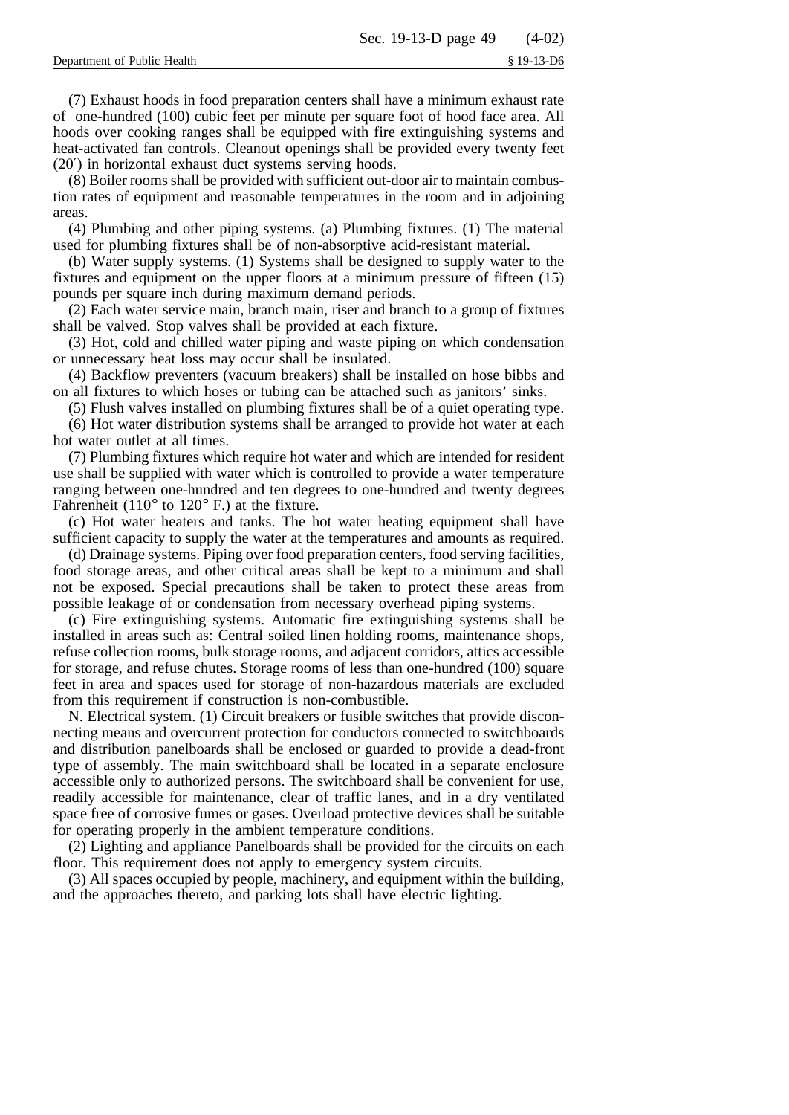(7) Exhaust hoods in food preparation centers shall have a minimum exhaust rate of one-hundred (100) cubic feet per minute per square foot of hood face area. All hoods over cooking ranges shall be equipped with fire extinguishing systems and heat-activated fan controls. Cleanout openings shall be provided every twenty feet (20′) in horizontal exhaust duct systems serving hoods.

(8) Boiler rooms shall be provided with sufficient out-door air to maintain combustion rates of equipment and reasonable temperatures in the room and in adjoining areas.

(4) Plumbing and other piping systems. (a) Plumbing fixtures. (1) The material used for plumbing fixtures shall be of non-absorptive acid-resistant material.

(b) Water supply systems. (1) Systems shall be designed to supply water to the fixtures and equipment on the upper floors at a minimum pressure of fifteen (15) pounds per square inch during maximum demand periods.

(2) Each water service main, branch main, riser and branch to a group of fixtures shall be valved. Stop valves shall be provided at each fixture.

(3) Hot, cold and chilled water piping and waste piping on which condensation or unnecessary heat loss may occur shall be insulated.

(4) Backflow preventers (vacuum breakers) shall be installed on hose bibbs and on all fixtures to which hoses or tubing can be attached such as janitors' sinks.

(5) Flush valves installed on plumbing fixtures shall be of a quiet operating type.

(6) Hot water distribution systems shall be arranged to provide hot water at each hot water outlet at all times.

(7) Plumbing fixtures which require hot water and which are intended for resident use shall be supplied with water which is controlled to provide a water temperature ranging between one-hundred and ten degrees to one-hundred and twenty degrees Fahrenheit (110° to 120° F.) at the fixture.

(c) Hot water heaters and tanks. The hot water heating equipment shall have sufficient capacity to supply the water at the temperatures and amounts as required.

(d) Drainage systems. Piping over food preparation centers, food serving facilities, food storage areas, and other critical areas shall be kept to a minimum and shall not be exposed. Special precautions shall be taken to protect these areas from possible leakage of or condensation from necessary overhead piping systems.

(c) Fire extinguishing systems. Automatic fire extinguishing systems shall be installed in areas such as: Central soiled linen holding rooms, maintenance shops, refuse collection rooms, bulk storage rooms, and adjacent corridors, attics accessible for storage, and refuse chutes. Storage rooms of less than one-hundred (100) square feet in area and spaces used for storage of non-hazardous materials are excluded from this requirement if construction is non-combustible.

N. Electrical system. (1) Circuit breakers or fusible switches that provide disconnecting means and overcurrent protection for conductors connected to switchboards and distribution panelboards shall be enclosed or guarded to provide a dead-front type of assembly. The main switchboard shall be located in a separate enclosure accessible only to authorized persons. The switchboard shall be convenient for use, readily accessible for maintenance, clear of traffic lanes, and in a dry ventilated space free of corrosive fumes or gases. Overload protective devices shall be suitable for operating properly in the ambient temperature conditions.

(2) Lighting and appliance Panelboards shall be provided for the circuits on each floor. This requirement does not apply to emergency system circuits.

(3) All spaces occupied by people, machinery, and equipment within the building, and the approaches thereto, and parking lots shall have electric lighting.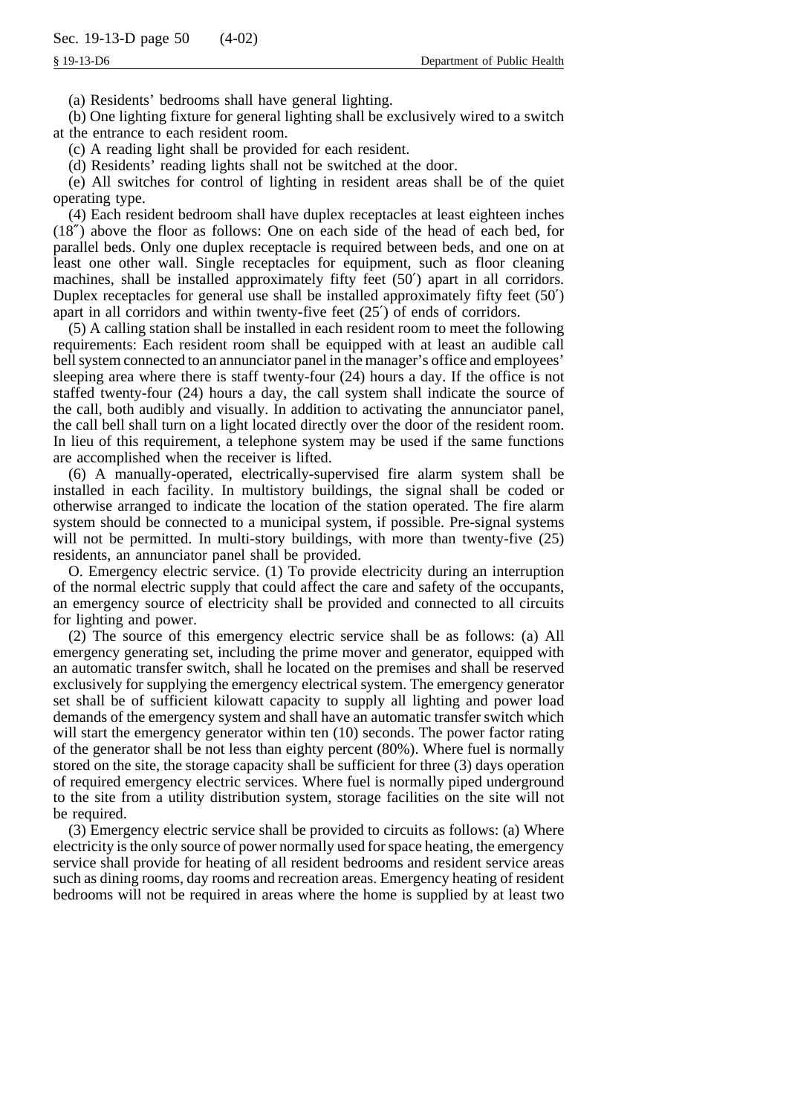(a) Residents' bedrooms shall have general lighting.

(b) One lighting fixture for general lighting shall be exclusively wired to a switch at the entrance to each resident room.

(c) A reading light shall be provided for each resident.

(d) Residents' reading lights shall not be switched at the door.

(e) All switches for control of lighting in resident areas shall be of the quiet operating type.

(4) Each resident bedroom shall have duplex receptacles at least eighteen inches (18″) above the floor as follows: One on each side of the head of each bed, for parallel beds. Only one duplex receptacle is required between beds, and one on at least one other wall. Single receptacles for equipment, such as floor cleaning machines, shall be installed approximately fifty feet (50′) apart in all corridors. Duplex receptacles for general use shall be installed approximately fifty feet (50′) apart in all corridors and within twenty-five feet (25′) of ends of corridors.

(5) A calling station shall be installed in each resident room to meet the following requirements: Each resident room shall be equipped with at least an audible call bell system connected to an annunciator panel in the manager's office and employees' sleeping area where there is staff twenty-four (24) hours a day. If the office is not staffed twenty-four (24) hours a day, the call system shall indicate the source of the call, both audibly and visually. In addition to activating the annunciator panel, the call bell shall turn on a light located directly over the door of the resident room. In lieu of this requirement, a telephone system may be used if the same functions are accomplished when the receiver is lifted.

(6) A manually-operated, electrically-supervised fire alarm system shall be installed in each facility. In multistory buildings, the signal shall be coded or otherwise arranged to indicate the location of the station operated. The fire alarm system should be connected to a municipal system, if possible. Pre-signal systems will not be permitted. In multi-story buildings, with more than twenty-five (25) residents, an annunciator panel shall be provided.

O. Emergency electric service. (1) To provide electricity during an interruption of the normal electric supply that could affect the care and safety of the occupants, an emergency source of electricity shall be provided and connected to all circuits for lighting and power.

(2) The source of this emergency electric service shall be as follows: (a) All emergency generating set, including the prime mover and generator, equipped with an automatic transfer switch, shall he located on the premises and shall be reserved exclusively for supplying the emergency electrical system. The emergency generator set shall be of sufficient kilowatt capacity to supply all lighting and power load demands of the emergency system and shall have an automatic transfer switch which will start the emergency generator within ten  $(10)$  seconds. The power factor rating of the generator shall be not less than eighty percent (80%). Where fuel is normally stored on the site, the storage capacity shall be sufficient for three (3) days operation of required emergency electric services. Where fuel is normally piped underground to the site from a utility distribution system, storage facilities on the site will not be required.

(3) Emergency electric service shall be provided to circuits as follows: (a) Where electricity is the only source of power normally used for space heating, the emergency service shall provide for heating of all resident bedrooms and resident service areas such as dining rooms, day rooms and recreation areas. Emergency heating of resident bedrooms will not be required in areas where the home is supplied by at least two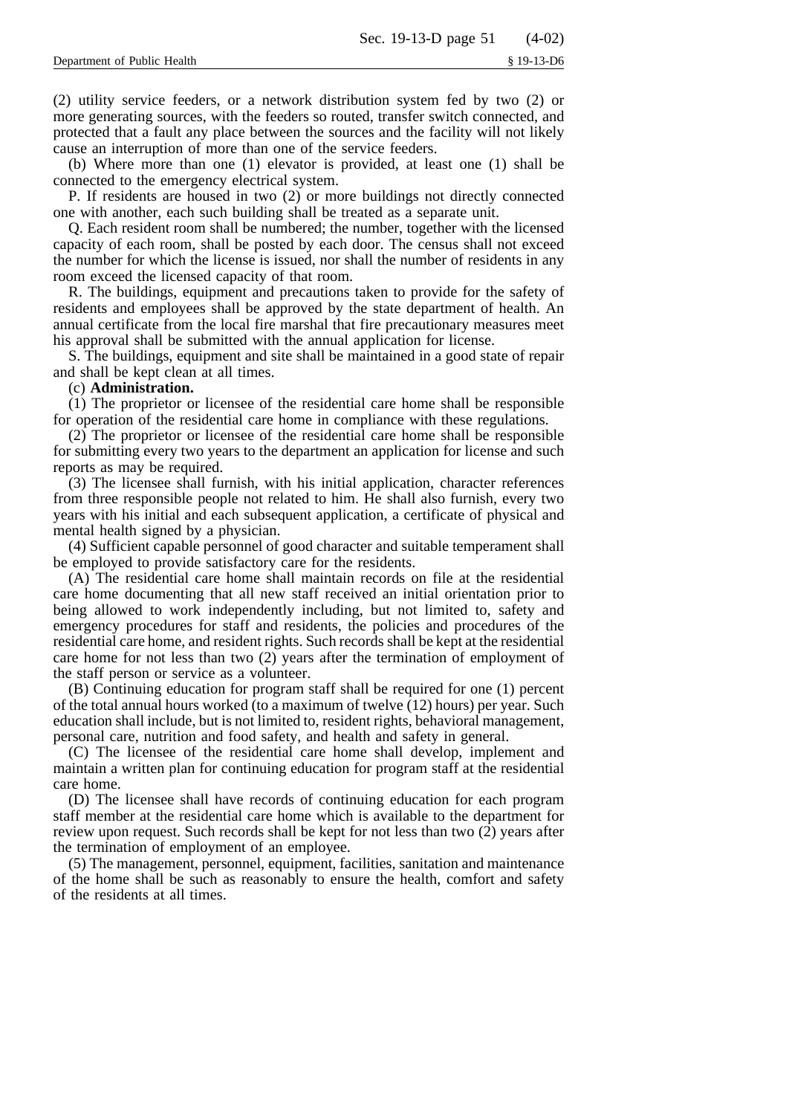(2) utility service feeders, or a network distribution system fed by two (2) or more generating sources, with the feeders so routed, transfer switch connected, and protected that a fault any place between the sources and the facility will not likely cause an interruption of more than one of the service feeders.

(b) Where more than one (1) elevator is provided, at least one (1) shall be connected to the emergency electrical system.

P. If residents are housed in two (2) or more buildings not directly connected one with another, each such building shall be treated as a separate unit.

Q. Each resident room shall be numbered; the number, together with the licensed capacity of each room, shall be posted by each door. The census shall not exceed the number for which the license is issued, nor shall the number of residents in any room exceed the licensed capacity of that room.

R. The buildings, equipment and precautions taken to provide for the safety of residents and employees shall be approved by the state department of health. An annual certificate from the local fire marshal that fire precautionary measures meet his approval shall be submitted with the annual application for license.

S. The buildings, equipment and site shall be maintained in a good state of repair and shall be kept clean at all times.

## (c) **Administration.**

(1) The proprietor or licensee of the residential care home shall be responsible for operation of the residential care home in compliance with these regulations.

(2) The proprietor or licensee of the residential care home shall be responsible for submitting every two years to the department an application for license and such reports as may be required.

(3) The licensee shall furnish, with his initial application, character references from three responsible people not related to him. He shall also furnish, every two years with his initial and each subsequent application, a certificate of physical and mental health signed by a physician.

(4) Sufficient capable personnel of good character and suitable temperament shall be employed to provide satisfactory care for the residents.

(A) The residential care home shall maintain records on file at the residential care home documenting that all new staff received an initial orientation prior to being allowed to work independently including, but not limited to, safety and emergency procedures for staff and residents, the policies and procedures of the residential care home, and resident rights. Such records shall be kept at the residential care home for not less than two (2) years after the termination of employment of the staff person or service as a volunteer.

(B) Continuing education for program staff shall be required for one (1) percent of the total annual hours worked (to a maximum of twelve (12) hours) per year. Such education shall include, but is not limited to, resident rights, behavioral management, personal care, nutrition and food safety, and health and safety in general.

(C) The licensee of the residential care home shall develop, implement and maintain a written plan for continuing education for program staff at the residential care home.

(D) The licensee shall have records of continuing education for each program staff member at the residential care home which is available to the department for review upon request. Such records shall be kept for not less than two (2) years after the termination of employment of an employee.

(5) The management, personnel, equipment, facilities, sanitation and maintenance of the home shall be such as reasonably to ensure the health, comfort and safety of the residents at all times.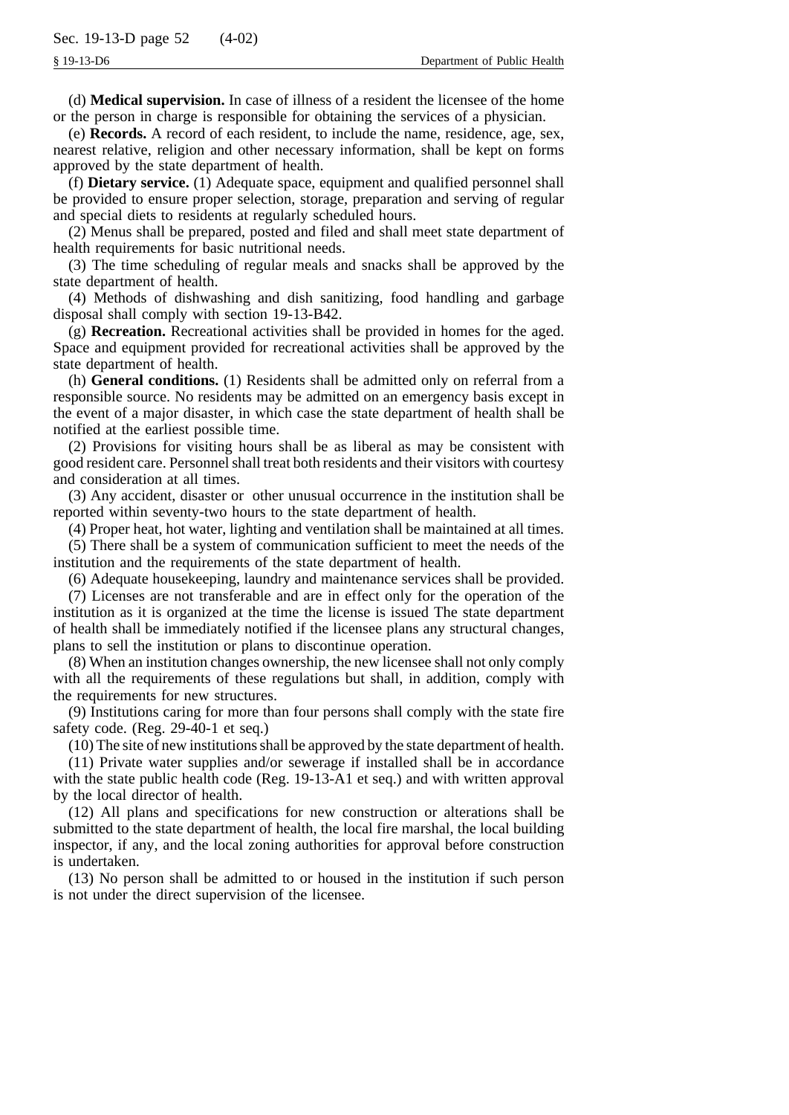(d) **Medical supervision.** In case of illness of a resident the licensee of the home or the person in charge is responsible for obtaining the services of a physician.

(e) **Records.** A record of each resident, to include the name, residence, age, sex, nearest relative, religion and other necessary information, shall be kept on forms approved by the state department of health.

(f) **Dietary service.** (1) Adequate space, equipment and qualified personnel shall be provided to ensure proper selection, storage, preparation and serving of regular and special diets to residents at regularly scheduled hours.

(2) Menus shall be prepared, posted and filed and shall meet state department of health requirements for basic nutritional needs.

(3) The time scheduling of regular meals and snacks shall be approved by the state department of health.

(4) Methods of dishwashing and dish sanitizing, food handling and garbage disposal shall comply with section 19-13-B42.

(g) **Recreation.** Recreational activities shall be provided in homes for the aged. Space and equipment provided for recreational activities shall be approved by the state department of health.

(h) **General conditions.** (1) Residents shall be admitted only on referral from a responsible source. No residents may be admitted on an emergency basis except in the event of a major disaster, in which case the state department of health shall be notified at the earliest possible time.

(2) Provisions for visiting hours shall be as liberal as may be consistent with good resident care. Personnel shall treat both residents and their visitors with courtesy and consideration at all times.

(3) Any accident, disaster or other unusual occurrence in the institution shall be reported within seventy-two hours to the state department of health.

(4) Proper heat, hot water, lighting and ventilation shall be maintained at all times.

(5) There shall be a system of communication sufficient to meet the needs of the institution and the requirements of the state department of health.

(6) Adequate housekeeping, laundry and maintenance services shall be provided.

(7) Licenses are not transferable and are in effect only for the operation of the institution as it is organized at the time the license is issued The state department of health shall be immediately notified if the licensee plans any structural changes, plans to sell the institution or plans to discontinue operation.

(8) When an institution changes ownership, the new licensee shall not only comply with all the requirements of these regulations but shall, in addition, comply with the requirements for new structures.

(9) Institutions caring for more than four persons shall comply with the state fire safety code. (Reg. 29-40-1 et seq.)

(10) The site of new institutions shall be approved by the state department of health.

(11) Private water supplies and/or sewerage if installed shall be in accordance with the state public health code (Reg. 19-13-A1 et seq.) and with written approval by the local director of health.

(12) All plans and specifications for new construction or alterations shall be submitted to the state department of health, the local fire marshal, the local building inspector, if any, and the local zoning authorities for approval before construction is undertaken.

(13) No person shall be admitted to or housed in the institution if such person is not under the direct supervision of the licensee.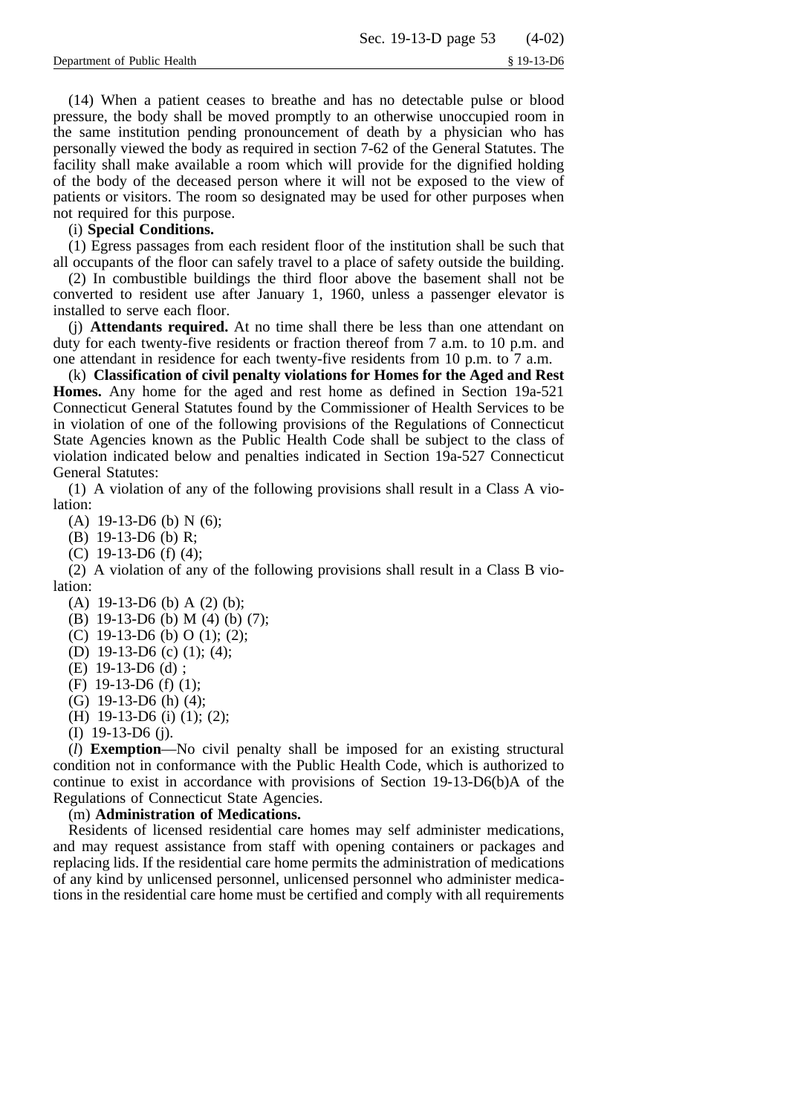(14) When a patient ceases to breathe and has no detectable pulse or blood pressure, the body shall be moved promptly to an otherwise unoccupied room in the same institution pending pronouncement of death by a physician who has personally viewed the body as required in section 7-62 of the General Statutes. The facility shall make available a room which will provide for the dignified holding of the body of the deceased person where it will not be exposed to the view of patients or visitors. The room so designated may be used for other purposes when not required for this purpose.

## (i) **Special Conditions.**

(1) Egress passages from each resident floor of the institution shall be such that all occupants of the floor can safely travel to a place of safety outside the building.

(2) In combustible buildings the third floor above the basement shall not be converted to resident use after January 1, 1960, unless a passenger elevator is installed to serve each floor.

(j) **Attendants required.** At no time shall there be less than one attendant on duty for each twenty-five residents or fraction thereof from 7 a.m. to 10 p.m. and one attendant in residence for each twenty-five residents from 10 p.m. to 7 a.m.

(k) **Classification of civil penalty violations for Homes for the Aged and Rest Homes.** Any home for the aged and rest home as defined in Section 19a-521 Connecticut General Statutes found by the Commissioner of Health Services to be in violation of one of the following provisions of the Regulations of Connecticut State Agencies known as the Public Health Code shall be subject to the class of violation indicated below and penalties indicated in Section 19a-527 Connecticut General Statutes:

(1) A violation of any of the following provisions shall result in a Class A violation:

(A)  $19-13-D6$  (b) N (6);

(B) 19-13-D6 (b) R;

(C) 19-13-D6 (f) (4);

(2) A violation of any of the following provisions shall result in a Class B violation:

(A) 19-13-D6 (b) A (2) (b);

(B) 19-13-D6 (b) M (4) (b) (7);

(C) 19-13-D6 (b) O (1); (2);

(D) 19-13-D6 (c) (1); (4);

- (E) 19-13-D6 (d) ;
- (F) 19-13-D6 (f) (1);
- (G) 19-13-D6 (h) (4);
- (H) 19-13-D6 (i) (1); (2);
- (I) 19-13-D6 (j).

(*l*) **Exemption**—No civil penalty shall be imposed for an existing structural condition not in conformance with the Public Health Code, which is authorized to continue to exist in accordance with provisions of Section 19-13-D6(b)A of the Regulations of Connecticut State Agencies.

## (m) **Administration of Medications.**

Residents of licensed residential care homes may self administer medications, and may request assistance from staff with opening containers or packages and replacing lids. If the residential care home permits the administration of medications of any kind by unlicensed personnel, unlicensed personnel who administer medications in the residential care home must be certified and comply with all requirements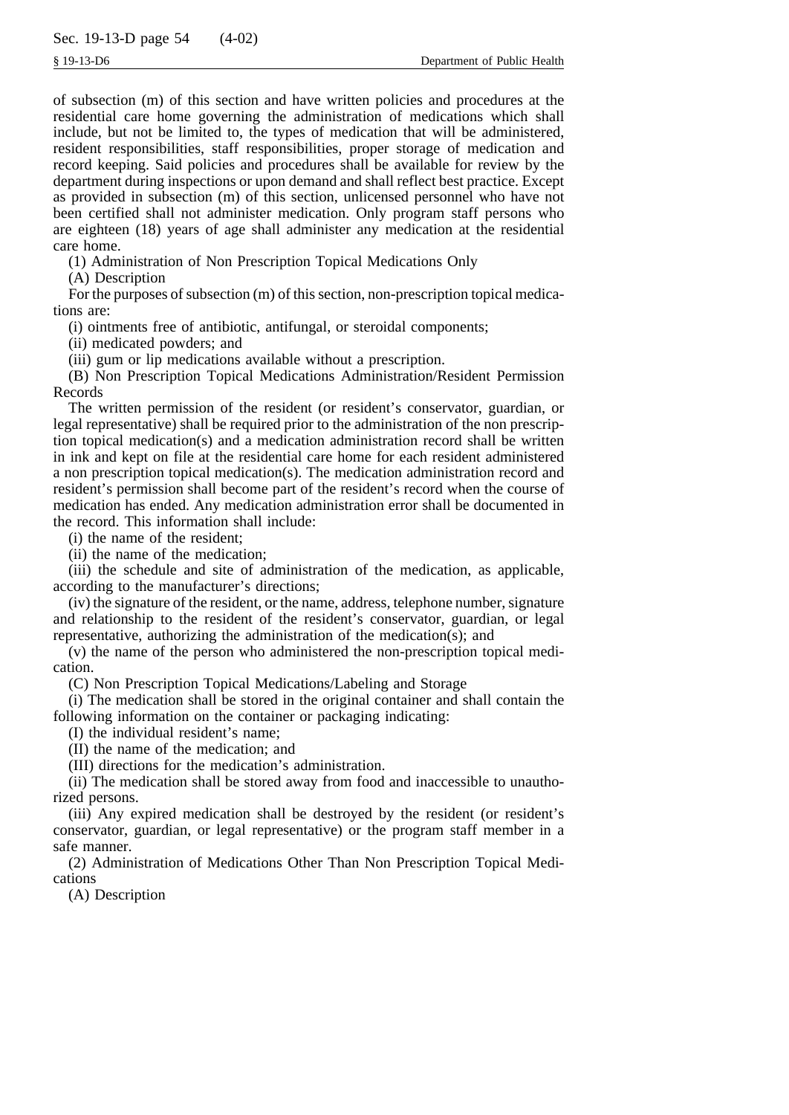of subsection (m) of this section and have written policies and procedures at the residential care home governing the administration of medications which shall include, but not be limited to, the types of medication that will be administered, resident responsibilities, staff responsibilities, proper storage of medication and record keeping. Said policies and procedures shall be available for review by the department during inspections or upon demand and shall reflect best practice. Except as provided in subsection (m) of this section, unlicensed personnel who have not been certified shall not administer medication. Only program staff persons who are eighteen (18) years of age shall administer any medication at the residential care home.

(1) Administration of Non Prescription Topical Medications Only

(A) Description

For the purposes of subsection (m) of this section, non-prescription topical medications are:

(i) ointments free of antibiotic, antifungal, or steroidal components;

(ii) medicated powders; and

(iii) gum or lip medications available without a prescription.

(B) Non Prescription Topical Medications Administration/Resident Permission Records

The written permission of the resident (or resident's conservator, guardian, or legal representative) shall be required prior to the administration of the non prescription topical medication(s) and a medication administration record shall be written in ink and kept on file at the residential care home for each resident administered a non prescription topical medication(s). The medication administration record and resident's permission shall become part of the resident's record when the course of medication has ended. Any medication administration error shall be documented in the record. This information shall include:

(i) the name of the resident;

(ii) the name of the medication;

(iii) the schedule and site of administration of the medication, as applicable, according to the manufacturer's directions;

(iv) the signature of the resident, or the name, address, telephone number, signature and relationship to the resident of the resident's conservator, guardian, or legal representative, authorizing the administration of the medication(s); and

(v) the name of the person who administered the non-prescription topical medication.

(C) Non Prescription Topical Medications/Labeling and Storage

(i) The medication shall be stored in the original container and shall contain the following information on the container or packaging indicating:

(I) the individual resident's name;

(II) the name of the medication; and

(III) directions for the medication's administration.

(ii) The medication shall be stored away from food and inaccessible to unauthorized persons.

(iii) Any expired medication shall be destroyed by the resident (or resident's conservator, guardian, or legal representative) or the program staff member in a safe manner.

(2) Administration of Medications Other Than Non Prescription Topical Medications

(A) Description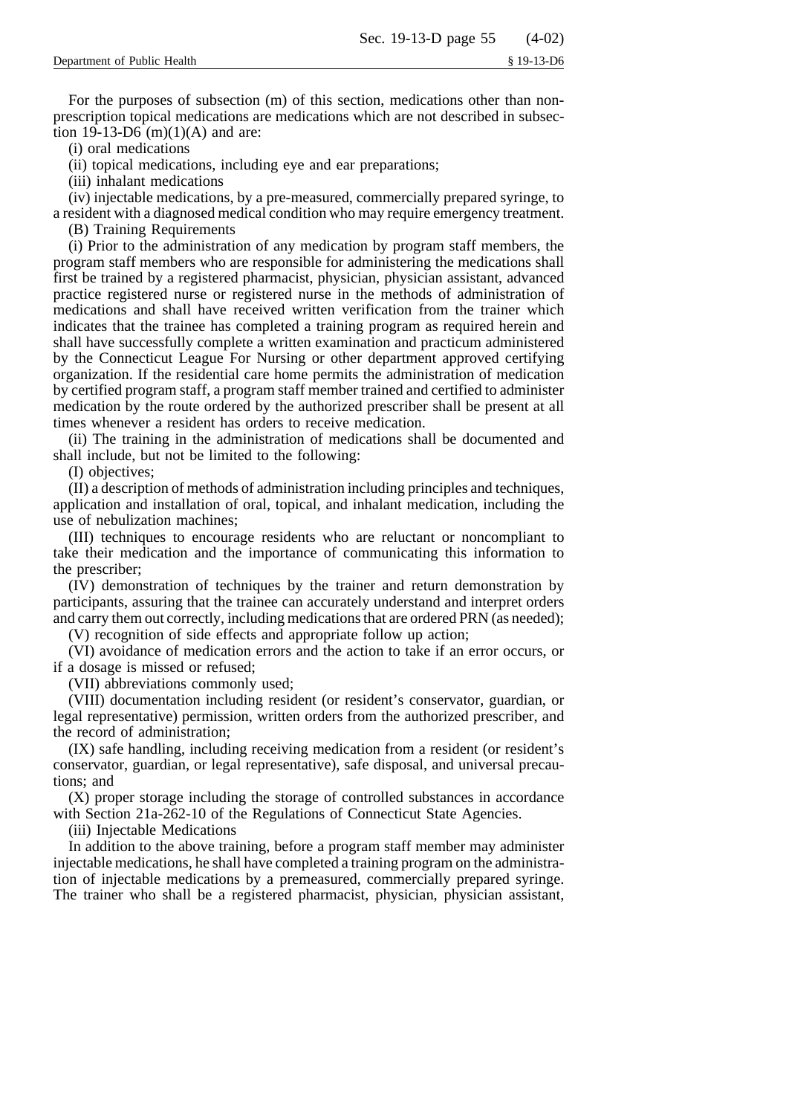For the purposes of subsection (m) of this section, medications other than nonprescription topical medications are medications which are not described in subsection 19-13-D6  $(m)(1)(A)$  and are:

(i) oral medications

(ii) topical medications, including eye and ear preparations;

(iii) inhalant medications

(iv) injectable medications, by a pre-measured, commercially prepared syringe, to a resident with a diagnosed medical condition who may require emergency treatment.

(B) Training Requirements

(i) Prior to the administration of any medication by program staff members, the program staff members who are responsible for administering the medications shall first be trained by a registered pharmacist, physician, physician assistant, advanced practice registered nurse or registered nurse in the methods of administration of medications and shall have received written verification from the trainer which indicates that the trainee has completed a training program as required herein and shall have successfully complete a written examination and practicum administered by the Connecticut League For Nursing or other department approved certifying organization. If the residential care home permits the administration of medication by certified program staff, a program staff member trained and certified to administer medication by the route ordered by the authorized prescriber shall be present at all times whenever a resident has orders to receive medication.

(ii) The training in the administration of medications shall be documented and shall include, but not be limited to the following:

(I) objectives;

(II) a description of methods of administration including principles and techniques, application and installation of oral, topical, and inhalant medication, including the use of nebulization machines;

(III) techniques to encourage residents who are reluctant or noncompliant to take their medication and the importance of communicating this information to the prescriber;

(IV) demonstration of techniques by the trainer and return demonstration by participants, assuring that the trainee can accurately understand and interpret orders and carry them out correctly, including medications that are ordered PRN (as needed); (V) recognition of side effects and appropriate follow up action;

(VI) avoidance of medication errors and the action to take if an error occurs, or if a dosage is missed or refused;

(VII) abbreviations commonly used;

(VIII) documentation including resident (or resident's conservator, guardian, or legal representative) permission, written orders from the authorized prescriber, and the record of administration;

(IX) safe handling, including receiving medication from a resident (or resident's conservator, guardian, or legal representative), safe disposal, and universal precautions; and

(X) proper storage including the storage of controlled substances in accordance with Section 21a-262-10 of the Regulations of Connecticut State Agencies.

(iii) Injectable Medications

In addition to the above training, before a program staff member may administer injectable medications, he shall have completed a training program on the administration of injectable medications by a premeasured, commercially prepared syringe. The trainer who shall be a registered pharmacist, physician, physician assistant,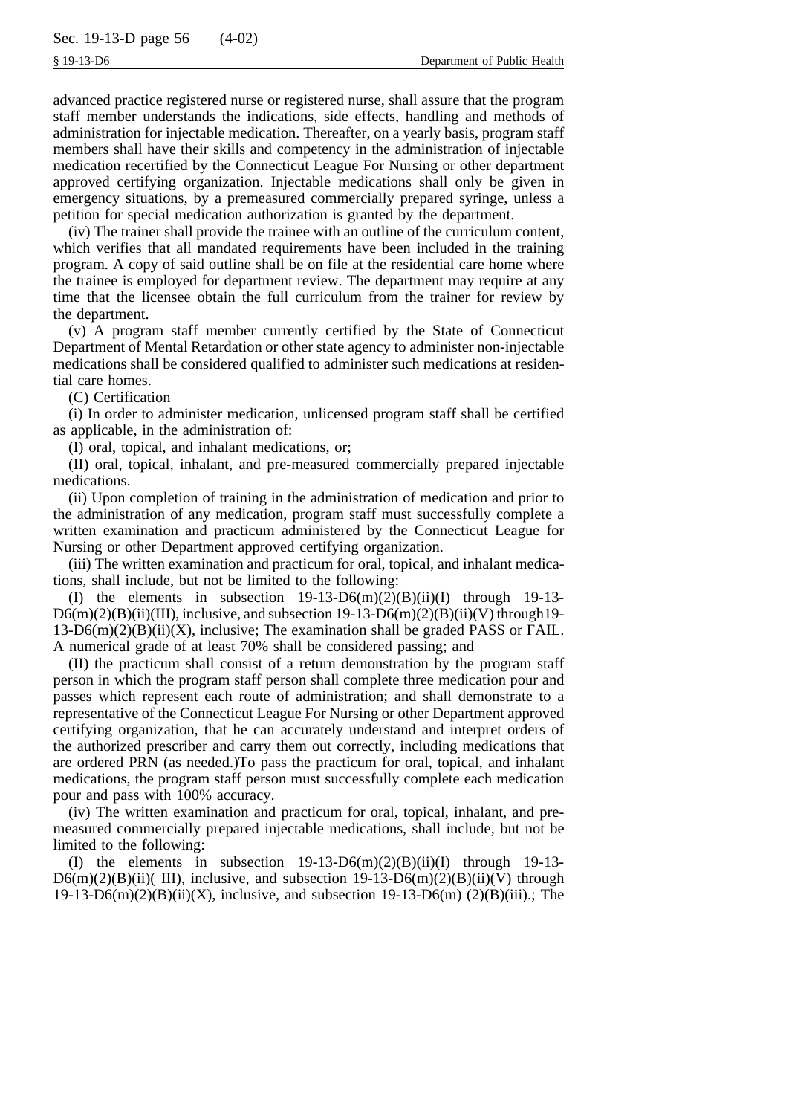advanced practice registered nurse or registered nurse, shall assure that the program staff member understands the indications, side effects, handling and methods of administration for injectable medication. Thereafter, on a yearly basis, program staff members shall have their skills and competency in the administration of injectable medication recertified by the Connecticut League For Nursing or other department approved certifying organization. Injectable medications shall only be given in emergency situations, by a premeasured commercially prepared syringe, unless a petition for special medication authorization is granted by the department.

(iv) The trainer shall provide the trainee with an outline of the curriculum content, which verifies that all mandated requirements have been included in the training program. A copy of said outline shall be on file at the residential care home where the trainee is employed for department review. The department may require at any time that the licensee obtain the full curriculum from the trainer for review by the department.

(v) A program staff member currently certified by the State of Connecticut Department of Mental Retardation or other state agency to administer non-injectable medications shall be considered qualified to administer such medications at residential care homes.

(C) Certification

(i) In order to administer medication, unlicensed program staff shall be certified as applicable, in the administration of:

(I) oral, topical, and inhalant medications, or;

(II) oral, topical, inhalant, and pre-measured commercially prepared injectable medications.

(ii) Upon completion of training in the administration of medication and prior to the administration of any medication, program staff must successfully complete a written examination and practicum administered by the Connecticut League for Nursing or other Department approved certifying organization.

(iii) The written examination and practicum for oral, topical, and inhalant medications, shall include, but not be limited to the following:

(I) the elements in subsection  $19-13-D6(m)(2)(B)(ii)(I)$  through  $19-13-13$  $D6(m)(2)(B)(ii)(III)$ , inclusive, and subsection 19-13-D6(m)(2)(B)(ii)(V) through 19- $13-D6(m)(2)(B)(ii)(X)$ , inclusive; The examination shall be graded PASS or FAIL. A numerical grade of at least 70% shall be considered passing; and

(II) the practicum shall consist of a return demonstration by the program staff person in which the program staff person shall complete three medication pour and passes which represent each route of administration; and shall demonstrate to a representative of the Connecticut League For Nursing or other Department approved certifying organization, that he can accurately understand and interpret orders of the authorized prescriber and carry them out correctly, including medications that are ordered PRN (as needed.)To pass the practicum for oral, topical, and inhalant medications, the program staff person must successfully complete each medication pour and pass with 100% accuracy.

(iv) The written examination and practicum for oral, topical, inhalant, and premeasured commercially prepared injectable medications, shall include, but not be limited to the following:

(I) the elements in subsection  $19-13-D6(m)(2)(B)(ii)(I)$  through  $19-13-13$  $D6(m)(2)(B)(ii)$ (III), inclusive, and subsection 19-13- $D6(m)(2)(B)(ii)$ (V) through  $19-13-D6(m)(2)(B)(ii)(X)$ , inclusive, and subsection  $19-13-D6(m)$  (2)(B)(iii).; The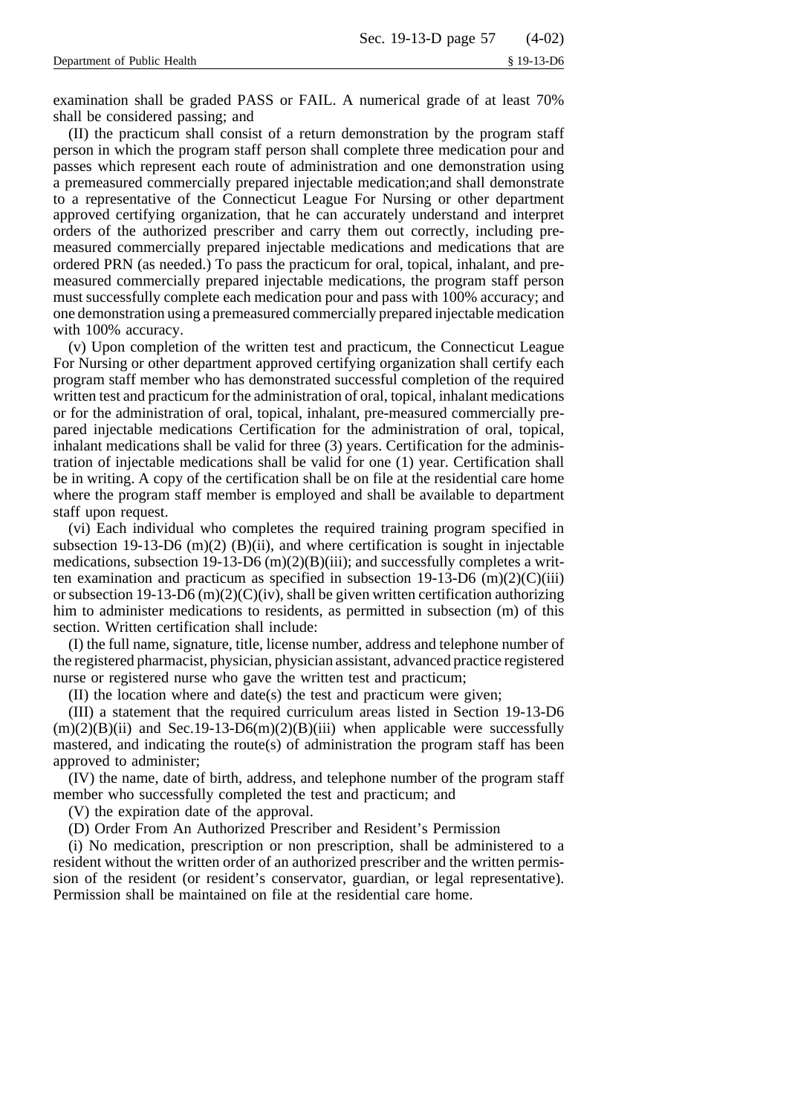examination shall be graded PASS or FAIL. A numerical grade of at least 70% shall be considered passing; and

(II) the practicum shall consist of a return demonstration by the program staff person in which the program staff person shall complete three medication pour and passes which represent each route of administration and one demonstration using a premeasured commercially prepared injectable medication;and shall demonstrate to a representative of the Connecticut League For Nursing or other department approved certifying organization, that he can accurately understand and interpret orders of the authorized prescriber and carry them out correctly, including premeasured commercially prepared injectable medications and medications that are ordered PRN (as needed.) To pass the practicum for oral, topical, inhalant, and premeasured commercially prepared injectable medications, the program staff person must successfully complete each medication pour and pass with 100% accuracy; and one demonstration using a premeasured commercially prepared injectable medication with 100% accuracy.

(v) Upon completion of the written test and practicum, the Connecticut League For Nursing or other department approved certifying organization shall certify each program staff member who has demonstrated successful completion of the required written test and practicum for the administration of oral, topical, inhalant medications or for the administration of oral, topical, inhalant, pre-measured commercially prepared injectable medications Certification for the administration of oral, topical, inhalant medications shall be valid for three (3) years. Certification for the administration of injectable medications shall be valid for one (1) year. Certification shall be in writing. A copy of the certification shall be on file at the residential care home where the program staff member is employed and shall be available to department staff upon request.

(vi) Each individual who completes the required training program specified in subsection 19-13-D6  $(m)(2)$  (B)(ii), and where certification is sought in injectable medications, subsection 19-13-D6  $(m)(2)(B)(iii)$ ; and successfully completes a written examination and practicum as specified in subsection 19-13-D6  $(m)(2)(C)(iii)$ or subsection 19-13-D6 (m)(2)(C)(iv), shall be given written certification authorizing him to administer medications to residents, as permitted in subsection (m) of this section. Written certification shall include:

(I) the full name, signature, title, license number, address and telephone number of the registered pharmacist, physician, physician assistant, advanced practice registered nurse or registered nurse who gave the written test and practicum;

(II) the location where and date(s) the test and practicum were given;

(III) a statement that the required curriculum areas listed in Section 19-13-D6  $(m)(2)(B)(ii)$  and Sec.19-13-D6 $(m)(2)(B)(iii)$  when applicable were successfully mastered, and indicating the route(s) of administration the program staff has been approved to administer;

(IV) the name, date of birth, address, and telephone number of the program staff member who successfully completed the test and practicum; and

(V) the expiration date of the approval.

(D) Order From An Authorized Prescriber and Resident's Permission

(i) No medication, prescription or non prescription, shall be administered to a resident without the written order of an authorized prescriber and the written permission of the resident (or resident's conservator, guardian, or legal representative). Permission shall be maintained on file at the residential care home.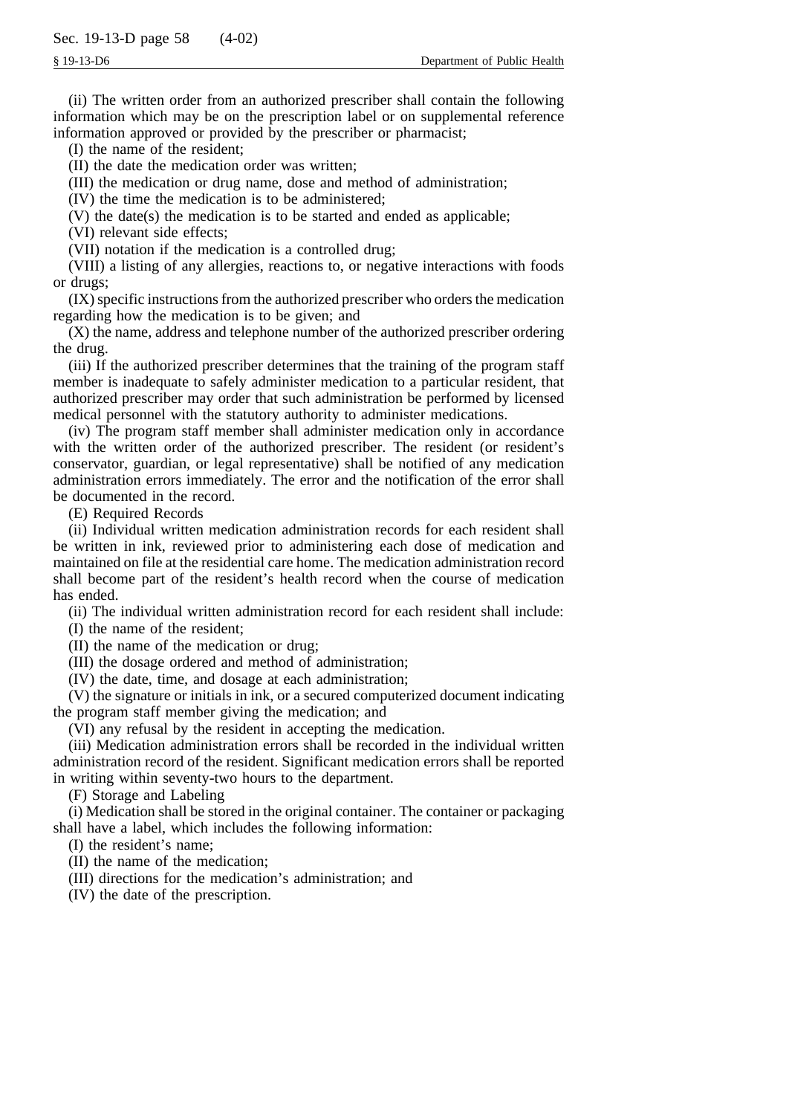(ii) The written order from an authorized prescriber shall contain the following information which may be on the prescription label or on supplemental reference information approved or provided by the prescriber or pharmacist;

(I) the name of the resident;

(II) the date the medication order was written;

(III) the medication or drug name, dose and method of administration;

(IV) the time the medication is to be administered;

(V) the date(s) the medication is to be started and ended as applicable;

(VI) relevant side effects;

(VII) notation if the medication is a controlled drug;

(VIII) a listing of any allergies, reactions to, or negative interactions with foods or drugs;

(IX) specific instructions from the authorized prescriber who orders the medication regarding how the medication is to be given; and

(X) the name, address and telephone number of the authorized prescriber ordering the drug.

(iii) If the authorized prescriber determines that the training of the program staff member is inadequate to safely administer medication to a particular resident, that authorized prescriber may order that such administration be performed by licensed medical personnel with the statutory authority to administer medications.

(iv) The program staff member shall administer medication only in accordance with the written order of the authorized prescriber. The resident (or resident's conservator, guardian, or legal representative) shall be notified of any medication administration errors immediately. The error and the notification of the error shall be documented in the record.

(E) Required Records

(ii) Individual written medication administration records for each resident shall be written in ink, reviewed prior to administering each dose of medication and maintained on file at the residential care home. The medication administration record shall become part of the resident's health record when the course of medication has ended.

(ii) The individual written administration record for each resident shall include:

(I) the name of the resident;

(II) the name of the medication or drug;

(III) the dosage ordered and method of administration;

(IV) the date, time, and dosage at each administration;

(V) the signature or initials in ink, or a secured computerized document indicating the program staff member giving the medication; and

(VI) any refusal by the resident in accepting the medication.

(iii) Medication administration errors shall be recorded in the individual written administration record of the resident. Significant medication errors shall be reported in writing within seventy-two hours to the department.

(F) Storage and Labeling

(i) Medication shall be stored in the original container. The container or packaging shall have a label, which includes the following information:

(I) the resident's name;

(II) the name of the medication;

(III) directions for the medication's administration; and

(IV) the date of the prescription.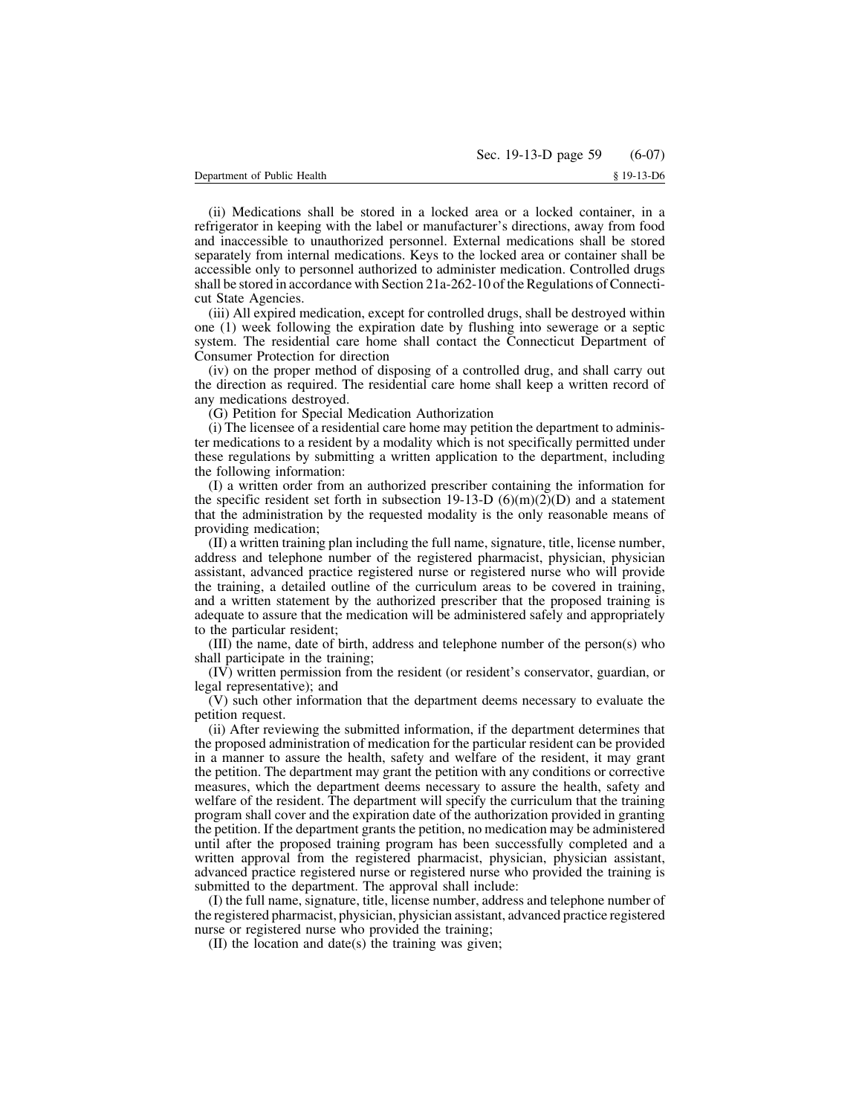(ii) Medications shall be stored in a locked area or a locked container, in a refrigerator in keeping with the label or manufacturer's directions, away from food and inaccessible to unauthorized personnel. External medications shall be stored separately from internal medications. Keys to the locked area or container shall be accessible only to personnel authorized to administer medication. Controlled drugs shall be stored in accordance with Section 21a-262-10 of the Regulations of Connecticut State Agencies.

(iii) All expired medication, except for controlled drugs, shall be destroyed within one (1) week following the expiration date by flushing into sewerage or a septic system. The residential care home shall contact the Connecticut Department of Consumer Protection for direction

(iv) on the proper method of disposing of a controlled drug, and shall carry out the direction as required. The residential care home shall keep a written record of any medications destroyed.

(G) Petition for Special Medication Authorization

(i) The licensee of a residential care home may petition the department to administer medications to a resident by a modality which is not specifically permitted under these regulations by submitting a written application to the department, including the following information:

(I) a written order from an authorized prescriber containing the information for the specific resident set forth in subsection 19-13-D (6)(m)(2)(D) and a statement that the administration by the requested modality is the only reasonable means of providing medication;

(II) a written training plan including the full name, signature, title, license number, address and telephone number of the registered pharmacist, physician, physician assistant, advanced practice registered nurse or registered nurse who will provide the training, a detailed outline of the curriculum areas to be covered in training, and a written statement by the authorized prescriber that the proposed training is adequate to assure that the medication will be administered safely and appropriately to the particular resident;

(III) the name, date of birth, address and telephone number of the person(s) who shall participate in the training;

(IV) written permission from the resident (or resident's conservator, guardian, or legal representative); and

(V) such other information that the department deems necessary to evaluate the petition request.

(ii) After reviewing the submitted information, if the department determines that the proposed administration of medication for the particular resident can be provided in a manner to assure the health, safety and welfare of the resident, it may grant the petition. The department may grant the petition with any conditions or corrective measures, which the department deems necessary to assure the health, safety and welfare of the resident. The department will specify the curriculum that the training program shall cover and the expiration date of the authorization provided in granting the petition. If the department grants the petition, no medication may be administered until after the proposed training program has been successfully completed and a written approval from the registered pharmacist, physician, physician assistant, advanced practice registered nurse or registered nurse who provided the training is submitted to the department. The approval shall include:

(I) the full name, signature, title, license number, address and telephone number of the registered pharmacist, physician, physician assistant, advanced practice registered nurse or registered nurse who provided the training;

(II) the location and date(s) the training was given;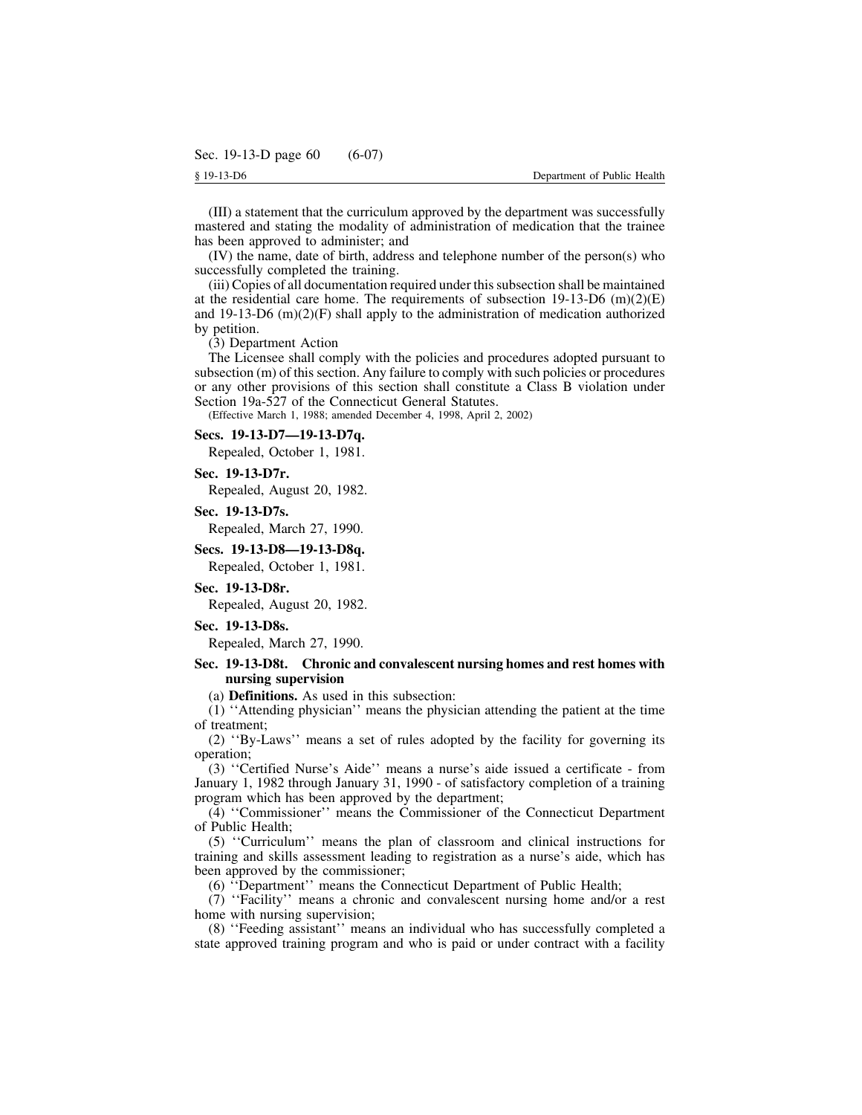(III) a statement that the curriculum approved by the department was successfully mastered and stating the modality of administration of medication that the trainee has been approved to administer; and

(IV) the name, date of birth, address and telephone number of the person(s) who successfully completed the training.

(iii) Copies of all documentation required under thissubsection shall be maintained at the residential care home. The requirements of subsection  $19-13-D6$  (m)(2)(E) and  $19-13-D6$  (m)(2)(F) shall apply to the administration of medication authorized by petition.

## (3) Department Action

The Licensee shall comply with the policies and procedures adopted pursuant to subsection (m) of this section. Any failure to comply with such policies or procedures or any other provisions of this section shall constitute a Class B violation under Section 19a-527 of the Connecticut General Statutes.

(Effective March 1, 1988; amended December 4, 1998, April 2, 2002)

# **Secs. 19-13-D7—19-13-D7q.**

Repealed, October 1, 1981.

## **Sec. 19-13-D7r.**

Repealed, August 20, 1982.

## **Sec. 19-13-D7s.**

Repealed, March 27, 1990.

### **Secs. 19-13-D8—19-13-D8q.**

Repealed, October 1, 1981.

## **Sec. 19-13-D8r.**

Repealed, August 20, 1982.

# **Sec. 19-13-D8s.**

Repealed, March 27, 1990.

# **Sec. 19-13-D8t. Chronic and convalescent nursing homes and rest homes with nursing supervision**

(a) **Definitions.** As used in this subsection:

(1) ''Attending physician'' means the physician attending the patient at the time of treatment;

(2) ''By-Laws'' means a set of rules adopted by the facility for governing its operation;

(3) ''Certified Nurse's Aide'' means a nurse's aide issued a certificate - from January 1, 1982 through January 31, 1990 - of satisfactory completion of a training program which has been approved by the department;

(4) ''Commissioner'' means the Commissioner of the Connecticut Department of Public Health;

(5) ''Curriculum'' means the plan of classroom and clinical instructions for training and skills assessment leading to registration as a nurse's aide, which has been approved by the commissioner;

(6) ''Department'' means the Connecticut Department of Public Health;

(7) ''Facility'' means a chronic and convalescent nursing home and/or a rest home with nursing supervision;

(8) ''Feeding assistant'' means an individual who has successfully completed a state approved training program and who is paid or under contract with a facility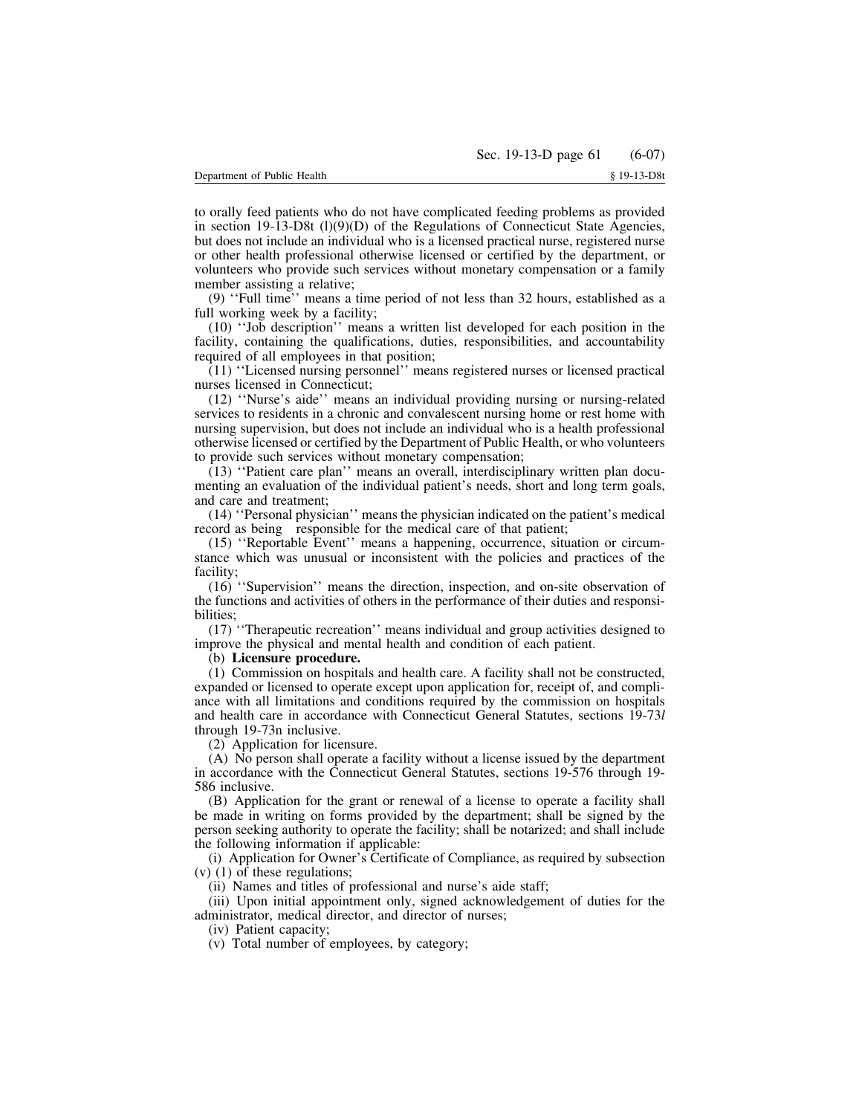to orally feed patients who do not have complicated feeding problems as provided in section  $19-13-D8t$  (1)(9)(D) of the Regulations of Connecticut State Agencies, but does not include an individual who is a licensed practical nurse, registered nurse or other health professional otherwise licensed or certified by the department, or volunteers who provide such services without monetary compensation or a family member assisting a relative;

(9) ''Full time'' means a time period of not less than 32 hours, established as a full working week by a facility;

(10) ''Job description'' means a written list developed for each position in the facility, containing the qualifications, duties, responsibilities, and accountability required of all employees in that position;

(11) ''Licensed nursing personnel'' means registered nurses or licensed practical nurses licensed in Connecticut;

(12) ''Nurse's aide'' means an individual providing nursing or nursing-related services to residents in a chronic and convalescent nursing home or rest home with nursing supervision, but does not include an individual who is a health professional otherwise licensed or certified by the Department of Public Health, or who volunteers to provide such services without monetary compensation;

(13) ''Patient care plan'' means an overall, interdisciplinary written plan documenting an evaluation of the individual patient's needs, short and long term goals, and care and treatment;

(14) ''Personal physician'' means the physician indicated on the patient's medical record as being responsible for the medical care of that patient;

(15) ''Reportable Event'' means a happening, occurrence, situation or circumstance which was unusual or inconsistent with the policies and practices of the facility;

(16) ''Supervision'' means the direction, inspection, and on-site observation of the functions and activities of others in the performance of their duties and responsibilities;

(17) ''Therapeutic recreation'' means individual and group activities designed to improve the physical and mental health and condition of each patient.

### (b) **Licensure procedure.**

(1) Commission on hospitals and health care. A facility shall not be constructed, expanded or licensed to operate except upon application for, receipt of, and compliance with all limitations and conditions required by the commission on hospitals and health care in accordance with Connecticut General Statutes, sections 19-73*l* through 19-73n inclusive.

(2) Application for licensure.

(A) No person shall operate a facility without a license issued by the department in accordance with the Connecticut General Statutes, sections 19-576 through 19- 586 inclusive.

(B) Application for the grant or renewal of a license to operate a facility shall be made in writing on forms provided by the department; shall be signed by the person seeking authority to operate the facility; shall be notarized; and shall include the following information if applicable:

(i) Application for Owner's Certificate of Compliance, as required by subsection (v) (1) of these regulations;

(ii) Names and titles of professional and nurse's aide staff;

(iii) Upon initial appointment only, signed acknowledgement of duties for the administrator, medical director, and director of nurses;

(iv) Patient capacity;

(v) Total number of employees, by category;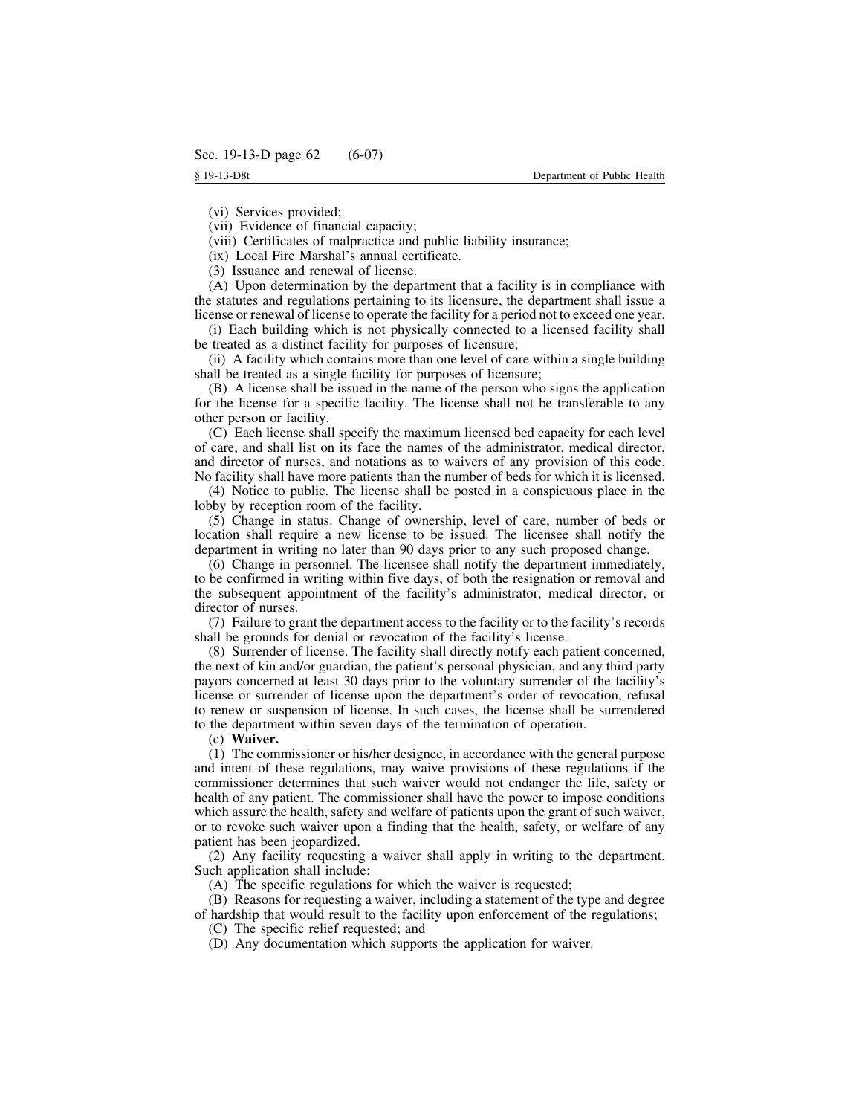(vi) Services provided;

(vii) Evidence of financial capacity;

(viii) Certificates of malpractice and public liability insurance;

(ix) Local Fire Marshal's annual certificate.

(3) Issuance and renewal of license.

(A) Upon determination by the department that a facility is in compliance with the statutes and regulations pertaining to its licensure, the department shall issue a license or renewal of license to operate the facility for a period not to exceed one year.

(i) Each building which is not physically connected to a licensed facility shall be treated as a distinct facility for purposes of licensure;

(ii) A facility which contains more than one level of care within a single building shall be treated as a single facility for purposes of licensure;

(B) A license shall be issued in the name of the person who signs the application for the license for a specific facility. The license shall not be transferable to any other person or facility.

(C) Each license shall specify the maximum licensed bed capacity for each level of care, and shall list on its face the names of the administrator, medical director, and director of nurses, and notations as to waivers of any provision of this code. No facility shall have more patients than the number of beds for which it is licensed.

(4) Notice to public. The license shall be posted in a conspicuous place in the lobby by reception room of the facility.

(5) Change in status. Change of ownership, level of care, number of beds or location shall require a new license to be issued. The licensee shall notify the department in writing no later than 90 days prior to any such proposed change.

(6) Change in personnel. The licensee shall notify the department immediately, to be confirmed in writing within five days, of both the resignation or removal and the subsequent appointment of the facility's administrator, medical director, or director of nurses.

(7) Failure to grant the department access to the facility or to the facility's records shall be grounds for denial or revocation of the facility's license.

(8) Surrender of license. The facility shall directly notify each patient concerned, the next of kin and/or guardian, the patient's personal physician, and any third party payors concerned at least 30 days prior to the voluntary surrender of the facility's license or surrender of license upon the department's order of revocation, refusal to renew or suspension of license. In such cases, the license shall be surrendered to the department within seven days of the termination of operation.

(c) **Waiver.**

(1) The commissioner or his/her designee, in accordance with the general purpose and intent of these regulations, may waive provisions of these regulations if the commissioner determines that such waiver would not endanger the life, safety or health of any patient. The commissioner shall have the power to impose conditions which assure the health, safety and welfare of patients upon the grant of such waiver, or to revoke such waiver upon a finding that the health, safety, or welfare of any patient has been jeopardized.

(2) Any facility requesting a waiver shall apply in writing to the department. Such application shall include:

(A) The specific regulations for which the waiver is requested;

(B) Reasons for requesting a waiver, including a statement of the type and degree of hardship that would result to the facility upon enforcement of the regulations;

(C) The specific relief requested; and

(D) Any documentation which supports the application for waiver.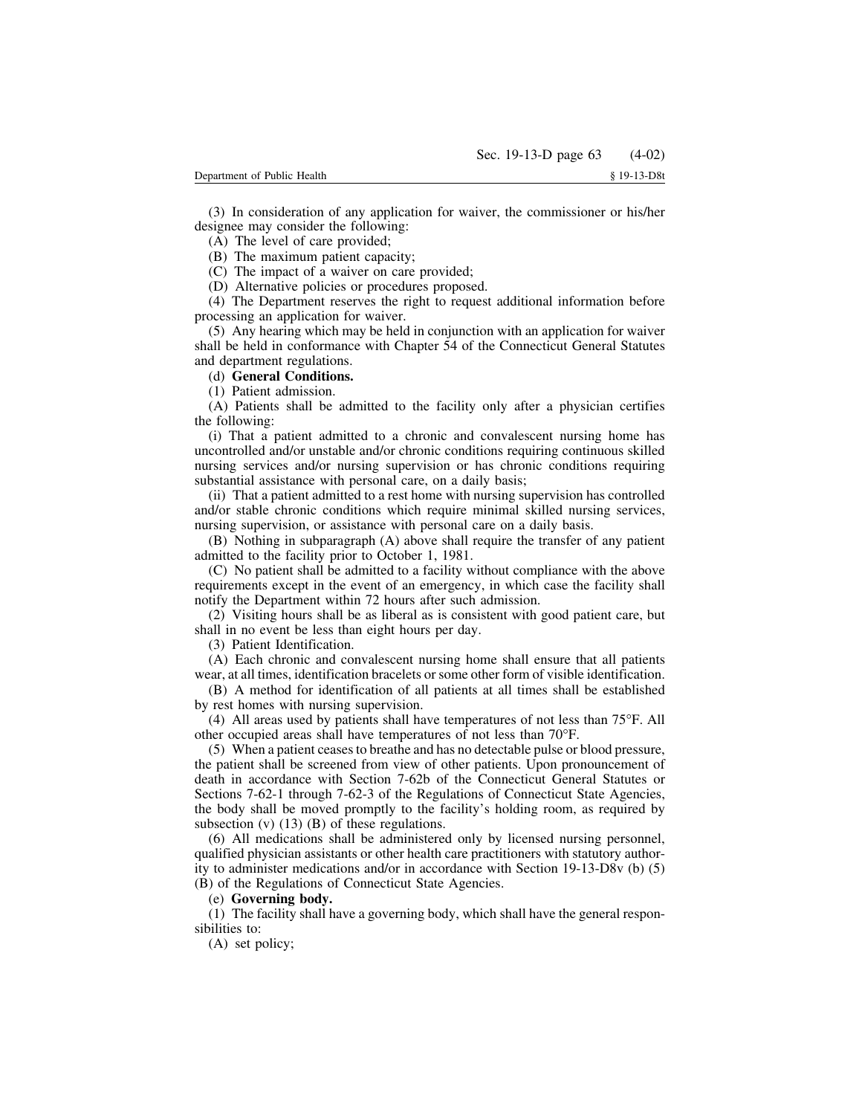(3) In consideration of any application for waiver, the commissioner or his/her designee may consider the following:

(A) The level of care provided;

(B) The maximum patient capacity;

(C) The impact of a waiver on care provided;

(D) Alternative policies or procedures proposed.

(4) The Department reserves the right to request additional information before processing an application for waiver.

(5) Any hearing which may be held in conjunction with an application for waiver shall be held in conformance with Chapter 54 of the Connecticut General Statutes and department regulations.

### (d) **General Conditions.**

(1) Patient admission.

(A) Patients shall be admitted to the facility only after a physician certifies the following:

(i) That a patient admitted to a chronic and convalescent nursing home has uncontrolled and/or unstable and/or chronic conditions requiring continuous skilled nursing services and/or nursing supervision or has chronic conditions requiring substantial assistance with personal care, on a daily basis;

(ii) That a patient admitted to a rest home with nursing supervision has controlled and/or stable chronic conditions which require minimal skilled nursing services, nursing supervision, or assistance with personal care on a daily basis.

(B) Nothing in subparagraph (A) above shall require the transfer of any patient admitted to the facility prior to October 1, 1981.

(C) No patient shall be admitted to a facility without compliance with the above requirements except in the event of an emergency, in which case the facility shall notify the Department within 72 hours after such admission.

(2) Visiting hours shall be as liberal as is consistent with good patient care, but shall in no event be less than eight hours per day.

(3) Patient Identification.

(A) Each chronic and convalescent nursing home shall ensure that all patients wear, at all times, identification bracelets or some other form of visible identification.

(B) A method for identification of all patients at all times shall be established by rest homes with nursing supervision.

(4) All areas used by patients shall have temperatures of not less than 75°F. All other occupied areas shall have temperatures of not less than 70°F.

(5) When a patient ceasesto breathe and has no detectable pulse or blood pressure, the patient shall be screened from view of other patients. Upon pronouncement of death in accordance with Section 7-62b of the Connecticut General Statutes or Sections 7-62-1 through 7-62-3 of the Regulations of Connecticut State Agencies, the body shall be moved promptly to the facility's holding room, as required by subsection  $(v)$  (13) (B) of these regulations.

(6) All medications shall be administered only by licensed nursing personnel, qualified physician assistants or other health care practitioners with statutory authority to administer medications and/or in accordance with Section 19-13-D8v (b) (5) (B) of the Regulations of Connecticut State Agencies.

### (e) **Governing body.**

(1) The facility shall have a governing body, which shall have the general responsibilities to:

(A) set policy;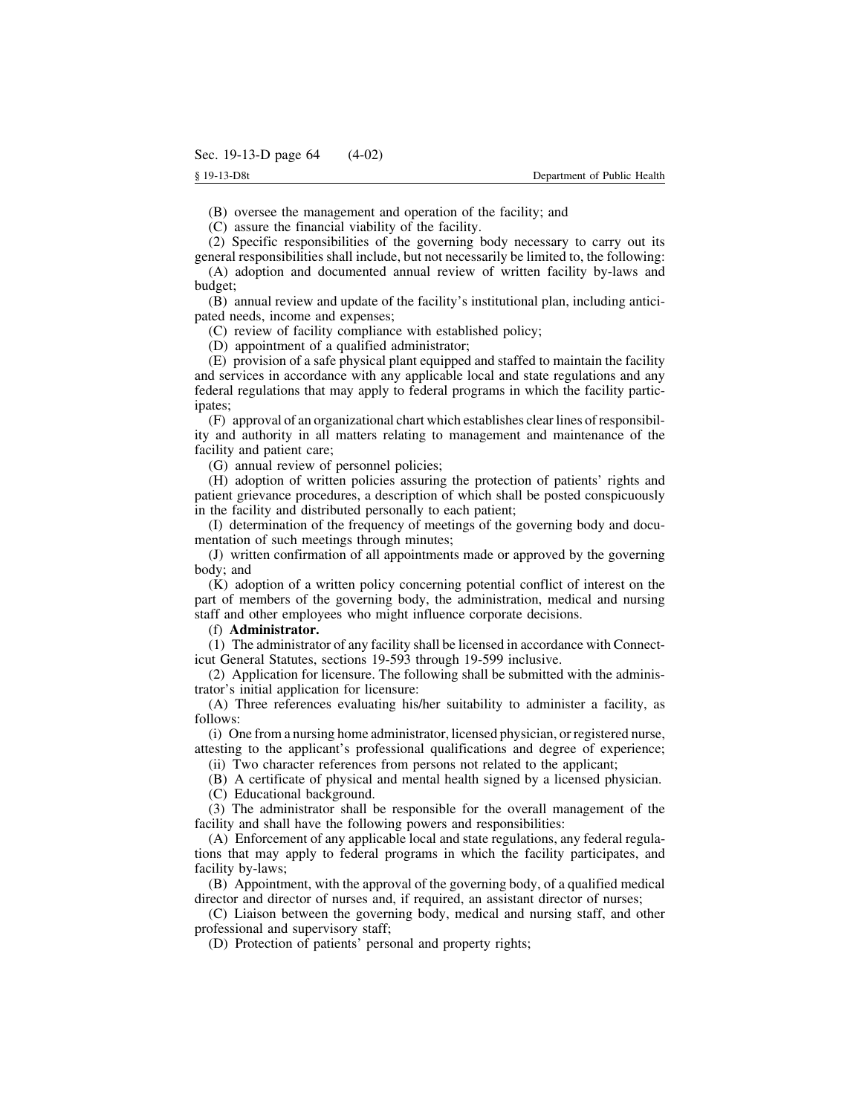(B) oversee the management and operation of the facility; and

(C) assure the financial viability of the facility.

(2) Specific responsibilities of the governing body necessary to carry out its general responsibilities shall include, but not necessarily be limited to, the following:

(A) adoption and documented annual review of written facility by-laws and budget;

(B) annual review and update of the facility's institutional plan, including anticipated needs, income and expenses;

(C) review of facility compliance with established policy;

(D) appointment of a qualified administrator;

(E) provision of a safe physical plant equipped and staffed to maintain the facility and services in accordance with any applicable local and state regulations and any federal regulations that may apply to federal programs in which the facility participates;

(F) approval of an organizational chart which establishes clear lines of responsibility and authority in all matters relating to management and maintenance of the facility and patient care;

(G) annual review of personnel policies;

(H) adoption of written policies assuring the protection of patients' rights and patient grievance procedures, a description of which shall be posted conspicuously in the facility and distributed personally to each patient;

(I) determination of the frequency of meetings of the governing body and documentation of such meetings through minutes;

(J) written confirmation of all appointments made or approved by the governing body; and

(K) adoption of a written policy concerning potential conflict of interest on the part of members of the governing body, the administration, medical and nursing staff and other employees who might influence corporate decisions.

### (f) **Administrator.**

(1) The administrator of any facility shall be licensed in accordance with Connecticut General Statutes, sections 19-593 through 19-599 inclusive.

(2) Application for licensure. The following shall be submitted with the administrator's initial application for licensure:

(A) Three references evaluating his/her suitability to administer a facility, as follows:

(i) One from a nursing home administrator, licensed physician, or registered nurse, attesting to the applicant's professional qualifications and degree of experience;

(ii) Two character references from persons not related to the applicant;

(B) A certificate of physical and mental health signed by a licensed physician.

(C) Educational background.

(3) The administrator shall be responsible for the overall management of the facility and shall have the following powers and responsibilities:

(A) Enforcement of any applicable local and state regulations, any federal regulations that may apply to federal programs in which the facility participates, and facility by-laws;

(B) Appointment, with the approval of the governing body, of a qualified medical director and director of nurses and, if required, an assistant director of nurses;

(C) Liaison between the governing body, medical and nursing staff, and other professional and supervisory staff;

(D) Protection of patients' personal and property rights;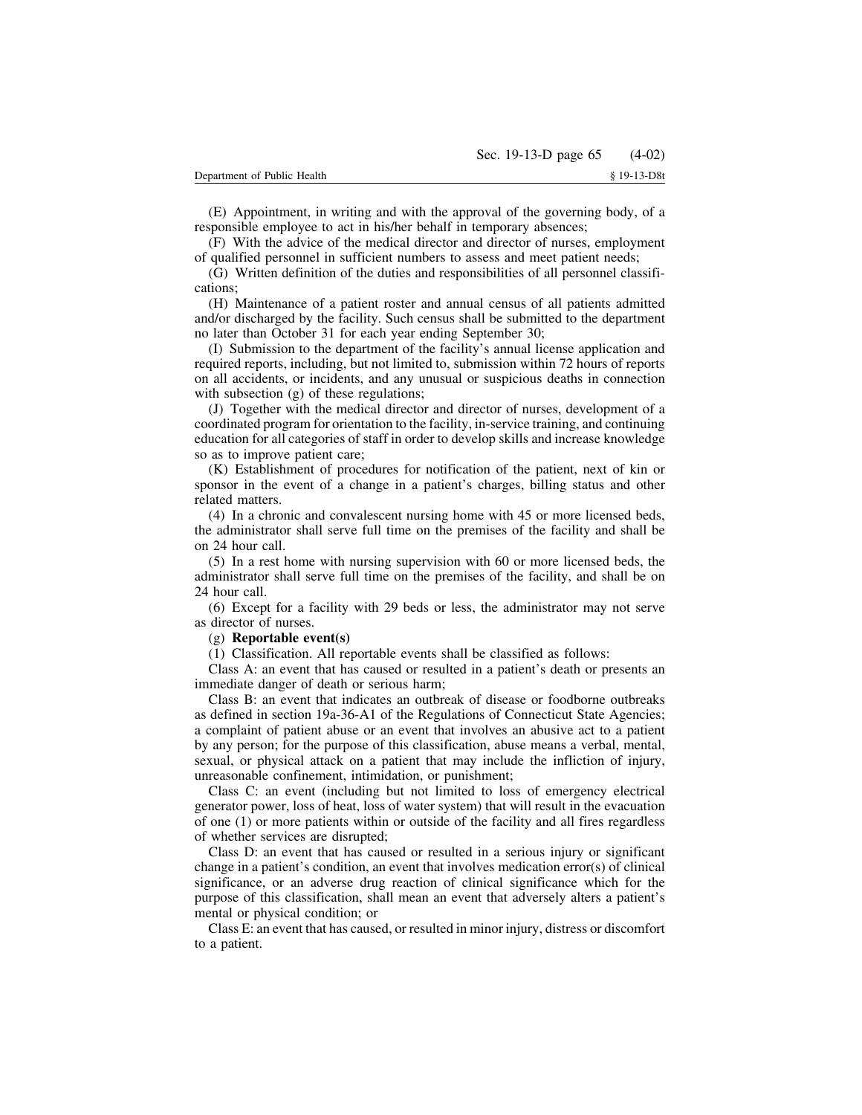(E) Appointment, in writing and with the approval of the governing body, of a responsible employee to act in his/her behalf in temporary absences;

(F) With the advice of the medical director and director of nurses, employment of qualified personnel in sufficient numbers to assess and meet patient needs;

(G) Written definition of the duties and responsibilities of all personnel classifications;

(H) Maintenance of a patient roster and annual census of all patients admitted and/or discharged by the facility. Such census shall be submitted to the department no later than October 31 for each year ending September 30;

(I) Submission to the department of the facility's annual license application and required reports, including, but not limited to, submission within 72 hours of reports on all accidents, or incidents, and any unusual or suspicious deaths in connection with subsection (g) of these regulations;

(J) Together with the medical director and director of nurses, development of a coordinated program for orientation to the facility, in-service training, and continuing education for all categories of staff in order to develop skills and increase knowledge so as to improve patient care;

(K) Establishment of procedures for notification of the patient, next of kin or sponsor in the event of a change in a patient's charges, billing status and other related matters.

(4) In a chronic and convalescent nursing home with 45 or more licensed beds, the administrator shall serve full time on the premises of the facility and shall be on 24 hour call.

(5) In a rest home with nursing supervision with 60 or more licensed beds, the administrator shall serve full time on the premises of the facility, and shall be on 24 hour call.

(6) Except for a facility with 29 beds or less, the administrator may not serve as director of nurses.

### (g) **Reportable event(s)**

(1) Classification. All reportable events shall be classified as follows:

Class A: an event that has caused or resulted in a patient's death or presents an immediate danger of death or serious harm;

Class B: an event that indicates an outbreak of disease or foodborne outbreaks as defined in section 19a-36-A1 of the Regulations of Connecticut State Agencies; a complaint of patient abuse or an event that involves an abusive act to a patient by any person; for the purpose of this classification, abuse means a verbal, mental, sexual, or physical attack on a patient that may include the infliction of injury, unreasonable confinement, intimidation, or punishment;

Class C: an event (including but not limited to loss of emergency electrical generator power, loss of heat, loss of water system) that will result in the evacuation of one (1) or more patients within or outside of the facility and all fires regardless of whether services are disrupted;

Class D: an event that has caused or resulted in a serious injury or significant change in a patient's condition, an event that involves medication error(s) of clinical significance, or an adverse drug reaction of clinical significance which for the purpose of this classification, shall mean an event that adversely alters a patient's mental or physical condition; or

Class E: an event that has caused, or resulted in minor injury, distress or discomfort to a patient.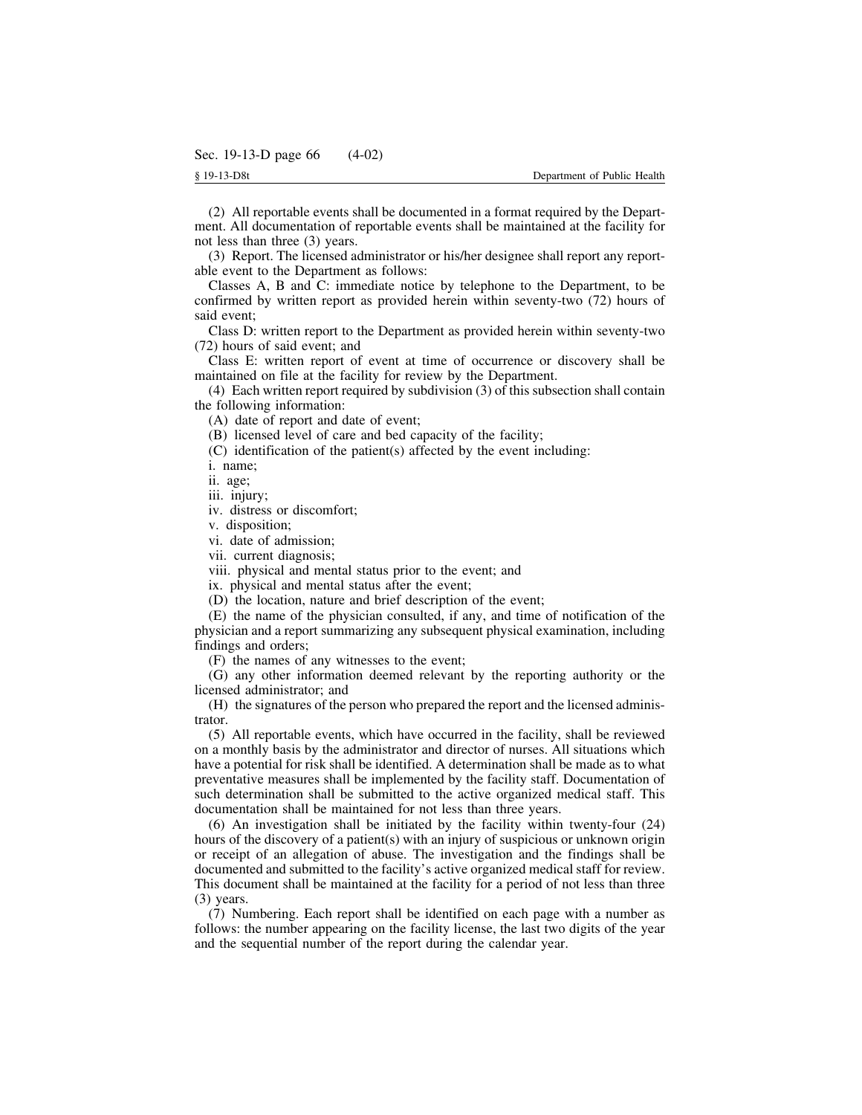(2) All reportable events shall be documented in a format required by the Department. All documentation of reportable events shall be maintained at the facility for not less than three (3) years.

(3) Report. The licensed administrator or his/her designee shall report any reportable event to the Department as follows:

Classes A, B and C: immediate notice by telephone to the Department, to be confirmed by written report as provided herein within seventy-two (72) hours of said event;

Class D: written report to the Department as provided herein within seventy-two (72) hours of said event; and

Class E: written report of event at time of occurrence or discovery shall be maintained on file at the facility for review by the Department.

(4) Each written report required by subdivision (3) of this subsection shall contain the following information:

(A) date of report and date of event;

(B) licensed level of care and bed capacity of the facility;

(C) identification of the patient(s) affected by the event including:

i. name;

ii. age;

iii. injury;

iv. distress or discomfort;

v. disposition;

vi. date of admission;

vii. current diagnosis;

viii. physical and mental status prior to the event; and

ix. physical and mental status after the event;

(D) the location, nature and brief description of the event;

(E) the name of the physician consulted, if any, and time of notification of the physician and a report summarizing any subsequent physical examination, including findings and orders;

(F) the names of any witnesses to the event;

(G) any other information deemed relevant by the reporting authority or the licensed administrator; and

(H) the signatures of the person who prepared the report and the licensed administrator.

(5) All reportable events, which have occurred in the facility, shall be reviewed on a monthly basis by the administrator and director of nurses. All situations which have a potential for risk shall be identified. A determination shall be made as to what preventative measures shall be implemented by the facility staff. Documentation of such determination shall be submitted to the active organized medical staff. This documentation shall be maintained for not less than three years.

(6) An investigation shall be initiated by the facility within twenty-four (24) hours of the discovery of a patient(s) with an injury of suspicious or unknown origin or receipt of an allegation of abuse. The investigation and the findings shall be documented and submitted to the facility's active organized medical staff for review. This document shall be maintained at the facility for a period of not less than three (3) years.

(7) Numbering. Each report shall be identified on each page with a number as follows: the number appearing on the facility license, the last two digits of the year and the sequential number of the report during the calendar year.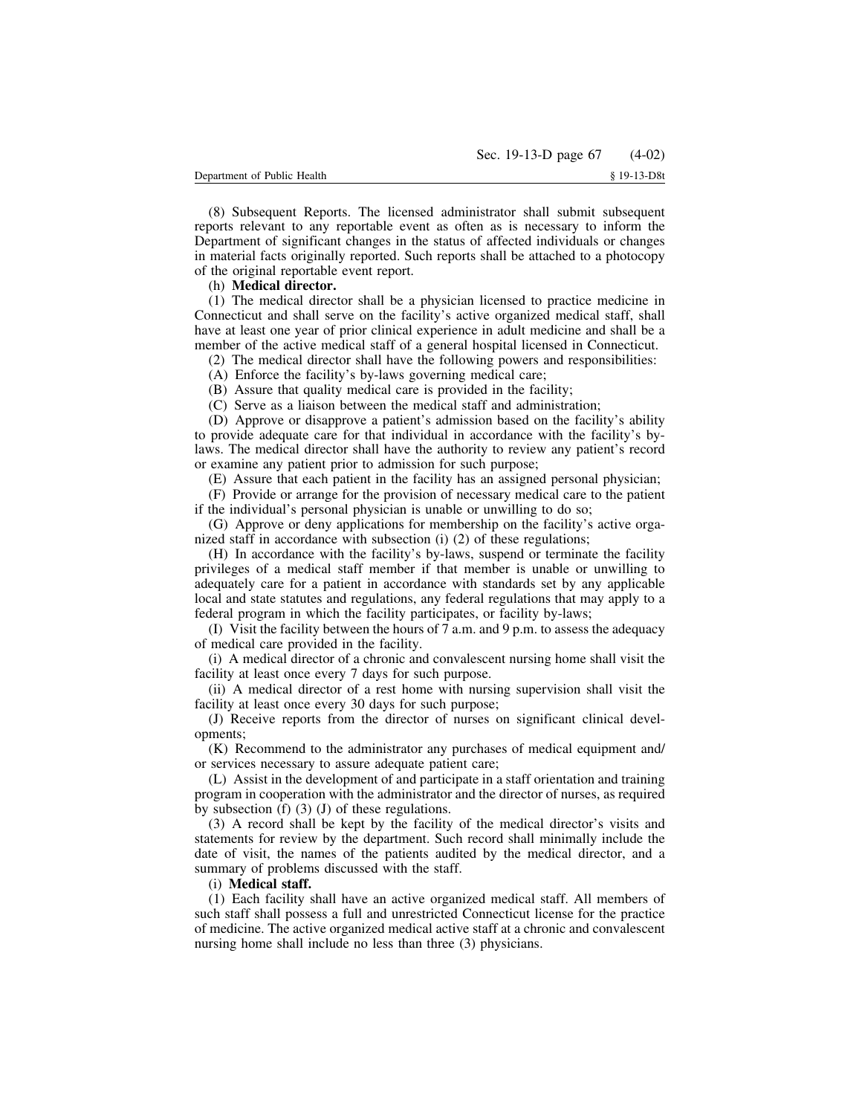(8) Subsequent Reports. The licensed administrator shall submit subsequent reports relevant to any reportable event as often as is necessary to inform the Department of significant changes in the status of affected individuals or changes in material facts originally reported. Such reports shall be attached to a photocopy of the original reportable event report.

# (h) **Medical director.**

(1) The medical director shall be a physician licensed to practice medicine in Connecticut and shall serve on the facility's active organized medical staff, shall have at least one year of prior clinical experience in adult medicine and shall be a member of the active medical staff of a general hospital licensed in Connecticut.

(2) The medical director shall have the following powers and responsibilities:

(A) Enforce the facility's by-laws governing medical care;

(B) Assure that quality medical care is provided in the facility;

(C) Serve as a liaison between the medical staff and administration;

(D) Approve or disapprove a patient's admission based on the facility's ability to provide adequate care for that individual in accordance with the facility's bylaws. The medical director shall have the authority to review any patient's record or examine any patient prior to admission for such purpose;

(E) Assure that each patient in the facility has an assigned personal physician;

(F) Provide or arrange for the provision of necessary medical care to the patient if the individual's personal physician is unable or unwilling to do so;

(G) Approve or deny applications for membership on the facility's active organized staff in accordance with subsection (i) (2) of these regulations;

(H) In accordance with the facility's by-laws, suspend or terminate the facility privileges of a medical staff member if that member is unable or unwilling to adequately care for a patient in accordance with standards set by any applicable local and state statutes and regulations, any federal regulations that may apply to a federal program in which the facility participates, or facility by-laws;

(I) Visit the facility between the hours of 7 a.m. and 9 p.m. to assess the adequacy of medical care provided in the facility.

(i) A medical director of a chronic and convalescent nursing home shall visit the facility at least once every 7 days for such purpose.

(ii) A medical director of a rest home with nursing supervision shall visit the facility at least once every 30 days for such purpose;

(J) Receive reports from the director of nurses on significant clinical developments;

(K) Recommend to the administrator any purchases of medical equipment and/ or services necessary to assure adequate patient care;

(L) Assist in the development of and participate in a staff orientation and training program in cooperation with the administrator and the director of nurses, as required by subsection (f) (3) (J) of these regulations.

(3) A record shall be kept by the facility of the medical director's visits and statements for review by the department. Such record shall minimally include the date of visit, the names of the patients audited by the medical director, and a summary of problems discussed with the staff.

### (i) **Medical staff.**

(1) Each facility shall have an active organized medical staff. All members of such staff shall possess a full and unrestricted Connecticut license for the practice of medicine. The active organized medical active staff at a chronic and convalescent nursing home shall include no less than three (3) physicians.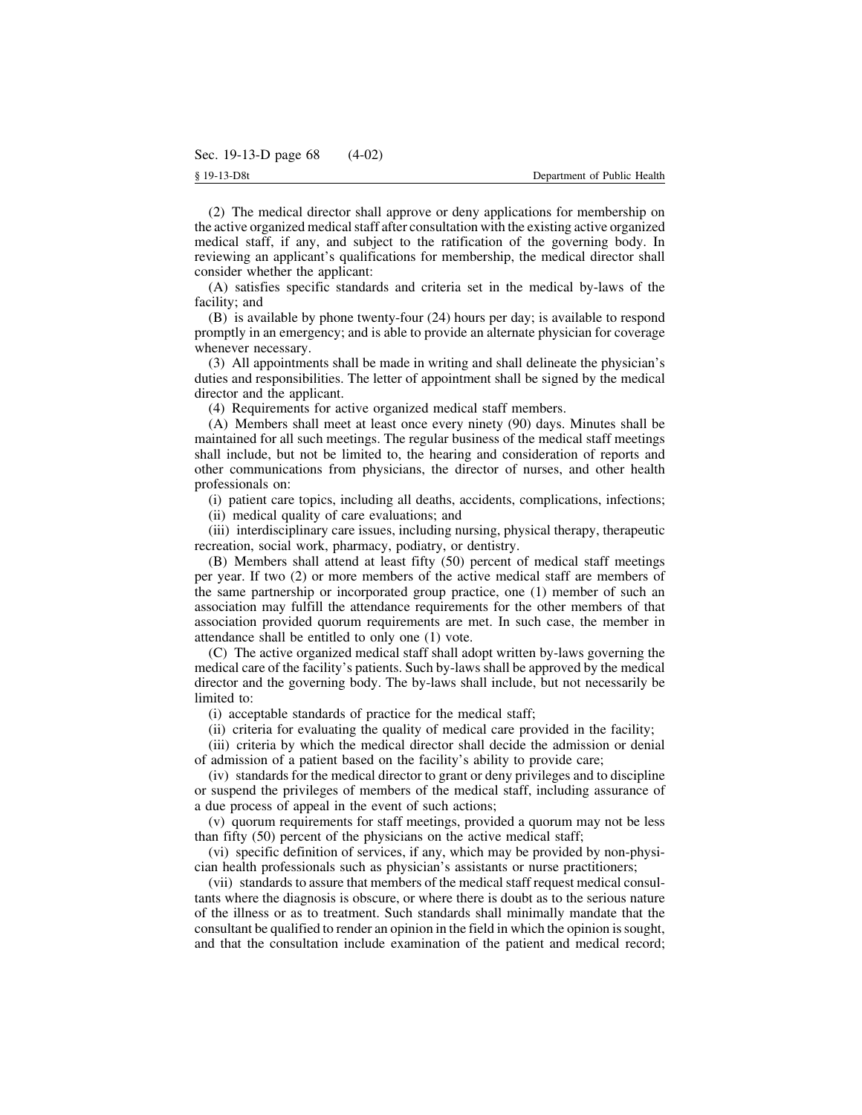(2) The medical director shall approve or deny applications for membership on the active organized medicalstaff after consultation with the existing active organized medical staff, if any, and subject to the ratification of the governing body. In reviewing an applicant's qualifications for membership, the medical director shall consider whether the applicant:

(A) satisfies specific standards and criteria set in the medical by-laws of the facility; and

(B) is available by phone twenty-four (24) hours per day; is available to respond promptly in an emergency; and is able to provide an alternate physician for coverage whenever necessary.

(3) All appointments shall be made in writing and shall delineate the physician's duties and responsibilities. The letter of appointment shall be signed by the medical director and the applicant.

(4) Requirements for active organized medical staff members.

(A) Members shall meet at least once every ninety (90) days. Minutes shall be maintained for all such meetings. The regular business of the medical staff meetings shall include, but not be limited to, the hearing and consideration of reports and other communications from physicians, the director of nurses, and other health professionals on:

(i) patient care topics, including all deaths, accidents, complications, infections;

(ii) medical quality of care evaluations; and

(iii) interdisciplinary care issues, including nursing, physical therapy, therapeutic recreation, social work, pharmacy, podiatry, or dentistry.

(B) Members shall attend at least fifty (50) percent of medical staff meetings per year. If two (2) or more members of the active medical staff are members of the same partnership or incorporated group practice, one (1) member of such an association may fulfill the attendance requirements for the other members of that association provided quorum requirements are met. In such case, the member in attendance shall be entitled to only one (1) vote.

(C) The active organized medical staff shall adopt written by-laws governing the medical care of the facility's patients. Such by-laws shall be approved by the medical director and the governing body. The by-laws shall include, but not necessarily be limited to:

(i) acceptable standards of practice for the medical staff;

(ii) criteria for evaluating the quality of medical care provided in the facility;

(iii) criteria by which the medical director shall decide the admission or denial of admission of a patient based on the facility's ability to provide care;

(iv) standards for the medical director to grant or deny privileges and to discipline or suspend the privileges of members of the medical staff, including assurance of a due process of appeal in the event of such actions;

(v) quorum requirements for staff meetings, provided a quorum may not be less than fifty (50) percent of the physicians on the active medical staff;

(vi) specific definition of services, if any, which may be provided by non-physician health professionals such as physician's assistants or nurse practitioners;

(vii) standards to assure that members of the medical staff request medical consultants where the diagnosis is obscure, or where there is doubt as to the serious nature of the illness or as to treatment. Such standards shall minimally mandate that the consultant be qualified to render an opinion in the field in which the opinion issought, and that the consultation include examination of the patient and medical record;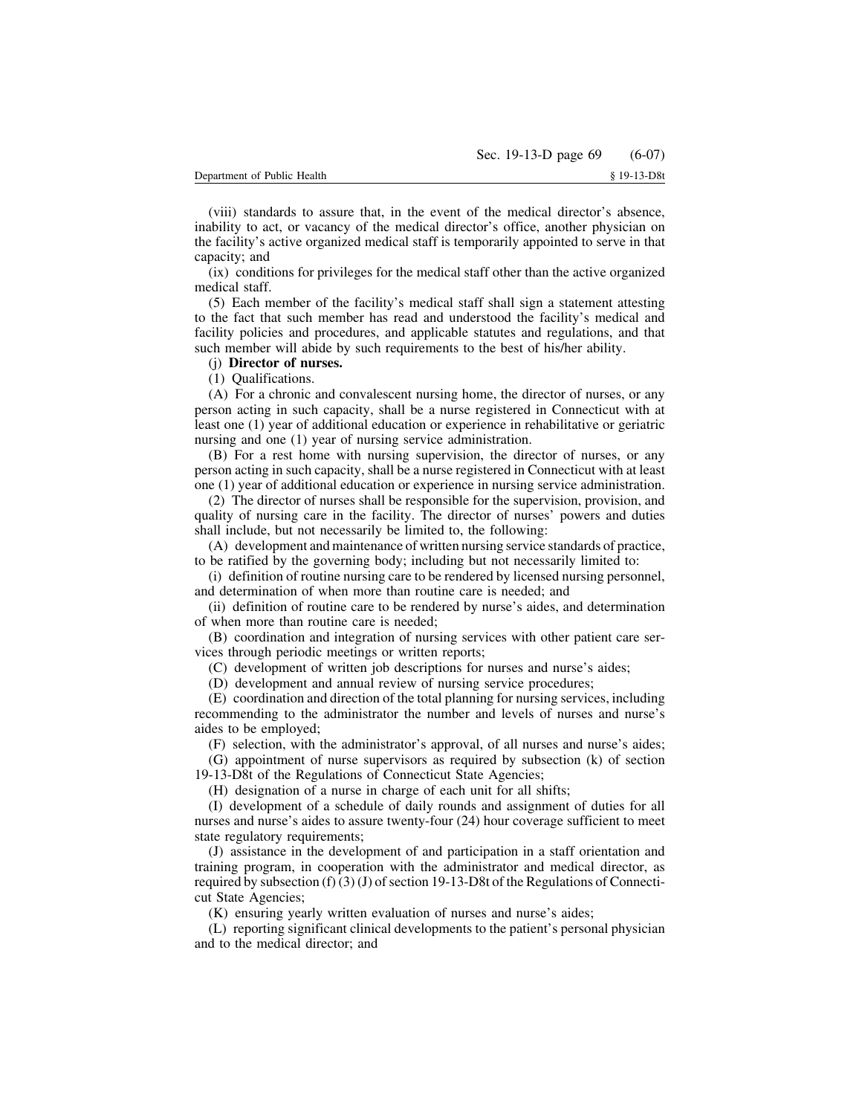(viii) standards to assure that, in the event of the medical director's absence, inability to act, or vacancy of the medical director's office, another physician on the facility's active organized medical staff is temporarily appointed to serve in that capacity; and

(ix) conditions for privileges for the medical staff other than the active organized medical staff.

(5) Each member of the facility's medical staff shall sign a statement attesting to the fact that such member has read and understood the facility's medical and facility policies and procedures, and applicable statutes and regulations, and that such member will abide by such requirements to the best of his/her ability.

## (j) **Director of nurses.**

(1) Qualifications.

(A) For a chronic and convalescent nursing home, the director of nurses, or any person acting in such capacity, shall be a nurse registered in Connecticut with at least one (1) year of additional education or experience in rehabilitative or geriatric nursing and one (1) year of nursing service administration.

(B) For a rest home with nursing supervision, the director of nurses, or any person acting in such capacity, shall be a nurse registered in Connecticut with at least one (1) year of additional education or experience in nursing service administration.

(2) The director of nurses shall be responsible for the supervision, provision, and quality of nursing care in the facility. The director of nurses' powers and duties shall include, but not necessarily be limited to, the following:

(A) development and maintenance of written nursing service standards of practice, to be ratified by the governing body; including but not necessarily limited to:

(i) definition of routine nursing care to be rendered by licensed nursing personnel, and determination of when more than routine care is needed; and

(ii) definition of routine care to be rendered by nurse's aides, and determination of when more than routine care is needed;

(B) coordination and integration of nursing services with other patient care services through periodic meetings or written reports;

(C) development of written job descriptions for nurses and nurse's aides;

(D) development and annual review of nursing service procedures;

(E) coordination and direction of the total planning for nursing services, including recommending to the administrator the number and levels of nurses and nurse's aides to be employed;

(F) selection, with the administrator's approval, of all nurses and nurse's aides;

(G) appointment of nurse supervisors as required by subsection (k) of section 19-13-D8t of the Regulations of Connecticut State Agencies;

(H) designation of a nurse in charge of each unit for all shifts;

(I) development of a schedule of daily rounds and assignment of duties for all nurses and nurse's aides to assure twenty-four (24) hour coverage sufficient to meet state regulatory requirements;

(J) assistance in the development of and participation in a staff orientation and training program, in cooperation with the administrator and medical director, as required by subsection (f) (3) (J) of section 19-13-D8t of the Regulations of Connecticut State Agencies;

(K) ensuring yearly written evaluation of nurses and nurse's aides;

(L) reporting significant clinical developments to the patient's personal physician and to the medical director; and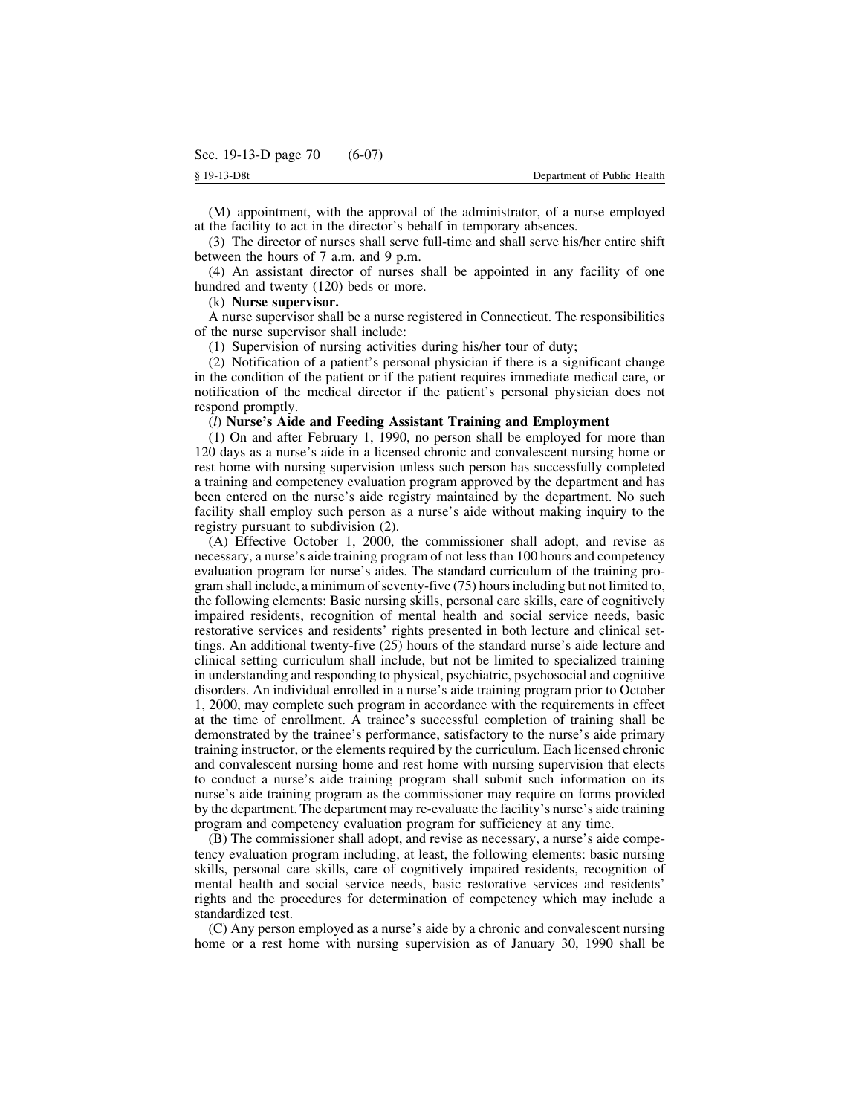(M) appointment, with the approval of the administrator, of a nurse employed at the facility to act in the director's behalf in temporary absences.

(3) The director of nurses shall serve full-time and shall serve his/her entire shift between the hours of 7 a.m. and 9 p.m.

(4) An assistant director of nurses shall be appointed in any facility of one hundred and twenty (120) beds or more.

### (k) **Nurse supervisor.**

A nurse supervisor shall be a nurse registered in Connecticut. The responsibilities of the nurse supervisor shall include:

(1) Supervision of nursing activities during his/her tour of duty;

(2) Notification of a patient's personal physician if there is a significant change in the condition of the patient or if the patient requires immediate medical care, or notification of the medical director if the patient's personal physician does not respond promptly.

## (*l*) **Nurse's Aide and Feeding Assistant Training and Employment**

(1) On and after February 1, 1990, no person shall be employed for more than 120 days as a nurse's aide in a licensed chronic and convalescent nursing home or rest home with nursing supervision unless such person has successfully completed a training and competency evaluation program approved by the department and has been entered on the nurse's aide registry maintained by the department. No such facility shall employ such person as a nurse's aide without making inquiry to the registry pursuant to subdivision (2).

(A) Effective October 1, 2000, the commissioner shall adopt, and revise as necessary, a nurse's aide training program of not less than 100 hours and competency evaluation program for nurse's aides. The standard curriculum of the training program shall include, a minimum of seventy-five  $(75)$  hours including but not limited to, the following elements: Basic nursing skills, personal care skills, care of cognitively impaired residents, recognition of mental health and social service needs, basic restorative services and residents' rights presented in both lecture and clinical settings. An additional twenty-five (25) hours of the standard nurse's aide lecture and clinical setting curriculum shall include, but not be limited to specialized training in understanding and responding to physical, psychiatric, psychosocial and cognitive disorders. An individual enrolled in a nurse's aide training program prior to October 1, 2000, may complete such program in accordance with the requirements in effect at the time of enrollment. A trainee's successful completion of training shall be demonstrated by the trainee's performance, satisfactory to the nurse's aide primary training instructor, or the elements required by the curriculum. Each licensed chronic and convalescent nursing home and rest home with nursing supervision that elects to conduct a nurse's aide training program shall submit such information on its nurse's aide training program as the commissioner may require on forms provided by the department. The department may re-evaluate the facility's nurse's aide training program and competency evaluation program for sufficiency at any time.

(B) The commissioner shall adopt, and revise as necessary, a nurse's aide competency evaluation program including, at least, the following elements: basic nursing skills, personal care skills, care of cognitively impaired residents, recognition of mental health and social service needs, basic restorative services and residents' rights and the procedures for determination of competency which may include a standardized test.

(C) Any person employed as a nurse's aide by a chronic and convalescent nursing home or a rest home with nursing supervision as of January 30, 1990 shall be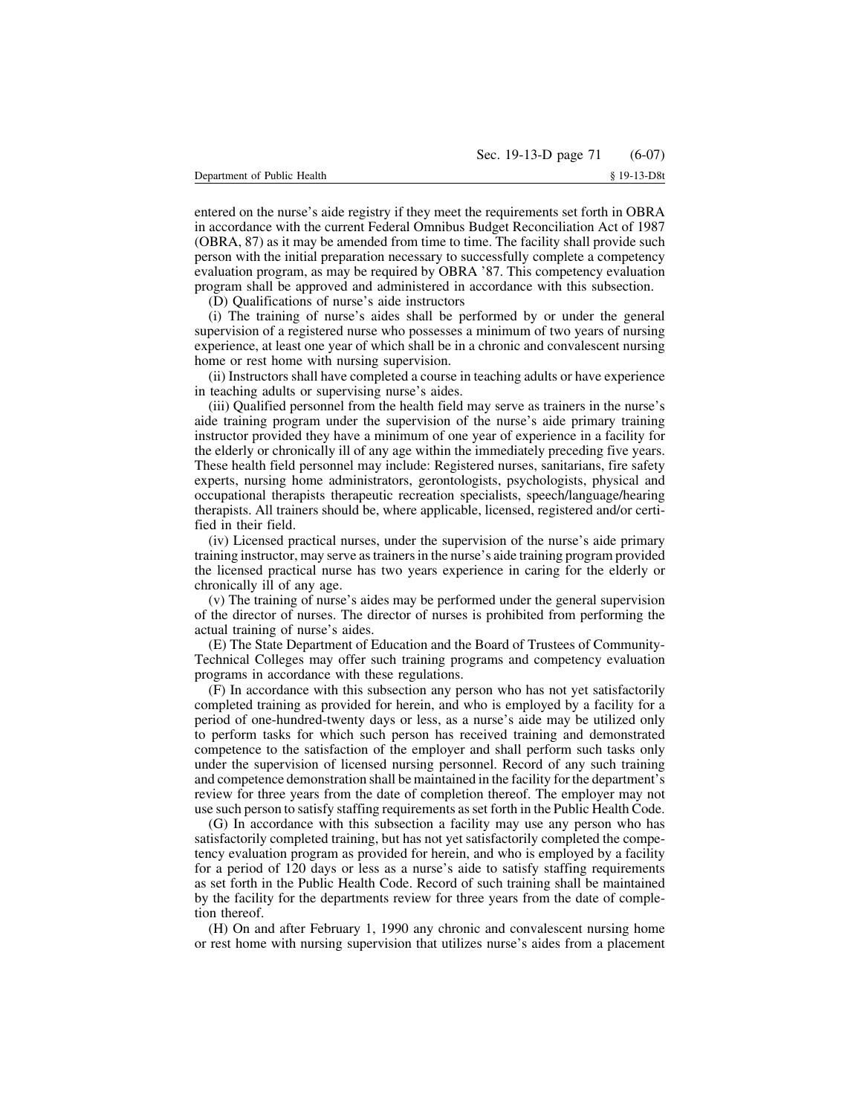entered on the nurse's aide registry if they meet the requirements set forth in OBRA in accordance with the current Federal Omnibus Budget Reconciliation Act of 1987 (OBRA, 87) as it may be amended from time to time. The facility shall provide such person with the initial preparation necessary to successfully complete a competency evaluation program, as may be required by OBRA '87. This competency evaluation program shall be approved and administered in accordance with this subsection.

(D) Qualifications of nurse's aide instructors

(i) The training of nurse's aides shall be performed by or under the general supervision of a registered nurse who possesses a minimum of two years of nursing experience, at least one year of which shall be in a chronic and convalescent nursing home or rest home with nursing supervision.

(ii) Instructors shall have completed a course in teaching adults or have experience in teaching adults or supervising nurse's aides.

(iii) Qualified personnel from the health field may serve as trainers in the nurse's aide training program under the supervision of the nurse's aide primary training instructor provided they have a minimum of one year of experience in a facility for the elderly or chronically ill of any age within the immediately preceding five years. These health field personnel may include: Registered nurses, sanitarians, fire safety experts, nursing home administrators, gerontologists, psychologists, physical and occupational therapists therapeutic recreation specialists, speech/language/hearing therapists. All trainers should be, where applicable, licensed, registered and/or certified in their field.

(iv) Licensed practical nurses, under the supervision of the nurse's aide primary training instructor, may serve astrainersin the nurse's aide training program provided the licensed practical nurse has two years experience in caring for the elderly or chronically ill of any age.

(v) The training of nurse's aides may be performed under the general supervision of the director of nurses. The director of nurses is prohibited from performing the actual training of nurse's aides.

(E) The State Department of Education and the Board of Trustees of Community-Technical Colleges may offer such training programs and competency evaluation programs in accordance with these regulations.

(F) In accordance with this subsection any person who has not yet satisfactorily completed training as provided for herein, and who is employed by a facility for a period of one-hundred-twenty days or less, as a nurse's aide may be utilized only to perform tasks for which such person has received training and demonstrated competence to the satisfaction of the employer and shall perform such tasks only under the supervision of licensed nursing personnel. Record of any such training and competence demonstration shall be maintained in the facility for the department's review for three years from the date of completion thereof. The employer may not use such person to satisfy staffing requirements asset forth in the Public Health Code.

(G) In accordance with this subsection a facility may use any person who has satisfactorily completed training, but has not yet satisfactorily completed the competency evaluation program as provided for herein, and who is employed by a facility for a period of 120 days or less as a nurse's aide to satisfy staffing requirements as set forth in the Public Health Code. Record of such training shall be maintained by the facility for the departments review for three years from the date of completion thereof.

(H) On and after February 1, 1990 any chronic and convalescent nursing home or rest home with nursing supervision that utilizes nurse's aides from a placement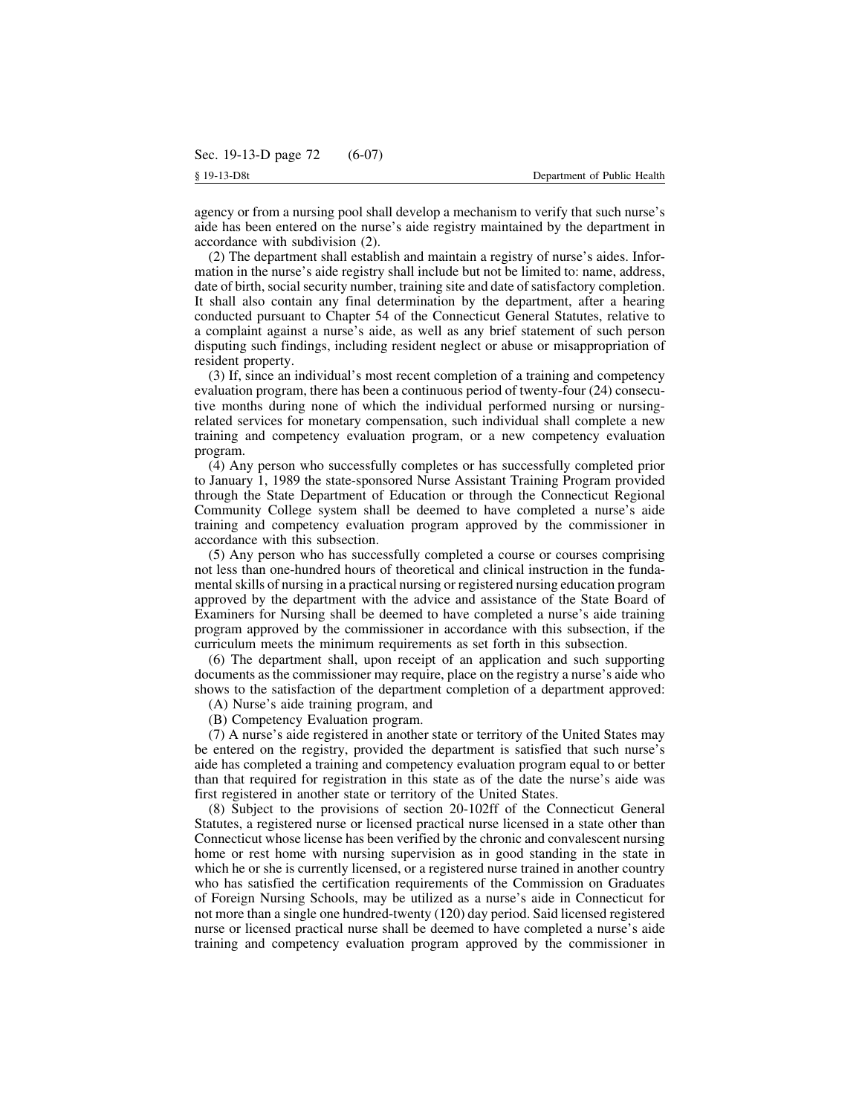agency or from a nursing pool shall develop a mechanism to verify that such nurse's aide has been entered on the nurse's aide registry maintained by the department in accordance with subdivision (2).

(2) The department shall establish and maintain a registry of nurse's aides. Information in the nurse's aide registry shall include but not be limited to: name, address, date of birth, social security number, training site and date of satisfactory completion. It shall also contain any final determination by the department, after a hearing conducted pursuant to Chapter 54 of the Connecticut General Statutes, relative to a complaint against a nurse's aide, as well as any brief statement of such person disputing such findings, including resident neglect or abuse or misappropriation of resident property.

(3) If, since an individual's most recent completion of a training and competency evaluation program, there has been a continuous period of twenty-four (24) consecutive months during none of which the individual performed nursing or nursingrelated services for monetary compensation, such individual shall complete a new training and competency evaluation program, or a new competency evaluation program.

(4) Any person who successfully completes or has successfully completed prior to January 1, 1989 the state-sponsored Nurse Assistant Training Program provided through the State Department of Education or through the Connecticut Regional Community College system shall be deemed to have completed a nurse's aide training and competency evaluation program approved by the commissioner in accordance with this subsection.

(5) Any person who has successfully completed a course or courses comprising not less than one-hundred hours of theoretical and clinical instruction in the fundamental skills of nursing in a practical nursing or registered nursing education program approved by the department with the advice and assistance of the State Board of Examiners for Nursing shall be deemed to have completed a nurse's aide training program approved by the commissioner in accordance with this subsection, if the curriculum meets the minimum requirements as set forth in this subsection.

(6) The department shall, upon receipt of an application and such supporting documents as the commissioner may require, place on the registry a nurse's aide who shows to the satisfaction of the department completion of a department approved:

(A) Nurse's aide training program, and

(B) Competency Evaluation program.

(7) A nurse's aide registered in another state or territory of the United States may be entered on the registry, provided the department is satisfied that such nurse's aide has completed a training and competency evaluation program equal to or better than that required for registration in this state as of the date the nurse's aide was first registered in another state or territory of the United States.

(8) Subject to the provisions of section 20-102ff of the Connecticut General Statutes, a registered nurse or licensed practical nurse licensed in a state other than Connecticut whose license has been verified by the chronic and convalescent nursing home or rest home with nursing supervision as in good standing in the state in which he or she is currently licensed, or a registered nurse trained in another country who has satisfied the certification requirements of the Commission on Graduates of Foreign Nursing Schools, may be utilized as a nurse's aide in Connecticut for not more than a single one hundred-twenty (120) day period. Said licensed registered nurse or licensed practical nurse shall be deemed to have completed a nurse's aide training and competency evaluation program approved by the commissioner in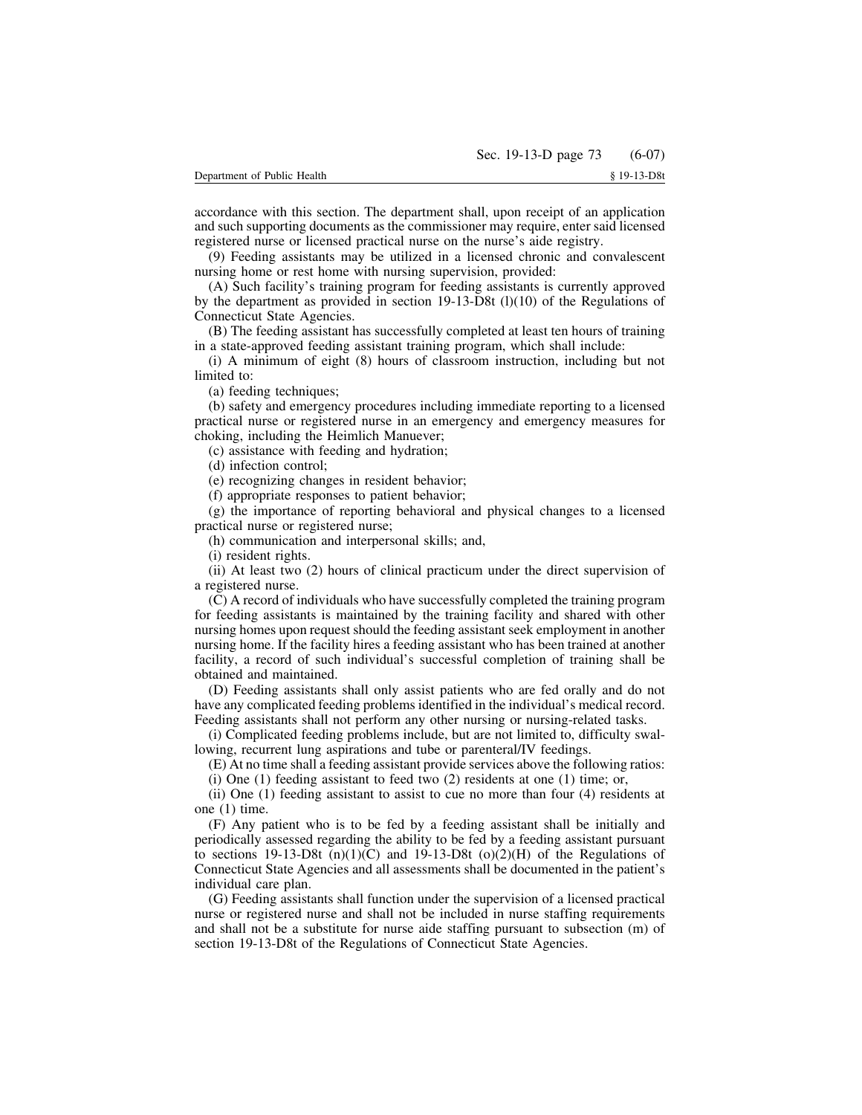accordance with this section. The department shall, upon receipt of an application and such supporting documents as the commissioner may require, enter said licensed registered nurse or licensed practical nurse on the nurse's aide registry.

(9) Feeding assistants may be utilized in a licensed chronic and convalescent nursing home or rest home with nursing supervision, provided:

(A) Such facility's training program for feeding assistants is currently approved by the department as provided in section 19-13-D8t (l)(10) of the Regulations of Connecticut State Agencies.

(B) The feeding assistant has successfully completed at least ten hours of training in a state-approved feeding assistant training program, which shall include:

(i) A minimum of eight (8) hours of classroom instruction, including but not limited to:

(a) feeding techniques;

(b) safety and emergency procedures including immediate reporting to a licensed practical nurse or registered nurse in an emergency and emergency measures for choking, including the Heimlich Manuever;

(c) assistance with feeding and hydration;

(d) infection control;

(e) recognizing changes in resident behavior;

(f) appropriate responses to patient behavior;

(g) the importance of reporting behavioral and physical changes to a licensed practical nurse or registered nurse;

(h) communication and interpersonal skills; and,

(i) resident rights.

(ii) At least two (2) hours of clinical practicum under the direct supervision of a registered nurse.

(C) A record of individuals who have successfully completed the training program for feeding assistants is maintained by the training facility and shared with other nursing homes upon request should the feeding assistant seek employment in another nursing home. If the facility hires a feeding assistant who has been trained at another facility, a record of such individual's successful completion of training shall be obtained and maintained.

(D) Feeding assistants shall only assist patients who are fed orally and do not have any complicated feeding problems identified in the individual's medical record. Feeding assistants shall not perform any other nursing or nursing-related tasks.

(i) Complicated feeding problems include, but are not limited to, difficulty swallowing, recurrent lung aspirations and tube or parenteral/IV feedings.

(E) At no time shall a feeding assistant provide services above the following ratios:

(i) One (1) feeding assistant to feed two (2) residents at one (1) time; or,

(ii) One (1) feeding assistant to assist to cue no more than four (4) residents at one (1) time.

(F) Any patient who is to be fed by a feeding assistant shall be initially and periodically assessed regarding the ability to be fed by a feeding assistant pursuant to sections 19-13-D8t  $(n)(1)(C)$  and 19-13-D8t  $(o)(2)(H)$  of the Regulations of Connecticut State Agencies and all assessments shall be documented in the patient's individual care plan.

(G) Feeding assistants shall function under the supervision of a licensed practical nurse or registered nurse and shall not be included in nurse staffing requirements and shall not be a substitute for nurse aide staffing pursuant to subsection (m) of section 19-13-D8t of the Regulations of Connecticut State Agencies.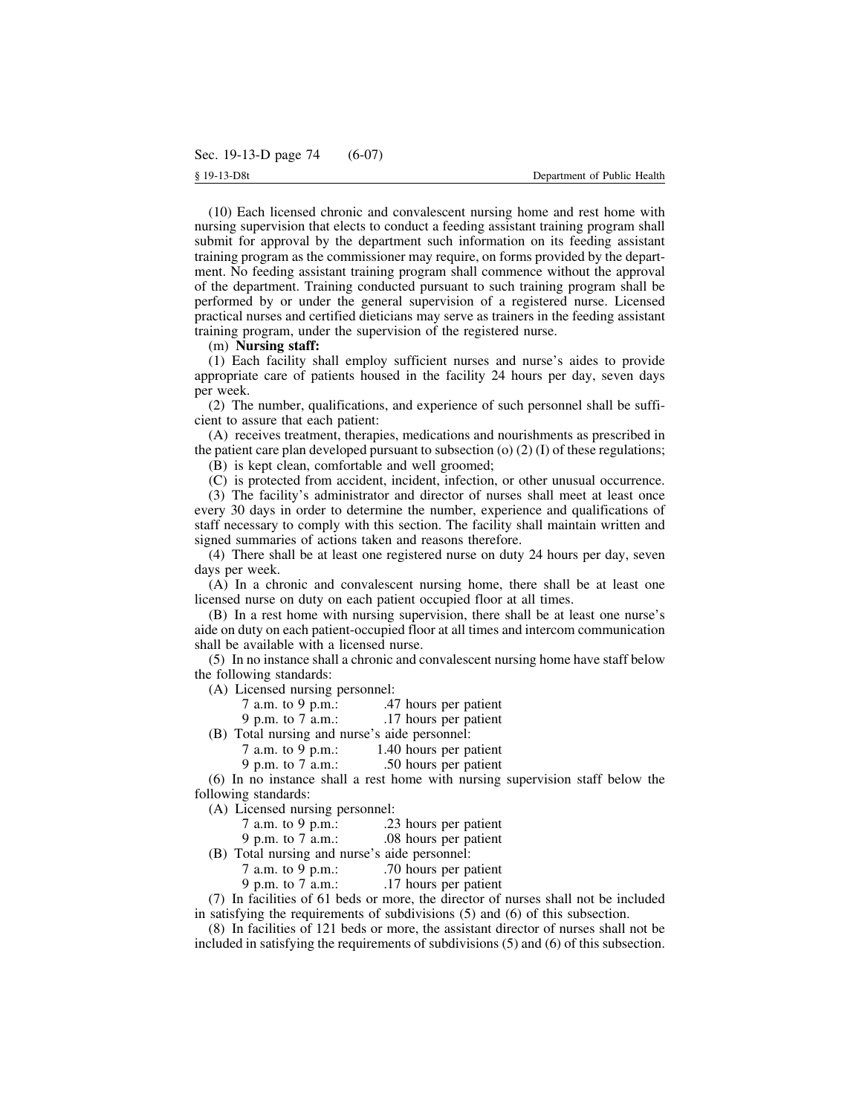(10) Each licensed chronic and convalescent nursing home and rest home with nursing supervision that elects to conduct a feeding assistant training program shall submit for approval by the department such information on its feeding assistant training program as the commissioner may require, on forms provided by the department. No feeding assistant training program shall commence without the approval of the department. Training conducted pursuant to such training program shall be performed by or under the general supervision of a registered nurse. Licensed practical nurses and certified dieticians may serve as trainers in the feeding assistant training program, under the supervision of the registered nurse.

### (m) **Nursing staff:**

(1) Each facility shall employ sufficient nurses and nurse's aides to provide appropriate care of patients housed in the facility 24 hours per day, seven days per week.

(2) The number, qualifications, and experience of such personnel shall be sufficient to assure that each patient:

(A) receives treatment, therapies, medications and nourishments as prescribed in the patient care plan developed pursuant to subsection (o)  $(2)$  (I) of these regulations; (B) is kept clean, comfortable and well groomed;

(C) is protected from accident, incident, infection, or other unusual occurrence.

(3) The facility's administrator and director of nurses shall meet at least once every 30 days in order to determine the number, experience and qualifications of staff necessary to comply with this section. The facility shall maintain written and signed summaries of actions taken and reasons therefore.

(4) There shall be at least one registered nurse on duty 24 hours per day, seven days per week.

(A) In a chronic and convalescent nursing home, there shall be at least one licensed nurse on duty on each patient occupied floor at all times.

(B) In a rest home with nursing supervision, there shall be at least one nurse's aide on duty on each patient-occupied floor at all times and intercom communication shall be available with a licensed nurse.

(5) In no instance shall a chronic and convalescent nursing home have staff below the following standards:

(A) Licensed nursing personnel:<br>7 a.m. to 9 p.m.:  $47$ 

- .47 hours per patient
- 9 p.m. to 7 a.m.: 17 hours per patient

(B) Total nursing and nurse's aide personnel:

7 a.m. to 9 p.m.: 1.40 hours per patient

9 p.m. to 7 a.m.: .50 hours per patient

(6) In no instance shall a rest home with nursing supervision staff below the following standards:

(A) Licensed nursing personnel:

7 a.m. to 9 p.m.: 23 hours per patient

9 p.m. to 7 a.m.: 08 hours per patient

(B) Total nursing and nurse's aide personnel:

- 7 a.m. to 9 p.m.: .70 hours per patient
- 9 p.m. to 7 a.m.: 17 hours per patient

(7) In facilities of 61 beds or more, the director of nurses shall not be included in satisfying the requirements of subdivisions (5) and (6) of this subsection.

(8) In facilities of 121 beds or more, the assistant director of nurses shall not be included in satisfying the requirements of subdivisions (5) and (6) of this subsection.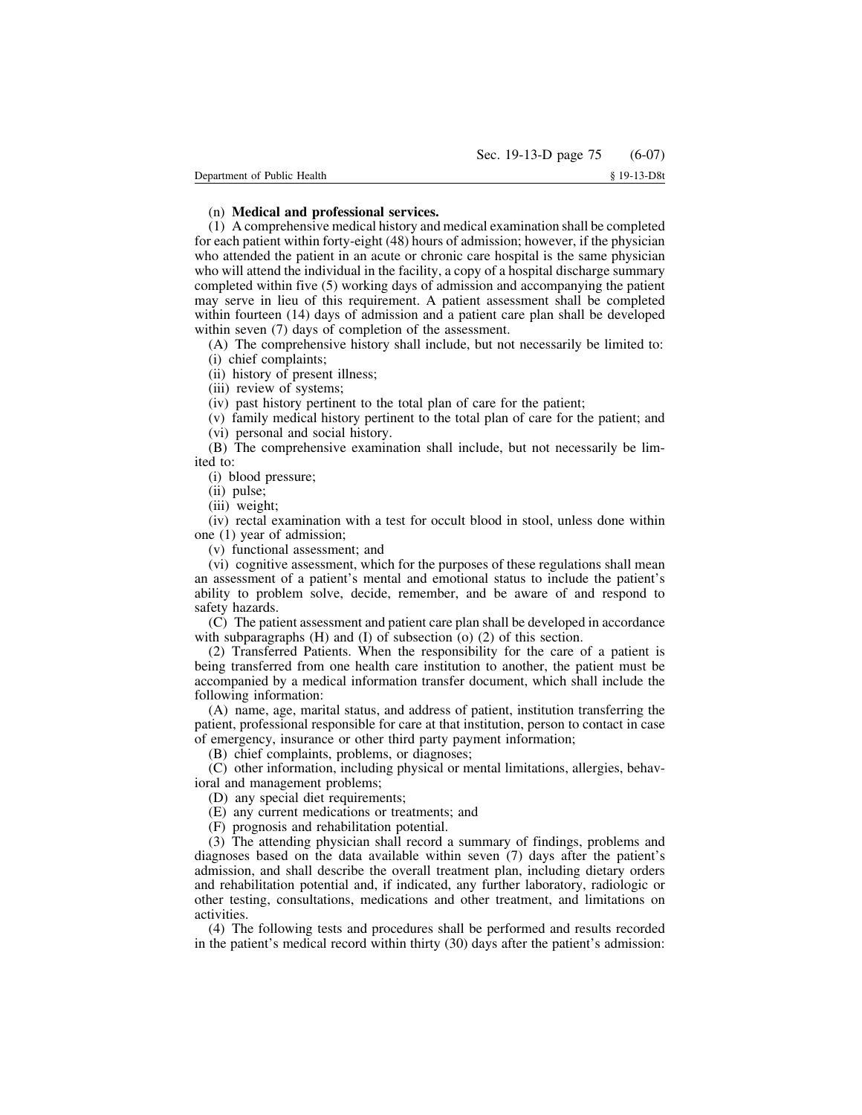## (n) **Medical and professional services.**

(1) A comprehensive medical history and medical examination shall be completed for each patient within forty-eight (48) hours of admission; however, if the physician who attended the patient in an acute or chronic care hospital is the same physician who will attend the individual in the facility, a copy of a hospital discharge summary completed within five (5) working days of admission and accompanying the patient may serve in lieu of this requirement. A patient assessment shall be completed within fourteen (14) days of admission and a patient care plan shall be developed within seven (7) days of completion of the assessment.

(A) The comprehensive history shall include, but not necessarily be limited to: (i) chief complaints;

(ii) history of present illness;

(iii) review of systems;

(iv) past history pertinent to the total plan of care for the patient;

(v) family medical history pertinent to the total plan of care for the patient; and

(vi) personal and social history.

(B) The comprehensive examination shall include, but not necessarily be limited to:

(i) blood pressure;

(ii) pulse;

(iii) weight;

(iv) rectal examination with a test for occult blood in stool, unless done within one (1) year of admission;

(v) functional assessment; and

(vi) cognitive assessment, which for the purposes of these regulations shall mean an assessment of a patient's mental and emotional status to include the patient's ability to problem solve, decide, remember, and be aware of and respond to safety hazards.

(C) The patient assessment and patient care plan shall be developed in accordance with subparagraphs (H) and (I) of subsection (o) (2) of this section.

(2) Transferred Patients. When the responsibility for the care of a patient is being transferred from one health care institution to another, the patient must be accompanied by a medical information transfer document, which shall include the following information:

(A) name, age, marital status, and address of patient, institution transferring the patient, professional responsible for care at that institution, person to contact in case of emergency, insurance or other third party payment information;

(B) chief complaints, problems, or diagnoses;

(C) other information, including physical or mental limitations, allergies, behavioral and management problems;

(D) any special diet requirements;

(E) any current medications or treatments; and

(F) prognosis and rehabilitation potential.

(3) The attending physician shall record a summary of findings, problems and diagnoses based on the data available within seven (7) days after the patient's admission, and shall describe the overall treatment plan, including dietary orders and rehabilitation potential and, if indicated, any further laboratory, radiologic or other testing, consultations, medications and other treatment, and limitations on activities.

(4) The following tests and procedures shall be performed and results recorded in the patient's medical record within thirty (30) days after the patient's admission: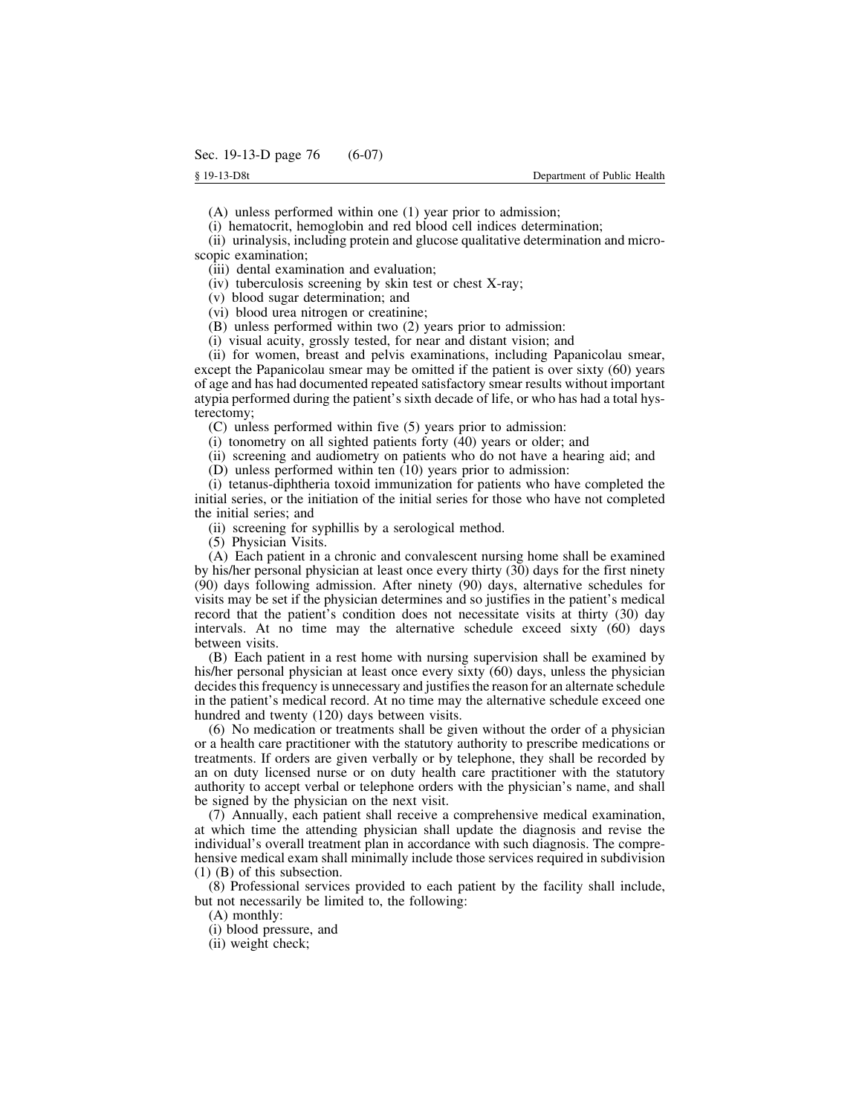(A) unless performed within one (1) year prior to admission;

(i) hematocrit, hemoglobin and red blood cell indices determination;

(ii) urinalysis, including protein and glucose qualitative determination and microscopic examination;

(iii) dental examination and evaluation;

(iv) tuberculosis screening by skin test or chest X-ray;

(v) blood sugar determination; and

(vi) blood urea nitrogen or creatinine;

(B) unless performed within two (2) years prior to admission:

(i) visual acuity, grossly tested, for near and distant vision; and

(ii) for women, breast and pelvis examinations, including Papanicolau smear, except the Papanicolau smear may be omitted if the patient is over sixty (60) years of age and has had documented repeated satisfactory smear results without important atypia performed during the patient's sixth decade of life, or who has had a total hysterectomy;

(C) unless performed within five (5) years prior to admission:

(i) tonometry on all sighted patients forty (40) years or older; and

(ii) screening and audiometry on patients who do not have a hearing aid; and

(D) unless performed within ten (10) years prior to admission:

(i) tetanus-diphtheria toxoid immunization for patients who have completed the initial series, or the initiation of the initial series for those who have not completed the initial series; and

(ii) screening for syphillis by a serological method.

(5) Physician Visits.

(A) Each patient in a chronic and convalescent nursing home shall be examined by his/her personal physician at least once every thirty (30) days for the first ninety (90) days following admission. After ninety (90) days, alternative schedules for visits may be set if the physician determines and so justifies in the patient's medical record that the patient's condition does not necessitate visits at thirty (30) day intervals. At no time may the alternative schedule exceed sixty (60) days between visits.

(B) Each patient in a rest home with nursing supervision shall be examined by his/her personal physician at least once every sixty (60) days, unless the physician decides this frequency is unnecessary and justifies the reason for an alternate schedule in the patient's medical record. At no time may the alternative schedule exceed one hundred and twenty (120) days between visits.

(6) No medication or treatments shall be given without the order of a physician or a health care practitioner with the statutory authority to prescribe medications or treatments. If orders are given verbally or by telephone, they shall be recorded by an on duty licensed nurse or on duty health care practitioner with the statutory authority to accept verbal or telephone orders with the physician's name, and shall be signed by the physician on the next visit.

(7) Annually, each patient shall receive a comprehensive medical examination, at which time the attending physician shall update the diagnosis and revise the individual's overall treatment plan in accordance with such diagnosis. The comprehensive medical exam shall minimally include those services required in subdivision (1) (B) of this subsection.

(8) Professional services provided to each patient by the facility shall include, but not necessarily be limited to, the following:

(A) monthly:

(i) blood pressure, and

(ii) weight check;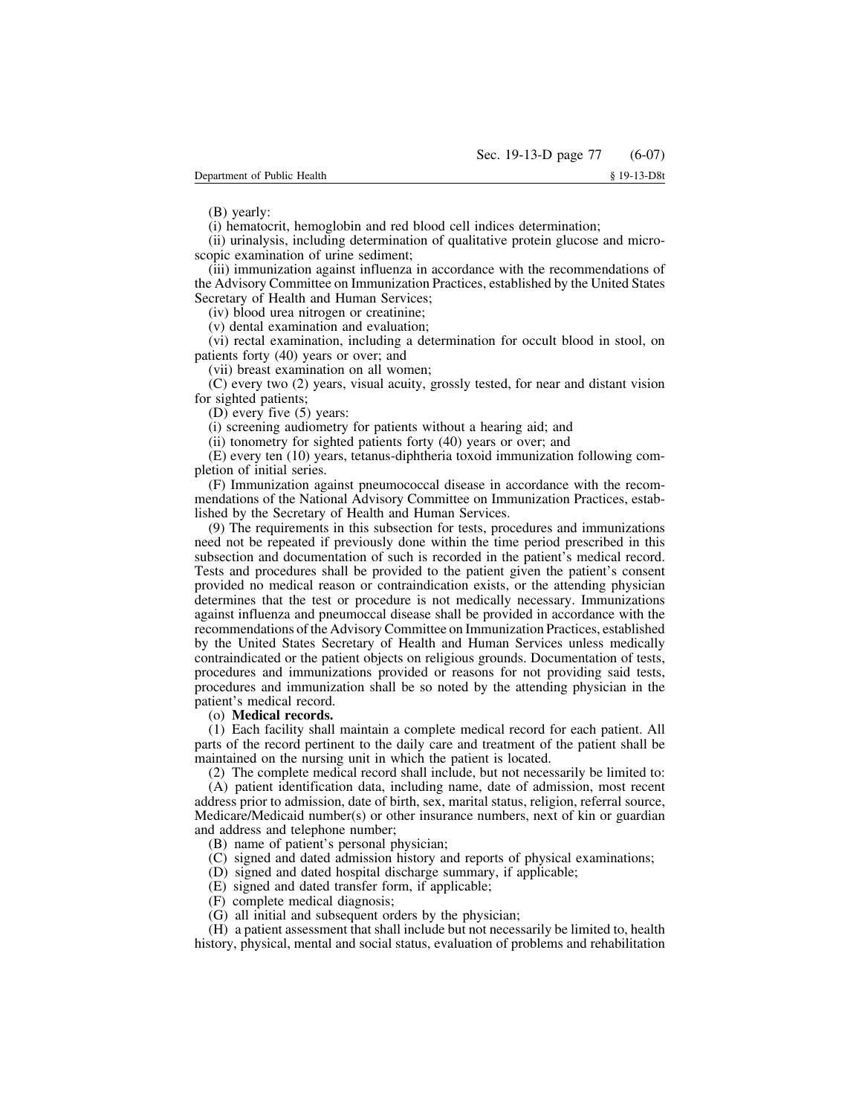(B) yearly:

(i) hematocrit, hemoglobin and red blood cell indices determination;

(ii) urinalysis, including determination of qualitative protein glucose and microscopic examination of urine sediment;

(iii) immunization against influenza in accordance with the recommendations of the Advisory Committee on Immunization Practices, established by the United States Secretary of Health and Human Services;

(iv) blood urea nitrogen or creatinine;

(v) dental examination and evaluation;

(vi) rectal examination, including a determination for occult blood in stool, on patients forty (40) years or over; and

(vii) breast examination on all women;

(C) every two (2) years, visual acuity, grossly tested, for near and distant vision for sighted patients;

(D) every five (5) years:

(i) screening audiometry for patients without a hearing aid; and

(ii) tonometry for sighted patients forty (40) years or over; and

(E) every ten (10) years, tetanus-diphtheria toxoid immunization following completion of initial series.

(F) Immunization against pneumococcal disease in accordance with the recommendations of the National Advisory Committee on Immunization Practices, established by the Secretary of Health and Human Services.

(9) The requirements in this subsection for tests, procedures and immunizations need not be repeated if previously done within the time period prescribed in this subsection and documentation of such is recorded in the patient's medical record. Tests and procedures shall be provided to the patient given the patient's consent provided no medical reason or contraindication exists, or the attending physician determines that the test or procedure is not medically necessary. Immunizations against influenza and pneumoccal disease shall be provided in accordance with the recommendations of the Advisory Committee on Immunization Practices, established by the United States Secretary of Health and Human Services unless medically contraindicated or the patient objects on religious grounds. Documentation of tests, procedures and immunizations provided or reasons for not providing said tests, procedures and immunization shall be so noted by the attending physician in the patient's medical record.

### (o) **Medical records.**

(1) Each facility shall maintain a complete medical record for each patient. All parts of the record pertinent to the daily care and treatment of the patient shall be maintained on the nursing unit in which the patient is located.

(2) The complete medical record shall include, but not necessarily be limited to:

(A) patient identification data, including name, date of admission, most recent address prior to admission, date of birth, sex, marital status, religion, referral source, Medicare/Medicaid number(s) or other insurance numbers, next of kin or guardian and address and telephone number;

- (B) name of patient's personal physician;
- (C) signed and dated admission history and reports of physical examinations;
- (D) signed and dated hospital discharge summary, if applicable;
- (E) signed and dated transfer form, if applicable;
- (F) complete medical diagnosis;
- (G) all initial and subsequent orders by the physician;

(H) a patient assessment that shall include but not necessarily be limited to, health history, physical, mental and social status, evaluation of problems and rehabilitation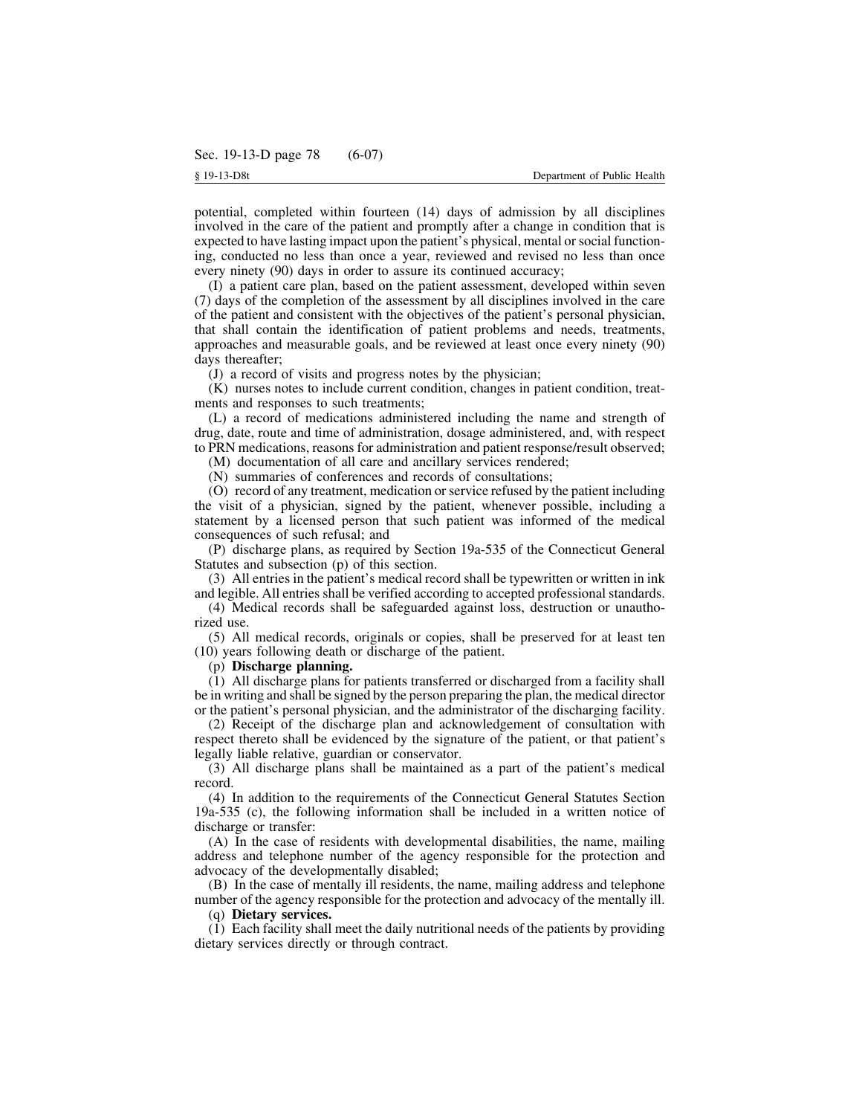potential, completed within fourteen (14) days of admission by all disciplines involved in the care of the patient and promptly after a change in condition that is expected to have lasting impact upon the patient's physical, mental orsocial functioning, conducted no less than once a year, reviewed and revised no less than once every ninety (90) days in order to assure its continued accuracy;

(I) a patient care plan, based on the patient assessment, developed within seven (7) days of the completion of the assessment by all disciplines involved in the care of the patient and consistent with the objectives of the patient's personal physician, that shall contain the identification of patient problems and needs, treatments, approaches and measurable goals, and be reviewed at least once every ninety (90) days thereafter;

(J) a record of visits and progress notes by the physician;

(K) nurses notes to include current condition, changes in patient condition, treatments and responses to such treatments;

(L) a record of medications administered including the name and strength of drug, date, route and time of administration, dosage administered, and, with respect to PRN medications, reasons for administration and patient response/result observed;

(M) documentation of all care and ancillary services rendered;

(N) summaries of conferences and records of consultations;

(O) record of any treatment, medication orservice refused by the patient including the visit of a physician, signed by the patient, whenever possible, including a statement by a licensed person that such patient was informed of the medical consequences of such refusal; and

(P) discharge plans, as required by Section 19a-535 of the Connecticut General Statutes and subsection (p) of this section.

(3) All entries in the patient's medical record shall be typewritten or written in ink and legible. All entries shall be verified according to accepted professional standards.

(4) Medical records shall be safeguarded against loss, destruction or unauthorized use.

(5) All medical records, originals or copies, shall be preserved for at least ten (10) years following death or discharge of the patient.

### (p) **Discharge planning.**

(1) All discharge plans for patients transferred or discharged from a facility shall be in writing and shall be signed by the person preparing the plan, the medical director or the patient's personal physician, and the administrator of the discharging facility.

(2) Receipt of the discharge plan and acknowledgement of consultation with respect thereto shall be evidenced by the signature of the patient, or that patient's legally liable relative, guardian or conservator.

(3) All discharge plans shall be maintained as a part of the patient's medical record.

(4) In addition to the requirements of the Connecticut General Statutes Section 19a-535 (c), the following information shall be included in a written notice of discharge or transfer:

(A) In the case of residents with developmental disabilities, the name, mailing address and telephone number of the agency responsible for the protection and advocacy of the developmentally disabled;

(B) In the case of mentally ill residents, the name, mailing address and telephone number of the agency responsible for the protection and advocacy of the mentally ill.

(q) **Dietary services.**

(1) Each facility shall meet the daily nutritional needs of the patients by providing dietary services directly or through contract.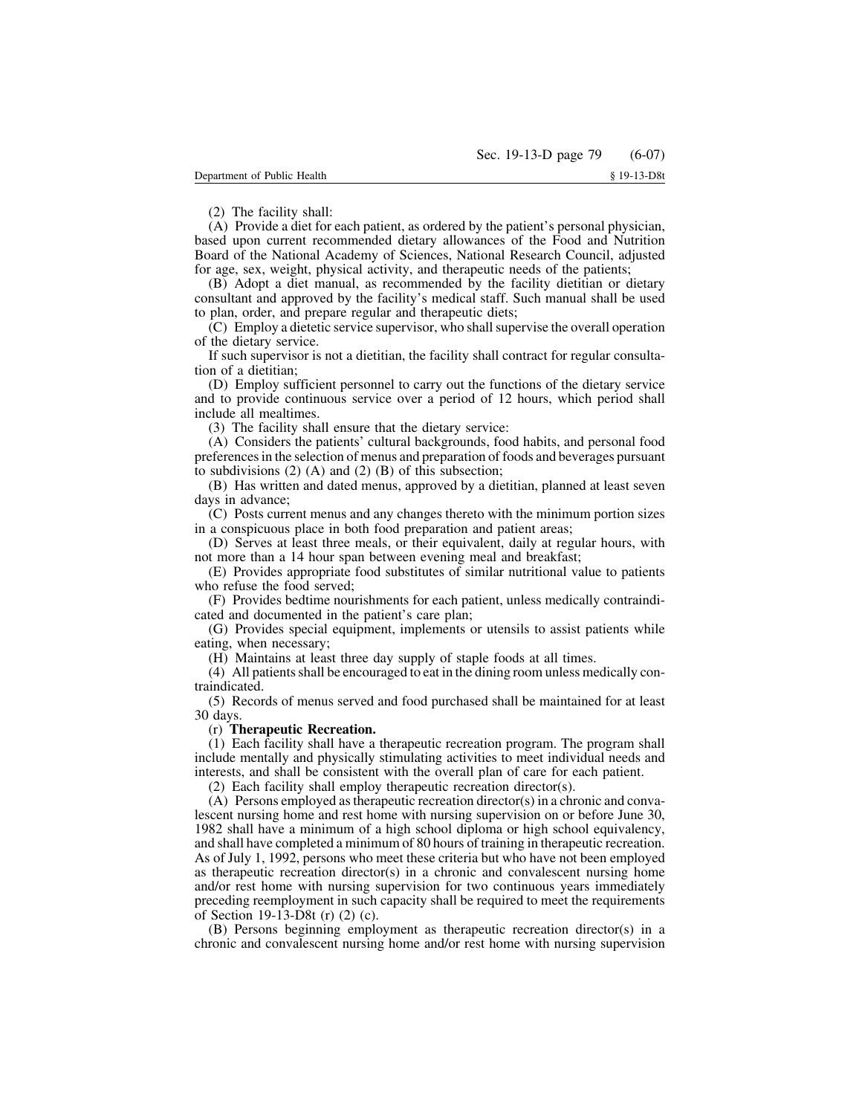(2) The facility shall:

(A) Provide a diet for each patient, as ordered by the patient's personal physician, based upon current recommended dietary allowances of the Food and Nutrition Board of the National Academy of Sciences, National Research Council, adjusted for age, sex, weight, physical activity, and therapeutic needs of the patients;

(B) Adopt a diet manual, as recommended by the facility dietitian or dietary consultant and approved by the facility's medical staff. Such manual shall be used to plan, order, and prepare regular and therapeutic diets;

(C) Employ a dietetic service supervisor, who shallsupervise the overall operation of the dietary service.

If such supervisor is not a dietitian, the facility shall contract for regular consultation of a dietitian;

(D) Employ sufficient personnel to carry out the functions of the dietary service and to provide continuous service over a period of 12 hours, which period shall include all mealtimes.

(3) The facility shall ensure that the dietary service:

(A) Considers the patients' cultural backgrounds, food habits, and personal food preferencesin the selection of menus and preparation of foods and beverages pursuant to subdivisions  $(2)$  (A) and  $(2)$  (B) of this subsection;

(B) Has written and dated menus, approved by a dietitian, planned at least seven days in advance;

(C) Posts current menus and any changes thereto with the minimum portion sizes in a conspicuous place in both food preparation and patient areas;

(D) Serves at least three meals, or their equivalent, daily at regular hours, with not more than a 14 hour span between evening meal and breakfast;

(E) Provides appropriate food substitutes of similar nutritional value to patients who refuse the food served;

(F) Provides bedtime nourishments for each patient, unless medically contraindicated and documented in the patient's care plan;

(G) Provides special equipment, implements or utensils to assist patients while eating, when necessary;

(H) Maintains at least three day supply of staple foods at all times.

(4) All patientsshall be encouraged to eat in the dining room unless medically contraindicated.

(5) Records of menus served and food purchased shall be maintained for at least 30 days.

# (r) **Therapeutic Recreation.**

(1) Each facility shall have a therapeutic recreation program. The program shall include mentally and physically stimulating activities to meet individual needs and interests, and shall be consistent with the overall plan of care for each patient.

(2) Each facility shall employ therapeutic recreation director(s).

(A) Persons employed astherapeutic recreation director(s) in a chronic and convalescent nursing home and rest home with nursing supervision on or before June 30, 1982 shall have a minimum of a high school diploma or high school equivalency, and shall have completed a minimum of 80 hours of training in therapeutic recreation. As of July 1, 1992, persons who meet these criteria but who have not been employed as therapeutic recreation director(s) in a chronic and convalescent nursing home and/or rest home with nursing supervision for two continuous years immediately preceding reemployment in such capacity shall be required to meet the requirements of Section 19-13-D8t (r) (2) (c).

(B) Persons beginning employment as therapeutic recreation director(s) in a chronic and convalescent nursing home and/or rest home with nursing supervision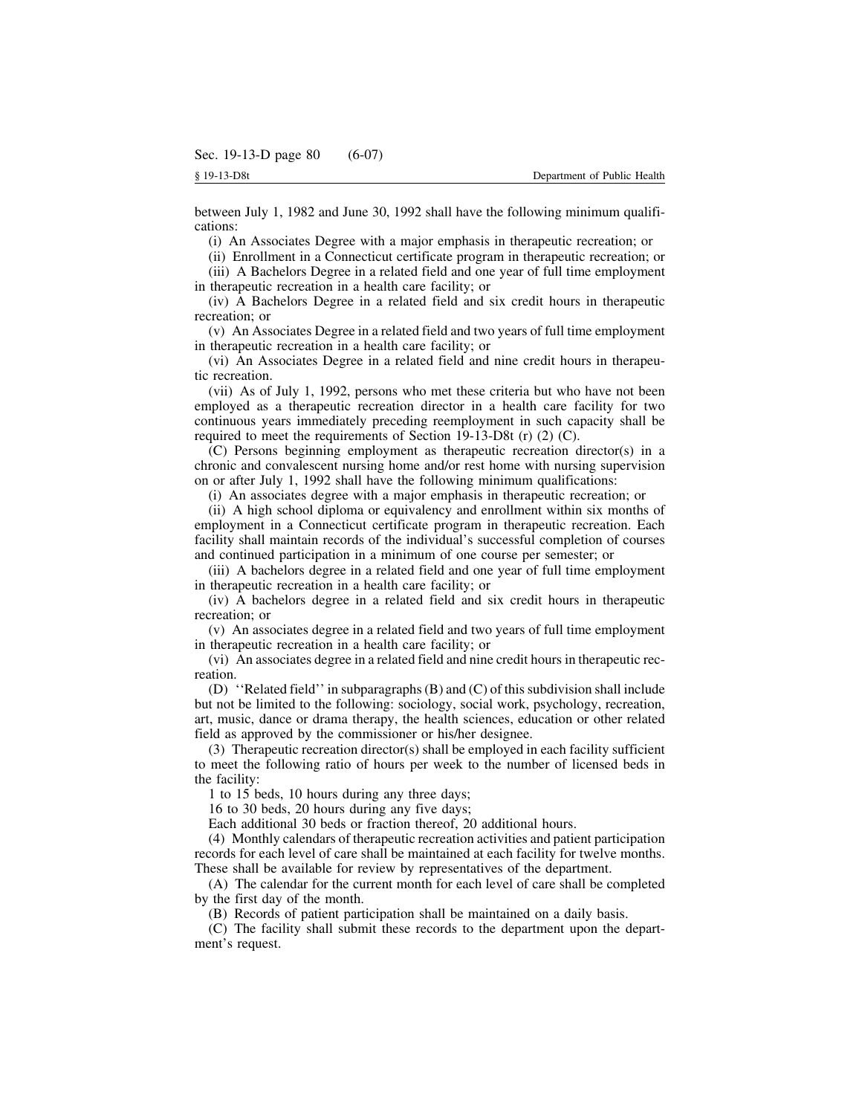between July 1, 1982 and June 30, 1992 shall have the following minimum qualifications:

(i) An Associates Degree with a major emphasis in therapeutic recreation; or

(ii) Enrollment in a Connecticut certificate program in therapeutic recreation; or

(iii) A Bachelors Degree in a related field and one year of full time employment in therapeutic recreation in a health care facility; or

(iv) A Bachelors Degree in a related field and six credit hours in therapeutic recreation; or

(v) An Associates Degree in a related field and two years of full time employment in therapeutic recreation in a health care facility; or

(vi) An Associates Degree in a related field and nine credit hours in therapeutic recreation.

(vii) As of July 1, 1992, persons who met these criteria but who have not been employed as a therapeutic recreation director in a health care facility for two continuous years immediately preceding reemployment in such capacity shall be required to meet the requirements of Section 19-13-D8t (r) (2) (C).

(C) Persons beginning employment as therapeutic recreation director(s) in a chronic and convalescent nursing home and/or rest home with nursing supervision on or after July 1, 1992 shall have the following minimum qualifications:

(i) An associates degree with a major emphasis in therapeutic recreation; or

(ii) A high school diploma or equivalency and enrollment within six months of employment in a Connecticut certificate program in therapeutic recreation. Each facility shall maintain records of the individual's successful completion of courses and continued participation in a minimum of one course per semester; or

(iii) A bachelors degree in a related field and one year of full time employment in therapeutic recreation in a health care facility; or

(iv) A bachelors degree in a related field and six credit hours in therapeutic recreation; or

(v) An associates degree in a related field and two years of full time employment in therapeutic recreation in a health care facility; or

(vi) An associates degree in a related field and nine credit hours in therapeutic recreation.

(D) ''Related field'' in subparagraphs(B) and (C) of this subdivision shall include but not be limited to the following: sociology, social work, psychology, recreation, art, music, dance or drama therapy, the health sciences, education or other related field as approved by the commissioner or his/her designee.

(3) Therapeutic recreation director(s) shall be employed in each facility sufficient to meet the following ratio of hours per week to the number of licensed beds in the facility:

1 to 15 beds, 10 hours during any three days;

16 to 30 beds, 20 hours during any five days;

Each additional 30 beds or fraction thereof, 20 additional hours.

(4) Monthly calendars of therapeutic recreation activities and patient participation records for each level of care shall be maintained at each facility for twelve months. These shall be available for review by representatives of the department.

(A) The calendar for the current month for each level of care shall be completed by the first day of the month.

(B) Records of patient participation shall be maintained on a daily basis.

(C) The facility shall submit these records to the department upon the department's request.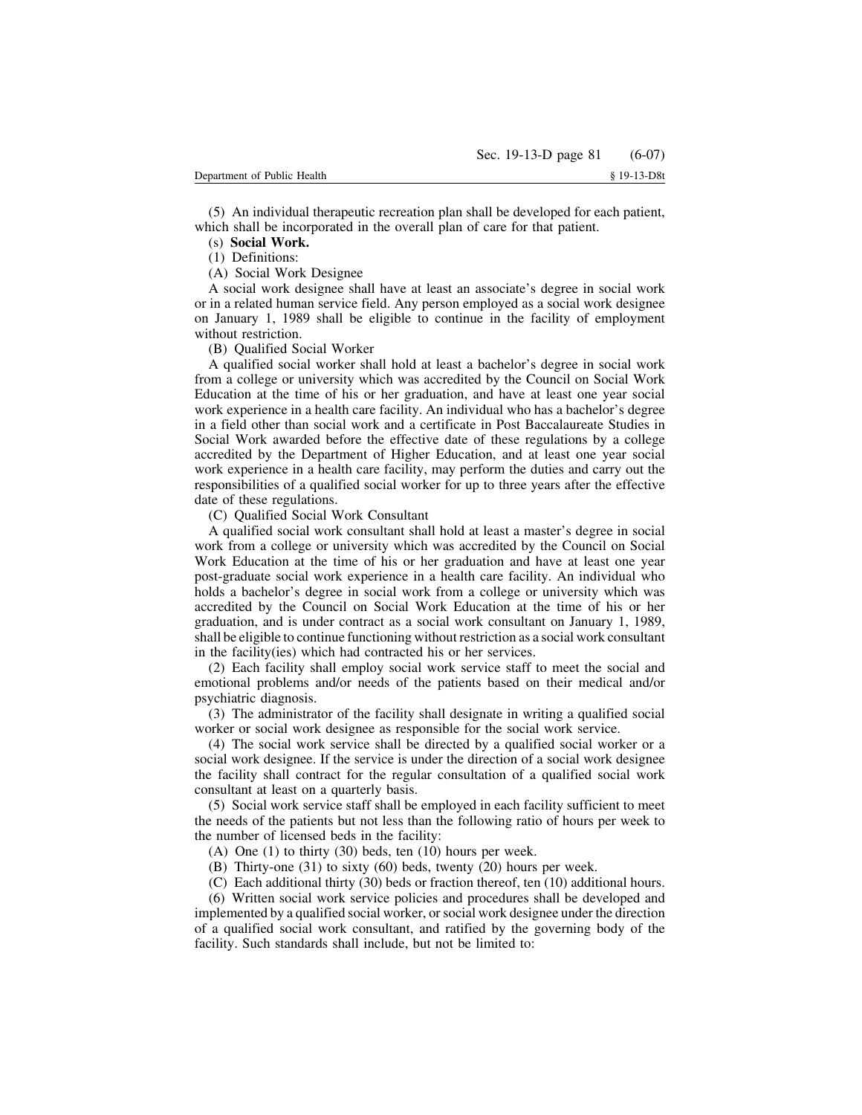(5) An individual therapeutic recreation plan shall be developed for each patient, which shall be incorporated in the overall plan of care for that patient.

# (s) **Social Work.**

(1) Definitions:

(A) Social Work Designee

A social work designee shall have at least an associate's degree in social work or in a related human service field. Any person employed as a social work designee on January 1, 1989 shall be eligible to continue in the facility of employment without restriction.

(B) Qualified Social Worker

A qualified social worker shall hold at least a bachelor's degree in social work from a college or university which was accredited by the Council on Social Work Education at the time of his or her graduation, and have at least one year social work experience in a health care facility. An individual who has a bachelor's degree in a field other than social work and a certificate in Post Baccalaureate Studies in Social Work awarded before the effective date of these regulations by a college accredited by the Department of Higher Education, and at least one year social work experience in a health care facility, may perform the duties and carry out the responsibilities of a qualified social worker for up to three years after the effective date of these regulations.

(C) Qualified Social Work Consultant

A qualified social work consultant shall hold at least a master's degree in social work from a college or university which was accredited by the Council on Social Work Education at the time of his or her graduation and have at least one year post-graduate social work experience in a health care facility. An individual who holds a bachelor's degree in social work from a college or university which was accredited by the Council on Social Work Education at the time of his or her graduation, and is under contract as a social work consultant on January 1, 1989, shall be eligible to continue functioning without restriction as a social work consultant in the facility(ies) which had contracted his or her services.

(2) Each facility shall employ social work service staff to meet the social and emotional problems and/or needs of the patients based on their medical and/or psychiatric diagnosis.

(3) The administrator of the facility shall designate in writing a qualified social worker or social work designee as responsible for the social work service.

(4) The social work service shall be directed by a qualified social worker or a social work designee. If the service is under the direction of a social work designee the facility shall contract for the regular consultation of a qualified social work consultant at least on a quarterly basis.

(5) Social work service staff shall be employed in each facility sufficient to meet the needs of the patients but not less than the following ratio of hours per week to the number of licensed beds in the facility:

(A) One (1) to thirty (30) beds, ten (10) hours per week.

(B) Thirty-one (31) to sixty (60) beds, twenty (20) hours per week.

(C) Each additional thirty (30) beds or fraction thereof, ten (10) additional hours.

(6) Written social work service policies and procedures shall be developed and implemented by a qualified social worker, orsocial work designee under the direction of a qualified social work consultant, and ratified by the governing body of the facility. Such standards shall include, but not be limited to: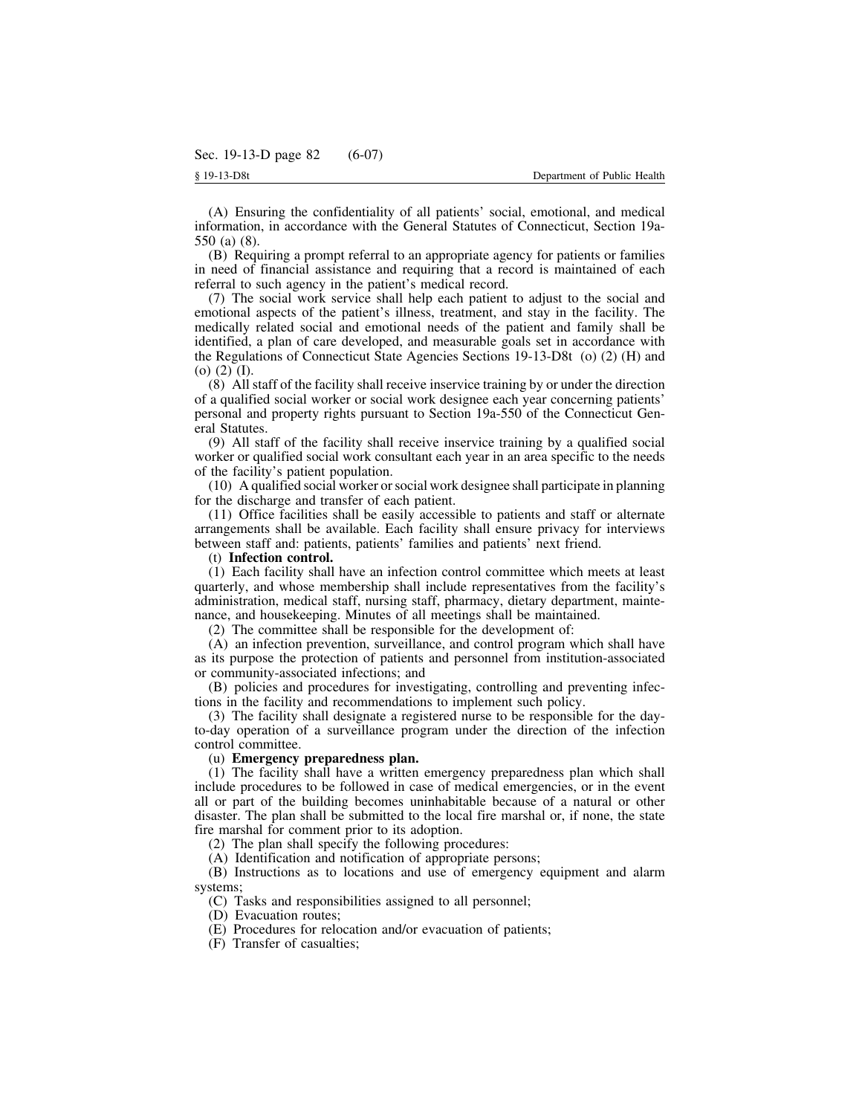(A) Ensuring the confidentiality of all patients' social, emotional, and medical information, in accordance with the General Statutes of Connecticut, Section 19a-550 (a) (8).

(B) Requiring a prompt referral to an appropriate agency for patients or families in need of financial assistance and requiring that a record is maintained of each referral to such agency in the patient's medical record.

(7) The social work service shall help each patient to adjust to the social and emotional aspects of the patient's illness, treatment, and stay in the facility. The medically related social and emotional needs of the patient and family shall be identified, a plan of care developed, and measurable goals set in accordance with the Regulations of Connecticut State Agencies Sections 19-13-D8t (o) (2) (H) and (o) (2) (I).

(8) All staff of the facility shall receive inservice training by or under the direction of a qualified social worker or social work designee each year concerning patients' personal and property rights pursuant to Section 19a-550 of the Connecticut General Statutes.

(9) All staff of the facility shall receive inservice training by a qualified social worker or qualified social work consultant each year in an area specific to the needs of the facility's patient population.

(10) A qualified social worker orsocial work designee shall participate in planning for the discharge and transfer of each patient.

(11) Office facilities shall be easily accessible to patients and staff or alternate arrangements shall be available. Each facility shall ensure privacy for interviews between staff and: patients, patients' families and patients' next friend.

# (t) **Infection control.**

(1) Each facility shall have an infection control committee which meets at least quarterly, and whose membership shall include representatives from the facility's administration, medical staff, nursing staff, pharmacy, dietary department, maintenance, and housekeeping. Minutes of all meetings shall be maintained.

(2) The committee shall be responsible for the development of:

(A) an infection prevention, surveillance, and control program which shall have as its purpose the protection of patients and personnel from institution-associated or community-associated infections; and

(B) policies and procedures for investigating, controlling and preventing infections in the facility and recommendations to implement such policy.

(3) The facility shall designate a registered nurse to be responsible for the dayto-day operation of a surveillance program under the direction of the infection control committee.

# (u) **Emergency preparedness plan.**

(1) The facility shall have a written emergency preparedness plan which shall include procedures to be followed in case of medical emergencies, or in the event all or part of the building becomes uninhabitable because of a natural or other disaster. The plan shall be submitted to the local fire marshal or, if none, the state fire marshal for comment prior to its adoption.

(2) The plan shall specify the following procedures:

(A) Identification and notification of appropriate persons;

(B) Instructions as to locations and use of emergency equipment and alarm systems;

(C) Tasks and responsibilities assigned to all personnel;

(D) Evacuation routes;

(E) Procedures for relocation and/or evacuation of patients;

(F) Transfer of casualties;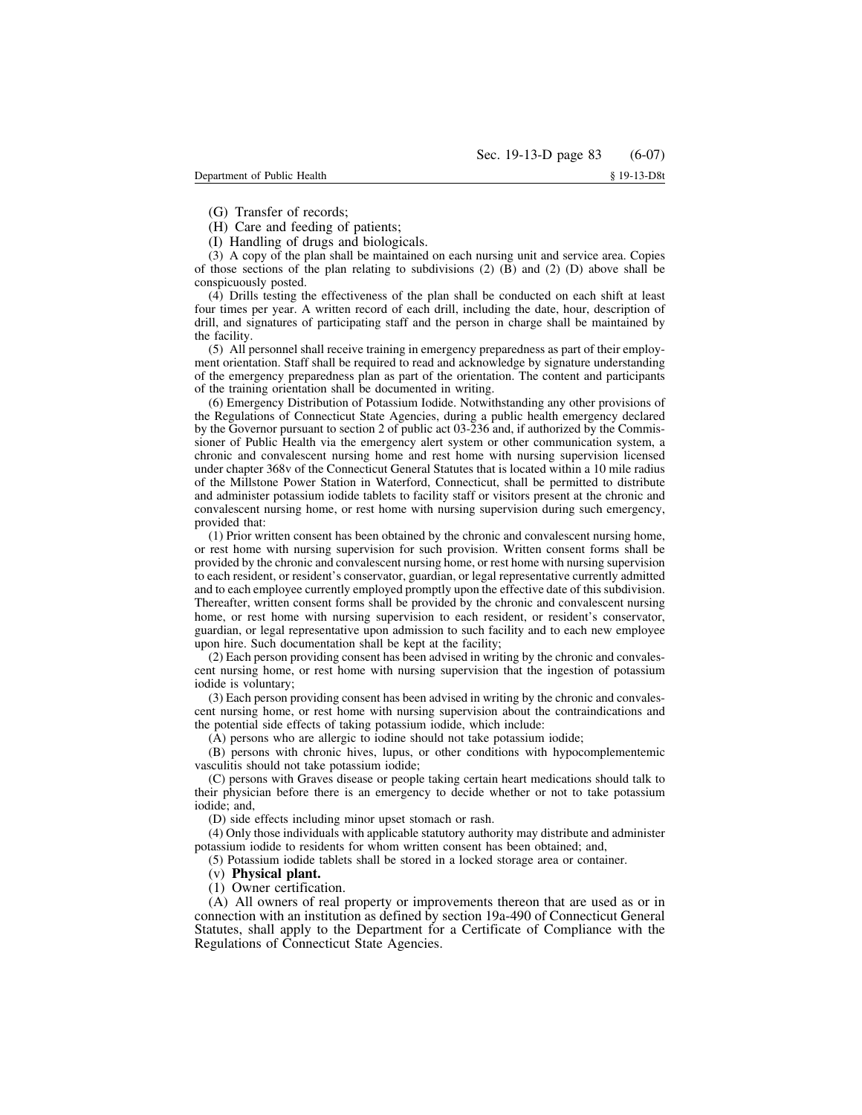(G) Transfer of records;

(H) Care and feeding of patients;

(I) Handling of drugs and biologicals.

(3) A copy of the plan shall be maintained on each nursing unit and service area. Copies of those sections of the plan relating to subdivisions  $(2)$  (B) and  $(2)$  (D) above shall be conspicuously posted.

(4) Drills testing the effectiveness of the plan shall be conducted on each shift at least four times per year. A written record of each drill, including the date, hour, description of drill, and signatures of participating staff and the person in charge shall be maintained by the facility.

(5) All personnel shall receive training in emergency preparedness as part of their employment orientation. Staff shall be required to read and acknowledge by signature understanding of the emergency preparedness plan as part of the orientation. The content and participants of the training orientation shall be documented in writing.

(6) Emergency Distribution of Potassium Iodide. Notwithstanding any other provisions of the Regulations of Connecticut State Agencies, during a public health emergency declared by the Governor pursuant to section 2 of public act 03-236 and, if authorized by the Commissioner of Public Health via the emergency alert system or other communication system, a chronic and convalescent nursing home and rest home with nursing supervision licensed under chapter 368v of the Connecticut General Statutes that is located within a 10 mile radius of the Millstone Power Station in Waterford, Connecticut, shall be permitted to distribute and administer potassium iodide tablets to facility staff or visitors present at the chronic and convalescent nursing home, or rest home with nursing supervision during such emergency, provided that:

(1) Prior written consent has been obtained by the chronic and convalescent nursing home, or rest home with nursing supervision for such provision. Written consent forms shall be provided by the chronic and convalescent nursing home, or rest home with nursing supervision to each resident, or resident's conservator, guardian, or legal representative currently admitted and to each employee currently employed promptly upon the effective date of this subdivision. Thereafter, written consent forms shall be provided by the chronic and convalescent nursing home, or rest home with nursing supervision to each resident, or resident's conservator, guardian, or legal representative upon admission to such facility and to each new employee upon hire. Such documentation shall be kept at the facility;

(2) Each person providing consent has been advised in writing by the chronic and convalescent nursing home, or rest home with nursing supervision that the ingestion of potassium iodide is voluntary;

(3) Each person providing consent has been advised in writing by the chronic and convalescent nursing home, or rest home with nursing supervision about the contraindications and the potential side effects of taking potassium iodide, which include:

(A) persons who are allergic to iodine should not take potassium iodide;

(B) persons with chronic hives, lupus, or other conditions with hypocomplementemic vasculitis should not take potassium iodide;

(C) persons with Graves disease or people taking certain heart medications should talk to their physician before there is an emergency to decide whether or not to take potassium iodide; and,

(D) side effects including minor upset stomach or rash.

(4) Only those individuals with applicable statutory authority may distribute and administer potassium iodide to residents for whom written consent has been obtained; and,

(5) Potassium iodide tablets shall be stored in a locked storage area or container.

### (v) **Physical plant.**

(1) Owner certification.

(A) All owners of real property or improvements thereon that are used as or in connection with an institution as defined by section 19a-490 of Connecticut General Statutes, shall apply to the Department for a Certificate of Compliance with the Regulations of Connecticut State Agencies.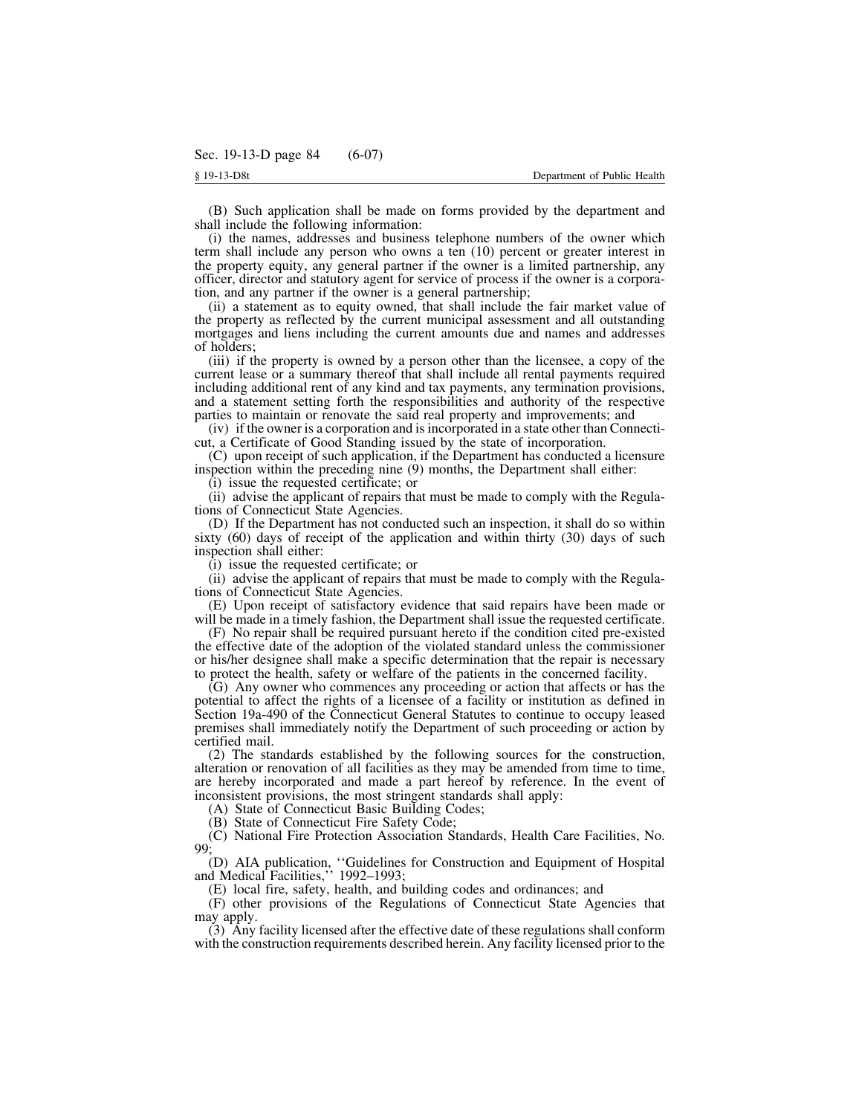(B) Such application shall be made on forms provided by the department and shall include the following information:

(i) the names, addresses and business telephone numbers of the owner which term shall include any person who owns a ten (10) percent or greater interest in the property equity, any general partner if the owner is a limited partnership, any officer, director and statutory agent for service of process if the owner is a corporation, and any partner if the owner is a general partnership;

(ii) a statement as to equity owned, that shall include the fair market value of the property as reflected by the current municipal assessment and all outstanding mortgages and liens including the current amounts due and names and addresses of holders;

(iii) if the property is owned by a person other than the licensee, a copy of the current lease or a summary thereof that shall include all rental payments required including additional rent of any kind and tax payments, any termination provisions, and a statement setting forth the responsibilities and authority of the respective parties to maintain or renovate the said real property and improvements; and

(iv) if the owner is a corporation and isincorporated in a state other than Connecticut, a Certificate of Good Standing issued by the state of incorporation.

(C) upon receipt of such application, if the Department has conducted a licensure inspection within the preceding nine (9) months, the Department shall either:

(i) issue the requested certificate; or

(ii) advise the applicant of repairs that must be made to comply with the Regulations of Connecticut State Agencies.

(D) If the Department has not conducted such an inspection, it shall do so within sixty (60) days of receipt of the application and within thirty (30) days of such inspection shall either:

(i) issue the requested certificate; or

(ii) advise the applicant of repairs that must be made to comply with the Regulations of Connecticut State Agencies.

(E) Upon receipt of satisfactory evidence that said repairs have been made or will be made in a timely fashion, the Department shall issue the requested certificate.

(F) No repair shall be required pursuant hereto if the condition cited pre-existed the effective date of the adoption of the violated standard unless the commissioner or his/her designee shall make a specific determination that the repair is necessary to protect the health, safety or welfare of the patients in the concerned facility.

(G) Any owner who commences any proceeding or action that affects or has the potential to affect the rights of a licensee of a facility or institution as defined in Section 19a-490 of the Connecticut General Statutes to continue to occupy leased premises shall immediately notify the Department of such proceeding or action by certified mail.

(2) The standards established by the following sources for the construction, alteration or renovation of all facilities as they may be amended from time to time, are hereby incorporated and made a part hereof by reference. In the event of inconsistent provisions, the most stringent standards shall apply:

(A) State of Connecticut Basic Building Codes;

(B) State of Connecticut Fire Safety Code;

(C) National Fire Protection Association Standards, Health Care Facilities, No. 99;

(D) AIA publication, ''Guidelines for Construction and Equipment of Hospital and Medical Facilities,'' 1992–1993;

(E) local fire, safety, health, and building codes and ordinances; and

(F) other provisions of the Regulations of Connecticut State Agencies that may apply.

(3) Any facility licensed after the effective date of these regulations shall conform with the construction requirements described herein. Any facility licensed prior to the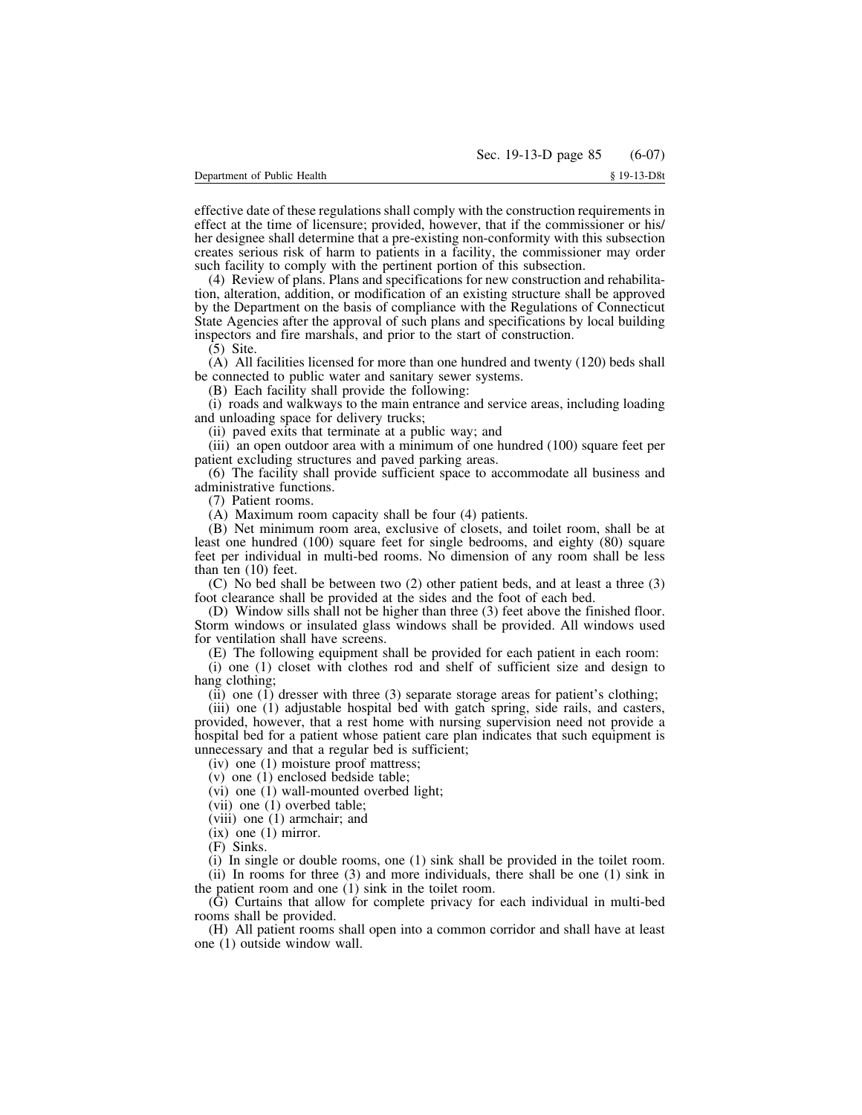effective date of these regulations shall comply with the construction requirements in effect at the time of licensure; provided, however, that if the commissioner or his/ her designee shall determine that a pre-existing non-conformity with this subsection creates serious risk of harm to patients in a facility, the commissioner may order such facility to comply with the pertinent portion of this subsection.

(4) Review of plans. Plans and specifications for new construction and rehabilitation, alteration, addition, or modification of an existing structure shall be approved by the Department on the basis of compliance with the Regulations of Connecticut State Agencies after the approval of such plans and specifications by local building inspectors and fire marshals, and prior to the start of construction.

(5) Site.

(A) All facilities licensed for more than one hundred and twenty (120) beds shall be connected to public water and sanitary sewer systems.

(B) Each facility shall provide the following:

(i) roads and walkways to the main entrance and service areas, including loading and unloading space for delivery trucks;

(ii) paved exits that terminate at a public way; and

(iii) an open outdoor area with a minimum of one hundred (100) square feet per patient excluding structures and paved parking areas.

(6) The facility shall provide sufficient space to accommodate all business and administrative functions.

(7) Patient rooms.

(A) Maximum room capacity shall be four (4) patients.

(B) Net minimum room area, exclusive of closets, and toilet room, shall be at least one hundred (100) square feet for single bedrooms, and eighty (80) square feet per individual in multi-bed rooms. No dimension of any room shall be less than ten (10) feet.

(C) No bed shall be between two (2) other patient beds, and at least a three (3) foot clearance shall be provided at the sides and the foot of each bed.

(D) Window sills shall not be higher than three (3) feet above the finished floor. Storm windows or insulated glass windows shall be provided. All windows used for ventilation shall have screens.

(E) The following equipment shall be provided for each patient in each room:

(i) one (1) closet with clothes rod and shelf of sufficient size and design to hang clothing;

(ii) one (1) dresser with three (3) separate storage areas for patient's clothing;

(iii) one (1) adjustable hospital bed with gatch spring, side rails, and casters, provided, however, that a rest home with nursing supervision need not provide a hospital bed for a patient whose patient care plan indicates that such equipment is unnecessary and that a regular bed is sufficient;

(iv) one (1) moisture proof mattress;

(v) one (1) enclosed bedside table;

(vi) one (1) wall-mounted overbed light;

(vii) one (1) overbed table;

(viii) one (1) armchair; and

 $(ix)$  one  $(1)$  mirror.

(F) Sinks.

(i) In single or double rooms, one (1) sink shall be provided in the toilet room. (ii) In rooms for three (3) and more individuals, there shall be one (1) sink in

the patient room and one (1) sink in the toilet room.

(G) Curtains that allow for complete privacy for each individual in multi-bed rooms shall be provided.

(H) All patient rooms shall open into a common corridor and shall have at least one (1) outside window wall.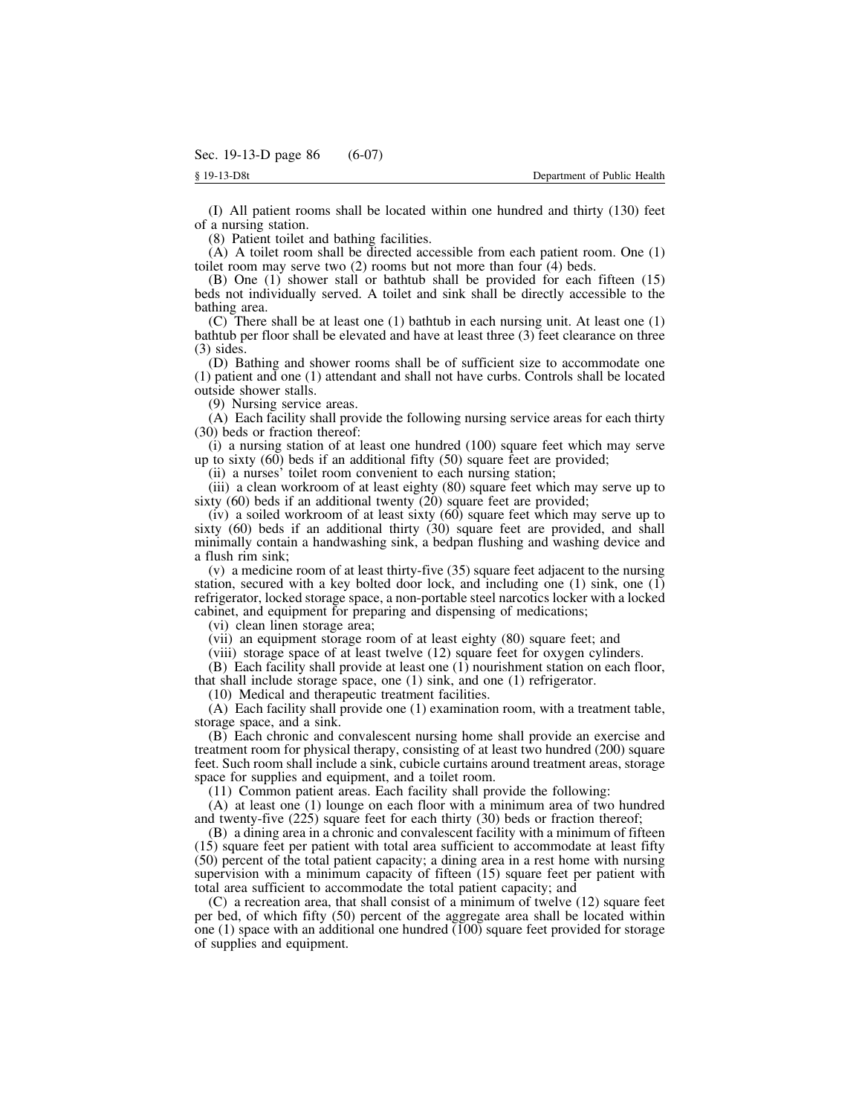(I) All patient rooms shall be located within one hundred and thirty (130) feet of a nursing station.

(8) Patient toilet and bathing facilities.

(A) A toilet room shall be directed accessible from each patient room. One (1) toilet room may serve two (2) rooms but not more than four (4) beds.

(B) One (1) shower stall or bathtub shall be provided for each fifteen (15) beds not individually served. A toilet and sink shall be directly accessible to the bathing area.

(C) There shall be at least one (1) bathtub in each nursing unit. At least one (1) bathtub per floor shall be elevated and have at least three (3) feet clearance on three (3) sides.

(D) Bathing and shower rooms shall be of sufficient size to accommodate one (1) patient and one (1) attendant and shall not have curbs. Controls shall be located outside shower stalls.

(9) Nursing service areas.

(A) Each facility shall provide the following nursing service areas for each thirty (30) beds or fraction thereof:

(i) a nursing station of at least one hundred (100) square feet which may serve up to sixty  $(60)$  beds if an additional fifty  $(50)$  square feet are provided;

(ii) a nurses' toilet room convenient to each nursing station;

(iii) a clean workroom of at least eighty (80) square feet which may serve up to sixty (60) beds if an additional twenty (20) square feet are provided;

(iv) a soiled workroom of at least sixty (60) square feet which may serve up to sixty (60) beds if an additional thirty (30) square feet are provided, and shall minimally contain a handwashing sink, a bedpan flushing and washing device and a flush rim sink;

(v) a medicine room of at least thirty-five (35) square feet adjacent to the nursing station, secured with a key bolted door lock, and including one (1) sink, one (1) refrigerator, locked storage space, a non-portable steel narcotics locker with a locked cabinet, and equipment for preparing and dispensing of medications;

(vi) clean linen storage area;

(vii) an equipment storage room of at least eighty (80) square feet; and

(viii) storage space of at least twelve (12) square feet for oxygen cylinders.

(B) Each facility shall provide at least one (1) nourishment station on each floor, that shall include storage space, one (1) sink, and one (1) refrigerator.

(10) Medical and therapeutic treatment facilities.

(A) Each facility shall provide one (1) examination room, with a treatment table, storage space, and a sink.

(B) Each chronic and convalescent nursing home shall provide an exercise and treatment room for physical therapy, consisting of at least two hundred (200) square feet. Such room shall include a sink, cubicle curtains around treatment areas, storage space for supplies and equipment, and a toilet room.

(11) Common patient areas. Each facility shall provide the following:

(A) at least one (1) lounge on each floor with a minimum area of two hundred and twenty-five (225) square feet for each thirty (30) beds or fraction thereof;

(B) a dining area in a chronic and convalescent facility with a minimum of fifteen (15) square feet per patient with total area sufficient to accommodate at least fifty (50) percent of the total patient capacity; a dining area in a rest home with nursing supervision with a minimum capacity of fifteen (15) square feet per patient with total area sufficient to accommodate the total patient capacity; and

(C) a recreation area, that shall consist of a minimum of twelve (12) square feet per bed, of which fifty (50) percent of the aggregate area shall be located within one (1) space with an additional one hundred (100) square feet provided for storage of supplies and equipment.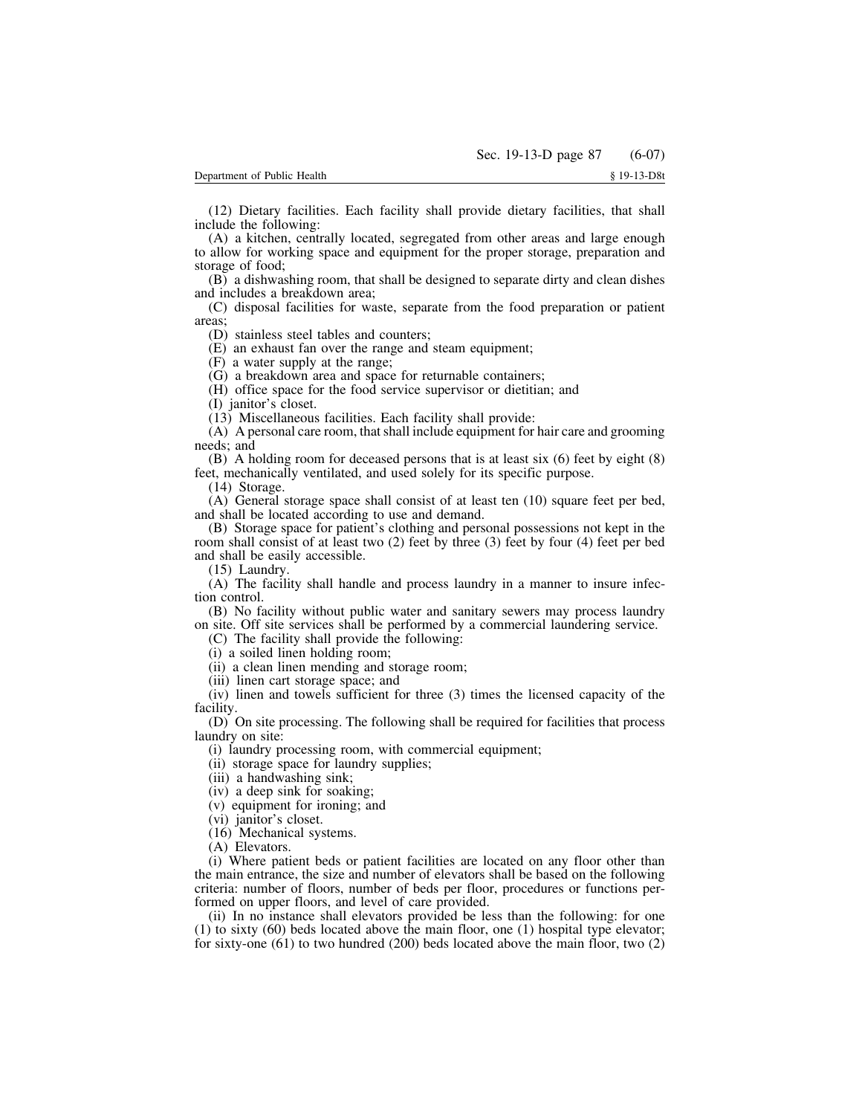(12) Dietary facilities. Each facility shall provide dietary facilities, that shall include the following:

(A) a kitchen, centrally located, segregated from other areas and large enough to allow for working space and equipment for the proper storage, preparation and storage of food;

(B) a dishwashing room, that shall be designed to separate dirty and clean dishes and includes a breakdown area;

(C) disposal facilities for waste, separate from the food preparation or patient areas;

(D) stainless steel tables and counters;

(E) an exhaust fan over the range and steam equipment;

(F) a water supply at the range;

(G) a breakdown area and space for returnable containers;

(H) office space for the food service supervisor or dietitian; and

(I) janitor's closet.

(13) Miscellaneous facilities. Each facility shall provide:

(A) A personal care room, that shall include equipment for hair care and grooming needs; and

(B) A holding room for deceased persons that is at least six (6) feet by eight (8) feet, mechanically ventilated, and used solely for its specific purpose.

(14) Storage.

(A) General storage space shall consist of at least ten (10) square feet per bed, and shall be located according to use and demand.

(B) Storage space for patient's clothing and personal possessions not kept in the room shall consist of at least two (2) feet by three (3) feet by four (4) feet per bed and shall be easily accessible.

(15) Laundry.

(A) The facility shall handle and process laundry in a manner to insure infection control.

(B) No facility without public water and sanitary sewers may process laundry on site. Off site services shall be performed by a commercial laundering service.

(C) The facility shall provide the following:

(i) a soiled linen holding room;

(ii) a clean linen mending and storage room;

(iii) linen cart storage space; and

(iv) linen and towels sufficient for three (3) times the licensed capacity of the facility.

(D) On site processing. The following shall be required for facilities that process laundry on site:

(i) laundry processing room, with commercial equipment;

(ii) storage space for laundry supplies;

(iii) a handwashing sink;

(iv) a deep sink for soaking;

(v) equipment for ironing; and

(vi) janitor's closet.

(16) Mechanical systems.

(A) Elevators.

(i) Where patient beds or patient facilities are located on any floor other than the main entrance, the size and number of elevators shall be based on the following criteria: number of floors, number of beds per floor, procedures or functions performed on upper floors, and level of care provided.

(ii) In no instance shall elevators provided be less than the following: for one (1) to sixty (60) beds located above the main floor, one (1) hospital type elevator; for sixty-one (61) to two hundred (200) beds located above the main floor, two (2)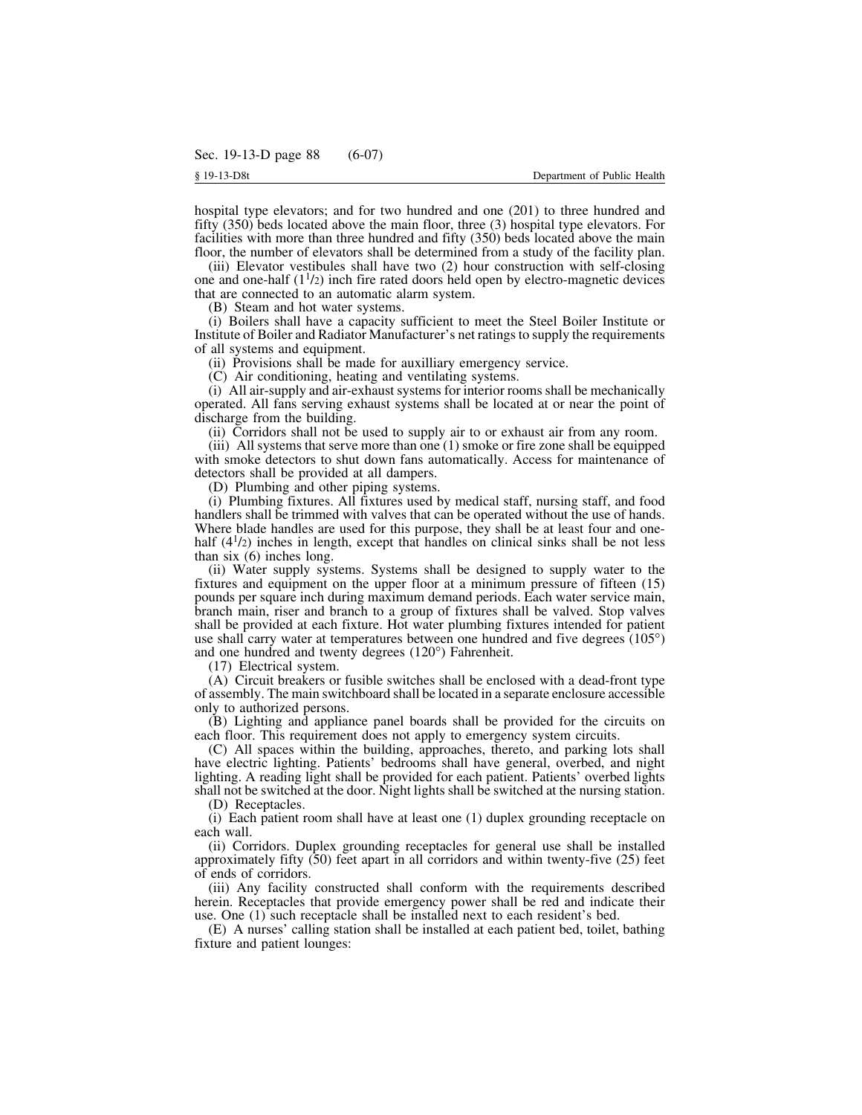hospital type elevators; and for two hundred and one (201) to three hundred and fifty (350) beds located above the main floor, three (3) hospital type elevators. For facilities with more than three hundred and fifty (350) beds located above the main floor, the number of elevators shall be determined from a study of the facility plan.

(iii) Elevator vestibules shall have two (2) hour construction with self-closing one and one-half  $(1<sup>1</sup>/2)$  inch fire rated doors held open by electro-magnetic devices that are connected to an automatic alarm system.

(B) Steam and hot water systems.

(i) Boilers shall have a capacity sufficient to meet the Steel Boiler Institute or Institute of Boiler and Radiator Manufacturer's net ratingsto supply the requirements of all systems and equipment.

(ii) Provisions shall be made for auxilliary emergency service.

(C) Air conditioning, heating and ventilating systems.

(i) All air-supply and air-exhaust systems for interior rooms shall be mechanically operated. All fans serving exhaust systems shall be located at or near the point of discharge from the building.

(ii) Corridors shall not be used to supply air to or exhaust air from any room.

(iii) All systems that serve more than one (1) smoke or fire zone shall be equipped with smoke detectors to shut down fans automatically. Access for maintenance of detectors shall be provided at all dampers.

(D) Plumbing and other piping systems.

(i) Plumbing fixtures. All fixtures used by medical staff, nursing staff, and food handlers shall be trimmed with valves that can be operated without the use of hands. Where blade handles are used for this purpose, they shall be at least four and onehalf (4<sup>1</sup>/2) inches in length, except that handles on clinical sinks shall be not less than six (6) inches long.

(ii) Water supply systems. Systems shall be designed to supply water to the fixtures and equipment on the upper floor at a minimum pressure of fifteen (15) pounds per square inch during maximum demand periods. Each water service main, branch main, riser and branch to a group of fixtures shall be valved. Stop valves shall be provided at each fixture. Hot water plumbing fixtures intended for patient use shall carry water at temperatures between one hundred and five degrees (105°) and one hundred and twenty degrees (120°) Fahrenheit.

(17) Electrical system.

(A) Circuit breakers or fusible switches shall be enclosed with a dead-front type of assembly. The main switchboard shall be located in a separate enclosure accessible only to authorized persons.

(B) Lighting and appliance panel boards shall be provided for the circuits on each floor. This requirement does not apply to emergency system circuits.

(C) All spaces within the building, approaches, thereto, and parking lots shall have electric lighting. Patients' bedrooms shall have general, overbed, and night lighting. A reading light shall be provided for each patient. Patients' overbed lights shall not be switched at the door. Night lights shall be switched at the nursing station.

(D) Receptacles.

(i) Each patient room shall have at least one (1) duplex grounding receptacle on each wall.

(ii) Corridors. Duplex grounding receptacles for general use shall be installed approximately fifty (50) feet apart in all corridors and within twenty-five (25) feet of ends of corridors.

(iii) Any facility constructed shall conform with the requirements described herein. Receptacles that provide emergency power shall be red and indicate their use. One (1) such receptacle shall be installed next to each resident's bed.

(E) A nurses' calling station shall be installed at each patient bed, toilet, bathing fixture and patient lounges: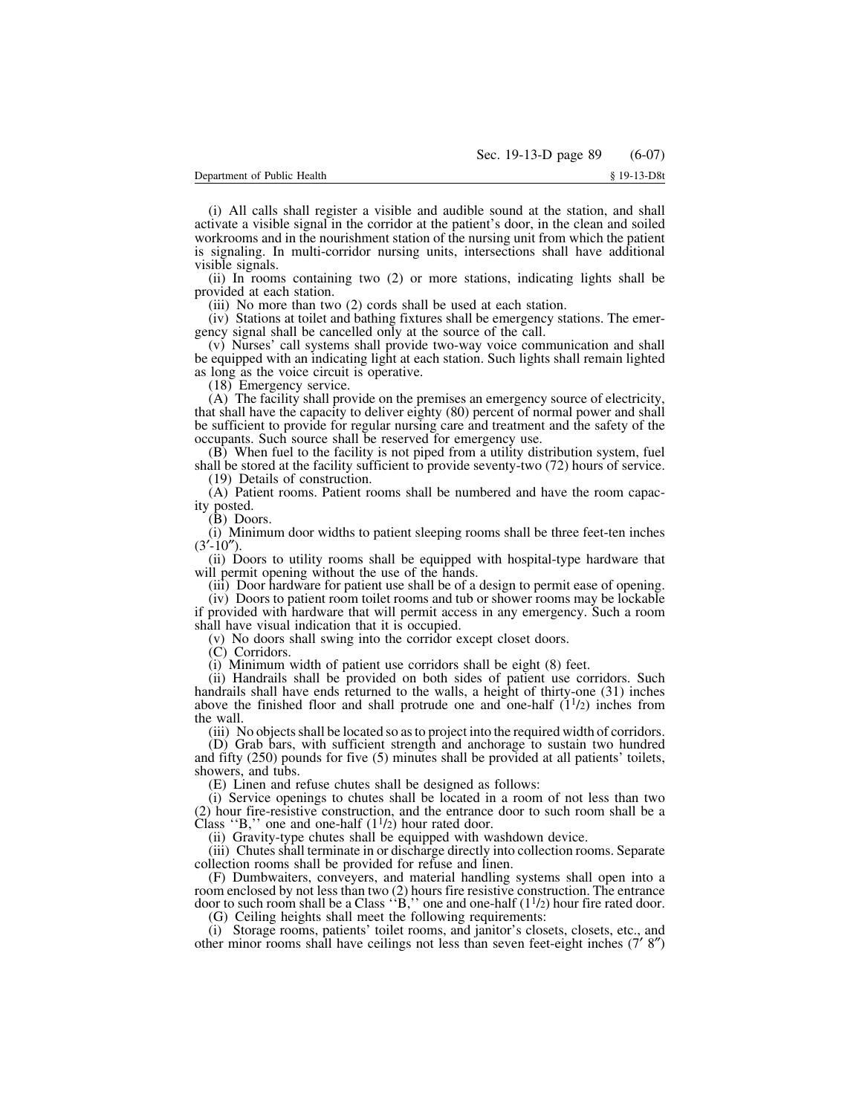(i) All calls shall register a visible and audible sound at the station, and shall activate a visible signal in the corridor at the patient's door, in the clean and soiled workrooms and in the nourishment station of the nursing unit from which the patient is signaling. In multi-corridor nursing units, intersections shall have additional visible signals.

(ii) In rooms containing two (2) or more stations, indicating lights shall be provided at each station.

(iii) No more than two (2) cords shall be used at each station.

(iv) Stations at toilet and bathing fixtures shall be emergency stations. The emergency signal shall be cancelled only at the source of the call.

(v) Nurses' call systems shall provide two-way voice communication and shall be equipped with an indicating light at each station. Such lights shall remain lighted as long as the voice circuit is operative.

(18) Emergency service.

(A) The facility shall provide on the premises an emergency source of electricity, that shall have the capacity to deliver eighty (80) percent of normal power and shall be sufficient to provide for regular nursing care and treatment and the safety of the occupants. Such source shall be reserved for emergency use.

(B) When fuel to the facility is not piped from a utility distribution system, fuel shall be stored at the facility sufficient to provide seventy-two (72) hours of service.

(19) Details of construction.

(A) Patient rooms. Patient rooms shall be numbered and have the room capacity posted.

(B) Doors.

(i) Minimum door widths to patient sleeping rooms shall be three feet-ten inches  $(3'-10'')$ .

(ii) Doors to utility rooms shall be equipped with hospital-type hardware that will permit opening without the use of the hands.

(iii) Door hardware for patient use shall be of a design to permit ease of opening. (iv) Doors to patient room toilet rooms and tub or shower rooms may be lockable

if provided with hardware that will permit access in any emergency. Such a room shall have visual indication that it is occupied.

(v) No doors shall swing into the corridor except closet doors.

(C) Corridors.

(i) Minimum width of patient use corridors shall be eight (8) feet.

(ii) Handrails shall be provided on both sides of patient use corridors. Such handrails shall have ends returned to the walls, a height of thirty-one (31) inches above the finished floor and shall protrude one and one-half  $(1<sup>1</sup>/2)$  inches from the wall.

(iii) No objectsshall be located so asto project into the required width of corridors.

(D) Grab bars, with sufficient strength and anchorage to sustain two hundred and fifty (250) pounds for five (5) minutes shall be provided at all patients' toilets, showers, and tubs.

(E) Linen and refuse chutes shall be designed as follows:

(i) Service openings to chutes shall be located in a room of not less than two (2) hour fire-resistive construction, and the entrance door to such room shall be a Class "B," one and one-half  $(1<sup>1</sup>/2)$  hour rated door.

(ii) Gravity-type chutes shall be equipped with washdown device.

(iii) Chutes shall terminate in or discharge directly into collection rooms. Separate collection rooms shall be provided for refuse and linen.

(F) Dumbwaiters, conveyers, and material handling systems shall open into a room enclosed by not less than two (2) hours fire resistive construction. The entrance door to such room shall be a Class  $\cdot$ B," one and one-half (1<sup>1</sup>/2) hour fire rated door.

(G) Ceiling heights shall meet the following requirements:

(i) Storage rooms, patients' toilet rooms, and janitor's closets, closets, etc., and other minor rooms shall have ceilings not less than seven feet-eight inches (7′ 8″)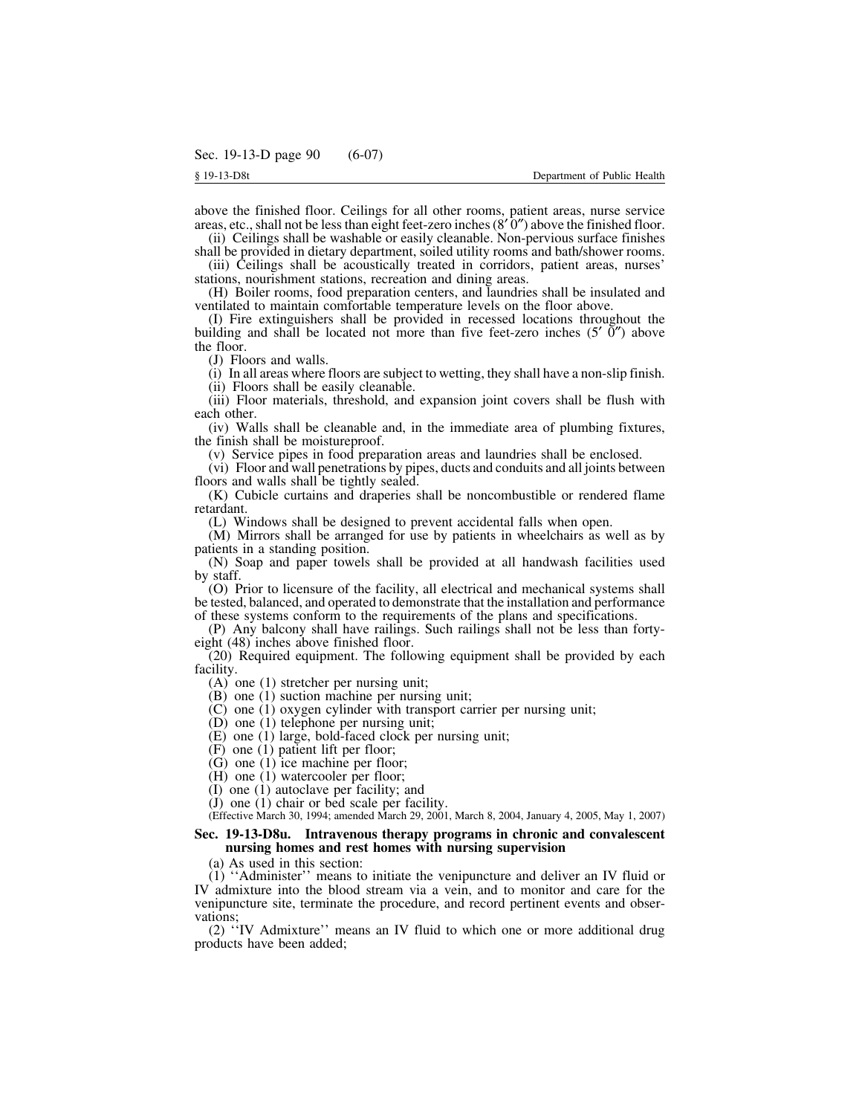above the finished floor. Ceilings for all other rooms, patient areas, nurse service areas, etc., shall not be less than eight feet-zero inches ( $8'$  0″) above the finished floor.

(ii) Ceilings shall be washable or easily cleanable. Non-pervious surface finishes shall be provided in dietary department, soiled utility rooms and bath/shower rooms.

(iii) Ceilings shall be acoustically treated in corridors, patient areas, nurses' stations, nourishment stations, recreation and dining areas.

(H) Boiler rooms, food preparation centers, and laundries shall be insulated and ventilated to maintain comfortable temperature levels on the floor above.

(I) Fire extinguishers shall be provided in recessed locations throughout the building and shall be located not more than five feet-zero inches (5′ 0″) above the floor.

(J) Floors and walls.

(i) In all areas where floors are subject to wetting, they shall have a non-slip finish.

(ii) Floors shall be easily cleanable.

(iii) Floor materials, threshold, and expansion joint covers shall be flush with each other.

(iv) Walls shall be cleanable and, in the immediate area of plumbing fixtures, the finish shall be moistureproof.

(v) Service pipes in food preparation areas and laundries shall be enclosed.

(vi) Floor and wall penetrations by pipes, ducts and conduits and all joints between floors and walls shall be tightly sealed.

(K) Cubicle curtains and draperies shall be noncombustible or rendered flame retardant.

(L) Windows shall be designed to prevent accidental falls when open.

(M) Mirrors shall be arranged for use by patients in wheelchairs as well as by patients in a standing position.

(N) Soap and paper towels shall be provided at all handwash facilities used by staff.

(O) Prior to licensure of the facility, all electrical and mechanical systems shall be tested, balanced, and operated to demonstrate that the installation and performance of these systems conform to the requirements of the plans and specifications.

(P) Any balcony shall have railings. Such railings shall not be less than fortyeight (48) inches above finished floor.

(20) Required equipment. The following equipment shall be provided by each facility.

(A) one (1) stretcher per nursing unit;

- (B) one (1) suction machine per nursing unit;
- (C) one (1) oxygen cylinder with transport carrier per nursing unit;
- (D) one (1) telephone per nursing unit;
- (E) one (1) large, bold-faced clock per nursing unit;
- (F) one (1) patient lift per floor;
- (G) one (1) ice machine per floor;
- (H) one (1) watercooler per floor;
- (I) one (1) autoclave per facility; and
- (J) one (1) chair or bed scale per facility.

(Effective March 30, 1994; amended March 29, 2001, March 8, 2004, January 4, 2005, May 1, 2007)

### **Sec. 19-13-D8u. Intravenous therapy programs in chronic and convalescent nursing homes and rest homes with nursing supervision**

(a) As used in this section:

(1) ''Administer'' means to initiate the venipuncture and deliver an IV fluid or IV admixture into the blood stream via a vein, and to monitor and care for the venipuncture site, terminate the procedure, and record pertinent events and observations;

(2) ''IV Admixture'' means an IV fluid to which one or more additional drug products have been added;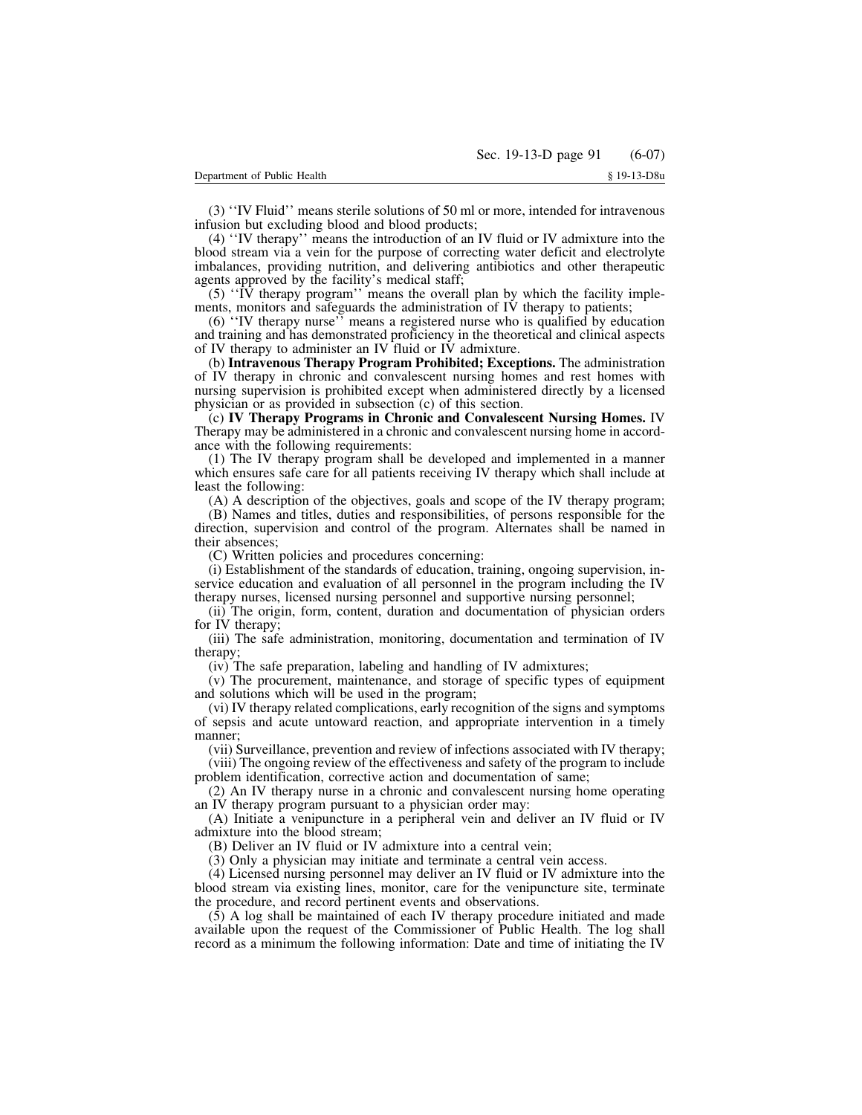(3) ''IV Fluid'' means sterile solutions of 50 ml or more, intended for intravenous infusion but excluding blood and blood products;

(4) ''IV therapy'' means the introduction of an IV fluid or IV admixture into the blood stream via a vein for the purpose of correcting water deficit and electrolyte imbalances, providing nutrition, and delivering antibiotics and other therapeutic agents approved by the facility's medical staff;

 $(5)$  "IV therapy program" means the overall plan by which the facility implements, monitors and safeguards the administration of IV therapy to patients;

(6) ''IV therapy nurse'' means a registered nurse who is qualified by education and training and has demonstrated proficiency in the theoretical and clinical aspects of IV therapy to administer an IV fluid or IV admixture.

(b) **Intravenous Therapy Program Prohibited; Exceptions.** The administration of IV therapy in chronic and convalescent nursing homes and rest homes with nursing supervision is prohibited except when administered directly by a licensed physician or as provided in subsection (c) of this section.

(c) **IV Therapy Programs in Chronic and Convalescent Nursing Homes.** IV Therapy may be administered in a chronic and convalescent nursing home in accordance with the following requirements:

(1) The IV therapy program shall be developed and implemented in a manner which ensures safe care for all patients receiving IV therapy which shall include at least the following:

(A) A description of the objectives, goals and scope of the IV therapy program;

(B) Names and titles, duties and responsibilities, of persons responsible for the direction, supervision and control of the program. Alternates shall be named in their absences;

(C) Written policies and procedures concerning:

(i) Establishment of the standards of education, training, ongoing supervision, inservice education and evaluation of all personnel in the program including the IV therapy nurses, licensed nursing personnel and supportive nursing personnel;

(ii) The origin, form, content, duration and documentation of physician orders for IV therapy;

(iii) The safe administration, monitoring, documentation and termination of IV therapy;

(iv) The safe preparation, labeling and handling of IV admixtures;

(v) The procurement, maintenance, and storage of specific types of equipment and solutions which will be used in the program;

(vi) IV therapy related complications, early recognition of the signs and symptoms of sepsis and acute untoward reaction, and appropriate intervention in a timely manner;

(vii) Surveillance, prevention and review of infections associated with IV therapy;

(viii) The ongoing review of the effectiveness and safety of the program to include problem identification, corrective action and documentation of same;

(2) An IV therapy nurse in a chronic and convalescent nursing home operating an IV therapy program pursuant to a physician order may:

(A) Initiate a venipuncture in a peripheral vein and deliver an IV fluid or IV admixture into the blood stream;

(B) Deliver an IV fluid or IV admixture into a central vein;

(3) Only a physician may initiate and terminate a central vein access.

(4) Licensed nursing personnel may deliver an IV fluid or IV admixture into the blood stream via existing lines, monitor, care for the venipuncture site, terminate the procedure, and record pertinent events and observations.

(5) A log shall be maintained of each IV therapy procedure initiated and made available upon the request of the Commissioner of Public Health. The log shall record as a minimum the following information: Date and time of initiating the IV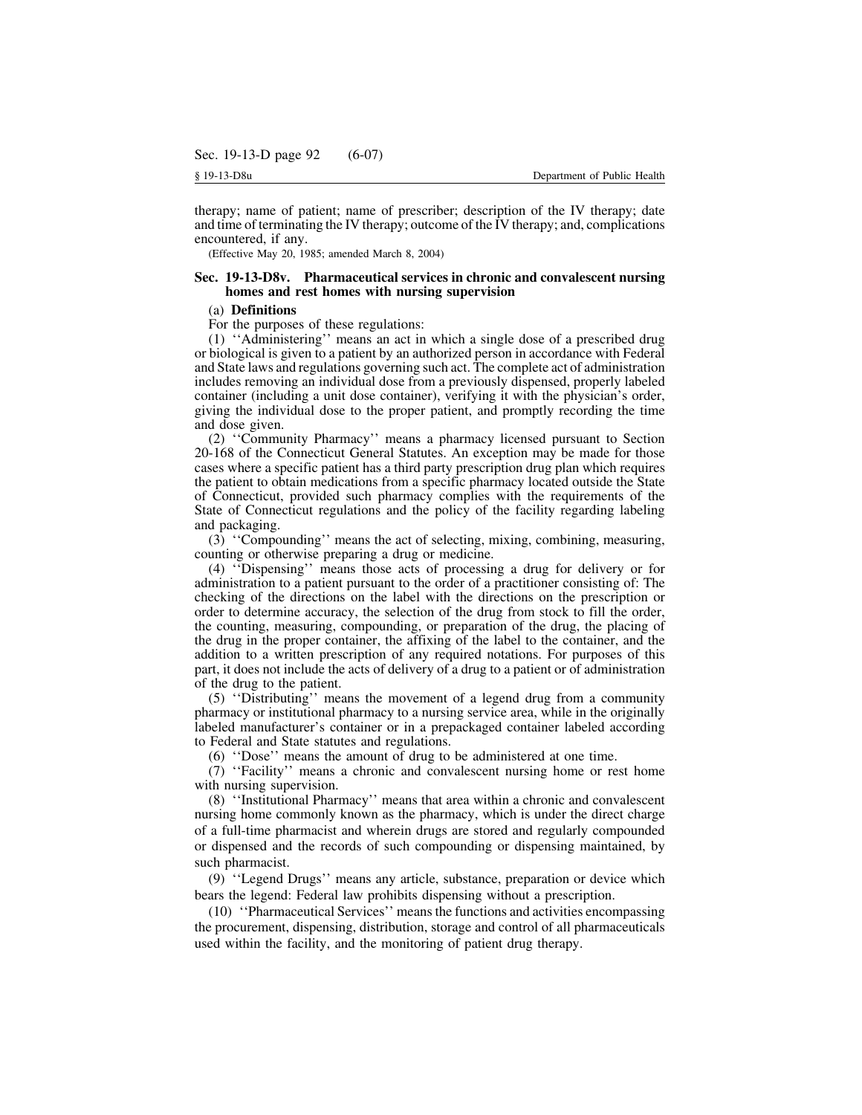therapy; name of patient; name of prescriber; description of the IV therapy; date and time of terminating the IV therapy; outcome of the IV therapy; and, complications encountered, if any.

(Effective May 20, 1985; amended March 8, 2004)

# **Sec. 19-13-D8v. Pharmaceutical services in chronic and convalescent nursing homes and rest homes with nursing supervision**

# (a) **Definitions**

For the purposes of these regulations:

(1) ''Administering'' means an act in which a single dose of a prescribed drug or biological is given to a patient by an authorized person in accordance with Federal and State laws and regulations governing such act. The complete act of administration includes removing an individual dose from a previously dispensed, properly labeled container (including a unit dose container), verifying it with the physician's order, giving the individual dose to the proper patient, and promptly recording the time and dose given.

(2) ''Community Pharmacy'' means a pharmacy licensed pursuant to Section 20-168 of the Connecticut General Statutes. An exception may be made for those cases where a specific patient has a third party prescription drug plan which requires the patient to obtain medications from a specific pharmacy located outside the State of Connecticut, provided such pharmacy complies with the requirements of the State of Connecticut regulations and the policy of the facility regarding labeling and packaging.

(3) ''Compounding'' means the act of selecting, mixing, combining, measuring, counting or otherwise preparing a drug or medicine.

(4) ''Dispensing'' means those acts of processing a drug for delivery or for administration to a patient pursuant to the order of a practitioner consisting of: The checking of the directions on the label with the directions on the prescription or order to determine accuracy, the selection of the drug from stock to fill the order, the counting, measuring, compounding, or preparation of the drug, the placing of the drug in the proper container, the affixing of the label to the container, and the addition to a written prescription of any required notations. For purposes of this part, it does not include the acts of delivery of a drug to a patient or of administration of the drug to the patient.

(5) ''Distributing'' means the movement of a legend drug from a community pharmacy or institutional pharmacy to a nursing service area, while in the originally labeled manufacturer's container or in a prepackaged container labeled according to Federal and State statutes and regulations.

(6) ''Dose'' means the amount of drug to be administered at one time.

(7) ''Facility'' means a chronic and convalescent nursing home or rest home with nursing supervision.

(8) ''Institutional Pharmacy'' means that area within a chronic and convalescent nursing home commonly known as the pharmacy, which is under the direct charge of a full-time pharmacist and wherein drugs are stored and regularly compounded or dispensed and the records of such compounding or dispensing maintained, by such pharmacist.

(9) ''Legend Drugs'' means any article, substance, preparation or device which bears the legend: Federal law prohibits dispensing without a prescription.

(10) ''Pharmaceutical Services'' meansthe functions and activities encompassing the procurement, dispensing, distribution, storage and control of all pharmaceuticals used within the facility, and the monitoring of patient drug therapy.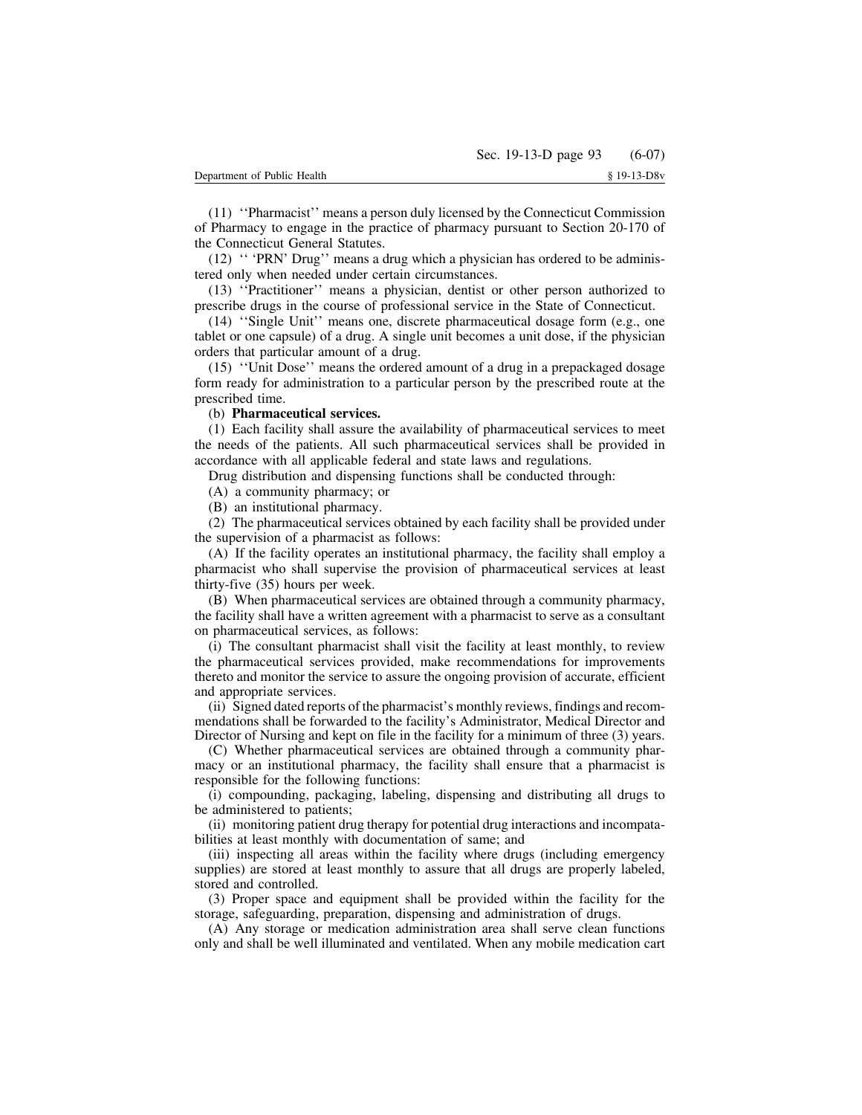(11) ''Pharmacist'' means a person duly licensed by the Connecticut Commission of Pharmacy to engage in the practice of pharmacy pursuant to Section 20-170 of the Connecticut General Statutes.

(12) '' 'PRN' Drug'' means a drug which a physician has ordered to be administered only when needed under certain circumstances.

(13) ''Practitioner'' means a physician, dentist or other person authorized to prescribe drugs in the course of professional service in the State of Connecticut.

(14) ''Single Unit'' means one, discrete pharmaceutical dosage form (e.g., one tablet or one capsule) of a drug. A single unit becomes a unit dose, if the physician orders that particular amount of a drug.

(15) ''Unit Dose'' means the ordered amount of a drug in a prepackaged dosage form ready for administration to a particular person by the prescribed route at the prescribed time.

## (b) **Pharmaceutical services.**

(1) Each facility shall assure the availability of pharmaceutical services to meet the needs of the patients. All such pharmaceutical services shall be provided in accordance with all applicable federal and state laws and regulations.

Drug distribution and dispensing functions shall be conducted through:

(A) a community pharmacy; or

(B) an institutional pharmacy.

(2) The pharmaceutical services obtained by each facility shall be provided under the supervision of a pharmacist as follows:

(A) If the facility operates an institutional pharmacy, the facility shall employ a pharmacist who shall supervise the provision of pharmaceutical services at least thirty-five (35) hours per week.

(B) When pharmaceutical services are obtained through a community pharmacy, the facility shall have a written agreement with a pharmacist to serve as a consultant on pharmaceutical services, as follows:

(i) The consultant pharmacist shall visit the facility at least monthly, to review the pharmaceutical services provided, make recommendations for improvements thereto and monitor the service to assure the ongoing provision of accurate, efficient and appropriate services.

(ii) Signed dated reports of the pharmacist's monthly reviews, findings and recommendations shall be forwarded to the facility's Administrator, Medical Director and Director of Nursing and kept on file in the facility for a minimum of three (3) years.

(C) Whether pharmaceutical services are obtained through a community pharmacy or an institutional pharmacy, the facility shall ensure that a pharmacist is responsible for the following functions:

(i) compounding, packaging, labeling, dispensing and distributing all drugs to be administered to patients;

(ii) monitoring patient drug therapy for potential drug interactions and incompatabilities at least monthly with documentation of same; and

(iii) inspecting all areas within the facility where drugs (including emergency supplies) are stored at least monthly to assure that all drugs are properly labeled, stored and controlled.

(3) Proper space and equipment shall be provided within the facility for the storage, safeguarding, preparation, dispensing and administration of drugs.

(A) Any storage or medication administration area shall serve clean functions only and shall be well illuminated and ventilated. When any mobile medication cart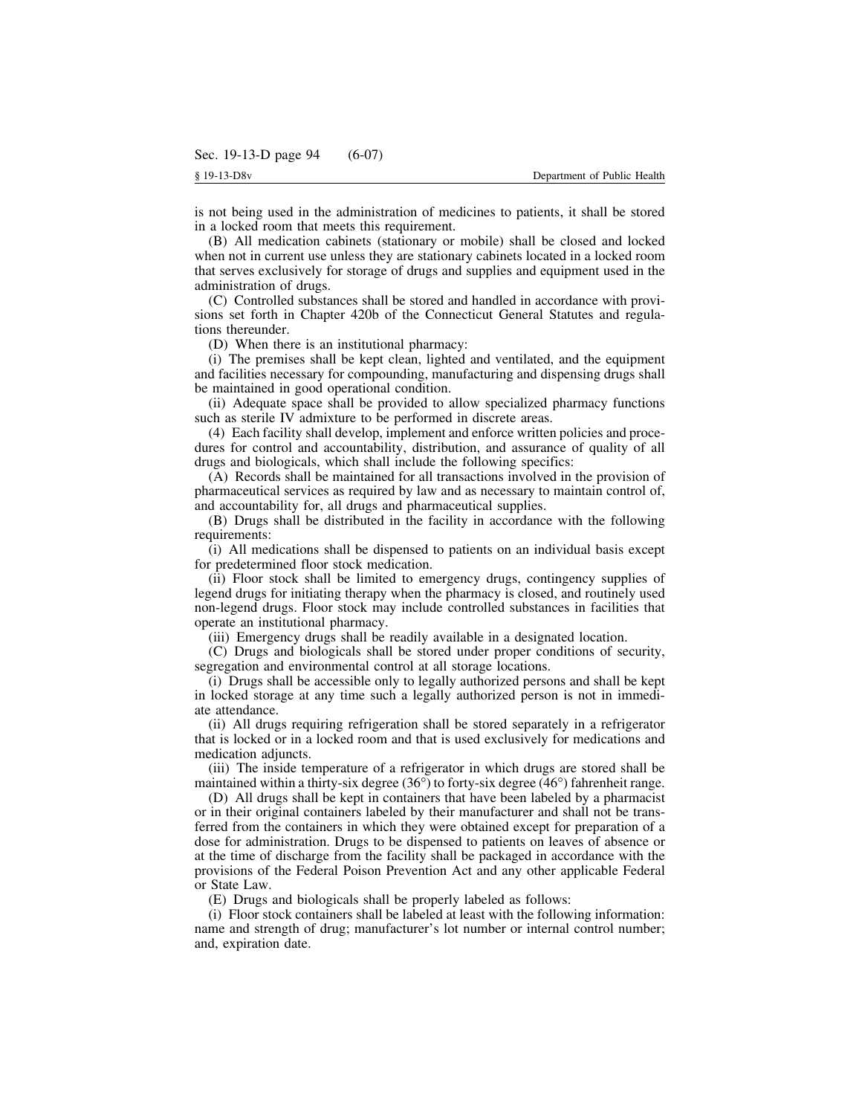is not being used in the administration of medicines to patients, it shall be stored in a locked room that meets this requirement.

(B) All medication cabinets (stationary or mobile) shall be closed and locked when not in current use unless they are stationary cabinets located in a locked room that serves exclusively for storage of drugs and supplies and equipment used in the administration of drugs.

(C) Controlled substances shall be stored and handled in accordance with provisions set forth in Chapter 420b of the Connecticut General Statutes and regulations thereunder.

(D) When there is an institutional pharmacy:

(i) The premises shall be kept clean, lighted and ventilated, and the equipment and facilities necessary for compounding, manufacturing and dispensing drugs shall be maintained in good operational condition.

(ii) Adequate space shall be provided to allow specialized pharmacy functions such as sterile IV admixture to be performed in discrete areas.

(4) Each facility shall develop, implement and enforce written policies and procedures for control and accountability, distribution, and assurance of quality of all drugs and biologicals, which shall include the following specifics:

(A) Records shall be maintained for all transactions involved in the provision of pharmaceutical services as required by law and as necessary to maintain control of, and accountability for, all drugs and pharmaceutical supplies.

(B) Drugs shall be distributed in the facility in accordance with the following requirements:

(i) All medications shall be dispensed to patients on an individual basis except for predetermined floor stock medication.

(ii) Floor stock shall be limited to emergency drugs, contingency supplies of legend drugs for initiating therapy when the pharmacy is closed, and routinely used non-legend drugs. Floor stock may include controlled substances in facilities that operate an institutional pharmacy.

(iii) Emergency drugs shall be readily available in a designated location.

(C) Drugs and biologicals shall be stored under proper conditions of security, segregation and environmental control at all storage locations.

(i) Drugs shall be accessible only to legally authorized persons and shall be kept in locked storage at any time such a legally authorized person is not in immediate attendance.

(ii) All drugs requiring refrigeration shall be stored separately in a refrigerator that is locked or in a locked room and that is used exclusively for medications and medication adjuncts.

(iii) The inside temperature of a refrigerator in which drugs are stored shall be maintained within a thirty-six degree  $(36^{\circ})$  to forty-six degree  $(46^{\circ})$  fahrenheit range.

(D) All drugs shall be kept in containers that have been labeled by a pharmacist or in their original containers labeled by their manufacturer and shall not be transferred from the containers in which they were obtained except for preparation of a dose for administration. Drugs to be dispensed to patients on leaves of absence or at the time of discharge from the facility shall be packaged in accordance with the provisions of the Federal Poison Prevention Act and any other applicable Federal or State Law.

(E) Drugs and biologicals shall be properly labeled as follows:

(i) Floor stock containers shall be labeled at least with the following information: name and strength of drug; manufacturer's lot number or internal control number; and, expiration date.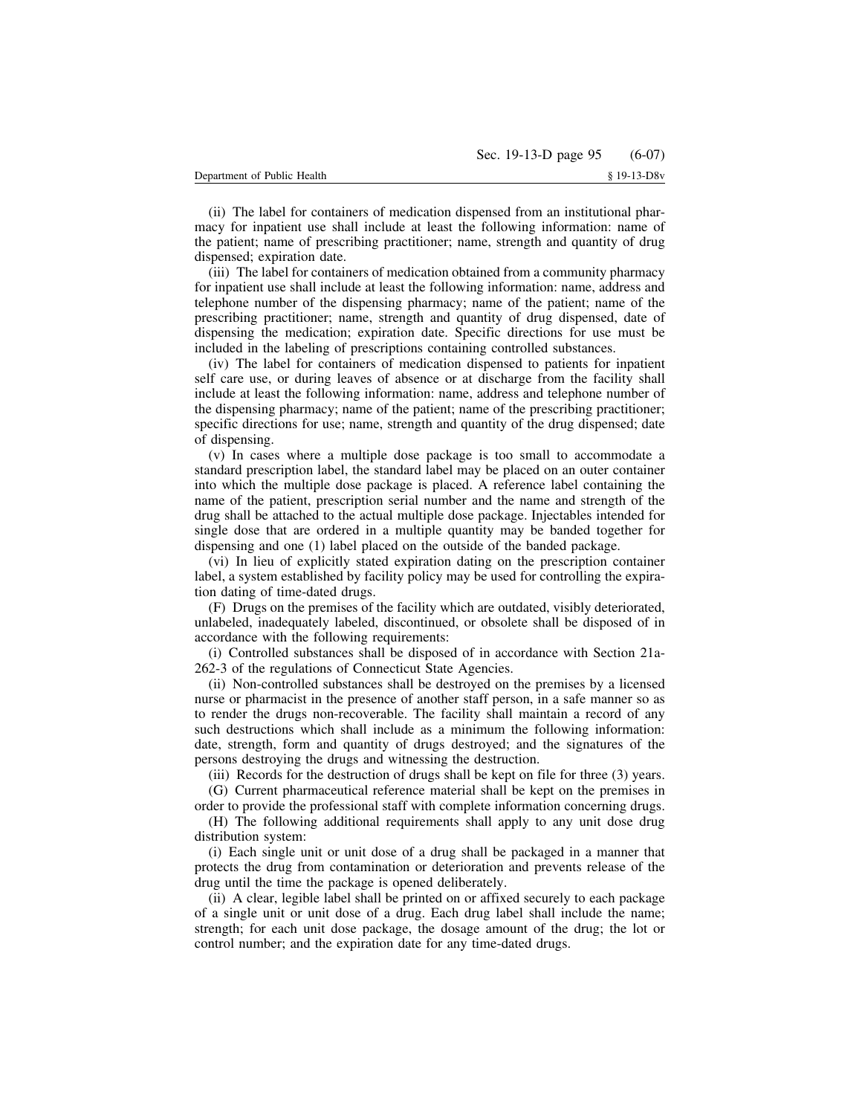(ii) The label for containers of medication dispensed from an institutional pharmacy for inpatient use shall include at least the following information: name of the patient; name of prescribing practitioner; name, strength and quantity of drug dispensed; expiration date.

(iii) The label for containers of medication obtained from a community pharmacy for inpatient use shall include at least the following information: name, address and telephone number of the dispensing pharmacy; name of the patient; name of the prescribing practitioner; name, strength and quantity of drug dispensed, date of dispensing the medication; expiration date. Specific directions for use must be included in the labeling of prescriptions containing controlled substances.

(iv) The label for containers of medication dispensed to patients for inpatient self care use, or during leaves of absence or at discharge from the facility shall include at least the following information: name, address and telephone number of the dispensing pharmacy; name of the patient; name of the prescribing practitioner; specific directions for use; name, strength and quantity of the drug dispensed; date of dispensing.

(v) In cases where a multiple dose package is too small to accommodate a standard prescription label, the standard label may be placed on an outer container into which the multiple dose package is placed. A reference label containing the name of the patient, prescription serial number and the name and strength of the drug shall be attached to the actual multiple dose package. Injectables intended for single dose that are ordered in a multiple quantity may be banded together for dispensing and one (1) label placed on the outside of the banded package.

(vi) In lieu of explicitly stated expiration dating on the prescription container label, a system established by facility policy may be used for controlling the expiration dating of time-dated drugs.

(F) Drugs on the premises of the facility which are outdated, visibly deteriorated, unlabeled, inadequately labeled, discontinued, or obsolete shall be disposed of in accordance with the following requirements:

(i) Controlled substances shall be disposed of in accordance with Section 21a-262-3 of the regulations of Connecticut State Agencies.

(ii) Non-controlled substances shall be destroyed on the premises by a licensed nurse or pharmacist in the presence of another staff person, in a safe manner so as to render the drugs non-recoverable. The facility shall maintain a record of any such destructions which shall include as a minimum the following information: date, strength, form and quantity of drugs destroyed; and the signatures of the persons destroying the drugs and witnessing the destruction.

(iii) Records for the destruction of drugs shall be kept on file for three (3) years.

(G) Current pharmaceutical reference material shall be kept on the premises in order to provide the professional staff with complete information concerning drugs.

(H) The following additional requirements shall apply to any unit dose drug distribution system:

(i) Each single unit or unit dose of a drug shall be packaged in a manner that protects the drug from contamination or deterioration and prevents release of the drug until the time the package is opened deliberately.

(ii) A clear, legible label shall be printed on or affixed securely to each package of a single unit or unit dose of a drug. Each drug label shall include the name; strength; for each unit dose package, the dosage amount of the drug; the lot or control number; and the expiration date for any time-dated drugs.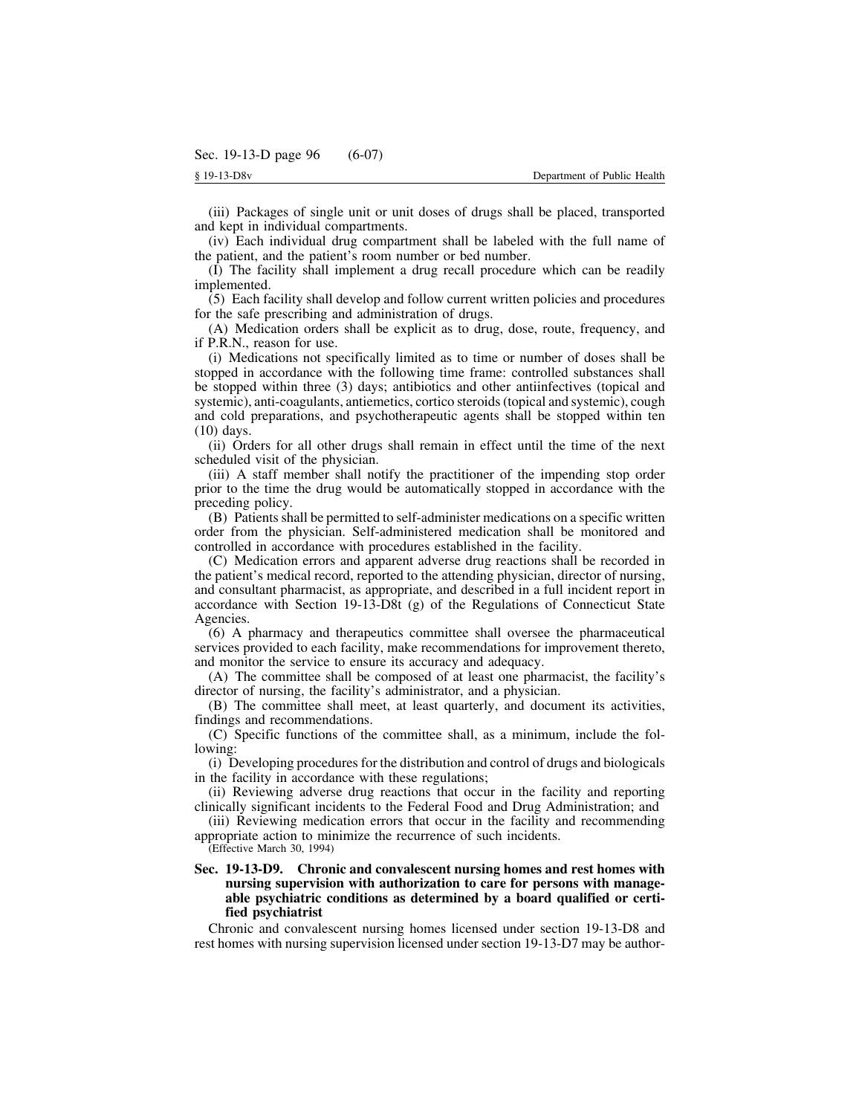(iii) Packages of single unit or unit doses of drugs shall be placed, transported and kept in individual compartments.

(iv) Each individual drug compartment shall be labeled with the full name of the patient, and the patient's room number or bed number.

(I) The facility shall implement a drug recall procedure which can be readily implemented.

(5) Each facility shall develop and follow current written policies and procedures for the safe prescribing and administration of drugs.

(A) Medication orders shall be explicit as to drug, dose, route, frequency, and if P.R.N., reason for use.

(i) Medications not specifically limited as to time or number of doses shall be stopped in accordance with the following time frame: controlled substances shall be stopped within three (3) days; antibiotics and other antiinfectives (topical and systemic), anti-coagulants, antiemetics, cortico steroids(topical and systemic), cough and cold preparations, and psychotherapeutic agents shall be stopped within ten (10) days.

(ii) Orders for all other drugs shall remain in effect until the time of the next scheduled visit of the physician.

(iii) A staff member shall notify the practitioner of the impending stop order prior to the time the drug would be automatically stopped in accordance with the preceding policy.

(B) Patientsshall be permitted to self-administer medications on a specific written order from the physician. Self-administered medication shall be monitored and controlled in accordance with procedures established in the facility.

(C) Medication errors and apparent adverse drug reactions shall be recorded in the patient's medical record, reported to the attending physician, director of nursing, and consultant pharmacist, as appropriate, and described in a full incident report in accordance with Section 19-13-D8t (g) of the Regulations of Connecticut State Agencies.

(6) A pharmacy and therapeutics committee shall oversee the pharmaceutical services provided to each facility, make recommendations for improvement thereto, and monitor the service to ensure its accuracy and adequacy.

(A) The committee shall be composed of at least one pharmacist, the facility's director of nursing, the facility's administrator, and a physician.

(B) The committee shall meet, at least quarterly, and document its activities, findings and recommendations.

(C) Specific functions of the committee shall, as a minimum, include the following:

(i) Developing procedures for the distribution and control of drugs and biologicals in the facility in accordance with these regulations;

(ii) Reviewing adverse drug reactions that occur in the facility and reporting clinically significant incidents to the Federal Food and Drug Administration; and

(iii) Reviewing medication errors that occur in the facility and recommending appropriate action to minimize the recurrence of such incidents.

(Effective March 30, 1994)

# **Sec. 19-13-D9. Chronic and convalescent nursing homes and rest homes with nursing supervision with authorization to care for persons with manageable psychiatric conditions as determined by a board qualified or certified psychiatrist**

Chronic and convalescent nursing homes licensed under section 19-13-D8 and rest homes with nursing supervision licensed under section 19-13-D7 may be author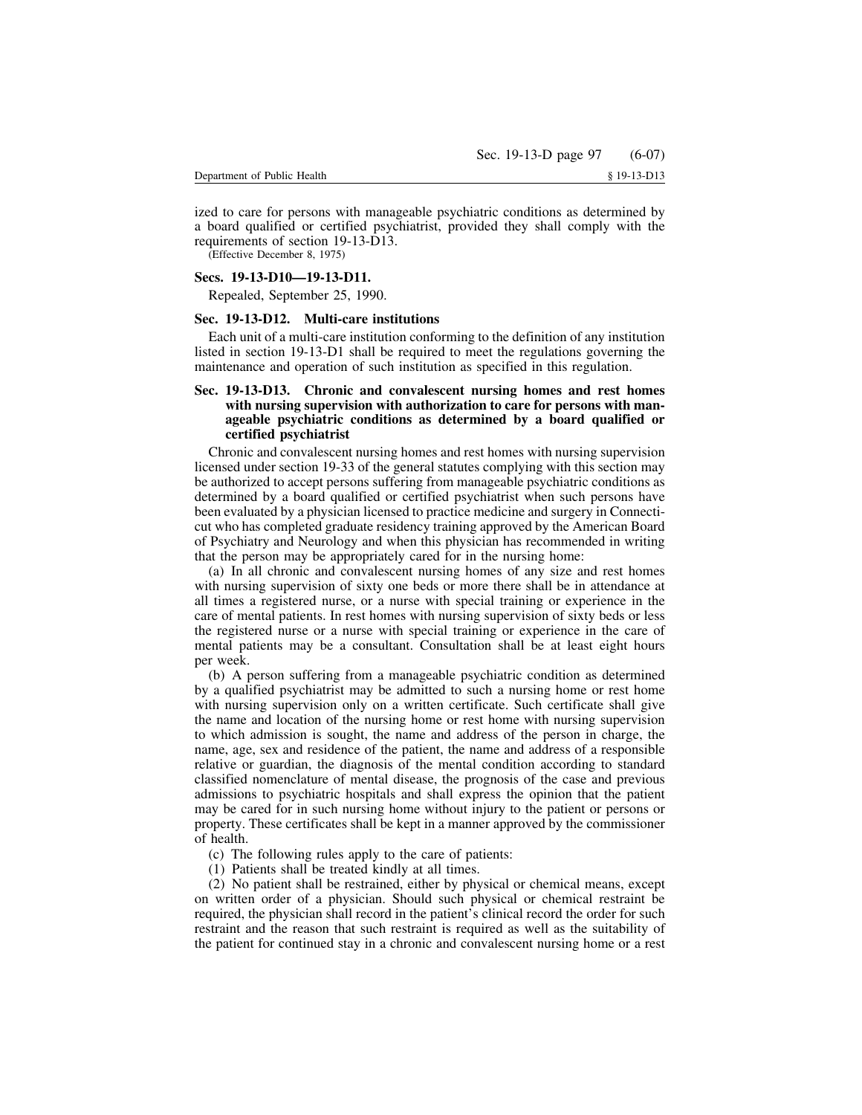ized to care for persons with manageable psychiatric conditions as determined by a board qualified or certified psychiatrist, provided they shall comply with the requirements of section 19-13-D13.

(Effective December 8, 1975)

# **Secs. 19-13-D10—19-13-D11.**

Repealed, September 25, 1990.

# **Sec. 19-13-D12. Multi-care institutions**

Each unit of a multi-care institution conforming to the definition of any institution listed in section 19-13-D1 shall be required to meet the regulations governing the maintenance and operation of such institution as specified in this regulation.

# **Sec. 19-13-D13. Chronic and convalescent nursing homes and rest homes with nursing supervision with authorization to care for persons with manageable psychiatric conditions as determined by a board qualified or certified psychiatrist**

Chronic and convalescent nursing homes and rest homes with nursing supervision licensed under section 19-33 of the general statutes complying with this section may be authorized to accept persons suffering from manageable psychiatric conditions as determined by a board qualified or certified psychiatrist when such persons have been evaluated by a physician licensed to practice medicine and surgery in Connecticut who has completed graduate residency training approved by the American Board of Psychiatry and Neurology and when this physician has recommended in writing that the person may be appropriately cared for in the nursing home:

(a) In all chronic and convalescent nursing homes of any size and rest homes with nursing supervision of sixty one beds or more there shall be in attendance at all times a registered nurse, or a nurse with special training or experience in the care of mental patients. In rest homes with nursing supervision of sixty beds or less the registered nurse or a nurse with special training or experience in the care of mental patients may be a consultant. Consultation shall be at least eight hours per week.

(b) A person suffering from a manageable psychiatric condition as determined by a qualified psychiatrist may be admitted to such a nursing home or rest home with nursing supervision only on a written certificate. Such certificate shall give the name and location of the nursing home or rest home with nursing supervision to which admission is sought, the name and address of the person in charge, the name, age, sex and residence of the patient, the name and address of a responsible relative or guardian, the diagnosis of the mental condition according to standard classified nomenclature of mental disease, the prognosis of the case and previous admissions to psychiatric hospitals and shall express the opinion that the patient may be cared for in such nursing home without injury to the patient or persons or property. These certificates shall be kept in a manner approved by the commissioner of health.

- (c) The following rules apply to the care of patients:
- (1) Patients shall be treated kindly at all times.

(2) No patient shall be restrained, either by physical or chemical means, except on written order of a physician. Should such physical or chemical restraint be required, the physician shall record in the patient's clinical record the order for such restraint and the reason that such restraint is required as well as the suitability of the patient for continued stay in a chronic and convalescent nursing home or a rest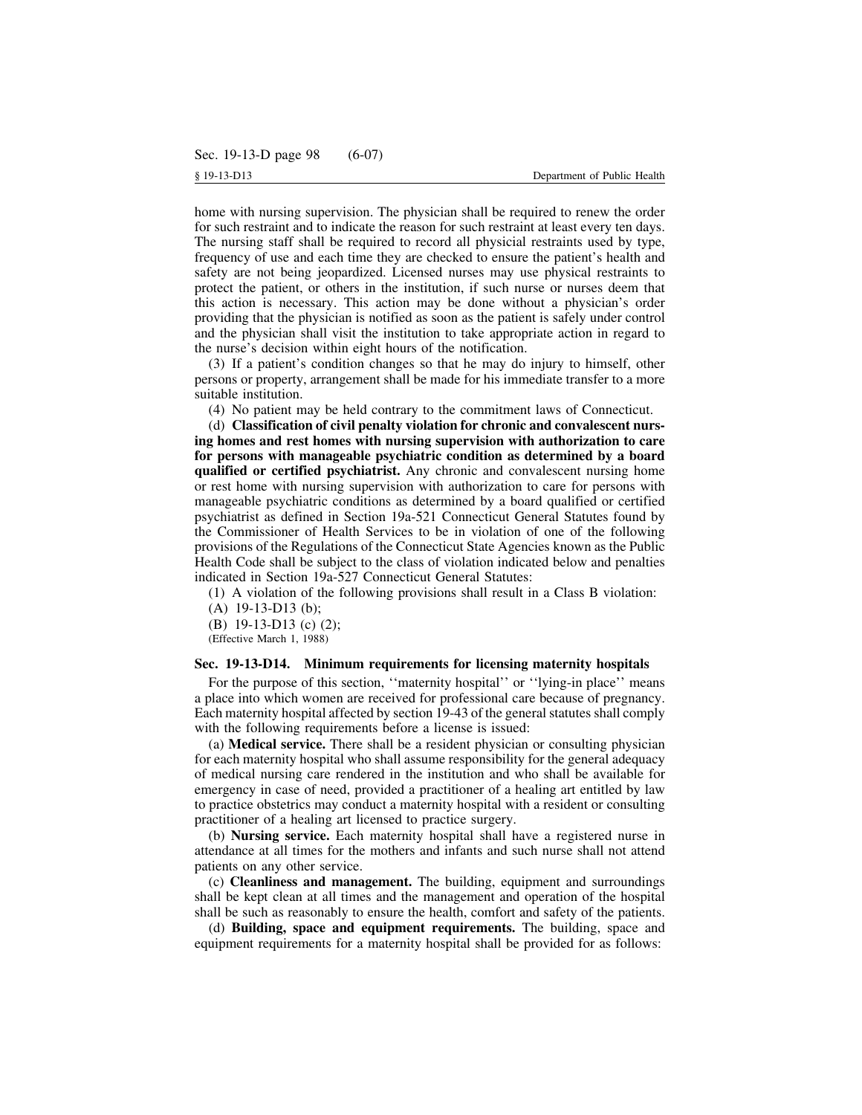home with nursing supervision. The physician shall be required to renew the order for such restraint and to indicate the reason for such restraint at least every ten days. The nursing staff shall be required to record all physicial restraints used by type, frequency of use and each time they are checked to ensure the patient's health and safety are not being jeopardized. Licensed nurses may use physical restraints to protect the patient, or others in the institution, if such nurse or nurses deem that this action is necessary. This action may be done without a physician's order providing that the physician is notified as soon as the patient is safely under control and the physician shall visit the institution to take appropriate action in regard to the nurse's decision within eight hours of the notification.

(3) If a patient's condition changes so that he may do injury to himself, other persons or property, arrangement shall be made for his immediate transfer to a more suitable institution.

(4) No patient may be held contrary to the commitment laws of Connecticut.

(d) **Classification of civil penalty violation for chronic and convalescent nursing homes and rest homes with nursing supervision with authorization to care for persons with manageable psychiatric condition as determined by a board qualified or certified psychiatrist.** Any chronic and convalescent nursing home or rest home with nursing supervision with authorization to care for persons with manageable psychiatric conditions as determined by a board qualified or certified psychiatrist as defined in Section 19a-521 Connecticut General Statutes found by the Commissioner of Health Services to be in violation of one of the following provisions of the Regulations of the Connecticut State Agencies known as the Public Health Code shall be subject to the class of violation indicated below and penalties indicated in Section 19a-527 Connecticut General Statutes:

(1) A violation of the following provisions shall result in a Class B violation:

(A) 19-13-D13 (b);

(B) 19-13-D13 (c) (2);

(Effective March 1, 1988)

#### **Sec. 19-13-D14. Minimum requirements for licensing maternity hospitals**

For the purpose of this section, "maternity hospital" or "lying-in place" means a place into which women are received for professional care because of pregnancy. Each maternity hospital affected by section 19-43 of the generalstatutes shall comply with the following requirements before a license is issued:

(a) **Medical service.** There shall be a resident physician or consulting physician for each maternity hospital who shall assume responsibility for the general adequacy of medical nursing care rendered in the institution and who shall be available for emergency in case of need, provided a practitioner of a healing art entitled by law to practice obstetrics may conduct a maternity hospital with a resident or consulting practitioner of a healing art licensed to practice surgery.

(b) **Nursing service.** Each maternity hospital shall have a registered nurse in attendance at all times for the mothers and infants and such nurse shall not attend patients on any other service.

(c) **Cleanliness and management.** The building, equipment and surroundings shall be kept clean at all times and the management and operation of the hospital shall be such as reasonably to ensure the health, comfort and safety of the patients.

(d) **Building, space and equipment requirements.** The building, space and equipment requirements for a maternity hospital shall be provided for as follows: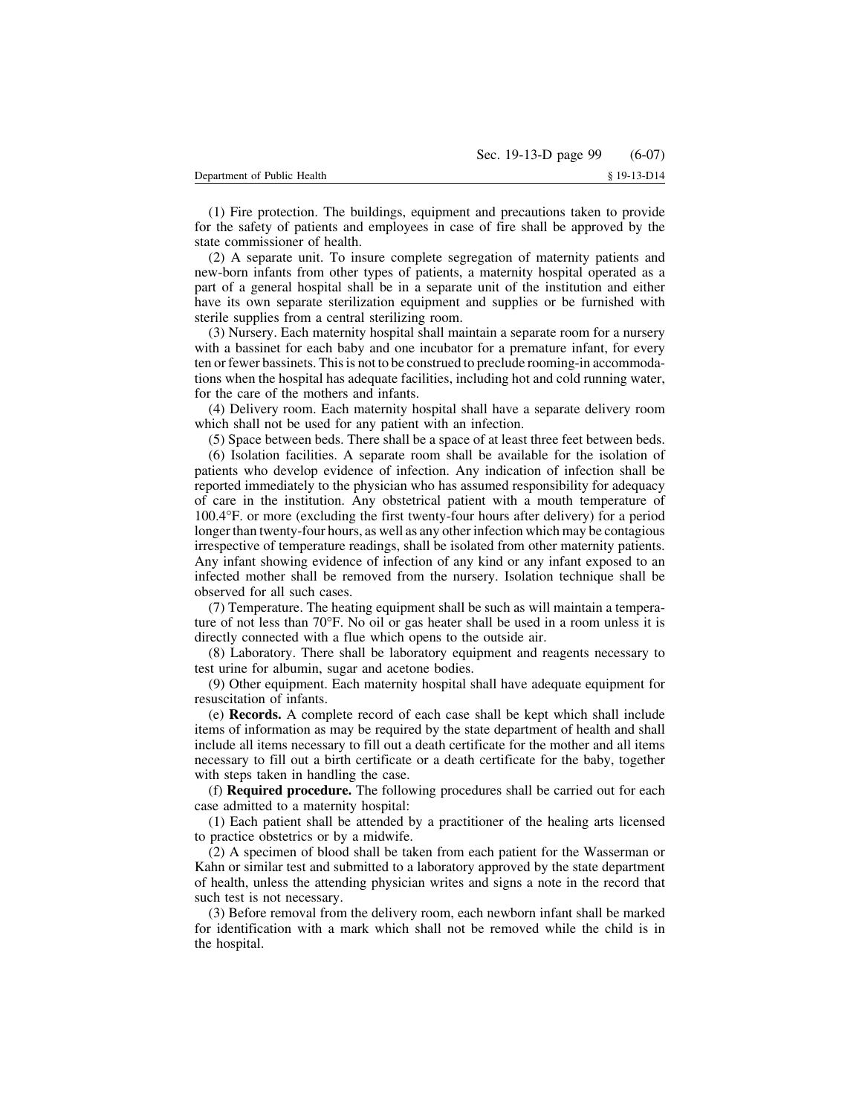(1) Fire protection. The buildings, equipment and precautions taken to provide for the safety of patients and employees in case of fire shall be approved by the state commissioner of health.

(2) A separate unit. To insure complete segregation of maternity patients and new-born infants from other types of patients, a maternity hospital operated as a part of a general hospital shall be in a separate unit of the institution and either have its own separate sterilization equipment and supplies or be furnished with sterile supplies from a central sterilizing room.

(3) Nursery. Each maternity hospital shall maintain a separate room for a nursery with a bassinet for each baby and one incubator for a premature infant, for every ten or fewer bassinets. Thisis not to be construed to preclude rooming-in accommodations when the hospital has adequate facilities, including hot and cold running water, for the care of the mothers and infants.

(4) Delivery room. Each maternity hospital shall have a separate delivery room which shall not be used for any patient with an infection.

(5) Space between beds. There shall be a space of at least three feet between beds.

(6) Isolation facilities. A separate room shall be available for the isolation of patients who develop evidence of infection. Any indication of infection shall be reported immediately to the physician who has assumed responsibility for adequacy of care in the institution. Any obstetrical patient with a mouth temperature of 100.4°F. or more (excluding the first twenty-four hours after delivery) for a period longer than twenty-four hours, as well as any other infection which may be contagious irrespective of temperature readings, shall be isolated from other maternity patients. Any infant showing evidence of infection of any kind or any infant exposed to an infected mother shall be removed from the nursery. Isolation technique shall be observed for all such cases.

(7) Temperature. The heating equipment shall be such as will maintain a temperature of not less than 70°F. No oil or gas heater shall be used in a room unless it is directly connected with a flue which opens to the outside air.

(8) Laboratory. There shall be laboratory equipment and reagents necessary to test urine for albumin, sugar and acetone bodies.

(9) Other equipment. Each maternity hospital shall have adequate equipment for resuscitation of infants.

(e) **Records.** A complete record of each case shall be kept which shall include items of information as may be required by the state department of health and shall include all items necessary to fill out a death certificate for the mother and all items necessary to fill out a birth certificate or a death certificate for the baby, together with steps taken in handling the case.

(f) **Required procedure.** The following procedures shall be carried out for each case admitted to a maternity hospital:

(1) Each patient shall be attended by a practitioner of the healing arts licensed to practice obstetrics or by a midwife.

(2) A specimen of blood shall be taken from each patient for the Wasserman or Kahn or similar test and submitted to a laboratory approved by the state department of health, unless the attending physician writes and signs a note in the record that such test is not necessary.

(3) Before removal from the delivery room, each newborn infant shall be marked for identification with a mark which shall not be removed while the child is in the hospital.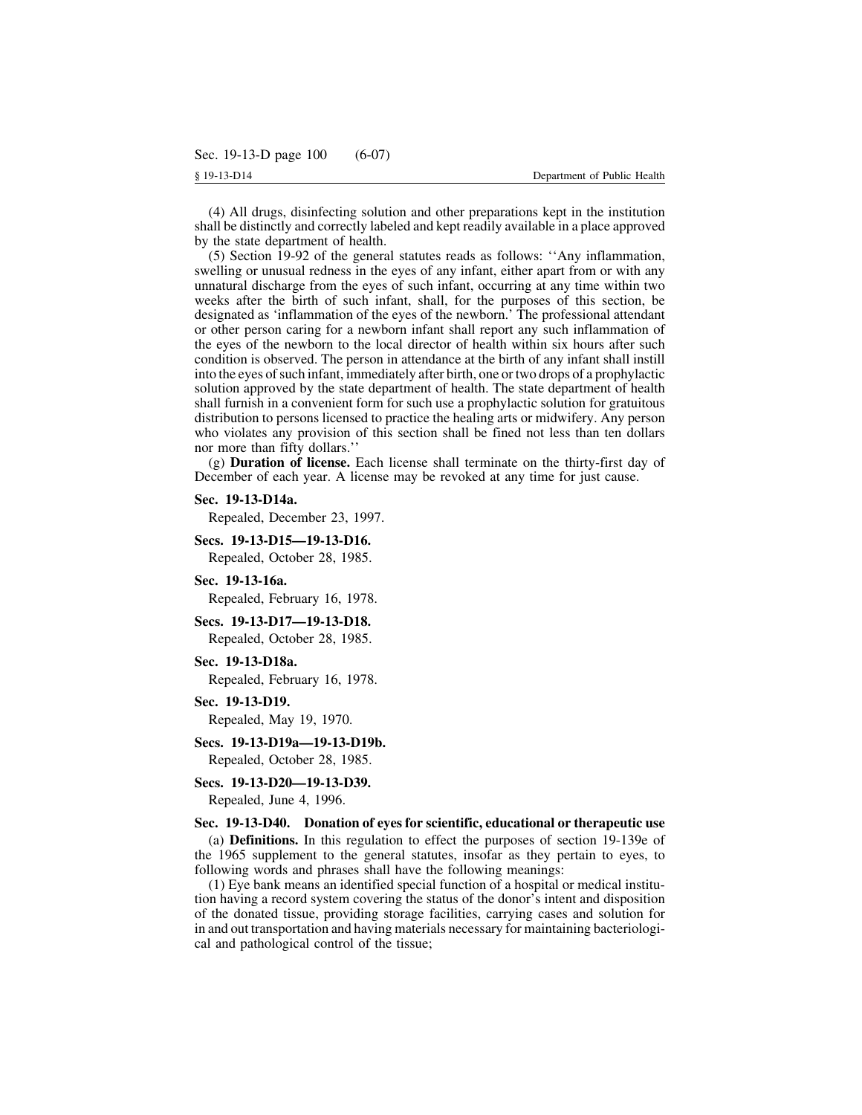(4) All drugs, disinfecting solution and other preparations kept in the institution shall be distinctly and correctly labeled and kept readily available in a place approved by the state department of health.

(5) Section 19-92 of the general statutes reads as follows: ''Any inflammation, swelling or unusual redness in the eyes of any infant, either apart from or with any unnatural discharge from the eyes of such infant, occurring at any time within two weeks after the birth of such infant, shall, for the purposes of this section, be designated as 'inflammation of the eyes of the newborn.' The professional attendant or other person caring for a newborn infant shall report any such inflammation of the eyes of the newborn to the local director of health within six hours after such condition is observed. The person in attendance at the birth of any infant shall instill into the eyes of such infant, immediately after birth, one or two drops of a prophylactic solution approved by the state department of health. The state department of health shall furnish in a convenient form for such use a prophylactic solution for gratuitous distribution to persons licensed to practice the healing arts or midwifery. Any person who violates any provision of this section shall be fined not less than ten dollars nor more than fifty dollars.''

(g) **Duration of license.** Each license shall terminate on the thirty-first day of December of each year. A license may be revoked at any time for just cause.

#### **Sec. 19-13-D14a.**

Repealed, December 23, 1997.

#### **Secs. 19-13-D15—19-13-D16.**

Repealed, October 28, 1985.

#### **Sec. 19-13-16a.**

Repealed, February 16, 1978.

### **Secs. 19-13-D17—19-13-D18.**

Repealed, October 28, 1985.

# **Sec. 19-13-D18a.**

Repealed, February 16, 1978.

## **Sec. 19-13-D19.**

Repealed, May 19, 1970.

## **Secs. 19-13-D19a—19-13-D19b.**

Repealed, October 28, 1985.

#### **Secs. 19-13-D20—19-13-D39.**

Repealed, June 4, 1996.

# **Sec. 19-13-D40. Donation of eyes for scientific, educational or therapeutic use**

(a) **Definitions.** In this regulation to effect the purposes of section 19-139e of the 1965 supplement to the general statutes, insofar as they pertain to eyes, to following words and phrases shall have the following meanings:

(1) Eye bank means an identified special function of a hospital or medical institution having a record system covering the status of the donor's intent and disposition of the donated tissue, providing storage facilities, carrying cases and solution for in and out transportation and having materials necessary for maintaining bacteriological and pathological control of the tissue;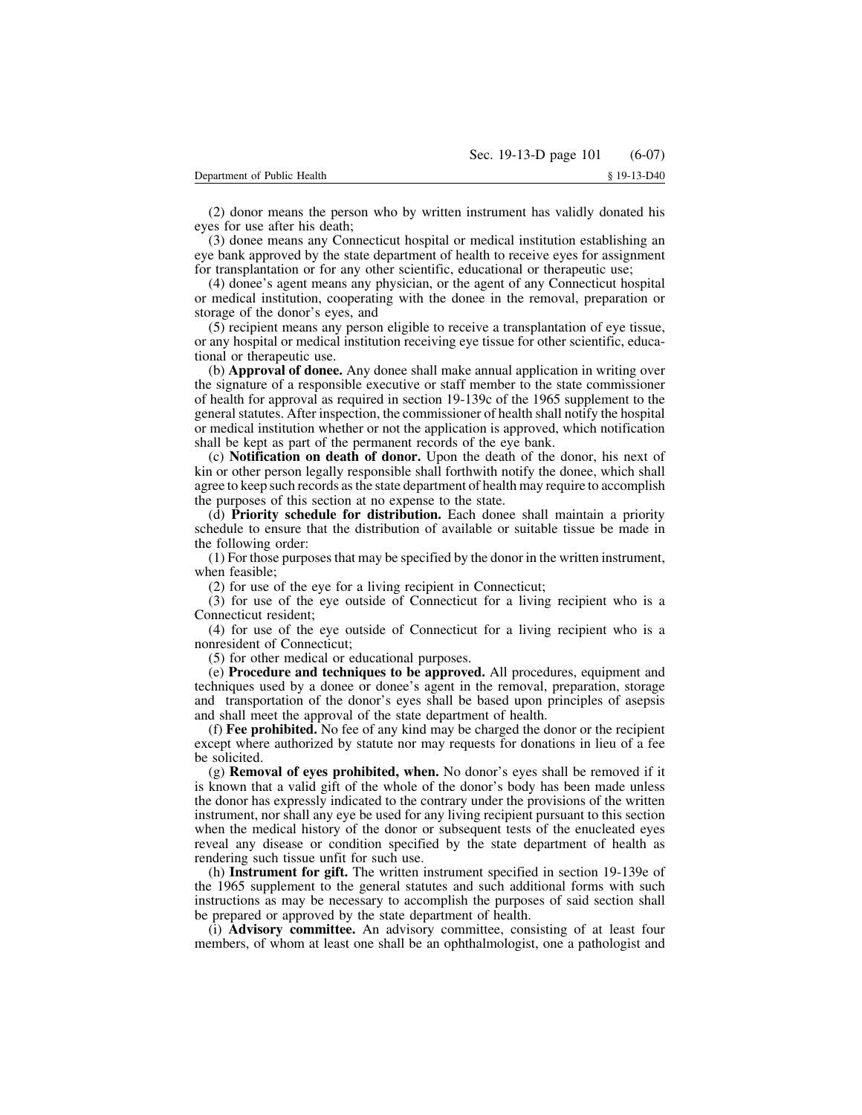(2) donor means the person who by written instrument has validly donated his eyes for use after his death;

(3) donee means any Connecticut hospital or medical institution establishing an eye bank approved by the state department of health to receive eyes for assignment for transplantation or for any other scientific, educational or therapeutic use;

(4) donee's agent means any physician, or the agent of any Connecticut hospital or medical institution, cooperating with the donee in the removal, preparation or storage of the donor's eyes, and

(5) recipient means any person eligible to receive a transplantation of eye tissue, or any hospital or medical institution receiving eye tissue for other scientific, educational or therapeutic use.

(b) **Approval of donee.** Any donee shall make annual application in writing over the signature of a responsible executive or staff member to the state commissioner of health for approval as required in section 19-139c of the 1965 supplement to the general statutes. After inspection, the commissioner of health shall notify the hospital or medical institution whether or not the application is approved, which notification shall be kept as part of the permanent records of the eye bank.

(c) **Notification on death of donor.** Upon the death of the donor, his next of kin or other person legally responsible shall forthwith notify the donee, which shall agree to keep such records asthe state department of health may require to accomplish the purposes of this section at no expense to the state.

(d) **Priority schedule for distribution.** Each donee shall maintain a priority schedule to ensure that the distribution of available or suitable tissue be made in the following order:

(1) For those purposesthat may be specified by the donor in the written instrument, when feasible;

(2) for use of the eye for a living recipient in Connecticut;

(3) for use of the eye outside of Connecticut for a living recipient who is a Connecticut resident;

(4) for use of the eye outside of Connecticut for a living recipient who is a nonresident of Connecticut;

(5) for other medical or educational purposes.

(e) **Procedure and techniques to be approved.** All procedures, equipment and techniques used by a donee or donee's agent in the removal, preparation, storage and transportation of the donor's eyes shall be based upon principles of asepsis and shall meet the approval of the state department of health.

(f) **Fee prohibited.** No fee of any kind may be charged the donor or the recipient except where authorized by statute nor may requests for donations in lieu of a fee be solicited.

(g) **Removal of eyes prohibited, when.** No donor's eyes shall be removed if it is known that a valid gift of the whole of the donor's body has been made unless the donor has expressly indicated to the contrary under the provisions of the written instrument, nor shall any eye be used for any living recipient pursuant to this section when the medical history of the donor or subsequent tests of the enucleated eyes reveal any disease or condition specified by the state department of health as rendering such tissue unfit for such use.

(h) **Instrument for gift.** The written instrument specified in section 19-139e of the 1965 supplement to the general statutes and such additional forms with such instructions as may be necessary to accomplish the purposes of said section shall be prepared or approved by the state department of health.

(i) **Advisory committee.** An advisory committee, consisting of at least four members, of whom at least one shall be an ophthalmologist, one a pathologist and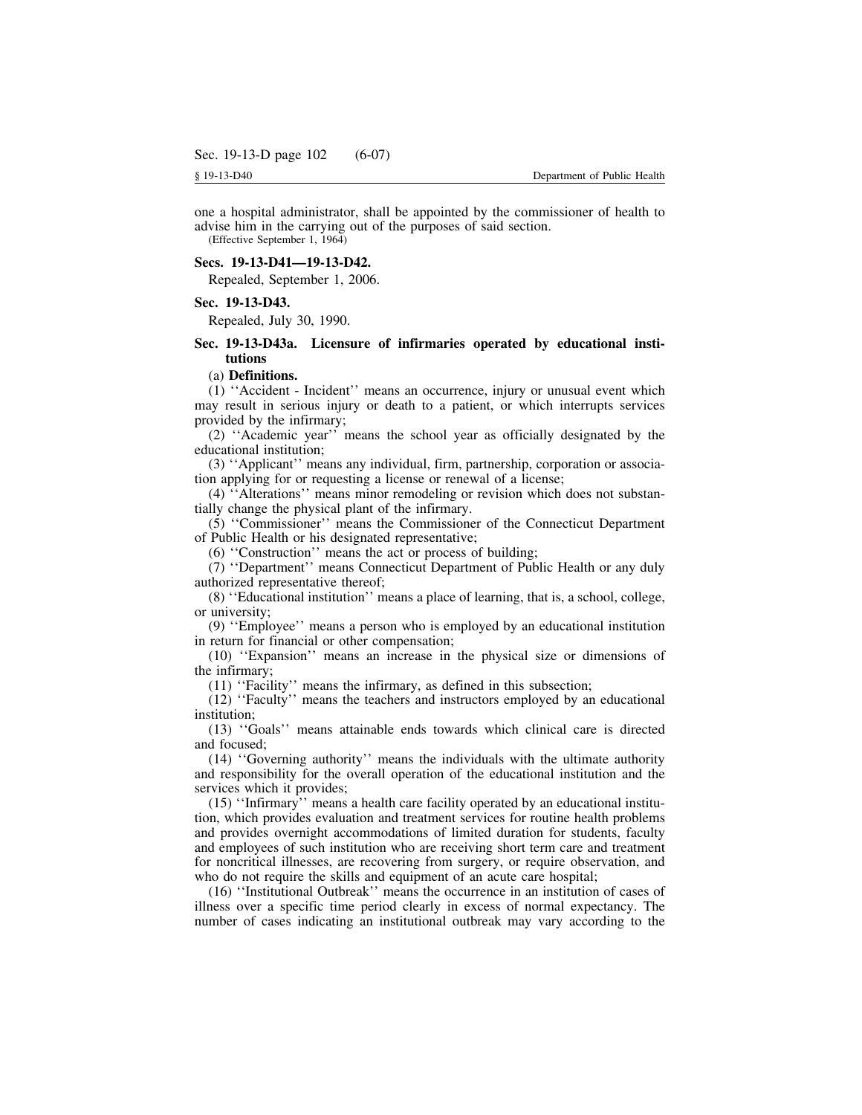one a hospital administrator, shall be appointed by the commissioner of health to advise him in the carrying out of the purposes of said section.

(Effective September 1, 1964)

### **Secs. 19-13-D41—19-13-D42.**

Repealed, September 1, 2006.

### **Sec. 19-13-D43.**

Repealed, July 30, 1990.

# **Sec. 19-13-D43a. Licensure of infirmaries operated by educational institutions**

#### (a) **Definitions.**

(1) ''Accident - Incident'' means an occurrence, injury or unusual event which may result in serious injury or death to a patient, or which interrupts services provided by the infirmary;

(2) ''Academic year'' means the school year as officially designated by the educational institution;

(3) ''Applicant'' means any individual, firm, partnership, corporation or association applying for or requesting a license or renewal of a license;

(4) ''Alterations'' means minor remodeling or revision which does not substantially change the physical plant of the infirmary.

(5) ''Commissioner'' means the Commissioner of the Connecticut Department of Public Health or his designated representative;

(6) ''Construction'' means the act or process of building;

(7) ''Department'' means Connecticut Department of Public Health or any duly authorized representative thereof;

(8) ''Educational institution'' means a place of learning, that is, a school, college, or university;

(9) ''Employee'' means a person who is employed by an educational institution in return for financial or other compensation;

(10) ''Expansion'' means an increase in the physical size or dimensions of the infirmary;

(11) ''Facility'' means the infirmary, as defined in this subsection;

(12) ''Faculty'' means the teachers and instructors employed by an educational institution;

(13) ''Goals'' means attainable ends towards which clinical care is directed and focused;

(14) ''Governing authority'' means the individuals with the ultimate authority and responsibility for the overall operation of the educational institution and the services which it provides;

(15) ''Infirmary'' means a health care facility operated by an educational institution, which provides evaluation and treatment services for routine health problems and provides overnight accommodations of limited duration for students, faculty and employees of such institution who are receiving short term care and treatment for noncritical illnesses, are recovering from surgery, or require observation, and who do not require the skills and equipment of an acute care hospital;

(16) ''Institutional Outbreak'' means the occurrence in an institution of cases of illness over a specific time period clearly in excess of normal expectancy. The number of cases indicating an institutional outbreak may vary according to the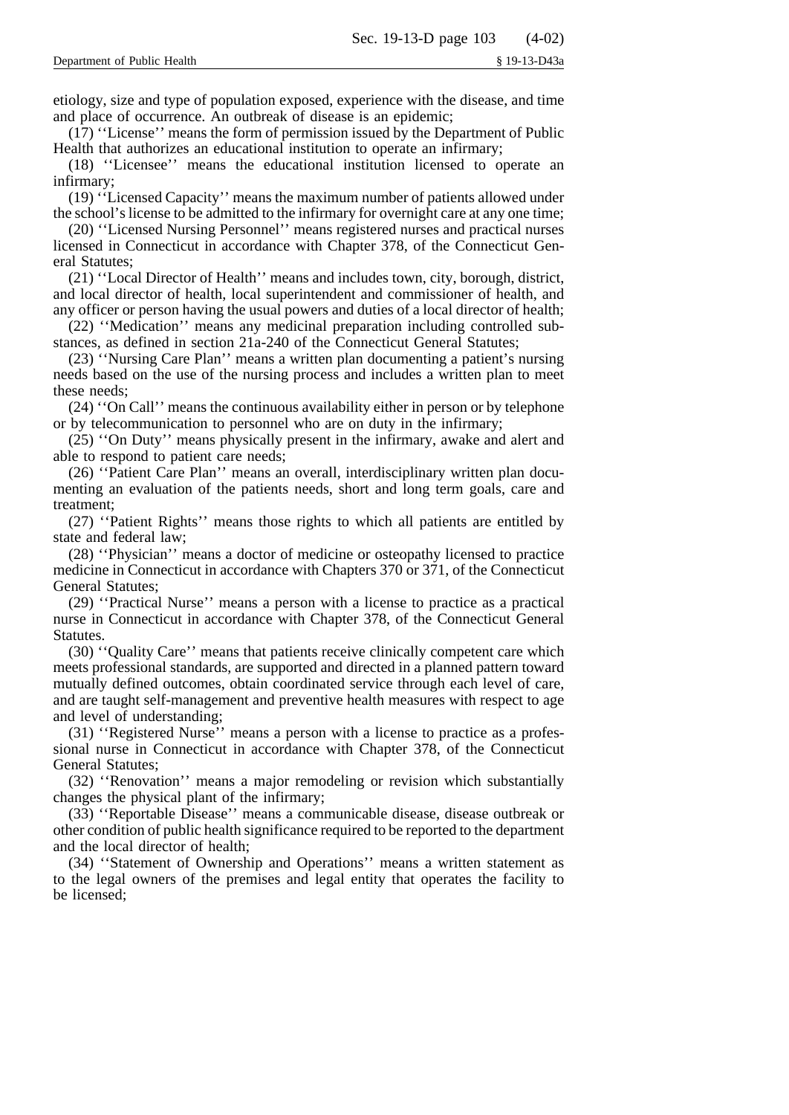etiology, size and type of population exposed, experience with the disease, and time and place of occurrence. An outbreak of disease is an epidemic;

(17) ''License'' means the form of permission issued by the Department of Public Health that authorizes an educational institution to operate an infirmary;

(18) ''Licensee'' means the educational institution licensed to operate an infirmary;

(19) ''Licensed Capacity'' means the maximum number of patients allowed under the school's license to be admitted to the infirmary for overnight care at any one time;

(20) ''Licensed Nursing Personnel'' means registered nurses and practical nurses licensed in Connecticut in accordance with Chapter 378, of the Connecticut General Statutes;

(21) ''Local Director of Health'' means and includes town, city, borough, district, and local director of health, local superintendent and commissioner of health, and any officer or person having the usual powers and duties of a local director of health;

(22) ''Medication'' means any medicinal preparation including controlled substances, as defined in section 21a-240 of the Connecticut General Statutes;

(23) ''Nursing Care Plan'' means a written plan documenting a patient's nursing needs based on the use of the nursing process and includes a written plan to meet these needs;

(24) ''On Call'' means the continuous availability either in person or by telephone or by telecommunication to personnel who are on duty in the infirmary;

(25) ''On Duty'' means physically present in the infirmary, awake and alert and able to respond to patient care needs;

(26) ''Patient Care Plan'' means an overall, interdisciplinary written plan documenting an evaluation of the patients needs, short and long term goals, care and treatment;

(27) ''Patient Rights'' means those rights to which all patients are entitled by state and federal law;

(28) ''Physician'' means a doctor of medicine or osteopathy licensed to practice medicine in Connecticut in accordance with Chapters 370 or 371, of the Connecticut General Statutes;

(29) ''Practical Nurse'' means a person with a license to practice as a practical nurse in Connecticut in accordance with Chapter 378, of the Connecticut General **Statutes** 

(30) ''Quality Care'' means that patients receive clinically competent care which meets professional standards, are supported and directed in a planned pattern toward mutually defined outcomes, obtain coordinated service through each level of care, and are taught self-management and preventive health measures with respect to age and level of understanding;

(31) ''Registered Nurse'' means a person with a license to practice as a professional nurse in Connecticut in accordance with Chapter 378, of the Connecticut General Statutes;

(32) ''Renovation'' means a major remodeling or revision which substantially changes the physical plant of the infirmary;

(33) ''Reportable Disease'' means a communicable disease, disease outbreak or other condition of public health significance required to be reported to the department and the local director of health;

(34) ''Statement of Ownership and Operations'' means a written statement as to the legal owners of the premises and legal entity that operates the facility to be licensed;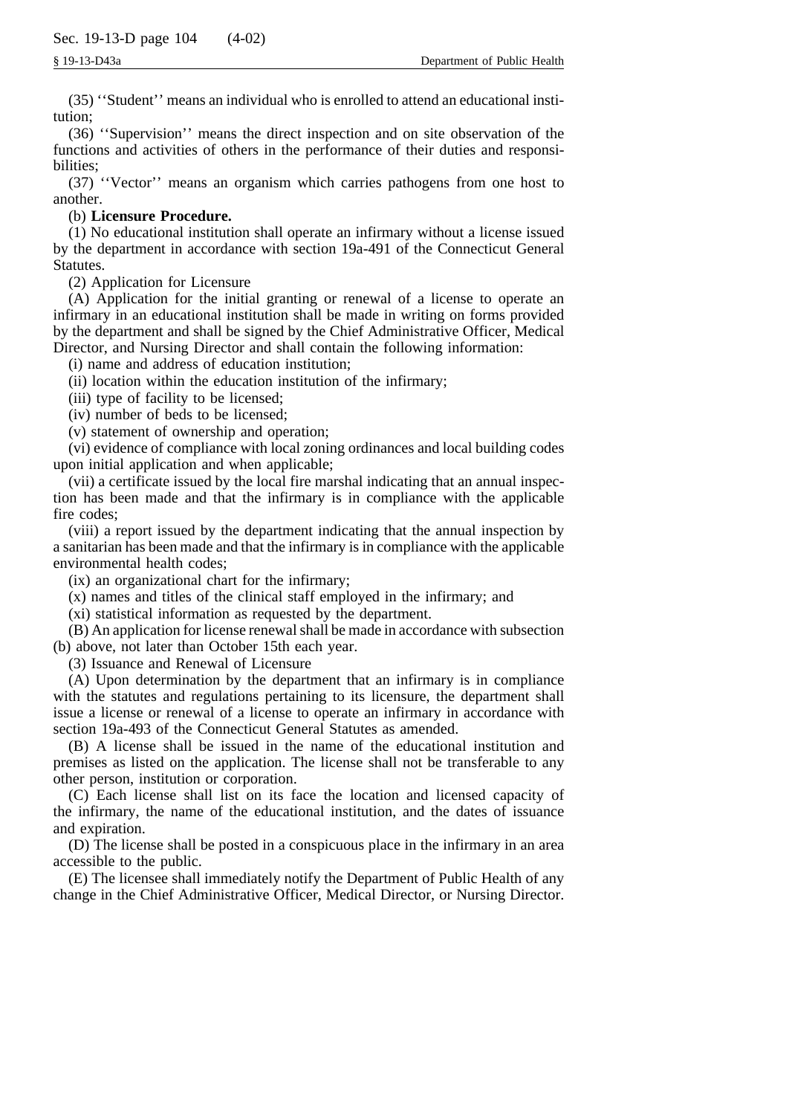(35) ''Student'' means an individual who is enrolled to attend an educational institution;

(36) ''Supervision'' means the direct inspection and on site observation of the functions and activities of others in the performance of their duties and responsibilities;

(37) ''Vector'' means an organism which carries pathogens from one host to another.

# (b) **Licensure Procedure.**

(1) No educational institution shall operate an infirmary without a license issued by the department in accordance with section 19a-491 of the Connecticut General Statutes.

(2) Application for Licensure

(A) Application for the initial granting or renewal of a license to operate an infirmary in an educational institution shall be made in writing on forms provided by the department and shall be signed by the Chief Administrative Officer, Medical Director, and Nursing Director and shall contain the following information:

(i) name and address of education institution;

(ii) location within the education institution of the infirmary;

(iii) type of facility to be licensed;

(iv) number of beds to be licensed;

(v) statement of ownership and operation;

(vi) evidence of compliance with local zoning ordinances and local building codes upon initial application and when applicable;

(vii) a certificate issued by the local fire marshal indicating that an annual inspection has been made and that the infirmary is in compliance with the applicable fire codes;

(viii) a report issued by the department indicating that the annual inspection by a sanitarian has been made and that the infirmary is in compliance with the applicable environmental health codes;

(ix) an organizational chart for the infirmary;

(x) names and titles of the clinical staff employed in the infirmary; and

(xi) statistical information as requested by the department.

(B) An application for license renewal shall be made in accordance with subsection (b) above, not later than October 15th each year.

(3) Issuance and Renewal of Licensure

(A) Upon determination by the department that an infirmary is in compliance with the statutes and regulations pertaining to its licensure, the department shall issue a license or renewal of a license to operate an infirmary in accordance with section 19a-493 of the Connecticut General Statutes as amended.

(B) A license shall be issued in the name of the educational institution and premises as listed on the application. The license shall not be transferable to any other person, institution or corporation.

(C) Each license shall list on its face the location and licensed capacity of the infirmary, the name of the educational institution, and the dates of issuance and expiration.

(D) The license shall be posted in a conspicuous place in the infirmary in an area accessible to the public.

(E) The licensee shall immediately notify the Department of Public Health of any change in the Chief Administrative Officer, Medical Director, or Nursing Director.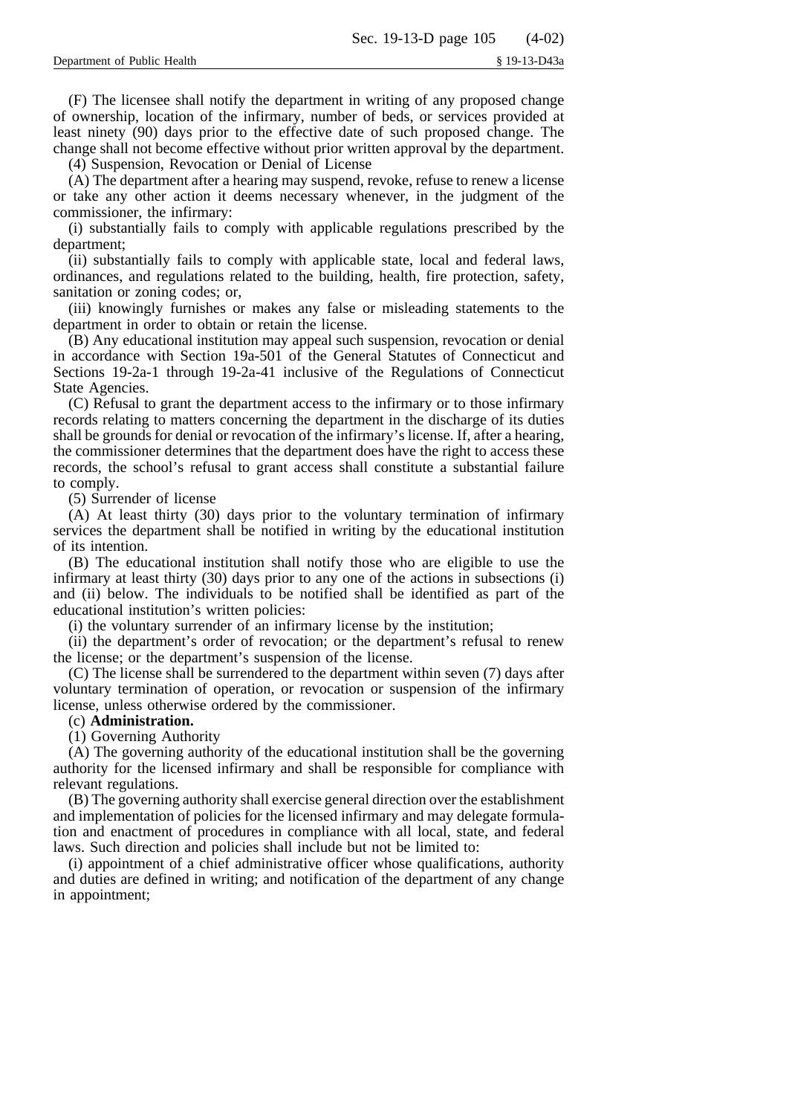(F) The licensee shall notify the department in writing of any proposed change of ownership, location of the infirmary, number of beds, or services provided at least ninety (90) days prior to the effective date of such proposed change. The change shall not become effective without prior written approval by the department.

(4) Suspension, Revocation or Denial of License

(A) The department after a hearing may suspend, revoke, refuse to renew a license or take any other action it deems necessary whenever, in the judgment of the commissioner, the infirmary:

(i) substantially fails to comply with applicable regulations prescribed by the department;

(ii) substantially fails to comply with applicable state, local and federal laws, ordinances, and regulations related to the building, health, fire protection, safety, sanitation or zoning codes; or,

(iii) knowingly furnishes or makes any false or misleading statements to the department in order to obtain or retain the license.

(B) Any educational institution may appeal such suspension, revocation or denial in accordance with Section 19a-501 of the General Statutes of Connecticut and Sections 19-2a-1 through 19-2a-41 inclusive of the Regulations of Connecticut State Agencies.

(C) Refusal to grant the department access to the infirmary or to those infirmary records relating to matters concerning the department in the discharge of its duties shall be grounds for denial or revocation of the infirmary's license. If, after a hearing, the commissioner determines that the department does have the right to access these records, the school's refusal to grant access shall constitute a substantial failure to comply.

(5) Surrender of license

(A) At least thirty (30) days prior to the voluntary termination of infirmary services the department shall be notified in writing by the educational institution of its intention.

(B) The educational institution shall notify those who are eligible to use the infirmary at least thirty (30) days prior to any one of the actions in subsections (i) and (ii) below. The individuals to be notified shall be identified as part of the educational institution's written policies:

(i) the voluntary surrender of an infirmary license by the institution;

(ii) the department's order of revocation; or the department's refusal to renew the license; or the department's suspension of the license.

(C) The license shall be surrendered to the department within seven (7) days after voluntary termination of operation, or revocation or suspension of the infirmary license, unless otherwise ordered by the commissioner.

### (c) **Administration.**

(1) Governing Authority

(A) The governing authority of the educational institution shall be the governing authority for the licensed infirmary and shall be responsible for compliance with relevant regulations.

(B) The governing authority shall exercise general direction over the establishment and implementation of policies for the licensed infirmary and may delegate formulation and enactment of procedures in compliance with all local, state, and federal laws. Such direction and policies shall include but not be limited to:

(i) appointment of a chief administrative officer whose qualifications, authority and duties are defined in writing; and notification of the department of any change in appointment;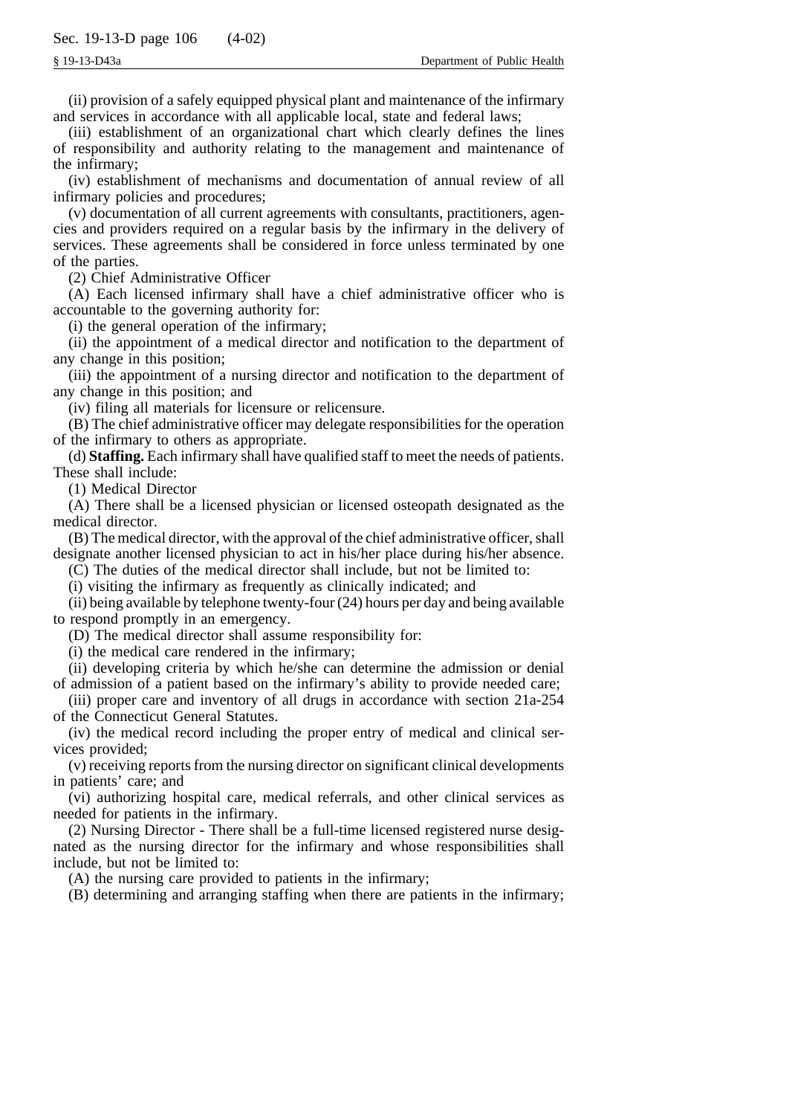(ii) provision of a safely equipped physical plant and maintenance of the infirmary and services in accordance with all applicable local, state and federal laws;

(iii) establishment of an organizational chart which clearly defines the lines of responsibility and authority relating to the management and maintenance of the infirmary;

(iv) establishment of mechanisms and documentation of annual review of all infirmary policies and procedures;

(v) documentation of all current agreements with consultants, practitioners, agencies and providers required on a regular basis by the infirmary in the delivery of services. These agreements shall be considered in force unless terminated by one of the parties.

(2) Chief Administrative Officer

(A) Each licensed infirmary shall have a chief administrative officer who is accountable to the governing authority for:

(i) the general operation of the infirmary;

(ii) the appointment of a medical director and notification to the department of any change in this position;

(iii) the appointment of a nursing director and notification to the department of any change in this position; and

(iv) filing all materials for licensure or relicensure.

(B) The chief administrative officer may delegate responsibilities for the operation of the infirmary to others as appropriate.

(d) **Staffing.** Each infirmary shall have qualified staff to meet the needs of patients. These shall include:

(1) Medical Director

(A) There shall be a licensed physician or licensed osteopath designated as the medical director.

(B) The medical director, with the approval of the chief administrative officer, shall designate another licensed physician to act in his/her place during his/her absence.

(C) The duties of the medical director shall include, but not be limited to:

(i) visiting the infirmary as frequently as clinically indicated; and

(ii) being available by telephone twenty-four (24) hours per day and being available to respond promptly in an emergency.

(D) The medical director shall assume responsibility for:

(i) the medical care rendered in the infirmary;

(ii) developing criteria by which he/she can determine the admission or denial of admission of a patient based on the infirmary's ability to provide needed care;

(iii) proper care and inventory of all drugs in accordance with section 21a-254 of the Connecticut General Statutes.

(iv) the medical record including the proper entry of medical and clinical services provided;

(v) receiving reports from the nursing director on significant clinical developments in patients' care; and

(vi) authorizing hospital care, medical referrals, and other clinical services as needed for patients in the infirmary.

(2) Nursing Director - There shall be a full-time licensed registered nurse designated as the nursing director for the infirmary and whose responsibilities shall include, but not be limited to:

(A) the nursing care provided to patients in the infirmary;

(B) determining and arranging staffing when there are patients in the infirmary;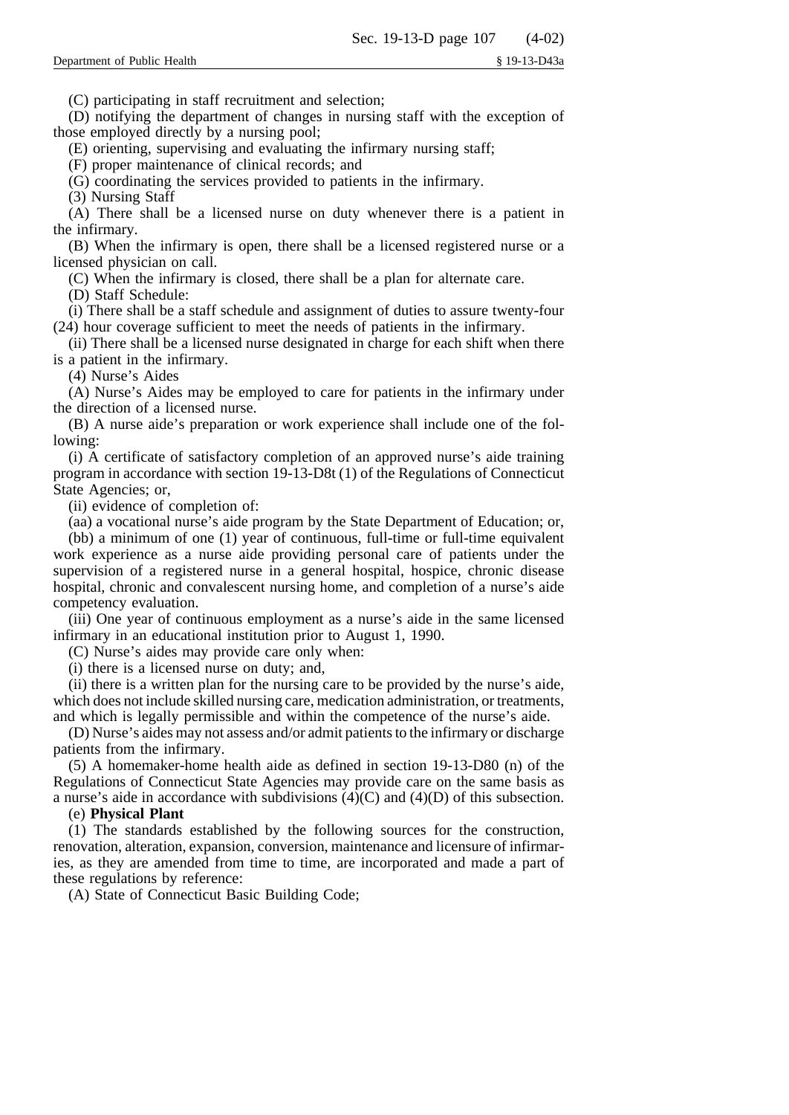(C) participating in staff recruitment and selection;

(D) notifying the department of changes in nursing staff with the exception of those employed directly by a nursing pool;

(E) orienting, supervising and evaluating the infirmary nursing staff;

(F) proper maintenance of clinical records; and

(G) coordinating the services provided to patients in the infirmary.

(3) Nursing Staff

(A) There shall be a licensed nurse on duty whenever there is a patient in the infirmary.

(B) When the infirmary is open, there shall be a licensed registered nurse or a licensed physician on call.

(C) When the infirmary is closed, there shall be a plan for alternate care.

(D) Staff Schedule:

(i) There shall be a staff schedule and assignment of duties to assure twenty-four (24) hour coverage sufficient to meet the needs of patients in the infirmary.

(ii) There shall be a licensed nurse designated in charge for each shift when there is a patient in the infirmary.

(4) Nurse's Aides

(A) Nurse's Aides may be employed to care for patients in the infirmary under the direction of a licensed nurse.

(B) A nurse aide's preparation or work experience shall include one of the following:

(i) A certificate of satisfactory completion of an approved nurse's aide training program in accordance with section 19-13-D8t (1) of the Regulations of Connecticut State Agencies; or,

(ii) evidence of completion of:

(aa) a vocational nurse's aide program by the State Department of Education; or,

(bb) a minimum of one (1) year of continuous, full-time or full-time equivalent work experience as a nurse aide providing personal care of patients under the supervision of a registered nurse in a general hospital, hospice, chronic disease hospital, chronic and convalescent nursing home, and completion of a nurse's aide competency evaluation.

(iii) One year of continuous employment as a nurse's aide in the same licensed infirmary in an educational institution prior to August 1, 1990.

(C) Nurse's aides may provide care only when:

(i) there is a licensed nurse on duty; and,

(ii) there is a written plan for the nursing care to be provided by the nurse's aide, which does not include skilled nursing care, medication administration, or treatments, and which is legally permissible and within the competence of the nurse's aide.

(D) Nurse's aides may not assess and/or admit patients to the infirmary or discharge patients from the infirmary.

(5) A homemaker-home health aide as defined in section 19-13-D80 (n) of the Regulations of Connecticut State Agencies may provide care on the same basis as a nurse's aide in accordance with subdivisions (4)(C) and (4)(D) of this subsection.

## (e) **Physical Plant**

(1) The standards established by the following sources for the construction, renovation, alteration, expansion, conversion, maintenance and licensure of infirmaries, as they are amended from time to time, are incorporated and made a part of these regulations by reference:

(A) State of Connecticut Basic Building Code;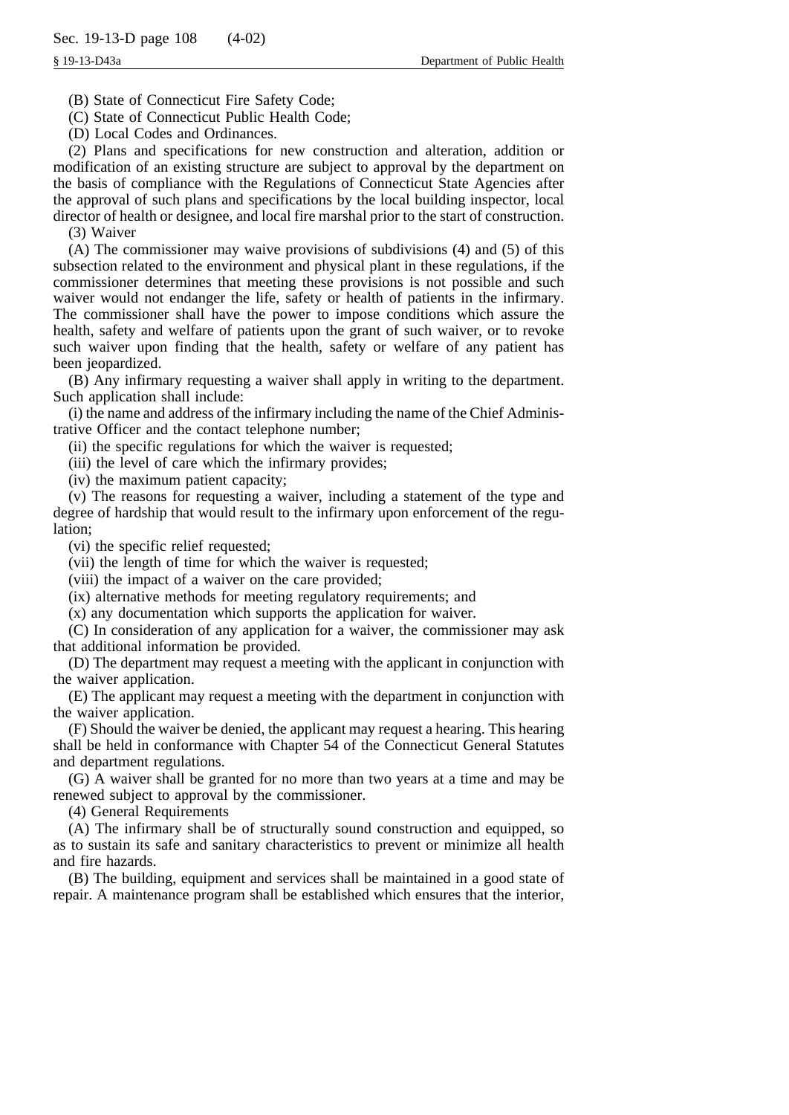(B) State of Connecticut Fire Safety Code;

(C) State of Connecticut Public Health Code;

(D) Local Codes and Ordinances.

(2) Plans and specifications for new construction and alteration, addition or modification of an existing structure are subject to approval by the department on the basis of compliance with the Regulations of Connecticut State Agencies after the approval of such plans and specifications by the local building inspector, local director of health or designee, and local fire marshal prior to the start of construction.

(3) Waiver

(A) The commissioner may waive provisions of subdivisions (4) and (5) of this subsection related to the environment and physical plant in these regulations, if the commissioner determines that meeting these provisions is not possible and such waiver would not endanger the life, safety or health of patients in the infirmary. The commissioner shall have the power to impose conditions which assure the health, safety and welfare of patients upon the grant of such waiver, or to revoke such waiver upon finding that the health, safety or welfare of any patient has been jeopardized.

(B) Any infirmary requesting a waiver shall apply in writing to the department. Such application shall include:

(i) the name and address of the infirmary including the name of the Chief Administrative Officer and the contact telephone number;

(ii) the specific regulations for which the waiver is requested;

(iii) the level of care which the infirmary provides;

(iv) the maximum patient capacity;

(v) The reasons for requesting a waiver, including a statement of the type and degree of hardship that would result to the infirmary upon enforcement of the regulation;

(vi) the specific relief requested;

(vii) the length of time for which the waiver is requested;

(viii) the impact of a waiver on the care provided;

(ix) alternative methods for meeting regulatory requirements; and

(x) any documentation which supports the application for waiver.

(C) In consideration of any application for a waiver, the commissioner may ask that additional information be provided.

(D) The department may request a meeting with the applicant in conjunction with the waiver application.

(E) The applicant may request a meeting with the department in conjunction with the waiver application.

(F) Should the waiver be denied, the applicant may request a hearing. This hearing shall be held in conformance with Chapter 54 of the Connecticut General Statutes and department regulations.

(G) A waiver shall be granted for no more than two years at a time and may be renewed subject to approval by the commissioner.

(4) General Requirements

(A) The infirmary shall be of structurally sound construction and equipped, so as to sustain its safe and sanitary characteristics to prevent or minimize all health and fire hazards.

(B) The building, equipment and services shall be maintained in a good state of repair. A maintenance program shall be established which ensures that the interior,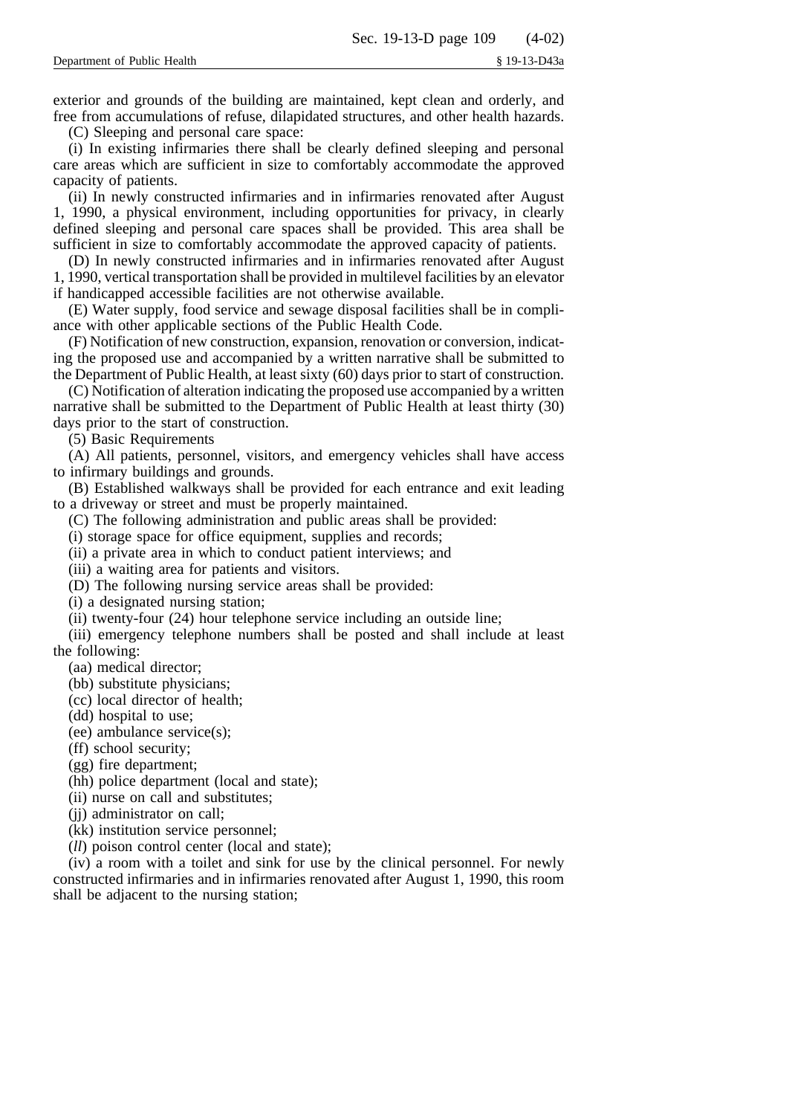exterior and grounds of the building are maintained, kept clean and orderly, and free from accumulations of refuse, dilapidated structures, and other health hazards.

(C) Sleeping and personal care space:

(i) In existing infirmaries there shall be clearly defined sleeping and personal care areas which are sufficient in size to comfortably accommodate the approved capacity of patients.

(ii) In newly constructed infirmaries and in infirmaries renovated after August 1, 1990, a physical environment, including opportunities for privacy, in clearly defined sleeping and personal care spaces shall be provided. This area shall be sufficient in size to comfortably accommodate the approved capacity of patients.

(D) In newly constructed infirmaries and in infirmaries renovated after August 1, 1990, vertical transportation shall be provided in multilevel facilities by an elevator if handicapped accessible facilities are not otherwise available.

(E) Water supply, food service and sewage disposal facilities shall be in compliance with other applicable sections of the Public Health Code.

(F) Notification of new construction, expansion, renovation or conversion, indicating the proposed use and accompanied by a written narrative shall be submitted to the Department of Public Health, at least sixty (60) days prior to start of construction.

(C) Notification of alteration indicating the proposed use accompanied by a written narrative shall be submitted to the Department of Public Health at least thirty (30) days prior to the start of construction.

(5) Basic Requirements

(A) All patients, personnel, visitors, and emergency vehicles shall have access to infirmary buildings and grounds.

(B) Established walkways shall be provided for each entrance and exit leading to a driveway or street and must be properly maintained.

(C) The following administration and public areas shall be provided:

(i) storage space for office equipment, supplies and records;

(ii) a private area in which to conduct patient interviews; and

(iii) a waiting area for patients and visitors.

(D) The following nursing service areas shall be provided:

(i) a designated nursing station;

(ii) twenty-four (24) hour telephone service including an outside line;

(iii) emergency telephone numbers shall be posted and shall include at least the following:

(aa) medical director;

(bb) substitute physicians;

(cc) local director of health;

(dd) hospital to use;

(ee) ambulance service(s);

(ff) school security;

(gg) fire department;

(hh) police department (local and state);

(ii) nurse on call and substitutes;

(jj) administrator on call;

(kk) institution service personnel;

(*ll*) poison control center (local and state);

(iv) a room with a toilet and sink for use by the clinical personnel. For newly constructed infirmaries and in infirmaries renovated after August 1, 1990, this room shall be adjacent to the nursing station;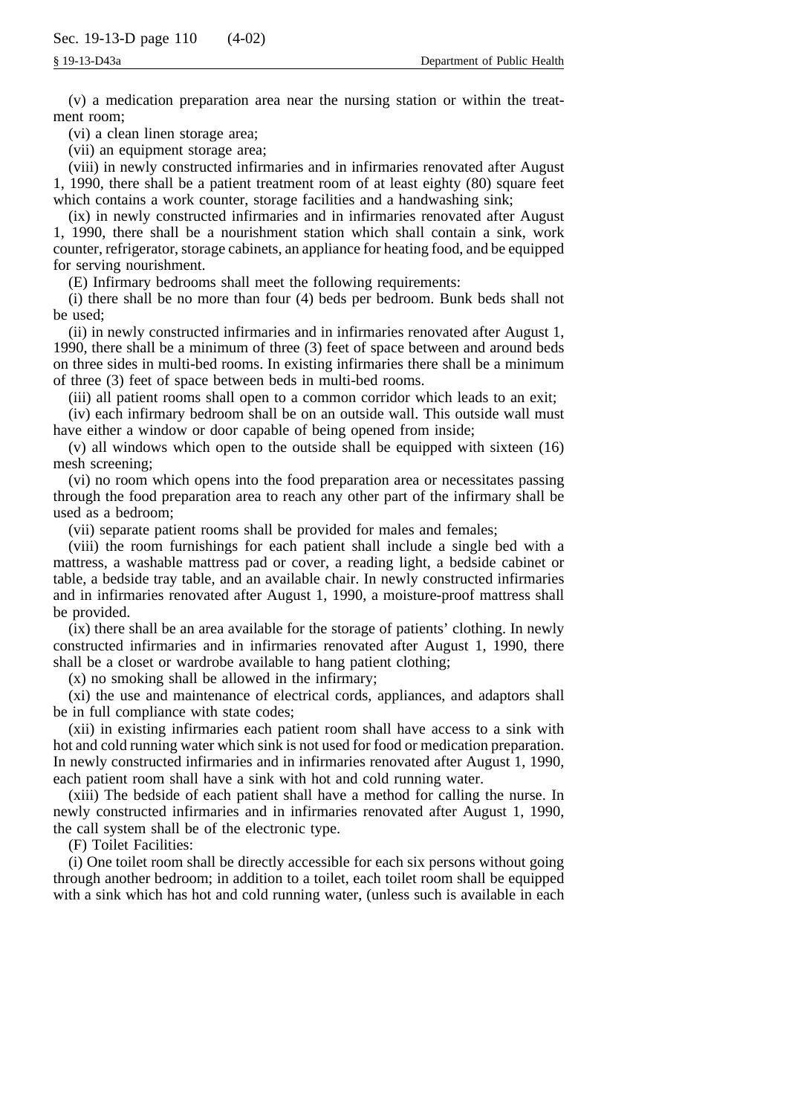(v) a medication preparation area near the nursing station or within the treatment room;

(vi) a clean linen storage area;

(vii) an equipment storage area;

(viii) in newly constructed infirmaries and in infirmaries renovated after August 1, 1990, there shall be a patient treatment room of at least eighty (80) square feet which contains a work counter, storage facilities and a handwashing sink;

(ix) in newly constructed infirmaries and in infirmaries renovated after August 1, 1990, there shall be a nourishment station which shall contain a sink, work counter, refrigerator, storage cabinets, an appliance for heating food, and be equipped for serving nourishment.

(E) Infirmary bedrooms shall meet the following requirements:

(i) there shall be no more than four (4) beds per bedroom. Bunk beds shall not be used;

(ii) in newly constructed infirmaries and in infirmaries renovated after August 1, 1990, there shall be a minimum of three (3) feet of space between and around beds on three sides in multi-bed rooms. In existing infirmaries there shall be a minimum of three (3) feet of space between beds in multi-bed rooms.

(iii) all patient rooms shall open to a common corridor which leads to an exit;

(iv) each infirmary bedroom shall be on an outside wall. This outside wall must have either a window or door capable of being opened from inside;

(v) all windows which open to the outside shall be equipped with sixteen (16) mesh screening;

(vi) no room which opens into the food preparation area or necessitates passing through the food preparation area to reach any other part of the infirmary shall be used as a bedroom;

(vii) separate patient rooms shall be provided for males and females;

(viii) the room furnishings for each patient shall include a single bed with a mattress, a washable mattress pad or cover, a reading light, a bedside cabinet or table, a bedside tray table, and an available chair. In newly constructed infirmaries and in infirmaries renovated after August 1, 1990, a moisture-proof mattress shall be provided.

(ix) there shall be an area available for the storage of patients' clothing. In newly constructed infirmaries and in infirmaries renovated after August 1, 1990, there shall be a closet or wardrobe available to hang patient clothing;

(x) no smoking shall be allowed in the infirmary;

(xi) the use and maintenance of electrical cords, appliances, and adaptors shall be in full compliance with state codes;

(xii) in existing infirmaries each patient room shall have access to a sink with hot and cold running water which sink is not used for food or medication preparation. In newly constructed infirmaries and in infirmaries renovated after August 1, 1990, each patient room shall have a sink with hot and cold running water.

(xiii) The bedside of each patient shall have a method for calling the nurse. In newly constructed infirmaries and in infirmaries renovated after August 1, 1990, the call system shall be of the electronic type.

(F) Toilet Facilities:

(i) One toilet room shall be directly accessible for each six persons without going through another bedroom; in addition to a toilet, each toilet room shall be equipped with a sink which has hot and cold running water, (unless such is available in each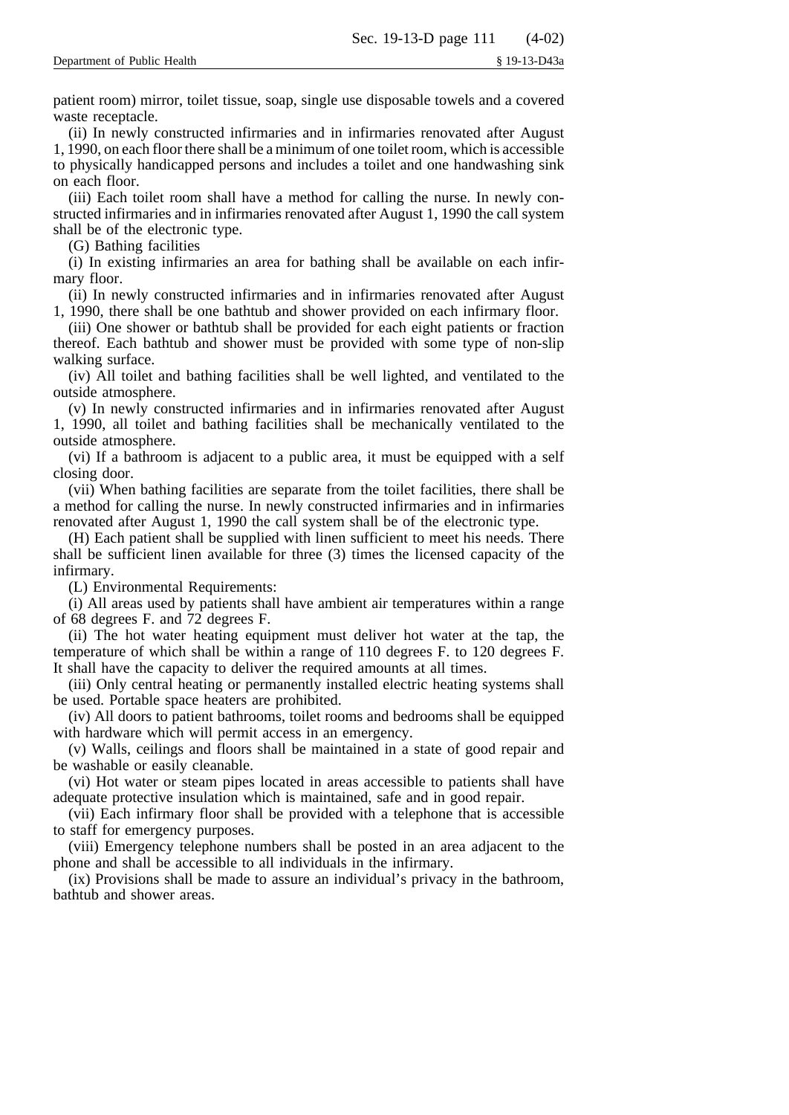patient room) mirror, toilet tissue, soap, single use disposable towels and a covered waste receptacle.

(ii) In newly constructed infirmaries and in infirmaries renovated after August 1, 1990, on each floor there shall be a minimum of one toilet room, which is accessible to physically handicapped persons and includes a toilet and one handwashing sink on each floor.

(iii) Each toilet room shall have a method for calling the nurse. In newly constructed infirmaries and in infirmaries renovated after August 1, 1990 the call system shall be of the electronic type.

(G) Bathing facilities

(i) In existing infirmaries an area for bathing shall be available on each infirmary floor.

(ii) In newly constructed infirmaries and in infirmaries renovated after August 1, 1990, there shall be one bathtub and shower provided on each infirmary floor.

(iii) One shower or bathtub shall be provided for each eight patients or fraction thereof. Each bathtub and shower must be provided with some type of non-slip walking surface.

(iv) All toilet and bathing facilities shall be well lighted, and ventilated to the outside atmosphere.

(v) In newly constructed infirmaries and in infirmaries renovated after August 1, 1990, all toilet and bathing facilities shall be mechanically ventilated to the outside atmosphere.

(vi) If a bathroom is adjacent to a public area, it must be equipped with a self closing door.

(vii) When bathing facilities are separate from the toilet facilities, there shall be a method for calling the nurse. In newly constructed infirmaries and in infirmaries renovated after August 1, 1990 the call system shall be of the electronic type.

(H) Each patient shall be supplied with linen sufficient to meet his needs. There shall be sufficient linen available for three (3) times the licensed capacity of the infirmary.

(L) Environmental Requirements:

(i) All areas used by patients shall have ambient air temperatures within a range of 68 degrees F. and 72 degrees F.

(ii) The hot water heating equipment must deliver hot water at the tap, the temperature of which shall be within a range of 110 degrees F. to 120 degrees F. It shall have the capacity to deliver the required amounts at all times.

(iii) Only central heating or permanently installed electric heating systems shall be used. Portable space heaters are prohibited.

(iv) All doors to patient bathrooms, toilet rooms and bedrooms shall be equipped with hardware which will permit access in an emergency.

(v) Walls, ceilings and floors shall be maintained in a state of good repair and be washable or easily cleanable.

(vi) Hot water or steam pipes located in areas accessible to patients shall have adequate protective insulation which is maintained, safe and in good repair.

(vii) Each infirmary floor shall be provided with a telephone that is accessible to staff for emergency purposes.

(viii) Emergency telephone numbers shall be posted in an area adjacent to the phone and shall be accessible to all individuals in the infirmary.

(ix) Provisions shall be made to assure an individual's privacy in the bathroom, bathtub and shower areas.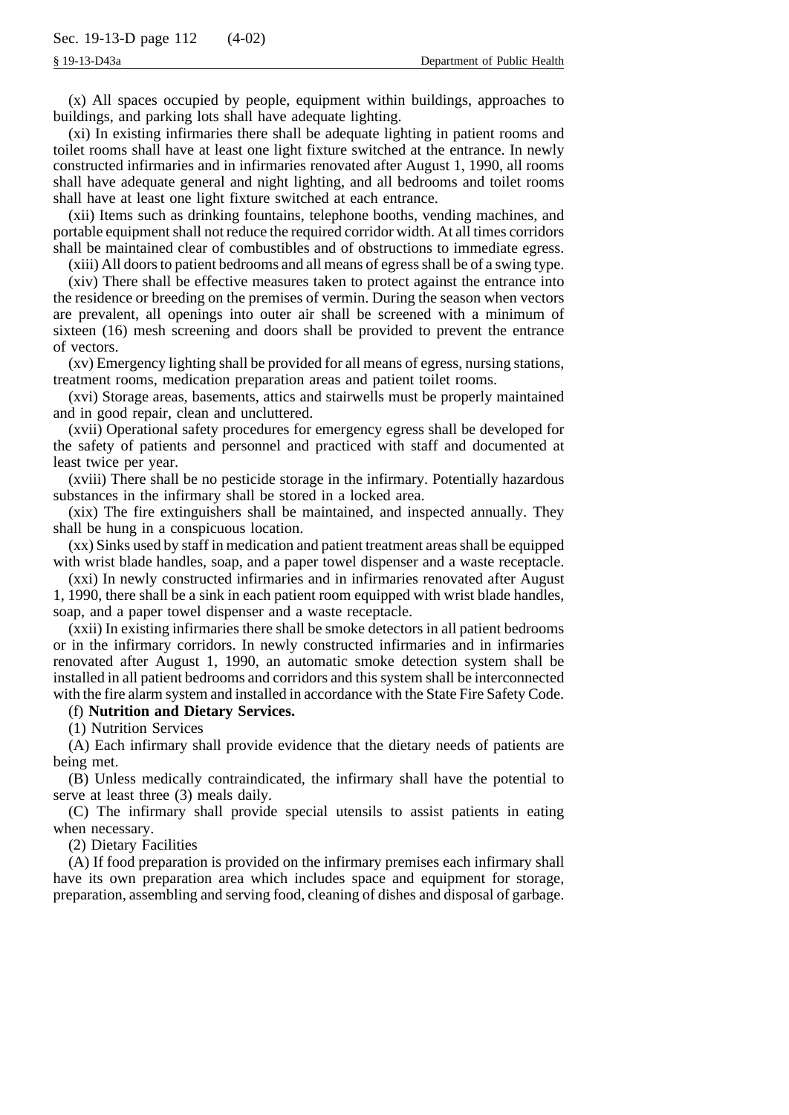(x) All spaces occupied by people, equipment within buildings, approaches to buildings, and parking lots shall have adequate lighting.

(xi) In existing infirmaries there shall be adequate lighting in patient rooms and toilet rooms shall have at least one light fixture switched at the entrance. In newly constructed infirmaries and in infirmaries renovated after August 1, 1990, all rooms shall have adequate general and night lighting, and all bedrooms and toilet rooms shall have at least one light fixture switched at each entrance.

(xii) Items such as drinking fountains, telephone booths, vending machines, and portable equipment shall not reduce the required corridor width. At all times corridors shall be maintained clear of combustibles and of obstructions to immediate egress.

(xiii) All doors to patient bedrooms and all means of egress shall be of a swing type.

(xiv) There shall be effective measures taken to protect against the entrance into the residence or breeding on the premises of vermin. During the season when vectors are prevalent, all openings into outer air shall be screened with a minimum of sixteen (16) mesh screening and doors shall be provided to prevent the entrance of vectors.

(xv) Emergency lighting shall be provided for all means of egress, nursing stations, treatment rooms, medication preparation areas and patient toilet rooms.

(xvi) Storage areas, basements, attics and stairwells must be properly maintained and in good repair, clean and uncluttered.

(xvii) Operational safety procedures for emergency egress shall be developed for the safety of patients and personnel and practiced with staff and documented at least twice per year.

(xviii) There shall be no pesticide storage in the infirmary. Potentially hazardous substances in the infirmary shall be stored in a locked area.

(xix) The fire extinguishers shall be maintained, and inspected annually. They shall be hung in a conspicuous location.

(xx) Sinks used by staff in medication and patient treatment areas shall be equipped with wrist blade handles, soap, and a paper towel dispenser and a waste receptacle.

(xxi) In newly constructed infirmaries and in infirmaries renovated after August 1, 1990, there shall be a sink in each patient room equipped with wrist blade handles, soap, and a paper towel dispenser and a waste receptacle.

(xxii) In existing infirmaries there shall be smoke detectors in all patient bedrooms or in the infirmary corridors. In newly constructed infirmaries and in infirmaries renovated after August 1, 1990, an automatic smoke detection system shall be installed in all patient bedrooms and corridors and this system shall be interconnected with the fire alarm system and installed in accordance with the State Fire Safety Code.

### (f) **Nutrition and Dietary Services.**

(1) Nutrition Services

(A) Each infirmary shall provide evidence that the dietary needs of patients are being met.

(B) Unless medically contraindicated, the infirmary shall have the potential to serve at least three (3) meals daily.

(C) The infirmary shall provide special utensils to assist patients in eating when necessary.

(2) Dietary Facilities

(A) If food preparation is provided on the infirmary premises each infirmary shall have its own preparation area which includes space and equipment for storage, preparation, assembling and serving food, cleaning of dishes and disposal of garbage.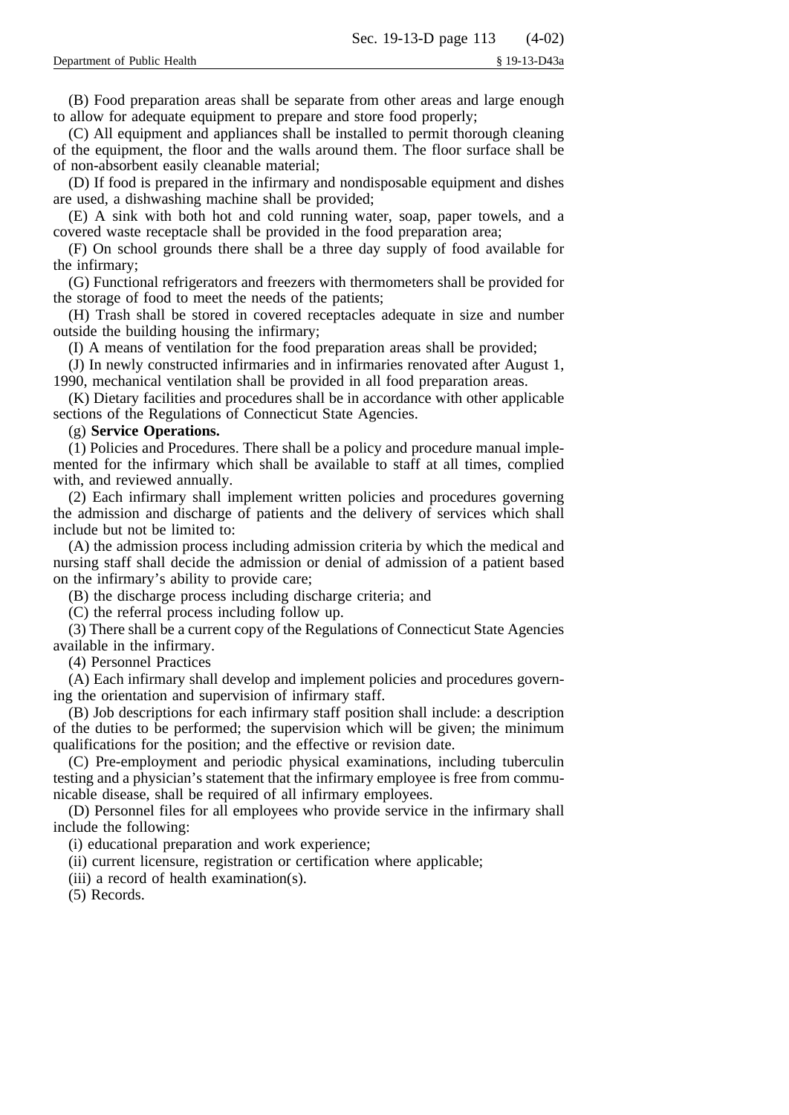(B) Food preparation areas shall be separate from other areas and large enough to allow for adequate equipment to prepare and store food properly;

(C) All equipment and appliances shall be installed to permit thorough cleaning of the equipment, the floor and the walls around them. The floor surface shall be of non-absorbent easily cleanable material;

(D) If food is prepared in the infirmary and nondisposable equipment and dishes are used, a dishwashing machine shall be provided;

(E) A sink with both hot and cold running water, soap, paper towels, and a covered waste receptacle shall be provided in the food preparation area;

(F) On school grounds there shall be a three day supply of food available for the infirmary;

(G) Functional refrigerators and freezers with thermometers shall be provided for the storage of food to meet the needs of the patients;

(H) Trash shall be stored in covered receptacles adequate in size and number outside the building housing the infirmary;

(I) A means of ventilation for the food preparation areas shall be provided;

(J) In newly constructed infirmaries and in infirmaries renovated after August 1, 1990, mechanical ventilation shall be provided in all food preparation areas.

(K) Dietary facilities and procedures shall be in accordance with other applicable sections of the Regulations of Connecticut State Agencies.

### (g) **Service Operations.**

(1) Policies and Procedures. There shall be a policy and procedure manual implemented for the infirmary which shall be available to staff at all times, complied with, and reviewed annually.

(2) Each infirmary shall implement written policies and procedures governing the admission and discharge of patients and the delivery of services which shall include but not be limited to:

(A) the admission process including admission criteria by which the medical and nursing staff shall decide the admission or denial of admission of a patient based on the infirmary's ability to provide care;

(B) the discharge process including discharge criteria; and

(C) the referral process including follow up.

(3) There shall be a current copy of the Regulations of Connecticut State Agencies available in the infirmary.

(4) Personnel Practices

(A) Each infirmary shall develop and implement policies and procedures governing the orientation and supervision of infirmary staff.

(B) Job descriptions for each infirmary staff position shall include: a description of the duties to be performed; the supervision which will be given; the minimum qualifications for the position; and the effective or revision date.

(C) Pre-employment and periodic physical examinations, including tuberculin testing and a physician's statement that the infirmary employee is free from communicable disease, shall be required of all infirmary employees.

(D) Personnel files for all employees who provide service in the infirmary shall include the following:

(i) educational preparation and work experience;

(ii) current licensure, registration or certification where applicable;

(iii) a record of health examination(s).

(5) Records.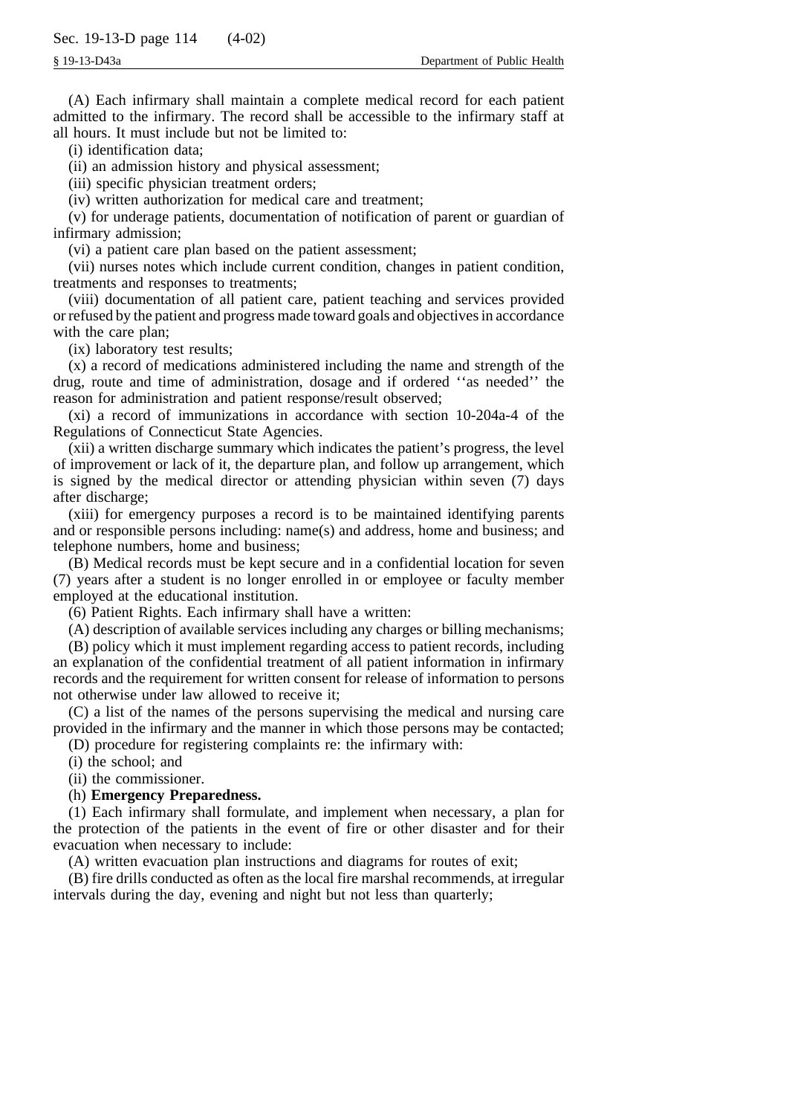(A) Each infirmary shall maintain a complete medical record for each patient admitted to the infirmary. The record shall be accessible to the infirmary staff at all hours. It must include but not be limited to:

(i) identification data;

(ii) an admission history and physical assessment;

(iii) specific physician treatment orders;

(iv) written authorization for medical care and treatment;

(v) for underage patients, documentation of notification of parent or guardian of infirmary admission;

(vi) a patient care plan based on the patient assessment;

(vii) nurses notes which include current condition, changes in patient condition, treatments and responses to treatments;

(viii) documentation of all patient care, patient teaching and services provided or refused by the patient and progress made toward goals and objectives in accordance with the care plan;

(ix) laboratory test results;

(x) a record of medications administered including the name and strength of the drug, route and time of administration, dosage and if ordered ''as needed'' the reason for administration and patient response/result observed;

(xi) a record of immunizations in accordance with section 10-204a-4 of the Regulations of Connecticut State Agencies.

(xii) a written discharge summary which indicates the patient's progress, the level of improvement or lack of it, the departure plan, and follow up arrangement, which is signed by the medical director or attending physician within seven (7) days after discharge;

(xiii) for emergency purposes a record is to be maintained identifying parents and or responsible persons including: name(s) and address, home and business; and telephone numbers, home and business;

(B) Medical records must be kept secure and in a confidential location for seven (7) years after a student is no longer enrolled in or employee or faculty member employed at the educational institution.

(6) Patient Rights. Each infirmary shall have a written:

(A) description of available services including any charges or billing mechanisms;

(B) policy which it must implement regarding access to patient records, including an explanation of the confidential treatment of all patient information in infirmary records and the requirement for written consent for release of information to persons not otherwise under law allowed to receive it;

(C) a list of the names of the persons supervising the medical and nursing care provided in the infirmary and the manner in which those persons may be contacted;

(D) procedure for registering complaints re: the infirmary with:

(i) the school; and

(ii) the commissioner.

### (h) **Emergency Preparedness.**

(1) Each infirmary shall formulate, and implement when necessary, a plan for the protection of the patients in the event of fire or other disaster and for their evacuation when necessary to include:

(A) written evacuation plan instructions and diagrams for routes of exit;

(B) fire drills conducted as often as the local fire marshal recommends, at irregular intervals during the day, evening and night but not less than quarterly;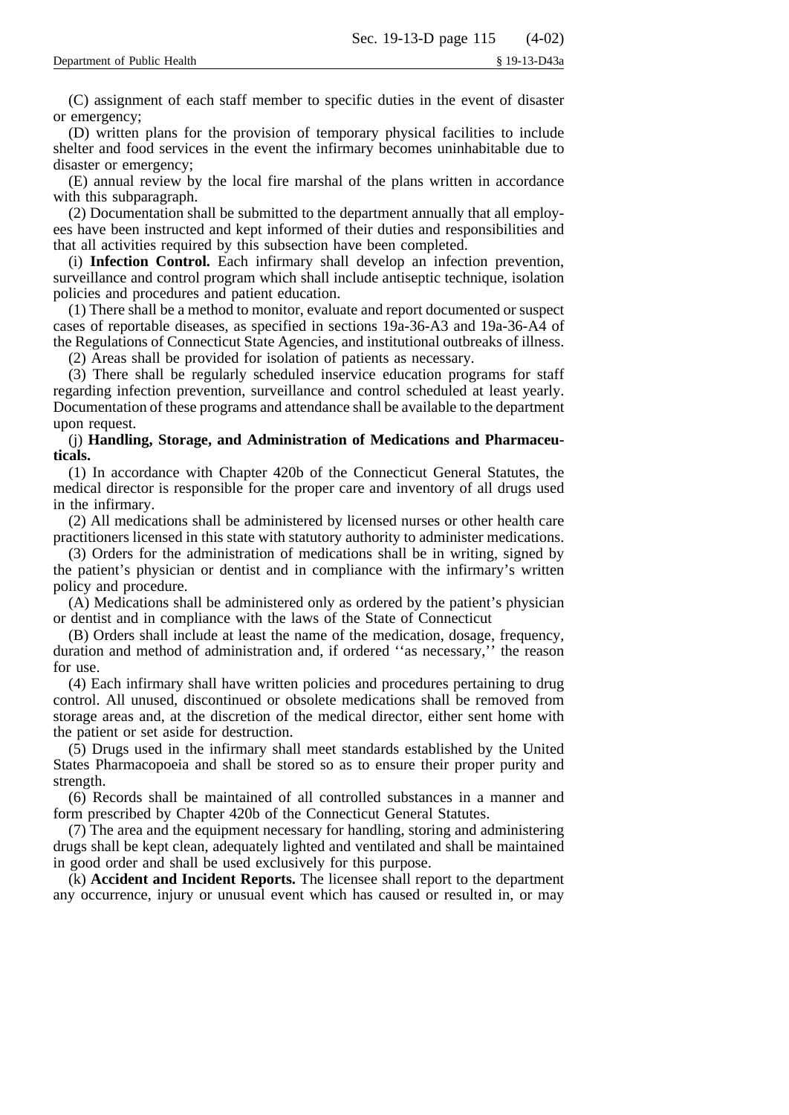(C) assignment of each staff member to specific duties in the event of disaster or emergency;

(D) written plans for the provision of temporary physical facilities to include shelter and food services in the event the infirmary becomes uninhabitable due to disaster or emergency;

(E) annual review by the local fire marshal of the plans written in accordance with this subparagraph.

(2) Documentation shall be submitted to the department annually that all employees have been instructed and kept informed of their duties and responsibilities and that all activities required by this subsection have been completed.

(i) **Infection Control.** Each infirmary shall develop an infection prevention, surveillance and control program which shall include antiseptic technique, isolation policies and procedures and patient education.

(1) There shall be a method to monitor, evaluate and report documented or suspect cases of reportable diseases, as specified in sections 19a-36-A3 and 19a-36-A4 of the Regulations of Connecticut State Agencies, and institutional outbreaks of illness.

(2) Areas shall be provided for isolation of patients as necessary.

(3) There shall be regularly scheduled inservice education programs for staff regarding infection prevention, surveillance and control scheduled at least yearly. Documentation of these programs and attendance shall be available to the department upon request.

(j) **Handling, Storage, and Administration of Medications and Pharmaceuticals.**

(1) In accordance with Chapter 420b of the Connecticut General Statutes, the medical director is responsible for the proper care and inventory of all drugs used in the infirmary.

(2) All medications shall be administered by licensed nurses or other health care practitioners licensed in this state with statutory authority to administer medications.

(3) Orders for the administration of medications shall be in writing, signed by the patient's physician or dentist and in compliance with the infirmary's written policy and procedure.

(A) Medications shall be administered only as ordered by the patient's physician or dentist and in compliance with the laws of the State of Connecticut

(B) Orders shall include at least the name of the medication, dosage, frequency, duration and method of administration and, if ordered ''as necessary,'' the reason for use.

(4) Each infirmary shall have written policies and procedures pertaining to drug control. All unused, discontinued or obsolete medications shall be removed from storage areas and, at the discretion of the medical director, either sent home with the patient or set aside for destruction.

(5) Drugs used in the infirmary shall meet standards established by the United States Pharmacopoeia and shall be stored so as to ensure their proper purity and strength.

(6) Records shall be maintained of all controlled substances in a manner and form prescribed by Chapter 420b of the Connecticut General Statutes.

(7) The area and the equipment necessary for handling, storing and administering drugs shall be kept clean, adequately lighted and ventilated and shall be maintained in good order and shall be used exclusively for this purpose.

(k) **Accident and Incident Reports.** The licensee shall report to the department any occurrence, injury or unusual event which has caused or resulted in, or may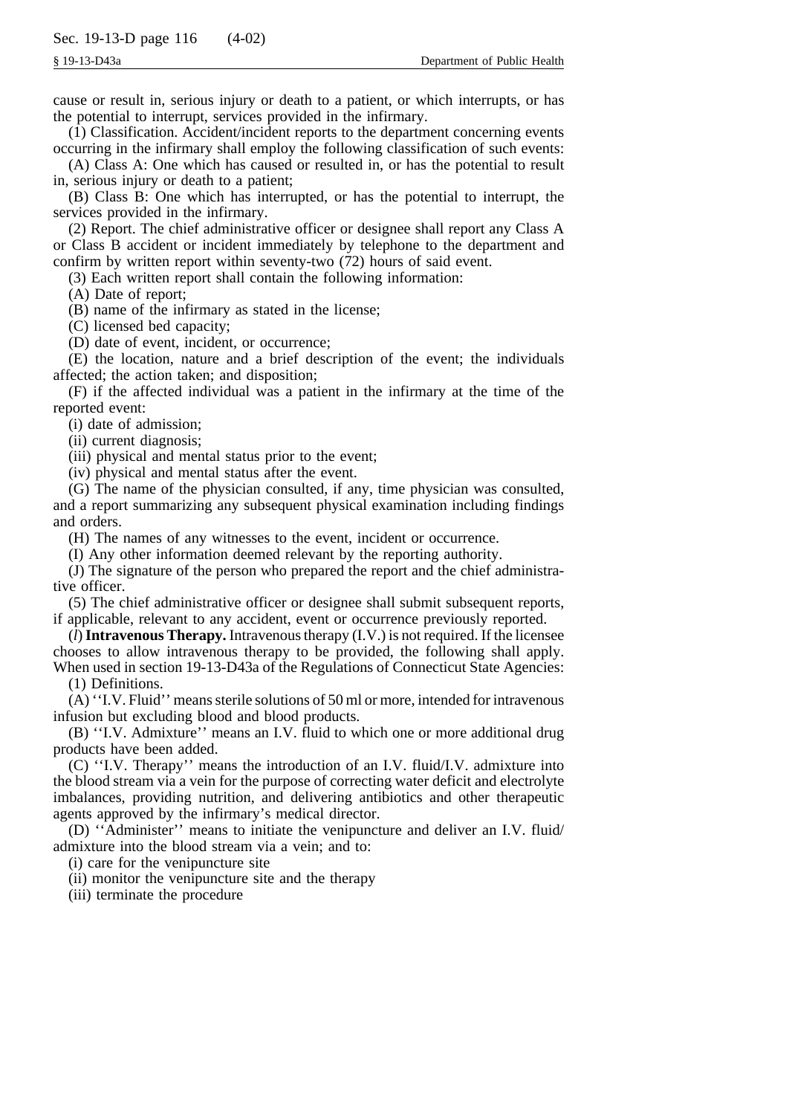cause or result in, serious injury or death to a patient, or which interrupts, or has the potential to interrupt, services provided in the infirmary.

(1) Classification. Accident/incident reports to the department concerning events occurring in the infirmary shall employ the following classification of such events:

(A) Class A: One which has caused or resulted in, or has the potential to result in, serious injury or death to a patient;

(B) Class B: One which has interrupted, or has the potential to interrupt, the services provided in the infirmary.

(2) Report. The chief administrative officer or designee shall report any Class A or Class B accident or incident immediately by telephone to the department and confirm by written report within seventy-two (72) hours of said event.

(3) Each written report shall contain the following information:

(A) Date of report;

(B) name of the infirmary as stated in the license;

(C) licensed bed capacity;

(D) date of event, incident, or occurrence;

(E) the location, nature and a brief description of the event; the individuals affected; the action taken; and disposition;

(F) if the affected individual was a patient in the infirmary at the time of the reported event:

(i) date of admission;

(ii) current diagnosis;

(iii) physical and mental status prior to the event;

(iv) physical and mental status after the event.

(G) The name of the physician consulted, if any, time physician was consulted, and a report summarizing any subsequent physical examination including findings and orders.

(H) The names of any witnesses to the event, incident or occurrence.

(I) Any other information deemed relevant by the reporting authority.

(J) The signature of the person who prepared the report and the chief administrative officer.

(5) The chief administrative officer or designee shall submit subsequent reports, if applicable, relevant to any accident, event or occurrence previously reported.

(*l*)**Intravenous Therapy.** Intravenous therapy (I.V.) is not required. If the licensee chooses to allow intravenous therapy to be provided, the following shall apply. When used in section 19-13-D43a of the Regulations of Connecticut State Agencies:

(1) Definitions.

(A) ''I.V. Fluid'' means sterile solutions of 50 ml or more, intended for intravenous infusion but excluding blood and blood products.

(B) ''I.V. Admixture'' means an I.V. fluid to which one or more additional drug products have been added.

(C) ''I.V. Therapy'' means the introduction of an I.V. fluid/I.V. admixture into the blood stream via a vein for the purpose of correcting water deficit and electrolyte imbalances, providing nutrition, and delivering antibiotics and other therapeutic agents approved by the infirmary's medical director.

(D) ''Administer'' means to initiate the venipuncture and deliver an I.V. fluid/ admixture into the blood stream via a vein; and to:

(i) care for the venipuncture site

(ii) monitor the venipuncture site and the therapy

(iii) terminate the procedure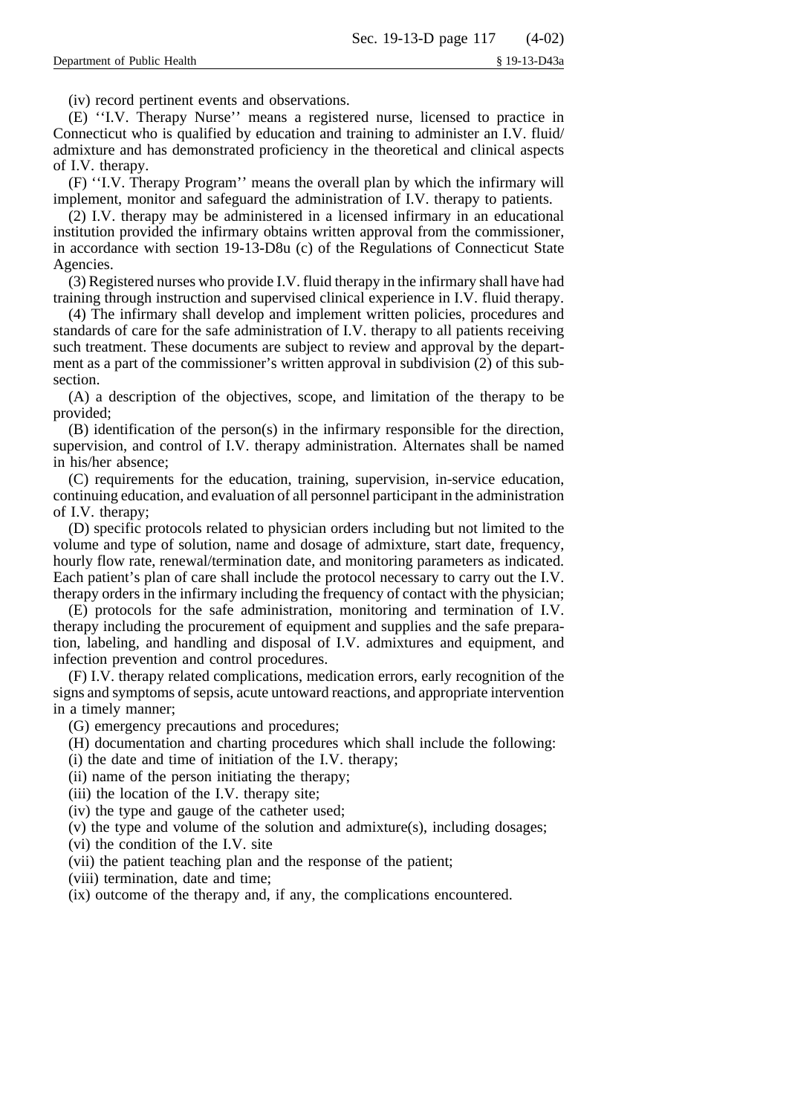(iv) record pertinent events and observations.

(E) ''I.V. Therapy Nurse'' means a registered nurse, licensed to practice in Connecticut who is qualified by education and training to administer an I.V. fluid/ admixture and has demonstrated proficiency in the theoretical and clinical aspects of I.V. therapy.

(F) ''I.V. Therapy Program'' means the overall plan by which the infirmary will implement, monitor and safeguard the administration of I.V. therapy to patients.

(2) I.V. therapy may be administered in a licensed infirmary in an educational institution provided the infirmary obtains written approval from the commissioner, in accordance with section 19-13-D8u (c) of the Regulations of Connecticut State Agencies.

(3) Registered nurses who provide I.V. fluid therapy in the infirmary shall have had training through instruction and supervised clinical experience in I.V. fluid therapy.

(4) The infirmary shall develop and implement written policies, procedures and standards of care for the safe administration of I.V. therapy to all patients receiving such treatment. These documents are subject to review and approval by the department as a part of the commissioner's written approval in subdivision (2) of this subsection.

(A) a description of the objectives, scope, and limitation of the therapy to be provided;

(B) identification of the person(s) in the infirmary responsible for the direction, supervision, and control of I.V. therapy administration. Alternates shall be named in his/her absence;

(C) requirements for the education, training, supervision, in-service education, continuing education, and evaluation of all personnel participant in the administration of I.V. therapy;

(D) specific protocols related to physician orders including but not limited to the volume and type of solution, name and dosage of admixture, start date, frequency, hourly flow rate, renewal/termination date, and monitoring parameters as indicated. Each patient's plan of care shall include the protocol necessary to carry out the I.V. therapy orders in the infirmary including the frequency of contact with the physician;

(E) protocols for the safe administration, monitoring and termination of I.V. therapy including the procurement of equipment and supplies and the safe preparation, labeling, and handling and disposal of I.V. admixtures and equipment, and infection prevention and control procedures.

(F) I.V. therapy related complications, medication errors, early recognition of the signs and symptoms of sepsis, acute untoward reactions, and appropriate intervention in a timely manner;

(G) emergency precautions and procedures;

(H) documentation and charting procedures which shall include the following:

(i) the date and time of initiation of the I.V. therapy;

(ii) name of the person initiating the therapy;

(iii) the location of the I.V. therapy site;

(iv) the type and gauge of the catheter used;

(v) the type and volume of the solution and admixture(s), including dosages;

(vi) the condition of the I.V. site

(vii) the patient teaching plan and the response of the patient;

(viii) termination, date and time;

(ix) outcome of the therapy and, if any, the complications encountered.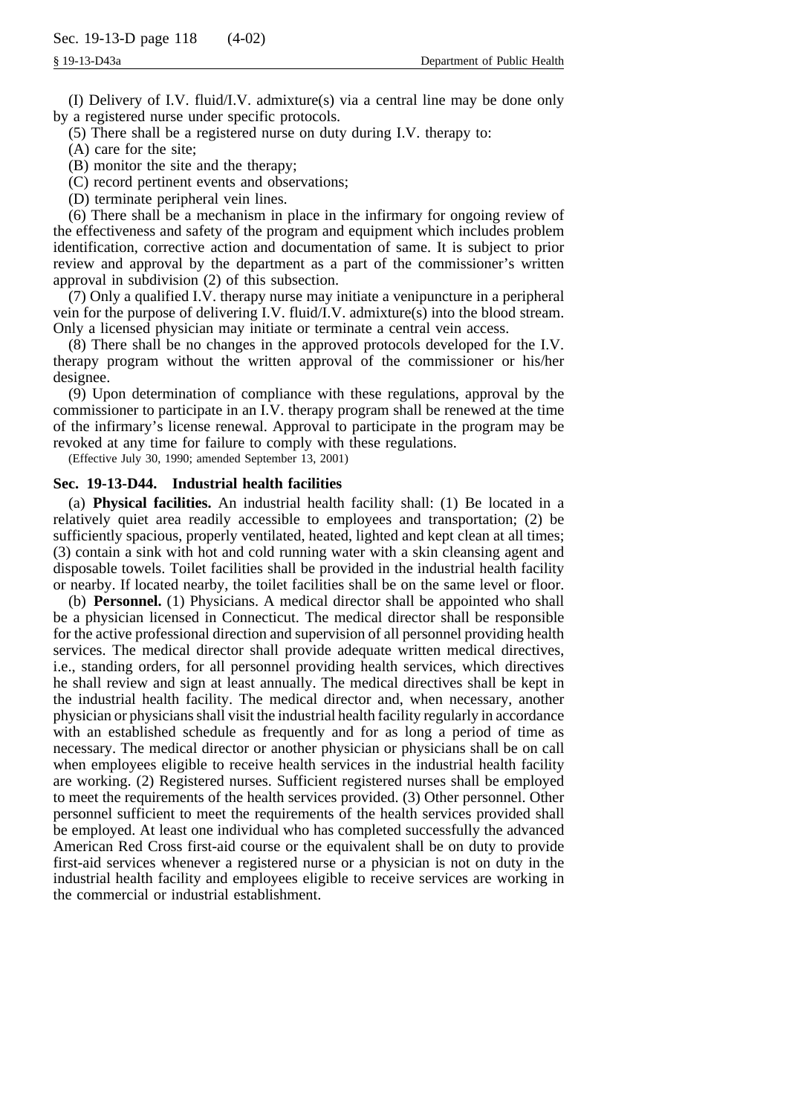(I) Delivery of I.V. fluid/I.V. admixture(s) via a central line may be done only by a registered nurse under specific protocols.

(5) There shall be a registered nurse on duty during I.V. therapy to:

(A) care for the site;

(B) monitor the site and the therapy;

(C) record pertinent events and observations;

(D) terminate peripheral vein lines.

(6) There shall be a mechanism in place in the infirmary for ongoing review of the effectiveness and safety of the program and equipment which includes problem identification, corrective action and documentation of same. It is subject to prior review and approval by the department as a part of the commissioner's written approval in subdivision (2) of this subsection.

(7) Only a qualified I.V. therapy nurse may initiate a venipuncture in a peripheral vein for the purpose of delivering I.V. fluid/I.V. admixture(s) into the blood stream. Only a licensed physician may initiate or terminate a central vein access.

(8) There shall be no changes in the approved protocols developed for the I.V. therapy program without the written approval of the commissioner or his/her designee.

(9) Upon determination of compliance with these regulations, approval by the commissioner to participate in an I.V. therapy program shall be renewed at the time of the infirmary's license renewal. Approval to participate in the program may be revoked at any time for failure to comply with these regulations.

(Effective July 30, 1990; amended September 13, 2001)

#### **Sec. 19-13-D44. Industrial health facilities**

(a) **Physical facilities.** An industrial health facility shall: (1) Be located in a relatively quiet area readily accessible to employees and transportation; (2) be sufficiently spacious, properly ventilated, heated, lighted and kept clean at all times; (3) contain a sink with hot and cold running water with a skin cleansing agent and disposable towels. Toilet facilities shall be provided in the industrial health facility or nearby. If located nearby, the toilet facilities shall be on the same level or floor.

(b) **Personnel.** (1) Physicians. A medical director shall be appointed who shall be a physician licensed in Connecticut. The medical director shall be responsible for the active professional direction and supervision of all personnel providing health services. The medical director shall provide adequate written medical directives, i.e., standing orders, for all personnel providing health services, which directives he shall review and sign at least annually. The medical directives shall be kept in the industrial health facility. The medical director and, when necessary, another physician or physicians shall visit the industrial health facility regularly in accordance with an established schedule as frequently and for as long a period of time as necessary. The medical director or another physician or physicians shall be on call when employees eligible to receive health services in the industrial health facility are working. (2) Registered nurses. Sufficient registered nurses shall be employed to meet the requirements of the health services provided. (3) Other personnel. Other personnel sufficient to meet the requirements of the health services provided shall be employed. At least one individual who has completed successfully the advanced American Red Cross first-aid course or the equivalent shall be on duty to provide first-aid services whenever a registered nurse or a physician is not on duty in the industrial health facility and employees eligible to receive services are working in the commercial or industrial establishment.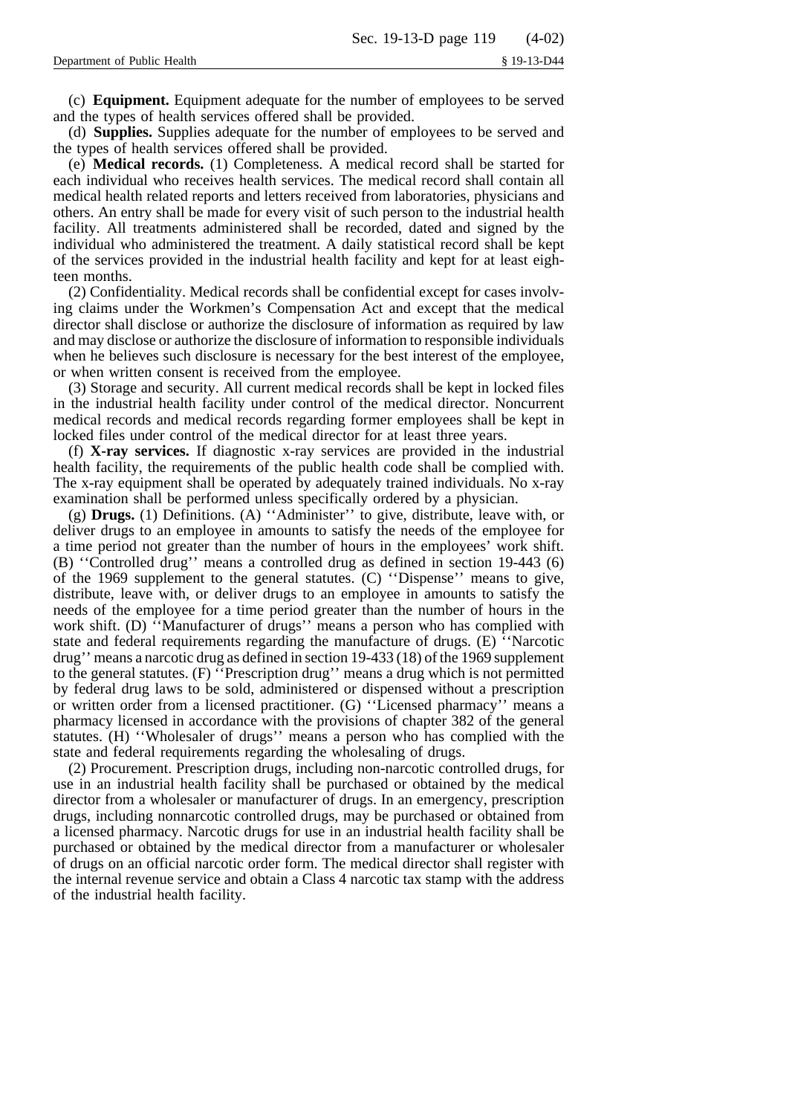(c) **Equipment.** Equipment adequate for the number of employees to be served and the types of health services offered shall be provided.

(d) **Supplies.** Supplies adequate for the number of employees to be served and the types of health services offered shall be provided.

(e) **Medical records.** (1) Completeness. A medical record shall be started for each individual who receives health services. The medical record shall contain all medical health related reports and letters received from laboratories, physicians and others. An entry shall be made for every visit of such person to the industrial health facility. All treatments administered shall be recorded, dated and signed by the individual who administered the treatment. A daily statistical record shall be kept of the services provided in the industrial health facility and kept for at least eighteen months.

(2) Confidentiality. Medical records shall be confidential except for cases involving claims under the Workmen's Compensation Act and except that the medical director shall disclose or authorize the disclosure of information as required by law and may disclose or authorize the disclosure of information to responsible individuals when he believes such disclosure is necessary for the best interest of the employee, or when written consent is received from the employee.

(3) Storage and security. All current medical records shall be kept in locked files in the industrial health facility under control of the medical director. Noncurrent medical records and medical records regarding former employees shall be kept in locked files under control of the medical director for at least three years.

(f) **X-ray services.** If diagnostic x-ray services are provided in the industrial health facility, the requirements of the public health code shall be complied with. The x-ray equipment shall be operated by adequately trained individuals. No x-ray examination shall be performed unless specifically ordered by a physician.

(g) **Drugs.** (1) Definitions. (A) ''Administer'' to give, distribute, leave with, or deliver drugs to an employee in amounts to satisfy the needs of the employee for a time period not greater than the number of hours in the employees' work shift. (B) ''Controlled drug'' means a controlled drug as defined in section 19-443 (6) of the 1969 supplement to the general statutes. (C) ''Dispense'' means to give, distribute, leave with, or deliver drugs to an employee in amounts to satisfy the needs of the employee for a time period greater than the number of hours in the work shift. (D) "Manufacturer of drugs" means a person who has complied with state and federal requirements regarding the manufacture of drugs. (E) ''Narcotic drug'' means a narcotic drug as defined in section 19-433 (18) of the 1969 supplement to the general statutes. (F) ''Prescription drug'' means a drug which is not permitted by federal drug laws to be sold, administered or dispensed without a prescription or written order from a licensed practitioner. (G) ''Licensed pharmacy'' means a pharmacy licensed in accordance with the provisions of chapter 382 of the general statutes. (H) ''Wholesaler of drugs'' means a person who has complied with the state and federal requirements regarding the wholesaling of drugs.

(2) Procurement. Prescription drugs, including non-narcotic controlled drugs, for use in an industrial health facility shall be purchased or obtained by the medical director from a wholesaler or manufacturer of drugs. In an emergency, prescription drugs, including nonnarcotic controlled drugs, may be purchased or obtained from a licensed pharmacy. Narcotic drugs for use in an industrial health facility shall be purchased or obtained by the medical director from a manufacturer or wholesaler of drugs on an official narcotic order form. The medical director shall register with the internal revenue service and obtain a Class 4 narcotic tax stamp with the address of the industrial health facility.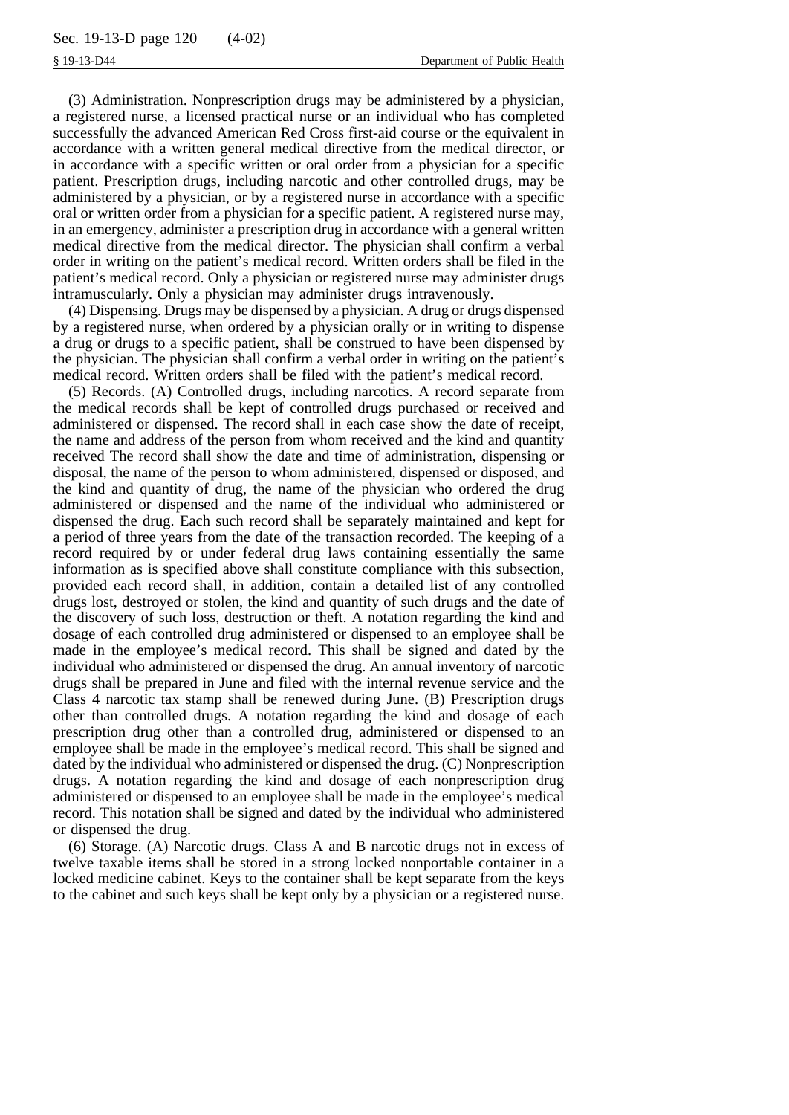(3) Administration. Nonprescription drugs may be administered by a physician, a registered nurse, a licensed practical nurse or an individual who has completed successfully the advanced American Red Cross first-aid course or the equivalent in accordance with a written general medical directive from the medical director, or in accordance with a specific written or oral order from a physician for a specific patient. Prescription drugs, including narcotic and other controlled drugs, may be administered by a physician, or by a registered nurse in accordance with a specific oral or written order from a physician for a specific patient. A registered nurse may, in an emergency, administer a prescription drug in accordance with a general written medical directive from the medical director. The physician shall confirm a verbal order in writing on the patient's medical record. Written orders shall be filed in the patient's medical record. Only a physician or registered nurse may administer drugs intramuscularly. Only a physician may administer drugs intravenously.

(4) Dispensing. Drugs may be dispensed by a physician. A drug or drugs dispensed by a registered nurse, when ordered by a physician orally or in writing to dispense a drug or drugs to a specific patient, shall be construed to have been dispensed by the physician. The physician shall confirm a verbal order in writing on the patient's medical record. Written orders shall be filed with the patient's medical record.

(5) Records. (A) Controlled drugs, including narcotics. A record separate from the medical records shall be kept of controlled drugs purchased or received and administered or dispensed. The record shall in each case show the date of receipt, the name and address of the person from whom received and the kind and quantity received The record shall show the date and time of administration, dispensing or disposal, the name of the person to whom administered, dispensed or disposed, and the kind and quantity of drug, the name of the physician who ordered the drug administered or dispensed and the name of the individual who administered or dispensed the drug. Each such record shall be separately maintained and kept for a period of three years from the date of the transaction recorded. The keeping of a record required by or under federal drug laws containing essentially the same information as is specified above shall constitute compliance with this subsection, provided each record shall, in addition, contain a detailed list of any controlled drugs lost, destroyed or stolen, the kind and quantity of such drugs and the date of the discovery of such loss, destruction or theft. A notation regarding the kind and dosage of each controlled drug administered or dispensed to an employee shall be made in the employee's medical record. This shall be signed and dated by the individual who administered or dispensed the drug. An annual inventory of narcotic drugs shall be prepared in June and filed with the internal revenue service and the Class 4 narcotic tax stamp shall be renewed during June. (B) Prescription drugs other than controlled drugs. A notation regarding the kind and dosage of each prescription drug other than a controlled drug, administered or dispensed to an employee shall be made in the employee's medical record. This shall be signed and dated by the individual who administered or dispensed the drug. (C) Nonprescription drugs. A notation regarding the kind and dosage of each nonprescription drug administered or dispensed to an employee shall be made in the employee's medical record. This notation shall be signed and dated by the individual who administered or dispensed the drug.

(6) Storage. (A) Narcotic drugs. Class A and B narcotic drugs not in excess of twelve taxable items shall be stored in a strong locked nonportable container in a locked medicine cabinet. Keys to the container shall be kept separate from the keys to the cabinet and such keys shall be kept only by a physician or a registered nurse.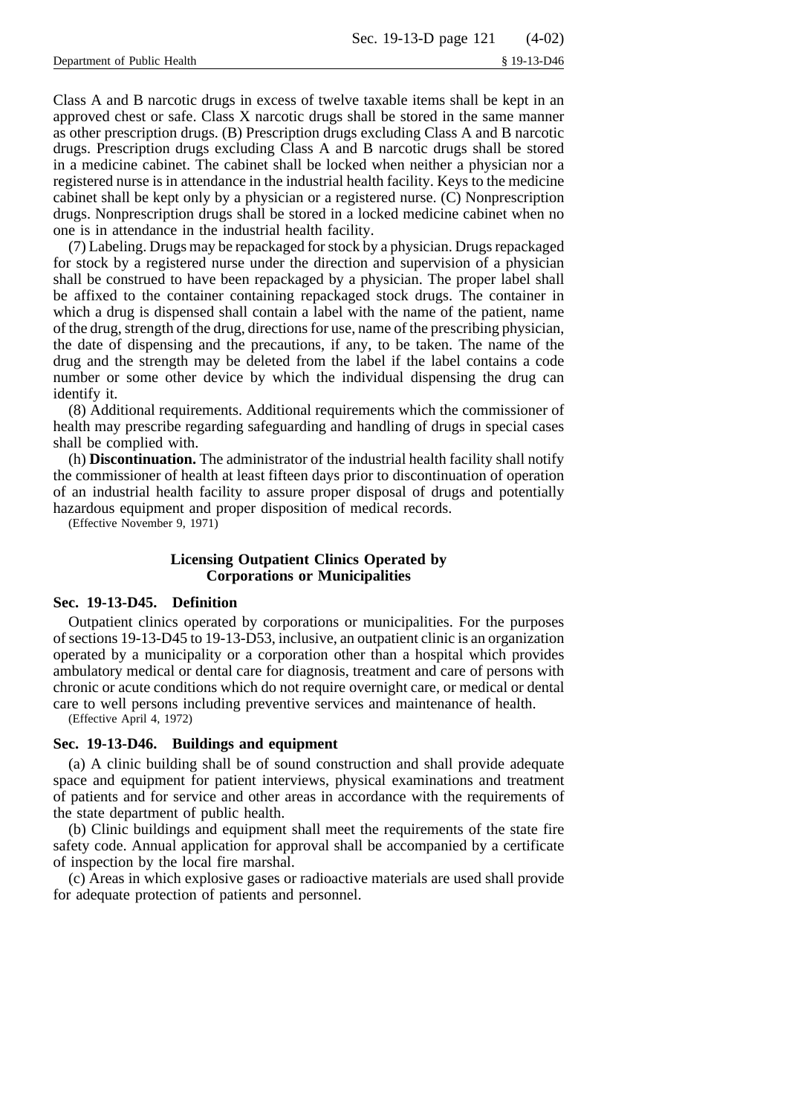Class A and B narcotic drugs in excess of twelve taxable items shall be kept in an approved chest or safe. Class X narcotic drugs shall be stored in the same manner as other prescription drugs. (B) Prescription drugs excluding Class A and B narcotic drugs. Prescription drugs excluding Class A and B narcotic drugs shall be stored in a medicine cabinet. The cabinet shall be locked when neither a physician nor a registered nurse is in attendance in the industrial health facility. Keys to the medicine cabinet shall be kept only by a physician or a registered nurse. (C) Nonprescription drugs. Nonprescription drugs shall be stored in a locked medicine cabinet when no one is in attendance in the industrial health facility.

(7) Labeling. Drugs may be repackaged for stock by a physician. Drugs repackaged for stock by a registered nurse under the direction and supervision of a physician shall be construed to have been repackaged by a physician. The proper label shall be affixed to the container containing repackaged stock drugs. The container in which a drug is dispensed shall contain a label with the name of the patient, name of the drug, strength of the drug, directions for use, name of the prescribing physician, the date of dispensing and the precautions, if any, to be taken. The name of the drug and the strength may be deleted from the label if the label contains a code number or some other device by which the individual dispensing the drug can identify it.

(8) Additional requirements. Additional requirements which the commissioner of health may prescribe regarding safeguarding and handling of drugs in special cases shall be complied with.

(h) **Discontinuation.** The administrator of the industrial health facility shall notify the commissioner of health at least fifteen days prior to discontinuation of operation of an industrial health facility to assure proper disposal of drugs and potentially hazardous equipment and proper disposition of medical records.

(Effective November 9, 1971)

# **Licensing Outpatient Clinics Operated by Corporations or Municipalities**

# **Sec. 19-13-D45. Definition**

Outpatient clinics operated by corporations or municipalities. For the purposes of sections 19-13-D45 to 19-13-D53, inclusive, an outpatient clinic is an organization operated by a municipality or a corporation other than a hospital which provides ambulatory medical or dental care for diagnosis, treatment and care of persons with chronic or acute conditions which do not require overnight care, or medical or dental care to well persons including preventive services and maintenance of health.

(Effective April 4, 1972)

# **Sec. 19-13-D46. Buildings and equipment**

(a) A clinic building shall be of sound construction and shall provide adequate space and equipment for patient interviews, physical examinations and treatment of patients and for service and other areas in accordance with the requirements of the state department of public health.

(b) Clinic buildings and equipment shall meet the requirements of the state fire safety code. Annual application for approval shall be accompanied by a certificate of inspection by the local fire marshal.

(c) Areas in which explosive gases or radioactive materials are used shall provide for adequate protection of patients and personnel.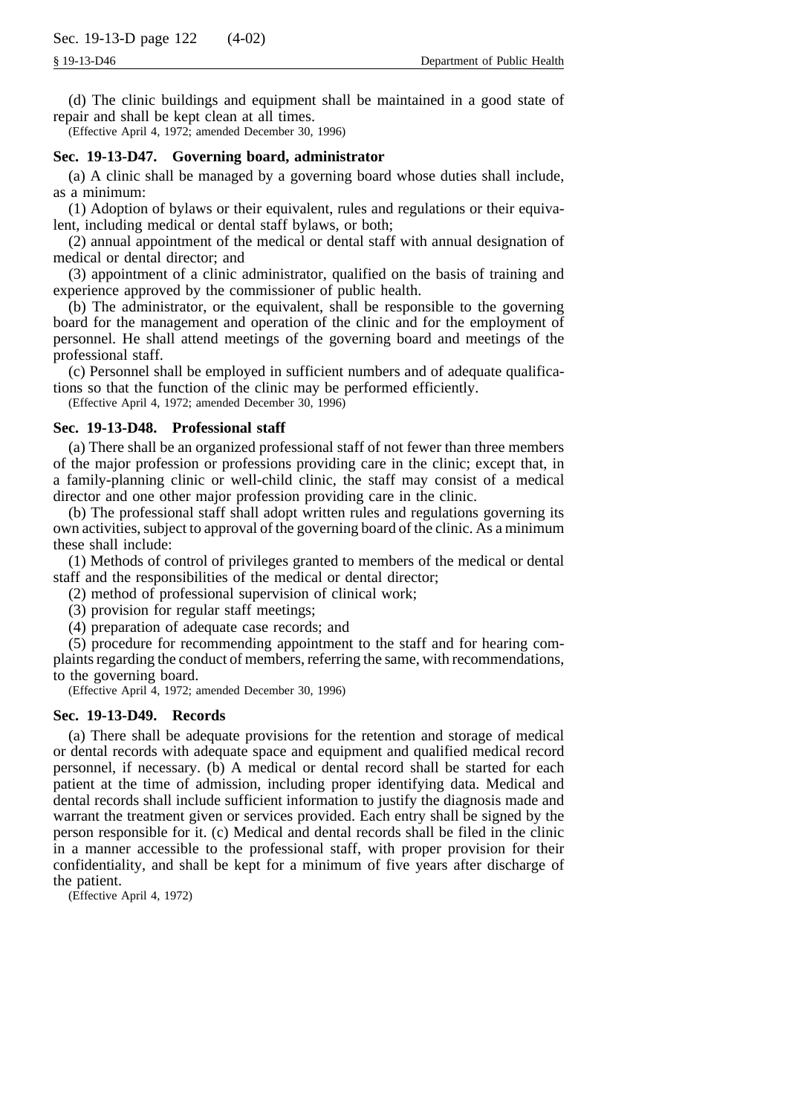(d) The clinic buildings and equipment shall be maintained in a good state of repair and shall be kept clean at all times.

(Effective April 4, 1972; amended December 30, 1996)

# **Sec. 19-13-D47. Governing board, administrator**

(a) A clinic shall be managed by a governing board whose duties shall include, as a minimum:

(1) Adoption of bylaws or their equivalent, rules and regulations or their equivalent, including medical or dental staff bylaws, or both;

(2) annual appointment of the medical or dental staff with annual designation of medical or dental director; and

(3) appointment of a clinic administrator, qualified on the basis of training and experience approved by the commissioner of public health.

(b) The administrator, or the equivalent, shall be responsible to the governing board for the management and operation of the clinic and for the employment of personnel. He shall attend meetings of the governing board and meetings of the professional staff.

(c) Personnel shall be employed in sufficient numbers and of adequate qualifications so that the function of the clinic may be performed efficiently.

(Effective April 4, 1972; amended December 30, 1996)

# **Sec. 19-13-D48. Professional staff**

(a) There shall be an organized professional staff of not fewer than three members of the major profession or professions providing care in the clinic; except that, in a family-planning clinic or well-child clinic, the staff may consist of a medical director and one other major profession providing care in the clinic.

(b) The professional staff shall adopt written rules and regulations governing its own activities, subject to approval of the governing board of the clinic. As a minimum these shall include:

(1) Methods of control of privileges granted to members of the medical or dental staff and the responsibilities of the medical or dental director;

(2) method of professional supervision of clinical work;

(3) provision for regular staff meetings;

(4) preparation of adequate case records; and

(5) procedure for recommending appointment to the staff and for hearing complaints regarding the conduct of members, referring the same, with recommendations, to the governing board.

(Effective April 4, 1972; amended December 30, 1996)

#### **Sec. 19-13-D49. Records**

(a) There shall be adequate provisions for the retention and storage of medical or dental records with adequate space and equipment and qualified medical record personnel, if necessary. (b) A medical or dental record shall be started for each patient at the time of admission, including proper identifying data. Medical and dental records shall include sufficient information to justify the diagnosis made and warrant the treatment given or services provided. Each entry shall be signed by the person responsible for it. (c) Medical and dental records shall be filed in the clinic in a manner accessible to the professional staff, with proper provision for their confidentiality, and shall be kept for a minimum of five years after discharge of the patient.

(Effective April 4, 1972)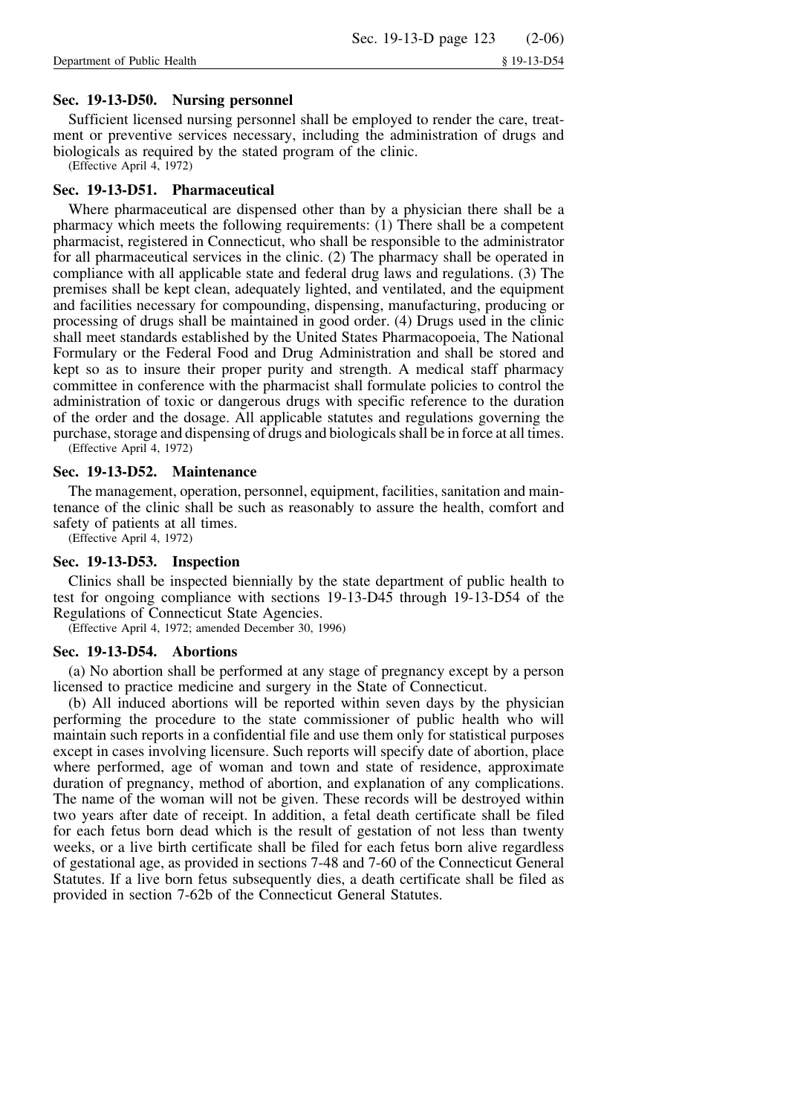# **Sec. 19-13-D50. Nursing personnel**

Sufficient licensed nursing personnel shall be employed to render the care, treatment or preventive services necessary, including the administration of drugs and biologicals as required by the stated program of the clinic.

(Effective April 4, 1972)

# **Sec. 19-13-D51. Pharmaceutical**

Where pharmaceutical are dispensed other than by a physician there shall be a pharmacy which meets the following requirements: (1) There shall be a competent pharmacist, registered in Connecticut, who shall be responsible to the administrator for all pharmaceutical services in the clinic. (2) The pharmacy shall be operated in compliance with all applicable state and federal drug laws and regulations. (3) The premises shall be kept clean, adequately lighted, and ventilated, and the equipment and facilities necessary for compounding, dispensing, manufacturing, producing or processing of drugs shall be maintained in good order. (4) Drugs used in the clinic shall meet standards established by the United States Pharmacopoeia, The National Formulary or the Federal Food and Drug Administration and shall be stored and kept so as to insure their proper purity and strength. A medical staff pharmacy committee in conference with the pharmacist shall formulate policies to control the administration of toxic or dangerous drugs with specific reference to the duration of the order and the dosage. All applicable statutes and regulations governing the purchase, storage and dispensing of drugs and biologicals shall be in force at all times.

(Effective April 4, 1972)

## **Sec. 19-13-D52. Maintenance**

The management, operation, personnel, equipment, facilities, sanitation and maintenance of the clinic shall be such as reasonably to assure the health, comfort and safety of patients at all times.

(Effective April 4, 1972)

# **Sec. 19-13-D53. Inspection**

Clinics shall be inspected biennially by the state department of public health to test for ongoing compliance with sections 19-13-D45 through 19-13-D54 of the Regulations of Connecticut State Agencies.

(Effective April 4, 1972; amended December 30, 1996)

# **Sec. 19-13-D54. Abortions**

(a) No abortion shall be performed at any stage of pregnancy except by a person licensed to practice medicine and surgery in the State of Connecticut.

(b) All induced abortions will be reported within seven days by the physician performing the procedure to the state commissioner of public health who will maintain such reports in a confidential file and use them only for statistical purposes except in cases involving licensure. Such reports will specify date of abortion, place where performed, age of woman and town and state of residence, approximate duration of pregnancy, method of abortion, and explanation of any complications. The name of the woman will not be given. These records will be destroyed within two years after date of receipt. In addition, a fetal death certificate shall be filed for each fetus born dead which is the result of gestation of not less than twenty weeks, or a live birth certificate shall be filed for each fetus born alive regardless of gestational age, as provided in sections 7-48 and 7-60 of the Connecticut General Statutes. If a live born fetus subsequently dies, a death certificate shall be filed as provided in section 7-62b of the Connecticut General Statutes.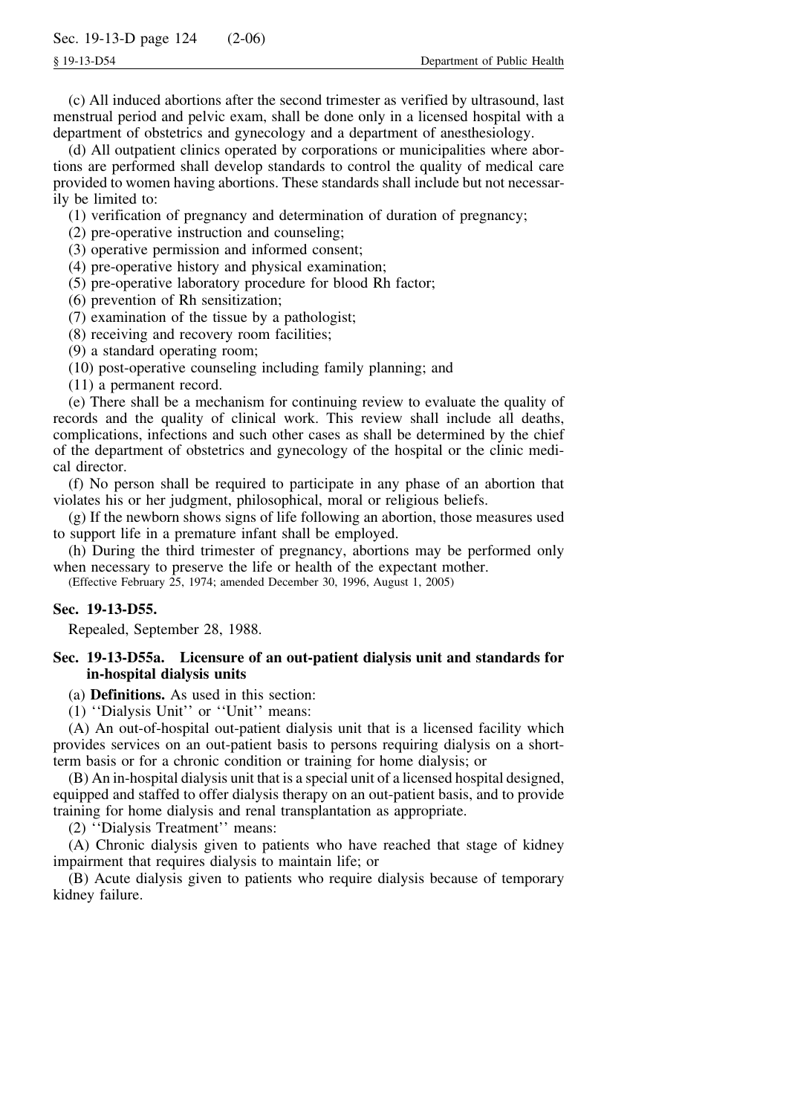(c) All induced abortions after the second trimester as verified by ultrasound, last menstrual period and pelvic exam, shall be done only in a licensed hospital with a department of obstetrics and gynecology and a department of anesthesiology.

(d) All outpatient clinics operated by corporations or municipalities where abortions are performed shall develop standards to control the quality of medical care provided to women having abortions. These standards shall include but not necessarily be limited to:

(1) verification of pregnancy and determination of duration of pregnancy;

- (2) pre-operative instruction and counseling;
- (3) operative permission and informed consent;
- (4) pre-operative history and physical examination;
- (5) pre-operative laboratory procedure for blood Rh factor;
- (6) prevention of Rh sensitization;
- (7) examination of the tissue by a pathologist;
- (8) receiving and recovery room facilities;
- (9) a standard operating room;
- (10) post-operative counseling including family planning; and
- (11) a permanent record.

(e) There shall be a mechanism for continuing review to evaluate the quality of records and the quality of clinical work. This review shall include all deaths, complications, infections and such other cases as shall be determined by the chief of the department of obstetrics and gynecology of the hospital or the clinic medical director.

(f) No person shall be required to participate in any phase of an abortion that violates his or her judgment, philosophical, moral or religious beliefs.

(g) If the newborn shows signs of life following an abortion, those measures used to support life in a premature infant shall be employed.

(h) During the third trimester of pregnancy, abortions may be performed only when necessary to preserve the life or health of the expectant mother.

(Effective February 25, 1974; amended December 30, 1996, August 1, 2005)

# **Sec. 19-13-D55.**

Repealed, September 28, 1988.

# **Sec. 19-13-D55a. Licensure of an out-patient dialysis unit and standards for in-hospital dialysis units**

(a) **Definitions.** As used in this section:

(1) ''Dialysis Unit'' or ''Unit'' means:

(A) An out-of-hospital out-patient dialysis unit that is a licensed facility which provides services on an out-patient basis to persons requiring dialysis on a shortterm basis or for a chronic condition or training for home dialysis; or

(B) An in-hospital dialysis unit that is a special unit of a licensed hospital designed, equipped and staffed to offer dialysis therapy on an out-patient basis, and to provide training for home dialysis and renal transplantation as appropriate.

(2) ''Dialysis Treatment'' means:

(A) Chronic dialysis given to patients who have reached that stage of kidney impairment that requires dialysis to maintain life; or

(B) Acute dialysis given to patients who require dialysis because of temporary kidney failure.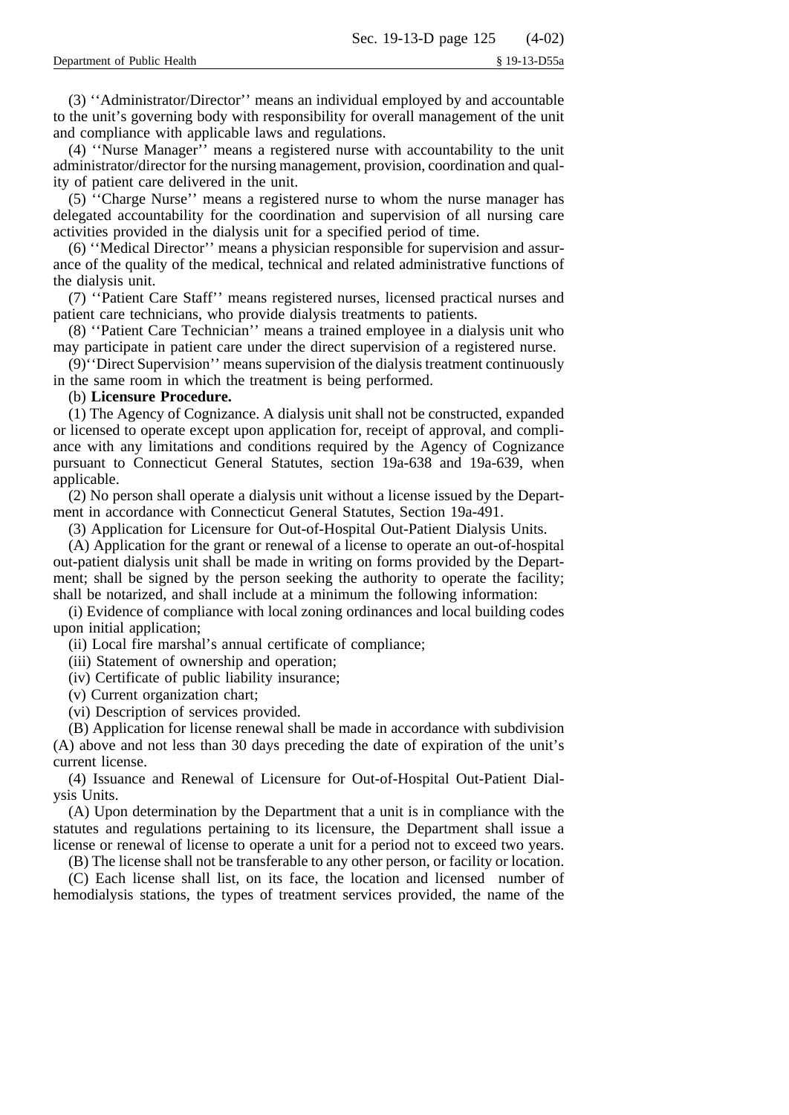(3) ''Administrator/Director'' means an individual employed by and accountable to the unit's governing body with responsibility for overall management of the unit and compliance with applicable laws and regulations.

(4) ''Nurse Manager'' means a registered nurse with accountability to the unit administrator/director for the nursing management, provision, coordination and quality of patient care delivered in the unit.

(5) ''Charge Nurse'' means a registered nurse to whom the nurse manager has delegated accountability for the coordination and supervision of all nursing care activities provided in the dialysis unit for a specified period of time.

(6) ''Medical Director'' means a physician responsible for supervision and assurance of the quality of the medical, technical and related administrative functions of the dialysis unit.

(7) ''Patient Care Staff'' means registered nurses, licensed practical nurses and patient care technicians, who provide dialysis treatments to patients.

(8) ''Patient Care Technician'' means a trained employee in a dialysis unit who may participate in patient care under the direct supervision of a registered nurse.

(9)''Direct Supervision'' means supervision of the dialysis treatment continuously in the same room in which the treatment is being performed.

## (b) **Licensure Procedure.**

(1) The Agency of Cognizance. A dialysis unit shall not be constructed, expanded or licensed to operate except upon application for, receipt of approval, and compliance with any limitations and conditions required by the Agency of Cognizance pursuant to Connecticut General Statutes, section 19a-638 and 19a-639, when applicable.

(2) No person shall operate a dialysis unit without a license issued by the Department in accordance with Connecticut General Statutes, Section 19a-491.

(3) Application for Licensure for Out-of-Hospital Out-Patient Dialysis Units.

(A) Application for the grant or renewal of a license to operate an out-of-hospital out-patient dialysis unit shall be made in writing on forms provided by the Department; shall be signed by the person seeking the authority to operate the facility; shall be notarized, and shall include at a minimum the following information:

(i) Evidence of compliance with local zoning ordinances and local building codes upon initial application;

(ii) Local fire marshal's annual certificate of compliance;

(iii) Statement of ownership and operation;

(iv) Certificate of public liability insurance;

(v) Current organization chart;

(vi) Description of services provided.

(B) Application for license renewal shall be made in accordance with subdivision (A) above and not less than 30 days preceding the date of expiration of the unit's current license.

(4) Issuance and Renewal of Licensure for Out-of-Hospital Out-Patient Dialysis Units.

(A) Upon determination by the Department that a unit is in compliance with the statutes and regulations pertaining to its licensure, the Department shall issue a license or renewal of license to operate a unit for a period not to exceed two years.

(B) The license shall not be transferable to any other person, or facility or location.

(C) Each license shall list, on its face, the location and licensed number of hemodialysis stations, the types of treatment services provided, the name of the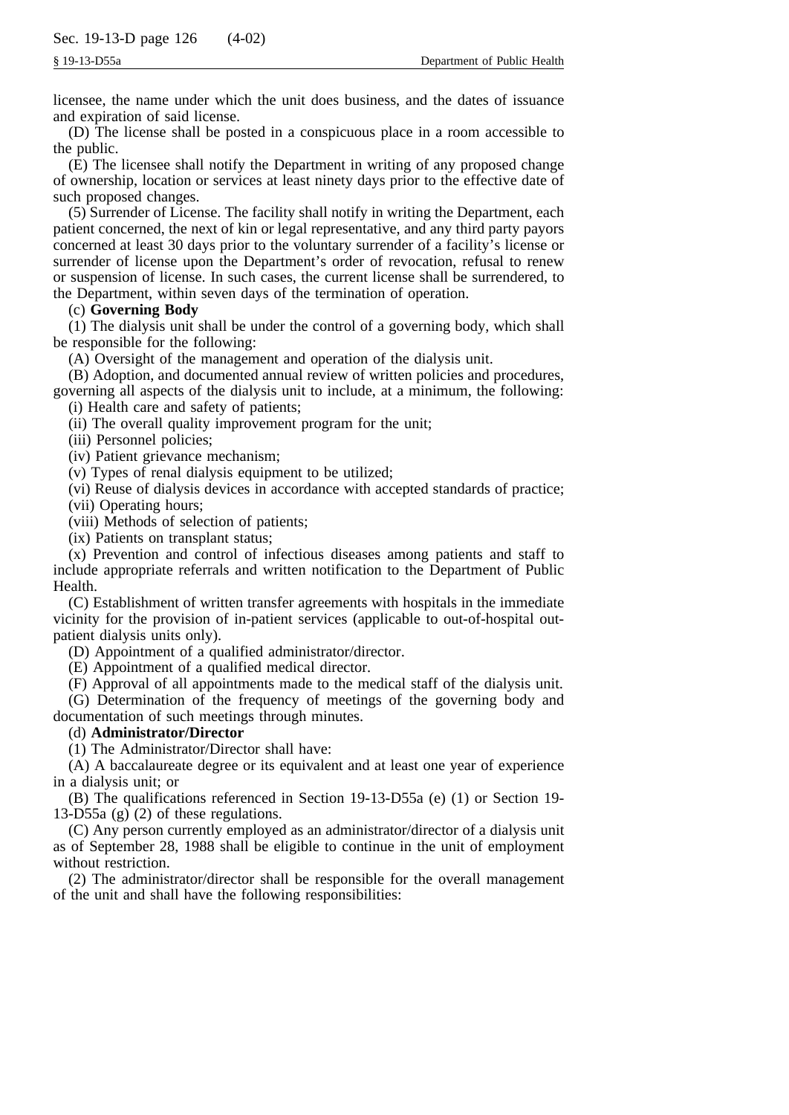licensee, the name under which the unit does business, and the dates of issuance and expiration of said license.

(D) The license shall be posted in a conspicuous place in a room accessible to the public.

(E) The licensee shall notify the Department in writing of any proposed change of ownership, location or services at least ninety days prior to the effective date of such proposed changes.

(5) Surrender of License. The facility shall notify in writing the Department, each patient concerned, the next of kin or legal representative, and any third party payors concerned at least 30 days prior to the voluntary surrender of a facility's license or surrender of license upon the Department's order of revocation, refusal to renew or suspension of license. In such cases, the current license shall be surrendered, to the Department, within seven days of the termination of operation.

# (c) **Governing Body**

(1) The dialysis unit shall be under the control of a governing body, which shall be responsible for the following:

(A) Oversight of the management and operation of the dialysis unit.

(B) Adoption, and documented annual review of written policies and procedures, governing all aspects of the dialysis unit to include, at a minimum, the following:

(i) Health care and safety of patients;

(ii) The overall quality improvement program for the unit;

(iii) Personnel policies;

(iv) Patient grievance mechanism;

(v) Types of renal dialysis equipment to be utilized;

(vi) Reuse of dialysis devices in accordance with accepted standards of practice; (vii) Operating hours;

(viii) Methods of selection of patients;

(ix) Patients on transplant status;

(x) Prevention and control of infectious diseases among patients and staff to include appropriate referrals and written notification to the Department of Public Health.

(C) Establishment of written transfer agreements with hospitals in the immediate vicinity for the provision of in-patient services (applicable to out-of-hospital outpatient dialysis units only).

(D) Appointment of a qualified administrator/director.

(E) Appointment of a qualified medical director.

(F) Approval of all appointments made to the medical staff of the dialysis unit.

(G) Determination of the frequency of meetings of the governing body and documentation of such meetings through minutes.

#### (d) **Administrator/Director**

(1) The Administrator/Director shall have:

(A) A baccalaureate degree or its equivalent and at least one year of experience in a dialysis unit; or

(B) The qualifications referenced in Section 19-13-D55a (e) (1) or Section 19- 13-D55a (g) (2) of these regulations.

(C) Any person currently employed as an administrator/director of a dialysis unit as of September 28, 1988 shall be eligible to continue in the unit of employment without restriction.

(2) The administrator/director shall be responsible for the overall management of the unit and shall have the following responsibilities: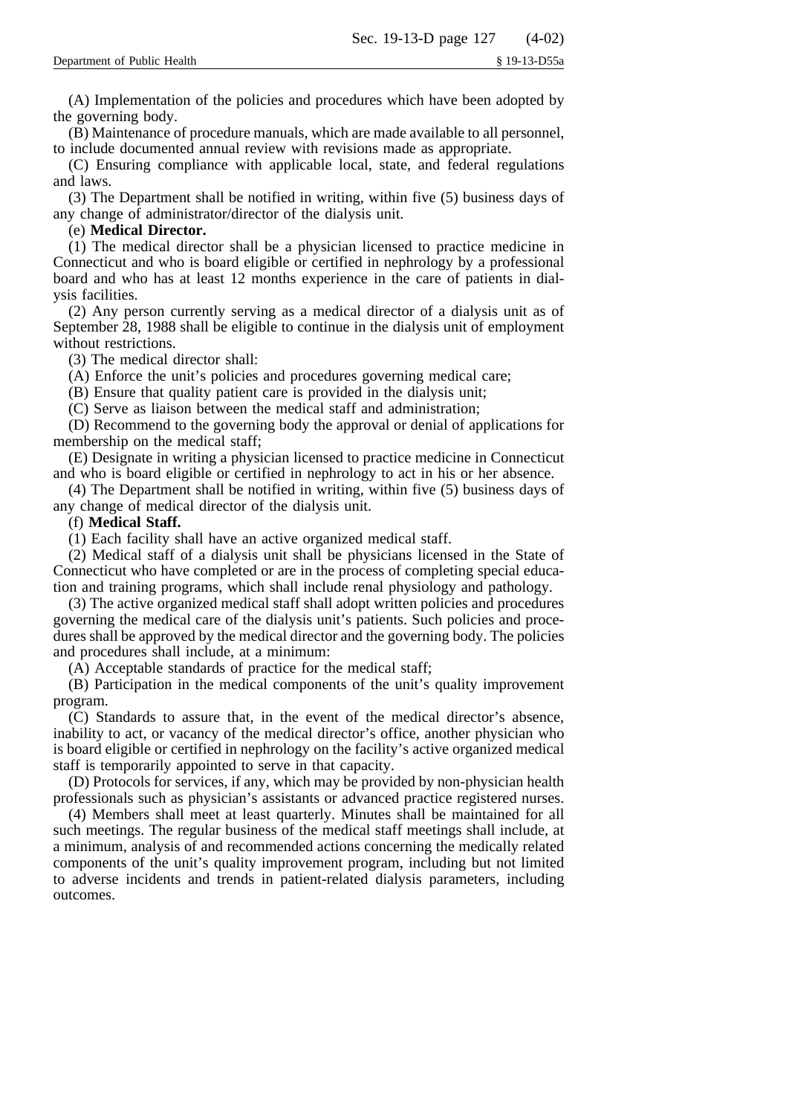(A) Implementation of the policies and procedures which have been adopted by the governing body.

(B) Maintenance of procedure manuals, which are made available to all personnel, to include documented annual review with revisions made as appropriate.

(C) Ensuring compliance with applicable local, state, and federal regulations and laws.

(3) The Department shall be notified in writing, within five (5) business days of any change of administrator/director of the dialysis unit.

# (e) **Medical Director.**

(1) The medical director shall be a physician licensed to practice medicine in Connecticut and who is board eligible or certified in nephrology by a professional board and who has at least 12 months experience in the care of patients in dialysis facilities.

(2) Any person currently serving as a medical director of a dialysis unit as of September 28, 1988 shall be eligible to continue in the dialysis unit of employment without restrictions.

(3) The medical director shall:

(A) Enforce the unit's policies and procedures governing medical care;

(B) Ensure that quality patient care is provided in the dialysis unit;

(C) Serve as liaison between the medical staff and administration;

(D) Recommend to the governing body the approval or denial of applications for membership on the medical staff;

(E) Designate in writing a physician licensed to practice medicine in Connecticut and who is board eligible or certified in nephrology to act in his or her absence.

(4) The Department shall be notified in writing, within five (5) business days of any change of medical director of the dialysis unit.

# (f) **Medical Staff.**

(1) Each facility shall have an active organized medical staff.

(2) Medical staff of a dialysis unit shall be physicians licensed in the State of Connecticut who have completed or are in the process of completing special education and training programs, which shall include renal physiology and pathology.

(3) The active organized medical staff shall adopt written policies and procedures governing the medical care of the dialysis unit's patients. Such policies and procedures shall be approved by the medical director and the governing body. The policies and procedures shall include, at a minimum:

(A) Acceptable standards of practice for the medical staff;

(B) Participation in the medical components of the unit's quality improvement program.

(C) Standards to assure that, in the event of the medical director's absence, inability to act, or vacancy of the medical director's office, another physician who is board eligible or certified in nephrology on the facility's active organized medical staff is temporarily appointed to serve in that capacity.

(D) Protocols for services, if any, which may be provided by non-physician health professionals such as physician's assistants or advanced practice registered nurses.

(4) Members shall meet at least quarterly. Minutes shall be maintained for all such meetings. The regular business of the medical staff meetings shall include, at a minimum, analysis of and recommended actions concerning the medically related components of the unit's quality improvement program, including but not limited to adverse incidents and trends in patient-related dialysis parameters, including outcomes.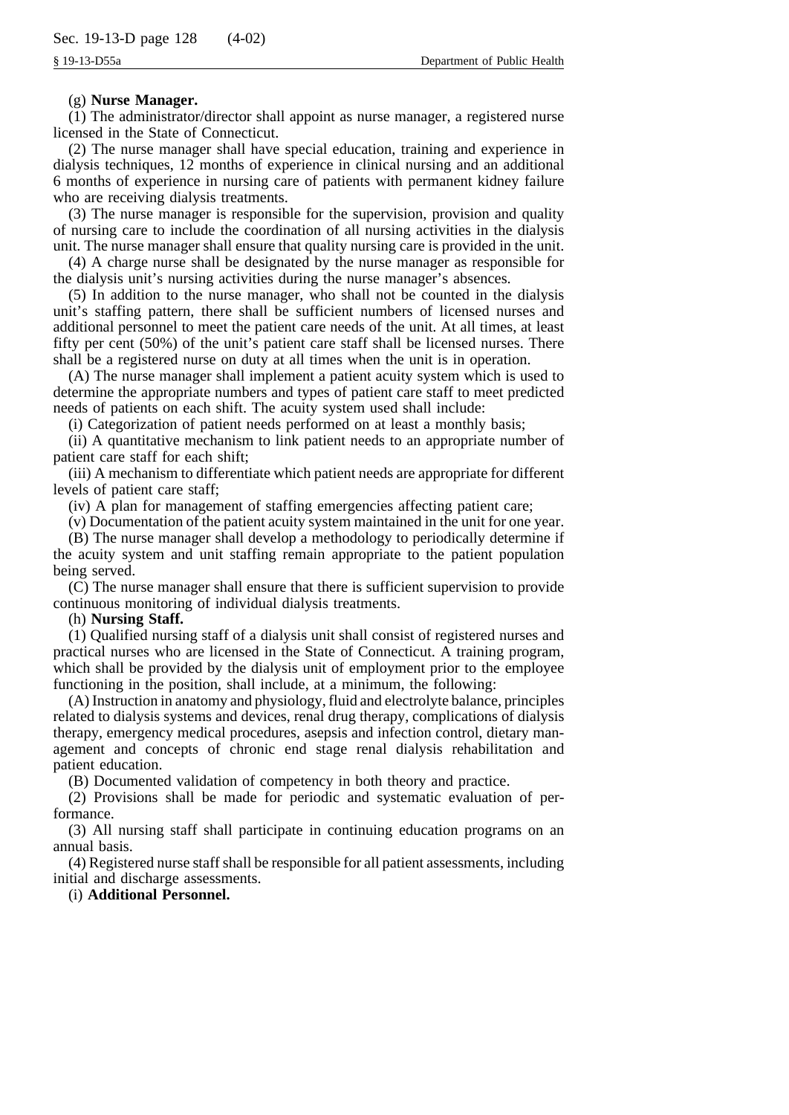## (g) **Nurse Manager.**

(1) The administrator/director shall appoint as nurse manager, a registered nurse licensed in the State of Connecticut.

(2) The nurse manager shall have special education, training and experience in dialysis techniques, 12 months of experience in clinical nursing and an additional 6 months of experience in nursing care of patients with permanent kidney failure who are receiving dialysis treatments.

(3) The nurse manager is responsible for the supervision, provision and quality of nursing care to include the coordination of all nursing activities in the dialysis unit. The nurse manager shall ensure that quality nursing care is provided in the unit.

(4) A charge nurse shall be designated by the nurse manager as responsible for the dialysis unit's nursing activities during the nurse manager's absences.

(5) In addition to the nurse manager, who shall not be counted in the dialysis unit's staffing pattern, there shall be sufficient numbers of licensed nurses and additional personnel to meet the patient care needs of the unit. At all times, at least fifty per cent (50%) of the unit's patient care staff shall be licensed nurses. There shall be a registered nurse on duty at all times when the unit is in operation.

(A) The nurse manager shall implement a patient acuity system which is used to determine the appropriate numbers and types of patient care staff to meet predicted needs of patients on each shift. The acuity system used shall include:

(i) Categorization of patient needs performed on at least a monthly basis;

(ii) A quantitative mechanism to link patient needs to an appropriate number of patient care staff for each shift;

(iii) A mechanism to differentiate which patient needs are appropriate for different levels of patient care staff;

(iv) A plan for management of staffing emergencies affecting patient care;

(v) Documentation of the patient acuity system maintained in the unit for one year.

(B) The nurse manager shall develop a methodology to periodically determine if the acuity system and unit staffing remain appropriate to the patient population being served.

(C) The nurse manager shall ensure that there is sufficient supervision to provide continuous monitoring of individual dialysis treatments.

#### (h) **Nursing Staff.**

(1) Qualified nursing staff of a dialysis unit shall consist of registered nurses and practical nurses who are licensed in the State of Connecticut. A training program, which shall be provided by the dialysis unit of employment prior to the employee functioning in the position, shall include, at a minimum, the following:

(A) Instruction in anatomy and physiology, fluid and electrolyte balance, principles related to dialysis systems and devices, renal drug therapy, complications of dialysis therapy, emergency medical procedures, asepsis and infection control, dietary management and concepts of chronic end stage renal dialysis rehabilitation and patient education.

(B) Documented validation of competency in both theory and practice.

(2) Provisions shall be made for periodic and systematic evaluation of performance.

(3) All nursing staff shall participate in continuing education programs on an annual basis.

(4) Registered nurse staff shall be responsible for all patient assessments, including initial and discharge assessments.

(i) **Additional Personnel.**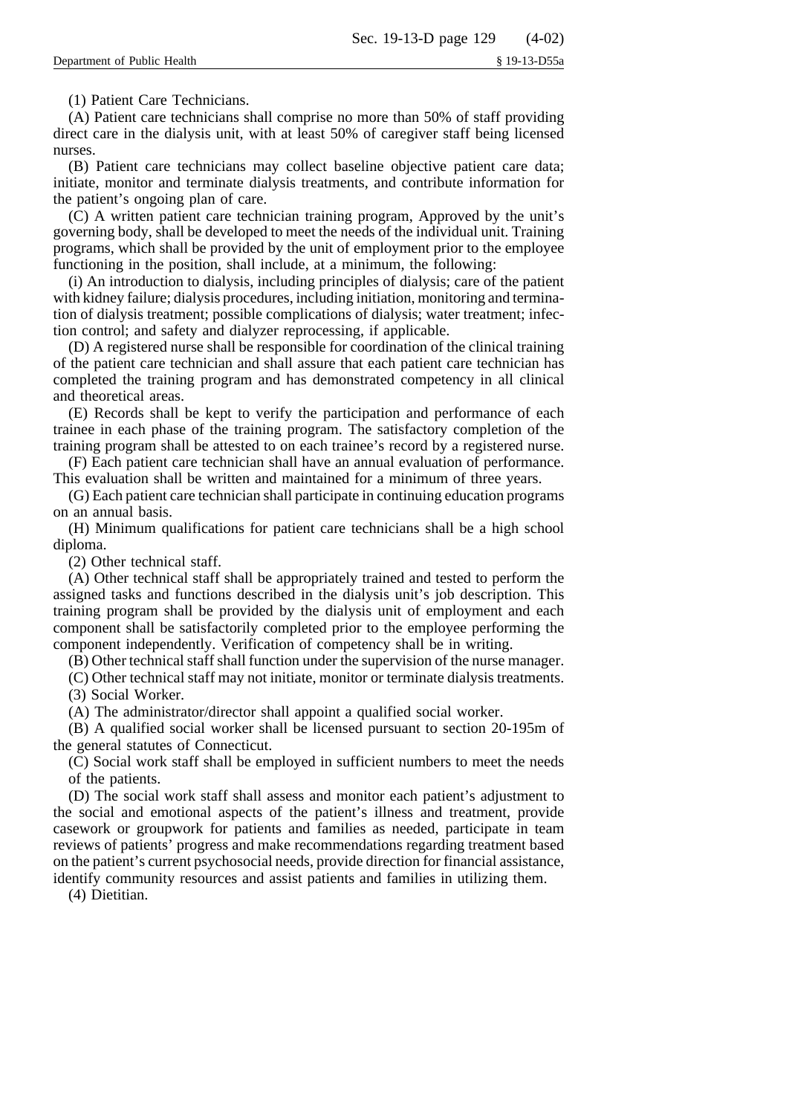(1) Patient Care Technicians.

(A) Patient care technicians shall comprise no more than 50% of staff providing direct care in the dialysis unit, with at least 50% of caregiver staff being licensed nurses.

(B) Patient care technicians may collect baseline objective patient care data; initiate, monitor and terminate dialysis treatments, and contribute information for the patient's ongoing plan of care.

(C) A written patient care technician training program, Approved by the unit's governing body, shall be developed to meet the needs of the individual unit. Training programs, which shall be provided by the unit of employment prior to the employee functioning in the position, shall include, at a minimum, the following:

(i) An introduction to dialysis, including principles of dialysis; care of the patient with kidney failure; dialysis procedures, including initiation, monitoring and termination of dialysis treatment; possible complications of dialysis; water treatment; infection control; and safety and dialyzer reprocessing, if applicable.

(D) A registered nurse shall be responsible for coordination of the clinical training of the patient care technician and shall assure that each patient care technician has completed the training program and has demonstrated competency in all clinical and theoretical areas.

(E) Records shall be kept to verify the participation and performance of each trainee in each phase of the training program. The satisfactory completion of the training program shall be attested to on each trainee's record by a registered nurse.

(F) Each patient care technician shall have an annual evaluation of performance. This evaluation shall be written and maintained for a minimum of three years.

(G) Each patient care technician shall participate in continuing education programs on an annual basis.

(H) Minimum qualifications for patient care technicians shall be a high school diploma.

(2) Other technical staff.

(A) Other technical staff shall be appropriately trained and tested to perform the assigned tasks and functions described in the dialysis unit's job description. This training program shall be provided by the dialysis unit of employment and each component shall be satisfactorily completed prior to the employee performing the component independently. Verification of competency shall be in writing.

(B) Other technical staff shall function under the supervision of the nurse manager.

(C) Other technical staff may not initiate, monitor or terminate dialysis treatments. (3) Social Worker.

(A) The administrator/director shall appoint a qualified social worker.

(B) A qualified social worker shall be licensed pursuant to section 20-195m of the general statutes of Connecticut.

(C) Social work staff shall be employed in sufficient numbers to meet the needs of the patients.

(D) The social work staff shall assess and monitor each patient's adjustment to the social and emotional aspects of the patient's illness and treatment, provide casework or groupwork for patients and families as needed, participate in team reviews of patients' progress and make recommendations regarding treatment based on the patient's current psychosocial needs, provide direction for financial assistance, identify community resources and assist patients and families in utilizing them.

(4) Dietitian.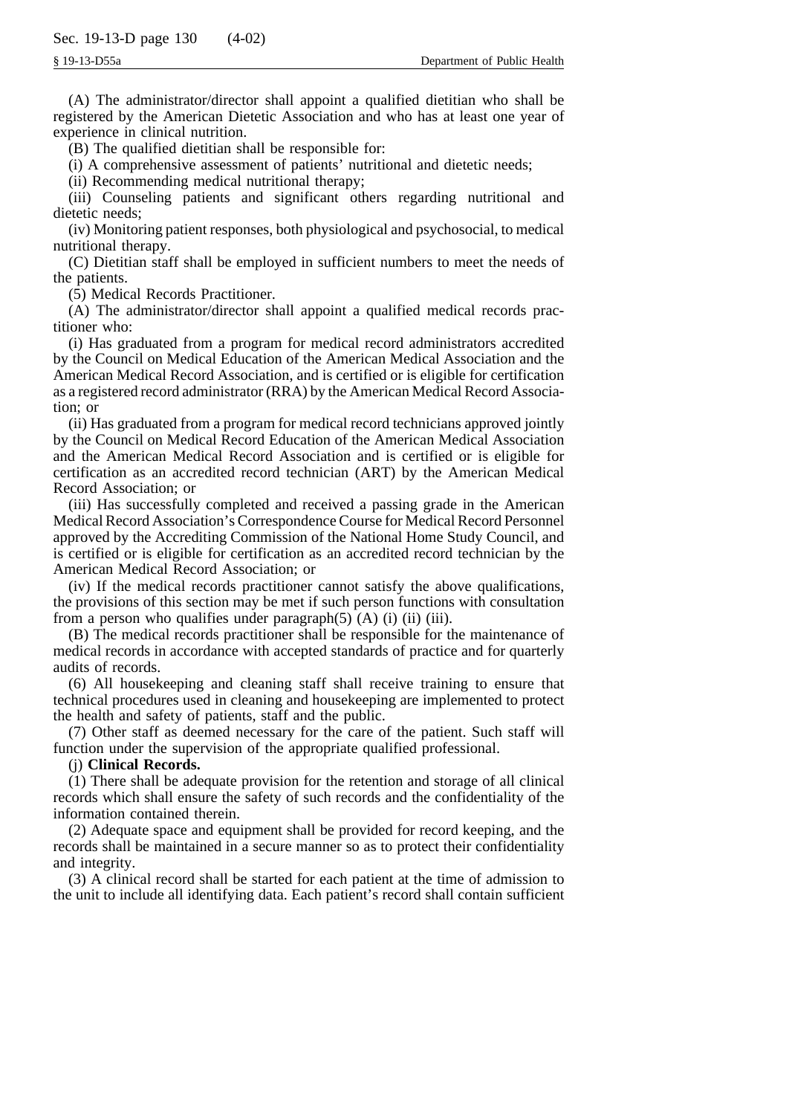(A) The administrator/director shall appoint a qualified dietitian who shall be registered by the American Dietetic Association and who has at least one year of experience in clinical nutrition.

(B) The qualified dietitian shall be responsible for:

(i) A comprehensive assessment of patients' nutritional and dietetic needs;

(ii) Recommending medical nutritional therapy;

(iii) Counseling patients and significant others regarding nutritional and dietetic needs;

(iv) Monitoring patient responses, both physiological and psychosocial, to medical nutritional therapy.

(C) Dietitian staff shall be employed in sufficient numbers to meet the needs of the patients.

(5) Medical Records Practitioner.

(A) The administrator/director shall appoint a qualified medical records practitioner who:

(i) Has graduated from a program for medical record administrators accredited by the Council on Medical Education of the American Medical Association and the American Medical Record Association, and is certified or is eligible for certification as a registered record administrator (RRA) by the American Medical Record Association; or

(ii) Has graduated from a program for medical record technicians approved jointly by the Council on Medical Record Education of the American Medical Association and the American Medical Record Association and is certified or is eligible for certification as an accredited record technician (ART) by the American Medical Record Association; or

(iii) Has successfully completed and received a passing grade in the American Medical Record Association's Correspondence Course for Medical Record Personnel approved by the Accrediting Commission of the National Home Study Council, and is certified or is eligible for certification as an accredited record technician by the American Medical Record Association; or

(iv) If the medical records practitioner cannot satisfy the above qualifications, the provisions of this section may be met if such person functions with consultation from a person who qualifies under paragraph $(5)$   $(A)$   $(ii)$   $(iii)$ .

(B) The medical records practitioner shall be responsible for the maintenance of medical records in accordance with accepted standards of practice and for quarterly audits of records.

(6) All housekeeping and cleaning staff shall receive training to ensure that technical procedures used in cleaning and housekeeping are implemented to protect the health and safety of patients, staff and the public.

(7) Other staff as deemed necessary for the care of the patient. Such staff will function under the supervision of the appropriate qualified professional.

#### (j) **Clinical Records.**

(1) There shall be adequate provision for the retention and storage of all clinical records which shall ensure the safety of such records and the confidentiality of the information contained therein.

(2) Adequate space and equipment shall be provided for record keeping, and the records shall be maintained in a secure manner so as to protect their confidentiality and integrity.

(3) A clinical record shall be started for each patient at the time of admission to the unit to include all identifying data. Each patient's record shall contain sufficient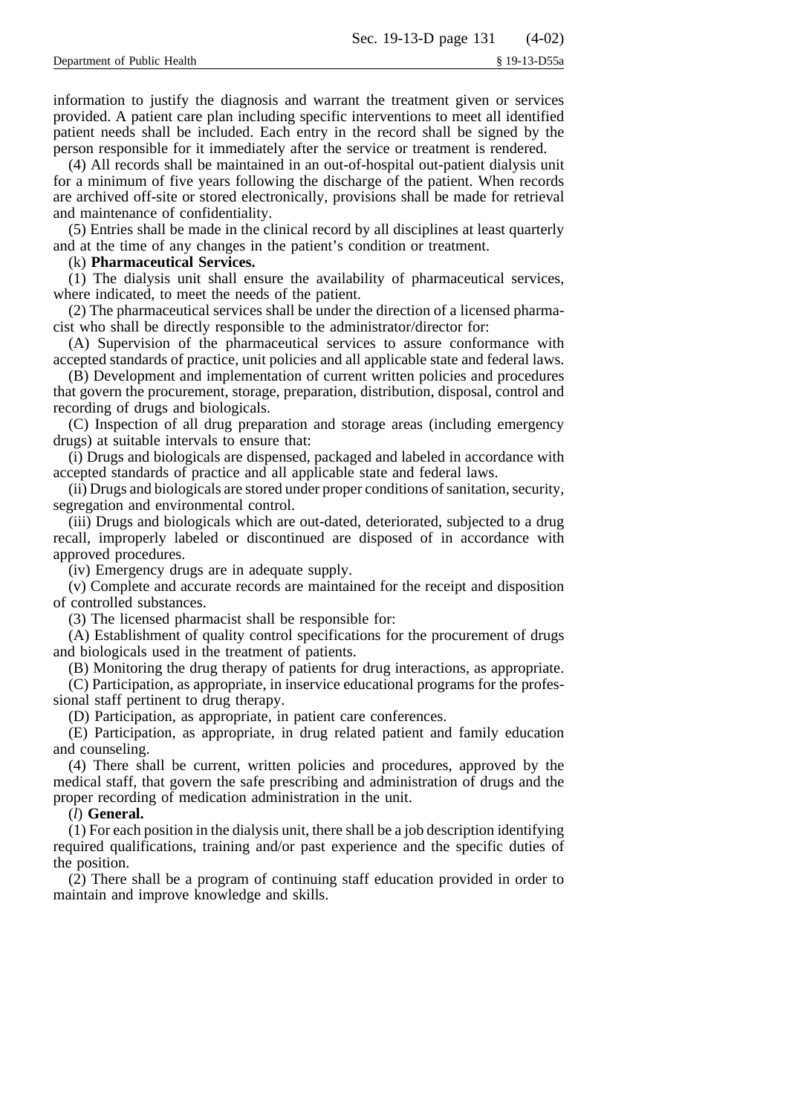information to justify the diagnosis and warrant the treatment given or services provided. A patient care plan including specific interventions to meet all identified patient needs shall be included. Each entry in the record shall be signed by the person responsible for it immediately after the service or treatment is rendered.

(4) All records shall be maintained in an out-of-hospital out-patient dialysis unit for a minimum of five years following the discharge of the patient. When records are archived off-site or stored electronically, provisions shall be made for retrieval and maintenance of confidentiality.

(5) Entries shall be made in the clinical record by all disciplines at least quarterly and at the time of any changes in the patient's condition or treatment.

### (k) **Pharmaceutical Services.**

(1) The dialysis unit shall ensure the availability of pharmaceutical services, where indicated, to meet the needs of the patient.

(2) The pharmaceutical services shall be under the direction of a licensed pharmacist who shall be directly responsible to the administrator/director for:

(A) Supervision of the pharmaceutical services to assure conformance with accepted standards of practice, unit policies and all applicable state and federal laws.

(B) Development and implementation of current written policies and procedures that govern the procurement, storage, preparation, distribution, disposal, control and recording of drugs and biologicals.

(C) Inspection of all drug preparation and storage areas (including emergency drugs) at suitable intervals to ensure that:

(i) Drugs and biologicals are dispensed, packaged and labeled in accordance with accepted standards of practice and all applicable state and federal laws.

(ii) Drugs and biologicals are stored under proper conditions of sanitation, security, segregation and environmental control.

(iii) Drugs and biologicals which are out-dated, deteriorated, subjected to a drug recall, improperly labeled or discontinued are disposed of in accordance with approved procedures.

(iv) Emergency drugs are in adequate supply.

(v) Complete and accurate records are maintained for the receipt and disposition of controlled substances.

(3) The licensed pharmacist shall be responsible for:

(A) Establishment of quality control specifications for the procurement of drugs and biologicals used in the treatment of patients.

(B) Monitoring the drug therapy of patients for drug interactions, as appropriate.

(C) Participation, as appropriate, in inservice educational programs for the professional staff pertinent to drug therapy.

(D) Participation, as appropriate, in patient care conferences.

(E) Participation, as appropriate, in drug related patient and family education and counseling.

(4) There shall be current, written policies and procedures, approved by the medical staff, that govern the safe prescribing and administration of drugs and the proper recording of medication administration in the unit.

#### (*l*) **General.**

(1) For each position in the dialysis unit, there shall be a job description identifying required qualifications, training and/or past experience and the specific duties of the position.

(2) There shall be a program of continuing staff education provided in order to maintain and improve knowledge and skills.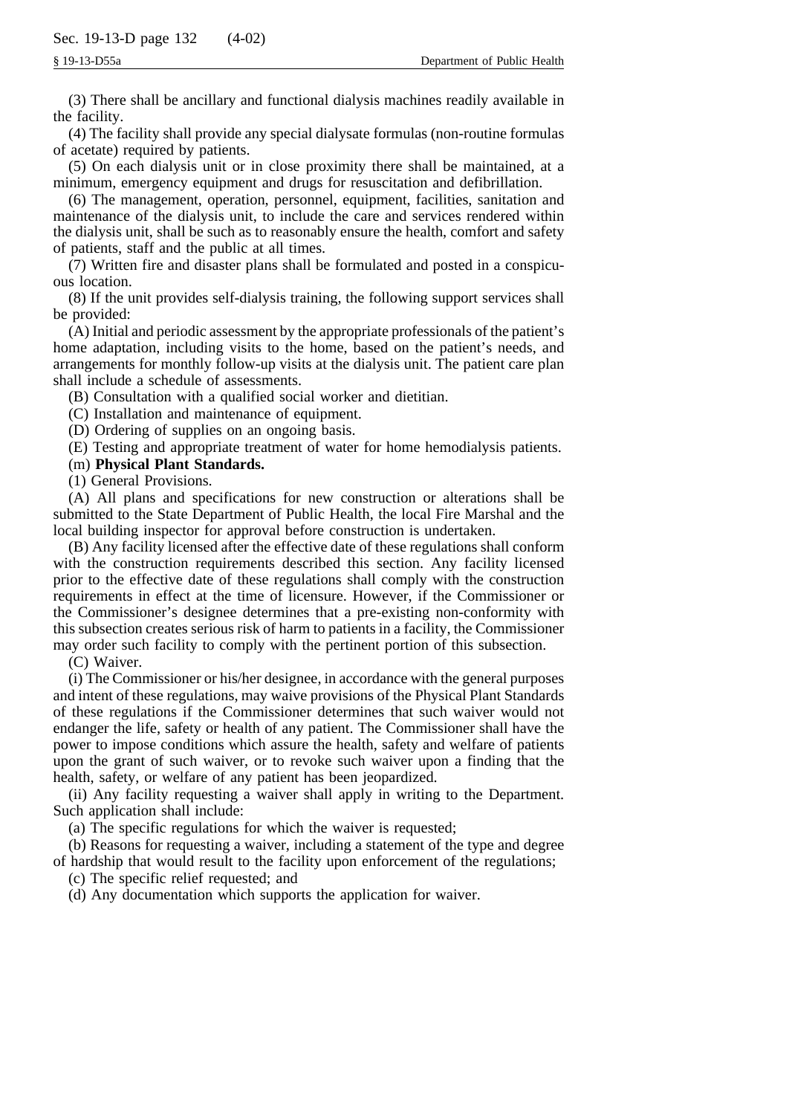(3) There shall be ancillary and functional dialysis machines readily available in the facility.

(4) The facility shall provide any special dialysate formulas (non-routine formulas of acetate) required by patients.

(5) On each dialysis unit or in close proximity there shall be maintained, at a minimum, emergency equipment and drugs for resuscitation and defibrillation.

(6) The management, operation, personnel, equipment, facilities, sanitation and maintenance of the dialysis unit, to include the care and services rendered within the dialysis unit, shall be such as to reasonably ensure the health, comfort and safety of patients, staff and the public at all times.

(7) Written fire and disaster plans shall be formulated and posted in a conspicuous location.

(8) If the unit provides self-dialysis training, the following support services shall be provided:

(A) Initial and periodic assessment by the appropriate professionals of the patient's home adaptation, including visits to the home, based on the patient's needs, and arrangements for monthly follow-up visits at the dialysis unit. The patient care plan shall include a schedule of assessments.

(B) Consultation with a qualified social worker and dietitian.

(C) Installation and maintenance of equipment.

(D) Ordering of supplies on an ongoing basis.

(E) Testing and appropriate treatment of water for home hemodialysis patients.

## (m) **Physical Plant Standards.**

(1) General Provisions.

(A) All plans and specifications for new construction or alterations shall be submitted to the State Department of Public Health, the local Fire Marshal and the local building inspector for approval before construction is undertaken.

(B) Any facility licensed after the effective date of these regulations shall conform with the construction requirements described this section. Any facility licensed prior to the effective date of these regulations shall comply with the construction requirements in effect at the time of licensure. However, if the Commissioner or the Commissioner's designee determines that a pre-existing non-conformity with this subsection creates serious risk of harm to patients in a facility, the Commissioner may order such facility to comply with the pertinent portion of this subsection.

(C) Waiver.

(i) The Commissioner or his/her designee, in accordance with the general purposes and intent of these regulations, may waive provisions of the Physical Plant Standards of these regulations if the Commissioner determines that such waiver would not endanger the life, safety or health of any patient. The Commissioner shall have the power to impose conditions which assure the health, safety and welfare of patients upon the grant of such waiver, or to revoke such waiver upon a finding that the health, safety, or welfare of any patient has been jeopardized.

(ii) Any facility requesting a waiver shall apply in writing to the Department. Such application shall include:

(a) The specific regulations for which the waiver is requested;

(b) Reasons for requesting a waiver, including a statement of the type and degree of hardship that would result to the facility upon enforcement of the regulations;

(c) The specific relief requested; and

(d) Any documentation which supports the application for waiver.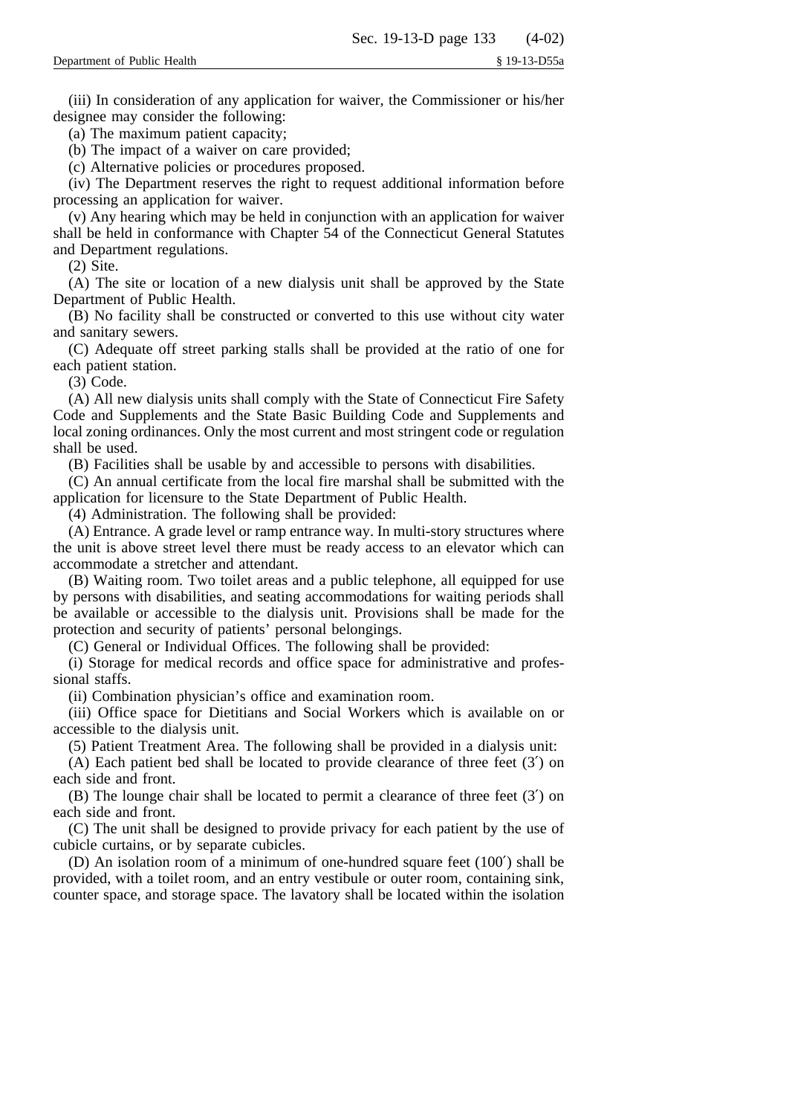(iii) In consideration of any application for waiver, the Commissioner or his/her designee may consider the following:

(a) The maximum patient capacity;

(b) The impact of a waiver on care provided;

(c) Alternative policies or procedures proposed.

(iv) The Department reserves the right to request additional information before processing an application for waiver.

(v) Any hearing which may be held in conjunction with an application for waiver shall be held in conformance with Chapter 54 of the Connecticut General Statutes and Department regulations.

(2) Site.

(A) The site or location of a new dialysis unit shall be approved by the State Department of Public Health.

(B) No facility shall be constructed or converted to this use without city water and sanitary sewers.

(C) Adequate off street parking stalls shall be provided at the ratio of one for each patient station.

(3) Code.

(A) All new dialysis units shall comply with the State of Connecticut Fire Safety Code and Supplements and the State Basic Building Code and Supplements and local zoning ordinances. Only the most current and most stringent code or regulation shall be used.

(B) Facilities shall be usable by and accessible to persons with disabilities.

(C) An annual certificate from the local fire marshal shall be submitted with the application for licensure to the State Department of Public Health.

(4) Administration. The following shall be provided:

(A) Entrance. A grade level or ramp entrance way. In multi-story structures where the unit is above street level there must be ready access to an elevator which can accommodate a stretcher and attendant.

(B) Waiting room. Two toilet areas and a public telephone, all equipped for use by persons with disabilities, and seating accommodations for waiting periods shall be available or accessible to the dialysis unit. Provisions shall be made for the protection and security of patients' personal belongings.

(C) General or Individual Offices. The following shall be provided:

(i) Storage for medical records and office space for administrative and professional staffs.

(ii) Combination physician's office and examination room.

(iii) Office space for Dietitians and Social Workers which is available on or accessible to the dialysis unit.

(5) Patient Treatment Area. The following shall be provided in a dialysis unit:

(A) Each patient bed shall be located to provide clearance of three feet (3′) on each side and front.

(B) The lounge chair shall be located to permit a clearance of three feet (3′) on each side and front.

(C) The unit shall be designed to provide privacy for each patient by the use of cubicle curtains, or by separate cubicles.

(D) An isolation room of a minimum of one-hundred square feet (100′) shall be provided, with a toilet room, and an entry vestibule or outer room, containing sink, counter space, and storage space. The lavatory shall be located within the isolation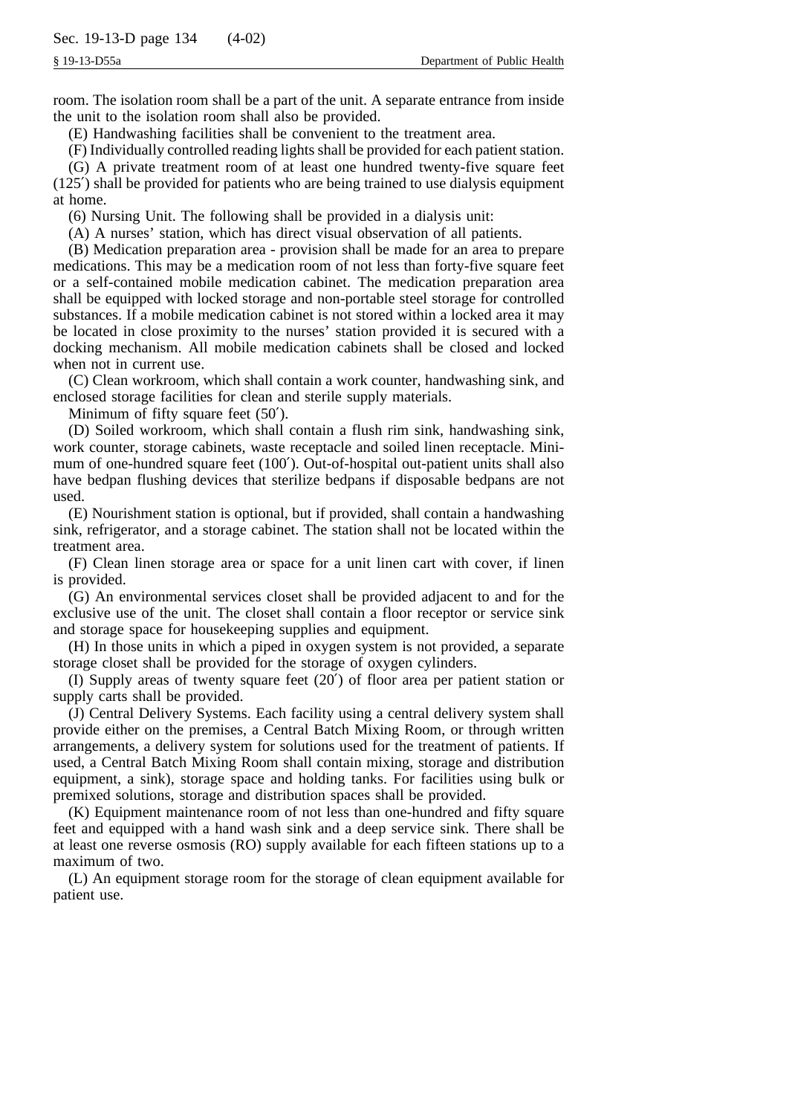room. The isolation room shall be a part of the unit. A separate entrance from inside the unit to the isolation room shall also be provided.

(E) Handwashing facilities shall be convenient to the treatment area.

(F) Individually controlled reading lights shall be provided for each patient station.

(G) A private treatment room of at least one hundred twenty-five square feet (125′) shall be provided for patients who are being trained to use dialysis equipment at home.

(6) Nursing Unit. The following shall be provided in a dialysis unit:

(A) A nurses' station, which has direct visual observation of all patients.

(B) Medication preparation area - provision shall be made for an area to prepare medications. This may be a medication room of not less than forty-five square feet or a self-contained mobile medication cabinet. The medication preparation area shall be equipped with locked storage and non-portable steel storage for controlled substances. If a mobile medication cabinet is not stored within a locked area it may be located in close proximity to the nurses' station provided it is secured with a docking mechanism. All mobile medication cabinets shall be closed and locked when not in current use.

(C) Clean workroom, which shall contain a work counter, handwashing sink, and enclosed storage facilities for clean and sterile supply materials.

Minimum of fifty square feet (50′).

(D) Soiled workroom, which shall contain a flush rim sink, handwashing sink, work counter, storage cabinets, waste receptacle and soiled linen receptacle. Minimum of one-hundred square feet (100′). Out-of-hospital out-patient units shall also have bedpan flushing devices that sterilize bedpans if disposable bedpans are not used.

(E) Nourishment station is optional, but if provided, shall contain a handwashing sink, refrigerator, and a storage cabinet. The station shall not be located within the treatment area.

(F) Clean linen storage area or space for a unit linen cart with cover, if linen is provided.

(G) An environmental services closet shall be provided adjacent to and for the exclusive use of the unit. The closet shall contain a floor receptor or service sink and storage space for housekeeping supplies and equipment.

(H) In those units in which a piped in oxygen system is not provided, a separate storage closet shall be provided for the storage of oxygen cylinders.

(I) Supply areas of twenty square feet (20′) of floor area per patient station or supply carts shall be provided.

(J) Central Delivery Systems. Each facility using a central delivery system shall provide either on the premises, a Central Batch Mixing Room, or through written arrangements, a delivery system for solutions used for the treatment of patients. If used, a Central Batch Mixing Room shall contain mixing, storage and distribution equipment, a sink), storage space and holding tanks. For facilities using bulk or premixed solutions, storage and distribution spaces shall be provided.

(K) Equipment maintenance room of not less than one-hundred and fifty square feet and equipped with a hand wash sink and a deep service sink. There shall be at least one reverse osmosis (RO) supply available for each fifteen stations up to a maximum of two.

(L) An equipment storage room for the storage of clean equipment available for patient use.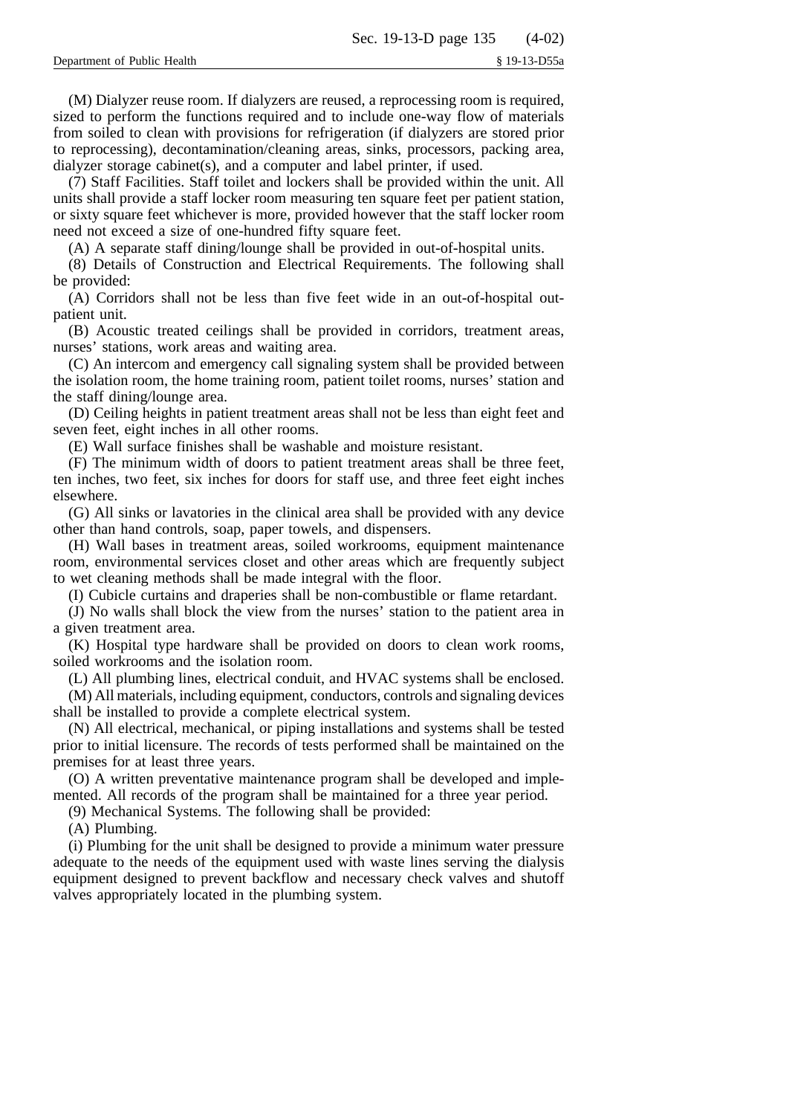(M) Dialyzer reuse room. If dialyzers are reused, a reprocessing room is required, sized to perform the functions required and to include one-way flow of materials from soiled to clean with provisions for refrigeration (if dialyzers are stored prior to reprocessing), decontamination/cleaning areas, sinks, processors, packing area, dialyzer storage cabinet(s), and a computer and label printer, if used.

(7) Staff Facilities. Staff toilet and lockers shall be provided within the unit. All units shall provide a staff locker room measuring ten square feet per patient station, or sixty square feet whichever is more, provided however that the staff locker room need not exceed a size of one-hundred fifty square feet.

(A) A separate staff dining/lounge shall be provided in out-of-hospital units.

(8) Details of Construction and Electrical Requirements. The following shall be provided:

(A) Corridors shall not be less than five feet wide in an out-of-hospital outpatient unit.

(B) Acoustic treated ceilings shall be provided in corridors, treatment areas, nurses' stations, work areas and waiting area.

(C) An intercom and emergency call signaling system shall be provided between the isolation room, the home training room, patient toilet rooms, nurses' station and the staff dining/lounge area.

(D) Ceiling heights in patient treatment areas shall not be less than eight feet and seven feet, eight inches in all other rooms.

(E) Wall surface finishes shall be washable and moisture resistant.

(F) The minimum width of doors to patient treatment areas shall be three feet, ten inches, two feet, six inches for doors for staff use, and three feet eight inches elsewhere.

(G) All sinks or lavatories in the clinical area shall be provided with any device other than hand controls, soap, paper towels, and dispensers.

(H) Wall bases in treatment areas, soiled workrooms, equipment maintenance room, environmental services closet and other areas which are frequently subject to wet cleaning methods shall be made integral with the floor.

(I) Cubicle curtains and draperies shall be non-combustible or flame retardant.

(J) No walls shall block the view from the nurses' station to the patient area in a given treatment area.

(K) Hospital type hardware shall be provided on doors to clean work rooms, soiled workrooms and the isolation room.

(L) All plumbing lines, electrical conduit, and HVAC systems shall be enclosed.

(M) All materials, including equipment, conductors, controls and signaling devices shall be installed to provide a complete electrical system.

(N) All electrical, mechanical, or piping installations and systems shall be tested prior to initial licensure. The records of tests performed shall be maintained on the premises for at least three years.

(O) A written preventative maintenance program shall be developed and implemented. All records of the program shall be maintained for a three year period.

(9) Mechanical Systems. The following shall be provided:

(A) Plumbing.

(i) Plumbing for the unit shall be designed to provide a minimum water pressure adequate to the needs of the equipment used with waste lines serving the dialysis equipment designed to prevent backflow and necessary check valves and shutoff valves appropriately located in the plumbing system.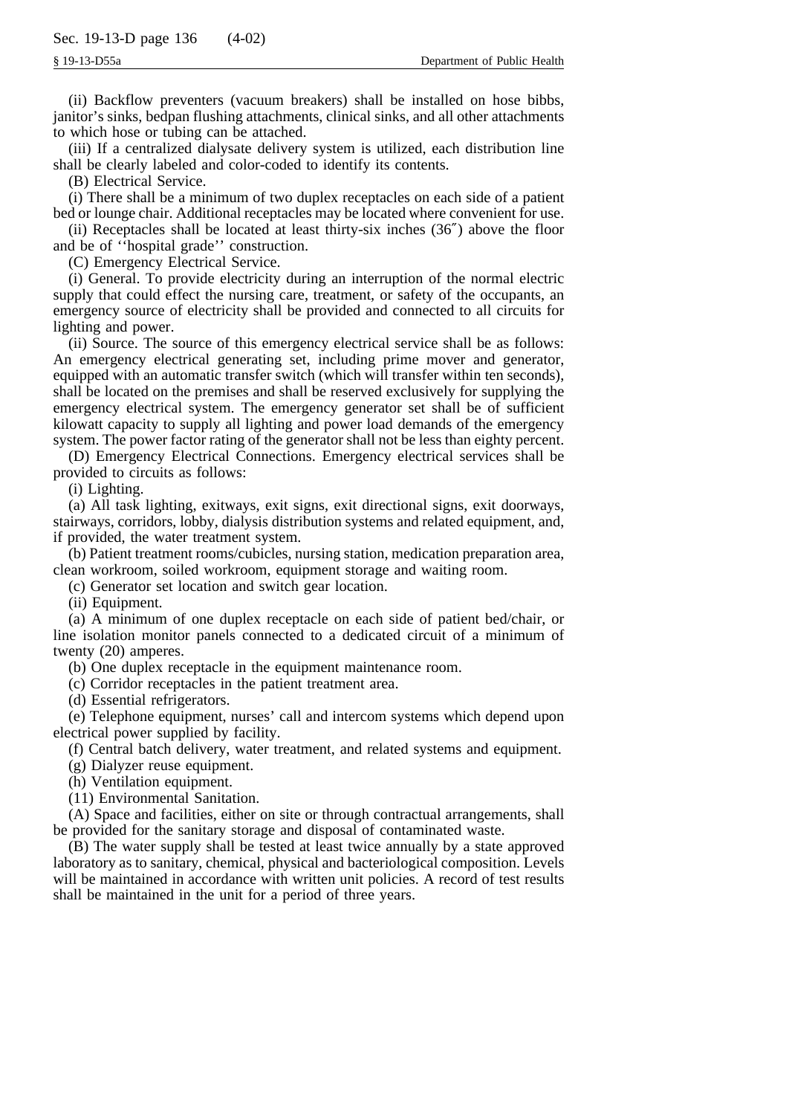(ii) Backflow preventers (vacuum breakers) shall be installed on hose bibbs, janitor's sinks, bedpan flushing attachments, clinical sinks, and all other attachments to which hose or tubing can be attached.

(iii) If a centralized dialysate delivery system is utilized, each distribution line shall be clearly labeled and color-coded to identify its contents.

(B) Electrical Service.

(i) There shall be a minimum of two duplex receptacles on each side of a patient bed or lounge chair. Additional receptacles may be located where convenient for use.

(ii) Receptacles shall be located at least thirty-six inches (36″) above the floor and be of ''hospital grade'' construction.

(C) Emergency Electrical Service.

(i) General. To provide electricity during an interruption of the normal electric supply that could effect the nursing care, treatment, or safety of the occupants, an emergency source of electricity shall be provided and connected to all circuits for lighting and power.

(ii) Source. The source of this emergency electrical service shall be as follows: An emergency electrical generating set, including prime mover and generator, equipped with an automatic transfer switch (which will transfer within ten seconds), shall be located on the premises and shall be reserved exclusively for supplying the emergency electrical system. The emergency generator set shall be of sufficient kilowatt capacity to supply all lighting and power load demands of the emergency system. The power factor rating of the generator shall not be less than eighty percent.

(D) Emergency Electrical Connections. Emergency electrical services shall be provided to circuits as follows:

(i) Lighting.

(a) All task lighting, exitways, exit signs, exit directional signs, exit doorways, stairways, corridors, lobby, dialysis distribution systems and related equipment, and, if provided, the water treatment system.

(b) Patient treatment rooms/cubicles, nursing station, medication preparation area, clean workroom, soiled workroom, equipment storage and waiting room.

(c) Generator set location and switch gear location.

(ii) Equipment.

(a) A minimum of one duplex receptacle on each side of patient bed/chair, or line isolation monitor panels connected to a dedicated circuit of a minimum of twenty (20) amperes.

(b) One duplex receptacle in the equipment maintenance room.

(c) Corridor receptacles in the patient treatment area.

(d) Essential refrigerators.

(e) Telephone equipment, nurses' call and intercom systems which depend upon electrical power supplied by facility.

(f) Central batch delivery, water treatment, and related systems and equipment.

(g) Dialyzer reuse equipment.

(h) Ventilation equipment.

(11) Environmental Sanitation.

(A) Space and facilities, either on site or through contractual arrangements, shall be provided for the sanitary storage and disposal of contaminated waste.

(B) The water supply shall be tested at least twice annually by a state approved laboratory as to sanitary, chemical, physical and bacteriological composition. Levels will be maintained in accordance with written unit policies. A record of test results shall be maintained in the unit for a period of three years.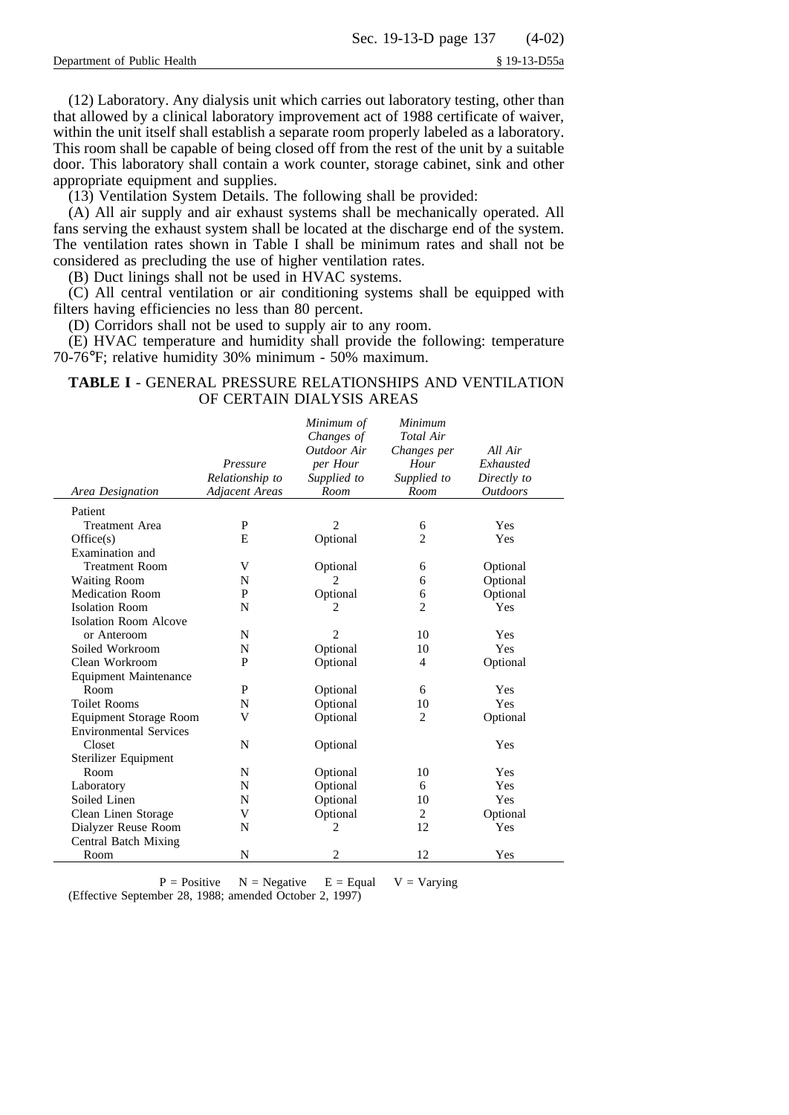(12) Laboratory. Any dialysis unit which carries out laboratory testing, other than that allowed by a clinical laboratory improvement act of 1988 certificate of waiver, within the unit itself shall establish a separate room properly labeled as a laboratory. This room shall be capable of being closed off from the rest of the unit by a suitable door. This laboratory shall contain a work counter, storage cabinet, sink and other appropriate equipment and supplies.

(13) Ventilation System Details. The following shall be provided:

(A) All air supply and air exhaust systems shall be mechanically operated. All fans serving the exhaust system shall be located at the discharge end of the system. The ventilation rates shown in Table I shall be minimum rates and shall not be considered as precluding the use of higher ventilation rates.

(B) Duct linings shall not be used in HVAC systems.

(C) All central ventilation or air conditioning systems shall be equipped with filters having efficiencies no less than 80 percent.

(D) Corridors shall not be used to supply air to any room.

(E) HVAC temperature and humidity shall provide the following: temperature 70-76°F; relative humidity 30% minimum - 50% maximum.

## **TABLE I** - GENERAL PRESSURE RELATIONSHIPS AND VENTILATION OF CERTAIN DIALYSIS AREAS

|                               |                       | Minimum of     | Minimum        |                        |
|-------------------------------|-----------------------|----------------|----------------|------------------------|
|                               |                       | Changes of     | Total Air      |                        |
|                               |                       | Outdoor Air    | Changes per    | All Air                |
|                               | Pressure              | per Hour       | Hour           | Exhausted              |
|                               | Relationship to       | Supplied to    | Supplied to    | Directly to            |
| <b>Area Designation</b>       | <b>Adjacent Areas</b> | Room           | Room           | <i><b>Outdoors</b></i> |
| Patient                       |                       |                |                |                        |
| <b>Treatment Area</b>         | P                     | $\overline{2}$ | 6              | Yes                    |
| Office(s)                     | E                     | Optional       | $\overline{c}$ | Yes                    |
| Examination and               |                       |                |                |                        |
| <b>Treatment Room</b>         | V                     | Optional       | 6              | Optional               |
| Waiting Room                  | N                     |                | 6              | Optional               |
| <b>Medication Room</b>        | P                     | Optional       | 6              | Optional               |
| <b>Isolation Room</b>         | N                     | 2              | $\overline{2}$ | Yes                    |
| <b>Isolation Room Alcove</b>  |                       |                |                |                        |
| or Anteroom                   | N                     | $\overline{2}$ | 10             | Yes                    |
| Soiled Workroom               | N                     | Optional       | 10             | Yes                    |
| Clean Workroom                | P                     | Optional       | 4              | Optional               |
| <b>Equipment Maintenance</b>  |                       |                |                |                        |
| Room                          | P                     | Optional       | 6              | Yes                    |
| <b>Toilet Rooms</b>           | N                     | Optional       | 10             | Yes                    |
| <b>Equipment Storage Room</b> | V                     | Optional       | $\overline{2}$ | Optional               |
| <b>Environmental Services</b> |                       |                |                |                        |
| Closet                        | N                     | Optional       |                | Yes                    |
| Sterilizer Equipment          |                       |                |                |                        |
| Room                          | N                     | Optional       | 10             | Yes                    |
| Laboratory                    | N                     | Optional       | 6              | Yes                    |
| Soiled Linen                  | N                     | Optional       | 10             | Yes                    |
| Clean Linen Storage           | V                     | Optional       | 2              | Optional               |
| Dialyzer Reuse Room           | N                     | 2              | 12             | Yes                    |
| Central Batch Mixing          |                       |                |                |                        |
| Room                          | N                     | $\overline{2}$ | 12             | Yes                    |

 $P = Positive$   $N = Negative$   $E = Equal$   $V = Varying$ (Effective September 28, 1988; amended October 2, 1997)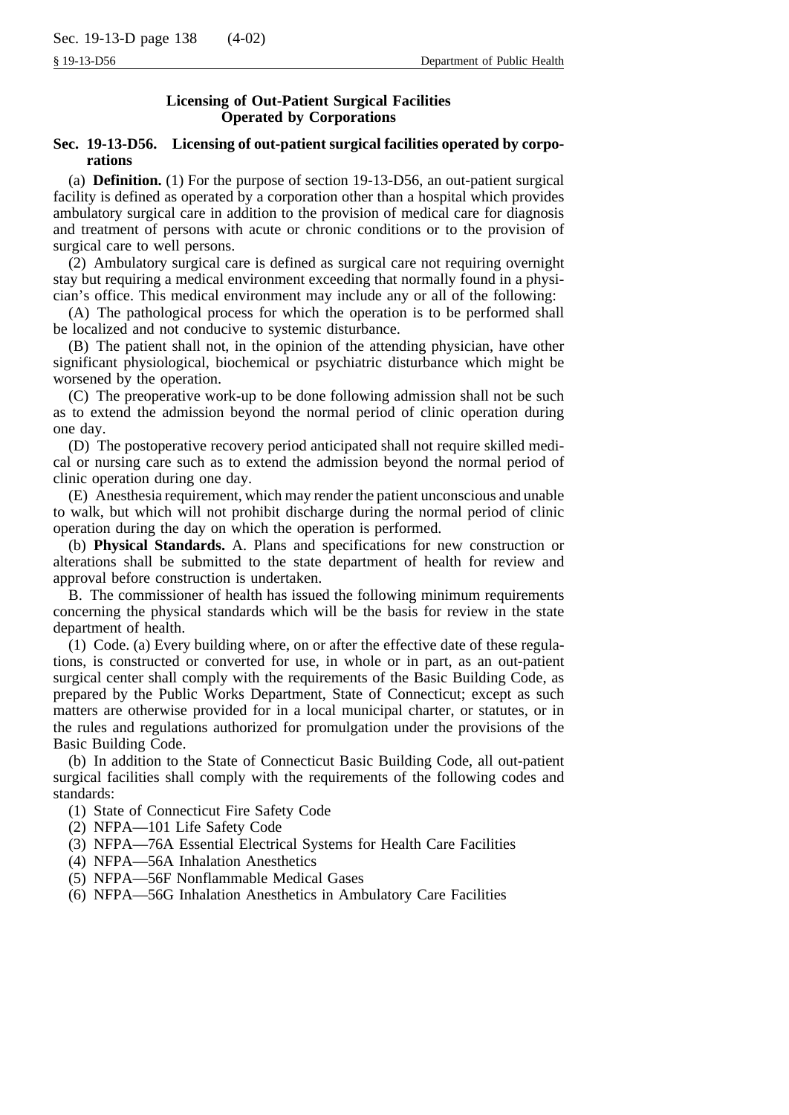# **Licensing of Out-Patient Surgical Facilities Operated by Corporations**

# **Sec. 19-13-D56. Licensing of out-patient surgical facilities operated by corporations**

(a) **Definition.** (1) For the purpose of section 19-13-D56, an out-patient surgical facility is defined as operated by a corporation other than a hospital which provides ambulatory surgical care in addition to the provision of medical care for diagnosis and treatment of persons with acute or chronic conditions or to the provision of surgical care to well persons.

(2) Ambulatory surgical care is defined as surgical care not requiring overnight stay but requiring a medical environment exceeding that normally found in a physician's office. This medical environment may include any or all of the following:

(A) The pathological process for which the operation is to be performed shall be localized and not conducive to systemic disturbance.

(B) The patient shall not, in the opinion of the attending physician, have other significant physiological, biochemical or psychiatric disturbance which might be worsened by the operation.

(C) The preoperative work-up to be done following admission shall not be such as to extend the admission beyond the normal period of clinic operation during one day.

(D) The postoperative recovery period anticipated shall not require skilled medical or nursing care such as to extend the admission beyond the normal period of clinic operation during one day.

(E) Anesthesia requirement, which may render the patient unconscious and unable to walk, but which will not prohibit discharge during the normal period of clinic operation during the day on which the operation is performed.

(b) **Physical Standards.** A. Plans and specifications for new construction or alterations shall be submitted to the state department of health for review and approval before construction is undertaken.

B. The commissioner of health has issued the following minimum requirements concerning the physical standards which will be the basis for review in the state department of health.

(1) Code. (a) Every building where, on or after the effective date of these regulations, is constructed or converted for use, in whole or in part, as an out-patient surgical center shall comply with the requirements of the Basic Building Code, as prepared by the Public Works Department, State of Connecticut; except as such matters are otherwise provided for in a local municipal charter, or statutes, or in the rules and regulations authorized for promulgation under the provisions of the Basic Building Code.

(b) In addition to the State of Connecticut Basic Building Code, all out-patient surgical facilities shall comply with the requirements of the following codes and standards:

(1) State of Connecticut Fire Safety Code

- (2) NFPA—101 Life Safety Code
- (3) NFPA—76A Essential Electrical Systems for Health Care Facilities
- (4) NFPA—56A Inhalation Anesthetics
- (5) NFPA—56F Nonflammable Medical Gases
- (6) NFPA—56G Inhalation Anesthetics in Ambulatory Care Facilities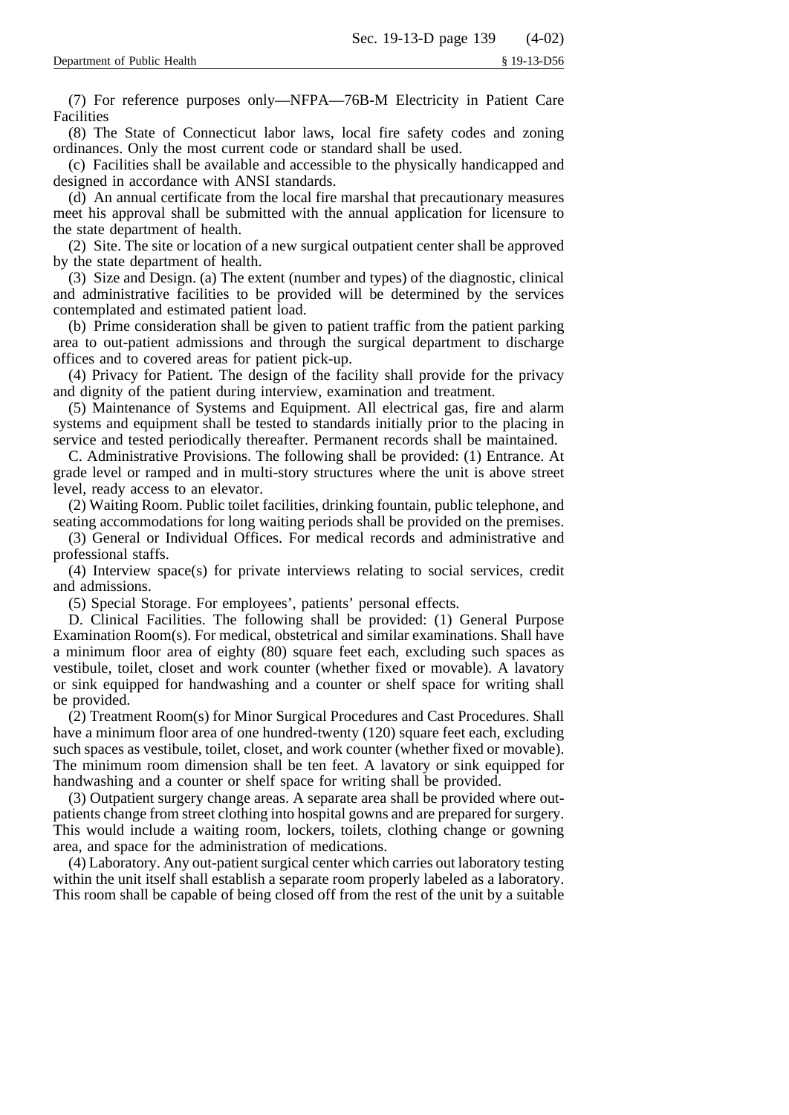(7) For reference purposes only—NFPA—76B-M Electricity in Patient Care Facilities

(8) The State of Connecticut labor laws, local fire safety codes and zoning ordinances. Only the most current code or standard shall be used.

(c) Facilities shall be available and accessible to the physically handicapped and designed in accordance with ANSI standards.

(d) An annual certificate from the local fire marshal that precautionary measures meet his approval shall be submitted with the annual application for licensure to the state department of health.

(2) Site. The site or location of a new surgical outpatient center shall be approved by the state department of health.

(3) Size and Design. (a) The extent (number and types) of the diagnostic, clinical and administrative facilities to be provided will be determined by the services contemplated and estimated patient load.

(b) Prime consideration shall be given to patient traffic from the patient parking area to out-patient admissions and through the surgical department to discharge offices and to covered areas for patient pick-up.

(4) Privacy for Patient. The design of the facility shall provide for the privacy and dignity of the patient during interview, examination and treatment.

(5) Maintenance of Systems and Equipment. All electrical gas, fire and alarm systems and equipment shall be tested to standards initially prior to the placing in service and tested periodically thereafter. Permanent records shall be maintained.

C. Administrative Provisions. The following shall be provided: (1) Entrance. At grade level or ramped and in multi-story structures where the unit is above street level, ready access to an elevator.

(2) Waiting Room. Public toilet facilities, drinking fountain, public telephone, and seating accommodations for long waiting periods shall be provided on the premises.

(3) General or Individual Offices. For medical records and administrative and professional staffs.

(4) Interview space(s) for private interviews relating to social services, credit and admissions.

(5) Special Storage. For employees', patients' personal effects.

D. Clinical Facilities. The following shall be provided: (1) General Purpose Examination Room(s). For medical, obstetrical and similar examinations. Shall have a minimum floor area of eighty (80) square feet each, excluding such spaces as vestibule, toilet, closet and work counter (whether fixed or movable). A lavatory or sink equipped for handwashing and a counter or shelf space for writing shall be provided.

(2) Treatment Room(s) for Minor Surgical Procedures and Cast Procedures. Shall have a minimum floor area of one hundred-twenty (120) square feet each, excluding such spaces as vestibule, toilet, closet, and work counter (whether fixed or movable). The minimum room dimension shall be ten feet. A lavatory or sink equipped for handwashing and a counter or shelf space for writing shall be provided.

(3) Outpatient surgery change areas. A separate area shall be provided where outpatients change from street clothing into hospital gowns and are prepared for surgery. This would include a waiting room, lockers, toilets, clothing change or gowning area, and space for the administration of medications.

(4) Laboratory. Any out-patient surgical center which carries out laboratory testing within the unit itself shall establish a separate room properly labeled as a laboratory. This room shall be capable of being closed off from the rest of the unit by a suitable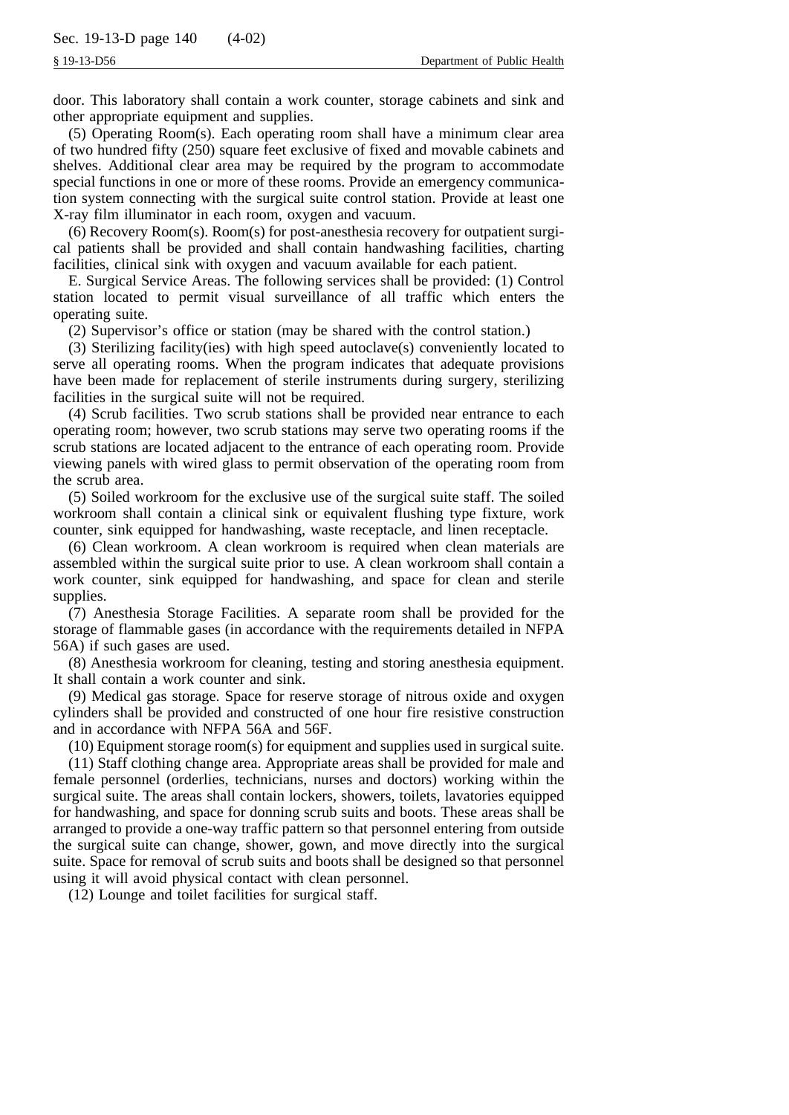door. This laboratory shall contain a work counter, storage cabinets and sink and other appropriate equipment and supplies.

(5) Operating Room(s). Each operating room shall have a minimum clear area of two hundred fifty (250) square feet exclusive of fixed and movable cabinets and shelves. Additional clear area may be required by the program to accommodate special functions in one or more of these rooms. Provide an emergency communication system connecting with the surgical suite control station. Provide at least one X-ray film illuminator in each room, oxygen and vacuum.

(6) Recovery Room(s). Room(s) for post-anesthesia recovery for outpatient surgical patients shall be provided and shall contain handwashing facilities, charting facilities, clinical sink with oxygen and vacuum available for each patient.

E. Surgical Service Areas. The following services shall be provided: (1) Control station located to permit visual surveillance of all traffic which enters the operating suite.

(2) Supervisor's office or station (may be shared with the control station.)

(3) Sterilizing facility(ies) with high speed autoclave(s) conveniently located to serve all operating rooms. When the program indicates that adequate provisions have been made for replacement of sterile instruments during surgery, sterilizing facilities in the surgical suite will not be required.

(4) Scrub facilities. Two scrub stations shall be provided near entrance to each operating room; however, two scrub stations may serve two operating rooms if the scrub stations are located adjacent to the entrance of each operating room. Provide viewing panels with wired glass to permit observation of the operating room from the scrub area.

(5) Soiled workroom for the exclusive use of the surgical suite staff. The soiled workroom shall contain a clinical sink or equivalent flushing type fixture, work counter, sink equipped for handwashing, waste receptacle, and linen receptacle.

(6) Clean workroom. A clean workroom is required when clean materials are assembled within the surgical suite prior to use. A clean workroom shall contain a work counter, sink equipped for handwashing, and space for clean and sterile supplies.

(7) Anesthesia Storage Facilities. A separate room shall be provided for the storage of flammable gases (in accordance with the requirements detailed in NFPA 56A) if such gases are used.

(8) Anesthesia workroom for cleaning, testing and storing anesthesia equipment. It shall contain a work counter and sink.

(9) Medical gas storage. Space for reserve storage of nitrous oxide and oxygen cylinders shall be provided and constructed of one hour fire resistive construction and in accordance with NFPA 56A and 56F.

(10) Equipment storage room(s) for equipment and supplies used in surgical suite.

(11) Staff clothing change area. Appropriate areas shall be provided for male and female personnel (orderlies, technicians, nurses and doctors) working within the surgical suite. The areas shall contain lockers, showers, toilets, lavatories equipped for handwashing, and space for donning scrub suits and boots. These areas shall be arranged to provide a one-way traffic pattern so that personnel entering from outside the surgical suite can change, shower, gown, and move directly into the surgical suite. Space for removal of scrub suits and boots shall be designed so that personnel using it will avoid physical contact with clean personnel.

(12) Lounge and toilet facilities for surgical staff.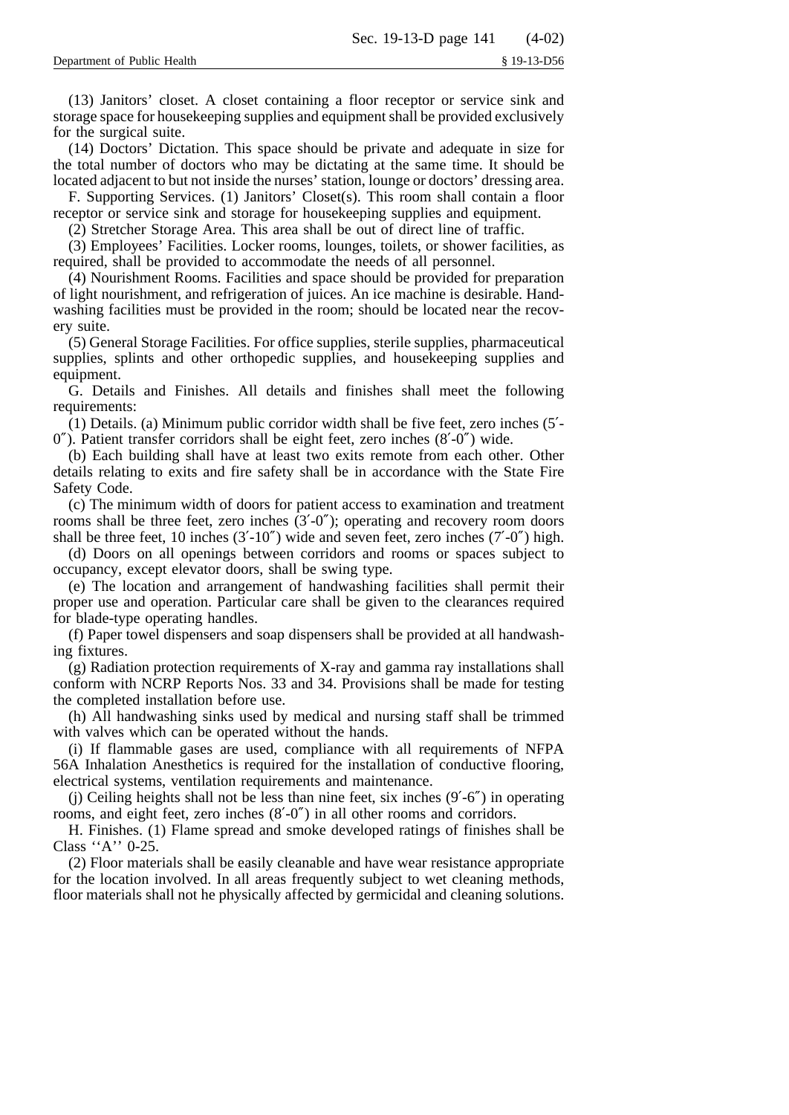(13) Janitors' closet. A closet containing a floor receptor or service sink and storage space for housekeeping supplies and equipment shall be provided exclusively for the surgical suite.

(14) Doctors' Dictation. This space should be private and adequate in size for the total number of doctors who may be dictating at the same time. It should be located adjacent to but not inside the nurses' station, lounge or doctors' dressing area.

F. Supporting Services. (1) Janitors' Closet(s). This room shall contain a floor receptor or service sink and storage for housekeeping supplies and equipment.

(2) Stretcher Storage Area. This area shall be out of direct line of traffic.

(3) Employees' Facilities. Locker rooms, lounges, toilets, or shower facilities, as required, shall be provided to accommodate the needs of all personnel.

(4) Nourishment Rooms. Facilities and space should be provided for preparation of light nourishment, and refrigeration of juices. An ice machine is desirable. Handwashing facilities must be provided in the room; should be located near the recovery suite.

(5) General Storage Facilities. For office supplies, sterile supplies, pharmaceutical supplies, splints and other orthopedic supplies, and housekeeping supplies and equipment.

G. Details and Finishes. All details and finishes shall meet the following requirements:

(1) Details. (a) Minimum public corridor width shall be five feet, zero inches (5′- 0″). Patient transfer corridors shall be eight feet, zero inches (8′-0″) wide.

(b) Each building shall have at least two exits remote from each other. Other details relating to exits and fire safety shall be in accordance with the State Fire Safety Code.

(c) The minimum width of doors for patient access to examination and treatment rooms shall be three feet, zero inches (3'-0"); operating and recovery room doors shall be three feet, 10 inches  $(3'-10'')$  wide and seven feet, zero inches  $(7'-0'')$  high.

(d) Doors on all openings between corridors and rooms or spaces subject to occupancy, except elevator doors, shall be swing type.

(e) The location and arrangement of handwashing facilities shall permit their proper use and operation. Particular care shall be given to the clearances required for blade-type operating handles.

(f) Paper towel dispensers and soap dispensers shall be provided at all handwashing fixtures.

(g) Radiation protection requirements of X-ray and gamma ray installations shall conform with NCRP Reports Nos. 33 and 34. Provisions shall be made for testing the completed installation before use.

(h) All handwashing sinks used by medical and nursing staff shall be trimmed with valves which can be operated without the hands.

(i) If flammable gases are used, compliance with all requirements of NFPA 56A Inhalation Anesthetics is required for the installation of conductive flooring, electrical systems, ventilation requirements and maintenance.

(j) Ceiling heights shall not be less than nine feet, six inches (9′-6″) in operating rooms, and eight feet, zero inches (8′-0″) in all other rooms and corridors.

H. Finishes. (1) Flame spread and smoke developed ratings of finishes shall be Class ''A'' 0-25.

(2) Floor materials shall be easily cleanable and have wear resistance appropriate for the location involved. In all areas frequently subject to wet cleaning methods, floor materials shall not he physically affected by germicidal and cleaning solutions.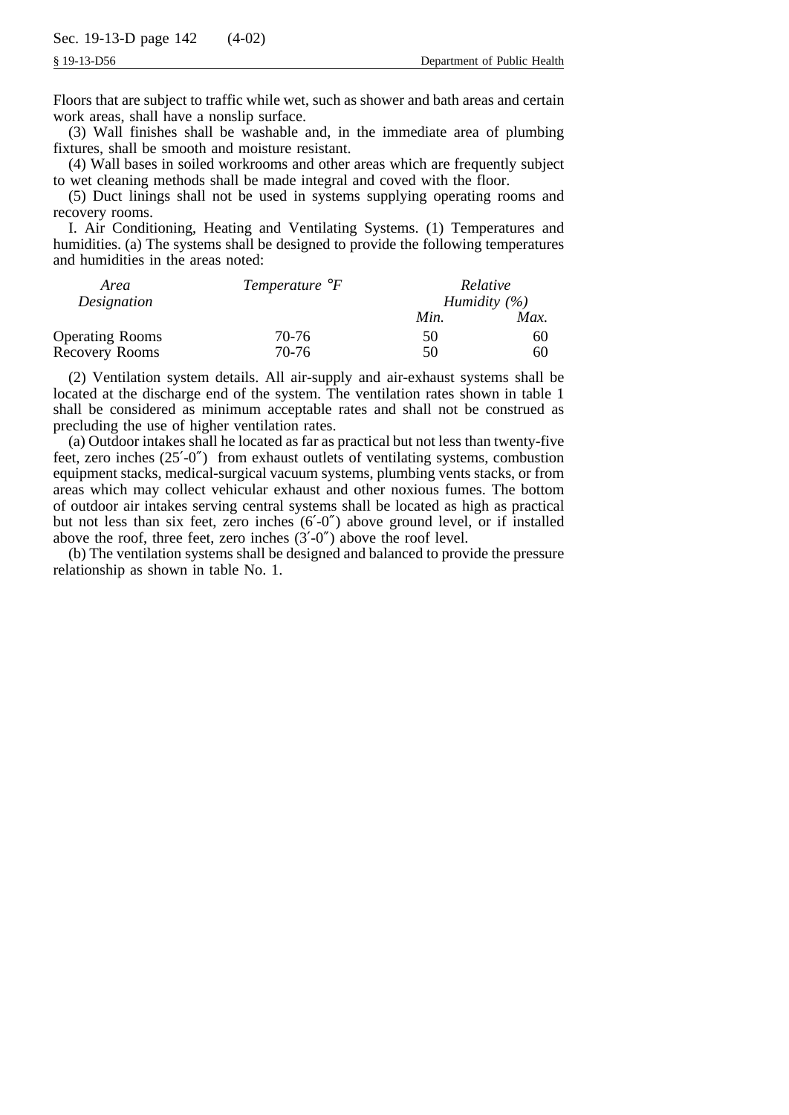Floors that are subject to traffic while wet, such as shower and bath areas and certain work areas, shall have a nonslip surface.

(3) Wall finishes shall be washable and, in the immediate area of plumbing fixtures, shall be smooth and moisture resistant.

(4) Wall bases in soiled workrooms and other areas which are frequently subject to wet cleaning methods shall be made integral and coved with the floor.

(5) Duct linings shall not be used in systems supplying operating rooms and recovery rooms.

I. Air Conditioning, Heating and Ventilating Systems. (1) Temperatures and humidities. (a) The systems shall be designed to provide the following temperatures and humidities in the areas noted:

| Area<br>Designation    | Temperature ${}^{\circ}F$ | Relative<br>Humidity $(\%)$ |      |
|------------------------|---------------------------|-----------------------------|------|
|                        |                           | Min.                        | Max. |
| <b>Operating Rooms</b> | 70-76                     | 50                          | 60   |
| Recovery Rooms         | 70-76                     | 50                          | 60   |

(2) Ventilation system details. All air-supply and air-exhaust systems shall be located at the discharge end of the system. The ventilation rates shown in table 1 shall be considered as minimum acceptable rates and shall not be construed as precluding the use of higher ventilation rates.

(a) Outdoor intakes shall he located as far as practical but not less than twenty-five feet, zero inches (25′-0″) from exhaust outlets of ventilating systems, combustion equipment stacks, medical-surgical vacuum systems, plumbing vents stacks, or from areas which may collect vehicular exhaust and other noxious fumes. The bottom of outdoor air intakes serving central systems shall be located as high as practical but not less than six feet, zero inches (6′-0″) above ground level, or if installed above the roof, three feet, zero inches (3′-0″) above the roof level.

(b) The ventilation systems shall be designed and balanced to provide the pressure relationship as shown in table No. 1.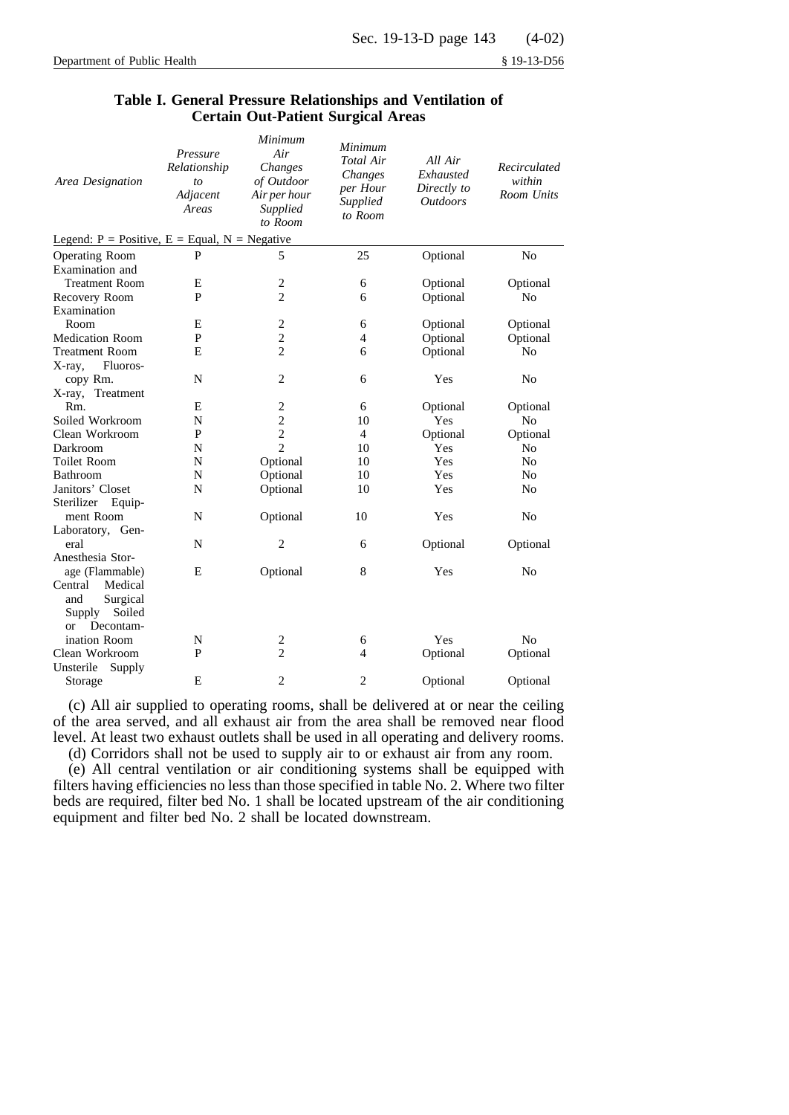| Area Designation                                | Pressure<br>Relationship<br>to<br>Adjacent<br>Areas | Minimum<br>Air<br>Changes<br>of Outdoor<br>Air per hour<br>Supplied<br>to Room | Minimum<br>Total Air<br>Changes<br>per Hour<br>Supplied<br>to Room | All Air<br>Exhausted<br>Directly to<br><b>Outdoors</b> | Recirculated<br>within<br>Room Units |
|-------------------------------------------------|-----------------------------------------------------|--------------------------------------------------------------------------------|--------------------------------------------------------------------|--------------------------------------------------------|--------------------------------------|
| Legend: $P = Positive, E = Equal, N = Negative$ |                                                     |                                                                                |                                                                    |                                                        |                                      |
| <b>Operating Room</b>                           | P                                                   | 5                                                                              | 25                                                                 | Optional                                               | No                                   |
| Examination and                                 |                                                     |                                                                                |                                                                    |                                                        |                                      |
| <b>Treatment Room</b>                           | E                                                   | $\overline{c}$                                                                 | 6                                                                  | Optional                                               | Optional                             |
| Recovery Room                                   | P                                                   | $\overline{c}$                                                                 | 6                                                                  | Optional                                               | No                                   |
| Examination                                     |                                                     |                                                                                |                                                                    |                                                        |                                      |
| Room                                            | E                                                   | $\overline{c}$                                                                 | 6                                                                  | Optional                                               | Optional                             |
| <b>Medication Room</b>                          | P                                                   | $\overline{c}$                                                                 | $\overline{4}$                                                     | Optional                                               | Optional                             |
| Treatment Room                                  | E                                                   | $\overline{c}$                                                                 | 6                                                                  | Optional                                               | No                                   |
| X-ray,<br>Fluoros-                              |                                                     |                                                                                |                                                                    |                                                        |                                      |
| copy Rm.                                        | N                                                   | $\overline{2}$                                                                 | 6                                                                  | Yes                                                    | No                                   |
| X-ray, Treatment                                |                                                     |                                                                                |                                                                    |                                                        |                                      |
| Rm.                                             | E                                                   | $\overline{\mathbf{c}}$                                                        | 6                                                                  | Optional                                               | Optional                             |
| Soiled Workroom                                 | N                                                   | $\overline{c}$                                                                 | 10                                                                 | Yes                                                    | N <sub>0</sub>                       |
| Clean Workroom                                  | P                                                   | $\overline{c}$                                                                 | $\overline{4}$                                                     | Optional                                               | Optional                             |
| Darkroom                                        | N                                                   | $\overline{c}$                                                                 | 10                                                                 | Yes                                                    | N <sub>0</sub>                       |
| <b>Toilet Room</b>                              | N                                                   | Optional                                                                       | 10                                                                 | Yes                                                    | No                                   |
| Bathroom                                        | N                                                   | Optional                                                                       | 10                                                                 | Yes                                                    | No                                   |
| Janitors' Closet                                | N                                                   | Optional                                                                       | 10                                                                 | Yes                                                    | No                                   |
| Sterilizer<br>Equip-                            |                                                     |                                                                                |                                                                    |                                                        |                                      |
| ment Room                                       | N                                                   | Optional                                                                       | 10                                                                 | Yes                                                    | N <sub>0</sub>                       |
| Laboratory, Gen-                                |                                                     |                                                                                |                                                                    |                                                        |                                      |
| eral                                            | N                                                   | $\overline{2}$                                                                 | 6                                                                  | Optional                                               | Optional                             |
| Anesthesia Stor-                                |                                                     |                                                                                |                                                                    |                                                        |                                      |
| age (Flammable)                                 | E                                                   | Optional                                                                       | 8                                                                  | Yes                                                    | No                                   |
| Medical<br>Central                              |                                                     |                                                                                |                                                                    |                                                        |                                      |
| and<br>Surgical                                 |                                                     |                                                                                |                                                                    |                                                        |                                      |
| Soiled<br>Supply                                |                                                     |                                                                                |                                                                    |                                                        |                                      |
| Decontam-<br><sub>or</sub>                      |                                                     |                                                                                |                                                                    |                                                        |                                      |
| ination Room                                    | N                                                   | $\overline{c}$                                                                 | 6                                                                  | Yes                                                    | No                                   |
| Clean Workroom                                  | P                                                   | $\overline{c}$                                                                 | $\overline{4}$                                                     | Optional                                               | Optional                             |
| Unsterile<br>Supply                             |                                                     |                                                                                |                                                                    |                                                        |                                      |
| Storage                                         | E                                                   | $\overline{2}$                                                                 | $\overline{c}$                                                     | Optional                                               | Optional                             |

# **Table I. General Pressure Relationships and Ventilation of Certain Out-Patient Surgical Areas**

(c) All air supplied to operating rooms, shall be delivered at or near the ceiling of the area served, and all exhaust air from the area shall be removed near flood level. At least two exhaust outlets shall be used in all operating and delivery rooms.

(d) Corridors shall not be used to supply air to or exhaust air from any room.

(e) All central ventilation or air conditioning systems shall be equipped with filters having efficiencies no less than those specified in table No. 2. Where two filter beds are required, filter bed No. 1 shall be located upstream of the air conditioning equipment and filter bed No. 2 shall be located downstream.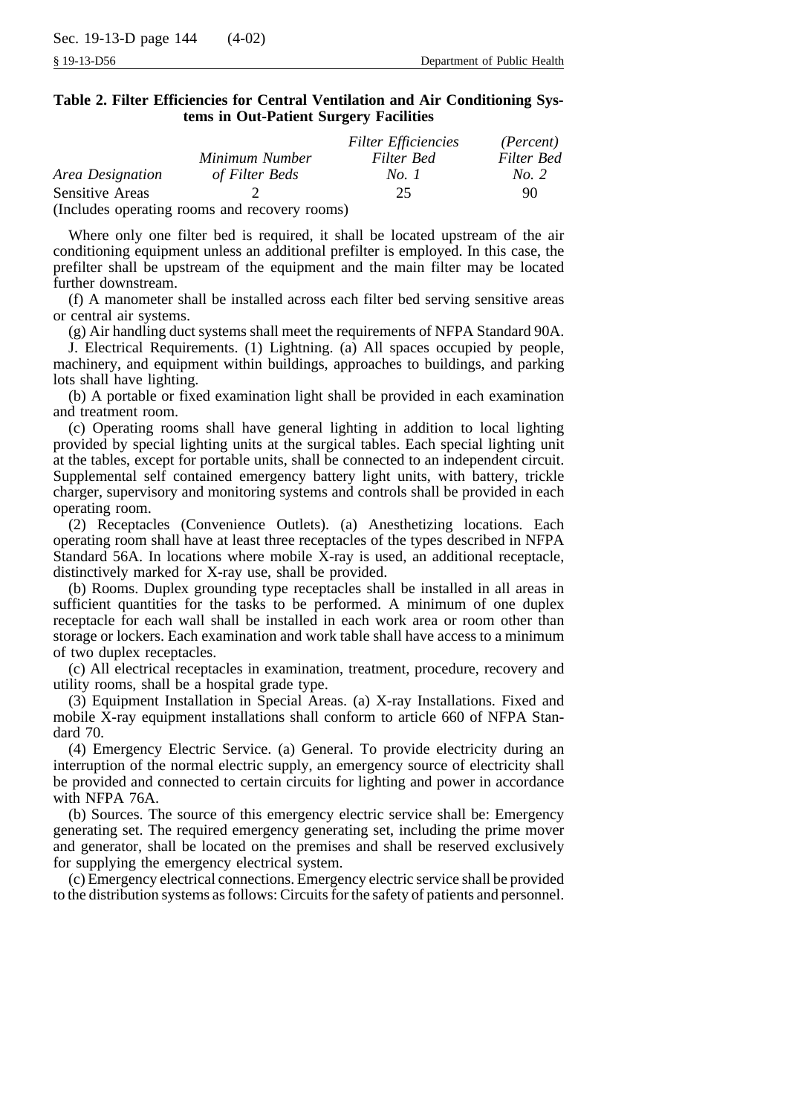|                  |                                               | <b>Filter Efficiencies</b> | ( <i>Percent</i> ) |
|------------------|-----------------------------------------------|----------------------------|--------------------|
|                  | Minimum Number                                | Filter Bed                 | Filter Bed         |
| Area Designation | of Filter Beds                                | No. 1                      | No. 2              |
| Sensitive Areas  |                                               | 25.                        | 90                 |
|                  | (Includes operating rooms and recovery rooms) |                            |                    |

Where only one filter bed is required, it shall be located upstream of the air conditioning equipment unless an additional prefilter is employed. In this case, the prefilter shall be upstream of the equipment and the main filter may be located further downstream.

(f) A manometer shall be installed across each filter bed serving sensitive areas or central air systems.

(g) Air handling duct systems shall meet the requirements of NFPA Standard 90A.

J. Electrical Requirements. (1) Lightning. (a) All spaces occupied by people, machinery, and equipment within buildings, approaches to buildings, and parking lots shall have lighting.

(b) A portable or fixed examination light shall be provided in each examination and treatment room.

(c) Operating rooms shall have general lighting in addition to local lighting provided by special lighting units at the surgical tables. Each special lighting unit at the tables, except for portable units, shall be connected to an independent circuit. Supplemental self contained emergency battery light units, with battery, trickle charger, supervisory and monitoring systems and controls shall be provided in each operating room.

(2) Receptacles (Convenience Outlets). (a) Anesthetizing locations. Each operating room shall have at least three receptacles of the types described in NFPA Standard 56A. In locations where mobile X-ray is used, an additional receptacle, distinctively marked for X-ray use, shall be provided.

(b) Rooms. Duplex grounding type receptacles shall be installed in all areas in sufficient quantities for the tasks to be performed. A minimum of one duplex receptacle for each wall shall be installed in each work area or room other than storage or lockers. Each examination and work table shall have access to a minimum of two duplex receptacles.

(c) All electrical receptacles in examination, treatment, procedure, recovery and utility rooms, shall be a hospital grade type.

(3) Equipment Installation in Special Areas. (a) X-ray Installations. Fixed and mobile X-ray equipment installations shall conform to article 660 of NFPA Standard 70.

(4) Emergency Electric Service. (a) General. To provide electricity during an interruption of the normal electric supply, an emergency source of electricity shall be provided and connected to certain circuits for lighting and power in accordance with NFPA 76A.

(b) Sources. The source of this emergency electric service shall be: Emergency generating set. The required emergency generating set, including the prime mover and generator, shall be located on the premises and shall be reserved exclusively for supplying the emergency electrical system.

(c) Emergency electrical connections. Emergency electric service shall be provided to the distribution systems as follows: Circuits for the safety of patients and personnel.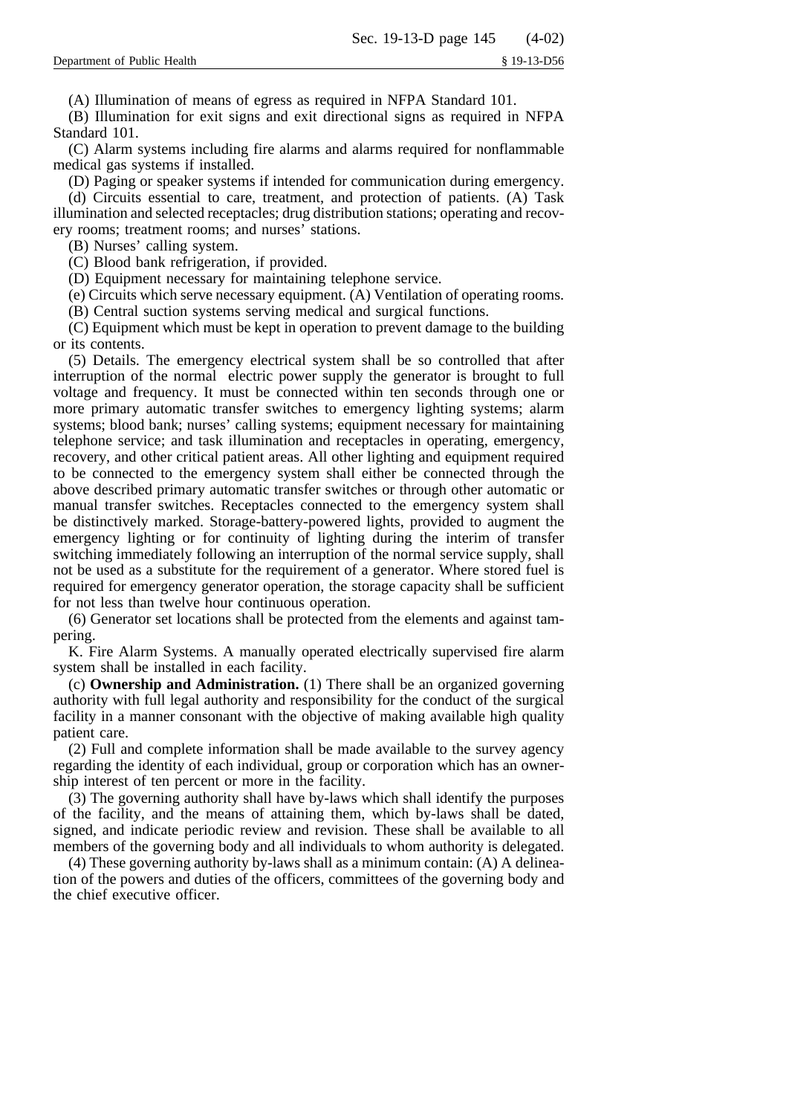(A) Illumination of means of egress as required in NFPA Standard 101.

(B) Illumination for exit signs and exit directional signs as required in NFPA Standard 101.

(C) Alarm systems including fire alarms and alarms required for nonflammable medical gas systems if installed.

(D) Paging or speaker systems if intended for communication during emergency.

(d) Circuits essential to care, treatment, and protection of patients. (A) Task illumination and selected receptacles; drug distribution stations; operating and recovery rooms; treatment rooms; and nurses' stations.

(B) Nurses' calling system.

(C) Blood bank refrigeration, if provided.

(D) Equipment necessary for maintaining telephone service.

(e) Circuits which serve necessary equipment. (A) Ventilation of operating rooms.

(B) Central suction systems serving medical and surgical functions.

(C) Equipment which must be kept in operation to prevent damage to the building or its contents.

(5) Details. The emergency electrical system shall be so controlled that after interruption of the normal electric power supply the generator is brought to full voltage and frequency. It must be connected within ten seconds through one or more primary automatic transfer switches to emergency lighting systems; alarm systems; blood bank; nurses' calling systems; equipment necessary for maintaining telephone service; and task illumination and receptacles in operating, emergency, recovery, and other critical patient areas. All other lighting and equipment required to be connected to the emergency system shall either be connected through the above described primary automatic transfer switches or through other automatic or manual transfer switches. Receptacles connected to the emergency system shall be distinctively marked. Storage-battery-powered lights, provided to augment the emergency lighting or for continuity of lighting during the interim of transfer switching immediately following an interruption of the normal service supply, shall not be used as a substitute for the requirement of a generator. Where stored fuel is required for emergency generator operation, the storage capacity shall be sufficient for not less than twelve hour continuous operation.

(6) Generator set locations shall be protected from the elements and against tampering.

K. Fire Alarm Systems. A manually operated electrically supervised fire alarm system shall be installed in each facility.

(c) **Ownership and Administration.** (1) There shall be an organized governing authority with full legal authority and responsibility for the conduct of the surgical facility in a manner consonant with the objective of making available high quality patient care.

(2) Full and complete information shall be made available to the survey agency regarding the identity of each individual, group or corporation which has an ownership interest of ten percent or more in the facility.

(3) The governing authority shall have by-laws which shall identify the purposes of the facility, and the means of attaining them, which by-laws shall be dated, signed, and indicate periodic review and revision. These shall be available to all members of the governing body and all individuals to whom authority is delegated.

(4) These governing authority by-laws shall as a minimum contain: (A) A delineation of the powers and duties of the officers, committees of the governing body and the chief executive officer.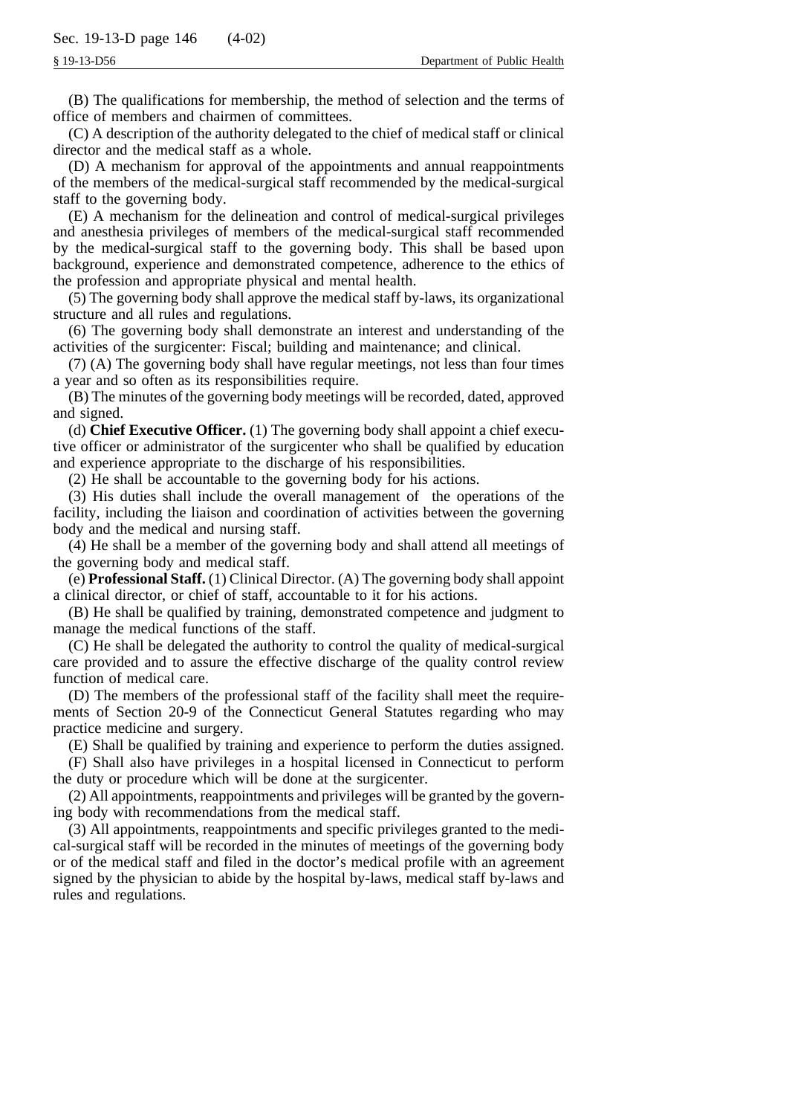(B) The qualifications for membership, the method of selection and the terms of office of members and chairmen of committees.

(C) A description of the authority delegated to the chief of medical staff or clinical director and the medical staff as a whole.

(D) A mechanism for approval of the appointments and annual reappointments of the members of the medical-surgical staff recommended by the medical-surgical staff to the governing body.

(E) A mechanism for the delineation and control of medical-surgical privileges and anesthesia privileges of members of the medical-surgical staff recommended by the medical-surgical staff to the governing body. This shall be based upon background, experience and demonstrated competence, adherence to the ethics of the profession and appropriate physical and mental health.

(5) The governing body shall approve the medical staff by-laws, its organizational structure and all rules and regulations.

(6) The governing body shall demonstrate an interest and understanding of the activities of the surgicenter: Fiscal; building and maintenance; and clinical.

(7) (A) The governing body shall have regular meetings, not less than four times a year and so often as its responsibilities require.

(B) The minutes of the governing body meetings will be recorded, dated, approved and signed.

(d) **Chief Executive Officer.** (1) The governing body shall appoint a chief executive officer or administrator of the surgicenter who shall be qualified by education and experience appropriate to the discharge of his responsibilities.

(2) He shall be accountable to the governing body for his actions.

(3) His duties shall include the overall management of the operations of the facility, including the liaison and coordination of activities between the governing body and the medical and nursing staff.

(4) He shall be a member of the governing body and shall attend all meetings of the governing body and medical staff.

(e) **Professional Staff.** (1) Clinical Director. (A) The governing body shall appoint a clinical director, or chief of staff, accountable to it for his actions.

(B) He shall be qualified by training, demonstrated competence and judgment to manage the medical functions of the staff.

(C) He shall be delegated the authority to control the quality of medical-surgical care provided and to assure the effective discharge of the quality control review function of medical care.

(D) The members of the professional staff of the facility shall meet the requirements of Section 20-9 of the Connecticut General Statutes regarding who may practice medicine and surgery.

(E) Shall be qualified by training and experience to perform the duties assigned.

(F) Shall also have privileges in a hospital licensed in Connecticut to perform the duty or procedure which will be done at the surgicenter.

(2) All appointments, reappointments and privileges will be granted by the governing body with recommendations from the medical staff.

(3) All appointments, reappointments and specific privileges granted to the medical-surgical staff will be recorded in the minutes of meetings of the governing body or of the medical staff and filed in the doctor's medical profile with an agreement signed by the physician to abide by the hospital by-laws, medical staff by-laws and rules and regulations.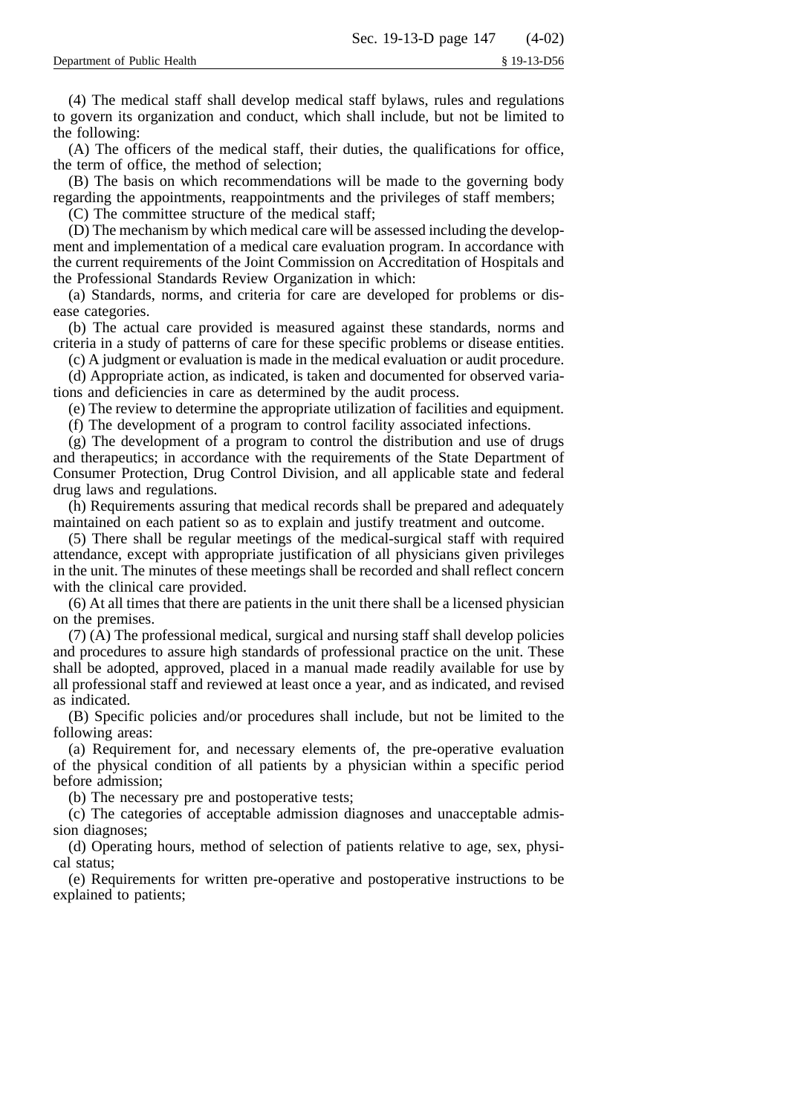(4) The medical staff shall develop medical staff bylaws, rules and regulations to govern its organization and conduct, which shall include, but not be limited to the following:

(A) The officers of the medical staff, their duties, the qualifications for office, the term of office, the method of selection;

(B) The basis on which recommendations will be made to the governing body regarding the appointments, reappointments and the privileges of staff members;

(C) The committee structure of the medical staff;

(D) The mechanism by which medical care will be assessed including the development and implementation of a medical care evaluation program. In accordance with the current requirements of the Joint Commission on Accreditation of Hospitals and the Professional Standards Review Organization in which:

(a) Standards, norms, and criteria for care are developed for problems or disease categories.

(b) The actual care provided is measured against these standards, norms and criteria in a study of patterns of care for these specific problems or disease entities.

(c) A judgment or evaluation is made in the medical evaluation or audit procedure.

(d) Appropriate action, as indicated, is taken and documented for observed variations and deficiencies in care as determined by the audit process.

(e) The review to determine the appropriate utilization of facilities and equipment.

(f) The development of a program to control facility associated infections.

(g) The development of a program to control the distribution and use of drugs and therapeutics; in accordance with the requirements of the State Department of Consumer Protection, Drug Control Division, and all applicable state and federal drug laws and regulations.

(h) Requirements assuring that medical records shall be prepared and adequately maintained on each patient so as to explain and justify treatment and outcome.

(5) There shall be regular meetings of the medical-surgical staff with required attendance, except with appropriate justification of all physicians given privileges in the unit. The minutes of these meetings shall be recorded and shall reflect concern with the clinical care provided.

(6) At all times that there are patients in the unit there shall be a licensed physician on the premises.

(7) (A) The professional medical, surgical and nursing staff shall develop policies and procedures to assure high standards of professional practice on the unit. These shall be adopted, approved, placed in a manual made readily available for use by all professional staff and reviewed at least once a year, and as indicated, and revised as indicated.

(B) Specific policies and/or procedures shall include, but not be limited to the following areas:

(a) Requirement for, and necessary elements of, the pre-operative evaluation of the physical condition of all patients by a physician within a specific period before admission;

(b) The necessary pre and postoperative tests;

(c) The categories of acceptable admission diagnoses and unacceptable admission diagnoses;

(d) Operating hours, method of selection of patients relative to age, sex, physical status;

(e) Requirements for written pre-operative and postoperative instructions to be explained to patients;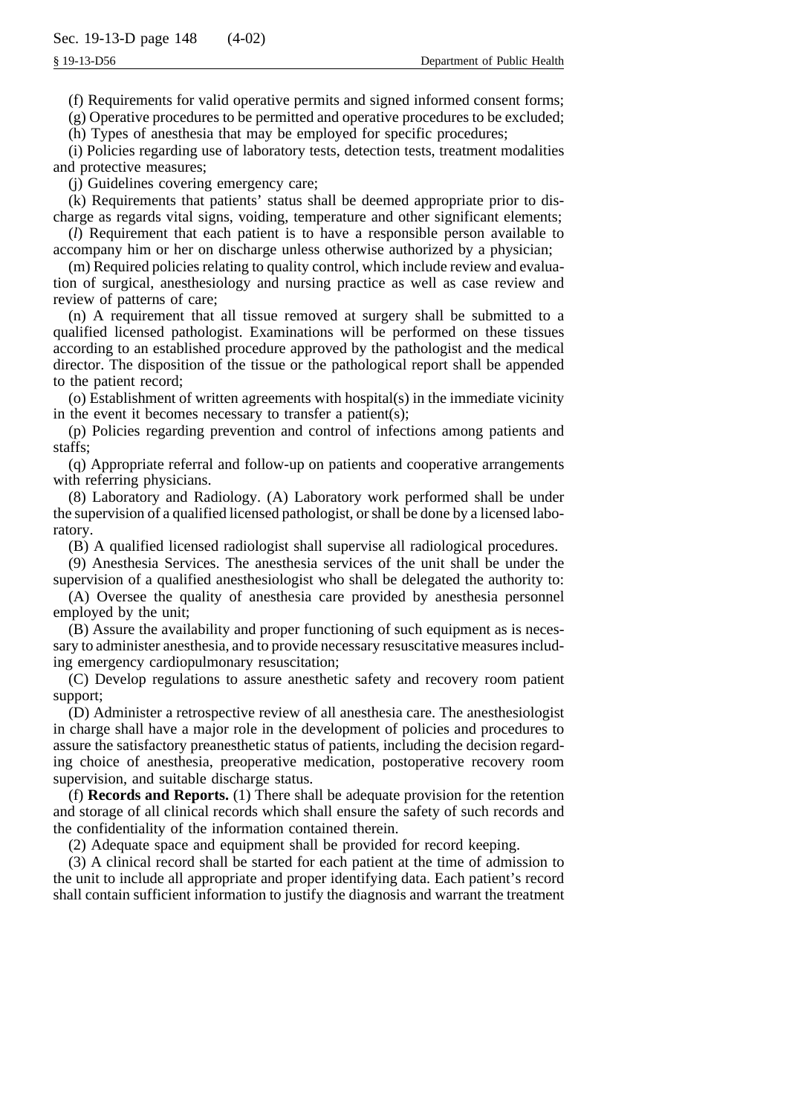(f) Requirements for valid operative permits and signed informed consent forms;

(g) Operative procedures to be permitted and operative procedures to be excluded;

(h) Types of anesthesia that may be employed for specific procedures;

(i) Policies regarding use of laboratory tests, detection tests, treatment modalities and protective measures;

(j) Guidelines covering emergency care;

(k) Requirements that patients' status shall be deemed appropriate prior to discharge as regards vital signs, voiding, temperature and other significant elements;

(*l*) Requirement that each patient is to have a responsible person available to accompany him or her on discharge unless otherwise authorized by a physician;

(m) Required policies relating to quality control, which include review and evaluation of surgical, anesthesiology and nursing practice as well as case review and review of patterns of care;

(n) A requirement that all tissue removed at surgery shall be submitted to a qualified licensed pathologist. Examinations will be performed on these tissues according to an established procedure approved by the pathologist and the medical director. The disposition of the tissue or the pathological report shall be appended to the patient record;

(o) Establishment of written agreements with hospital(s) in the immediate vicinity in the event it becomes necessary to transfer a patient(s);

(p) Policies regarding prevention and control of infections among patients and staffs;

(q) Appropriate referral and follow-up on patients and cooperative arrangements with referring physicians.

(8) Laboratory and Radiology. (A) Laboratory work performed shall be under the supervision of a qualified licensed pathologist, or shall be done by a licensed laboratory.

(B) A qualified licensed radiologist shall supervise all radiological procedures.

(9) Anesthesia Services. The anesthesia services of the unit shall be under the supervision of a qualified anesthesiologist who shall be delegated the authority to:

(A) Oversee the quality of anesthesia care provided by anesthesia personnel employed by the unit;

(B) Assure the availability and proper functioning of such equipment as is necessary to administer anesthesia, and to provide necessary resuscitative measures including emergency cardiopulmonary resuscitation;

(C) Develop regulations to assure anesthetic safety and recovery room patient support;

(D) Administer a retrospective review of all anesthesia care. The anesthesiologist in charge shall have a major role in the development of policies and procedures to assure the satisfactory preanesthetic status of patients, including the decision regarding choice of anesthesia, preoperative medication, postoperative recovery room supervision, and suitable discharge status.

(f) **Records and Reports.** (1) There shall be adequate provision for the retention and storage of all clinical records which shall ensure the safety of such records and the confidentiality of the information contained therein.

(2) Adequate space and equipment shall be provided for record keeping.

(3) A clinical record shall be started for each patient at the time of admission to the unit to include all appropriate and proper identifying data. Each patient's record shall contain sufficient information to justify the diagnosis and warrant the treatment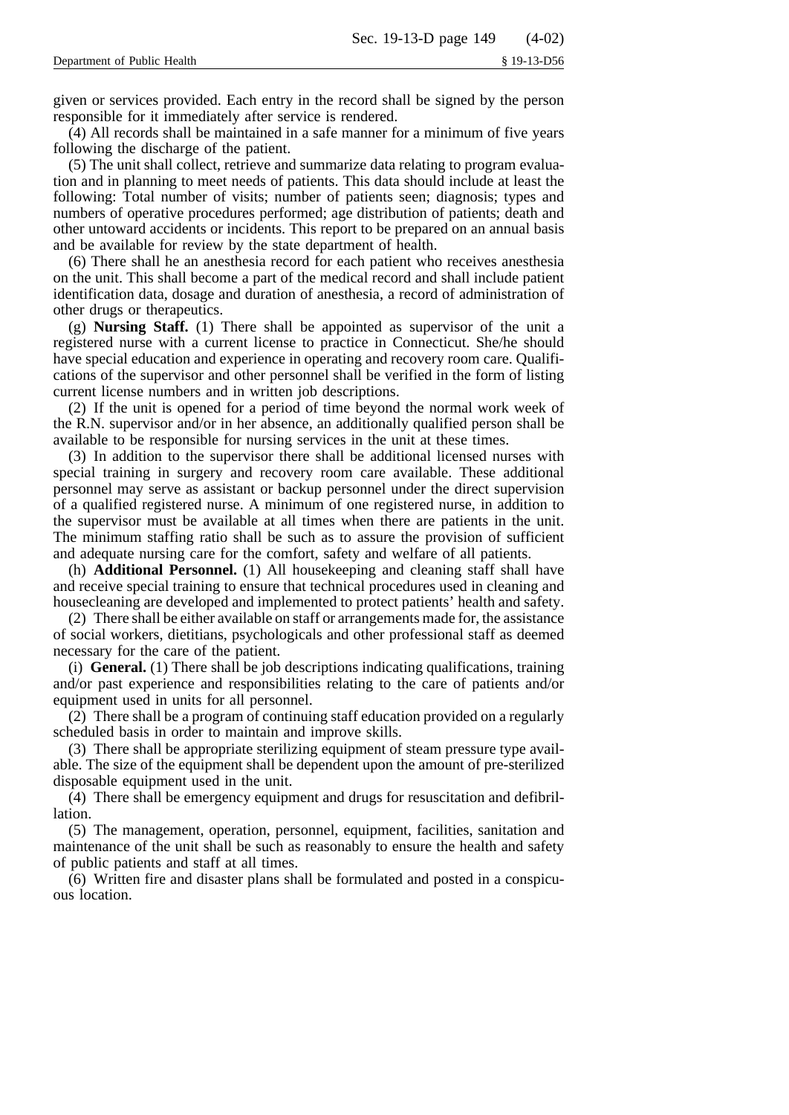given or services provided. Each entry in the record shall be signed by the person responsible for it immediately after service is rendered.

(4) All records shall be maintained in a safe manner for a minimum of five years following the discharge of the patient.

(5) The unit shall collect, retrieve and summarize data relating to program evaluation and in planning to meet needs of patients. This data should include at least the following: Total number of visits; number of patients seen; diagnosis; types and numbers of operative procedures performed; age distribution of patients; death and other untoward accidents or incidents. This report to be prepared on an annual basis and be available for review by the state department of health.

(6) There shall he an anesthesia record for each patient who receives anesthesia on the unit. This shall become a part of the medical record and shall include patient identification data, dosage and duration of anesthesia, a record of administration of other drugs or therapeutics.

(g) **Nursing Staff.** (1) There shall be appointed as supervisor of the unit a registered nurse with a current license to practice in Connecticut. She/he should have special education and experience in operating and recovery room care. Qualifications of the supervisor and other personnel shall be verified in the form of listing current license numbers and in written job descriptions.

(2) If the unit is opened for a period of time beyond the normal work week of the R.N. supervisor and/or in her absence, an additionally qualified person shall be available to be responsible for nursing services in the unit at these times.

(3) In addition to the supervisor there shall be additional licensed nurses with special training in surgery and recovery room care available. These additional personnel may serve as assistant or backup personnel under the direct supervision of a qualified registered nurse. A minimum of one registered nurse, in addition to the supervisor must be available at all times when there are patients in the unit. The minimum staffing ratio shall be such as to assure the provision of sufficient and adequate nursing care for the comfort, safety and welfare of all patients.

(h) **Additional Personnel.** (1) All housekeeping and cleaning staff shall have and receive special training to ensure that technical procedures used in cleaning and housecleaning are developed and implemented to protect patients' health and safety.

(2) There shall be either available on staff or arrangements made for, the assistance of social workers, dietitians, psychologicals and other professional staff as deemed necessary for the care of the patient.

(i) **General.** (1) There shall be job descriptions indicating qualifications, training and/or past experience and responsibilities relating to the care of patients and/or equipment used in units for all personnel.

(2) There shall be a program of continuing staff education provided on a regularly scheduled basis in order to maintain and improve skills.

(3) There shall be appropriate sterilizing equipment of steam pressure type available. The size of the equipment shall be dependent upon the amount of pre-sterilized disposable equipment used in the unit.

(4) There shall be emergency equipment and drugs for resuscitation and defibrillation.

(5) The management, operation, personnel, equipment, facilities, sanitation and maintenance of the unit shall be such as reasonably to ensure the health and safety of public patients and staff at all times.

(6) Written fire and disaster plans shall be formulated and posted in a conspicuous location.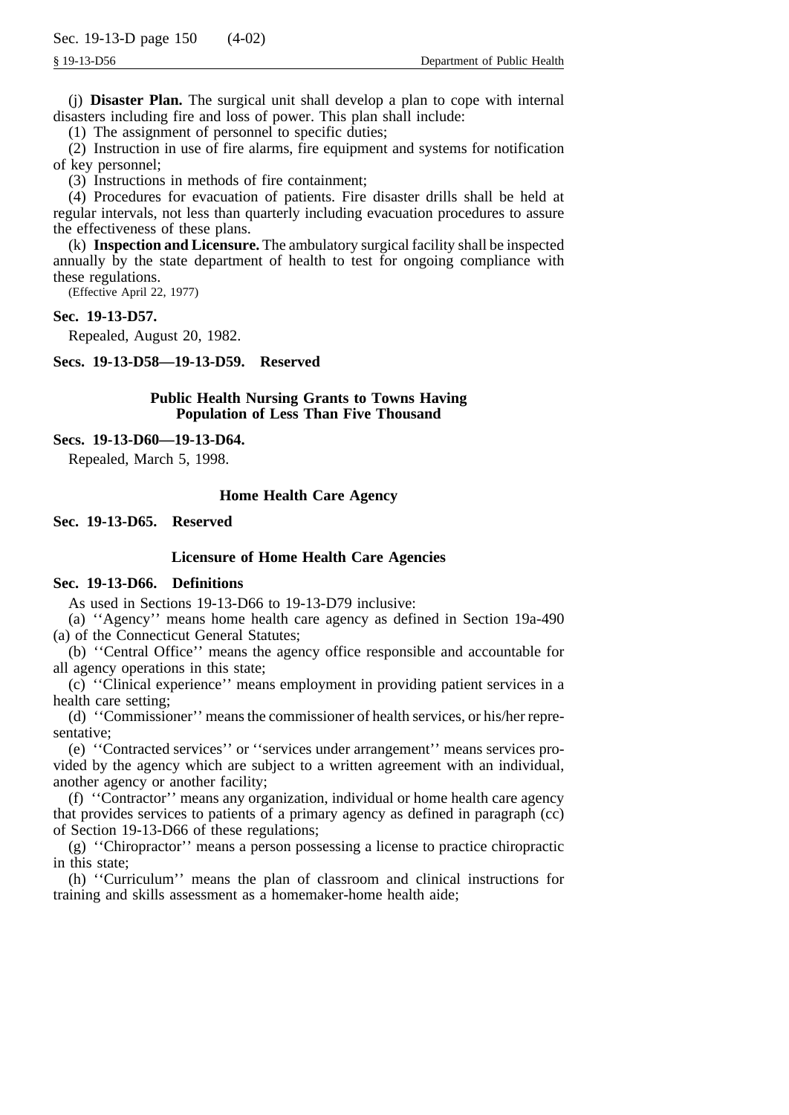(j) **Disaster Plan.** The surgical unit shall develop a plan to cope with internal disasters including fire and loss of power. This plan shall include:

(1) The assignment of personnel to specific duties;

(2) Instruction in use of fire alarms, fire equipment and systems for notification of key personnel;

(3) Instructions in methods of fire containment;

(4) Procedures for evacuation of patients. Fire disaster drills shall be held at regular intervals, not less than quarterly including evacuation procedures to assure the effectiveness of these plans.

(k) **Inspection and Licensure.** The ambulatory surgical facility shall be inspected annually by the state department of health to test for ongoing compliance with these regulations.

(Effective April 22, 1977)

#### **Sec. 19-13-D57.**

Repealed, August 20, 1982.

**Secs. 19-13-D58—19-13-D59. Reserved**

# **Public Health Nursing Grants to Towns Having Population of Less Than Five Thousand**

#### **Secs. 19-13-D60—19-13-D64.**

Repealed, March 5, 1998.

#### **Home Health Care Agency**

**Sec. 19-13-D65. Reserved**

#### **Licensure of Home Health Care Agencies**

# **Sec. 19-13-D66. Definitions**

As used in Sections 19-13-D66 to 19-13-D79 inclusive:

(a) ''Agency'' means home health care agency as defined in Section 19a-490 (a) of the Connecticut General Statutes;

(b) ''Central Office'' means the agency office responsible and accountable for all agency operations in this state;

(c) ''Clinical experience'' means employment in providing patient services in a health care setting;

(d) ''Commissioner'' means the commissioner of health services, or his/her representative;

(e) ''Contracted services'' or ''services under arrangement'' means services provided by the agency which are subject to a written agreement with an individual, another agency or another facility;

(f) ''Contractor'' means any organization, individual or home health care agency that provides services to patients of a primary agency as defined in paragraph (cc) of Section 19-13-D66 of these regulations;

(g) ''Chiropractor'' means a person possessing a license to practice chiropractic in this state;

(h) ''Curriculum'' means the plan of classroom and clinical instructions for training and skills assessment as a homemaker-home health aide;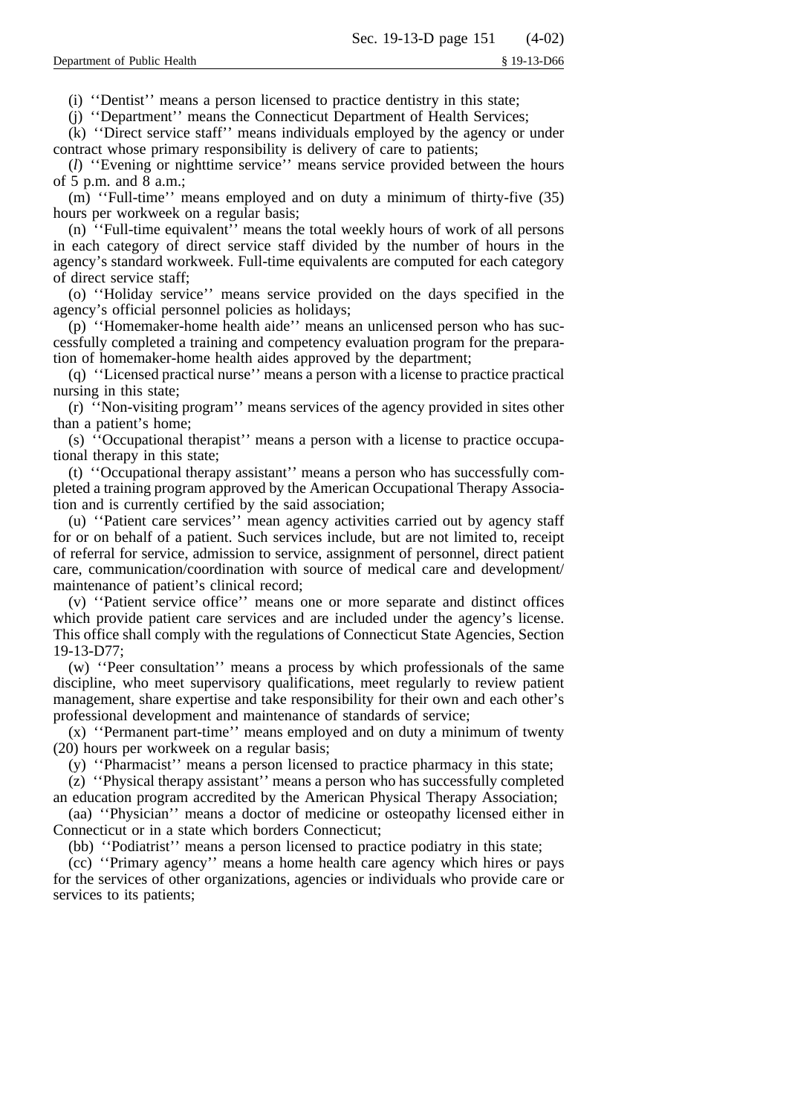(i) ''Dentist'' means a person licensed to practice dentistry in this state;

(j) ''Department'' means the Connecticut Department of Health Services;

(k) ''Direct service staff'' means individuals employed by the agency or under contract whose primary responsibility is delivery of care to patients;

(*l*) ''Evening or nighttime service'' means service provided between the hours of 5 p.m. and 8 a.m.;

(m) ''Full-time'' means employed and on duty a minimum of thirty-five (35) hours per workweek on a regular basis;

(n) ''Full-time equivalent'' means the total weekly hours of work of all persons in each category of direct service staff divided by the number of hours in the agency's standard workweek. Full-time equivalents are computed for each category of direct service staff;

(o) ''Holiday service'' means service provided on the days specified in the agency's official personnel policies as holidays;

(p) ''Homemaker-home health aide'' means an unlicensed person who has successfully completed a training and competency evaluation program for the preparation of homemaker-home health aides approved by the department;

(q) ''Licensed practical nurse'' means a person with a license to practice practical nursing in this state;

(r) ''Non-visiting program'' means services of the agency provided in sites other than a patient's home;

(s) ''Occupational therapist'' means a person with a license to practice occupational therapy in this state;

(t) ''Occupational therapy assistant'' means a person who has successfully completed a training program approved by the American Occupational Therapy Association and is currently certified by the said association;

(u) ''Patient care services'' mean agency activities carried out by agency staff for or on behalf of a patient. Such services include, but are not limited to, receipt of referral for service, admission to service, assignment of personnel, direct patient care, communication/coordination with source of medical care and development/ maintenance of patient's clinical record;

(v) ''Patient service office'' means one or more separate and distinct offices which provide patient care services and are included under the agency's license. This office shall comply with the regulations of Connecticut State Agencies, Section 19-13-D77;

(w) ''Peer consultation'' means a process by which professionals of the same discipline, who meet supervisory qualifications, meet regularly to review patient management, share expertise and take responsibility for their own and each other's professional development and maintenance of standards of service;

(x) ''Permanent part-time'' means employed and on duty a minimum of twenty (20) hours per workweek on a regular basis;

(y) ''Pharmacist'' means a person licensed to practice pharmacy in this state;

(z) ''Physical therapy assistant'' means a person who has successfully completed an education program accredited by the American Physical Therapy Association;

(aa) ''Physician'' means a doctor of medicine or osteopathy licensed either in Connecticut or in a state which borders Connecticut;

(bb) ''Podiatrist'' means a person licensed to practice podiatry in this state;

(cc) ''Primary agency'' means a home health care agency which hires or pays for the services of other organizations, agencies or individuals who provide care or services to its patients;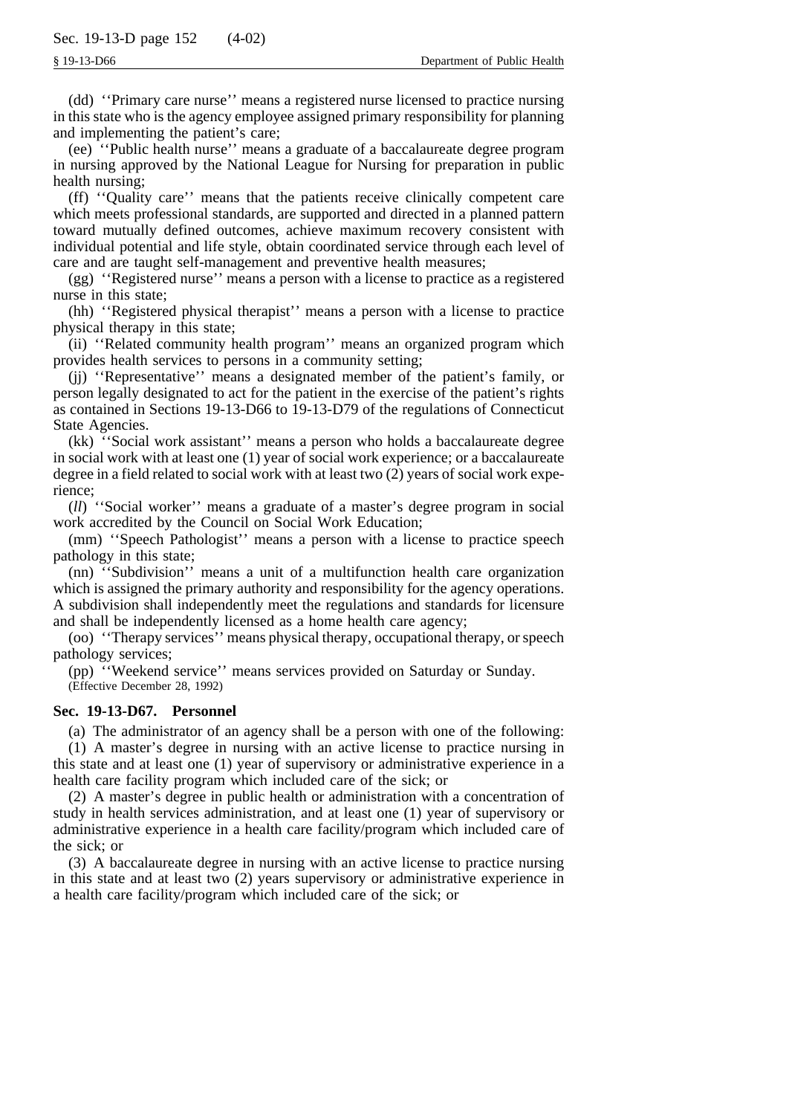(dd) ''Primary care nurse'' means a registered nurse licensed to practice nursing in this state who is the agency employee assigned primary responsibility for planning and implementing the patient's care;

(ee) ''Public health nurse'' means a graduate of a baccalaureate degree program in nursing approved by the National League for Nursing for preparation in public health nursing;

(ff) ''Quality care'' means that the patients receive clinically competent care which meets professional standards, are supported and directed in a planned pattern toward mutually defined outcomes, achieve maximum recovery consistent with individual potential and life style, obtain coordinated service through each level of care and are taught self-management and preventive health measures;

(gg) ''Registered nurse'' means a person with a license to practice as a registered nurse in this state;

(hh) ''Registered physical therapist'' means a person with a license to practice physical therapy in this state;

(ii) ''Related community health program'' means an organized program which provides health services to persons in a community setting;

(jj) ''Representative'' means a designated member of the patient's family, or person legally designated to act for the patient in the exercise of the patient's rights as contained in Sections 19-13-D66 to 19-13-D79 of the regulations of Connecticut State Agencies.

(kk) ''Social work assistant'' means a person who holds a baccalaureate degree in social work with at least one (1) year of social work experience; or a baccalaureate degree in a field related to social work with at least two (2) years of social work experience;

(*ll*) ''Social worker'' means a graduate of a master's degree program in social work accredited by the Council on Social Work Education;

(mm) ''Speech Pathologist'' means a person with a license to practice speech pathology in this state;

(nn) ''Subdivision'' means a unit of a multifunction health care organization which is assigned the primary authority and responsibility for the agency operations. A subdivision shall independently meet the regulations and standards for licensure and shall be independently licensed as a home health care agency;

(oo) ''Therapy services'' means physical therapy, occupational therapy, or speech pathology services;

(pp) ''Weekend service'' means services provided on Saturday or Sunday. (Effective December 28, 1992)

# **Sec. 19-13-D67. Personnel**

(a) The administrator of an agency shall be a person with one of the following:

(1) A master's degree in nursing with an active license to practice nursing in this state and at least one (1) year of supervisory or administrative experience in a health care facility program which included care of the sick; or

(2) A master's degree in public health or administration with a concentration of study in health services administration, and at least one (1) year of supervisory or administrative experience in a health care facility/program which included care of the sick; or

(3) A baccalaureate degree in nursing with an active license to practice nursing in this state and at least two (2) years supervisory or administrative experience in a health care facility/program which included care of the sick; or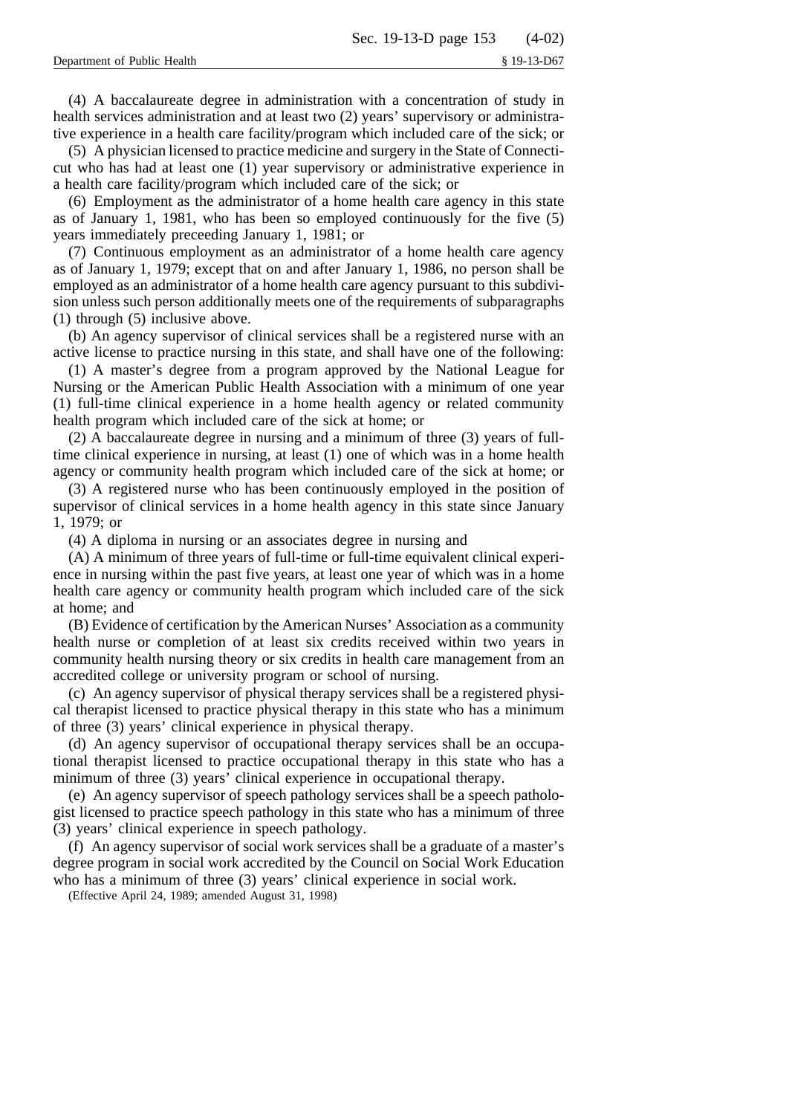(4) A baccalaureate degree in administration with a concentration of study in health services administration and at least two (2) years' supervisory or administrative experience in a health care facility/program which included care of the sick; or

(5) A physician licensed to practice medicine and surgery in the State of Connecticut who has had at least one (1) year supervisory or administrative experience in a health care facility/program which included care of the sick; or

(6) Employment as the administrator of a home health care agency in this state as of January 1, 1981, who has been so employed continuously for the five (5) years immediately preceeding January 1, 1981; or

(7) Continuous employment as an administrator of a home health care agency as of January 1, 1979; except that on and after January 1, 1986, no person shall be employed as an administrator of a home health care agency pursuant to this subdivision unless such person additionally meets one of the requirements of subparagraphs (1) through (5) inclusive above.

(b) An agency supervisor of clinical services shall be a registered nurse with an active license to practice nursing in this state, and shall have one of the following:

(1) A master's degree from a program approved by the National League for Nursing or the American Public Health Association with a minimum of one year (1) full-time clinical experience in a home health agency or related community health program which included care of the sick at home; or

(2) A baccalaureate degree in nursing and a minimum of three (3) years of fulltime clinical experience in nursing, at least (1) one of which was in a home health agency or community health program which included care of the sick at home; or

(3) A registered nurse who has been continuously employed in the position of supervisor of clinical services in a home health agency in this state since January 1, 1979; or

(4) A diploma in nursing or an associates degree in nursing and

(A) A minimum of three years of full-time or full-time equivalent clinical experience in nursing within the past five years, at least one year of which was in a home health care agency or community health program which included care of the sick at home; and

(B) Evidence of certification by the American Nurses' Association as a community health nurse or completion of at least six credits received within two years in community health nursing theory or six credits in health care management from an accredited college or university program or school of nursing.

(c) An agency supervisor of physical therapy services shall be a registered physical therapist licensed to practice physical therapy in this state who has a minimum of three (3) years' clinical experience in physical therapy.

(d) An agency supervisor of occupational therapy services shall be an occupational therapist licensed to practice occupational therapy in this state who has a minimum of three (3) years' clinical experience in occupational therapy.

(e) An agency supervisor of speech pathology services shall be a speech pathologist licensed to practice speech pathology in this state who has a minimum of three (3) years' clinical experience in speech pathology.

(f) An agency supervisor of social work services shall be a graduate of a master's degree program in social work accredited by the Council on Social Work Education who has a minimum of three (3) years' clinical experience in social work.

(Effective April 24, 1989; amended August 31, 1998)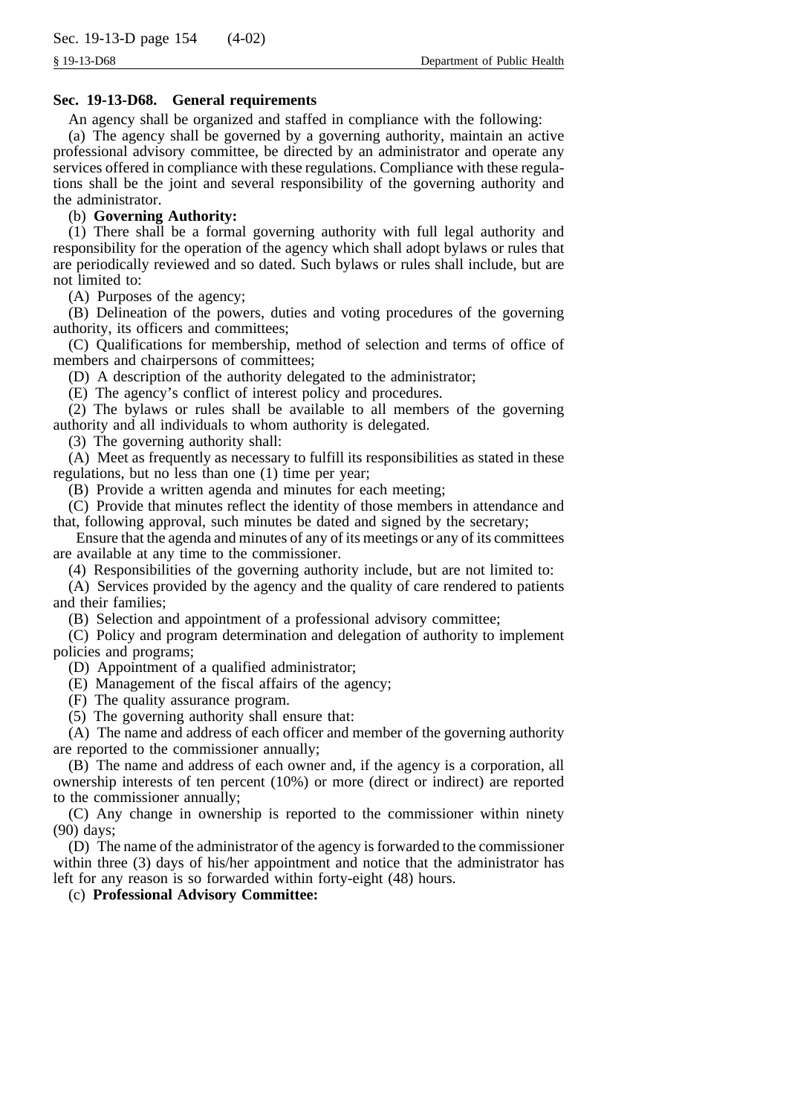# **Sec. 19-13-D68. General requirements**

An agency shall be organized and staffed in compliance with the following:

(a) The agency shall be governed by a governing authority, maintain an active professional advisory committee, be directed by an administrator and operate any services offered in compliance with these regulations. Compliance with these regulations shall be the joint and several responsibility of the governing authority and the administrator.

#### (b) **Governing Authority:**

(1) There shall be a formal governing authority with full legal authority and responsibility for the operation of the agency which shall adopt bylaws or rules that are periodically reviewed and so dated. Such bylaws or rules shall include, but are not limited to:

(A) Purposes of the agency;

(B) Delineation of the powers, duties and voting procedures of the governing authority, its officers and committees;

(C) Qualifications for membership, method of selection and terms of office of members and chairpersons of committees;

(D) A description of the authority delegated to the administrator;

(E) The agency's conflict of interest policy and procedures.

(2) The bylaws or rules shall be available to all members of the governing authority and all individuals to whom authority is delegated.

(3) The governing authority shall:

(A) Meet as frequently as necessary to fulfill its responsibilities as stated in these regulations, but no less than one (1) time per year;

(B) Provide a written agenda and minutes for each meeting;

(C) Provide that minutes reflect the identity of those members in attendance and that, following approval, such minutes be dated and signed by the secretary;

Ensure that the agenda and minutes of any of its meetings or any of its committees are available at any time to the commissioner.

(4) Responsibilities of the governing authority include, but are not limited to:

(A) Services provided by the agency and the quality of care rendered to patients and their families;

(B) Selection and appointment of a professional advisory committee;

(C) Policy and program determination and delegation of authority to implement policies and programs;

(D) Appointment of a qualified administrator;

(E) Management of the fiscal affairs of the agency;

(F) The quality assurance program.

(5) The governing authority shall ensure that:

(A) The name and address of each officer and member of the governing authority are reported to the commissioner annually;

(B) The name and address of each owner and, if the agency is a corporation, all ownership interests of ten percent (10%) or more (direct or indirect) are reported to the commissioner annually;

(C) Any change in ownership is reported to the commissioner within ninety (90) days;

(D) The name of the administrator of the agency is forwarded to the commissioner within three (3) days of his/her appointment and notice that the administrator has left for any reason is so forwarded within forty-eight (48) hours.

(c) **Professional Advisory Committee:**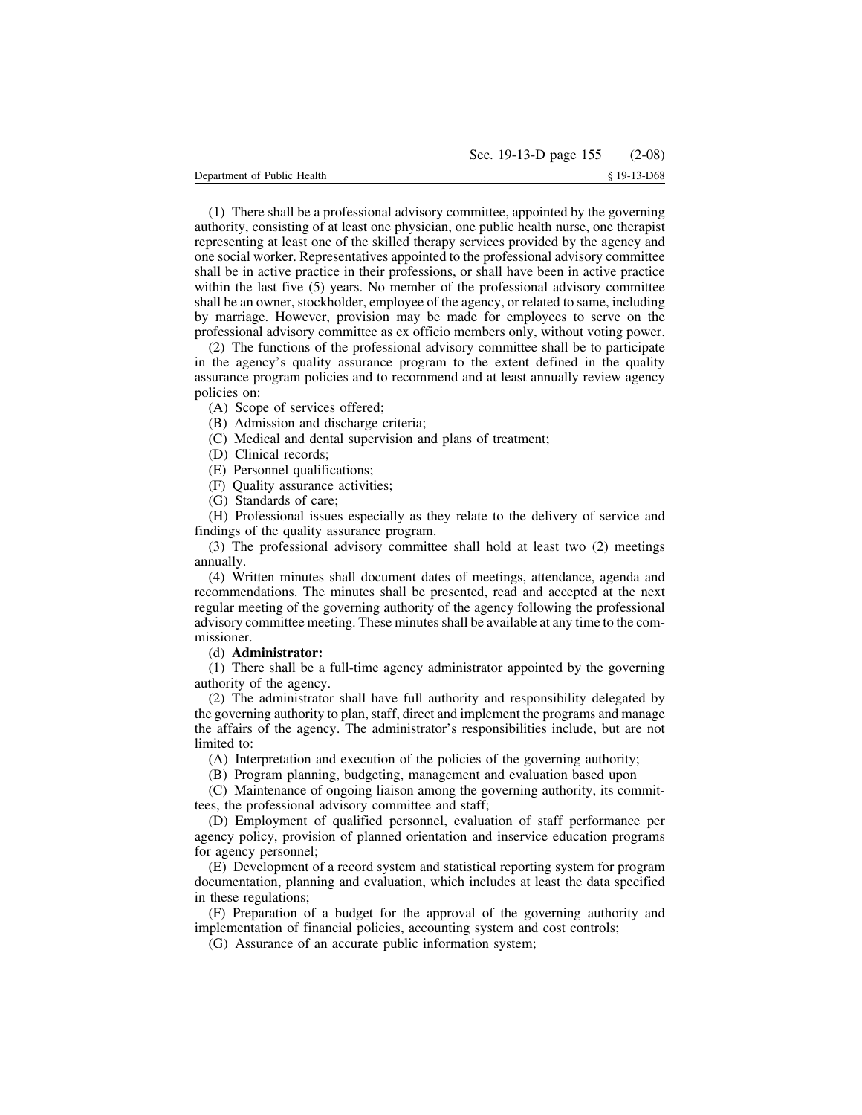(1) There shall be a professional advisory committee, appointed by the governing authority, consisting of at least one physician, one public health nurse, one therapist representing at least one of the skilled therapy services provided by the agency and one social worker. Representatives appointed to the professional advisory committee shall be in active practice in their professions, or shall have been in active practice within the last five (5) years. No member of the professional advisory committee shall be an owner, stockholder, employee of the agency, or related to same, including by marriage. However, provision may be made for employees to serve on the professional advisory committee as ex officio members only, without voting power.

(2) The functions of the professional advisory committee shall be to participate in the agency's quality assurance program to the extent defined in the quality assurance program policies and to recommend and at least annually review agency policies on:

(A) Scope of services offered;

(B) Admission and discharge criteria;

(C) Medical and dental supervision and plans of treatment;

- (D) Clinical records;
- (E) Personnel qualifications;
- (F) Quality assurance activities;
- (G) Standards of care;

(H) Professional issues especially as they relate to the delivery of service and findings of the quality assurance program.

(3) The professional advisory committee shall hold at least two (2) meetings annually.

(4) Written minutes shall document dates of meetings, attendance, agenda and recommendations. The minutes shall be presented, read and accepted at the next regular meeting of the governing authority of the agency following the professional advisory committee meeting. These minutes shall be available at any time to the commissioner.

## (d) **Administrator:**

(1) There shall be a full-time agency administrator appointed by the governing authority of the agency.

(2) The administrator shall have full authority and responsibility delegated by the governing authority to plan, staff, direct and implement the programs and manage the affairs of the agency. The administrator's responsibilities include, but are not limited to:

(A) Interpretation and execution of the policies of the governing authority;

(B) Program planning, budgeting, management and evaluation based upon

(C) Maintenance of ongoing liaison among the governing authority, its committees, the professional advisory committee and staff;

(D) Employment of qualified personnel, evaluation of staff performance per agency policy, provision of planned orientation and inservice education programs for agency personnel;

(E) Development of a record system and statistical reporting system for program documentation, planning and evaluation, which includes at least the data specified in these regulations;

(F) Preparation of a budget for the approval of the governing authority and implementation of financial policies, accounting system and cost controls;

(G) Assurance of an accurate public information system;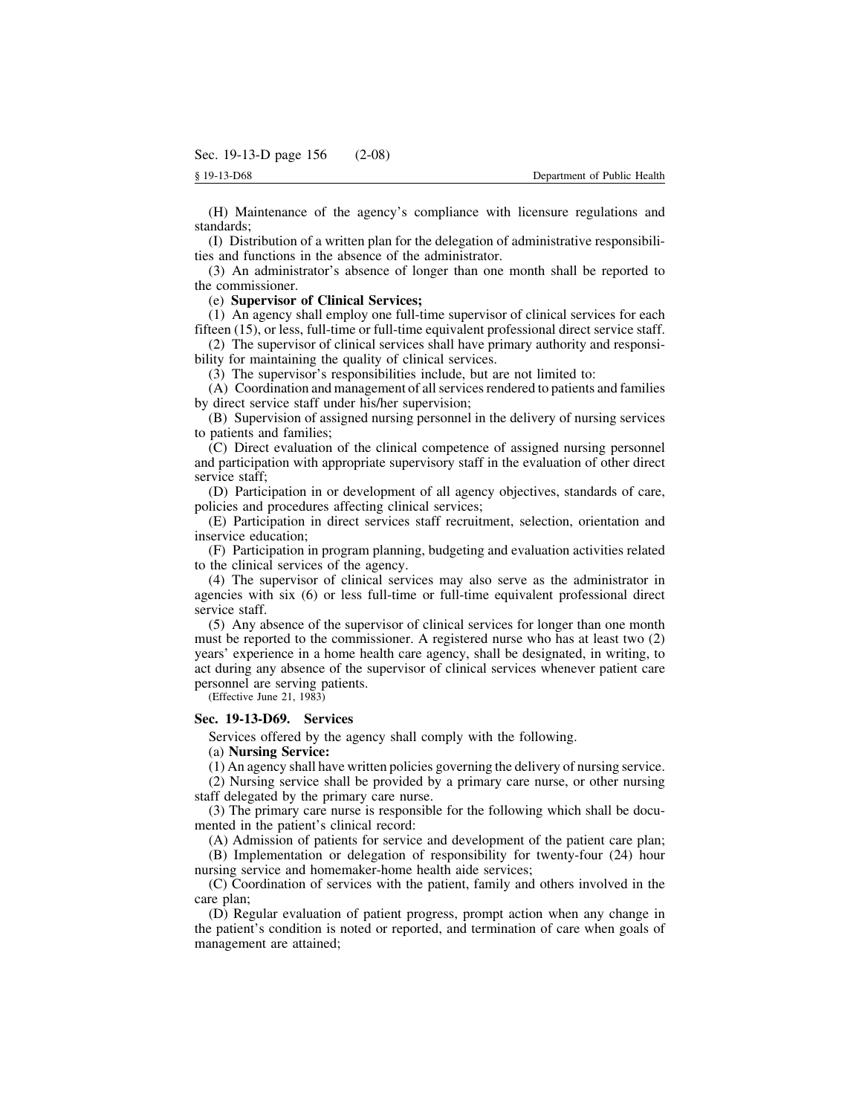(H) Maintenance of the agency's compliance with licensure regulations and standards;

(I) Distribution of a written plan for the delegation of administrative responsibilities and functions in the absence of the administrator.

(3) An administrator's absence of longer than one month shall be reported to the commissioner.

(e) **Supervisor of Clinical Services;**

(1) An agency shall employ one full-time supervisor of clinical services for each fifteen (15), or less, full-time or full-time equivalent professional direct service staff.

(2) The supervisor of clinical services shall have primary authority and responsibility for maintaining the quality of clinical services.

(3) The supervisor's responsibilities include, but are not limited to:

(A) Coordination and management of all services rendered to patients and families by direct service staff under his/her supervision;

(B) Supervision of assigned nursing personnel in the delivery of nursing services to patients and families;

(C) Direct evaluation of the clinical competence of assigned nursing personnel and participation with appropriate supervisory staff in the evaluation of other direct service staff;

(D) Participation in or development of all agency objectives, standards of care, policies and procedures affecting clinical services;

(E) Participation in direct services staff recruitment, selection, orientation and inservice education;

(F) Participation in program planning, budgeting and evaluation activities related to the clinical services of the agency.

(4) The supervisor of clinical services may also serve as the administrator in agencies with six (6) or less full-time or full-time equivalent professional direct service staff.

(5) Any absence of the supervisor of clinical services for longer than one month must be reported to the commissioner. A registered nurse who has at least two (2) years' experience in a home health care agency, shall be designated, in writing, to act during any absence of the supervisor of clinical services whenever patient care personnel are serving patients.

(Effective June 21, 1983)

#### **Sec. 19-13-D69. Services**

Services offered by the agency shall comply with the following.

(a) **Nursing Service:**

(1) An agency shall have written policies governing the delivery of nursing service.

(2) Nursing service shall be provided by a primary care nurse, or other nursing staff delegated by the primary care nurse.

(3) The primary care nurse is responsible for the following which shall be documented in the patient's clinical record:

(A) Admission of patients for service and development of the patient care plan;

(B) Implementation or delegation of responsibility for twenty-four (24) hour nursing service and homemaker-home health aide services;

(C) Coordination of services with the patient, family and others involved in the care plan;

(D) Regular evaluation of patient progress, prompt action when any change in the patient's condition is noted or reported, and termination of care when goals of management are attained;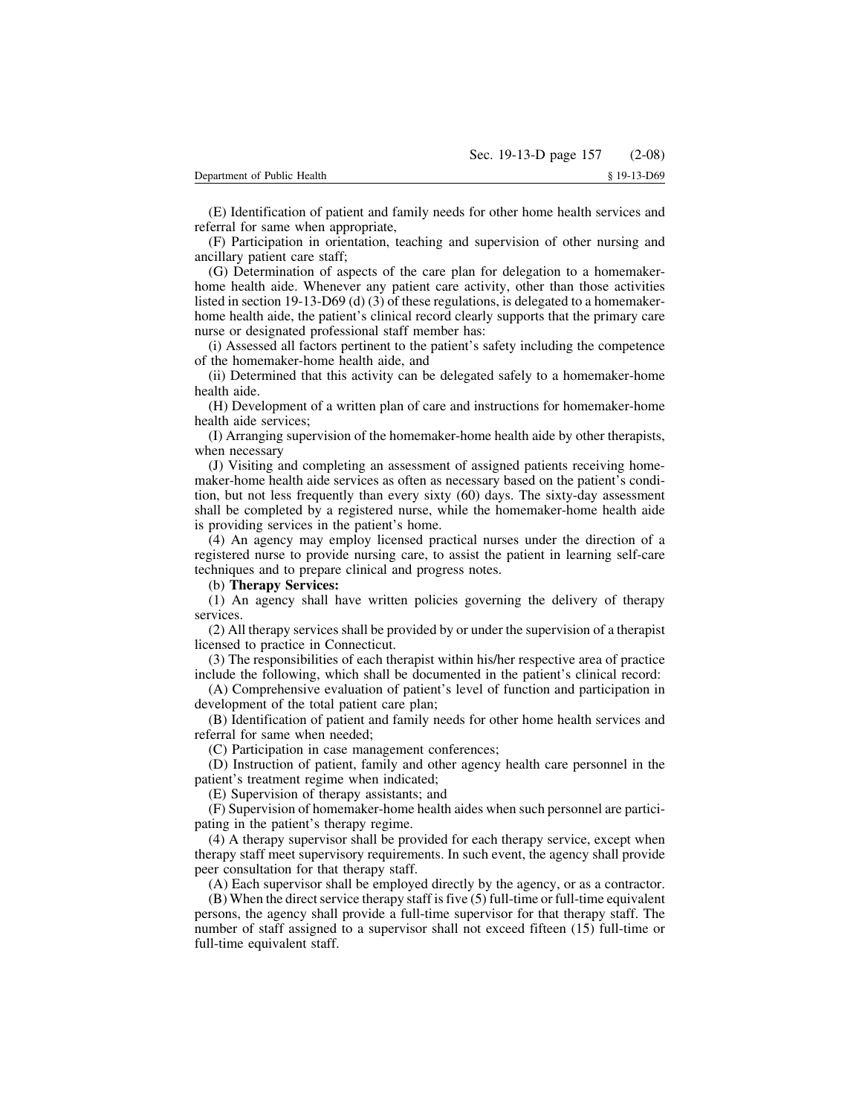(F) Participation in orientation, teaching and supervision of other nursing and ancillary patient care staff;

(G) Determination of aspects of the care plan for delegation to a homemakerhome health aide. Whenever any patient care activity, other than those activities listed in section 19-13-D69 (d) (3) of these regulations, is delegated to a homemakerhome health aide, the patient's clinical record clearly supports that the primary care nurse or designated professional staff member has:

(i) Assessed all factors pertinent to the patient's safety including the competence of the homemaker-home health aide, and

(ii) Determined that this activity can be delegated safely to a homemaker-home health aide.

(H) Development of a written plan of care and instructions for homemaker-home health aide services;

(I) Arranging supervision of the homemaker-home health aide by other therapists, when necessary

(J) Visiting and completing an assessment of assigned patients receiving homemaker-home health aide services as often as necessary based on the patient's condition, but not less frequently than every sixty (60) days. The sixty-day assessment shall be completed by a registered nurse, while the homemaker-home health aide is providing services in the patient's home.

(4) An agency may employ licensed practical nurses under the direction of a registered nurse to provide nursing care, to assist the patient in learning self-care techniques and to prepare clinical and progress notes.

(b) **Therapy Services:**

(1) An agency shall have written policies governing the delivery of therapy services.

(2) All therapy services shall be provided by or under the supervision of a therapist licensed to practice in Connecticut.

(3) The responsibilities of each therapist within his/her respective area of practice include the following, which shall be documented in the patient's clinical record:

(A) Comprehensive evaluation of patient's level of function and participation in development of the total patient care plan;

(B) Identification of patient and family needs for other home health services and referral for same when needed;

(C) Participation in case management conferences;

(D) Instruction of patient, family and other agency health care personnel in the patient's treatment regime when indicated;

(E) Supervision of therapy assistants; and

(F) Supervision of homemaker-home health aides when such personnel are participating in the patient's therapy regime.

(4) A therapy supervisor shall be provided for each therapy service, except when therapy staff meet supervisory requirements. In such event, the agency shall provide peer consultation for that therapy staff.

(A) Each supervisor shall be employed directly by the agency, or as a contractor.

 $(B)$  When the direct service therapy staff is five  $(5)$  full-time or full-time equivalent persons, the agency shall provide a full-time supervisor for that therapy staff. The number of staff assigned to a supervisor shall not exceed fifteen (15) full-time or full-time equivalent staff.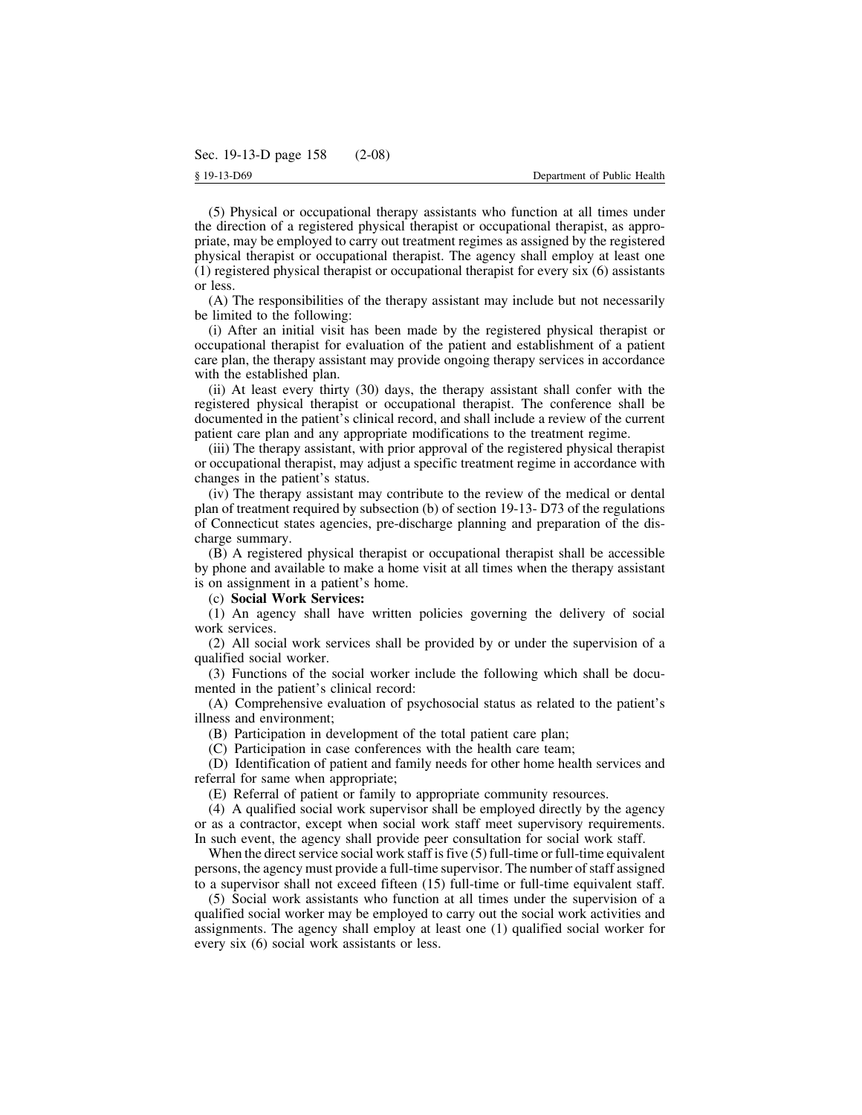(5) Physical or occupational therapy assistants who function at all times under the direction of a registered physical therapist or occupational therapist, as appropriate, may be employed to carry out treatment regimes as assigned by the registered physical therapist or occupational therapist. The agency shall employ at least one (1) registered physical therapist or occupational therapist for every six (6) assistants or less.

(A) The responsibilities of the therapy assistant may include but not necessarily be limited to the following:

(i) After an initial visit has been made by the registered physical therapist or occupational therapist for evaluation of the patient and establishment of a patient care plan, the therapy assistant may provide ongoing therapy services in accordance with the established plan.

(ii) At least every thirty (30) days, the therapy assistant shall confer with the registered physical therapist or occupational therapist. The conference shall be documented in the patient's clinical record, and shall include a review of the current patient care plan and any appropriate modifications to the treatment regime.

(iii) The therapy assistant, with prior approval of the registered physical therapist or occupational therapist, may adjust a specific treatment regime in accordance with changes in the patient's status.

(iv) The therapy assistant may contribute to the review of the medical or dental plan of treatment required by subsection (b) of section 19-13- D73 of the regulations of Connecticut states agencies, pre-discharge planning and preparation of the discharge summary.

(B) A registered physical therapist or occupational therapist shall be accessible by phone and available to make a home visit at all times when the therapy assistant is on assignment in a patient's home.

#### (c) **Social Work Services:**

(1) An agency shall have written policies governing the delivery of social work services.

(2) All social work services shall be provided by or under the supervision of a qualified social worker.

(3) Functions of the social worker include the following which shall be documented in the patient's clinical record:

(A) Comprehensive evaluation of psychosocial status as related to the patient's illness and environment;

(B) Participation in development of the total patient care plan;

(C) Participation in case conferences with the health care team;

(D) Identification of patient and family needs for other home health services and referral for same when appropriate;

(E) Referral of patient or family to appropriate community resources.

(4) A qualified social work supervisor shall be employed directly by the agency or as a contractor, except when social work staff meet supervisory requirements. In such event, the agency shall provide peer consultation for social work staff.

When the direct service social work staff is five  $(5)$  full-time or full-time equivalent persons, the agency must provide a full-time supervisor. The number of staff assigned to a supervisor shall not exceed fifteen (15) full-time or full-time equivalent staff.

(5) Social work assistants who function at all times under the supervision of a qualified social worker may be employed to carry out the social work activities and assignments. The agency shall employ at least one (1) qualified social worker for every six (6) social work assistants or less.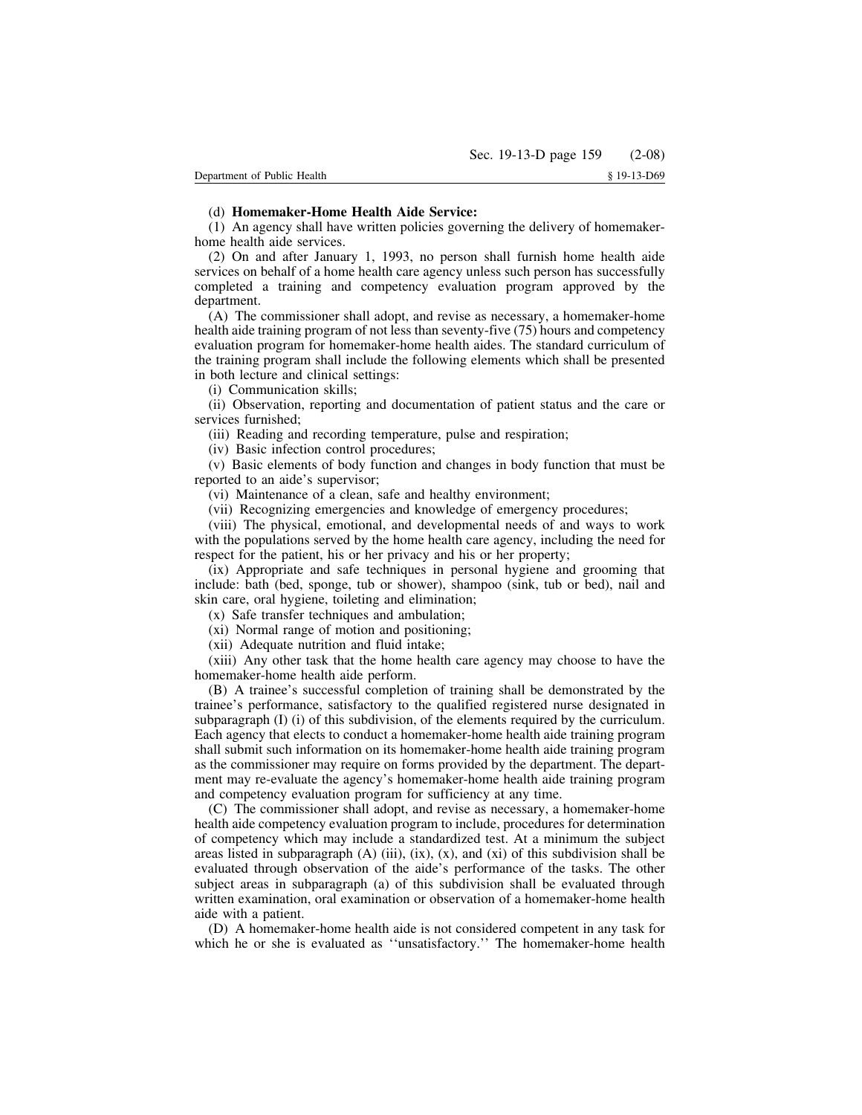# (d) **Homemaker-Home Health Aide Service:**

(1) An agency shall have written policies governing the delivery of homemakerhome health aide services.

(2) On and after January 1, 1993, no person shall furnish home health aide services on behalf of a home health care agency unless such person has successfully completed a training and competency evaluation program approved by the department.

(A) The commissioner shall adopt, and revise as necessary, a homemaker-home health aide training program of not less than seventy-five (75) hours and competency evaluation program for homemaker-home health aides. The standard curriculum of the training program shall include the following elements which shall be presented in both lecture and clinical settings:

(i) Communication skills;

(ii) Observation, reporting and documentation of patient status and the care or services furnished;

(iii) Reading and recording temperature, pulse and respiration;

(iv) Basic infection control procedures;

(v) Basic elements of body function and changes in body function that must be reported to an aide's supervisor;

(vi) Maintenance of a clean, safe and healthy environment;

(vii) Recognizing emergencies and knowledge of emergency procedures;

(viii) The physical, emotional, and developmental needs of and ways to work with the populations served by the home health care agency, including the need for respect for the patient, his or her privacy and his or her property;

(ix) Appropriate and safe techniques in personal hygiene and grooming that include: bath (bed, sponge, tub or shower), shampoo (sink, tub or bed), nail and skin care, oral hygiene, toileting and elimination;

(x) Safe transfer techniques and ambulation;

(xi) Normal range of motion and positioning;

(xii) Adequate nutrition and fluid intake;

(xiii) Any other task that the home health care agency may choose to have the homemaker-home health aide perform.

(B) A trainee's successful completion of training shall be demonstrated by the trainee's performance, satisfactory to the qualified registered nurse designated in subparagraph  $(I)$  (i) of this subdivision, of the elements required by the curriculum. Each agency that elects to conduct a homemaker-home health aide training program shall submit such information on its homemaker-home health aide training program as the commissioner may require on forms provided by the department. The department may re-evaluate the agency's homemaker-home health aide training program and competency evaluation program for sufficiency at any time.

(C) The commissioner shall adopt, and revise as necessary, a homemaker-home health aide competency evaluation program to include, procedures for determination of competency which may include a standardized test. At a minimum the subject areas listed in subparagraph  $(A)$  (iii),  $(ix)$ ,  $(x)$ , and  $(xi)$  of this subdivision shall be evaluated through observation of the aide's performance of the tasks. The other subject areas in subparagraph (a) of this subdivision shall be evaluated through written examination, oral examination or observation of a homemaker-home health aide with a patient.

(D) A homemaker-home health aide is not considered competent in any task for which he or she is evaluated as ''unsatisfactory.'' The homemaker-home health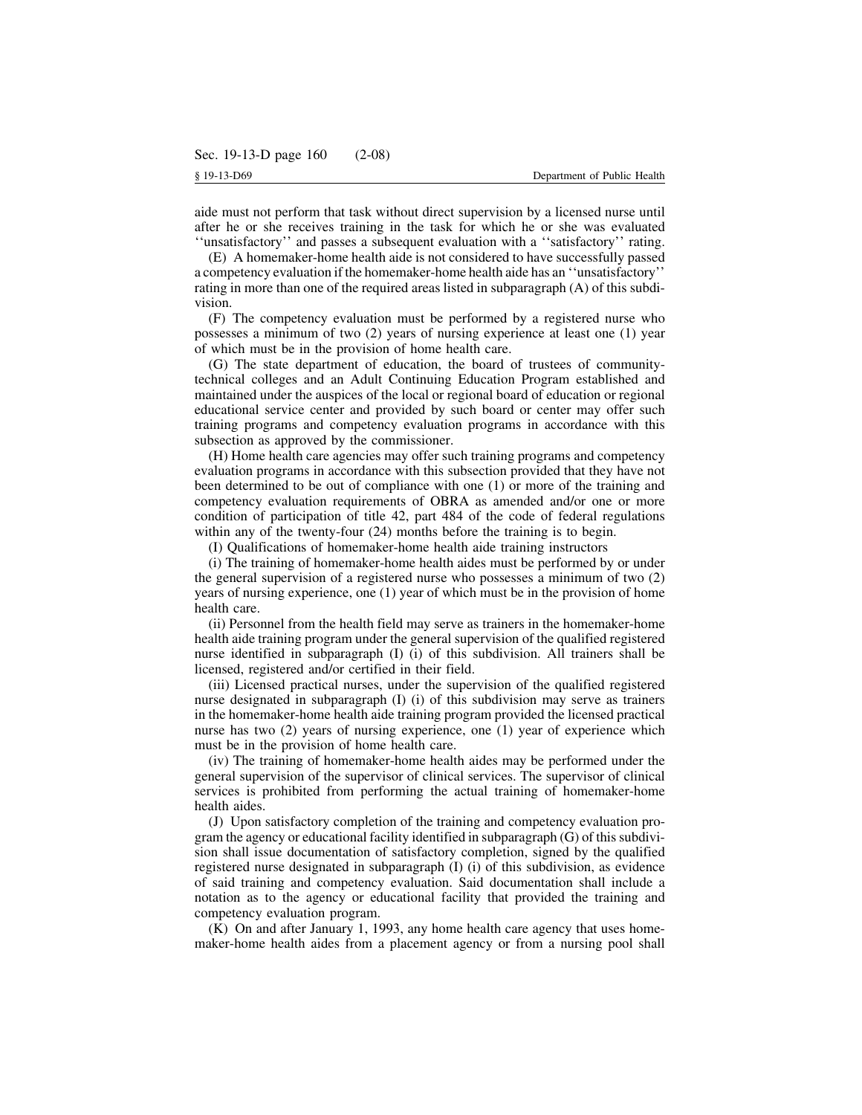aide must not perform that task without direct supervision by a licensed nurse until after he or she receives training in the task for which he or she was evaluated ''unsatisfactory'' and passes a subsequent evaluation with a ''satisfactory'' rating.

(E) A homemaker-home health aide is not considered to have successfully passed a competency evaluation if the homemaker-home health aide has an ''unsatisfactory'' rating in more than one of the required areas listed in subparagraph (A) of this subdivision.

(F) The competency evaluation must be performed by a registered nurse who possesses a minimum of two (2) years of nursing experience at least one (1) year of which must be in the provision of home health care.

(G) The state department of education, the board of trustees of communitytechnical colleges and an Adult Continuing Education Program established and maintained under the auspices of the local or regional board of education or regional educational service center and provided by such board or center may offer such training programs and competency evaluation programs in accordance with this subsection as approved by the commissioner.

(H) Home health care agencies may offer such training programs and competency evaluation programs in accordance with this subsection provided that they have not been determined to be out of compliance with one (1) or more of the training and competency evaluation requirements of OBRA as amended and/or one or more condition of participation of title 42, part 484 of the code of federal regulations within any of the twenty-four (24) months before the training is to begin.

(I) Qualifications of homemaker-home health aide training instructors

(i) The training of homemaker-home health aides must be performed by or under the general supervision of a registered nurse who possesses a minimum of two (2) years of nursing experience, one (1) year of which must be in the provision of home health care.

(ii) Personnel from the health field may serve as trainers in the homemaker-home health aide training program under the general supervision of the qualified registered nurse identified in subparagraph (I) (i) of this subdivision. All trainers shall be licensed, registered and/or certified in their field.

(iii) Licensed practical nurses, under the supervision of the qualified registered nurse designated in subparagraph (I) (i) of this subdivision may serve as trainers in the homemaker-home health aide training program provided the licensed practical nurse has two (2) years of nursing experience, one (1) year of experience which must be in the provision of home health care.

(iv) The training of homemaker-home health aides may be performed under the general supervision of the supervisor of clinical services. The supervisor of clinical services is prohibited from performing the actual training of homemaker-home health aides.

(J) Upon satisfactory completion of the training and competency evaluation program the agency or educational facility identified in subparagraph  $(G)$  of this subdivision shall issue documentation of satisfactory completion, signed by the qualified registered nurse designated in subparagraph (I) (i) of this subdivision, as evidence of said training and competency evaluation. Said documentation shall include a notation as to the agency or educational facility that provided the training and competency evaluation program.

(K) On and after January 1, 1993, any home health care agency that uses homemaker-home health aides from a placement agency or from a nursing pool shall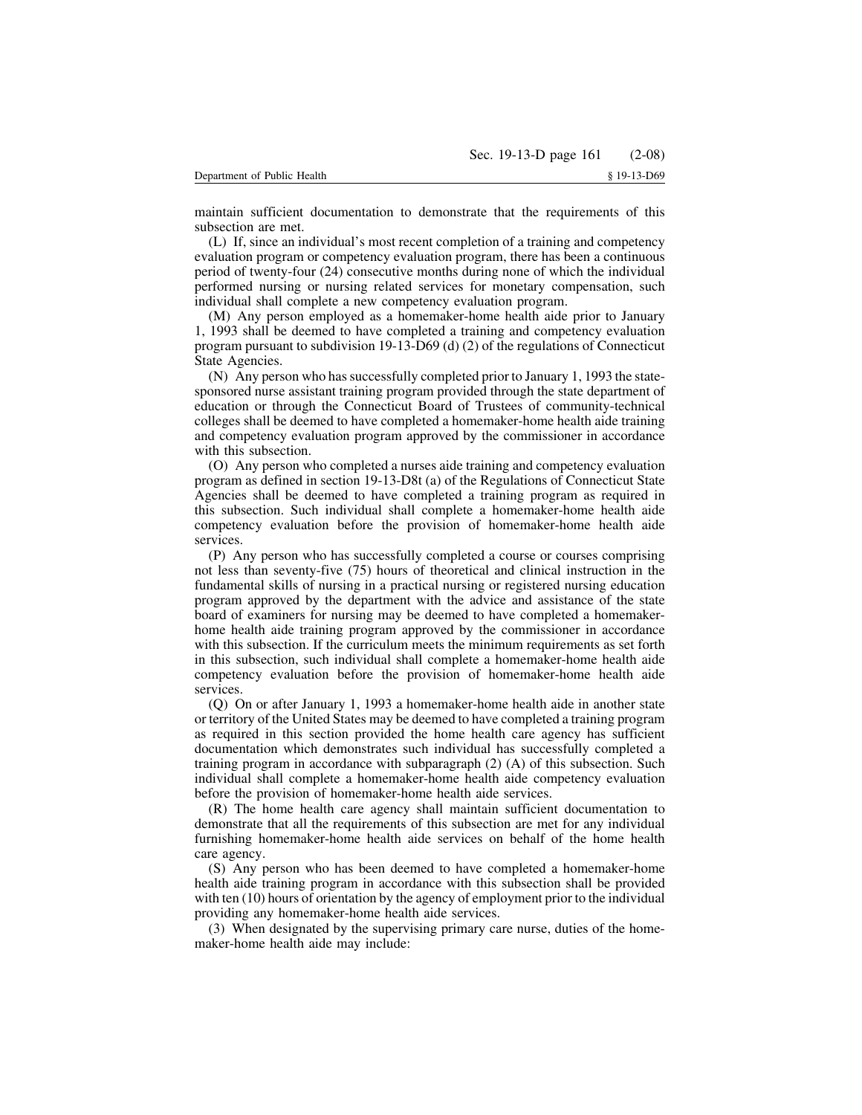maintain sufficient documentation to demonstrate that the requirements of this subsection are met.

(L) If, since an individual's most recent completion of a training and competency evaluation program or competency evaluation program, there has been a continuous period of twenty-four (24) consecutive months during none of which the individual performed nursing or nursing related services for monetary compensation, such individual shall complete a new competency evaluation program.

(M) Any person employed as a homemaker-home health aide prior to January 1, 1993 shall be deemed to have completed a training and competency evaluation program pursuant to subdivision 19-13-D69 (d) (2) of the regulations of Connecticut State Agencies.

(N) Any person who hassuccessfully completed prior to January 1, 1993 the statesponsored nurse assistant training program provided through the state department of education or through the Connecticut Board of Trustees of community-technical colleges shall be deemed to have completed a homemaker-home health aide training and competency evaluation program approved by the commissioner in accordance with this subsection.

(O) Any person who completed a nurses aide training and competency evaluation program as defined in section 19-13-D8t (a) of the Regulations of Connecticut State Agencies shall be deemed to have completed a training program as required in this subsection. Such individual shall complete a homemaker-home health aide competency evaluation before the provision of homemaker-home health aide services.

(P) Any person who has successfully completed a course or courses comprising not less than seventy-five (75) hours of theoretical and clinical instruction in the fundamental skills of nursing in a practical nursing or registered nursing education program approved by the department with the advice and assistance of the state board of examiners for nursing may be deemed to have completed a homemakerhome health aide training program approved by the commissioner in accordance with this subsection. If the curriculum meets the minimum requirements as set forth in this subsection, such individual shall complete a homemaker-home health aide competency evaluation before the provision of homemaker-home health aide services.

(Q) On or after January 1, 1993 a homemaker-home health aide in another state or territory of the United States may be deemed to have completed a training program as required in this section provided the home health care agency has sufficient documentation which demonstrates such individual has successfully completed a training program in accordance with subparagraph (2) (A) of this subsection. Such individual shall complete a homemaker-home health aide competency evaluation before the provision of homemaker-home health aide services.

(R) The home health care agency shall maintain sufficient documentation to demonstrate that all the requirements of this subsection are met for any individual furnishing homemaker-home health aide services on behalf of the home health care agency.

(S) Any person who has been deemed to have completed a homemaker-home health aide training program in accordance with this subsection shall be provided with ten (10) hours of orientation by the agency of employment prior to the individual providing any homemaker-home health aide services.

(3) When designated by the supervising primary care nurse, duties of the homemaker-home health aide may include: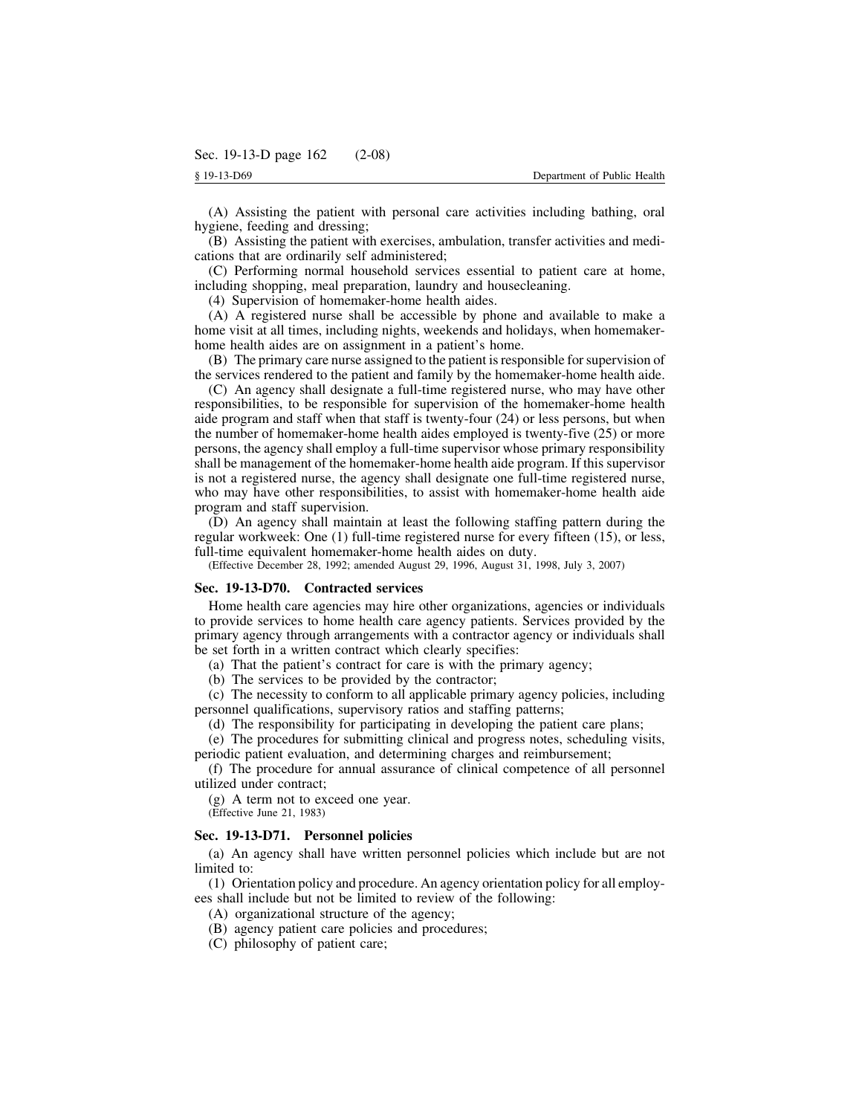(A) Assisting the patient with personal care activities including bathing, oral hygiene, feeding and dressing;

(B) Assisting the patient with exercises, ambulation, transfer activities and medications that are ordinarily self administered;

(C) Performing normal household services essential to patient care at home, including shopping, meal preparation, laundry and housecleaning.

(4) Supervision of homemaker-home health aides.

(A) A registered nurse shall be accessible by phone and available to make a home visit at all times, including nights, weekends and holidays, when homemakerhome health aides are on assignment in a patient's home.

(B) The primary care nurse assigned to the patient isresponsible forsupervision of the services rendered to the patient and family by the homemaker-home health aide.

(C) An agency shall designate a full-time registered nurse, who may have other responsibilities, to be responsible for supervision of the homemaker-home health aide program and staff when that staff is twenty-four (24) or less persons, but when the number of homemaker-home health aides employed is twenty-five (25) or more persons, the agency shall employ a full-time supervisor whose primary responsibility shall be management of the homemaker-home health aide program. If this supervisor is not a registered nurse, the agency shall designate one full-time registered nurse, who may have other responsibilities, to assist with homemaker-home health aide program and staff supervision.

(D) An agency shall maintain at least the following staffing pattern during the regular workweek: One (1) full-time registered nurse for every fifteen (15), or less, full-time equivalent homemaker-home health aides on duty.

(Effective December 28, 1992; amended August 29, 1996, August 31, 1998, July 3, 2007)

#### **Sec. 19-13-D70. Contracted services**

Home health care agencies may hire other organizations, agencies or individuals to provide services to home health care agency patients. Services provided by the primary agency through arrangements with a contractor agency or individuals shall be set forth in a written contract which clearly specifies:

(a) That the patient's contract for care is with the primary agency;

(b) The services to be provided by the contractor;

(c) The necessity to conform to all applicable primary agency policies, including personnel qualifications, supervisory ratios and staffing patterns;

(d) The responsibility for participating in developing the patient care plans;

(e) The procedures for submitting clinical and progress notes, scheduling visits, periodic patient evaluation, and determining charges and reimbursement;

(f) The procedure for annual assurance of clinical competence of all personnel utilized under contract;

(g) A term not to exceed one year.

(Effective June 21, 1983)

#### **Sec. 19-13-D71. Personnel policies**

(a) An agency shall have written personnel policies which include but are not limited to:

(1) Orientation policy and procedure. An agency orientation policy for all employees shall include but not be limited to review of the following:

- (A) organizational structure of the agency;
- (B) agency patient care policies and procedures;
- (C) philosophy of patient care;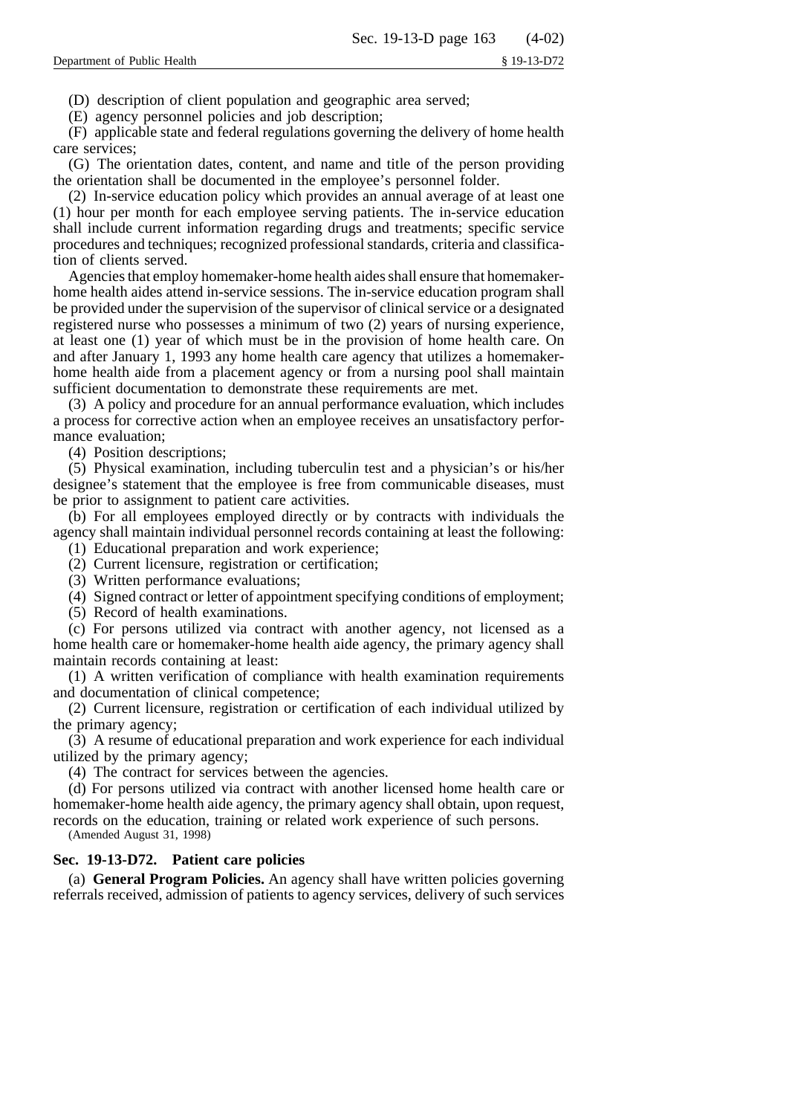(D) description of client population and geographic area served;

(E) agency personnel policies and job description;

(F) applicable state and federal regulations governing the delivery of home health care services;

(G) The orientation dates, content, and name and title of the person providing the orientation shall be documented in the employee's personnel folder.

(2) In-service education policy which provides an annual average of at least one (1) hour per month for each employee serving patients. The in-service education shall include current information regarding drugs and treatments; specific service procedures and techniques; recognized professional standards, criteria and classification of clients served.

Agencies that employ homemaker-home health aides shall ensure that homemakerhome health aides attend in-service sessions. The in-service education program shall be provided under the supervision of the supervisor of clinical service or a designated registered nurse who possesses a minimum of two (2) years of nursing experience, at least one (1) year of which must be in the provision of home health care. On and after January 1, 1993 any home health care agency that utilizes a homemakerhome health aide from a placement agency or from a nursing pool shall maintain sufficient documentation to demonstrate these requirements are met.

(3) A policy and procedure for an annual performance evaluation, which includes a process for corrective action when an employee receives an unsatisfactory performance evaluation;

(4) Position descriptions;

(5) Physical examination, including tuberculin test and a physician's or his/her designee's statement that the employee is free from communicable diseases, must be prior to assignment to patient care activities.

(b) For all employees employed directly or by contracts with individuals the agency shall maintain individual personnel records containing at least the following:

(1) Educational preparation and work experience;

(2) Current licensure, registration or certification;

(3) Written performance evaluations;

(4) Signed contract or letter of appointment specifying conditions of employment;

(5) Record of health examinations.

(c) For persons utilized via contract with another agency, not licensed as a home health care or homemaker-home health aide agency, the primary agency shall maintain records containing at least:

(1) A written verification of compliance with health examination requirements and documentation of clinical competence;

(2) Current licensure, registration or certification of each individual utilized by the primary agency;

(3) A resume of educational preparation and work experience for each individual utilized by the primary agency;

(4) The contract for services between the agencies.

(d) For persons utilized via contract with another licensed home health care or homemaker-home health aide agency, the primary agency shall obtain, upon request, records on the education, training or related work experience of such persons.

(Amended August 31, 1998)

# **Sec. 19-13-D72. Patient care policies**

(a) **General Program Policies.** An agency shall have written policies governing referrals received, admission of patients to agency services, delivery of such services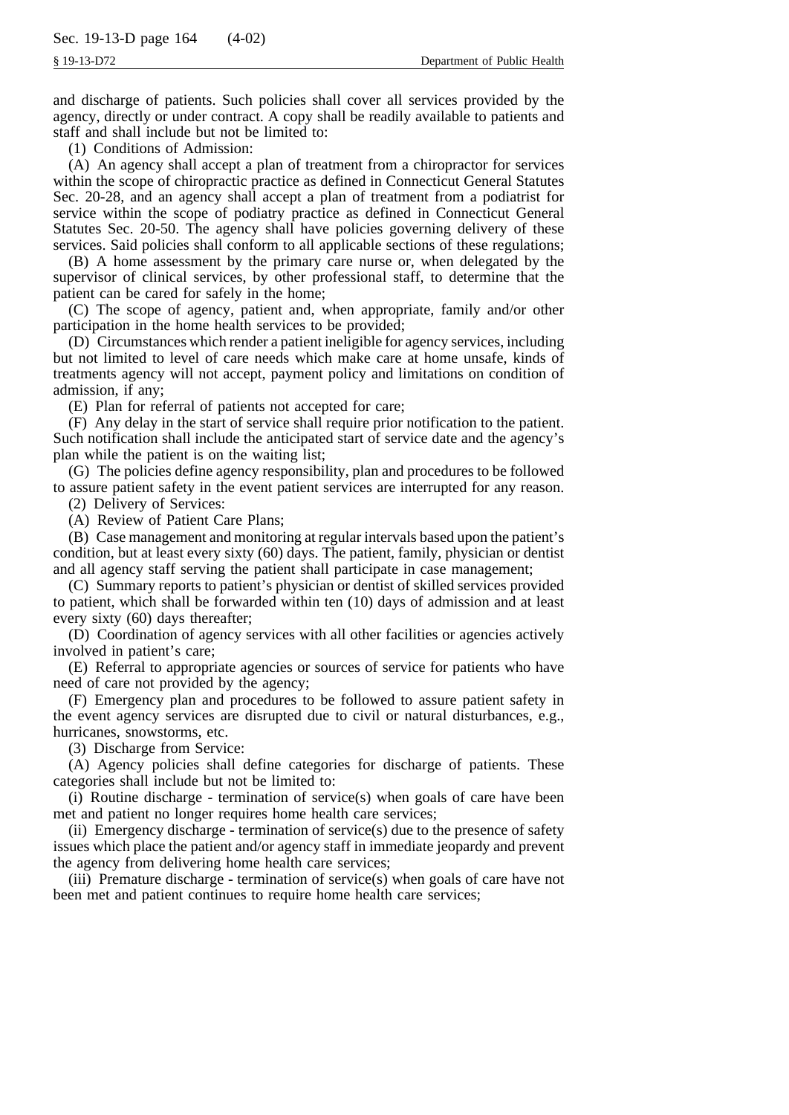and discharge of patients. Such policies shall cover all services provided by the agency, directly or under contract. A copy shall be readily available to patients and staff and shall include but not be limited to:

(1) Conditions of Admission:

(A) An agency shall accept a plan of treatment from a chiropractor for services within the scope of chiropractic practice as defined in Connecticut General Statutes Sec. 20-28, and an agency shall accept a plan of treatment from a podiatrist for service within the scope of podiatry practice as defined in Connecticut General Statutes Sec. 20-50. The agency shall have policies governing delivery of these services. Said policies shall conform to all applicable sections of these regulations;

(B) A home assessment by the primary care nurse or, when delegated by the supervisor of clinical services, by other professional staff, to determine that the patient can be cared for safely in the home;

(C) The scope of agency, patient and, when appropriate, family and/or other participation in the home health services to be provided;

(D) Circumstances which render a patient ineligible for agency services, including but not limited to level of care needs which make care at home unsafe, kinds of treatments agency will not accept, payment policy and limitations on condition of admission, if any;

(E) Plan for referral of patients not accepted for care;

(F) Any delay in the start of service shall require prior notification to the patient. Such notification shall include the anticipated start of service date and the agency's plan while the patient is on the waiting list;

(G) The policies define agency responsibility, plan and procedures to be followed to assure patient safety in the event patient services are interrupted for any reason.

(2) Delivery of Services:

(A) Review of Patient Care Plans;

(B) Case management and monitoring at regular intervals based upon the patient's condition, but at least every sixty (60) days. The patient, family, physician or dentist and all agency staff serving the patient shall participate in case management;

(C) Summary reports to patient's physician or dentist of skilled services provided to patient, which shall be forwarded within ten (10) days of admission and at least every sixty (60) days thereafter;

(D) Coordination of agency services with all other facilities or agencies actively involved in patient's care;

(E) Referral to appropriate agencies or sources of service for patients who have need of care not provided by the agency;

(F) Emergency plan and procedures to be followed to assure patient safety in the event agency services are disrupted due to civil or natural disturbances, e.g., hurricanes, snowstorms, etc.

(3) Discharge from Service:

(A) Agency policies shall define categories for discharge of patients. These categories shall include but not be limited to:

(i) Routine discharge - termination of service(s) when goals of care have been met and patient no longer requires home health care services;

(ii) Emergency discharge - termination of service(s) due to the presence of safety issues which place the patient and/or agency staff in immediate jeopardy and prevent the agency from delivering home health care services;

(iii) Premature discharge - termination of service(s) when goals of care have not been met and patient continues to require home health care services;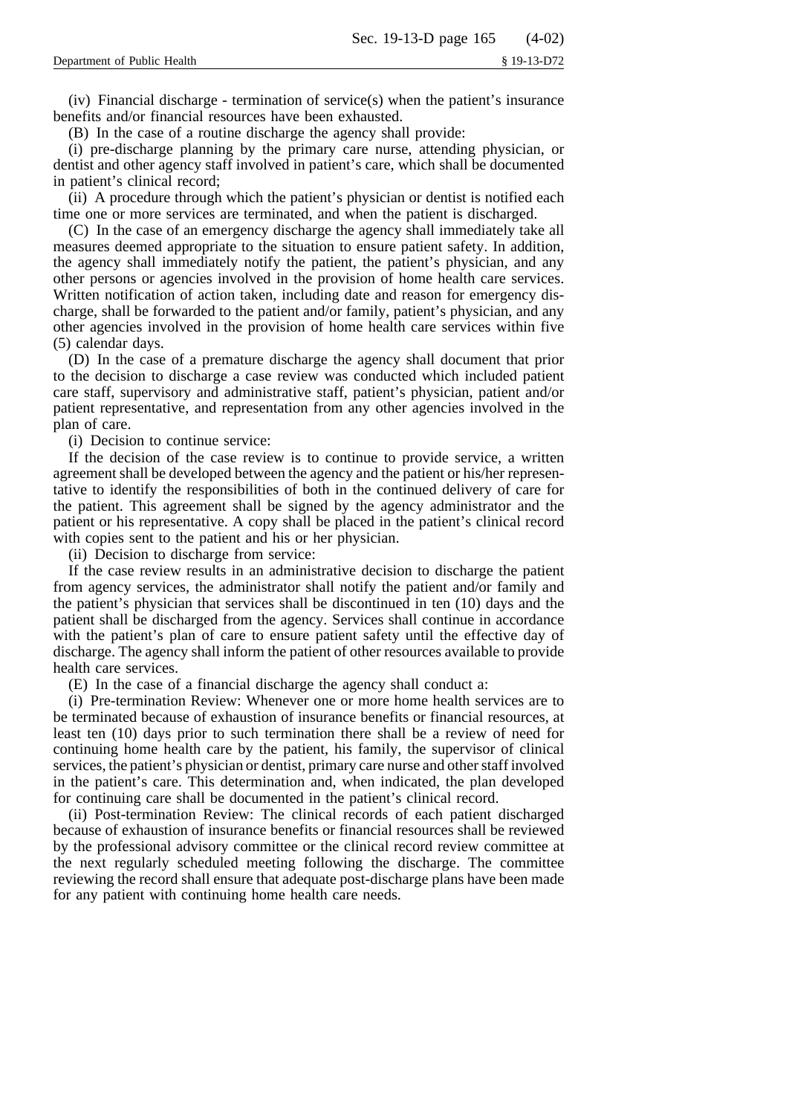$(iv)$  Financial discharge - termination of service(s) when the patient's insurance benefits and/or financial resources have been exhausted.

(B) In the case of a routine discharge the agency shall provide:

(i) pre-discharge planning by the primary care nurse, attending physician, or dentist and other agency staff involved in patient's care, which shall be documented in patient's clinical record;

(ii) A procedure through which the patient's physician or dentist is notified each time one or more services are terminated, and when the patient is discharged.

(C) In the case of an emergency discharge the agency shall immediately take all measures deemed appropriate to the situation to ensure patient safety. In addition, the agency shall immediately notify the patient, the patient's physician, and any other persons or agencies involved in the provision of home health care services. Written notification of action taken, including date and reason for emergency discharge, shall be forwarded to the patient and/or family, patient's physician, and any other agencies involved in the provision of home health care services within five (5) calendar days.

(D) In the case of a premature discharge the agency shall document that prior to the decision to discharge a case review was conducted which included patient care staff, supervisory and administrative staff, patient's physician, patient and/or patient representative, and representation from any other agencies involved in the plan of care.

(i) Decision to continue service:

If the decision of the case review is to continue to provide service, a written agreement shall be developed between the agency and the patient or his/her representative to identify the responsibilities of both in the continued delivery of care for the patient. This agreement shall be signed by the agency administrator and the patient or his representative. A copy shall be placed in the patient's clinical record with copies sent to the patient and his or her physician.

(ii) Decision to discharge from service:

If the case review results in an administrative decision to discharge the patient from agency services, the administrator shall notify the patient and/or family and the patient's physician that services shall be discontinued in ten (10) days and the patient shall be discharged from the agency. Services shall continue in accordance with the patient's plan of care to ensure patient safety until the effective day of discharge. The agency shall inform the patient of other resources available to provide health care services.

(E) In the case of a financial discharge the agency shall conduct a:

(i) Pre-termination Review: Whenever one or more home health services are to be terminated because of exhaustion of insurance benefits or financial resources, at least ten (10) days prior to such termination there shall be a review of need for continuing home health care by the patient, his family, the supervisor of clinical services, the patient's physician or dentist, primary care nurse and other staff involved in the patient's care. This determination and, when indicated, the plan developed for continuing care shall be documented in the patient's clinical record.

(ii) Post-termination Review: The clinical records of each patient discharged because of exhaustion of insurance benefits or financial resources shall be reviewed by the professional advisory committee or the clinical record review committee at the next regularly scheduled meeting following the discharge. The committee reviewing the record shall ensure that adequate post-discharge plans have been made for any patient with continuing home health care needs.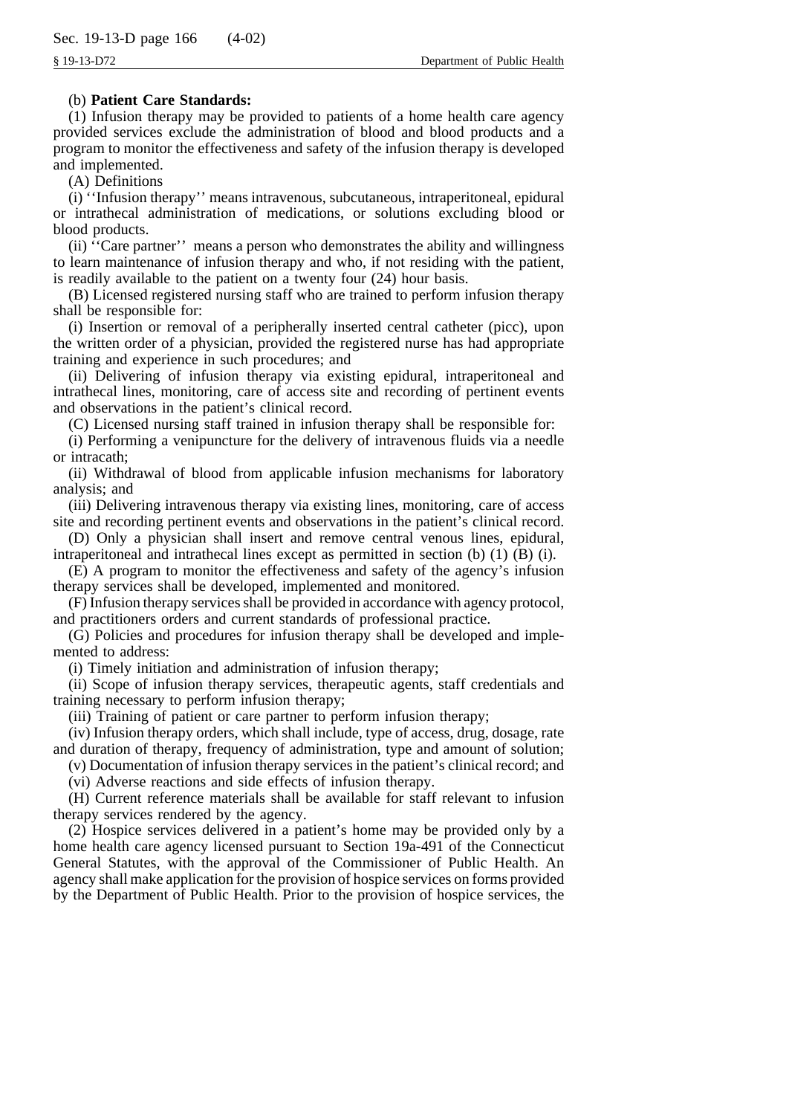# (b) **Patient Care Standards:**

(1) Infusion therapy may be provided to patients of a home health care agency provided services exclude the administration of blood and blood products and a program to monitor the effectiveness and safety of the infusion therapy is developed and implemented.

(A) Definitions

(i) ''Infusion therapy'' means intravenous, subcutaneous, intraperitoneal, epidural or intrathecal administration of medications, or solutions excluding blood or blood products.

(ii) ''Care partner'' means a person who demonstrates the ability and willingness to learn maintenance of infusion therapy and who, if not residing with the patient, is readily available to the patient on a twenty four (24) hour basis.

(B) Licensed registered nursing staff who are trained to perform infusion therapy shall be responsible for:

(i) Insertion or removal of a peripherally inserted central catheter (picc), upon the written order of a physician, provided the registered nurse has had appropriate training and experience in such procedures; and

(ii) Delivering of infusion therapy via existing epidural, intraperitoneal and intrathecal lines, monitoring, care of access site and recording of pertinent events and observations in the patient's clinical record.

(C) Licensed nursing staff trained in infusion therapy shall be responsible for:

(i) Performing a venipuncture for the delivery of intravenous fluids via a needle or intracath;

(ii) Withdrawal of blood from applicable infusion mechanisms for laboratory analysis; and

(iii) Delivering intravenous therapy via existing lines, monitoring, care of access site and recording pertinent events and observations in the patient's clinical record.

(D) Only a physician shall insert and remove central venous lines, epidural, intraperitoneal and intrathecal lines except as permitted in section  $(b)$   $(1)$   $(B)$   $(i)$ .

(E) A program to monitor the effectiveness and safety of the agency's infusion therapy services shall be developed, implemented and monitored.

(F) Infusion therapy services shall be provided in accordance with agency protocol, and practitioners orders and current standards of professional practice.

(G) Policies and procedures for infusion therapy shall be developed and implemented to address:

(i) Timely initiation and administration of infusion therapy;

(ii) Scope of infusion therapy services, therapeutic agents, staff credentials and training necessary to perform infusion therapy;

(iii) Training of patient or care partner to perform infusion therapy;

(iv) Infusion therapy orders, which shall include, type of access, drug, dosage, rate and duration of therapy, frequency of administration, type and amount of solution;

(v) Documentation of infusion therapy services in the patient's clinical record; and

(vi) Adverse reactions and side effects of infusion therapy.

(H) Current reference materials shall be available for staff relevant to infusion therapy services rendered by the agency.

(2) Hospice services delivered in a patient's home may be provided only by a home health care agency licensed pursuant to Section 19a-491 of the Connecticut General Statutes, with the approval of the Commissioner of Public Health. An agency shall make application for the provision of hospice services on forms provided by the Department of Public Health. Prior to the provision of hospice services, the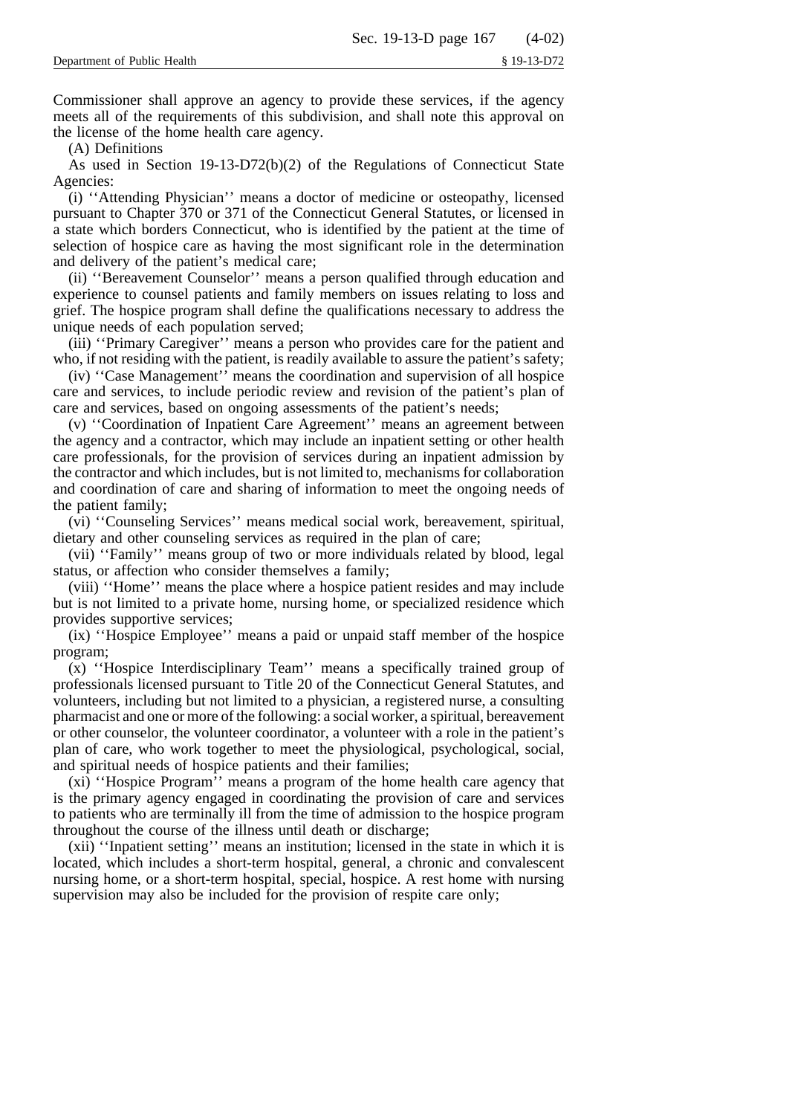Commissioner shall approve an agency to provide these services, if the agency meets all of the requirements of this subdivision, and shall note this approval on the license of the home health care agency.

(A) Definitions

As used in Section 19-13-D72(b)(2) of the Regulations of Connecticut State Agencies:

(i) ''Attending Physician'' means a doctor of medicine or osteopathy, licensed pursuant to Chapter 370 or 371 of the Connecticut General Statutes, or licensed in a state which borders Connecticut, who is identified by the patient at the time of selection of hospice care as having the most significant role in the determination and delivery of the patient's medical care;

(ii) ''Bereavement Counselor'' means a person qualified through education and experience to counsel patients and family members on issues relating to loss and grief. The hospice program shall define the qualifications necessary to address the unique needs of each population served;

(iii) ''Primary Caregiver'' means a person who provides care for the patient and who, if not residing with the patient, is readily available to assure the patient's safety;

(iv) ''Case Management'' means the coordination and supervision of all hospice care and services, to include periodic review and revision of the patient's plan of care and services, based on ongoing assessments of the patient's needs;

(v) ''Coordination of Inpatient Care Agreement'' means an agreement between the agency and a contractor, which may include an inpatient setting or other health care professionals, for the provision of services during an inpatient admission by the contractor and which includes, but is not limited to, mechanisms for collaboration and coordination of care and sharing of information to meet the ongoing needs of the patient family;

(vi) ''Counseling Services'' means medical social work, bereavement, spiritual, dietary and other counseling services as required in the plan of care;

(vii) ''Family'' means group of two or more individuals related by blood, legal status, or affection who consider themselves a family;

(viii) ''Home'' means the place where a hospice patient resides and may include but is not limited to a private home, nursing home, or specialized residence which provides supportive services;

(ix) ''Hospice Employee'' means a paid or unpaid staff member of the hospice program;

(x) ''Hospice Interdisciplinary Team'' means a specifically trained group of professionals licensed pursuant to Title 20 of the Connecticut General Statutes, and volunteers, including but not limited to a physician, a registered nurse, a consulting pharmacist and one or more of the following: a social worker, a spiritual, bereavement or other counselor, the volunteer coordinator, a volunteer with a role in the patient's plan of care, who work together to meet the physiological, psychological, social, and spiritual needs of hospice patients and their families;

(xi) ''Hospice Program'' means a program of the home health care agency that is the primary agency engaged in coordinating the provision of care and services to patients who are terminally ill from the time of admission to the hospice program throughout the course of the illness until death or discharge;

(xii) ''Inpatient setting'' means an institution; licensed in the state in which it is located, which includes a short-term hospital, general, a chronic and convalescent nursing home, or a short-term hospital, special, hospice. A rest home with nursing supervision may also be included for the provision of respite care only;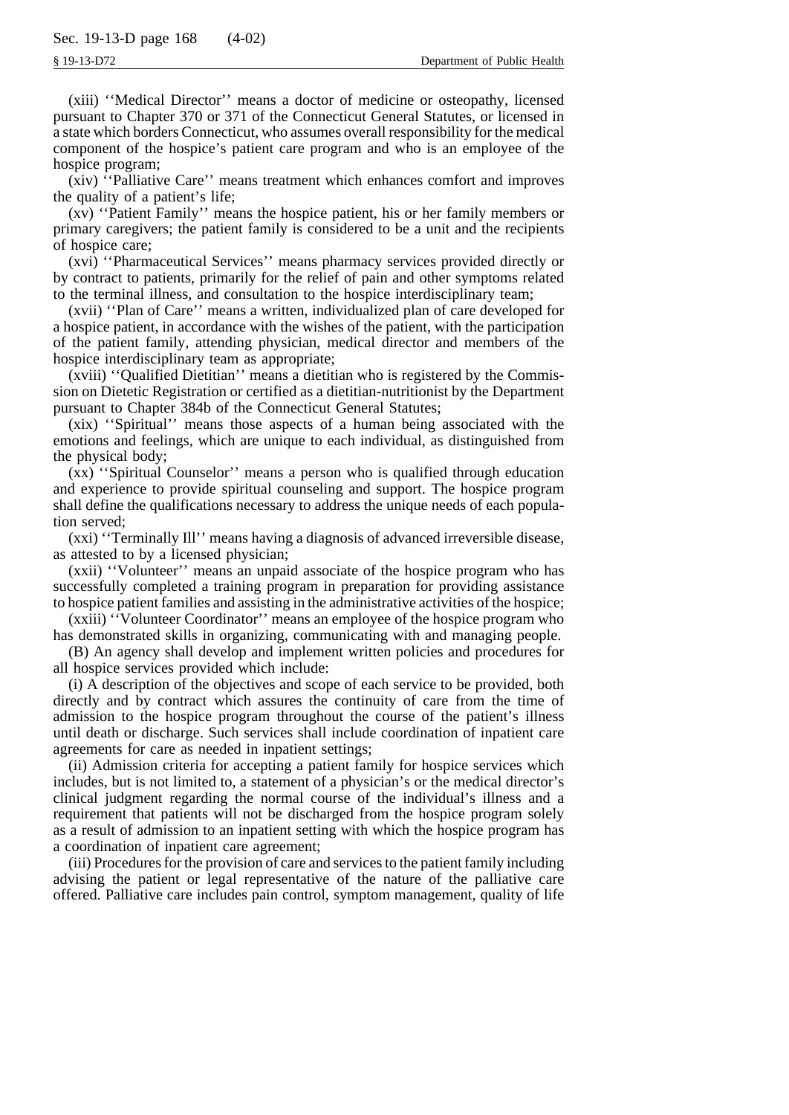(xiii) ''Medical Director'' means a doctor of medicine or osteopathy, licensed pursuant to Chapter 370 or 371 of the Connecticut General Statutes, or licensed in a state which borders Connecticut, who assumes overall responsibility for the medical component of the hospice's patient care program and who is an employee of the hospice program;

(xiv) ''Palliative Care'' means treatment which enhances comfort and improves the quality of a patient's life;

(xv) ''Patient Family'' means the hospice patient, his or her family members or primary caregivers; the patient family is considered to be a unit and the recipients of hospice care;

(xvi) ''Pharmaceutical Services'' means pharmacy services provided directly or by contract to patients, primarily for the relief of pain and other symptoms related to the terminal illness, and consultation to the hospice interdisciplinary team;

(xvii) ''Plan of Care'' means a written, individualized plan of care developed for a hospice patient, in accordance with the wishes of the patient, with the participation of the patient family, attending physician, medical director and members of the hospice interdisciplinary team as appropriate;

(xviii) ''Qualified Dietitian'' means a dietitian who is registered by the Commission on Dietetic Registration or certified as a dietitian-nutritionist by the Department pursuant to Chapter 384b of the Connecticut General Statutes;

(xix) ''Spiritual'' means those aspects of a human being associated with the emotions and feelings, which are unique to each individual, as distinguished from the physical body;

(xx) ''Spiritual Counselor'' means a person who is qualified through education and experience to provide spiritual counseling and support. The hospice program shall define the qualifications necessary to address the unique needs of each population served;

(xxi) ''Terminally Ill'' means having a diagnosis of advanced irreversible disease, as attested to by a licensed physician;

(xxii) ''Volunteer'' means an unpaid associate of the hospice program who has successfully completed a training program in preparation for providing assistance to hospice patient families and assisting in the administrative activities of the hospice;

(xxiii) ''Volunteer Coordinator'' means an employee of the hospice program who has demonstrated skills in organizing, communicating with and managing people.

(B) An agency shall develop and implement written policies and procedures for all hospice services provided which include:

(i) A description of the objectives and scope of each service to be provided, both directly and by contract which assures the continuity of care from the time of admission to the hospice program throughout the course of the patient's illness until death or discharge. Such services shall include coordination of inpatient care agreements for care as needed in inpatient settings;

(ii) Admission criteria for accepting a patient family for hospice services which includes, but is not limited to, a statement of a physician's or the medical director's clinical judgment regarding the normal course of the individual's illness and a requirement that patients will not be discharged from the hospice program solely as a result of admission to an inpatient setting with which the hospice program has a coordination of inpatient care agreement;

(iii) Procedures for the provision of care and services to the patient family including advising the patient or legal representative of the nature of the palliative care offered. Palliative care includes pain control, symptom management, quality of life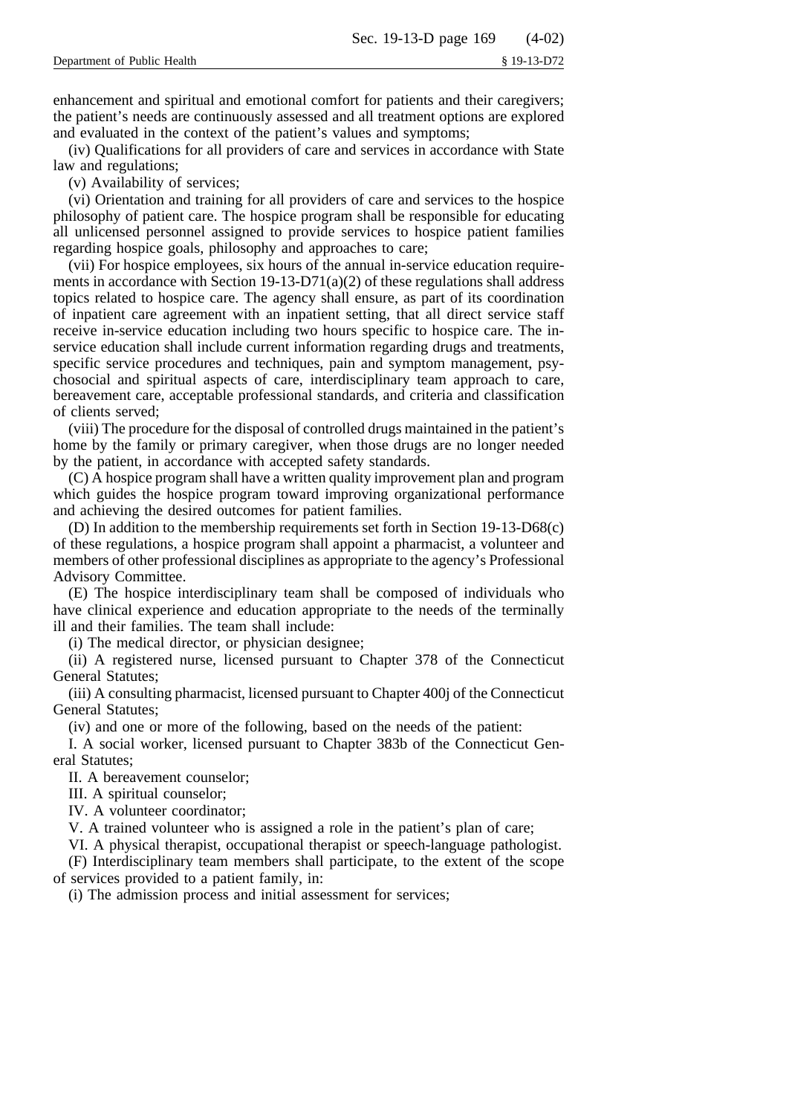enhancement and spiritual and emotional comfort for patients and their caregivers; the patient's needs are continuously assessed and all treatment options are explored and evaluated in the context of the patient's values and symptoms;

(iv) Qualifications for all providers of care and services in accordance with State law and regulations;

(v) Availability of services;

(vi) Orientation and training for all providers of care and services to the hospice philosophy of patient care. The hospice program shall be responsible for educating all unlicensed personnel assigned to provide services to hospice patient families regarding hospice goals, philosophy and approaches to care;

(vii) For hospice employees, six hours of the annual in-service education requirements in accordance with Section 19-13-D71(a)(2) of these regulations shall address topics related to hospice care. The agency shall ensure, as part of its coordination of inpatient care agreement with an inpatient setting, that all direct service staff receive in-service education including two hours specific to hospice care. The inservice education shall include current information regarding drugs and treatments, specific service procedures and techniques, pain and symptom management, psychosocial and spiritual aspects of care, interdisciplinary team approach to care, bereavement care, acceptable professional standards, and criteria and classification of clients served;

(viii) The procedure for the disposal of controlled drugs maintained in the patient's home by the family or primary caregiver, when those drugs are no longer needed by the patient, in accordance with accepted safety standards.

(C) A hospice program shall have a written quality improvement plan and program which guides the hospice program toward improving organizational performance and achieving the desired outcomes for patient families.

(D) In addition to the membership requirements set forth in Section 19-13-D68(c) of these regulations, a hospice program shall appoint a pharmacist, a volunteer and members of other professional disciplines as appropriate to the agency's Professional Advisory Committee.

(E) The hospice interdisciplinary team shall be composed of individuals who have clinical experience and education appropriate to the needs of the terminally ill and their families. The team shall include:

(i) The medical director, or physician designee;

(ii) A registered nurse, licensed pursuant to Chapter 378 of the Connecticut General Statutes;

(iii) A consulting pharmacist, licensed pursuant to Chapter 400j of the Connecticut General Statutes;

(iv) and one or more of the following, based on the needs of the patient:

I. A social worker, licensed pursuant to Chapter 383b of the Connecticut General Statutes;

II. A bereavement counselor;

III. A spiritual counselor;

IV. A volunteer coordinator;

V. A trained volunteer who is assigned a role in the patient's plan of care;

VI. A physical therapist, occupational therapist or speech-language pathologist.

(F) Interdisciplinary team members shall participate, to the extent of the scope of services provided to a patient family, in:

(i) The admission process and initial assessment for services;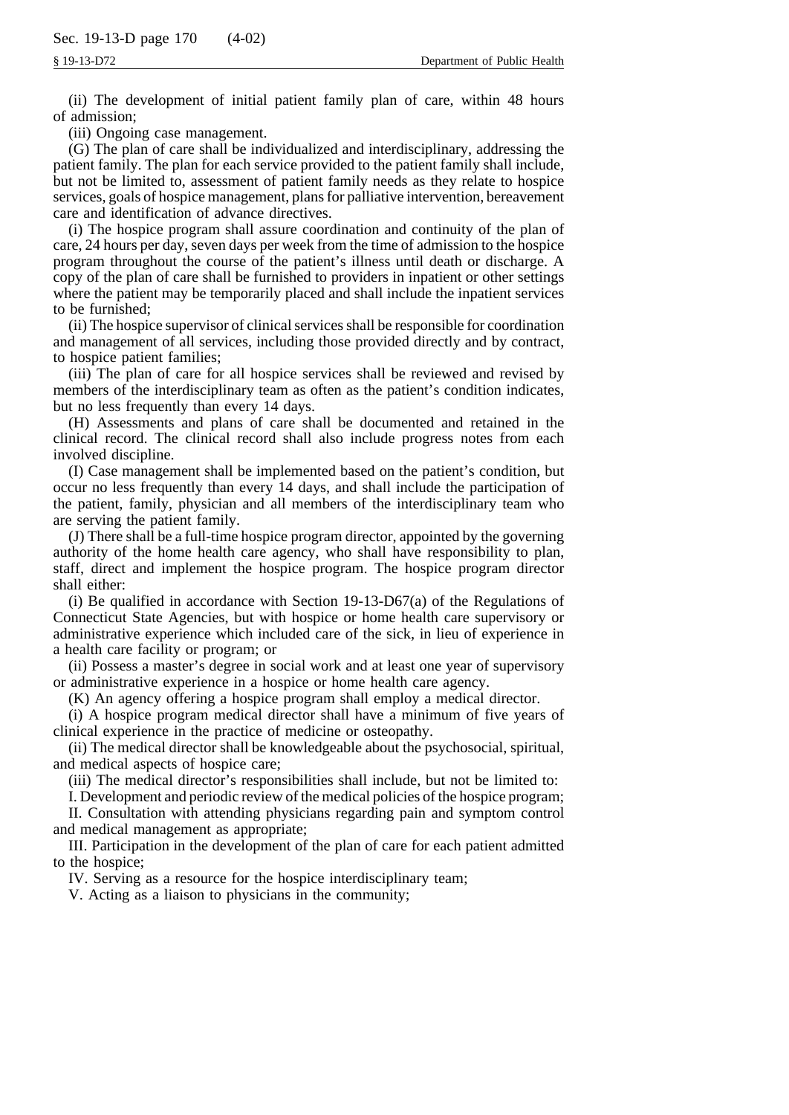(ii) The development of initial patient family plan of care, within 48 hours of admission;

(iii) Ongoing case management.

(G) The plan of care shall be individualized and interdisciplinary, addressing the patient family. The plan for each service provided to the patient family shall include, but not be limited to, assessment of patient family needs as they relate to hospice services, goals of hospice management, plans for palliative intervention, bereavement care and identification of advance directives.

(i) The hospice program shall assure coordination and continuity of the plan of care, 24 hours per day, seven days per week from the time of admission to the hospice program throughout the course of the patient's illness until death or discharge. A copy of the plan of care shall be furnished to providers in inpatient or other settings where the patient may be temporarily placed and shall include the inpatient services to be furnished;

(ii) The hospice supervisor of clinical services shall be responsible for coordination and management of all services, including those provided directly and by contract, to hospice patient families;

(iii) The plan of care for all hospice services shall be reviewed and revised by members of the interdisciplinary team as often as the patient's condition indicates, but no less frequently than every 14 days.

(H) Assessments and plans of care shall be documented and retained in the clinical record. The clinical record shall also include progress notes from each involved discipline.

(I) Case management shall be implemented based on the patient's condition, but occur no less frequently than every 14 days, and shall include the participation of the patient, family, physician and all members of the interdisciplinary team who are serving the patient family.

(J) There shall be a full-time hospice program director, appointed by the governing authority of the home health care agency, who shall have responsibility to plan, staff, direct and implement the hospice program. The hospice program director shall either:

(i) Be qualified in accordance with Section 19-13-D67(a) of the Regulations of Connecticut State Agencies, but with hospice or home health care supervisory or administrative experience which included care of the sick, in lieu of experience in a health care facility or program; or

(ii) Possess a master's degree in social work and at least one year of supervisory or administrative experience in a hospice or home health care agency.

(K) An agency offering a hospice program shall employ a medical director.

(i) A hospice program medical director shall have a minimum of five years of clinical experience in the practice of medicine or osteopathy.

(ii) The medical director shall be knowledgeable about the psychosocial, spiritual, and medical aspects of hospice care;

(iii) The medical director's responsibilities shall include, but not be limited to:

I. Development and periodic review of the medical policies of the hospice program;

II. Consultation with attending physicians regarding pain and symptom control and medical management as appropriate;

III. Participation in the development of the plan of care for each patient admitted to the hospice;

IV. Serving as a resource for the hospice interdisciplinary team;

V. Acting as a liaison to physicians in the community;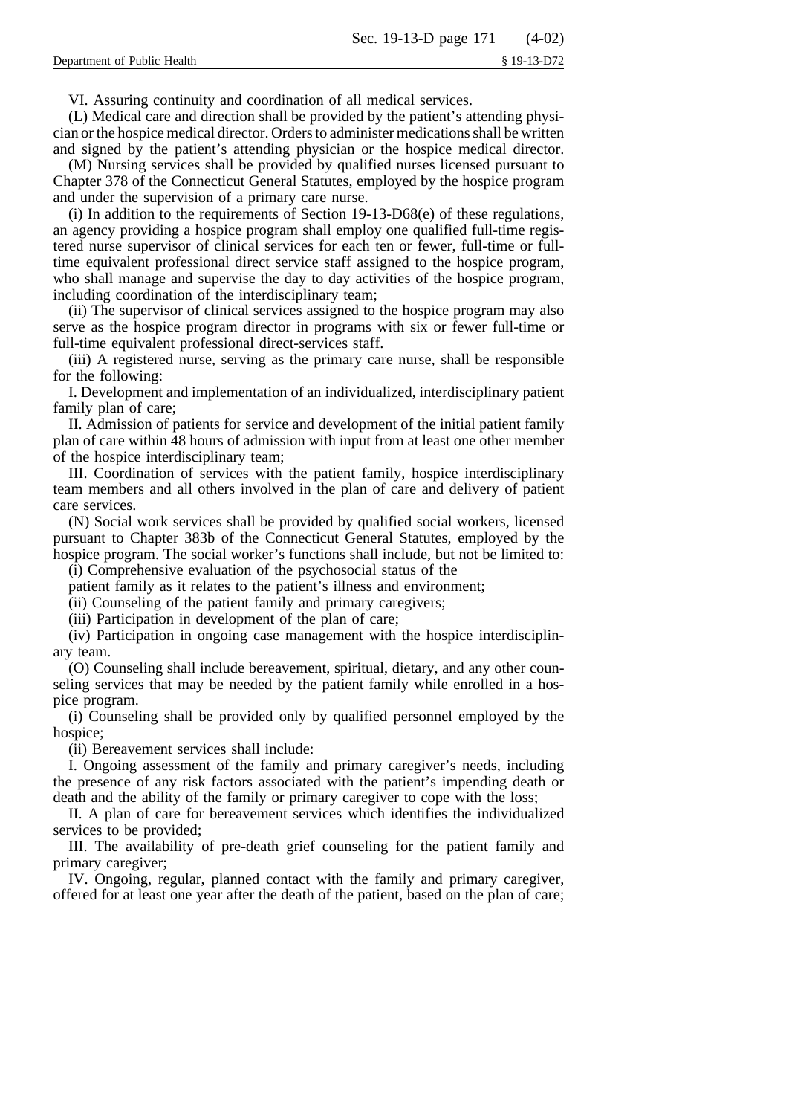VI. Assuring continuity and coordination of all medical services.

(L) Medical care and direction shall be provided by the patient's attending physician or the hospice medical director. Orders to administer medications shall be written and signed by the patient's attending physician or the hospice medical director.

(M) Nursing services shall be provided by qualified nurses licensed pursuant to Chapter 378 of the Connecticut General Statutes, employed by the hospice program and under the supervision of a primary care nurse.

(i) In addition to the requirements of Section  $19-13-D68(e)$  of these regulations, an agency providing a hospice program shall employ one qualified full-time registered nurse supervisor of clinical services for each ten or fewer, full-time or fulltime equivalent professional direct service staff assigned to the hospice program, who shall manage and supervise the day to day activities of the hospice program, including coordination of the interdisciplinary team;

(ii) The supervisor of clinical services assigned to the hospice program may also serve as the hospice program director in programs with six or fewer full-time or full-time equivalent professional direct-services staff.

(iii) A registered nurse, serving as the primary care nurse, shall be responsible for the following:

I. Development and implementation of an individualized, interdisciplinary patient family plan of care;

II. Admission of patients for service and development of the initial patient family plan of care within 48 hours of admission with input from at least one other member of the hospice interdisciplinary team;

III. Coordination of services with the patient family, hospice interdisciplinary team members and all others involved in the plan of care and delivery of patient care services.

(N) Social work services shall be provided by qualified social workers, licensed pursuant to Chapter 383b of the Connecticut General Statutes, employed by the hospice program. The social worker's functions shall include, but not be limited to:

(i) Comprehensive evaluation of the psychosocial status of the

patient family as it relates to the patient's illness and environment;

(ii) Counseling of the patient family and primary caregivers;

(iii) Participation in development of the plan of care;

(iv) Participation in ongoing case management with the hospice interdisciplinary team.

(O) Counseling shall include bereavement, spiritual, dietary, and any other counseling services that may be needed by the patient family while enrolled in a hospice program.

(i) Counseling shall be provided only by qualified personnel employed by the hospice;

(ii) Bereavement services shall include:

I. Ongoing assessment of the family and primary caregiver's needs, including the presence of any risk factors associated with the patient's impending death or death and the ability of the family or primary caregiver to cope with the loss;

II. A plan of care for bereavement services which identifies the individualized services to be provided;

III. The availability of pre-death grief counseling for the patient family and primary caregiver;

IV. Ongoing, regular, planned contact with the family and primary caregiver, offered for at least one year after the death of the patient, based on the plan of care;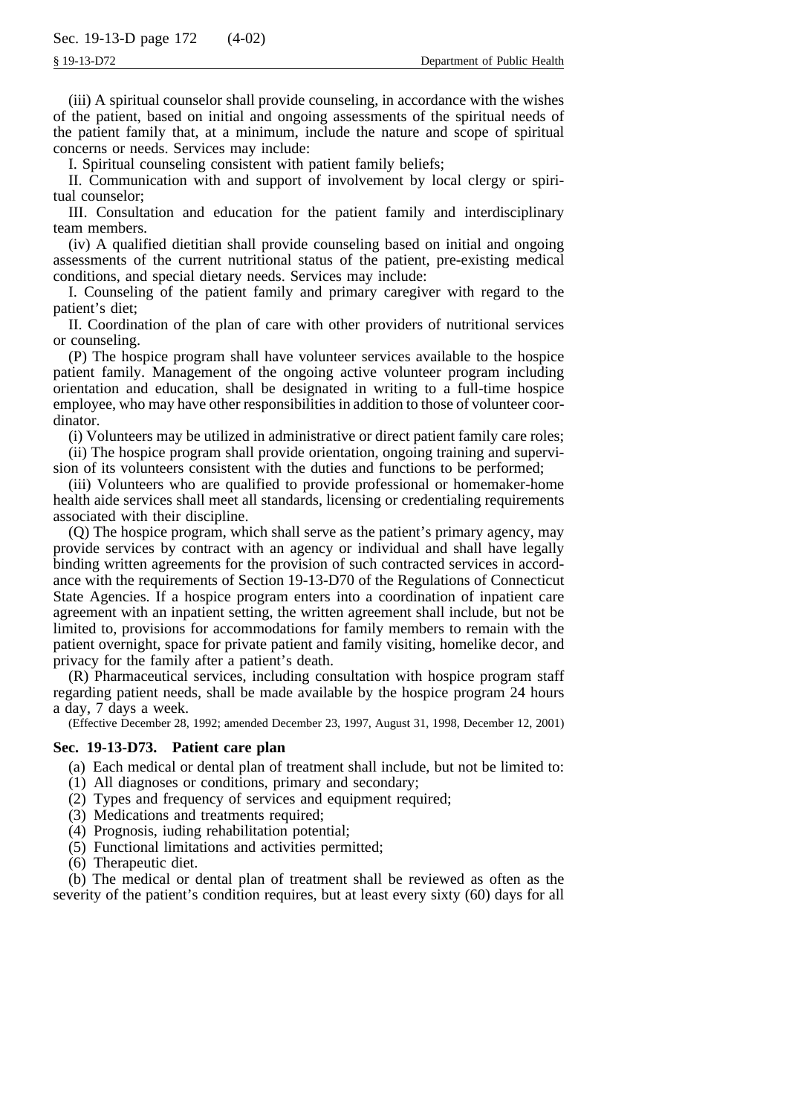(iii) A spiritual counselor shall provide counseling, in accordance with the wishes of the patient, based on initial and ongoing assessments of the spiritual needs of the patient family that, at a minimum, include the nature and scope of spiritual concerns or needs. Services may include:

I. Spiritual counseling consistent with patient family beliefs;

II. Communication with and support of involvement by local clergy or spiritual counselor;

III. Consultation and education for the patient family and interdisciplinary team members.

(iv) A qualified dietitian shall provide counseling based on initial and ongoing assessments of the current nutritional status of the patient, pre-existing medical conditions, and special dietary needs. Services may include:

I. Counseling of the patient family and primary caregiver with regard to the patient's diet;

II. Coordination of the plan of care with other providers of nutritional services or counseling.

(P) The hospice program shall have volunteer services available to the hospice patient family. Management of the ongoing active volunteer program including orientation and education, shall be designated in writing to a full-time hospice employee, who may have other responsibilities in addition to those of volunteer coordinator.

(i) Volunteers may be utilized in administrative or direct patient family care roles;

(ii) The hospice program shall provide orientation, ongoing training and supervision of its volunteers consistent with the duties and functions to be performed;

(iii) Volunteers who are qualified to provide professional or homemaker-home health aide services shall meet all standards, licensing or credentialing requirements associated with their discipline.

(Q) The hospice program, which shall serve as the patient's primary agency, may provide services by contract with an agency or individual and shall have legally binding written agreements for the provision of such contracted services in accordance with the requirements of Section 19-13-D70 of the Regulations of Connecticut State Agencies. If a hospice program enters into a coordination of inpatient care agreement with an inpatient setting, the written agreement shall include, but not be limited to, provisions for accommodations for family members to remain with the patient overnight, space for private patient and family visiting, homelike decor, and privacy for the family after a patient's death.

(R) Pharmaceutical services, including consultation with hospice program staff regarding patient needs, shall be made available by the hospice program 24 hours a day, 7 days a week.

(Effective December 28, 1992; amended December 23, 1997, August 31, 1998, December 12, 2001)

# **Sec. 19-13-D73. Patient care plan**

(a) Each medical or dental plan of treatment shall include, but not be limited to:

- (1) All diagnoses or conditions, primary and secondary;
- (2) Types and frequency of services and equipment required;
- (3) Medications and treatments required;
- (4) Prognosis, iuding rehabilitation potential;
- (5) Functional limitations and activities permitted;
- (6) Therapeutic diet.

(b) The medical or dental plan of treatment shall be reviewed as often as the severity of the patient's condition requires, but at least every sixty (60) days for all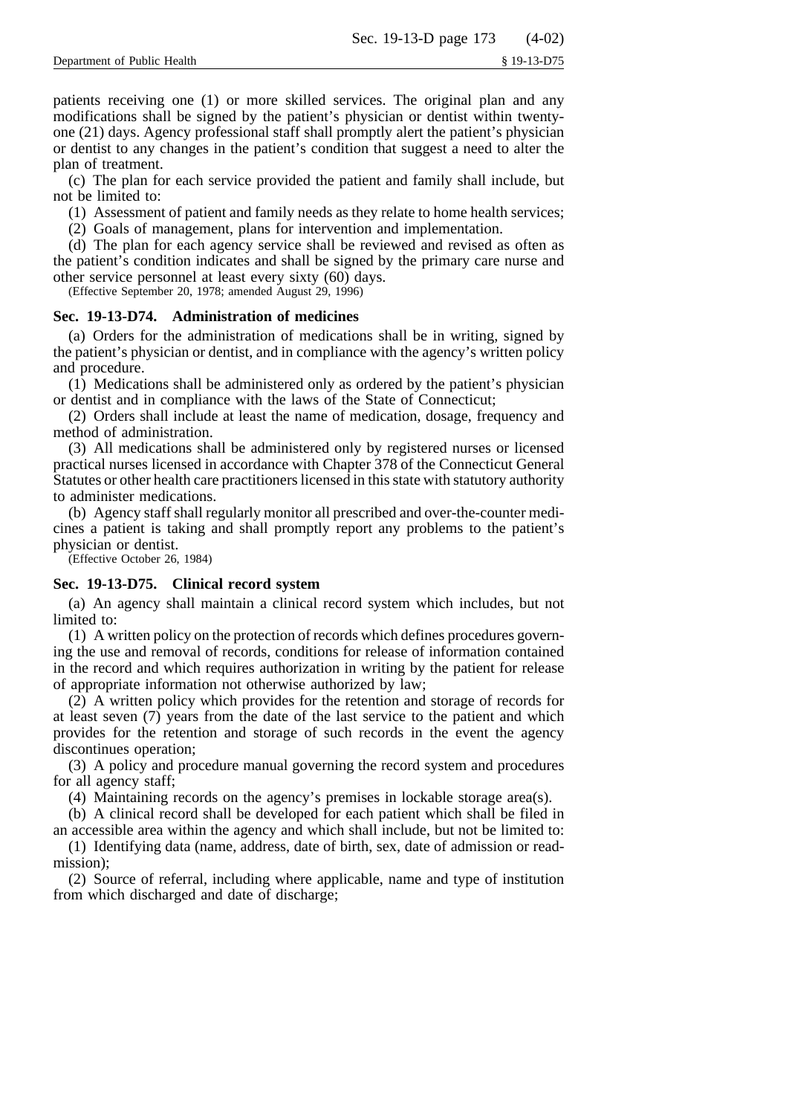patients receiving one (1) or more skilled services. The original plan and any modifications shall be signed by the patient's physician or dentist within twentyone (21) days. Agency professional staff shall promptly alert the patient's physician or dentist to any changes in the patient's condition that suggest a need to alter the plan of treatment.

(c) The plan for each service provided the patient and family shall include, but not be limited to:

(1) Assessment of patient and family needs as they relate to home health services;

(2) Goals of management, plans for intervention and implementation.

(d) The plan for each agency service shall be reviewed and revised as often as the patient's condition indicates and shall be signed by the primary care nurse and other service personnel at least every sixty (60) days.

(Effective September 20, 1978; amended August 29, 1996)

## **Sec. 19-13-D74. Administration of medicines**

(a) Orders for the administration of medications shall be in writing, signed by the patient's physician or dentist, and in compliance with the agency's written policy and procedure.

(1) Medications shall be administered only as ordered by the patient's physician or dentist and in compliance with the laws of the State of Connecticut;

(2) Orders shall include at least the name of medication, dosage, frequency and method of administration.

(3) All medications shall be administered only by registered nurses or licensed practical nurses licensed in accordance with Chapter 378 of the Connecticut General Statutes or other health care practitioners licensed in this state with statutory authority to administer medications.

(b) Agency staff shall regularly monitor all prescribed and over-the-counter medicines a patient is taking and shall promptly report any problems to the patient's physician or dentist.

(Effective October 26, 1984)

# **Sec. 19-13-D75. Clinical record system**

(a) An agency shall maintain a clinical record system which includes, but not limited to:

(1) A written policy on the protection of records which defines procedures governing the use and removal of records, conditions for release of information contained in the record and which requires authorization in writing by the patient for release of appropriate information not otherwise authorized by law;

(2) A written policy which provides for the retention and storage of records for at least seven (7) years from the date of the last service to the patient and which provides for the retention and storage of such records in the event the agency discontinues operation;

(3) A policy and procedure manual governing the record system and procedures for all agency staff;

(4) Maintaining records on the agency's premises in lockable storage area(s).

(b) A clinical record shall be developed for each patient which shall be filed in an accessible area within the agency and which shall include, but not be limited to:

(1) Identifying data (name, address, date of birth, sex, date of admission or readmission);

(2) Source of referral, including where applicable, name and type of institution from which discharged and date of discharge;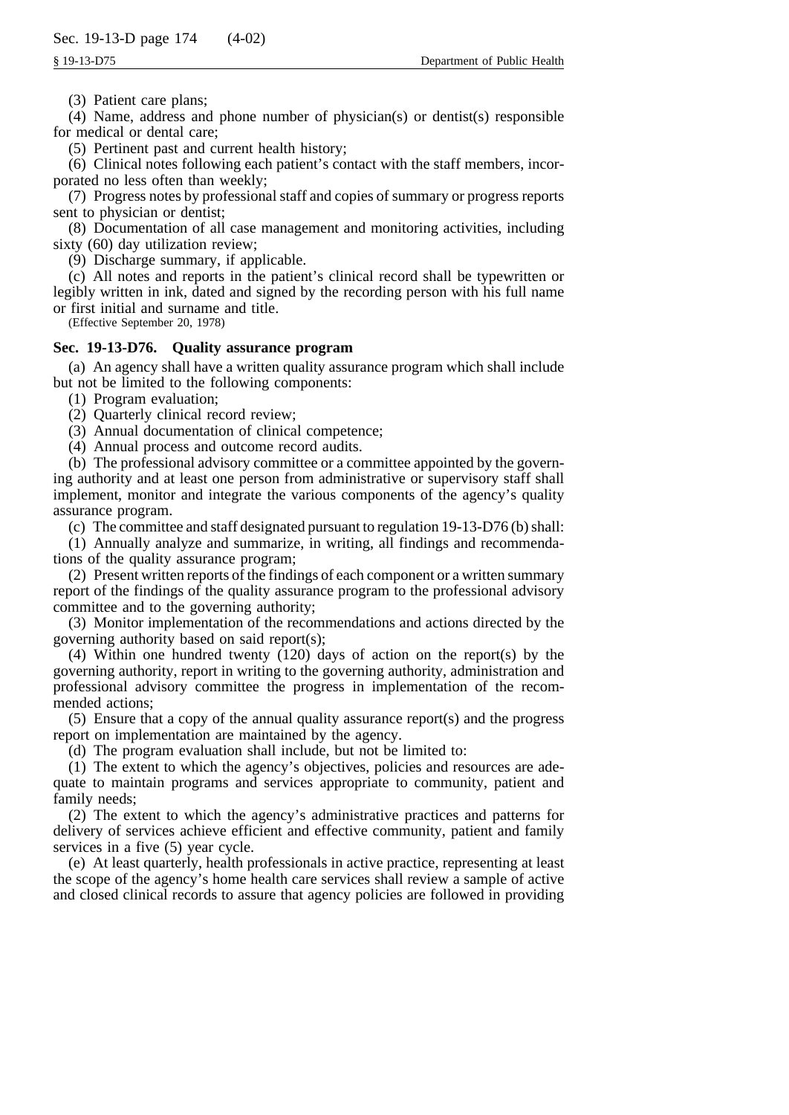(3) Patient care plans;

(4) Name, address and phone number of physician(s) or dentist(s) responsible for medical or dental care;

(5) Pertinent past and current health history;

(6) Clinical notes following each patient's contact with the staff members, incorporated no less often than weekly;

(7) Progress notes by professional staff and copies of summary or progress reports sent to physician or dentist;

(8) Documentation of all case management and monitoring activities, including sixty (60) day utilization review;

(9) Discharge summary, if applicable.

(c) All notes and reports in the patient's clinical record shall be typewritten or legibly written in ink, dated and signed by the recording person with his full name or first initial and surname and title.

(Effective September 20, 1978)

# **Sec. 19-13-D76. Quality assurance program**

(a) An agency shall have a written quality assurance program which shall include but not be limited to the following components:

(1) Program evaluation;

(2) Quarterly clinical record review;

(3) Annual documentation of clinical competence;

(4) Annual process and outcome record audits.

(b) The professional advisory committee or a committee appointed by the governing authority and at least one person from administrative or supervisory staff shall implement, monitor and integrate the various components of the agency's quality assurance program.

(c) The committee and staff designated pursuant to regulation 19-13-D76 (b) shall:

(1) Annually analyze and summarize, in writing, all findings and recommendations of the quality assurance program;

(2) Present written reports of the findings of each component or a written summary report of the findings of the quality assurance program to the professional advisory committee and to the governing authority;

(3) Monitor implementation of the recommendations and actions directed by the governing authority based on said report(s);

(4) Within one hundred twenty (120) days of action on the report(s) by the governing authority, report in writing to the governing authority, administration and professional advisory committee the progress in implementation of the recommended actions;

(5) Ensure that a copy of the annual quality assurance report(s) and the progress report on implementation are maintained by the agency.

(d) The program evaluation shall include, but not be limited to:

(1) The extent to which the agency's objectives, policies and resources are adequate to maintain programs and services appropriate to community, patient and family needs;

(2) The extent to which the agency's administrative practices and patterns for delivery of services achieve efficient and effective community, patient and family services in a five (5) year cycle.

(e) At least quarterly, health professionals in active practice, representing at least the scope of the agency's home health care services shall review a sample of active and closed clinical records to assure that agency policies are followed in providing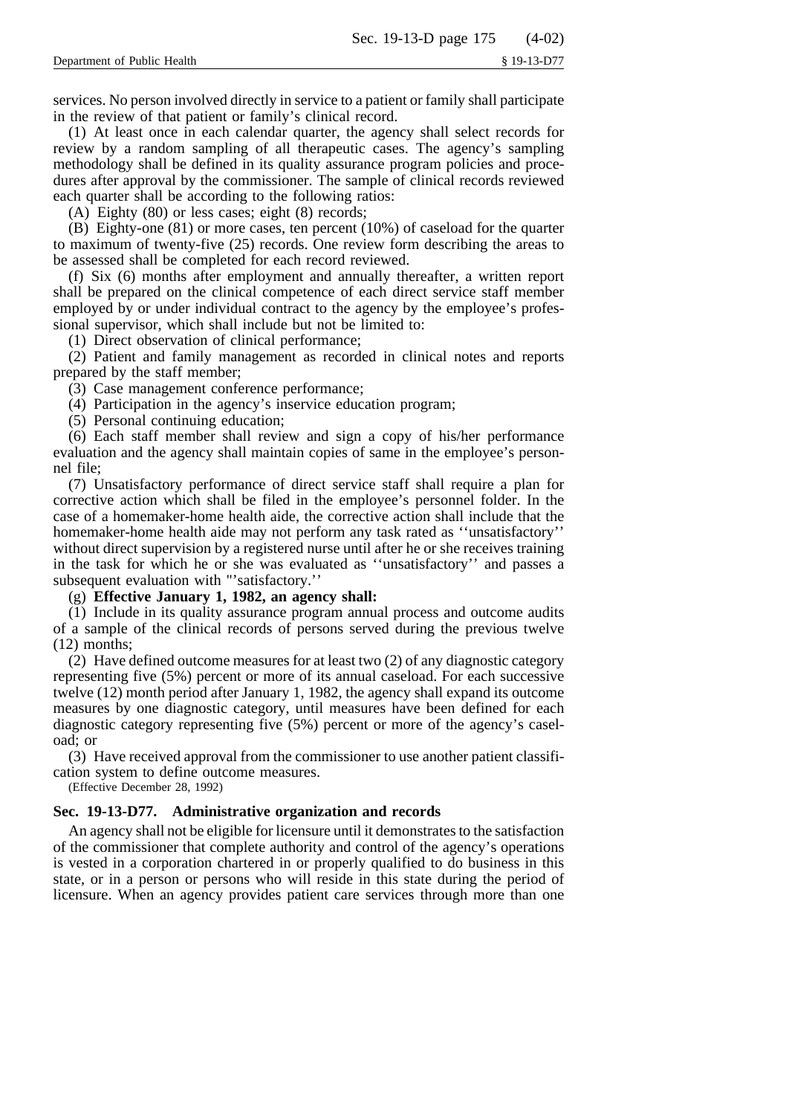services. No person involved directly in service to a patient or family shall participate in the review of that patient or family's clinical record.

(1) At least once in each calendar quarter, the agency shall select records for review by a random sampling of all therapeutic cases. The agency's sampling methodology shall be defined in its quality assurance program policies and procedures after approval by the commissioner. The sample of clinical records reviewed each quarter shall be according to the following ratios:

(A) Eighty (80) or less cases; eight (8) records;

(B) Eighty-one (81) or more cases, ten percent (10%) of caseload for the quarter to maximum of twenty-five (25) records. One review form describing the areas to be assessed shall be completed for each record reviewed.

(f) Six (6) months after employment and annually thereafter, a written report shall be prepared on the clinical competence of each direct service staff member employed by or under individual contract to the agency by the employee's professional supervisor, which shall include but not be limited to:

(1) Direct observation of clinical performance;

(2) Patient and family management as recorded in clinical notes and reports prepared by the staff member;

(3) Case management conference performance;

(4) Participation in the agency's inservice education program;

(5) Personal continuing education;

(6) Each staff member shall review and sign a copy of his/her performance evaluation and the agency shall maintain copies of same in the employee's personnel file;

(7) Unsatisfactory performance of direct service staff shall require a plan for corrective action which shall be filed in the employee's personnel folder. In the case of a homemaker-home health aide, the corrective action shall include that the homemaker-home health aide may not perform any task rated as ''unsatisfactory'' without direct supervision by a registered nurse until after he or she receives training in the task for which he or she was evaluated as ''unsatisfactory'' and passes a subsequent evaluation with "'satisfactory.''

(g) **Effective January 1, 1982, an agency shall:**

(1) Include in its quality assurance program annual process and outcome audits of a sample of the clinical records of persons served during the previous twelve (12) months;

(2) Have defined outcome measures for at least two (2) of any diagnostic category representing five (5%) percent or more of its annual caseload. For each successive twelve (12) month period after January 1, 1982, the agency shall expand its outcome measures by one diagnostic category, until measures have been defined for each diagnostic category representing five (5%) percent or more of the agency's caseload; or

(3) Have received approval from the commissioner to use another patient classification system to define outcome measures.

(Effective December 28, 1992)

# **Sec. 19-13-D77. Administrative organization and records**

An agency shall not be eligible for licensure until it demonstrates to the satisfaction of the commissioner that complete authority and control of the agency's operations is vested in a corporation chartered in or properly qualified to do business in this state, or in a person or persons who will reside in this state during the period of licensure. When an agency provides patient care services through more than one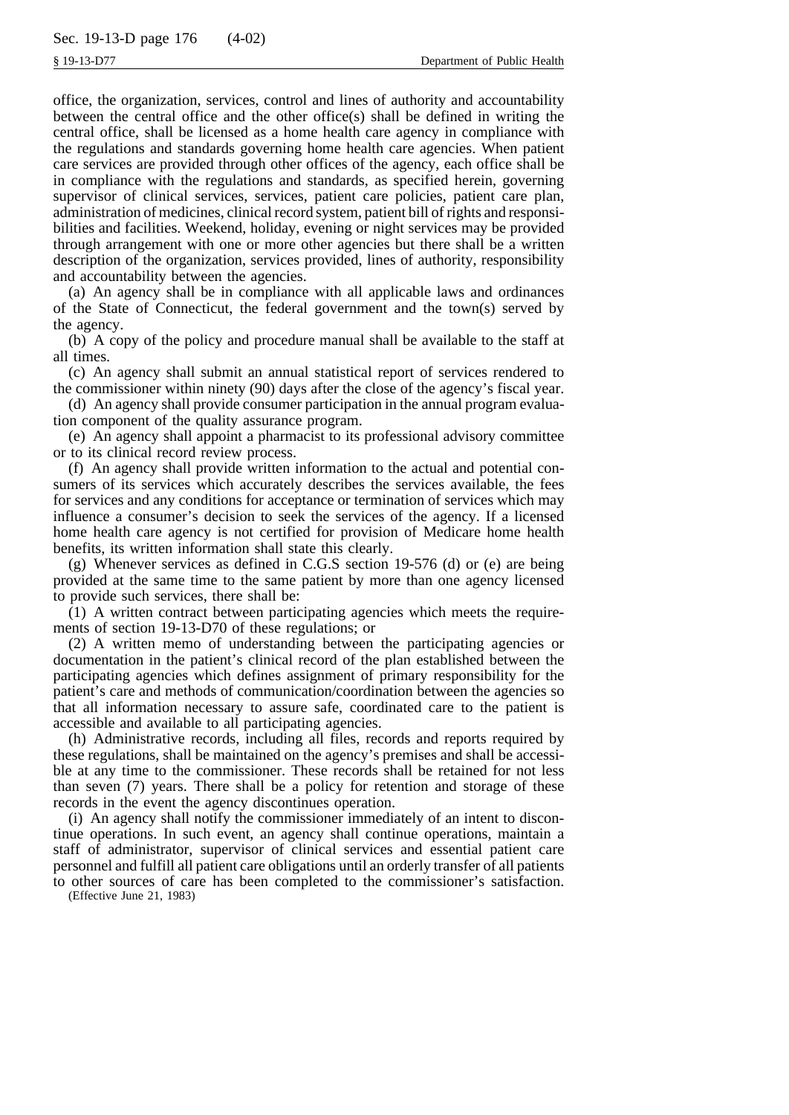office, the organization, services, control and lines of authority and accountability between the central office and the other office(s) shall be defined in writing the central office, shall be licensed as a home health care agency in compliance with the regulations and standards governing home health care agencies. When patient care services are provided through other offices of the agency, each office shall be in compliance with the regulations and standards, as specified herein, governing supervisor of clinical services, services, patient care policies, patient care plan, administration of medicines, clinical record system, patient bill of rights and responsibilities and facilities. Weekend, holiday, evening or night services may be provided through arrangement with one or more other agencies but there shall be a written description of the organization, services provided, lines of authority, responsibility and accountability between the agencies.

(a) An agency shall be in compliance with all applicable laws and ordinances of the State of Connecticut, the federal government and the town(s) served by the agency.

(b) A copy of the policy and procedure manual shall be available to the staff at all times.

(c) An agency shall submit an annual statistical report of services rendered to the commissioner within ninety (90) days after the close of the agency's fiscal year.

(d) An agency shall provide consumer participation in the annual program evaluation component of the quality assurance program.

(e) An agency shall appoint a pharmacist to its professional advisory committee or to its clinical record review process.

(f) An agency shall provide written information to the actual and potential consumers of its services which accurately describes the services available, the fees for services and any conditions for acceptance or termination of services which may influence a consumer's decision to seek the services of the agency. If a licensed home health care agency is not certified for provision of Medicare home health benefits, its written information shall state this clearly.

(g) Whenever services as defined in C.G.S section 19-576 (d) or (e) are being provided at the same time to the same patient by more than one agency licensed to provide such services, there shall be:

(1) A written contract between participating agencies which meets the requirements of section 19-13-D70 of these regulations; or

(2) A written memo of understanding between the participating agencies or documentation in the patient's clinical record of the plan established between the participating agencies which defines assignment of primary responsibility for the patient's care and methods of communication/coordination between the agencies so that all information necessary to assure safe, coordinated care to the patient is accessible and available to all participating agencies.

(h) Administrative records, including all files, records and reports required by these regulations, shall be maintained on the agency's premises and shall be accessible at any time to the commissioner. These records shall be retained for not less than seven (7) years. There shall be a policy for retention and storage of these records in the event the agency discontinues operation.

(i) An agency shall notify the commissioner immediately of an intent to discontinue operations. In such event, an agency shall continue operations, maintain a staff of administrator, supervisor of clinical services and essential patient care personnel and fulfill all patient care obligations until an orderly transfer of all patients to other sources of care has been completed to the commissioner's satisfaction.

(Effective June 21, 1983)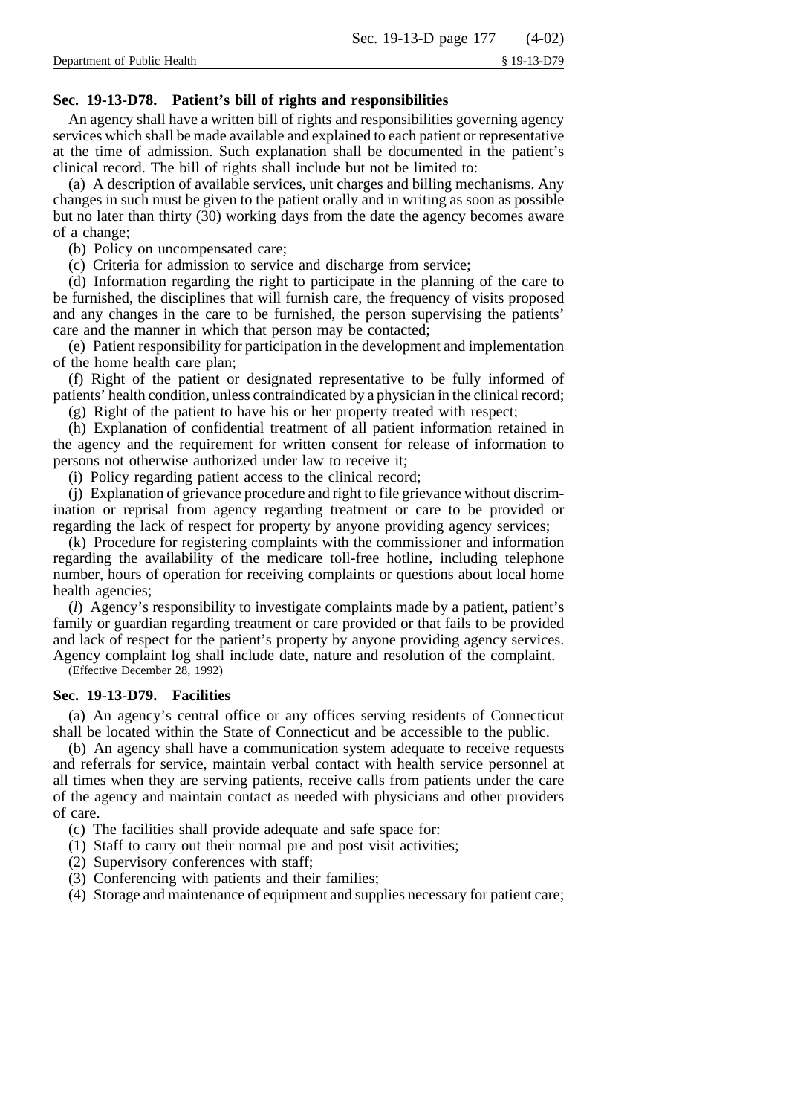# **Sec. 19-13-D78. Patient's bill of rights and responsibilities**

An agency shall have a written bill of rights and responsibilities governing agency services which shall be made available and explained to each patient or representative at the time of admission. Such explanation shall be documented in the patient's clinical record. The bill of rights shall include but not be limited to:

(a) A description of available services, unit charges and billing mechanisms. Any changes in such must be given to the patient orally and in writing as soon as possible but no later than thirty (30) working days from the date the agency becomes aware of a change;

(b) Policy on uncompensated care;

(c) Criteria for admission to service and discharge from service;

(d) Information regarding the right to participate in the planning of the care to be furnished, the disciplines that will furnish care, the frequency of visits proposed and any changes in the care to be furnished, the person supervising the patients' care and the manner in which that person may be contacted;

(e) Patient responsibility for participation in the development and implementation of the home health care plan;

(f) Right of the patient or designated representative to be fully informed of patients' health condition, unless contraindicated by a physician in the clinical record;

(g) Right of the patient to have his or her property treated with respect;

(h) Explanation of confidential treatment of all patient information retained in the agency and the requirement for written consent for release of information to persons not otherwise authorized under law to receive it;

(i) Policy regarding patient access to the clinical record;

(j) Explanation of grievance procedure and right to file grievance without discrimination or reprisal from agency regarding treatment or care to be provided or regarding the lack of respect for property by anyone providing agency services;

(k) Procedure for registering complaints with the commissioner and information regarding the availability of the medicare toll-free hotline, including telephone number, hours of operation for receiving complaints or questions about local home health agencies;

(*l*) Agency's responsibility to investigate complaints made by a patient, patient's family or guardian regarding treatment or care provided or that fails to be provided and lack of respect for the patient's property by anyone providing agency services. Agency complaint log shall include date, nature and resolution of the complaint.

(Effective December 28, 1992)

# **Sec. 19-13-D79. Facilities**

(a) An agency's central office or any offices serving residents of Connecticut shall be located within the State of Connecticut and be accessible to the public.

(b) An agency shall have a communication system adequate to receive requests and referrals for service, maintain verbal contact with health service personnel at all times when they are serving patients, receive calls from patients under the care of the agency and maintain contact as needed with physicians and other providers of care.

(c) The facilities shall provide adequate and safe space for:

- (1) Staff to carry out their normal pre and post visit activities;
- (2) Supervisory conferences with staff;
- (3) Conferencing with patients and their families;
- (4) Storage and maintenance of equipment and supplies necessary for patient care;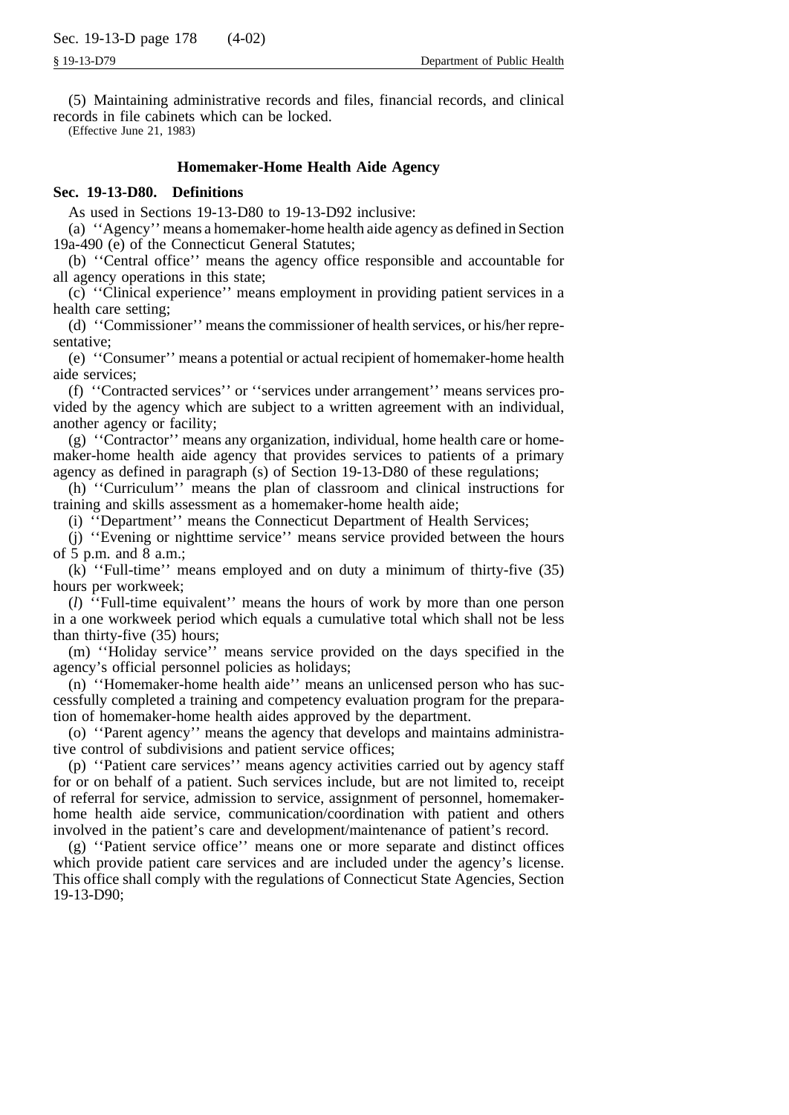(5) Maintaining administrative records and files, financial records, and clinical records in file cabinets which can be locked.

(Effective June 21, 1983)

# **Homemaker-Home Health Aide Agency**

# **Sec. 19-13-D80. Definitions**

As used in Sections 19-13-D80 to 19-13-D92 inclusive:

(a) ''Agency'' means a homemaker-home health aide agency as defined in Section 19a-490 (e) of the Connecticut General Statutes;

(b) ''Central office'' means the agency office responsible and accountable for all agency operations in this state;

(c) ''Clinical experience'' means employment in providing patient services in a health care setting;

(d) ''Commissioner'' means the commissioner of health services, or his/her representative;

(e) ''Consumer'' means a potential or actual recipient of homemaker-home health aide services;

(f) ''Contracted services'' or ''services under arrangement'' means services provided by the agency which are subject to a written agreement with an individual, another agency or facility;

(g) ''Contractor'' means any organization, individual, home health care or homemaker-home health aide agency that provides services to patients of a primary agency as defined in paragraph (s) of Section 19-13-D80 of these regulations;

(h) ''Curriculum'' means the plan of classroom and clinical instructions for training and skills assessment as a homemaker-home health aide;

(i) ''Department'' means the Connecticut Department of Health Services;

(j) ''Evening or nighttime service'' means service provided between the hours of  $\bar{5}$  p.m. and  $\bar{8}$  a.m.;

(k) ''Full-time'' means employed and on duty a minimum of thirty-five (35) hours per workweek;

(*l*) ''Full-time equivalent'' means the hours of work by more than one person in a one workweek period which equals a cumulative total which shall not be less than thirty-five (35) hours;

(m) ''Holiday service'' means service provided on the days specified in the agency's official personnel policies as holidays;

(n) ''Homemaker-home health aide'' means an unlicensed person who has successfully completed a training and competency evaluation program for the preparation of homemaker-home health aides approved by the department.

(o) ''Parent agency'' means the agency that develops and maintains administrative control of subdivisions and patient service offices;

(p) ''Patient care services'' means agency activities carried out by agency staff for or on behalf of a patient. Such services include, but are not limited to, receipt of referral for service, admission to service, assignment of personnel, homemakerhome health aide service, communication/coordination with patient and others involved in the patient's care and development/maintenance of patient's record.

(g) ''Patient service office'' means one or more separate and distinct offices which provide patient care services and are included under the agency's license. This office shall comply with the regulations of Connecticut State Agencies, Section 19-13-D90;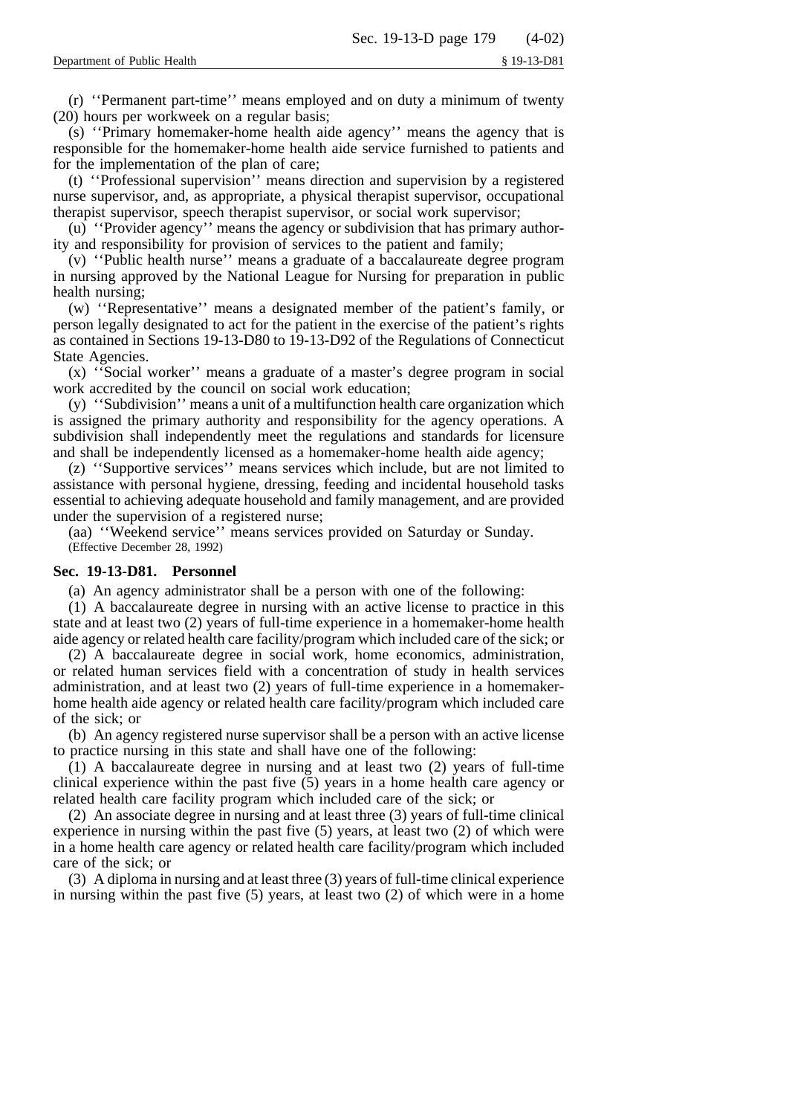(r) ''Permanent part-time'' means employed and on duty a minimum of twenty (20) hours per workweek on a regular basis;

(s) ''Primary homemaker-home health aide agency'' means the agency that is responsible for the homemaker-home health aide service furnished to patients and for the implementation of the plan of care;

(t) ''Professional supervision'' means direction and supervision by a registered nurse supervisor, and, as appropriate, a physical therapist supervisor, occupational therapist supervisor, speech therapist supervisor, or social work supervisor;

(u) ''Provider agency'' means the agency or subdivision that has primary authority and responsibility for provision of services to the patient and family;

(v) ''Public health nurse'' means a graduate of a baccalaureate degree program in nursing approved by the National League for Nursing for preparation in public health nursing;

(w) ''Representative'' means a designated member of the patient's family, or person legally designated to act for the patient in the exercise of the patient's rights as contained in Sections 19-13-D80 to 19-13-D92 of the Regulations of Connecticut State Agencies.

(x) ''Social worker'' means a graduate of a master's degree program in social work accredited by the council on social work education;

(y) ''Subdivision'' means a unit of a multifunction health care organization which is assigned the primary authority and responsibility for the agency operations. A subdivision shall independently meet the regulations and standards for licensure and shall be independently licensed as a homemaker-home health aide agency;

(z) ''Supportive services'' means services which include, but are not limited to assistance with personal hygiene, dressing, feeding and incidental household tasks essential to achieving adequate household and family management, and are provided under the supervision of a registered nurse;

(aa) ''Weekend service'' means services provided on Saturday or Sunday. (Effective December 28, 1992)

# **Sec. 19-13-D81. Personnel**

(a) An agency administrator shall be a person with one of the following:

(1) A baccalaureate degree in nursing with an active license to practice in this state and at least two (2) years of full-time experience in a homemaker-home health aide agency or related health care facility/program which included care of the sick; or

(2) A baccalaureate degree in social work, home economics, administration, or related human services field with a concentration of study in health services administration, and at least two (2) years of full-time experience in a homemakerhome health aide agency or related health care facility/program which included care of the sick; or

(b) An agency registered nurse supervisor shall be a person with an active license to practice nursing in this state and shall have one of the following:

(1) A baccalaureate degree in nursing and at least two (2) years of full-time clinical experience within the past five (5) years in a home health care agency or related health care facility program which included care of the sick; or

(2) An associate degree in nursing and at least three (3) years of full-time clinical experience in nursing within the past five (5) years, at least two (2) of which were in a home health care agency or related health care facility/program which included care of the sick; or

(3) A diploma in nursing and at least three (3) years of full-time clinical experience in nursing within the past five (5) years, at least two (2) of which were in a home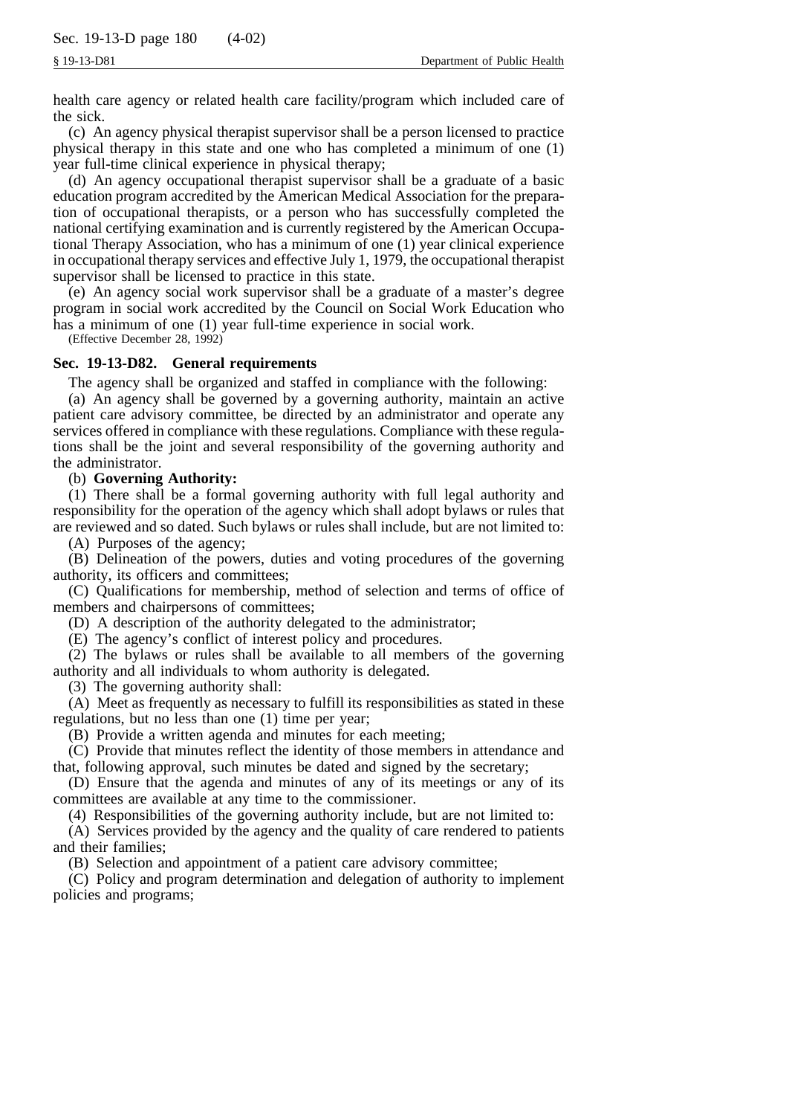health care agency or related health care facility/program which included care of the sick.

(c) An agency physical therapist supervisor shall be a person licensed to practice physical therapy in this state and one who has completed a minimum of one (1) year full-time clinical experience in physical therapy;

(d) An agency occupational therapist supervisor shall be a graduate of a basic education program accredited by the American Medical Association for the preparation of occupational therapists, or a person who has successfully completed the national certifying examination and is currently registered by the American Occupational Therapy Association, who has a minimum of one (1) year clinical experience in occupational therapy services and effective July 1, 1979, the occupational therapist supervisor shall be licensed to practice in this state.

(e) An agency social work supervisor shall be a graduate of a master's degree program in social work accredited by the Council on Social Work Education who has a minimum of one (1) year full-time experience in social work.

(Effective December 28, 1992)

## **Sec. 19-13-D82. General requirements**

The agency shall be organized and staffed in compliance with the following:

(a) An agency shall be governed by a governing authority, maintain an active patient care advisory committee, be directed by an administrator and operate any services offered in compliance with these regulations. Compliance with these regulations shall be the joint and several responsibility of the governing authority and the administrator.

## (b) **Governing Authority:**

(1) There shall be a formal governing authority with full legal authority and responsibility for the operation of the agency which shall adopt bylaws or rules that are reviewed and so dated. Such bylaws or rules shall include, but are not limited to:

(A) Purposes of the agency;

(B) Delineation of the powers, duties and voting procedures of the governing authority, its officers and committees;

(C) Qualifications for membership, method of selection and terms of office of members and chairpersons of committees;

(D) A description of the authority delegated to the administrator;

(E) The agency's conflict of interest policy and procedures.

(2) The bylaws or rules shall be available to all members of the governing authority and all individuals to whom authority is delegated.

(3) The governing authority shall:

(A) Meet as frequently as necessary to fulfill its responsibilities as stated in these regulations, but no less than one (1) time per year;

(B) Provide a written agenda and minutes for each meeting;

(C) Provide that minutes reflect the identity of those members in attendance and that, following approval, such minutes be dated and signed by the secretary;

(D) Ensure that the agenda and minutes of any of its meetings or any of its committees are available at any time to the commissioner.

(4) Responsibilities of the governing authority include, but are not limited to:

(A) Services provided by the agency and the quality of care rendered to patients and their families;

(B) Selection and appointment of a patient care advisory committee;

(C) Policy and program determination and delegation of authority to implement policies and programs;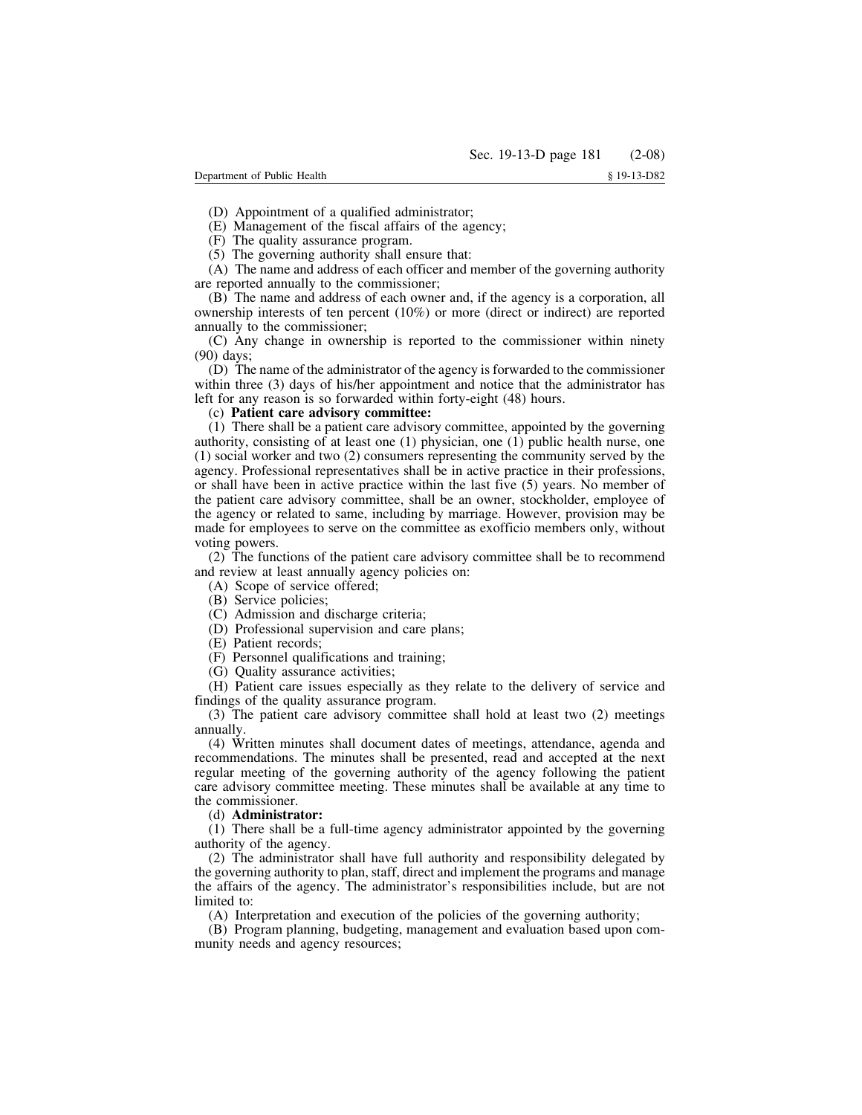(D) Appointment of a qualified administrator;

(E) Management of the fiscal affairs of the agency;

(F) The quality assurance program.

(5) The governing authority shall ensure that:

(A) The name and address of each officer and member of the governing authority are reported annually to the commissioner;

(B) The name and address of each owner and, if the agency is a corporation, all ownership interests of ten percent (10%) or more (direct or indirect) are reported annually to the commissioner;

(C) Any change in ownership is reported to the commissioner within ninety (90) days;

(D) The name of the administrator of the agency is forwarded to the commissioner within three (3) days of his/her appointment and notice that the administrator has left for any reason is so forwarded within forty-eight (48) hours.

#### (c) **Patient care advisory committee:**

(1) There shall be a patient care advisory committee, appointed by the governing authority, consisting of at least one (1) physician, one (1) public health nurse, one (1) social worker and two (2) consumers representing the community served by the agency. Professional representatives shall be in active practice in their professions, or shall have been in active practice within the last five (5) years. No member of the patient care advisory committee, shall be an owner, stockholder, employee of the agency or related to same, including by marriage. However, provision may be made for employees to serve on the committee as exofficio members only, without voting powers.

(2) The functions of the patient care advisory committee shall be to recommend and review at least annually agency policies on:

(A) Scope of service offered;

(B) Service policies;

(C) Admission and discharge criteria;

(D) Professional supervision and care plans;

- (E) Patient records;
- (F) Personnel qualifications and training;
- (G) Quality assurance activities;

(H) Patient care issues especially as they relate to the delivery of service and findings of the quality assurance program.

(3) The patient care advisory committee shall hold at least two (2) meetings annually.

(4) Written minutes shall document dates of meetings, attendance, agenda and recommendations. The minutes shall be presented, read and accepted at the next regular meeting of the governing authority of the agency following the patient care advisory committee meeting. These minutes shall be available at any time to the commissioner.

#### (d) **Administrator:**

(1) There shall be a full-time agency administrator appointed by the governing authority of the agency.

(2) The administrator shall have full authority and responsibility delegated by the governing authority to plan, staff, direct and implement the programs and manage the affairs of the agency. The administrator's responsibilities include, but are not limited to:

(A) Interpretation and execution of the policies of the governing authority;

(B) Program planning, budgeting, management and evaluation based upon community needs and agency resources;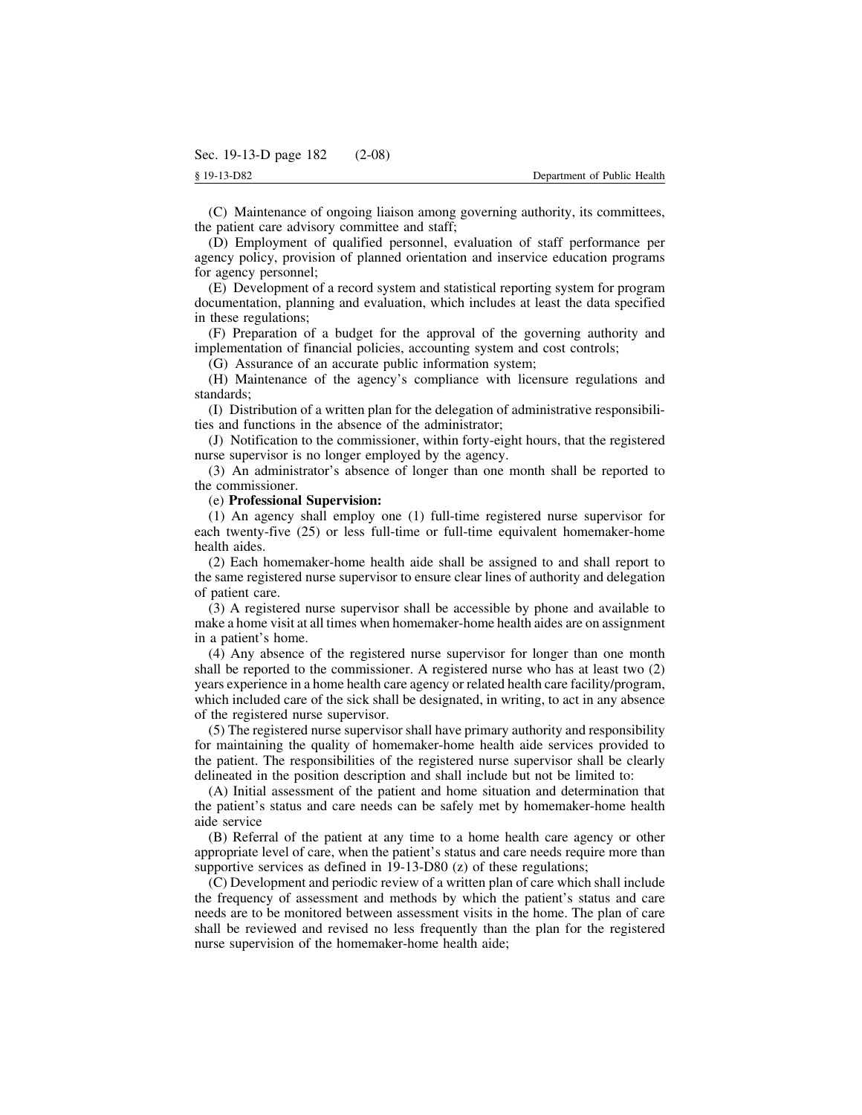(C) Maintenance of ongoing liaison among governing authority, its committees, the patient care advisory committee and staff;

(D) Employment of qualified personnel, evaluation of staff performance per agency policy, provision of planned orientation and inservice education programs for agency personnel;

(E) Development of a record system and statistical reporting system for program documentation, planning and evaluation, which includes at least the data specified in these regulations;

(F) Preparation of a budget for the approval of the governing authority and implementation of financial policies, accounting system and cost controls;

(G) Assurance of an accurate public information system;

(H) Maintenance of the agency's compliance with licensure regulations and standards;

(I) Distribution of a written plan for the delegation of administrative responsibilities and functions in the absence of the administrator;

(J) Notification to the commissioner, within forty-eight hours, that the registered nurse supervisor is no longer employed by the agency.

(3) An administrator's absence of longer than one month shall be reported to the commissioner.

#### (e) **Professional Supervision:**

(1) An agency shall employ one (1) full-time registered nurse supervisor for each twenty-five (25) or less full-time or full-time equivalent homemaker-home health aides.

(2) Each homemaker-home health aide shall be assigned to and shall report to the same registered nurse supervisor to ensure clear lines of authority and delegation of patient care.

(3) A registered nurse supervisor shall be accessible by phone and available to make a home visit at all times when homemaker-home health aides are on assignment in a patient's home.

(4) Any absence of the registered nurse supervisor for longer than one month shall be reported to the commissioner. A registered nurse who has at least two (2) years experience in a home health care agency or related health care facility/program, which included care of the sick shall be designated, in writing, to act in any absence of the registered nurse supervisor.

(5) The registered nurse supervisor shall have primary authority and responsibility for maintaining the quality of homemaker-home health aide services provided to the patient. The responsibilities of the registered nurse supervisor shall be clearly delineated in the position description and shall include but not be limited to:

(A) Initial assessment of the patient and home situation and determination that the patient's status and care needs can be safely met by homemaker-home health aide service

(B) Referral of the patient at any time to a home health care agency or other appropriate level of care, when the patient's status and care needs require more than supportive services as defined in 19-13-D80 (z) of these regulations;

(C) Development and periodic review of a written plan of care which shall include the frequency of assessment and methods by which the patient's status and care needs are to be monitored between assessment visits in the home. The plan of care shall be reviewed and revised no less frequently than the plan for the registered nurse supervision of the homemaker-home health aide;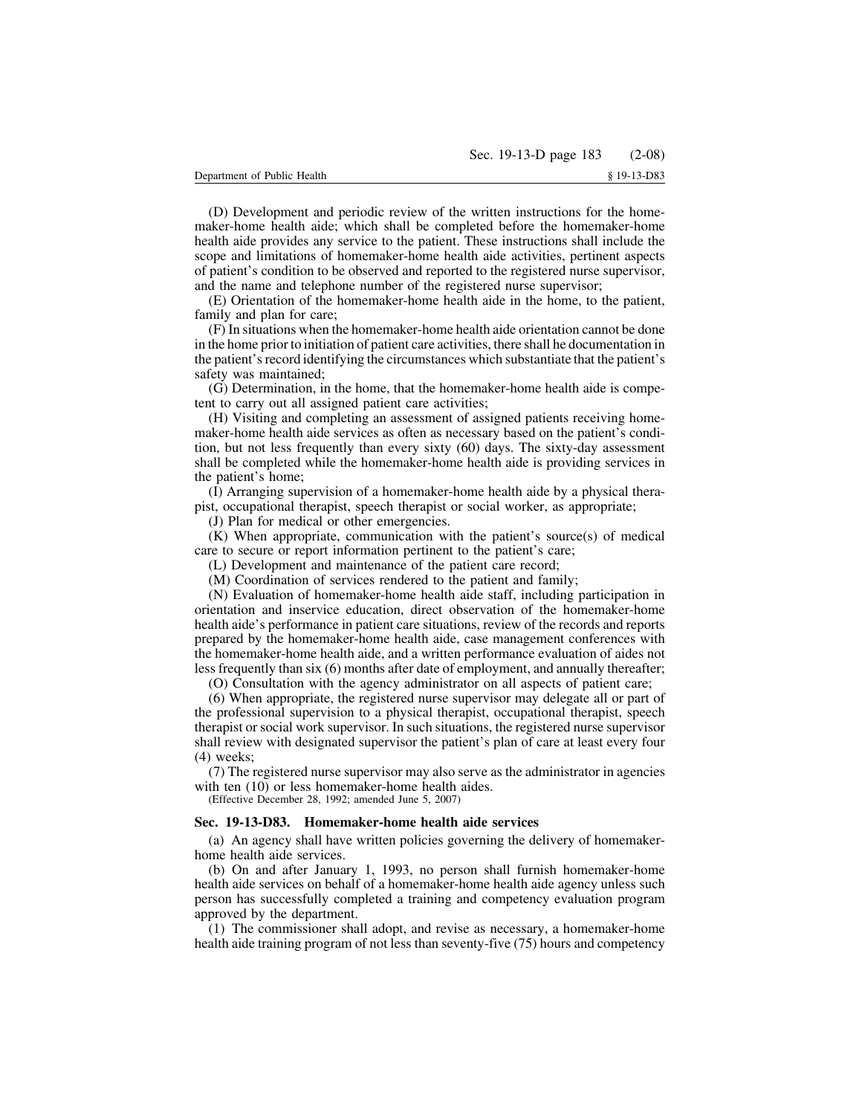(D) Development and periodic review of the written instructions for the homemaker-home health aide; which shall be completed before the homemaker-home health aide provides any service to the patient. These instructions shall include the scope and limitations of homemaker-home health aide activities, pertinent aspects of patient's condition to be observed and reported to the registered nurse supervisor, and the name and telephone number of the registered nurse supervisor;

(E) Orientation of the homemaker-home health aide in the home, to the patient, family and plan for care;

(F) In situations when the homemaker-home health aide orientation cannot be done in the home prior to initiation of patient care activities, there shall he documentation in the patient's record identifying the circumstances which substantiate that the patient's safety was maintained;

(G) Determination, in the home, that the homemaker-home health aide is competent to carry out all assigned patient care activities;

(H) Visiting and completing an assessment of assigned patients receiving homemaker-home health aide services as often as necessary based on the patient's condition, but not less frequently than every sixty (60) days. The sixty-day assessment shall be completed while the homemaker-home health aide is providing services in the patient's home;

(I) Arranging supervision of a homemaker-home health aide by a physical therapist, occupational therapist, speech therapist or social worker, as appropriate;

(J) Plan for medical or other emergencies.

(K) When appropriate, communication with the patient's source(s) of medical care to secure or report information pertinent to the patient's care;

(L) Development and maintenance of the patient care record;

(M) Coordination of services rendered to the patient and family;

(N) Evaluation of homemaker-home health aide staff, including participation in orientation and inservice education, direct observation of the homemaker-home health aide's performance in patient care situations, review of the records and reports prepared by the homemaker-home health aide, case management conferences with the homemaker-home health aide, and a written performance evaluation of aides not less frequently than six (6) months after date of employment, and annually thereafter;

(O) Consultation with the agency administrator on all aspects of patient care;

(6) When appropriate, the registered nurse supervisor may delegate all or part of the professional supervision to a physical therapist, occupational therapist, speech therapist or social work supervisor. In such situations, the registered nurse supervisor shall review with designated supervisor the patient's plan of care at least every four (4) weeks;

(7) The registered nurse supervisor may also serve as the administrator in agencies with ten  $(10)$  or less homemaker-home health aides.

(Effective December 28, 1992; amended June 5, 2007)

#### **Sec. 19-13-D83. Homemaker-home health aide services**

(a) An agency shall have written policies governing the delivery of homemakerhome health aide services.

(b) On and after January 1, 1993, no person shall furnish homemaker-home health aide services on behalf of a homemaker-home health aide agency unless such person has successfully completed a training and competency evaluation program approved by the department.

(1) The commissioner shall adopt, and revise as necessary, a homemaker-home health aide training program of not less than seventy-five (75) hours and competency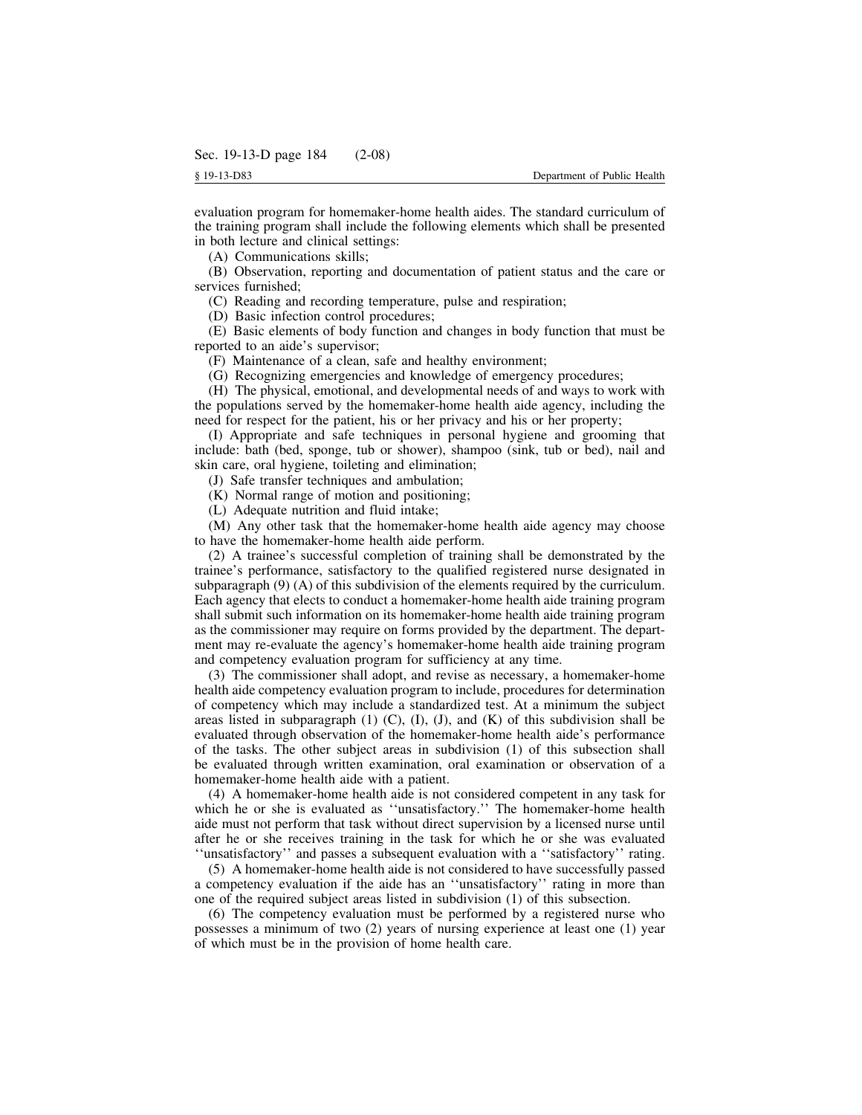evaluation program for homemaker-home health aides. The standard curriculum of the training program shall include the following elements which shall be presented in both lecture and clinical settings:

(A) Communications skills;

(B) Observation, reporting and documentation of patient status and the care or services furnished;

(C) Reading and recording temperature, pulse and respiration;

(D) Basic infection control procedures;

(E) Basic elements of body function and changes in body function that must be reported to an aide's supervisor;

(F) Maintenance of a clean, safe and healthy environment;

(G) Recognizing emergencies and knowledge of emergency procedures;

(H) The physical, emotional, and developmental needs of and ways to work with the populations served by the homemaker-home health aide agency, including the need for respect for the patient, his or her privacy and his or her property;

(I) Appropriate and safe techniques in personal hygiene and grooming that include: bath (bed, sponge, tub or shower), shampoo (sink, tub or bed), nail and skin care, oral hygiene, toileting and elimination;

(J) Safe transfer techniques and ambulation;

(K) Normal range of motion and positioning;

(L) Adequate nutrition and fluid intake;

(M) Any other task that the homemaker-home health aide agency may choose to have the homemaker-home health aide perform.

(2) A trainee's successful completion of training shall be demonstrated by the trainee's performance, satisfactory to the qualified registered nurse designated in subparagraph (9) (A) of this subdivision of the elements required by the curriculum. Each agency that elects to conduct a homemaker-home health aide training program shall submit such information on its homemaker-home health aide training program as the commissioner may require on forms provided by the department. The department may re-evaluate the agency's homemaker-home health aide training program and competency evaluation program for sufficiency at any time.

(3) The commissioner shall adopt, and revise as necessary, a homemaker-home health aide competency evaluation program to include, procedures for determination of competency which may include a standardized test. At a minimum the subject areas listed in subparagraph  $(1)$   $(C)$ ,  $(I)$ ,  $(J)$ , and  $(K)$  of this subdivision shall be evaluated through observation of the homemaker-home health aide's performance of the tasks. The other subject areas in subdivision (1) of this subsection shall be evaluated through written examination, oral examination or observation of a homemaker-home health aide with a patient.

(4) A homemaker-home health aide is not considered competent in any task for which he or she is evaluated as ''unsatisfactory.'' The homemaker-home health aide must not perform that task without direct supervision by a licensed nurse until after he or she receives training in the task for which he or she was evaluated ''unsatisfactory'' and passes a subsequent evaluation with a ''satisfactory'' rating.

(5) A homemaker-home health aide is not considered to have successfully passed a competency evaluation if the aide has an ''unsatisfactory'' rating in more than one of the required subject areas listed in subdivision (1) of this subsection.

(6) The competency evaluation must be performed by a registered nurse who possesses a minimum of two (2) years of nursing experience at least one (1) year of which must be in the provision of home health care.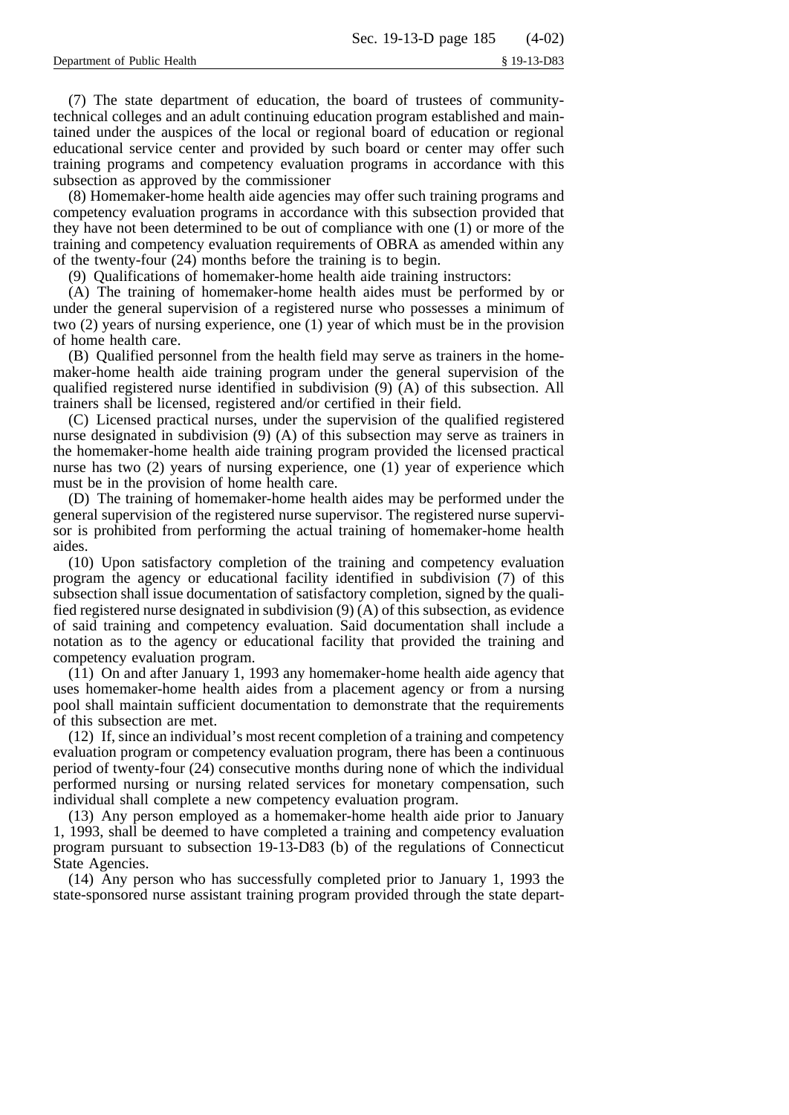(7) The state department of education, the board of trustees of communitytechnical colleges and an adult continuing education program established and maintained under the auspices of the local or regional board of education or regional educational service center and provided by such board or center may offer such training programs and competency evaluation programs in accordance with this subsection as approved by the commissioner

(8) Homemaker-home health aide agencies may offer such training programs and competency evaluation programs in accordance with this subsection provided that they have not been determined to be out of compliance with one (1) or more of the training and competency evaluation requirements of OBRA as amended within any of the twenty-four (24) months before the training is to begin.

(9) Qualifications of homemaker-home health aide training instructors:

(A) The training of homemaker-home health aides must be performed by or under the general supervision of a registered nurse who possesses a minimum of two (2) years of nursing experience, one (1) year of which must be in the provision of home health care.

(B) Qualified personnel from the health field may serve as trainers in the homemaker-home health aide training program under the general supervision of the qualified registered nurse identified in subdivision (9) (A) of this subsection. All trainers shall be licensed, registered and/or certified in their field.

(C) Licensed practical nurses, under the supervision of the qualified registered nurse designated in subdivision (9) (A) of this subsection may serve as trainers in the homemaker-home health aide training program provided the licensed practical nurse has two (2) years of nursing experience, one (1) year of experience which must be in the provision of home health care.

(D) The training of homemaker-home health aides may be performed under the general supervision of the registered nurse supervisor. The registered nurse supervisor is prohibited from performing the actual training of homemaker-home health aides.

(10) Upon satisfactory completion of the training and competency evaluation program the agency or educational facility identified in subdivision (7) of this subsection shall issue documentation of satisfactory completion, signed by the qualified registered nurse designated in subdivision (9) (A) of this subsection, as evidence of said training and competency evaluation. Said documentation shall include a notation as to the agency or educational facility that provided the training and competency evaluation program.

(11) On and after January 1, 1993 any homemaker-home health aide agency that uses homemaker-home health aides from a placement agency or from a nursing pool shall maintain sufficient documentation to demonstrate that the requirements of this subsection are met.

(12) If, since an individual's most recent completion of a training and competency evaluation program or competency evaluation program, there has been a continuous period of twenty-four (24) consecutive months during none of which the individual performed nursing or nursing related services for monetary compensation, such individual shall complete a new competency evaluation program.

(13) Any person employed as a homemaker-home health aide prior to January 1, 1993, shall be deemed to have completed a training and competency evaluation program pursuant to subsection 19-13-D83 (b) of the regulations of Connecticut State Agencies.

(14) Any person who has successfully completed prior to January 1, 1993 the state-sponsored nurse assistant training program provided through the state depart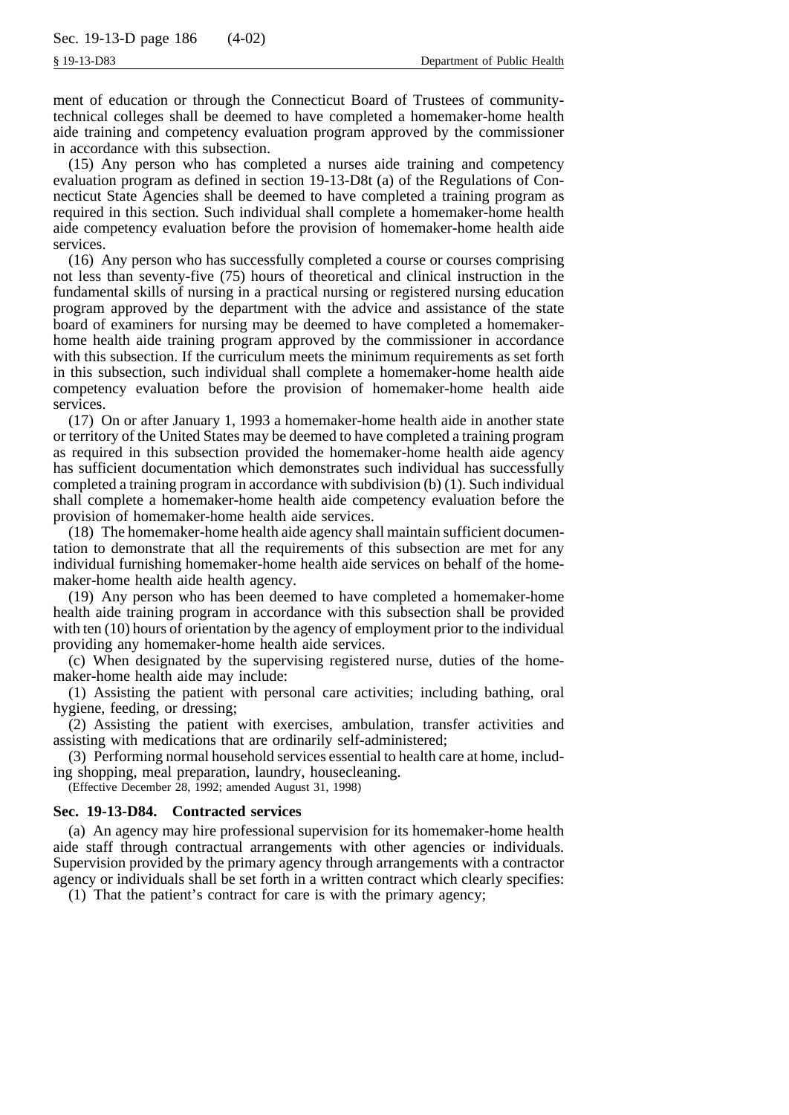ment of education or through the Connecticut Board of Trustees of communitytechnical colleges shall be deemed to have completed a homemaker-home health aide training and competency evaluation program approved by the commissioner in accordance with this subsection.

(15) Any person who has completed a nurses aide training and competency evaluation program as defined in section 19-13-D8t (a) of the Regulations of Connecticut State Agencies shall be deemed to have completed a training program as required in this section. Such individual shall complete a homemaker-home health aide competency evaluation before the provision of homemaker-home health aide services.

(16) Any person who has successfully completed a course or courses comprising not less than seventy-five (75) hours of theoretical and clinical instruction in the fundamental skills of nursing in a practical nursing or registered nursing education program approved by the department with the advice and assistance of the state board of examiners for nursing may be deemed to have completed a homemakerhome health aide training program approved by the commissioner in accordance with this subsection. If the curriculum meets the minimum requirements as set forth in this subsection, such individual shall complete a homemaker-home health aide competency evaluation before the provision of homemaker-home health aide services.

(17) On or after January 1, 1993 a homemaker-home health aide in another state or territory of the United States may be deemed to have completed a training program as required in this subsection provided the homemaker-home health aide agency has sufficient documentation which demonstrates such individual has successfully completed a training program in accordance with subdivision (b) (1). Such individual shall complete a homemaker-home health aide competency evaluation before the provision of homemaker-home health aide services.

(18) The homemaker-home health aide agency shall maintain sufficient documentation to demonstrate that all the requirements of this subsection are met for any individual furnishing homemaker-home health aide services on behalf of the homemaker-home health aide health agency.

(19) Any person who has been deemed to have completed a homemaker-home health aide training program in accordance with this subsection shall be provided with ten (10) hours of orientation by the agency of employment prior to the individual providing any homemaker-home health aide services.

(c) When designated by the supervising registered nurse, duties of the homemaker-home health aide may include:

(1) Assisting the patient with personal care activities; including bathing, oral hygiene, feeding, or dressing;

(2) Assisting the patient with exercises, ambulation, transfer activities and assisting with medications that are ordinarily self-administered;

(3) Performing normal household services essential to health care at home, including shopping, meal preparation, laundry, housecleaning.

(Effective December 28, 1992; amended August 31, 1998)

#### **Sec. 19-13-D84. Contracted services**

(a) An agency may hire professional supervision for its homemaker-home health aide staff through contractual arrangements with other agencies or individuals. Supervision provided by the primary agency through arrangements with a contractor agency or individuals shall be set forth in a written contract which clearly specifies:

(1) That the patient's contract for care is with the primary agency;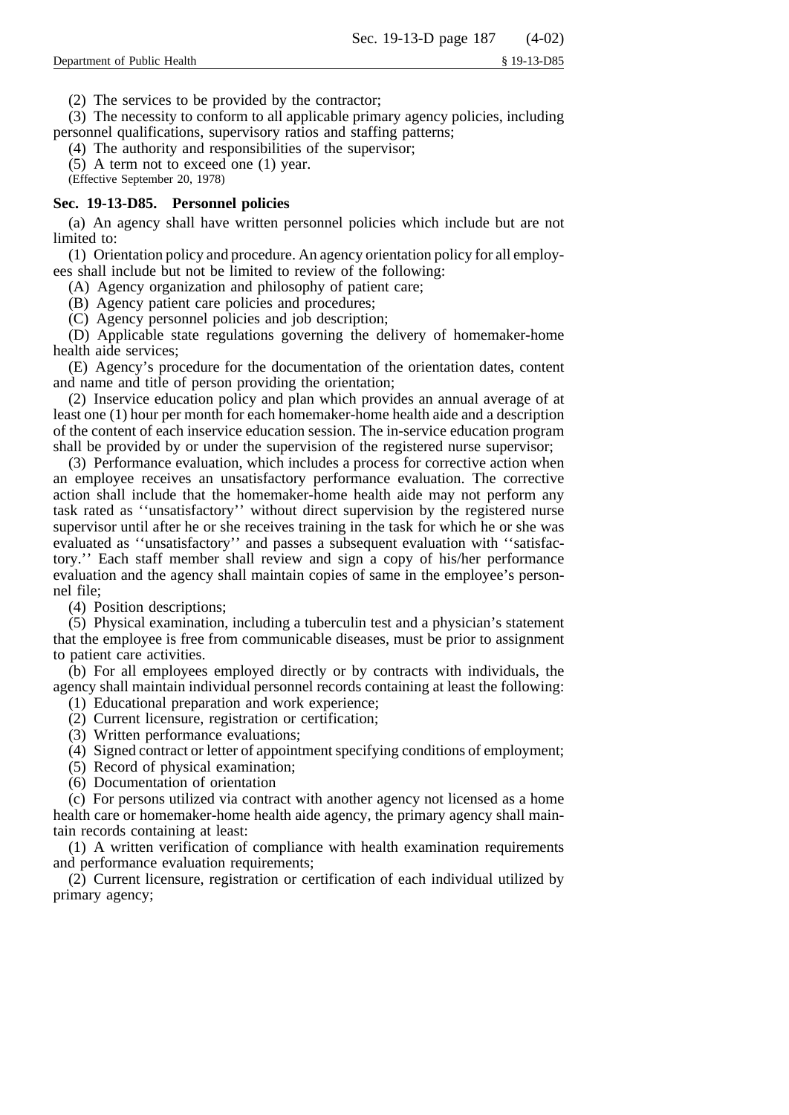(2) The services to be provided by the contractor;

(3) The necessity to conform to all applicable primary agency policies, including personnel qualifications, supervisory ratios and staffing patterns;

(4) The authority and responsibilities of the supervisor;

(5) A term not to exceed one (1) year.

(Effective September 20, 1978)

# **Sec. 19-13-D85. Personnel policies**

(a) An agency shall have written personnel policies which include but are not limited to:

(1) Orientation policy and procedure. An agency orientation policy for all employees shall include but not be limited to review of the following:

(A) Agency organization and philosophy of patient care;

(B) Agency patient care policies and procedures;

(C) Agency personnel policies and job description;

(D) Applicable state regulations governing the delivery of homemaker-home health aide services;

(E) Agency's procedure for the documentation of the orientation dates, content and name and title of person providing the orientation;

(2) Inservice education policy and plan which provides an annual average of at least one (1) hour per month for each homemaker-home health aide and a description of the content of each inservice education session. The in-service education program shall be provided by or under the supervision of the registered nurse supervisor;

(3) Performance evaluation, which includes a process for corrective action when an employee receives an unsatisfactory performance evaluation. The corrective action shall include that the homemaker-home health aide may not perform any task rated as ''unsatisfactory'' without direct supervision by the registered nurse supervisor until after he or she receives training in the task for which he or she was evaluated as ''unsatisfactory'' and passes a subsequent evaluation with ''satisfactory.'' Each staff member shall review and sign a copy of his/her performance evaluation and the agency shall maintain copies of same in the employee's personnel file;

(4) Position descriptions;

(5) Physical examination, including a tuberculin test and a physician's statement that the employee is free from communicable diseases, must be prior to assignment to patient care activities.

(b) For all employees employed directly or by contracts with individuals, the agency shall maintain individual personnel records containing at least the following:

- (1) Educational preparation and work experience;
- (2) Current licensure, registration or certification;
- (3) Written performance evaluations;
- (4) Signed contract or letter of appointment specifying conditions of employment;
- (5) Record of physical examination;
- (6) Documentation of orientation

(c) For persons utilized via contract with another agency not licensed as a home health care or homemaker-home health aide agency, the primary agency shall maintain records containing at least:

(1) A written verification of compliance with health examination requirements and performance evaluation requirements;

(2) Current licensure, registration or certification of each individual utilized by primary agency;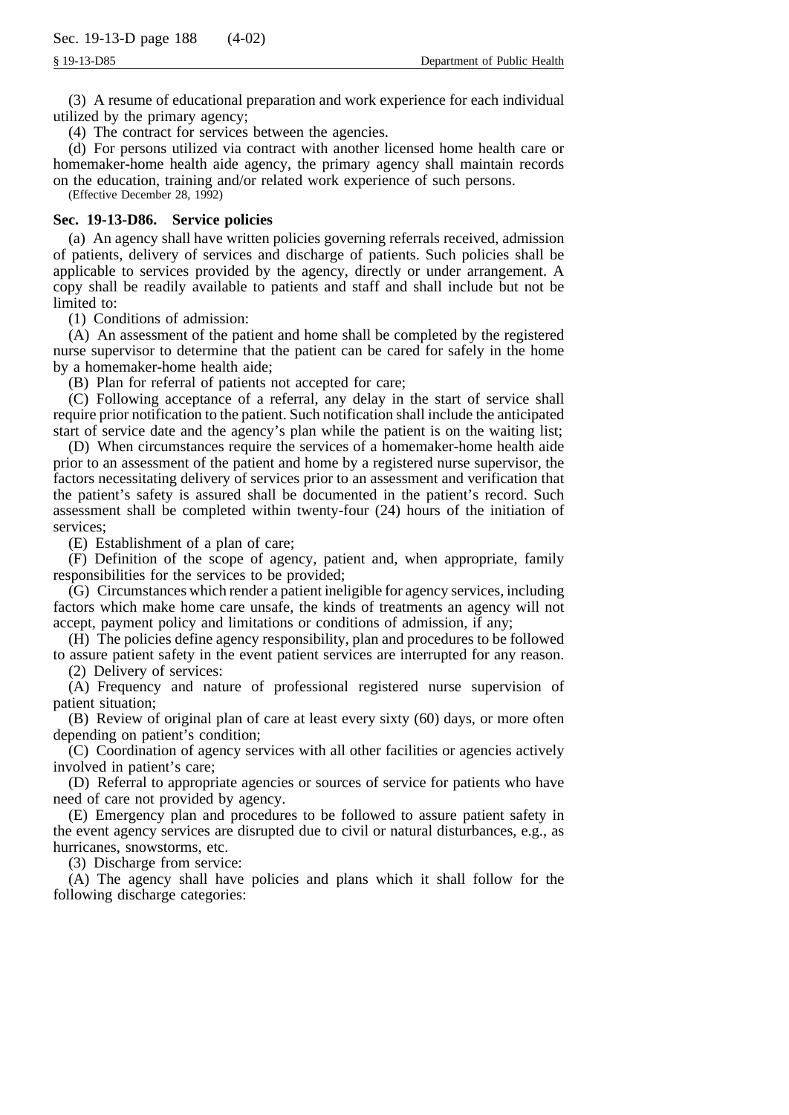(3) A resume of educational preparation and work experience for each individual utilized by the primary agency;

(4) The contract for services between the agencies.

(d) For persons utilized via contract with another licensed home health care or homemaker-home health aide agency, the primary agency shall maintain records on the education, training and/or related work experience of such persons.

(Effective December 28, 1992)

# **Sec. 19-13-D86. Service policies**

(a) An agency shall have written policies governing referrals received, admission of patients, delivery of services and discharge of patients. Such policies shall be applicable to services provided by the agency, directly or under arrangement. A copy shall be readily available to patients and staff and shall include but not be limited to:

(1) Conditions of admission:

(A) An assessment of the patient and home shall be completed by the registered nurse supervisor to determine that the patient can be cared for safely in the home by a homemaker-home health aide;

(B) Plan for referral of patients not accepted for care;

(C) Following acceptance of a referral, any delay in the start of service shall require prior notification to the patient. Such notification shall include the anticipated start of service date and the agency's plan while the patient is on the waiting list;

(D) When circumstances require the services of a homemaker-home health aide prior to an assessment of the patient and home by a registered nurse supervisor, the factors necessitating delivery of services prior to an assessment and verification that the patient's safety is assured shall be documented in the patient's record. Such assessment shall be completed within twenty-four (24) hours of the initiation of services;

(E) Establishment of a plan of care;

(F) Definition of the scope of agency, patient and, when appropriate, family responsibilities for the services to be provided;

(G) Circumstances which render a patient ineligible for agency services, including factors which make home care unsafe, the kinds of treatments an agency will not accept, payment policy and limitations or conditions of admission, if any;

(H) The policies define agency responsibility, plan and procedures to be followed to assure patient safety in the event patient services are interrupted for any reason.

(2) Delivery of services:

(A) Frequency and nature of professional registered nurse supervision of patient situation;

(B) Review of original plan of care at least every sixty (60) days, or more often depending on patient's condition;

(C) Coordination of agency services with all other facilities or agencies actively involved in patient's care;

(D) Referral to appropriate agencies or sources of service for patients who have need of care not provided by agency.

(E) Emergency plan and procedures to be followed to assure patient safety in the event agency services are disrupted due to civil or natural disturbances, e.g., as hurricanes, snowstorms, etc.

(3) Discharge from service:

(A) The agency shall have policies and plans which it shall follow for the following discharge categories: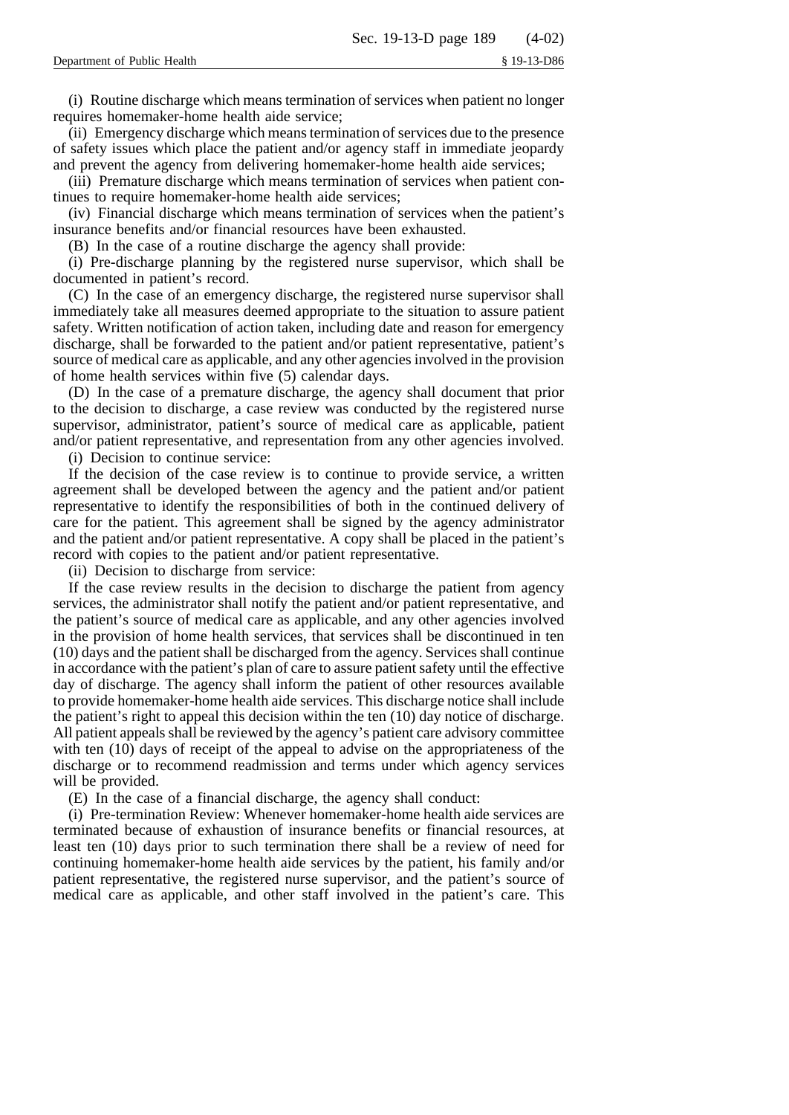(i) Routine discharge which means termination of services when patient no longer requires homemaker-home health aide service;

(ii) Emergency discharge which means termination of services due to the presence of safety issues which place the patient and/or agency staff in immediate jeopardy and prevent the agency from delivering homemaker-home health aide services;

(iii) Premature discharge which means termination of services when patient continues to require homemaker-home health aide services;

(iv) Financial discharge which means termination of services when the patient's insurance benefits and/or financial resources have been exhausted.

(B) In the case of a routine discharge the agency shall provide:

(i) Pre-discharge planning by the registered nurse supervisor, which shall be documented in patient's record.

(C) In the case of an emergency discharge, the registered nurse supervisor shall immediately take all measures deemed appropriate to the situation to assure patient safety. Written notification of action taken, including date and reason for emergency discharge, shall be forwarded to the patient and/or patient representative, patient's source of medical care as applicable, and any other agencies involved in the provision of home health services within five (5) calendar days.

(D) In the case of a premature discharge, the agency shall document that prior to the decision to discharge, a case review was conducted by the registered nurse supervisor, administrator, patient's source of medical care as applicable, patient and/or patient representative, and representation from any other agencies involved.

(i) Decision to continue service:

If the decision of the case review is to continue to provide service, a written agreement shall be developed between the agency and the patient and/or patient representative to identify the responsibilities of both in the continued delivery of care for the patient. This agreement shall be signed by the agency administrator and the patient and/or patient representative. A copy shall be placed in the patient's record with copies to the patient and/or patient representative.

(ii) Decision to discharge from service:

If the case review results in the decision to discharge the patient from agency services, the administrator shall notify the patient and/or patient representative, and the patient's source of medical care as applicable, and any other agencies involved in the provision of home health services, that services shall be discontinued in ten (10) days and the patient shall be discharged from the agency. Services shall continue in accordance with the patient's plan of care to assure patient safety until the effective day of discharge. The agency shall inform the patient of other resources available to provide homemaker-home health aide services. This discharge notice shall include the patient's right to appeal this decision within the ten (10) day notice of discharge. All patient appeals shall be reviewed by the agency's patient care advisory committee with ten (10) days of receipt of the appeal to advise on the appropriateness of the discharge or to recommend readmission and terms under which agency services will be provided.

(E) In the case of a financial discharge, the agency shall conduct:

(i) Pre-termination Review: Whenever homemaker-home health aide services are terminated because of exhaustion of insurance benefits or financial resources, at least ten (10) days prior to such termination there shall be a review of need for continuing homemaker-home health aide services by the patient, his family and/or patient representative, the registered nurse supervisor, and the patient's source of medical care as applicable, and other staff involved in the patient's care. This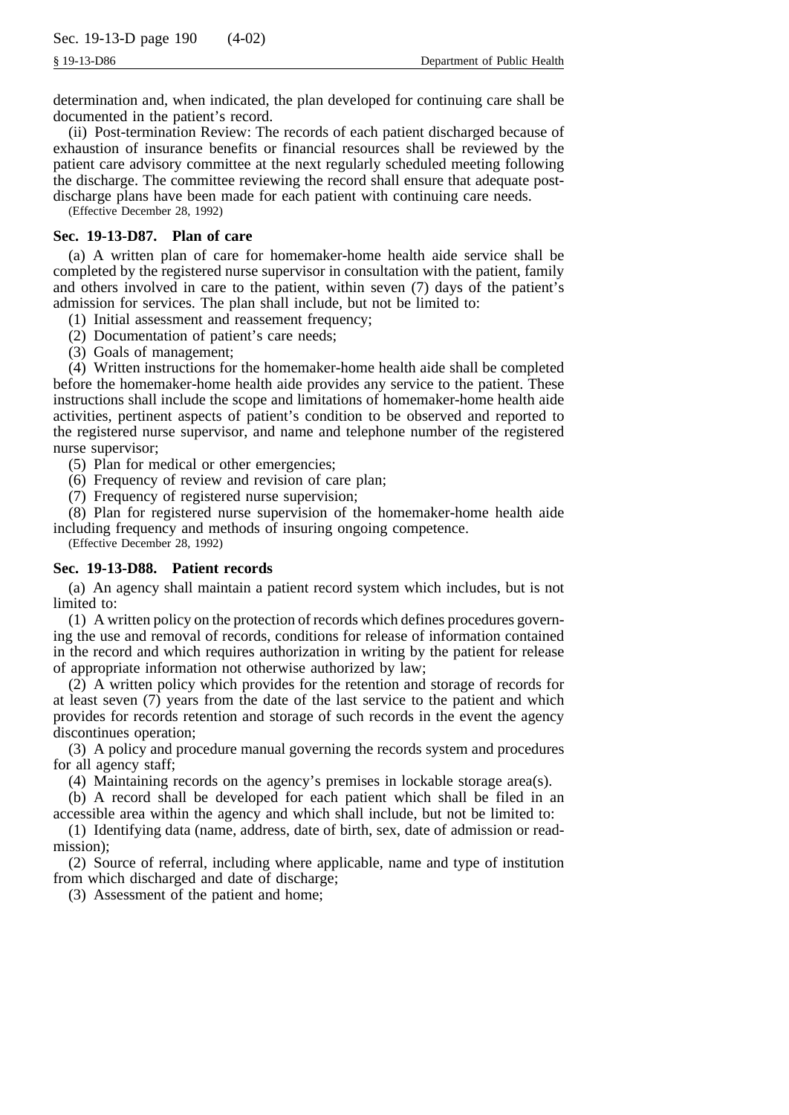determination and, when indicated, the plan developed for continuing care shall be documented in the patient's record.

(ii) Post-termination Review: The records of each patient discharged because of exhaustion of insurance benefits or financial resources shall be reviewed by the patient care advisory committee at the next regularly scheduled meeting following the discharge. The committee reviewing the record shall ensure that adequate postdischarge plans have been made for each patient with continuing care needs.

(Effective December 28, 1992)

# **Sec. 19-13-D87. Plan of care**

(a) A written plan of care for homemaker-home health aide service shall be completed by the registered nurse supervisor in consultation with the patient, family and others involved in care to the patient, within seven (7) days of the patient's admission for services. The plan shall include, but not be limited to:

(1) Initial assessment and reassement frequency;

(2) Documentation of patient's care needs;

(3) Goals of management;

(4) Written instructions for the homemaker-home health aide shall be completed before the homemaker-home health aide provides any service to the patient. These instructions shall include the scope and limitations of homemaker-home health aide activities, pertinent aspects of patient's condition to be observed and reported to the registered nurse supervisor, and name and telephone number of the registered nurse supervisor;

(5) Plan for medical or other emergencies;

(6) Frequency of review and revision of care plan;

(7) Frequency of registered nurse supervision;

(8) Plan for registered nurse supervision of the homemaker-home health aide including frequency and methods of insuring ongoing competence.

(Effective December 28, 1992)

# **Sec. 19-13-D88. Patient records**

(a) An agency shall maintain a patient record system which includes, but is not limited to:

(1) A written policy on the protection of records which defines procedures governing the use and removal of records, conditions for release of information contained in the record and which requires authorization in writing by the patient for release of appropriate information not otherwise authorized by law;

(2) A written policy which provides for the retention and storage of records for at least seven (7) years from the date of the last service to the patient and which provides for records retention and storage of such records in the event the agency discontinues operation;

(3) A policy and procedure manual governing the records system and procedures for all agency staff;

(4) Maintaining records on the agency's premises in lockable storage area(s).

(b) A record shall be developed for each patient which shall be filed in an accessible area within the agency and which shall include, but not be limited to:

(1) Identifying data (name, address, date of birth, sex, date of admission or readmission);

(2) Source of referral, including where applicable, name and type of institution from which discharged and date of discharge;

(3) Assessment of the patient and home;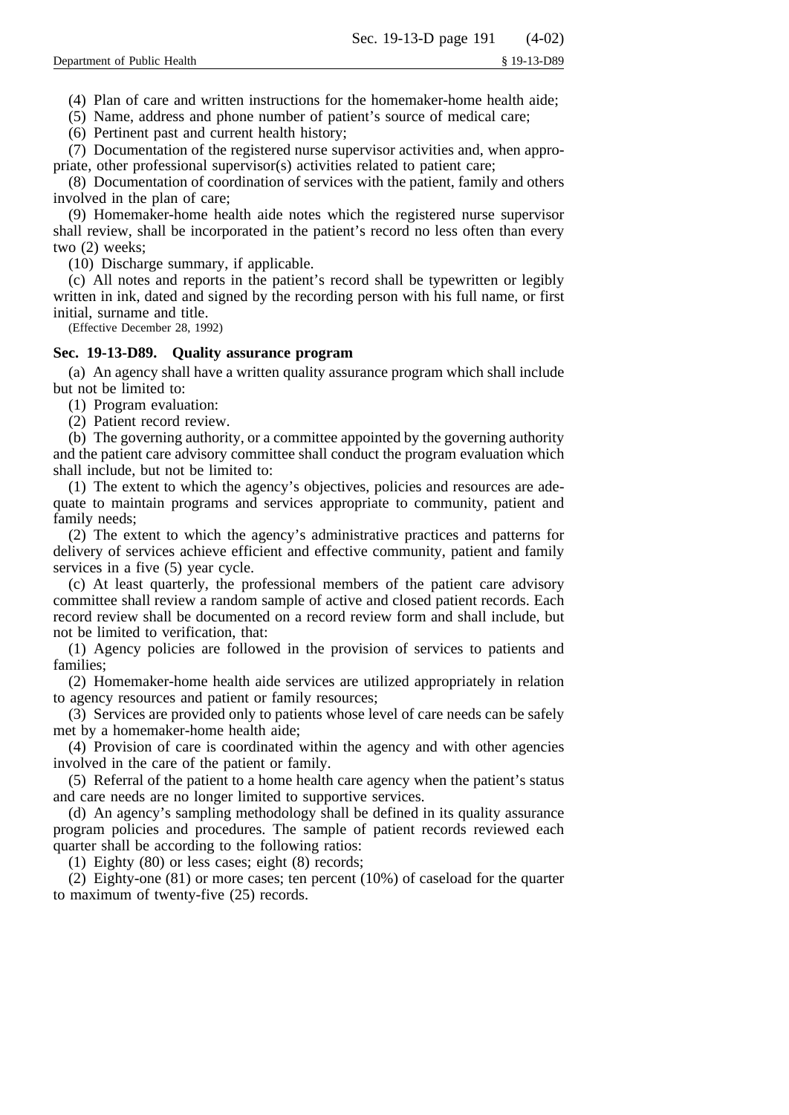(4) Plan of care and written instructions for the homemaker-home health aide;

(5) Name, address and phone number of patient's source of medical care;

(6) Pertinent past and current health history;

(7) Documentation of the registered nurse supervisor activities and, when appropriate, other professional supervisor(s) activities related to patient care;

(8) Documentation of coordination of services with the patient, family and others involved in the plan of care;

(9) Homemaker-home health aide notes which the registered nurse supervisor shall review, shall be incorporated in the patient's record no less often than every two (2) weeks;

(10) Discharge summary, if applicable.

(c) All notes and reports in the patient's record shall be typewritten or legibly written in ink, dated and signed by the recording person with his full name, or first initial, surname and title.

(Effective December 28, 1992)

## **Sec. 19-13-D89. Quality assurance program**

(a) An agency shall have a written quality assurance program which shall include but not be limited to:

(1) Program evaluation:

(2) Patient record review.

(b) The governing authority, or a committee appointed by the governing authority and the patient care advisory committee shall conduct the program evaluation which shall include, but not be limited to:

(1) The extent to which the agency's objectives, policies and resources are adequate to maintain programs and services appropriate to community, patient and family needs;

(2) The extent to which the agency's administrative practices and patterns for delivery of services achieve efficient and effective community, patient and family services in a five (5) year cycle.

(c) At least quarterly, the professional members of the patient care advisory committee shall review a random sample of active and closed patient records. Each record review shall be documented on a record review form and shall include, but not be limited to verification, that:

(1) Agency policies are followed in the provision of services to patients and families;

(2) Homemaker-home health aide services are utilized appropriately in relation to agency resources and patient or family resources;

(3) Services are provided only to patients whose level of care needs can be safely met by a homemaker-home health aide;

(4) Provision of care is coordinated within the agency and with other agencies involved in the care of the patient or family.

(5) Referral of the patient to a home health care agency when the patient's status and care needs are no longer limited to supportive services.

(d) An agency's sampling methodology shall be defined in its quality assurance program policies and procedures. The sample of patient records reviewed each quarter shall be according to the following ratios:

(1) Eighty (80) or less cases; eight (8) records;

(2) Eighty-one (81) or more cases; ten percent (10%) of caseload for the quarter to maximum of twenty-five (25) records.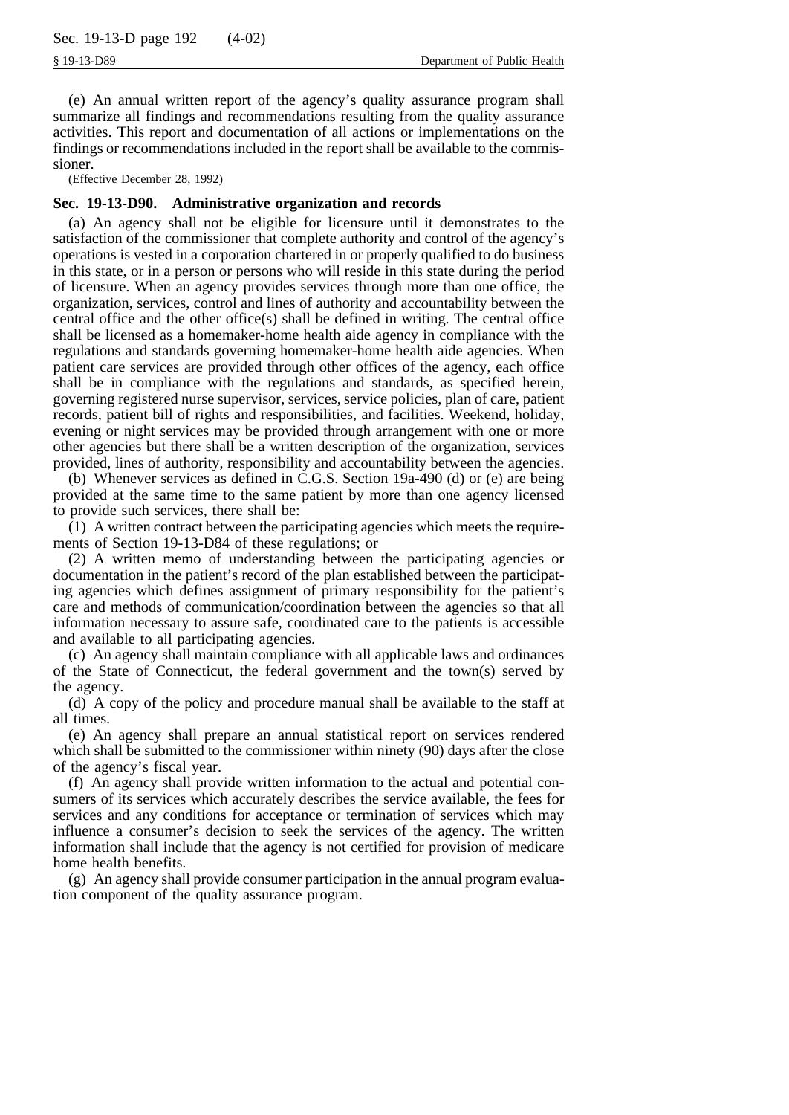(e) An annual written report of the agency's quality assurance program shall summarize all findings and recommendations resulting from the quality assurance activities. This report and documentation of all actions or implementations on the findings or recommendations included in the report shall be available to the commissioner.

(Effective December 28, 1992)

# **Sec. 19-13-D90. Administrative organization and records**

(a) An agency shall not be eligible for licensure until it demonstrates to the satisfaction of the commissioner that complete authority and control of the agency's operations is vested in a corporation chartered in or properly qualified to do business in this state, or in a person or persons who will reside in this state during the period of licensure. When an agency provides services through more than one office, the organization, services, control and lines of authority and accountability between the central office and the other office $(s)$  shall be defined in writing. The central office shall be licensed as a homemaker-home health aide agency in compliance with the regulations and standards governing homemaker-home health aide agencies. When patient care services are provided through other offices of the agency, each office shall be in compliance with the regulations and standards, as specified herein, governing registered nurse supervisor, services, service policies, plan of care, patient records, patient bill of rights and responsibilities, and facilities. Weekend, holiday, evening or night services may be provided through arrangement with one or more other agencies but there shall be a written description of the organization, services provided, lines of authority, responsibility and accountability between the agencies.

(b) Whenever services as defined in C.G.S. Section 19a-490 (d) or (e) are being provided at the same time to the same patient by more than one agency licensed to provide such services, there shall be:

(1) A written contract between the participating agencies which meets the requirements of Section 19-13-D84 of these regulations; or

(2) A written memo of understanding between the participating agencies or documentation in the patient's record of the plan established between the participating agencies which defines assignment of primary responsibility for the patient's care and methods of communication/coordination between the agencies so that all information necessary to assure safe, coordinated care to the patients is accessible and available to all participating agencies.

(c) An agency shall maintain compliance with all applicable laws and ordinances of the State of Connecticut, the federal government and the town(s) served by the agency.

(d) A copy of the policy and procedure manual shall be available to the staff at all times.

(e) An agency shall prepare an annual statistical report on services rendered which shall be submitted to the commissioner within ninety (90) days after the close of the agency's fiscal year.

(f) An agency shall provide written information to the actual and potential consumers of its services which accurately describes the service available, the fees for services and any conditions for acceptance or termination of services which may influence a consumer's decision to seek the services of the agency. The written information shall include that the agency is not certified for provision of medicare home health benefits.

(g) An agency shall provide consumer participation in the annual program evaluation component of the quality assurance program.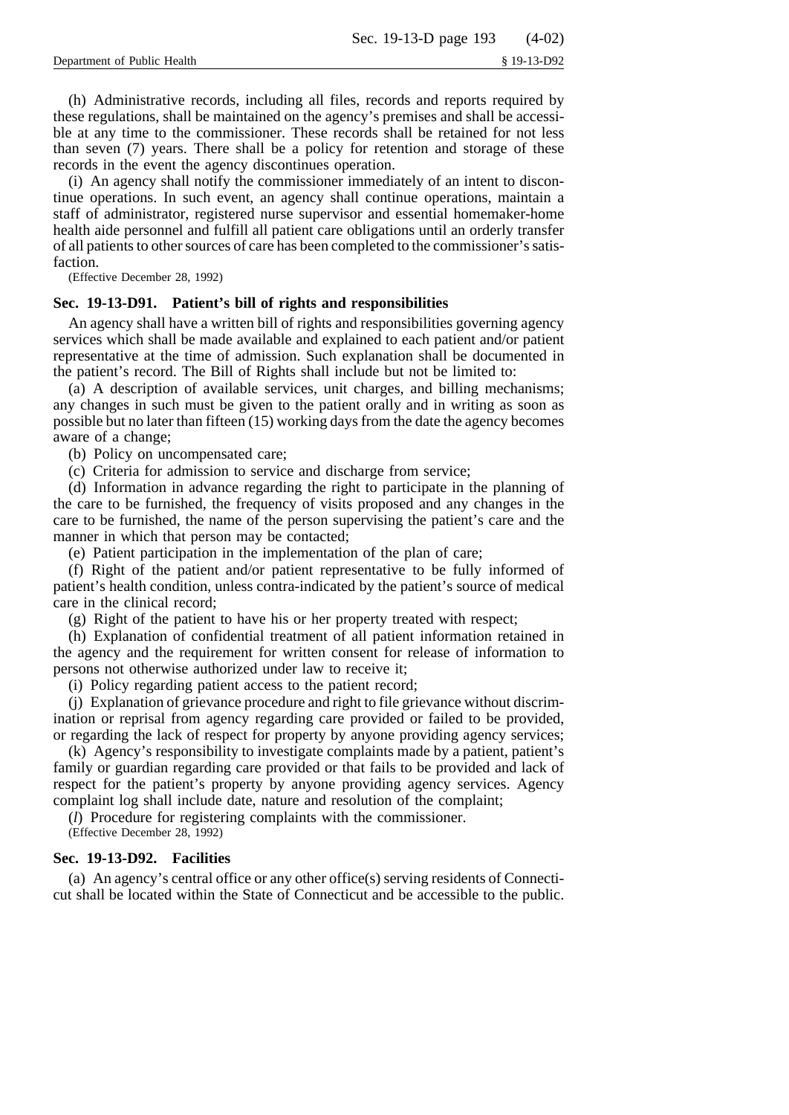(h) Administrative records, including all files, records and reports required by these regulations, shall be maintained on the agency's premises and shall be accessible at any time to the commissioner. These records shall be retained for not less than seven (7) years. There shall be a policy for retention and storage of these records in the event the agency discontinues operation.

(i) An agency shall notify the commissioner immediately of an intent to discontinue operations. In such event, an agency shall continue operations, maintain a staff of administrator, registered nurse supervisor and essential homemaker-home health aide personnel and fulfill all patient care obligations until an orderly transfer of all patients to other sources of care has been completed to the commissioner's satisfaction.

(Effective December 28, 1992)

## **Sec. 19-13-D91. Patient's bill of rights and responsibilities**

An agency shall have a written bill of rights and responsibilities governing agency services which shall be made available and explained to each patient and/or patient representative at the time of admission. Such explanation shall be documented in the patient's record. The Bill of Rights shall include but not be limited to:

(a) A description of available services, unit charges, and billing mechanisms; any changes in such must be given to the patient orally and in writing as soon as possible but no later than fifteen (15) working days from the date the agency becomes aware of a change;

(b) Policy on uncompensated care;

(c) Criteria for admission to service and discharge from service;

(d) Information in advance regarding the right to participate in the planning of the care to be furnished, the frequency of visits proposed and any changes in the care to be furnished, the name of the person supervising the patient's care and the manner in which that person may be contacted;

(e) Patient participation in the implementation of the plan of care;

(f) Right of the patient and/or patient representative to be fully informed of patient's health condition, unless contra-indicated by the patient's source of medical care in the clinical record;

(g) Right of the patient to have his or her property treated with respect;

(h) Explanation of confidential treatment of all patient information retained in the agency and the requirement for written consent for release of information to persons not otherwise authorized under law to receive it;

(i) Policy regarding patient access to the patient record;

(j) Explanation of grievance procedure and right to file grievance without discrimination or reprisal from agency regarding care provided or failed to be provided, or regarding the lack of respect for property by anyone providing agency services;

(k) Agency's responsibility to investigate complaints made by a patient, patient's family or guardian regarding care provided or that fails to be provided and lack of respect for the patient's property by anyone providing agency services. Agency complaint log shall include date, nature and resolution of the complaint;

(*l*) Procedure for registering complaints with the commissioner.

(Effective December 28, 1992)

# **Sec. 19-13-D92. Facilities**

(a) An agency's central office or any other office(s) serving residents of Connecticut shall be located within the State of Connecticut and be accessible to the public.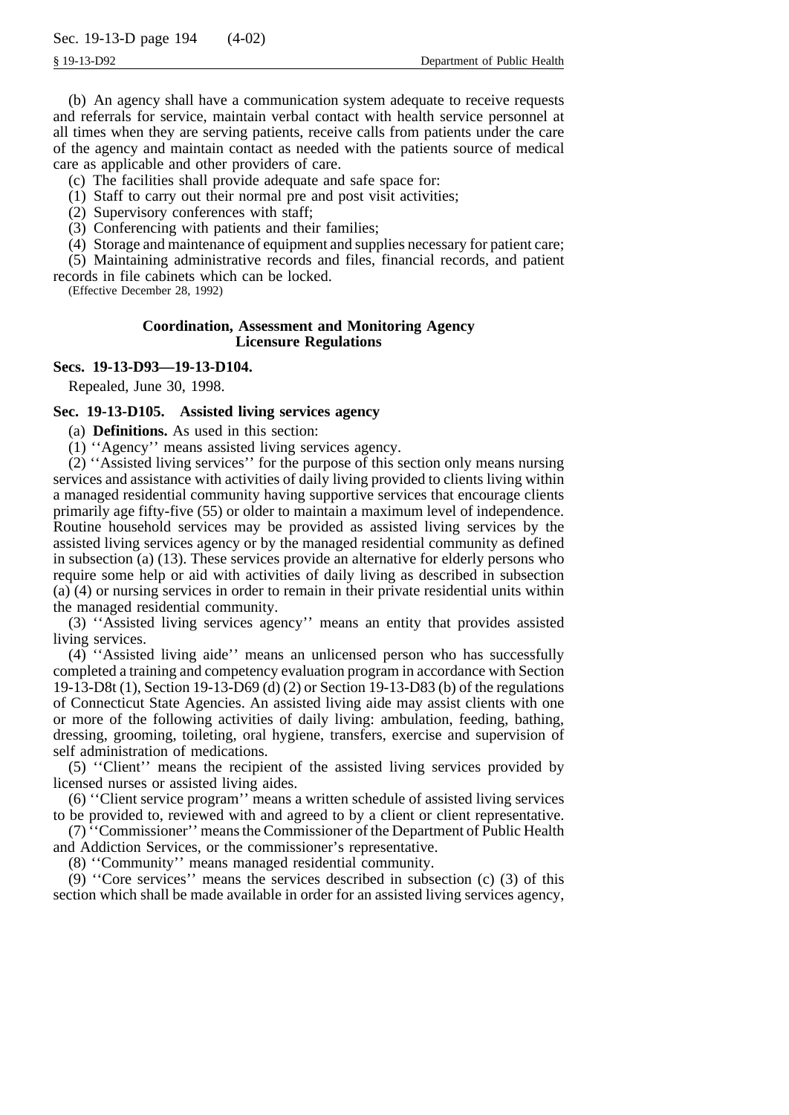(b) An agency shall have a communication system adequate to receive requests and referrals for service, maintain verbal contact with health service personnel at all times when they are serving patients, receive calls from patients under the care of the agency and maintain contact as needed with the patients source of medical care as applicable and other providers of care.

(c) The facilities shall provide adequate and safe space for:

(1) Staff to carry out their normal pre and post visit activities;

(2) Supervisory conferences with staff;

(3) Conferencing with patients and their families;

(4) Storage and maintenance of equipment and supplies necessary for patient care;

(5) Maintaining administrative records and files, financial records, and patient records in file cabinets which can be locked.

(Effective December 28, 1992)

# **Coordination, Assessment and Monitoring Agency Licensure Regulations**

# **Secs. 19-13-D93—19-13-D104.**

Repealed, June 30, 1998.

# **Sec. 19-13-D105. Assisted living services agency**

(a) **Definitions.** As used in this section:

(1) ''Agency'' means assisted living services agency.

(2) ''Assisted living services'' for the purpose of this section only means nursing services and assistance with activities of daily living provided to clients living within a managed residential community having supportive services that encourage clients primarily age fifty-five (55) or older to maintain a maximum level of independence. Routine household services may be provided as assisted living services by the assisted living services agency or by the managed residential community as defined in subsection (a) (13). These services provide an alternative for elderly persons who require some help or aid with activities of daily living as described in subsection (a) (4) or nursing services in order to remain in their private residential units within the managed residential community.

(3) ''Assisted living services agency'' means an entity that provides assisted living services.

(4) ''Assisted living aide'' means an unlicensed person who has successfully completed a training and competency evaluation program in accordance with Section 19-13-D8t (1), Section 19-13-D69 (d) (2) or Section 19-13-D83 (b) of the regulations of Connecticut State Agencies. An assisted living aide may assist clients with one or more of the following activities of daily living: ambulation, feeding, bathing, dressing, grooming, toileting, oral hygiene, transfers, exercise and supervision of self administration of medications.

(5) ''Client'' means the recipient of the assisted living services provided by licensed nurses or assisted living aides.

(6) ''Client service program'' means a written schedule of assisted living services to be provided to, reviewed with and agreed to by a client or client representative.

(7) ''Commissioner'' means the Commissioner of the Department of Public Health and Addiction Services, or the commissioner's representative.

(8) ''Community'' means managed residential community.

(9) ''Core services'' means the services described in subsection (c) (3) of this section which shall be made available in order for an assisted living services agency,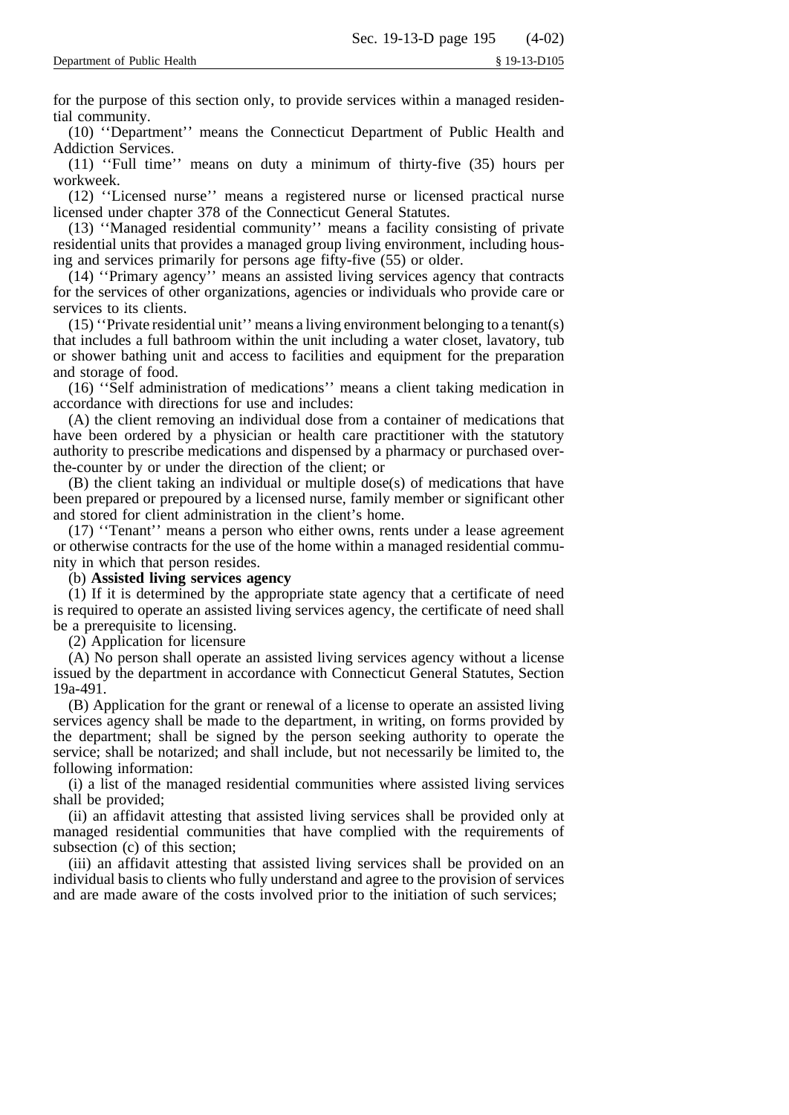for the purpose of this section only, to provide services within a managed residential community.

(10) ''Department'' means the Connecticut Department of Public Health and Addiction Services.

(11) ''Full time'' means on duty a minimum of thirty-five (35) hours per workweek.

(12) ''Licensed nurse'' means a registered nurse or licensed practical nurse licensed under chapter 378 of the Connecticut General Statutes.

(13) ''Managed residential community'' means a facility consisting of private residential units that provides a managed group living environment, including housing and services primarily for persons age fifty-five (55) or older.

(14) ''Primary agency'' means an assisted living services agency that contracts for the services of other organizations, agencies or individuals who provide care or services to its clients.

(15) ''Private residential unit'' means a living environment belonging to a tenant(s) that includes a full bathroom within the unit including a water closet, lavatory, tub or shower bathing unit and access to facilities and equipment for the preparation and storage of food.

(16) ''Self administration of medications'' means a client taking medication in accordance with directions for use and includes:

(A) the client removing an individual dose from a container of medications that have been ordered by a physician or health care practitioner with the statutory authority to prescribe medications and dispensed by a pharmacy or purchased overthe-counter by or under the direction of the client; or

(B) the client taking an individual or multiple dose(s) of medications that have been prepared or prepoured by a licensed nurse, family member or significant other and stored for client administration in the client's home.

(17) ''Tenant'' means a person who either owns, rents under a lease agreement or otherwise contracts for the use of the home within a managed residential community in which that person resides.

(b) **Assisted living services agency**

(1) If it is determined by the appropriate state agency that a certificate of need is required to operate an assisted living services agency, the certificate of need shall be a prerequisite to licensing.

(2) Application for licensure

(A) No person shall operate an assisted living services agency without a license issued by the department in accordance with Connecticut General Statutes, Section 19a-491.

(B) Application for the grant or renewal of a license to operate an assisted living services agency shall be made to the department, in writing, on forms provided by the department; shall be signed by the person seeking authority to operate the service; shall be notarized; and shall include, but not necessarily be limited to, the following information:

(i) a list of the managed residential communities where assisted living services shall be provided;

(ii) an affidavit attesting that assisted living services shall be provided only at managed residential communities that have complied with the requirements of subsection (c) of this section;

(iii) an affidavit attesting that assisted living services shall be provided on an individual basis to clients who fully understand and agree to the provision of services and are made aware of the costs involved prior to the initiation of such services;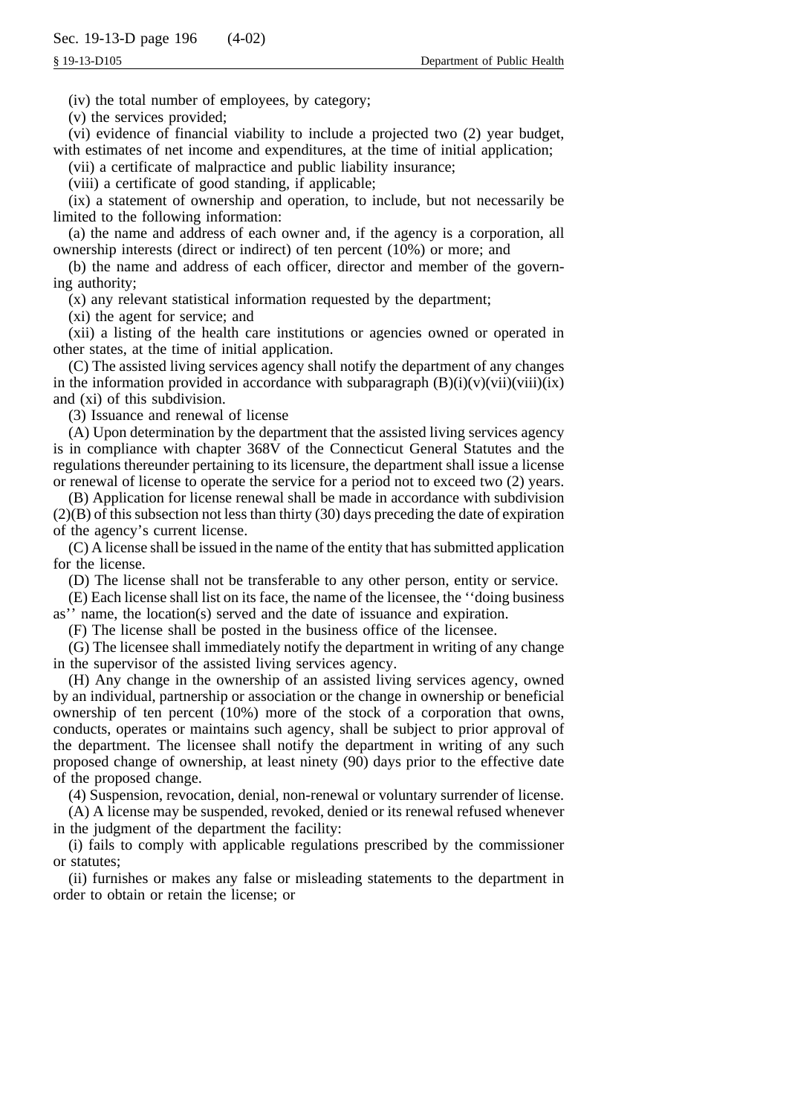(iv) the total number of employees, by category;

(v) the services provided;

(vi) evidence of financial viability to include a projected two (2) year budget, with estimates of net income and expenditures, at the time of initial application;

(vii) a certificate of malpractice and public liability insurance;

(viii) a certificate of good standing, if applicable;

(ix) a statement of ownership and operation, to include, but not necessarily be limited to the following information:

(a) the name and address of each owner and, if the agency is a corporation, all ownership interests (direct or indirect) of ten percent (10%) or more; and

(b) the name and address of each officer, director and member of the governing authority;

(x) any relevant statistical information requested by the department;

(xi) the agent for service; and

(xii) a listing of the health care institutions or agencies owned or operated in other states, at the time of initial application.

(C) The assisted living services agency shall notify the department of any changes in the information provided in accordance with subparagraph  $(B)(i)(v)(vii)(viii)(ix)$ and (xi) of this subdivision.

(3) Issuance and renewal of license

(A) Upon determination by the department that the assisted living services agency is in compliance with chapter 368V of the Connecticut General Statutes and the regulations thereunder pertaining to its licensure, the department shall issue a license or renewal of license to operate the service for a period not to exceed two (2) years.

(B) Application for license renewal shall be made in accordance with subdivision  $(2)(B)$  of this subsection not less than thirty (30) days preceding the date of expiration of the agency's current license.

(C) A license shall be issued in the name of the entity that has submitted application for the license.

(D) The license shall not be transferable to any other person, entity or service.

(E) Each license shall list on its face, the name of the licensee, the ''doing business as'' name, the location(s) served and the date of issuance and expiration.

(F) The license shall be posted in the business office of the licensee.

(G) The licensee shall immediately notify the department in writing of any change in the supervisor of the assisted living services agency.

(H) Any change in the ownership of an assisted living services agency, owned by an individual, partnership or association or the change in ownership or beneficial ownership of ten percent (10%) more of the stock of a corporation that owns, conducts, operates or maintains such agency, shall be subject to prior approval of the department. The licensee shall notify the department in writing of any such proposed change of ownership, at least ninety (90) days prior to the effective date of the proposed change.

(4) Suspension, revocation, denial, non-renewal or voluntary surrender of license.

(A) A license may be suspended, revoked, denied or its renewal refused whenever in the judgment of the department the facility:

(i) fails to comply with applicable regulations prescribed by the commissioner or statutes;

(ii) furnishes or makes any false or misleading statements to the department in order to obtain or retain the license; or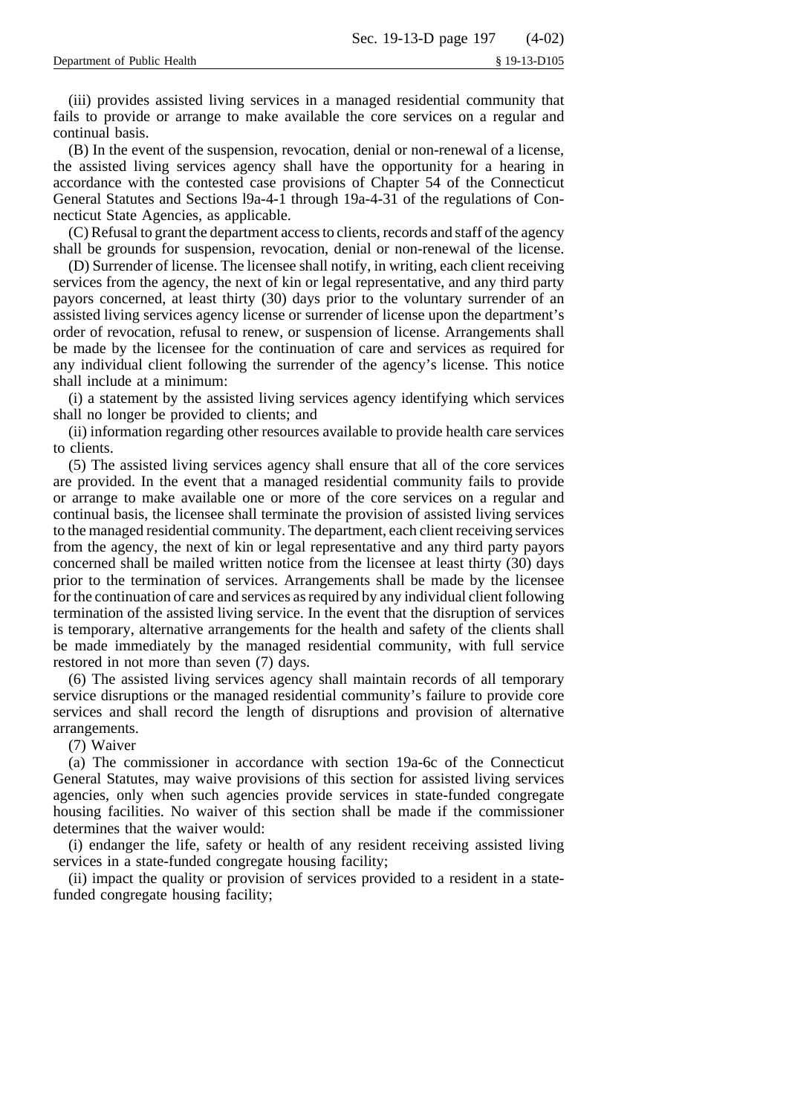(iii) provides assisted living services in a managed residential community that fails to provide or arrange to make available the core services on a regular and continual basis.

(B) In the event of the suspension, revocation, denial or non-renewal of a license, the assisted living services agency shall have the opportunity for a hearing in accordance with the contested case provisions of Chapter 54 of the Connecticut General Statutes and Sections l9a-4-1 through 19a-4-31 of the regulations of Connecticut State Agencies, as applicable.

(C) Refusal to grant the department access to clients, records and staff of the agency shall be grounds for suspension, revocation, denial or non-renewal of the license.

(D) Surrender of license. The licensee shall notify, in writing, each client receiving services from the agency, the next of kin or legal representative, and any third party payors concerned, at least thirty (30) days prior to the voluntary surrender of an assisted living services agency license or surrender of license upon the department's order of revocation, refusal to renew, or suspension of license. Arrangements shall be made by the licensee for the continuation of care and services as required for any individual client following the surrender of the agency's license. This notice shall include at a minimum:

(i) a statement by the assisted living services agency identifying which services shall no longer be provided to clients; and

(ii) information regarding other resources available to provide health care services to clients.

(5) The assisted living services agency shall ensure that all of the core services are provided. In the event that a managed residential community fails to provide or arrange to make available one or more of the core services on a regular and continual basis, the licensee shall terminate the provision of assisted living services to the managed residential community. The department, each client receiving services from the agency, the next of kin or legal representative and any third party payors concerned shall be mailed written notice from the licensee at least thirty (30) days prior to the termination of services. Arrangements shall be made by the licensee for the continuation of care and services as required by any individual client following termination of the assisted living service. In the event that the disruption of services is temporary, alternative arrangements for the health and safety of the clients shall be made immediately by the managed residential community, with full service restored in not more than seven (7) days.

(6) The assisted living services agency shall maintain records of all temporary service disruptions or the managed residential community's failure to provide core services and shall record the length of disruptions and provision of alternative arrangements.

(7) Waiver

(a) The commissioner in accordance with section 19a-6c of the Connecticut General Statutes, may waive provisions of this section for assisted living services agencies, only when such agencies provide services in state-funded congregate housing facilities. No waiver of this section shall be made if the commissioner determines that the waiver would:

(i) endanger the life, safety or health of any resident receiving assisted living services in a state-funded congregate housing facility;

(ii) impact the quality or provision of services provided to a resident in a statefunded congregate housing facility;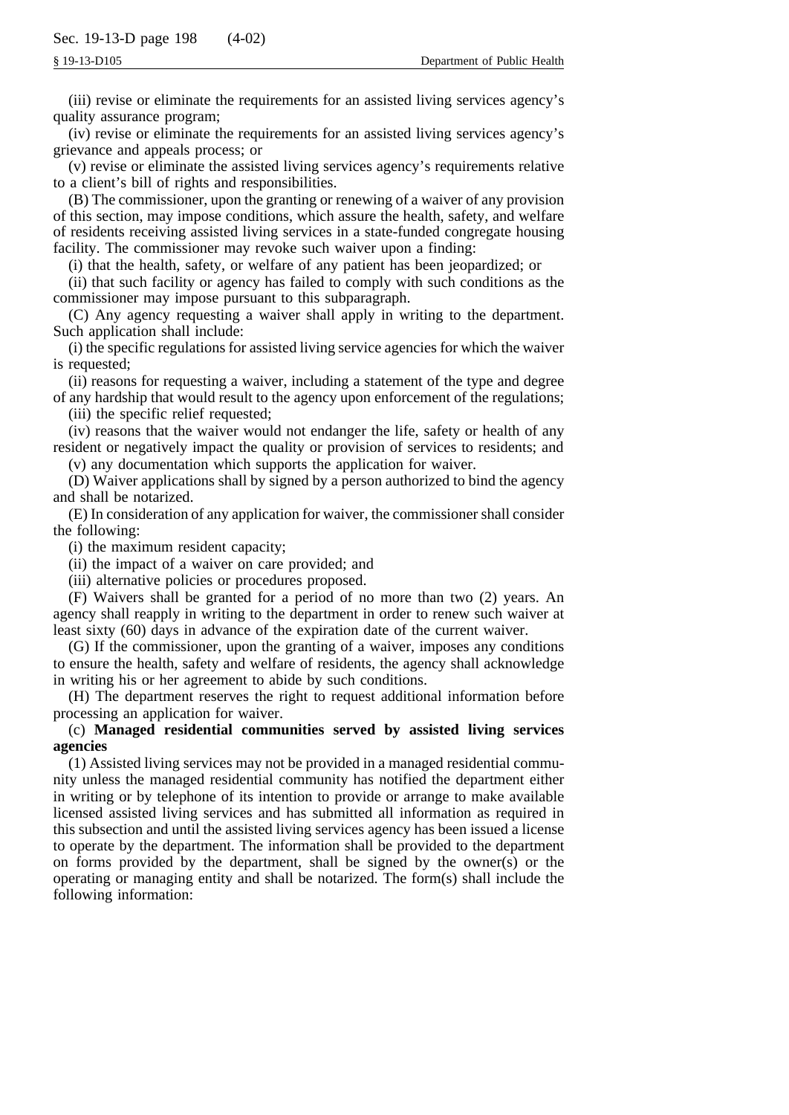(iii) revise or eliminate the requirements for an assisted living services agency's quality assurance program;

(iv) revise or eliminate the requirements for an assisted living services agency's grievance and appeals process; or

(v) revise or eliminate the assisted living services agency's requirements relative to a client's bill of rights and responsibilities.

(B) The commissioner, upon the granting or renewing of a waiver of any provision of this section, may impose conditions, which assure the health, safety, and welfare of residents receiving assisted living services in a state-funded congregate housing facility. The commissioner may revoke such waiver upon a finding:

(i) that the health, safety, or welfare of any patient has been jeopardized; or

(ii) that such facility or agency has failed to comply with such conditions as the commissioner may impose pursuant to this subparagraph.

(C) Any agency requesting a waiver shall apply in writing to the department. Such application shall include:

(i) the specific regulations for assisted living service agencies for which the waiver is requested;

(ii) reasons for requesting a waiver, including a statement of the type and degree of any hardship that would result to the agency upon enforcement of the regulations;

(iii) the specific relief requested;

(iv) reasons that the waiver would not endanger the life, safety or health of any resident or negatively impact the quality or provision of services to residents; and

(v) any documentation which supports the application for waiver.

(D) Waiver applications shall by signed by a person authorized to bind the agency and shall be notarized.

(E) In consideration of any application for waiver, the commissioner shall consider the following:

(i) the maximum resident capacity;

(ii) the impact of a waiver on care provided; and

(iii) alternative policies or procedures proposed.

(F) Waivers shall be granted for a period of no more than two (2) years. An agency shall reapply in writing to the department in order to renew such waiver at least sixty (60) days in advance of the expiration date of the current waiver.

(G) If the commissioner, upon the granting of a waiver, imposes any conditions to ensure the health, safety and welfare of residents, the agency shall acknowledge in writing his or her agreement to abide by such conditions.

(H) The department reserves the right to request additional information before processing an application for waiver.

# (c) **Managed residential communities served by assisted living services agencies**

(1) Assisted living services may not be provided in a managed residential community unless the managed residential community has notified the department either in writing or by telephone of its intention to provide or arrange to make available licensed assisted living services and has submitted all information as required in this subsection and until the assisted living services agency has been issued a license to operate by the department. The information shall be provided to the department on forms provided by the department, shall be signed by the owner(s) or the operating or managing entity and shall be notarized. The form(s) shall include the following information: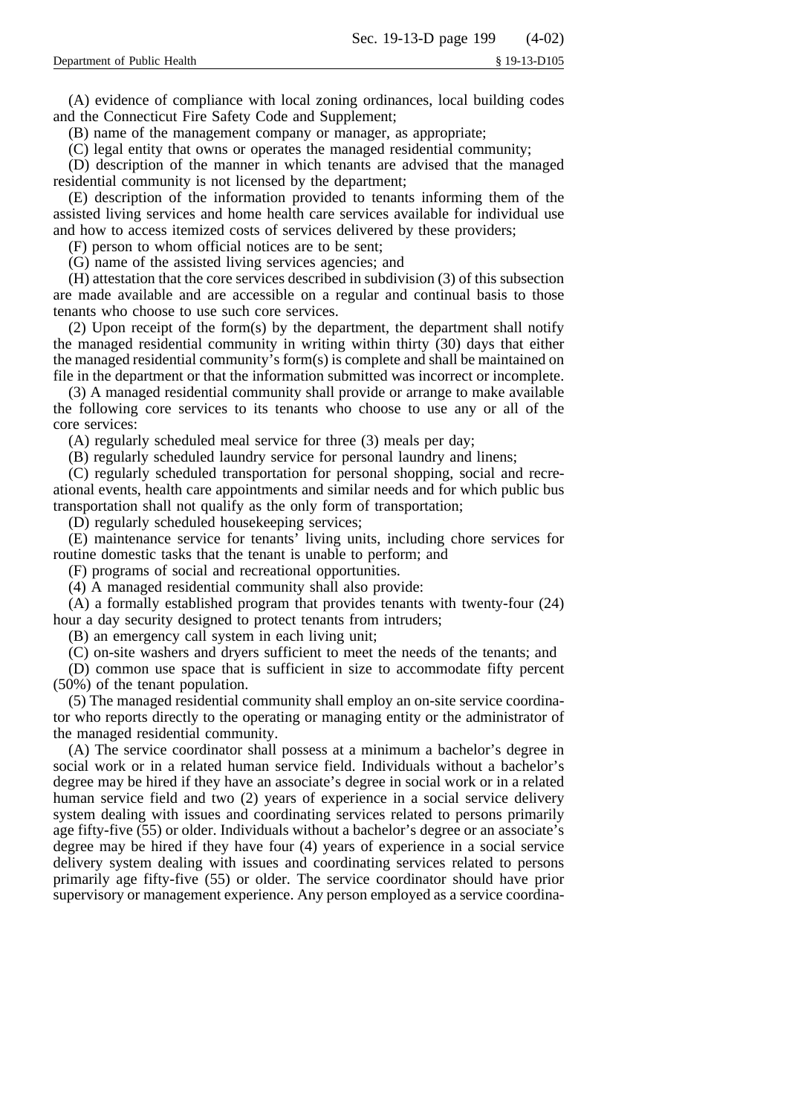(A) evidence of compliance with local zoning ordinances, local building codes and the Connecticut Fire Safety Code and Supplement;

(B) name of the management company or manager, as appropriate;

(C) legal entity that owns or operates the managed residential community;

(D) description of the manner in which tenants are advised that the managed residential community is not licensed by the department;

(E) description of the information provided to tenants informing them of the assisted living services and home health care services available for individual use and how to access itemized costs of services delivered by these providers;

(F) person to whom official notices are to be sent;

(G) name of the assisted living services agencies; and

(H) attestation that the core services described in subdivision (3) of this subsection are made available and are accessible on a regular and continual basis to those tenants who choose to use such core services.

(2) Upon receipt of the form(s) by the department, the department shall notify the managed residential community in writing within thirty (30) days that either the managed residential community's form(s) is complete and shall be maintained on file in the department or that the information submitted was incorrect or incomplete.

(3) A managed residential community shall provide or arrange to make available the following core services to its tenants who choose to use any or all of the core services:

(A) regularly scheduled meal service for three (3) meals per day;

(B) regularly scheduled laundry service for personal laundry and linens;

(C) regularly scheduled transportation for personal shopping, social and recreational events, health care appointments and similar needs and for which public bus transportation shall not qualify as the only form of transportation;

(D) regularly scheduled housekeeping services;

(E) maintenance service for tenants' living units, including chore services for routine domestic tasks that the tenant is unable to perform; and

(F) programs of social and recreational opportunities.

(4) A managed residential community shall also provide:

(A) a formally established program that provides tenants with twenty-four (24) hour a day security designed to protect tenants from intruders;

(B) an emergency call system in each living unit;

(C) on-site washers and dryers sufficient to meet the needs of the tenants; and

(D) common use space that is sufficient in size to accommodate fifty percent (50%) of the tenant population.

(5) The managed residential community shall employ an on-site service coordinator who reports directly to the operating or managing entity or the administrator of the managed residential community.

(A) The service coordinator shall possess at a minimum a bachelor's degree in social work or in a related human service field. Individuals without a bachelor's degree may be hired if they have an associate's degree in social work or in a related human service field and two (2) years of experience in a social service delivery system dealing with issues and coordinating services related to persons primarily age fifty-five (55) or older. Individuals without a bachelor's degree or an associate's degree may be hired if they have four (4) years of experience in a social service delivery system dealing with issues and coordinating services related to persons primarily age fifty-five (55) or older. The service coordinator should have prior supervisory or management experience. Any person employed as a service coordina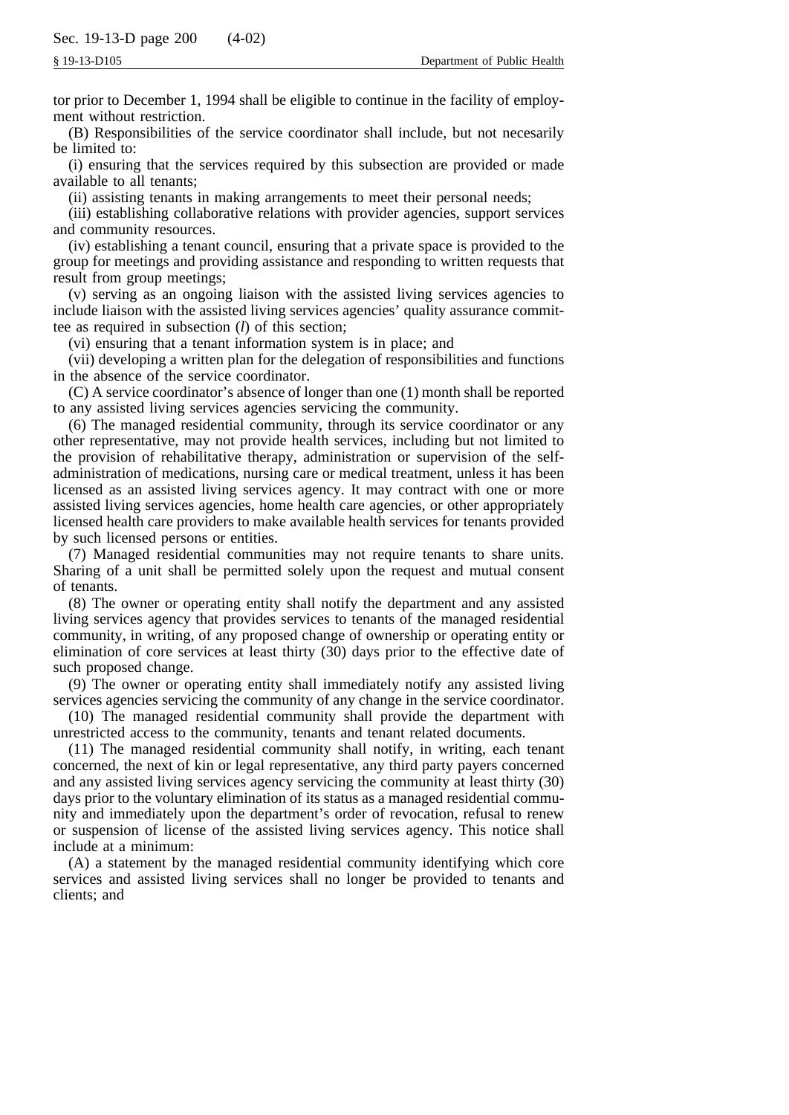tor prior to December 1, 1994 shall be eligible to continue in the facility of employment without restriction.

(B) Responsibilities of the service coordinator shall include, but not necesarily be limited to:

(i) ensuring that the services required by this subsection are provided or made available to all tenants;

(ii) assisting tenants in making arrangements to meet their personal needs;

(iii) establishing collaborative relations with provider agencies, support services and community resources.

(iv) establishing a tenant council, ensuring that a private space is provided to the group for meetings and providing assistance and responding to written requests that result from group meetings;

(v) serving as an ongoing liaison with the assisted living services agencies to include liaison with the assisted living services agencies' quality assurance committee as required in subsection (*l*) of this section;

(vi) ensuring that a tenant information system is in place; and

(vii) developing a written plan for the delegation of responsibilities and functions in the absence of the service coordinator.

(C) A service coordinator's absence of longer than one (1) month shall be reported to any assisted living services agencies servicing the community.

(6) The managed residential community, through its service coordinator or any other representative, may not provide health services, including but not limited to the provision of rehabilitative therapy, administration or supervision of the selfadministration of medications, nursing care or medical treatment, unless it has been licensed as an assisted living services agency. It may contract with one or more assisted living services agencies, home health care agencies, or other appropriately licensed health care providers to make available health services for tenants provided by such licensed persons or entities.

(7) Managed residential communities may not require tenants to share units. Sharing of a unit shall be permitted solely upon the request and mutual consent of tenants.

(8) The owner or operating entity shall notify the department and any assisted living services agency that provides services to tenants of the managed residential community, in writing, of any proposed change of ownership or operating entity or elimination of core services at least thirty (30) days prior to the effective date of such proposed change.

(9) The owner or operating entity shall immediately notify any assisted living services agencies servicing the community of any change in the service coordinator.

(10) The managed residential community shall provide the department with unrestricted access to the community, tenants and tenant related documents.

(11) The managed residential community shall notify, in writing, each tenant concerned, the next of kin or legal representative, any third party payers concerned and any assisted living services agency servicing the community at least thirty (30) days prior to the voluntary elimination of its status as a managed residential community and immediately upon the department's order of revocation, refusal to renew or suspension of license of the assisted living services agency. This notice shall include at a minimum:

(A) a statement by the managed residential community identifying which core services and assisted living services shall no longer be provided to tenants and clients; and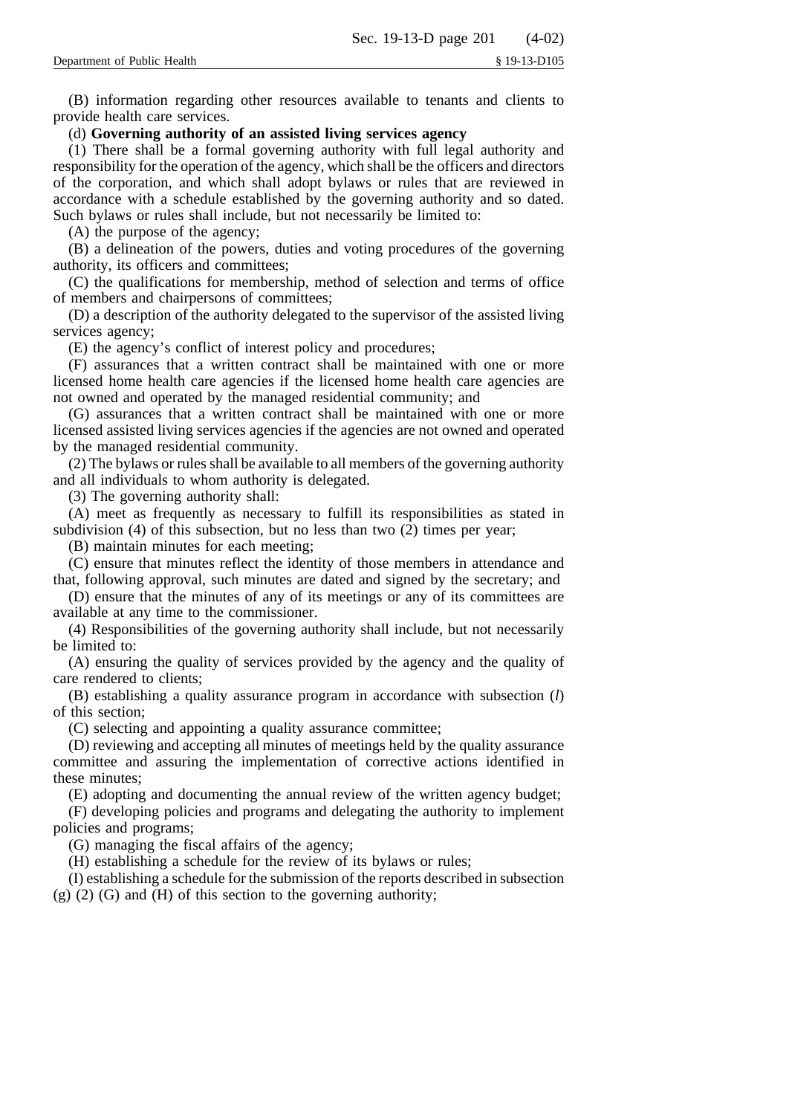(B) information regarding other resources available to tenants and clients to provide health care services.

# (d) **Governing authority of an assisted living services agency**

(1) There shall be a formal governing authority with full legal authority and responsibility for the operation of the agency, which shall be the officers and directors of the corporation, and which shall adopt bylaws or rules that are reviewed in accordance with a schedule established by the governing authority and so dated. Such bylaws or rules shall include, but not necessarily be limited to:

(A) the purpose of the agency;

(B) a delineation of the powers, duties and voting procedures of the governing authority, its officers and committees;

(C) the qualifications for membership, method of selection and terms of office of members and chairpersons of committees;

(D) a description of the authority delegated to the supervisor of the assisted living services agency;

(E) the agency's conflict of interest policy and procedures;

(F) assurances that a written contract shall be maintained with one or more licensed home health care agencies if the licensed home health care agencies are not owned and operated by the managed residential community; and

(G) assurances that a written contract shall be maintained with one or more licensed assisted living services agencies if the agencies are not owned and operated by the managed residential community.

(2) The bylaws or rules shall be available to all members of the governing authority and all individuals to whom authority is delegated.

(3) The governing authority shall:

(A) meet as frequently as necessary to fulfill its responsibilities as stated in subdivision (4) of this subsection, but no less than two (2) times per year;

(B) maintain minutes for each meeting;

(C) ensure that minutes reflect the identity of those members in attendance and that, following approval, such minutes are dated and signed by the secretary; and

(D) ensure that the minutes of any of its meetings or any of its committees are available at any time to the commissioner.

(4) Responsibilities of the governing authority shall include, but not necessarily be limited to:

(A) ensuring the quality of services provided by the agency and the quality of care rendered to clients;

(B) establishing a quality assurance program in accordance with subsection (*l*) of this section;

(C) selecting and appointing a quality assurance committee;

(D) reviewing and accepting all minutes of meetings held by the quality assurance committee and assuring the implementation of corrective actions identified in these minutes;

(E) adopting and documenting the annual review of the written agency budget;

(F) developing policies and programs and delegating the authority to implement policies and programs;

(G) managing the fiscal affairs of the agency;

(H) establishing a schedule for the review of its bylaws or rules;

(I) establishing a schedule for the submission of the reports described in subsection (g) (2) (G) and (H) of this section to the governing authority;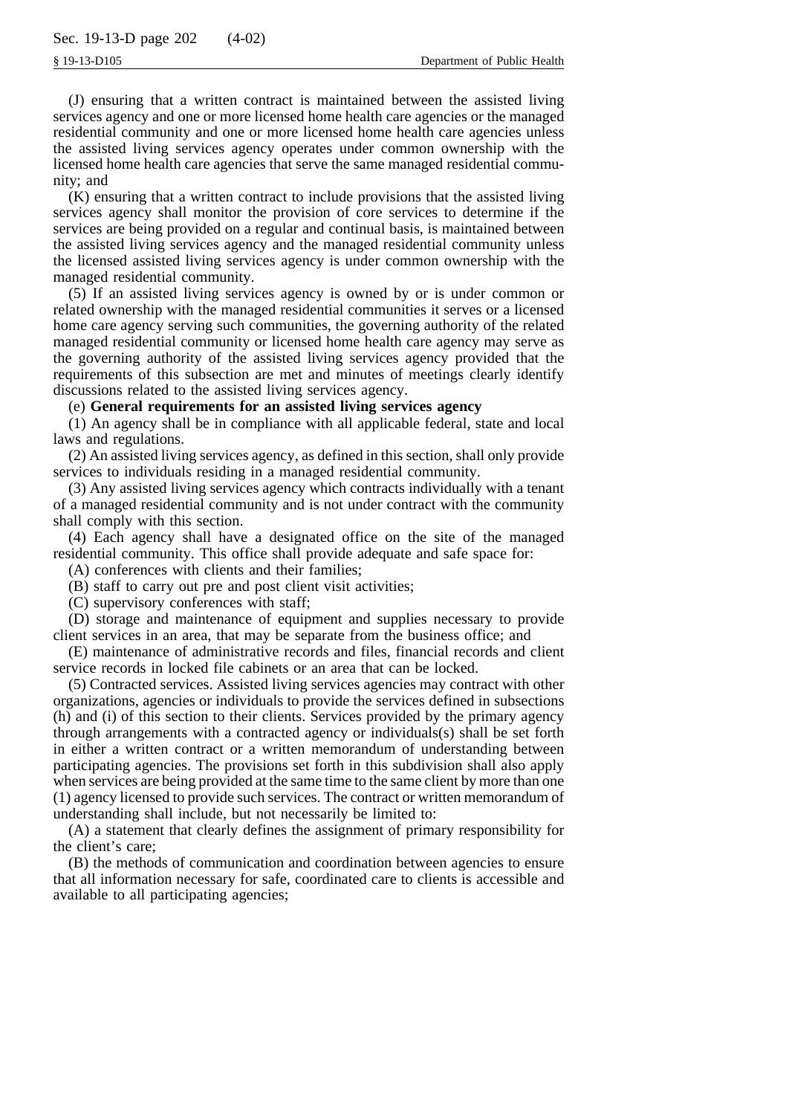(J) ensuring that a written contract is maintained between the assisted living services agency and one or more licensed home health care agencies or the managed residential community and one or more licensed home health care agencies unless the assisted living services agency operates under common ownership with the licensed home health care agencies that serve the same managed residential community; and

(K) ensuring that a written contract to include provisions that the assisted living services agency shall monitor the provision of core services to determine if the services are being provided on a regular and continual basis, is maintained between the assisted living services agency and the managed residential community unless the licensed assisted living services agency is under common ownership with the managed residential community.

(5) If an assisted living services agency is owned by or is under common or related ownership with the managed residential communities it serves or a licensed home care agency serving such communities, the governing authority of the related managed residential community or licensed home health care agency may serve as the governing authority of the assisted living services agency provided that the requirements of this subsection are met and minutes of meetings clearly identify discussions related to the assisted living services agency.

# (e) **General requirements for an assisted living services agency**

(1) An agency shall be in compliance with all applicable federal, state and local laws and regulations.

(2) An assisted living services agency, as defined in this section, shall only provide services to individuals residing in a managed residential community.

(3) Any assisted living services agency which contracts individually with a tenant of a managed residential community and is not under contract with the community shall comply with this section.

(4) Each agency shall have a designated office on the site of the managed residential community. This office shall provide adequate and safe space for:

(A) conferences with clients and their families;

(B) staff to carry out pre and post client visit activities;

(C) supervisory conferences with staff;

(D) storage and maintenance of equipment and supplies necessary to provide client services in an area, that may be separate from the business office; and

(E) maintenance of administrative records and files, financial records and client service records in locked file cabinets or an area that can be locked.

(5) Contracted services. Assisted living services agencies may contract with other organizations, agencies or individuals to provide the services defined in subsections (h) and (i) of this section to their clients. Services provided by the primary agency through arrangements with a contracted agency or individuals(s) shall be set forth in either a written contract or a written memorandum of understanding between participating agencies. The provisions set forth in this subdivision shall also apply when services are being provided at the same time to the same client by more than one (1) agency licensed to provide such services. The contract or written memorandum of understanding shall include, but not necessarily be limited to:

(A) a statement that clearly defines the assignment of primary responsibility for the client's care;

(B) the methods of communication and coordination between agencies to ensure that all information necessary for safe, coordinated care to clients is accessible and available to all participating agencies;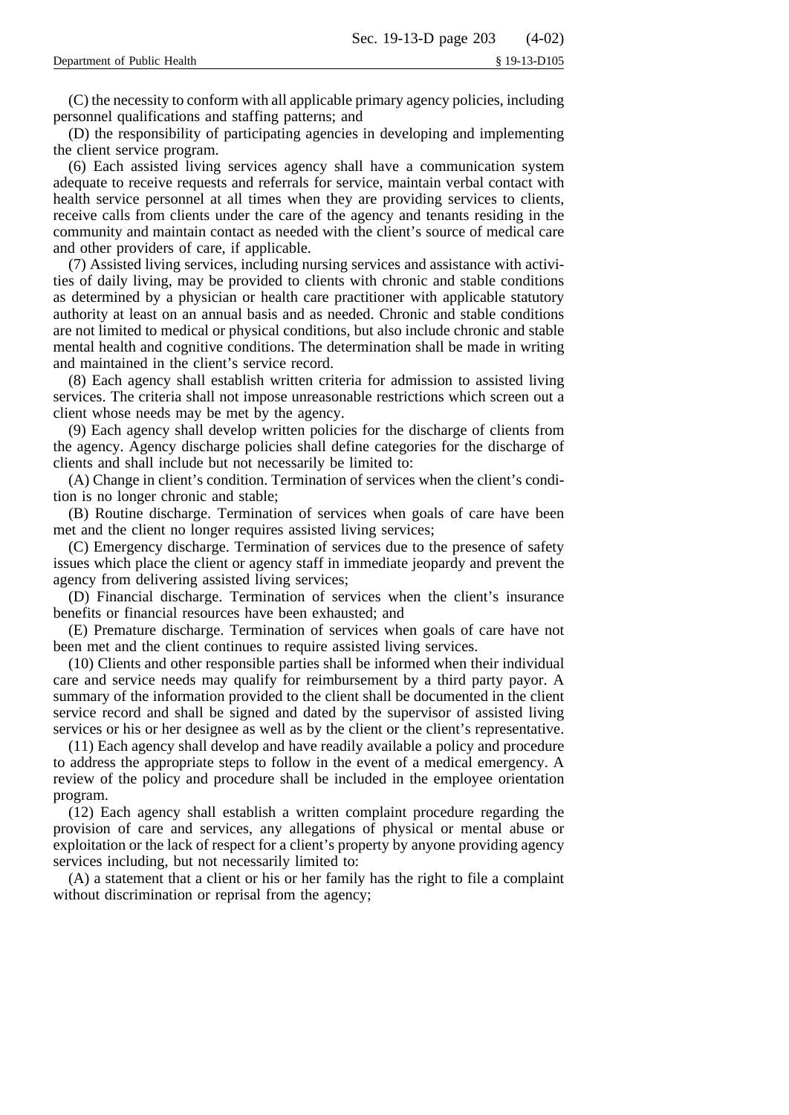(C) the necessity to conform with all applicable primary agency policies, including personnel qualifications and staffing patterns; and

(D) the responsibility of participating agencies in developing and implementing the client service program.

(6) Each assisted living services agency shall have a communication system adequate to receive requests and referrals for service, maintain verbal contact with health service personnel at all times when they are providing services to clients, receive calls from clients under the care of the agency and tenants residing in the community and maintain contact as needed with the client's source of medical care and other providers of care, if applicable.

(7) Assisted living services, including nursing services and assistance with activities of daily living, may be provided to clients with chronic and stable conditions as determined by a physician or health care practitioner with applicable statutory authority at least on an annual basis and as needed. Chronic and stable conditions are not limited to medical or physical conditions, but also include chronic and stable mental health and cognitive conditions. The determination shall be made in writing and maintained in the client's service record.

(8) Each agency shall establish written criteria for admission to assisted living services. The criteria shall not impose unreasonable restrictions which screen out a client whose needs may be met by the agency.

(9) Each agency shall develop written policies for the discharge of clients from the agency. Agency discharge policies shall define categories for the discharge of clients and shall include but not necessarily be limited to:

(A) Change in client's condition. Termination of services when the client's condition is no longer chronic and stable;

(B) Routine discharge. Termination of services when goals of care have been met and the client no longer requires assisted living services;

(C) Emergency discharge. Termination of services due to the presence of safety issues which place the client or agency staff in immediate jeopardy and prevent the agency from delivering assisted living services;

(D) Financial discharge. Termination of services when the client's insurance benefits or financial resources have been exhausted; and

(E) Premature discharge. Termination of services when goals of care have not been met and the client continues to require assisted living services.

(10) Clients and other responsible parties shall be informed when their individual care and service needs may qualify for reimbursement by a third party payor. A summary of the information provided to the client shall be documented in the client service record and shall be signed and dated by the supervisor of assisted living services or his or her designee as well as by the client or the client's representative.

(11) Each agency shall develop and have readily available a policy and procedure to address the appropriate steps to follow in the event of a medical emergency. A review of the policy and procedure shall be included in the employee orientation program.

(12) Each agency shall establish a written complaint procedure regarding the provision of care and services, any allegations of physical or mental abuse or exploitation or the lack of respect for a client's property by anyone providing agency services including, but not necessarily limited to:

(A) a statement that a client or his or her family has the right to file a complaint without discrimination or reprisal from the agency;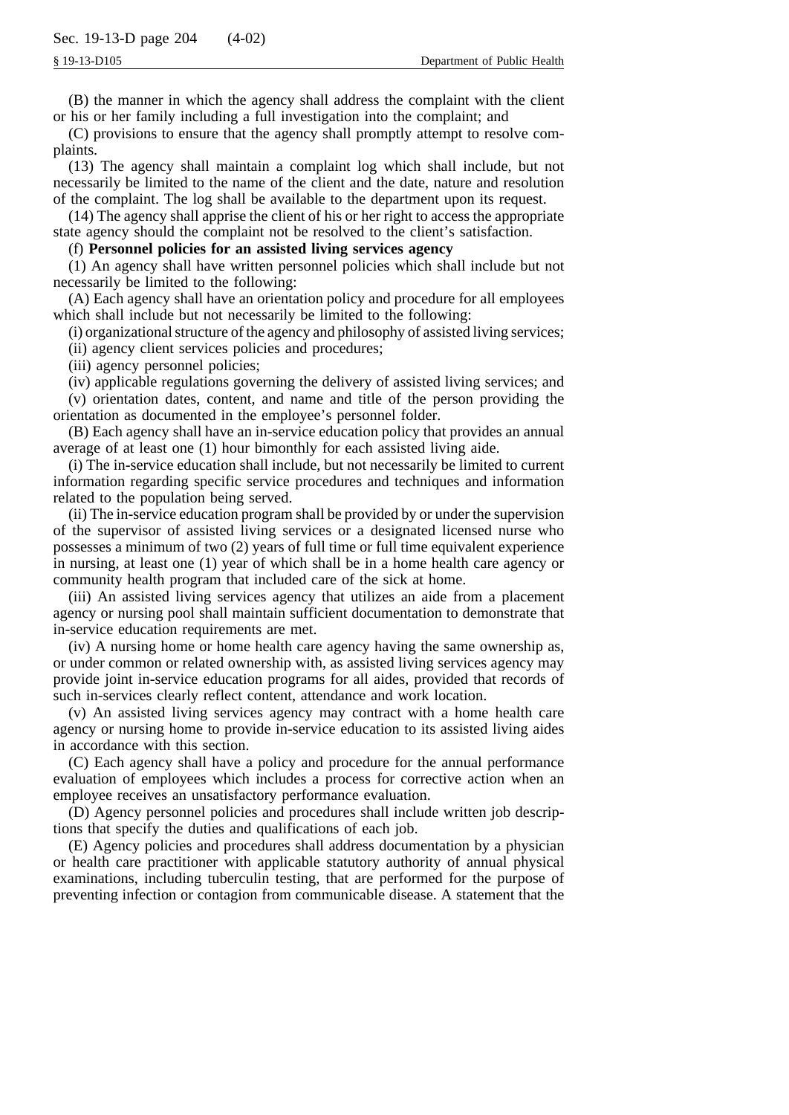(B) the manner in which the agency shall address the complaint with the client or his or her family including a full investigation into the complaint; and

(C) provisions to ensure that the agency shall promptly attempt to resolve complaints.

(13) The agency shall maintain a complaint log which shall include, but not necessarily be limited to the name of the client and the date, nature and resolution of the complaint. The log shall be available to the department upon its request.

(14) The agency shall apprise the client of his or her right to access the appropriate state agency should the complaint not be resolved to the client's satisfaction.

## (f) **Personnel policies for an assisted living services agency**

(1) An agency shall have written personnel policies which shall include but not necessarily be limited to the following:

(A) Each agency shall have an orientation policy and procedure for all employees which shall include but not necessarily be limited to the following:

(i) organizational structure of the agency and philosophy of assisted living services;

(ii) agency client services policies and procedures;

(iii) agency personnel policies;

(iv) applicable regulations governing the delivery of assisted living services; and

(v) orientation dates, content, and name and title of the person providing the orientation as documented in the employee's personnel folder.

(B) Each agency shall have an in-service education policy that provides an annual average of at least one (1) hour bimonthly for each assisted living aide.

(i) The in-service education shall include, but not necessarily be limited to current information regarding specific service procedures and techniques and information related to the population being served.

(ii) The in-service education program shall be provided by or under the supervision of the supervisor of assisted living services or a designated licensed nurse who possesses a minimum of two (2) years of full time or full time equivalent experience in nursing, at least one (1) year of which shall be in a home health care agency or community health program that included care of the sick at home.

(iii) An assisted living services agency that utilizes an aide from a placement agency or nursing pool shall maintain sufficient documentation to demonstrate that in-service education requirements are met.

(iv) A nursing home or home health care agency having the same ownership as, or under common or related ownership with, as assisted living services agency may provide joint in-service education programs for all aides, provided that records of such in-services clearly reflect content, attendance and work location.

(v) An assisted living services agency may contract with a home health care agency or nursing home to provide in-service education to its assisted living aides in accordance with this section.

(C) Each agency shall have a policy and procedure for the annual performance evaluation of employees which includes a process for corrective action when an employee receives an unsatisfactory performance evaluation.

(D) Agency personnel policies and procedures shall include written job descriptions that specify the duties and qualifications of each job.

(E) Agency policies and procedures shall address documentation by a physician or health care practitioner with applicable statutory authority of annual physical examinations, including tuberculin testing, that are performed for the purpose of preventing infection or contagion from communicable disease. A statement that the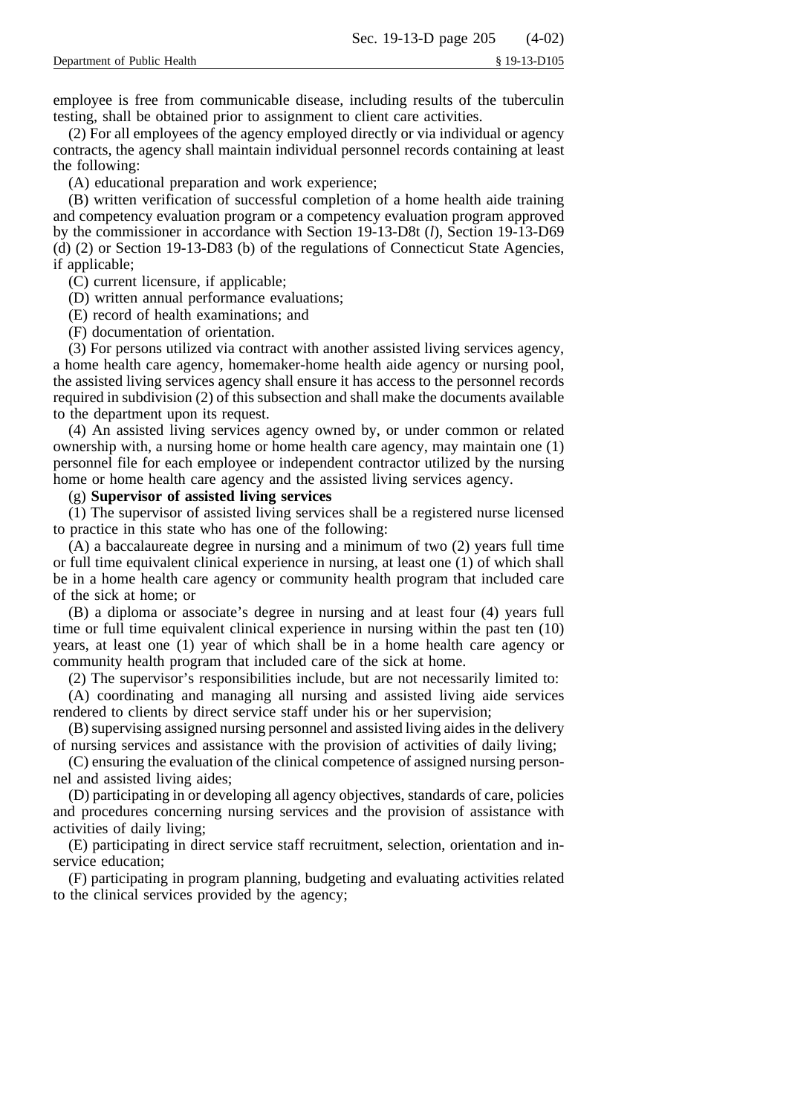employee is free from communicable disease, including results of the tuberculin testing, shall be obtained prior to assignment to client care activities.

(2) For all employees of the agency employed directly or via individual or agency contracts, the agency shall maintain individual personnel records containing at least the following:

(A) educational preparation and work experience;

(B) written verification of successful completion of a home health aide training and competency evaluation program or a competency evaluation program approved by the commissioner in accordance with Section 19-13-D8t (*l*), Section 19-13-D69 (d) (2) or Section 19-13-D83 (b) of the regulations of Connecticut State Agencies, if applicable;

(C) current licensure, if applicable;

(D) written annual performance evaluations;

(E) record of health examinations; and

(F) documentation of orientation.

(3) For persons utilized via contract with another assisted living services agency, a home health care agency, homemaker-home health aide agency or nursing pool, the assisted living services agency shall ensure it has access to the personnel records required in subdivision (2) of this subsection and shall make the documents available to the department upon its request.

(4) An assisted living services agency owned by, or under common or related ownership with, a nursing home or home health care agency, may maintain one (1) personnel file for each employee or independent contractor utilized by the nursing home or home health care agency and the assisted living services agency.

(g) **Supervisor of assisted living services**

(1) The supervisor of assisted living services shall be a registered nurse licensed to practice in this state who has one of the following:

(A) a baccalaureate degree in nursing and a minimum of two (2) years full time or full time equivalent clinical experience in nursing, at least one (1) of which shall be in a home health care agency or community health program that included care of the sick at home; or

(B) a diploma or associate's degree in nursing and at least four (4) years full time or full time equivalent clinical experience in nursing within the past ten (10) years, at least one (1) year of which shall be in a home health care agency or community health program that included care of the sick at home.

(2) The supervisor's responsibilities include, but are not necessarily limited to:

(A) coordinating and managing all nursing and assisted living aide services rendered to clients by direct service staff under his or her supervision;

(B) supervising assigned nursing personnel and assisted living aides in the delivery of nursing services and assistance with the provision of activities of daily living;

(C) ensuring the evaluation of the clinical competence of assigned nursing personnel and assisted living aides;

(D) participating in or developing all agency objectives, standards of care, policies and procedures concerning nursing services and the provision of assistance with activities of daily living;

(E) participating in direct service staff recruitment, selection, orientation and inservice education;

(F) participating in program planning, budgeting and evaluating activities related to the clinical services provided by the agency;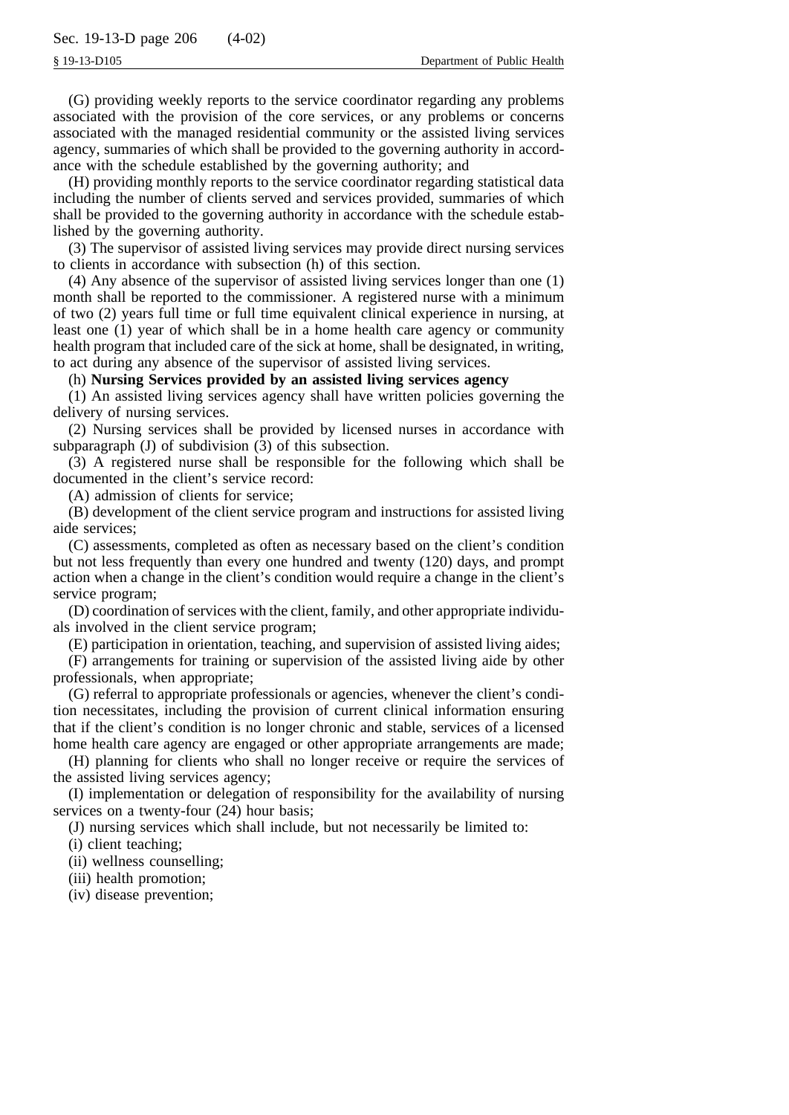(G) providing weekly reports to the service coordinator regarding any problems associated with the provision of the core services, or any problems or concerns associated with the managed residential community or the assisted living services agency, summaries of which shall be provided to the governing authority in accordance with the schedule established by the governing authority; and

(H) providing monthly reports to the service coordinator regarding statistical data including the number of clients served and services provided, summaries of which shall be provided to the governing authority in accordance with the schedule established by the governing authority.

(3) The supervisor of assisted living services may provide direct nursing services to clients in accordance with subsection (h) of this section.

(4) Any absence of the supervisor of assisted living services longer than one (1) month shall be reported to the commissioner. A registered nurse with a minimum of two (2) years full time or full time equivalent clinical experience in nursing, at least one (1) year of which shall be in a home health care agency or community health program that included care of the sick at home, shall be designated, in writing, to act during any absence of the supervisor of assisted living services.

(h) **Nursing Services provided by an assisted living services agency**

(1) An assisted living services agency shall have written policies governing the delivery of nursing services.

(2) Nursing services shall be provided by licensed nurses in accordance with subparagraph (J) of subdivision (3) of this subsection.

(3) A registered nurse shall be responsible for the following which shall be documented in the client's service record:

(A) admission of clients for service;

(B) development of the client service program and instructions for assisted living aide services;

(C) assessments, completed as often as necessary based on the client's condition but not less frequently than every one hundred and twenty (120) days, and prompt action when a change in the client's condition would require a change in the client's service program;

(D) coordination of services with the client, family, and other appropriate individuals involved in the client service program;

(E) participation in orientation, teaching, and supervision of assisted living aides;

(F) arrangements for training or supervision of the assisted living aide by other professionals, when appropriate;

(G) referral to appropriate professionals or agencies, whenever the client's condition necessitates, including the provision of current clinical information ensuring that if the client's condition is no longer chronic and stable, services of a licensed home health care agency are engaged or other appropriate arrangements are made;

(H) planning for clients who shall no longer receive or require the services of the assisted living services agency;

(I) implementation or delegation of responsibility for the availability of nursing services on a twenty-four  $(24)$  hour basis;

(J) nursing services which shall include, but not necessarily be limited to:

(i) client teaching;

(ii) wellness counselling;

(iii) health promotion;

(iv) disease prevention;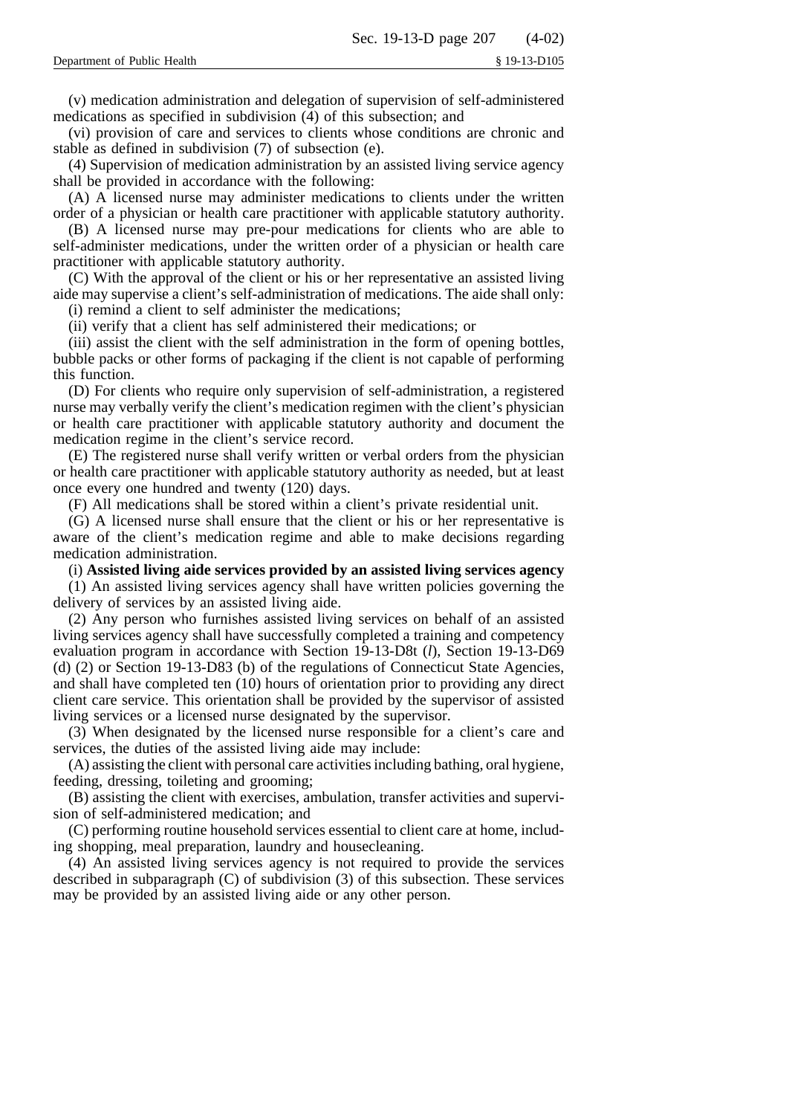(v) medication administration and delegation of supervision of self-administered medications as specified in subdivision (4) of this subsection; and

(vi) provision of care and services to clients whose conditions are chronic and stable as defined in subdivision (7) of subsection (e).

(4) Supervision of medication administration by an assisted living service agency shall be provided in accordance with the following:

(A) A licensed nurse may administer medications to clients under the written order of a physician or health care practitioner with applicable statutory authority.

(B) A licensed nurse may pre-pour medications for clients who are able to self-administer medications, under the written order of a physician or health care practitioner with applicable statutory authority.

(C) With the approval of the client or his or her representative an assisted living aide may supervise a client's self-administration of medications. The aide shall only: (i) remind a client to self administer the medications;

(ii) verify that a client has self administered their medications; or

(iii) assist the client with the self administration in the form of opening bottles, bubble packs or other forms of packaging if the client is not capable of performing this function.

(D) For clients who require only supervision of self-administration, a registered nurse may verbally verify the client's medication regimen with the client's physician or health care practitioner with applicable statutory authority and document the medication regime in the client's service record.

(E) The registered nurse shall verify written or verbal orders from the physician or health care practitioner with applicable statutory authority as needed, but at least once every one hundred and twenty (120) days.

(F) All medications shall be stored within a client's private residential unit.

(G) A licensed nurse shall ensure that the client or his or her representative is aware of the client's medication regime and able to make decisions regarding medication administration.

(i) **Assisted living aide services provided by an assisted living services agency**

(1) An assisted living services agency shall have written policies governing the delivery of services by an assisted living aide.

(2) Any person who furnishes assisted living services on behalf of an assisted living services agency shall have successfully completed a training and competency evaluation program in accordance with Section 19-13-D8t (*l*), Section 19-13-D69 (d) (2) or Section 19-13-D83 (b) of the regulations of Connecticut State Agencies, and shall have completed ten (10) hours of orientation prior to providing any direct client care service. This orientation shall be provided by the supervisor of assisted living services or a licensed nurse designated by the supervisor.

(3) When designated by the licensed nurse responsible for a client's care and services, the duties of the assisted living aide may include:

(A) assisting the client with personal care activities including bathing, oral hygiene, feeding, dressing, toileting and grooming;

(B) assisting the client with exercises, ambulation, transfer activities and supervision of self-administered medication; and

(C) performing routine household services essential to client care at home, including shopping, meal preparation, laundry and housecleaning.

(4) An assisted living services agency is not required to provide the services described in subparagraph (C) of subdivision (3) of this subsection. These services may be provided by an assisted living aide or any other person.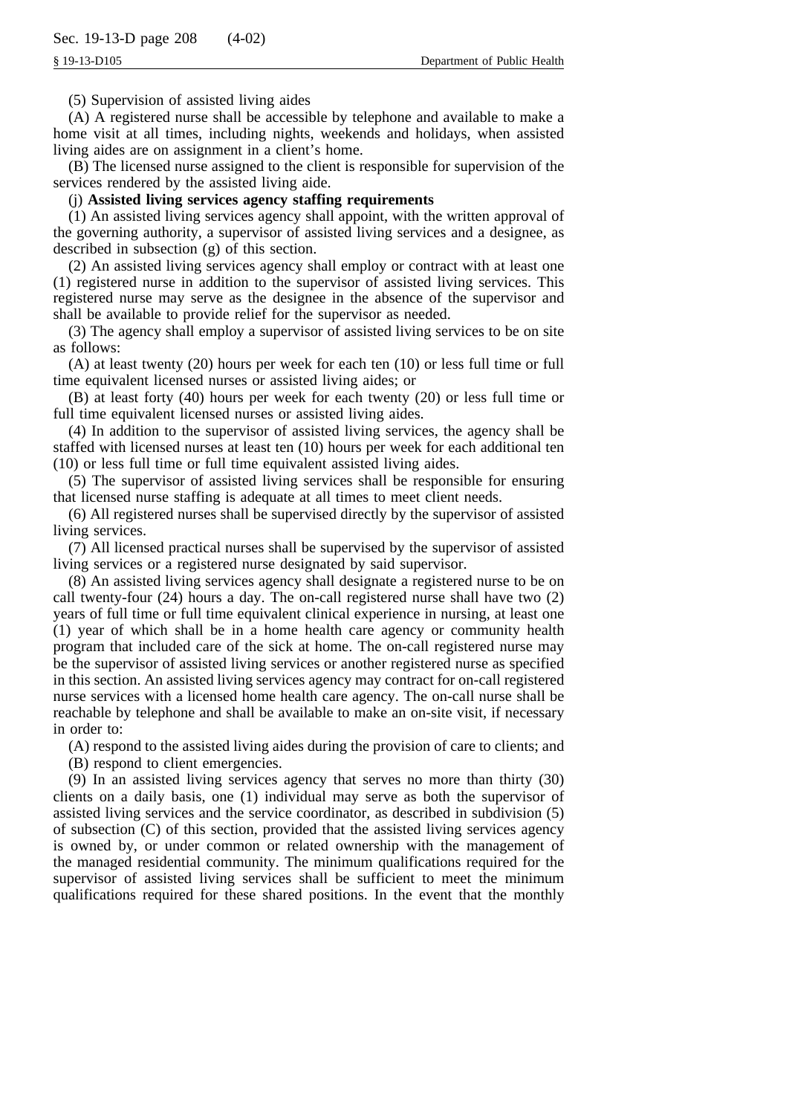(5) Supervision of assisted living aides

(A) A registered nurse shall be accessible by telephone and available to make a home visit at all times, including nights, weekends and holidays, when assisted living aides are on assignment in a client's home.

(B) The licensed nurse assigned to the client is responsible for supervision of the services rendered by the assisted living aide.

## (j) **Assisted living services agency staffing requirements**

(1) An assisted living services agency shall appoint, with the written approval of the governing authority, a supervisor of assisted living services and a designee, as described in subsection (g) of this section.

(2) An assisted living services agency shall employ or contract with at least one (1) registered nurse in addition to the supervisor of assisted living services. This registered nurse may serve as the designee in the absence of the supervisor and shall be available to provide relief for the supervisor as needed.

(3) The agency shall employ a supervisor of assisted living services to be on site as follows:

(A) at least twenty (20) hours per week for each ten (10) or less full time or full time equivalent licensed nurses or assisted living aides; or

(B) at least forty (40) hours per week for each twenty (20) or less full time or full time equivalent licensed nurses or assisted living aides.

(4) In addition to the supervisor of assisted living services, the agency shall be staffed with licensed nurses at least ten (10) hours per week for each additional ten (10) or less full time or full time equivalent assisted living aides.

(5) The supervisor of assisted living services shall be responsible for ensuring that licensed nurse staffing is adequate at all times to meet client needs.

(6) All registered nurses shall be supervised directly by the supervisor of assisted living services.

(7) All licensed practical nurses shall be supervised by the supervisor of assisted living services or a registered nurse designated by said supervisor.

(8) An assisted living services agency shall designate a registered nurse to be on call twenty-four (24) hours a day. The on-call registered nurse shall have two (2) years of full time or full time equivalent clinical experience in nursing, at least one (1) year of which shall be in a home health care agency or community health program that included care of the sick at home. The on-call registered nurse may be the supervisor of assisted living services or another registered nurse as specified in this section. An assisted living services agency may contract for on-call registered nurse services with a licensed home health care agency. The on-call nurse shall be reachable by telephone and shall be available to make an on-site visit, if necessary in order to:

(A) respond to the assisted living aides during the provision of care to clients; and

(B) respond to client emergencies.

(9) In an assisted living services agency that serves no more than thirty (30) clients on a daily basis, one (1) individual may serve as both the supervisor of assisted living services and the service coordinator, as described in subdivision (5) of subsection (C) of this section, provided that the assisted living services agency is owned by, or under common or related ownership with the management of the managed residential community. The minimum qualifications required for the supervisor of assisted living services shall be sufficient to meet the minimum qualifications required for these shared positions. In the event that the monthly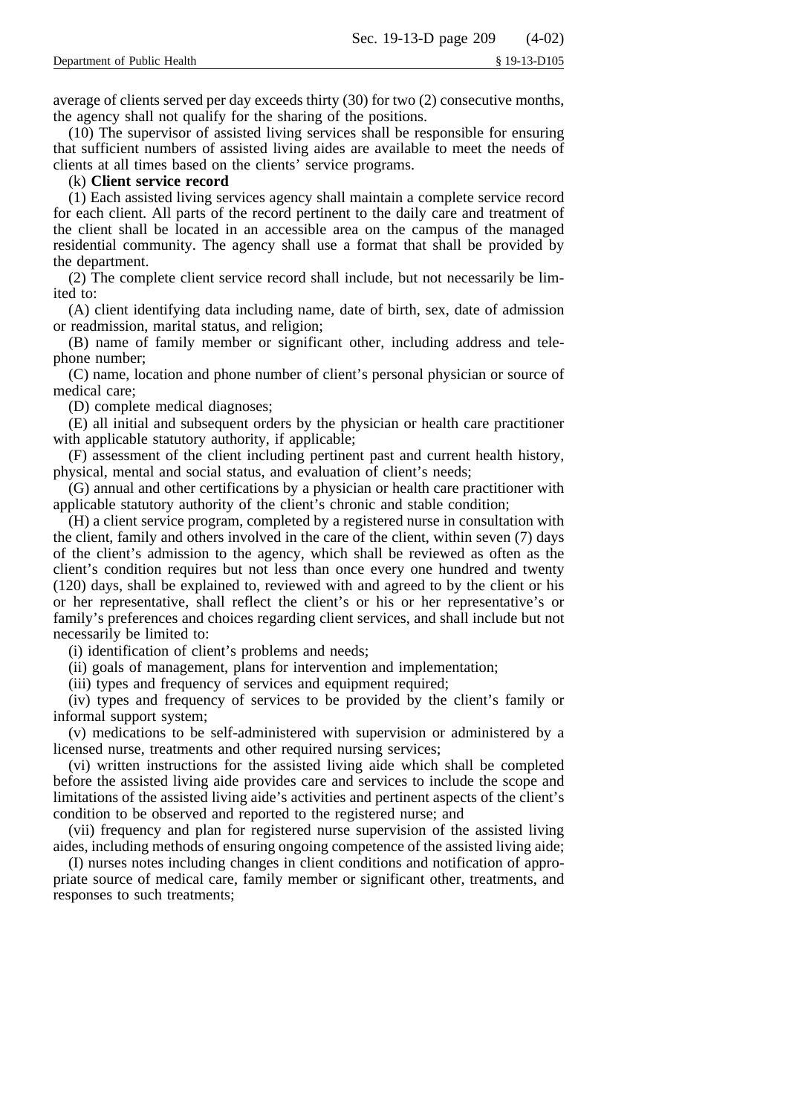average of clients served per day exceeds thirty (30) for two (2) consecutive months, the agency shall not qualify for the sharing of the positions.

(10) The supervisor of assisted living services shall be responsible for ensuring that sufficient numbers of assisted living aides are available to meet the needs of clients at all times based on the clients' service programs.

## (k) **Client service record**

(1) Each assisted living services agency shall maintain a complete service record for each client. All parts of the record pertinent to the daily care and treatment of the client shall be located in an accessible area on the campus of the managed residential community. The agency shall use a format that shall be provided by the department.

(2) The complete client service record shall include, but not necessarily be limited to:

(A) client identifying data including name, date of birth, sex, date of admission or readmission, marital status, and religion;

(B) name of family member or significant other, including address and telephone number;

(C) name, location and phone number of client's personal physician or source of medical care;

(D) complete medical diagnoses;

(E) all initial and subsequent orders by the physician or health care practitioner with applicable statutory authority, if applicable;

(F) assessment of the client including pertinent past and current health history, physical, mental and social status, and evaluation of client's needs;

(G) annual and other certifications by a physician or health care practitioner with applicable statutory authority of the client's chronic and stable condition;

(H) a client service program, completed by a registered nurse in consultation with the client, family and others involved in the care of the client, within seven (7) days of the client's admission to the agency, which shall be reviewed as often as the client's condition requires but not less than once every one hundred and twenty (120) days, shall be explained to, reviewed with and agreed to by the client or his or her representative, shall reflect the client's or his or her representative's or family's preferences and choices regarding client services, and shall include but not necessarily be limited to:

(i) identification of client's problems and needs;

(ii) goals of management, plans for intervention and implementation;

(iii) types and frequency of services and equipment required;

(iv) types and frequency of services to be provided by the client's family or informal support system;

(v) medications to be self-administered with supervision or administered by a licensed nurse, treatments and other required nursing services;

(vi) written instructions for the assisted living aide which shall be completed before the assisted living aide provides care and services to include the scope and limitations of the assisted living aide's activities and pertinent aspects of the client's condition to be observed and reported to the registered nurse; and

(vii) frequency and plan for registered nurse supervision of the assisted living aides, including methods of ensuring ongoing competence of the assisted living aide;

(I) nurses notes including changes in client conditions and notification of appropriate source of medical care, family member or significant other, treatments, and responses to such treatments;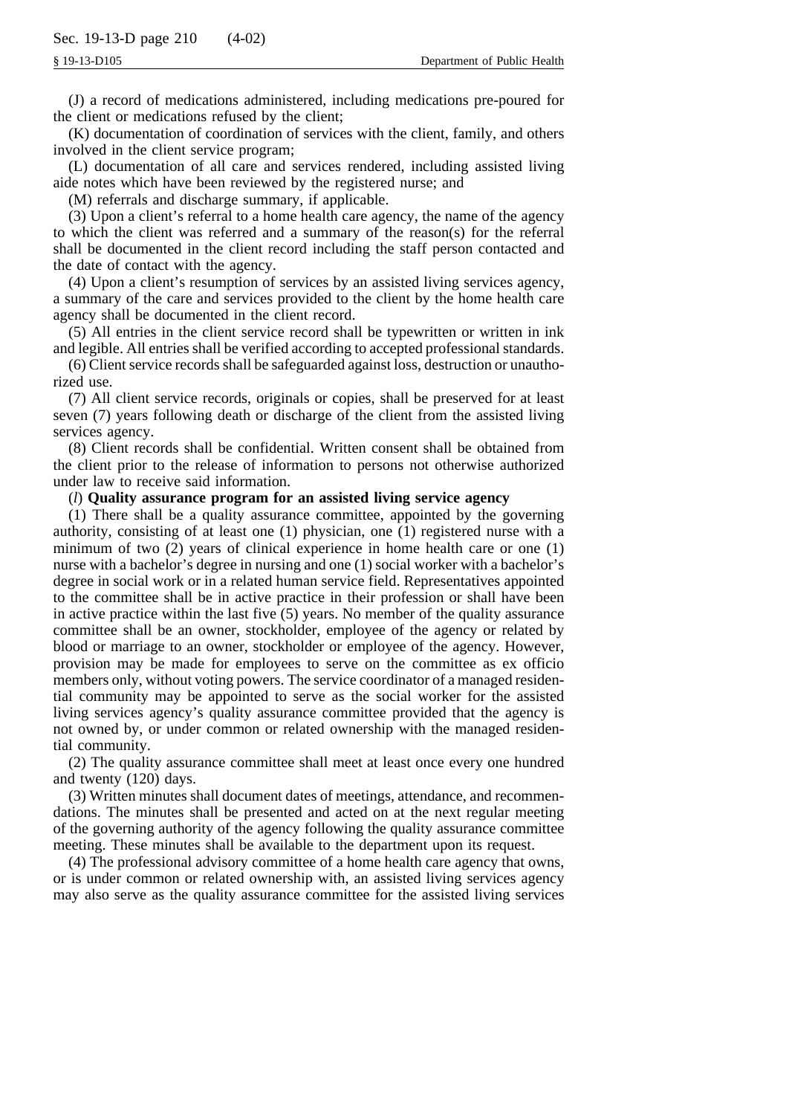(J) a record of medications administered, including medications pre-poured for the client or medications refused by the client;

(K) documentation of coordination of services with the client, family, and others involved in the client service program;

(L) documentation of all care and services rendered, including assisted living aide notes which have been reviewed by the registered nurse; and

(M) referrals and discharge summary, if applicable.

(3) Upon a client's referral to a home health care agency, the name of the agency to which the client was referred and a summary of the reason(s) for the referral shall be documented in the client record including the staff person contacted and the date of contact with the agency.

(4) Upon a client's resumption of services by an assisted living services agency, a summary of the care and services provided to the client by the home health care agency shall be documented in the client record.

(5) All entries in the client service record shall be typewritten or written in ink and legible. All entries shall be verified according to accepted professional standards.

(6) Client service records shall be safeguarded against loss, destruction or unauthorized use.

(7) All client service records, originals or copies, shall be preserved for at least seven (7) years following death or discharge of the client from the assisted living services agency.

(8) Client records shall be confidential. Written consent shall be obtained from the client prior to the release of information to persons not otherwise authorized under law to receive said information.

(*l*) **Quality assurance program for an assisted living service agency**

(1) There shall be a quality assurance committee, appointed by the governing authority, consisting of at least one (1) physician, one (1) registered nurse with a minimum of two (2) years of clinical experience in home health care or one (1) nurse with a bachelor's degree in nursing and one (1) social worker with a bachelor's degree in social work or in a related human service field. Representatives appointed to the committee shall be in active practice in their profession or shall have been in active practice within the last five (5) years. No member of the quality assurance committee shall be an owner, stockholder, employee of the agency or related by blood or marriage to an owner, stockholder or employee of the agency. However, provision may be made for employees to serve on the committee as ex officio members only, without voting powers. The service coordinator of a managed residential community may be appointed to serve as the social worker for the assisted living services agency's quality assurance committee provided that the agency is not owned by, or under common or related ownership with the managed residential community.

(2) The quality assurance committee shall meet at least once every one hundred and twenty (120) days.

(3) Written minutes shall document dates of meetings, attendance, and recommendations. The minutes shall be presented and acted on at the next regular meeting of the governing authority of the agency following the quality assurance committee meeting. These minutes shall be available to the department upon its request.

(4) The professional advisory committee of a home health care agency that owns, or is under common or related ownership with, an assisted living services agency may also serve as the quality assurance committee for the assisted living services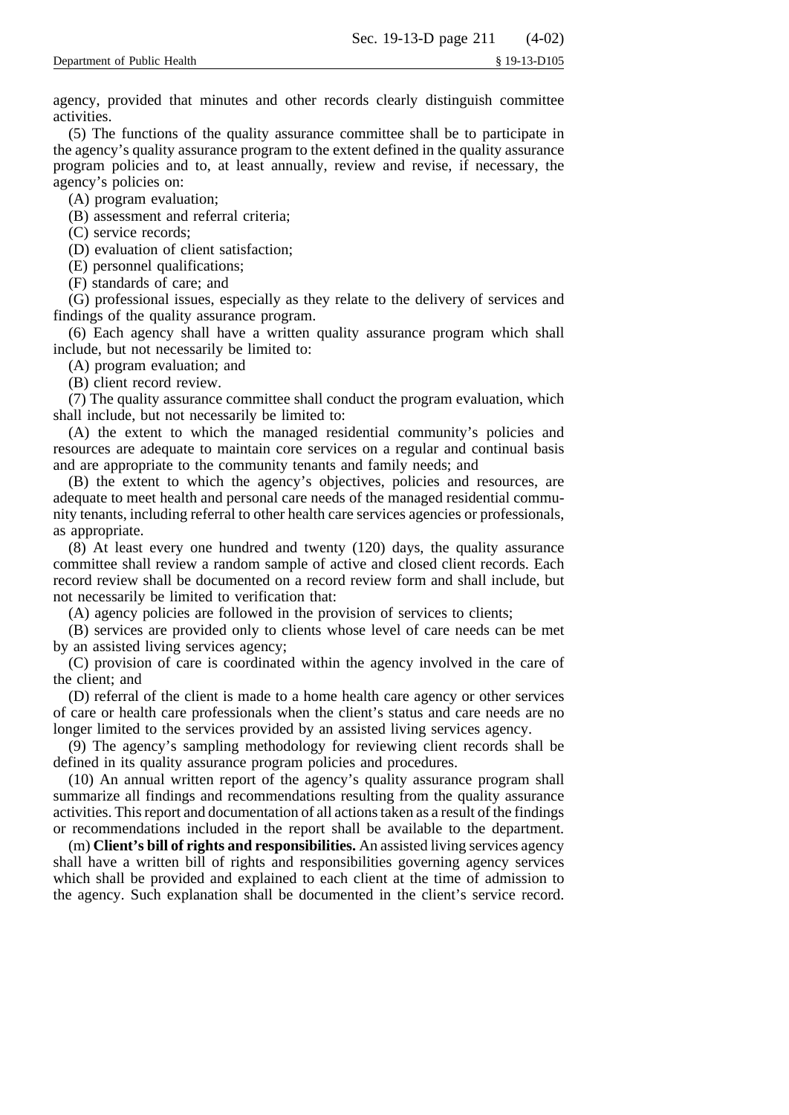agency, provided that minutes and other records clearly distinguish committee activities.

(5) The functions of the quality assurance committee shall be to participate in the agency's quality assurance program to the extent defined in the quality assurance program policies and to, at least annually, review and revise, if necessary, the agency's policies on:

(A) program evaluation;

(B) assessment and referral criteria;

(C) service records;

(D) evaluation of client satisfaction;

(E) personnel qualifications;

(F) standards of care; and

(G) professional issues, especially as they relate to the delivery of services and findings of the quality assurance program.

(6) Each agency shall have a written quality assurance program which shall include, but not necessarily be limited to:

(A) program evaluation; and

(B) client record review.

(7) The quality assurance committee shall conduct the program evaluation, which shall include, but not necessarily be limited to:

(A) the extent to which the managed residential community's policies and resources are adequate to maintain core services on a regular and continual basis and are appropriate to the community tenants and family needs; and

(B) the extent to which the agency's objectives, policies and resources, are adequate to meet health and personal care needs of the managed residential community tenants, including referral to other health care services agencies or professionals, as appropriate.

(8) At least every one hundred and twenty (120) days, the quality assurance committee shall review a random sample of active and closed client records. Each record review shall be documented on a record review form and shall include, but not necessarily be limited to verification that:

(A) agency policies are followed in the provision of services to clients;

(B) services are provided only to clients whose level of care needs can be met by an assisted living services agency;

(C) provision of care is coordinated within the agency involved in the care of the client; and

(D) referral of the client is made to a home health care agency or other services of care or health care professionals when the client's status and care needs are no longer limited to the services provided by an assisted living services agency.

(9) The agency's sampling methodology for reviewing client records shall be defined in its quality assurance program policies and procedures.

(10) An annual written report of the agency's quality assurance program shall summarize all findings and recommendations resulting from the quality assurance activities. This report and documentation of all actions taken as a result of the findings or recommendations included in the report shall be available to the department.

(m) **Client's bill of rights and responsibilities.** An assisted living services agency shall have a written bill of rights and responsibilities governing agency services which shall be provided and explained to each client at the time of admission to the agency. Such explanation shall be documented in the client's service record.